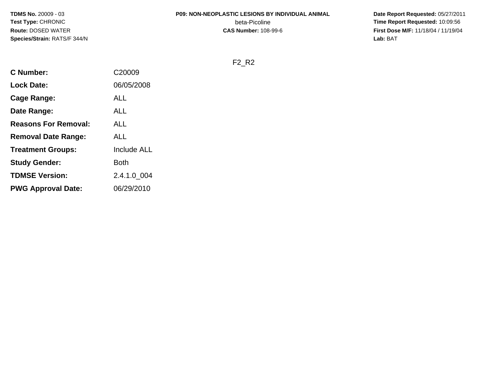## **P09: NON-NEOPLASTIC LESIONS BY INDIVIDUAL ANIMAL**

beta-Picoline<br>CAS Number: 108-99-6

 **Date Report Requested:** 05/27/2011 **Time Report Requested:** 10:09:56 **First Dose M/F:** 11/18/04 / 11/19/04<br>Lab: BAT **Lab:** BAT

F2\_R2

| <b>C</b> Number:            | C <sub>20009</sub> |
|-----------------------------|--------------------|
| <b>Lock Date:</b>           | 06/05/2008         |
| Cage Range:                 | ALL                |
| Date Range:                 | <b>ALL</b>         |
| <b>Reasons For Removal:</b> | ALL                |
| <b>Removal Date Range:</b>  | ALL                |
| <b>Treatment Groups:</b>    | <b>Include ALL</b> |
| <b>Study Gender:</b>        | <b>Both</b>        |
| <b>TDMSE Version:</b>       | 2.4.1.0 004        |
| <b>PWG Approval Date:</b>   | 06/29/2010         |
|                             |                    |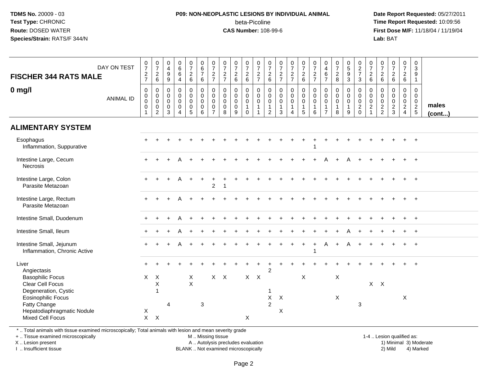## **P09: NON-NEOPLASTIC LESIONS BY INDIVIDUAL ANIMAL** beta-Picoline**beta-Picoline**<br> **CAS Number:** 108-99-6<br> **CAS Number:** 108-99-6<br> **CAS Number:** 108-99-6

 **Date Report Requested:** 05/27/2011 **First Dose M/F:** 11/18/04 / 11/19/04 Lab: BAT **Lab:** BAT

| <b>FISCHER 344 RATS MALE</b>                                                                       | DAY ON TEST      | $\frac{0}{7}$<br>$\frac{2}{7}$       | $\frac{0}{7}$<br>$\frac{2}{6}$                                       | $\mathbf 0$<br>$\overline{4}$<br>$\boldsymbol{9}$<br>$9\,$    | $\mathbf 0$<br>$\,6\,$<br>$\,6\,$<br>4                                           | $\begin{smallmatrix}0\\7\end{smallmatrix}$<br>$\frac{2}{6}$ | $\begin{array}{c} 0 \\ 6 \\ 7 \end{array}$<br>$6\phantom{1}$      | $\frac{0}{7}$<br>$\frac{2}{7}$                                          | $\begin{smallmatrix}0\\7\end{smallmatrix}$<br>$\frac{2}{7}$                     | $\frac{0}{7}$<br>6                                            | $\frac{0}{7}$<br>$\frac{2}{6}$                                              | $\frac{0}{7}$<br>$\frac{2}{7}$                                   | $\frac{0}{7}$<br>$\frac{2}{6}$                                            | $\frac{0}{7}$<br>$\frac{2}{7}$                   | $\begin{smallmatrix}0\\7\end{smallmatrix}$<br>$\frac{2}{7}$                          | $\begin{smallmatrix}0\\7\end{smallmatrix}$<br>$\begin{array}{c} 2 \\ 6 \end{array}$ | $\frac{0}{7}$<br>$\frac{2}{7}$                                         | 0<br>$\overline{4}$<br>$\,6\,$<br>$\overline{7}$                  | $\frac{0}{7}$<br>8                                         | $\begin{array}{c} 0 \\ 5 \\ 9 \\ 3 \end{array}$  | $\begin{array}{c} 0 \\ 2 \\ 7 \end{array}$<br>$\mathbf{3}$ | 0726                        | $\frac{0}{7}$<br>$\sqrt{2}$<br>$6\phantom{1}6$   | $\frac{0}{7}$<br>$\begin{array}{c} 2 \\ 6 \end{array}$ | $\frac{0}{7}$<br>$\frac{2}{6}$    | $\begin{smallmatrix}0\3\9\end{smallmatrix}$<br>$\mathbf{1}$ |                       |
|----------------------------------------------------------------------------------------------------|------------------|--------------------------------------|----------------------------------------------------------------------|---------------------------------------------------------------|----------------------------------------------------------------------------------|-------------------------------------------------------------|-------------------------------------------------------------------|-------------------------------------------------------------------------|---------------------------------------------------------------------------------|---------------------------------------------------------------|-----------------------------------------------------------------------------|------------------------------------------------------------------|---------------------------------------------------------------------------|--------------------------------------------------|--------------------------------------------------------------------------------------|-------------------------------------------------------------------------------------|------------------------------------------------------------------------|-------------------------------------------------------------------|------------------------------------------------------------|--------------------------------------------------|------------------------------------------------------------|-----------------------------|--------------------------------------------------|--------------------------------------------------------|-----------------------------------|-------------------------------------------------------------|-----------------------|
| $0$ mg/l                                                                                           | <b>ANIMAL ID</b> | $\mathbf 0$<br>0<br>0<br>$\mathbf 0$ | $\mathsf{O}\xspace$<br>$\overline{0}$<br>$\pmb{0}$<br>$\overline{2}$ | $\mathbf 0$<br>$\mathbf 0$<br>$\mathbf 0$<br>$\mathbf 0$<br>3 | $\pmb{0}$<br>$\mathbf 0$<br>$\mathbf 0$<br>$\mathbf 0$<br>$\boldsymbol{\Lambda}$ | 0<br>$\overline{0}$ <sub>0</sub><br>$\pmb{0}$<br>5          | $\begin{smallmatrix}0\\0\\0\end{smallmatrix}$<br>$\mathbf 0$<br>6 | $\pmb{0}$<br>$\overline{0}$ <sub>0</sub><br>$\pmb{0}$<br>$\overline{7}$ | $\mathbf 0$<br>$\begin{smallmatrix} 0\\0 \end{smallmatrix}$<br>$\mathbf 0$<br>8 | $\mathbf 0$<br>$\mathbf 0$<br>$\mathbf 0$<br>$\mathbf 0$<br>9 | 0<br>$\mathsf{O}\xspace$<br>$\mathsf{O}\xspace$<br>$\mathbf{1}$<br>$\Omega$ | $\begin{matrix} 0 \\ 0 \\ 0 \\ 1 \end{matrix}$<br>$\overline{1}$ | 0<br>$\ddot{\mathbf{0}}$<br>$\mathbf 0$<br>$\mathbf{1}$<br>$\overline{2}$ | 0<br>$\pmb{0}$<br>$\pmb{0}$<br>$\mathbf{1}$<br>3 | $\begin{smallmatrix}0\\0\\0\\0\end{smallmatrix}$<br>$\overline{1}$<br>$\overline{4}$ | 0<br>$\overline{0}$<br>$\mathsf 0$<br>$\mathbf{1}$<br>5                             | $\pmb{0}$<br>$\ddot{\mathbf{0}}$<br>$\mathbf 0$<br>$\overline{1}$<br>6 | 0<br>$\mathbf 0$<br>$\mathbf 0$<br>$\mathbf{1}$<br>$\overline{7}$ | $\pmb{0}$<br>$\mathbf 0$<br>$\pmb{0}$<br>$\mathbf{1}$<br>8 | 0<br>$\pmb{0}$<br>$\pmb{0}$<br>$\mathbf{1}$<br>9 | 0<br>$\mathbf 0$<br>$\mathbf 0$<br>$\sqrt{2}$<br>$\Omega$  | $\mathsf{O}\xspace$<br>0002 | $\mathbf 0$<br>0<br>$\mathbf 0$<br>$\frac{2}{2}$ | 0<br>$\mathbf 0$<br>$\mathbf 0$<br>$\frac{2}{3}$       | 0<br>$\mathbf 0$<br>$\frac{0}{2}$ | $\mathbf 0$<br>$\ddot{\mathbf{0}}$<br>$\frac{0}{2}$<br>5    | males<br>$($ cont $)$ |
| <b>ALIMENTARY SYSTEM</b>                                                                           |                  |                                      |                                                                      |                                                               |                                                                                  |                                                             |                                                                   |                                                                         |                                                                                 |                                                               |                                                                             |                                                                  |                                                                           |                                                  |                                                                                      |                                                                                     |                                                                        |                                                                   |                                                            |                                                  |                                                            |                             |                                                  |                                                        |                                   |                                                             |                       |
| Esophagus<br>Inflammation, Suppurative                                                             |                  |                                      |                                                                      |                                                               |                                                                                  |                                                             |                                                                   |                                                                         |                                                                                 |                                                               |                                                                             |                                                                  |                                                                           |                                                  |                                                                                      |                                                                                     |                                                                        |                                                                   |                                                            |                                                  |                                                            |                             |                                                  |                                                        |                                   | $\ddot{}$                                                   |                       |
| Intestine Large, Cecum<br><b>Necrosis</b>                                                          |                  |                                      |                                                                      |                                                               |                                                                                  |                                                             |                                                                   |                                                                         |                                                                                 |                                                               |                                                                             |                                                                  |                                                                           |                                                  |                                                                                      |                                                                                     |                                                                        |                                                                   |                                                            |                                                  |                                                            |                             |                                                  |                                                        |                                   |                                                             |                       |
| Intestine Large, Colon<br>Parasite Metazoan                                                        |                  |                                      |                                                                      |                                                               |                                                                                  |                                                             | $\div$                                                            | $\overline{c}$                                                          |                                                                                 |                                                               |                                                                             |                                                                  |                                                                           |                                                  |                                                                                      |                                                                                     |                                                                        |                                                                   |                                                            |                                                  |                                                            |                             |                                                  |                                                        |                                   | $\div$                                                      |                       |
| Intestine Large, Rectum<br>Parasite Metazoan                                                       |                  |                                      |                                                                      |                                                               |                                                                                  |                                                             |                                                                   |                                                                         |                                                                                 |                                                               |                                                                             |                                                                  |                                                                           |                                                  |                                                                                      |                                                                                     |                                                                        |                                                                   |                                                            |                                                  |                                                            |                             |                                                  |                                                        |                                   |                                                             |                       |
| Intestine Small, Duodenum                                                                          |                  |                                      |                                                                      |                                                               |                                                                                  |                                                             |                                                                   |                                                                         |                                                                                 |                                                               |                                                                             |                                                                  |                                                                           |                                                  |                                                                                      |                                                                                     |                                                                        |                                                                   |                                                            |                                                  |                                                            |                             |                                                  |                                                        |                                   | $+$                                                         |                       |
| Intestine Small, Ileum                                                                             |                  |                                      |                                                                      |                                                               |                                                                                  |                                                             |                                                                   |                                                                         |                                                                                 |                                                               |                                                                             |                                                                  |                                                                           |                                                  |                                                                                      |                                                                                     |                                                                        |                                                                   |                                                            |                                                  |                                                            |                             |                                                  |                                                        |                                   | $\ddot{}$                                                   |                       |
| Intestine Small, Jejunum<br>Inflammation, Chronic Active                                           |                  |                                      |                                                                      |                                                               |                                                                                  |                                                             |                                                                   |                                                                         |                                                                                 |                                                               |                                                                             |                                                                  |                                                                           |                                                  |                                                                                      | $\ddot{}$                                                                           | $+$                                                                    | A                                                                 |                                                            |                                                  |                                                            |                             |                                                  |                                                        |                                   | $\ddot{}$                                                   |                       |
| Liver<br>Angiectasis                                                                               |                  |                                      |                                                                      |                                                               |                                                                                  |                                                             |                                                                   |                                                                         |                                                                                 |                                                               |                                                                             |                                                                  | $\overline{2}$                                                            |                                                  |                                                                                      |                                                                                     |                                                                        |                                                                   |                                                            |                                                  |                                                            |                             |                                                  |                                                        |                                   |                                                             |                       |
| <b>Basophilic Focus</b><br>Clear Cell Focus<br>Degeneration, Cystic                                |                  |                                      | $X \times$<br>$\mathsf X$<br>$\overline{1}$                          |                                                               |                                                                                  | X<br>X                                                      |                                                                   |                                                                         | $X$ $X$                                                                         |                                                               |                                                                             | $X$ $X$                                                          | $\mathbf 1$                                                               |                                                  |                                                                                      | X                                                                                   |                                                                        |                                                                   | $\mathsf X$                                                |                                                  |                                                            |                             | $X$ $X$                                          |                                                        |                                   |                                                             |                       |
| <b>Eosinophilic Focus</b><br>Fatty Change<br>Hepatodiaphragmatic Nodule<br><b>Mixed Cell Focus</b> |                  | $\mathsf X$                          | $X$ $X$                                                              | $\overline{4}$                                                |                                                                                  |                                                             | 3                                                                 |                                                                         |                                                                                 |                                                               | X                                                                           |                                                                  | $\mathsf X$<br>$\overline{2}$                                             | $\boldsymbol{X}$<br>X                            |                                                                                      |                                                                                     |                                                                        |                                                                   | $\boldsymbol{\mathsf{X}}$                                  |                                                  | 3                                                          |                             |                                                  |                                                        | X                                 |                                                             |                       |
|                                                                                                    |                  |                                      |                                                                      |                                                               |                                                                                  |                                                             |                                                                   |                                                                         |                                                                                 |                                                               |                                                                             |                                                                  |                                                                           |                                                  |                                                                                      |                                                                                     |                                                                        |                                                                   |                                                            |                                                  |                                                            |                             |                                                  |                                                        |                                   |                                                             |                       |

\* .. Total animals with tissue examined microscopically; Total animals with lesion and mean severity grade

+ .. Tissue examined microscopically

X .. Lesion present

I .. Insufficient tissue

M .. Missing tissue

A .. Autolysis precludes evaluation

1-4 .. Lesion qualified as:<br>1) Minimal 3) Moderate BLANK .. Not examined microscopically 2) Mild 4) Marked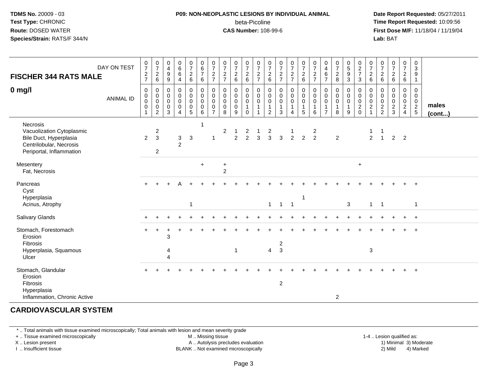### **P09: NON-NEOPLASTIC LESIONS BY INDIVIDUAL ANIMAL** beta-Picoline**beta-Picoline**<br> **CAS Number:** 108-99-6<br> **CAS Number:** 108-99-6<br> **CAS Number:** 108-99-6

 **Date Report Requested:** 05/27/2011 **First Dose M/F:** 11/18/04 / 11/19/04 Lab: BAT **Lab:** BAT

| <b>FISCHER 344 RATS MALE</b>                                                                                                  | DAY ON TEST      | $\frac{0}{7}$<br>$\frac{2}{7}$                                 | $\frac{0}{7}$<br>$^2\phantom{1}6$                                    | $\begin{smallmatrix}0\\4\end{smallmatrix}$<br>$\boldsymbol{9}$<br>$\boldsymbol{9}$ | $\begin{array}{c} 0 \\ 6 \end{array}$<br>6<br>$\overline{a}$               | $\frac{0}{7}$<br>$\frac{2}{6}$            | $\begin{array}{c} 0 \\ 6 \\ 7 \end{array}$<br>6                 | $\begin{smallmatrix}0\\7\end{smallmatrix}$<br>$\frac{2}{7}$                | $\frac{0}{7}$<br>$\frac{2}{7}$ | $\frac{0}{7}$<br>$^2\phantom{1}6$               | $\frac{0}{7}$<br>$^2\phantom{1}6$                              | $\frac{0}{7}$<br>$\frac{2}{7}$                                              | $\frac{0}{7}$<br>$\frac{2}{6}$             | $\frac{0}{7}$<br>$\frac{2}{7}$                           | $\frac{0}{7}$<br>$\frac{2}{7}$                             | $\frac{0}{7}$<br>$\frac{2}{6}$            | $\frac{0}{7}$<br>$\frac{2}{7}$                             | $\pmb{0}$<br>$\overline{4}$<br>$\,6$<br>$\overline{7}$              | $\frac{0}{7}$<br>$\sqrt{2}$<br>8                    | $\begin{array}{c} 0 \\ 5 \\ 9 \end{array}$<br>3 | $\begin{array}{c} 0 \\ 2 \\ 7 \end{array}$<br>$\mathbf{3}$ | $\frac{0}{7}$<br>$^2\phantom{1}6$                             | $\frac{0}{7}$<br>$^2\phantom{1}6$      | $\frac{0}{7}$<br>$\sqrt{2}$<br>$\,6\,$       | $\begin{smallmatrix}0\\7\end{smallmatrix}$<br>$\frac{2}{6}$         | $\mathbf 0$<br>$\overline{3}$<br>9<br>$\overline{1}$                              |                       |
|-------------------------------------------------------------------------------------------------------------------------------|------------------|----------------------------------------------------------------|----------------------------------------------------------------------|------------------------------------------------------------------------------------|----------------------------------------------------------------------------|-------------------------------------------|-----------------------------------------------------------------|----------------------------------------------------------------------------|--------------------------------|-------------------------------------------------|----------------------------------------------------------------|-----------------------------------------------------------------------------|--------------------------------------------|----------------------------------------------------------|------------------------------------------------------------|-------------------------------------------|------------------------------------------------------------|---------------------------------------------------------------------|-----------------------------------------------------|-------------------------------------------------|------------------------------------------------------------|---------------------------------------------------------------|----------------------------------------|----------------------------------------------|---------------------------------------------------------------------|-----------------------------------------------------------------------------------|-----------------------|
| $0$ mg/l                                                                                                                      | <b>ANIMAL ID</b> | $\,0\,$<br>$\pmb{0}$<br>$\pmb{0}$<br>$\pmb{0}$<br>$\mathbf{1}$ | $\mathbf 0$<br>$\pmb{0}$<br>$\pmb{0}$<br>$\pmb{0}$<br>$\overline{c}$ | 0<br>0<br>$\mathbf 0$<br>0<br>3                                                    | $\mathbf 0$<br>$\mathbf 0$<br>$\mathbf 0$<br>$\mathbf 0$<br>$\overline{4}$ | 0<br>$\mathbf 0$<br>$\mathbf 0$<br>0<br>5 | $\pmb{0}$<br>$\mathsf{O}\xspace$<br>$\pmb{0}$<br>$\pmb{0}$<br>6 | $\mathbf 0$<br>$\mathbf 0$<br>$\mathbf 0$<br>$\mathbf 0$<br>$\overline{7}$ | 0<br>0<br>0<br>0<br>8          | 0<br>$\pmb{0}$<br>$\pmb{0}$<br>$\mathbf 0$<br>9 | 0<br>$\pmb{0}$<br>$\mathbf 0$<br>$\overline{1}$<br>$\mathbf 0$ | $\mathbf 0$<br>$\mathbf 0$<br>$\mathbf 0$<br>$\overline{1}$<br>$\mathbf{1}$ | 0<br>$\pmb{0}$<br>0<br>1<br>$\overline{2}$ | $\pmb{0}$<br>$\pmb{0}$<br>$\pmb{0}$<br>$\mathbf{1}$<br>3 | $\mathbf 0$<br>$\pmb{0}$<br>$\pmb{0}$<br>$\mathbf{1}$<br>4 | 0<br>$\mathbf 0$<br>$\mathbf 0$<br>1<br>5 | $\pmb{0}$<br>$\pmb{0}$<br>$\pmb{0}$<br>$\overline{1}$<br>6 | $\mathbf 0$<br>$\mathbf 0$<br>0<br>$\overline{1}$<br>$\overline{7}$ | $\mathbf 0$<br>$\mathbf 0$<br>$\mathbf 0$<br>1<br>8 | 0<br>$\pmb{0}$<br>0<br>$\mathbf{1}$<br>9        | 0<br>$\mathbf 0$<br>$\pmb{0}$<br>$\frac{2}{0}$             | 0<br>$\pmb{0}$<br>$\pmb{0}$<br>$\overline{2}$<br>$\mathbf{1}$ | 0<br>0<br>$\mathbf 0$<br>$\frac{2}{2}$ | 0<br>$\pmb{0}$<br>$\pmb{0}$<br>$\frac{2}{3}$ | 0<br>$\mathbf 0$<br>$\mathbf 0$<br>$\overline{2}$<br>$\overline{4}$ | $\mathbf 0$<br>$\mathbf 0$<br>$\overline{0}$<br>$\overline{2}$<br>$5\phantom{.0}$ | males<br>$($ cont $)$ |
| <b>Necrosis</b><br>Vacuolization Cytoplasmic<br>Bile Duct, Hyperplasia<br>Centrilobular, Necrosis<br>Periportal, Inflammation |                  | $\overline{2}$                                                 | $\frac{2}{3}$<br>2                                                   |                                                                                    | 3<br>$\overline{2}$                                                        | $\mathbf{3}$                              | -1                                                              | $\mathbf{1}$                                                               | $\overline{c}$                 | $\overline{1}$<br>$\overline{2}$                | $\frac{2}{2}$                                                  | $\mathbf{1}$<br>$\overline{3}$                                              | $\frac{2}{3}$                              | $\overline{3}$                                           | $\frac{1}{2}$                                              | $\overline{2}$                            | $\frac{2}{2}$                                              |                                                                     | $\overline{2}$                                      |                                                 |                                                            | $\mathbf 1$<br>$\overline{2}$                                 | $\overline{1}$                         | $\overline{2}$                               | $\overline{2}$                                                      |                                                                                   |                       |
| Mesentery<br>Fat, Necrosis                                                                                                    |                  |                                                                |                                                                      |                                                                                    |                                                                            |                                           | $+$                                                             |                                                                            | $\ddot{}$<br>$\overline{2}$    |                                                 |                                                                |                                                                             |                                            |                                                          |                                                            |                                           |                                                            |                                                                     |                                                     |                                                 | $+$                                                        |                                                               |                                        |                                              |                                                                     |                                                                                   |                       |
| Pancreas<br>Cyst<br>Hyperplasia<br>Acinus, Atrophy                                                                            |                  |                                                                |                                                                      |                                                                                    |                                                                            | 1                                         |                                                                 |                                                                            |                                |                                                 |                                                                |                                                                             | $\mathbf{1}$                               | $\overline{1}$                                           | $\overline{1}$                                             | 1                                         |                                                            |                                                                     |                                                     | 3                                               |                                                            | $\mathbf{1}$                                                  | $\overline{1}$                         |                                              |                                                                     | 1                                                                                 |                       |
| Salivary Glands                                                                                                               |                  |                                                                |                                                                      |                                                                                    |                                                                            |                                           |                                                                 |                                                                            |                                |                                                 |                                                                |                                                                             |                                            |                                                          |                                                            |                                           |                                                            |                                                                     |                                                     |                                                 |                                                            |                                                               |                                        |                                              |                                                                     | $\ddot{}$                                                                         |                       |
| Stomach, Forestomach<br>Erosion<br>Fibrosis<br>Hyperplasia, Squamous<br>Ulcer                                                 |                  |                                                                |                                                                      | 3<br>4<br>4                                                                        |                                                                            |                                           |                                                                 |                                                                            |                                | $\mathbf{1}$                                    |                                                                |                                                                             | 4                                          | $\overline{c}$<br>3                                      |                                                            |                                           |                                                            |                                                                     |                                                     |                                                 |                                                            | $\ensuremath{\mathsf{3}}$                                     |                                        |                                              |                                                                     |                                                                                   |                       |
| Stomach, Glandular<br>Erosion<br>Fibrosis<br>Hyperplasia<br>Inflammation, Chronic Active                                      |                  |                                                                |                                                                      |                                                                                    |                                                                            |                                           |                                                                 |                                                                            |                                |                                                 |                                                                |                                                                             |                                            | $\overline{2}$                                           |                                                            |                                           |                                                            |                                                                     | $\overline{2}$                                      |                                                 |                                                            |                                                               |                                        |                                              |                                                                     | $\ddot{}$                                                                         |                       |

## **CARDIOVASCULAR SYSTEM**

\* .. Total animals with tissue examined microscopically; Total animals with lesion and mean severity grade

+ .. Tissue examined microscopically

X .. Lesion present

I .. Insufficient tissue

 M .. Missing tissueA .. Autolysis precludes evaluation

1-4 .. Lesion qualified as:<br>1) Minimal 3) Moderate BLANK .. Not examined microscopically 2) Mild 4) Marked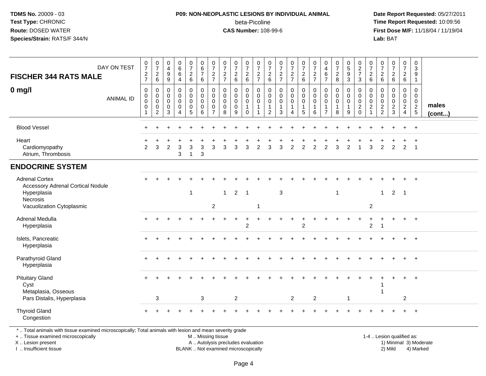## **P09: NON-NEOPLASTIC LESIONS BY INDIVIDUAL ANIMAL** beta-Picoline**beta-Picoline**<br> **CAS Number:** 108-99-6<br> **CAS Number:** 108-99-6<br> **CAS Number:** 108-99-6

 **Date Report Requested:** 05/27/2011 **First Dose M/F:** 11/18/04 / 11/19/04 Lab: BAT **Lab:** BAT

| DAY ON TEST<br><b>FISCHER 344 RATS MALE</b>                                                              | $\frac{0}{7}$<br>$\frac{2}{7}$                                                         | $\begin{smallmatrix}0\\7\end{smallmatrix}$<br>$\overline{a}$<br>6 | 0<br>$\overline{4}$<br>9<br>9            | $_{6}^{\rm 0}$<br>$\,6\,$<br>$\overline{4}$                                    | $\frac{0}{7}$<br>$\overline{2}$<br>$\,6\,$                     | $\begin{array}{c} 0 \\ 6 \end{array}$<br>$\boldsymbol{7}$<br>$6\phantom{1}$ | $\frac{0}{7}$<br>$\overline{c}$<br>$\overline{7}$ | $\frac{0}{7}$<br>$\overline{c}$<br>$\overline{7}$           | $\frac{0}{7}$<br>$\overline{a}$<br>6                      | $\frac{0}{7}$<br>$\frac{2}{6}$                           | $\frac{0}{7}$<br>$\frac{2}{7}$                         | $\frac{0}{7}$<br>$\frac{2}{6}$                            | $\frac{0}{7}$<br>$\frac{2}{7}$                                            | $\frac{0}{7}$<br>$rac{2}{7}$                      | $\frac{0}{7}$<br>$\frac{2}{6}$                                                     | $\begin{smallmatrix}0\\7\end{smallmatrix}$<br>$\frac{2}{7}$                      | $\pmb{0}$<br>$\overline{4}$<br>$\,6\,$<br>$\overline{7}$ | $\frac{0}{7}$<br>$\boldsymbol{2}$<br>8           | $\begin{array}{c} 0 \\ 5 \end{array}$<br>$\boldsymbol{9}$<br>$\mathbf{3}$ | $\pmb{0}$<br>$\frac{2}{7}$<br>$\mathbf{3}$                                 | $\frac{0}{7}$<br>$\frac{2}{6}$                    | $\frac{0}{7}$<br>$\begin{array}{c} 2 \\ 6 \end{array}$ | $\frac{0}{7}$<br>$\overline{c}$<br>6           | 0<br>$\overline{7}$<br>$\overline{2}$<br>$6\phantom{a}$  | $\pmb{0}$<br>$\sqrt{3}$<br>9<br>$\overline{1}$ |                 |
|----------------------------------------------------------------------------------------------------------|----------------------------------------------------------------------------------------|-------------------------------------------------------------------|------------------------------------------|--------------------------------------------------------------------------------|----------------------------------------------------------------|-----------------------------------------------------------------------------|---------------------------------------------------|-------------------------------------------------------------|-----------------------------------------------------------|----------------------------------------------------------|--------------------------------------------------------|-----------------------------------------------------------|---------------------------------------------------------------------------|---------------------------------------------------|------------------------------------------------------------------------------------|----------------------------------------------------------------------------------|----------------------------------------------------------|--------------------------------------------------|---------------------------------------------------------------------------|----------------------------------------------------------------------------|---------------------------------------------------|--------------------------------------------------------|------------------------------------------------|----------------------------------------------------------|------------------------------------------------|-----------------|
| $0$ mg/l<br><b>ANIMAL ID</b>                                                                             | $\pmb{0}$<br>$\begin{smallmatrix} 0\\0 \end{smallmatrix}$<br>$\pmb{0}$<br>$\mathbf{1}$ | 0<br>$\mathbf 0$<br>$\mathbf 0$<br>$\mathbf 0$<br>$\overline{2}$  | 0<br>0<br>0<br>$\pmb{0}$<br>$\mathbf{3}$ | $\mathbf 0$<br>$\pmb{0}$<br>$\mathsf{O}\xspace$<br>$\pmb{0}$<br>$\overline{4}$ | 0<br>$\mathbf 0$<br>$\mathbf 0$<br>$\pmb{0}$<br>$\overline{5}$ | $\pmb{0}$<br>$\mathbf 0$<br>$\mathbf 0$<br>$\mathbf 0$<br>$6\phantom{1}6$   | 0<br>0<br>$\mathbf 0$<br>0<br>$\overline{7}$      | $\mathbf 0$<br>$\mathbf 0$<br>$\mathbf 0$<br>$\pmb{0}$<br>8 | 0<br>$\mathsf{O}\xspace$<br>$\pmb{0}$<br>$\mathbf 0$<br>9 | 0<br>$\pmb{0}$<br>$\pmb{0}$<br>$\mathbf{1}$<br>$\pmb{0}$ | 0<br>$\mathbf 0$<br>$\overline{0}$<br>$\mathbf 1$<br>1 | 0<br>0<br>$\mathbf 0$<br>$\overline{1}$<br>$\overline{c}$ | $\mathbf 0$<br>$\mathbf 0$<br>$\mathbf 0$<br>$\mathbf{1}$<br>$\mathbf{3}$ | 0<br>$\mathbf 0$<br>$\mathsf{O}\xspace$<br>1<br>4 | $\mathbf 0$<br>$\pmb{0}$<br>$\ddot{\mathbf{0}}$<br>$\mathbf{1}$<br>$5\phantom{.0}$ | $\pmb{0}$<br>$\pmb{0}$<br>$\mathsf{O}\xspace$<br>$\mathbf{1}$<br>$6\phantom{1}6$ | 0<br>$\mathbf 0$<br>$\mathbf 0$<br>$\overline{7}$        | 0<br>$\pmb{0}$<br>$\pmb{0}$<br>$\mathbf{1}$<br>8 | 0<br>$\mathbf 0$<br>$\mathbf 0$<br>1<br>9                                 | $\mathbf 0$<br>$\mathbf 0$<br>$\mathbf 0$<br>$\overline{c}$<br>$\mathbf 0$ | 0<br>$\mathbf 0$<br>$\mathbf 0$<br>$\overline{c}$ | 0<br>$\mathbf 0$<br>0<br>$\frac{2}{2}$                 | 0<br>$\mathsf 0$<br>$\pmb{0}$<br>$\frac{2}{3}$ | 0<br>$\mathbf 0$<br>$\ddot{\mathbf{0}}$<br>$\frac{2}{4}$ | 0<br>$\pmb{0}$<br>$\pmb{0}$<br>$\frac{2}{5}$   | males<br>(cont) |
| <b>Blood Vessel</b>                                                                                      |                                                                                        |                                                                   |                                          |                                                                                |                                                                |                                                                             |                                                   |                                                             |                                                           |                                                          |                                                        |                                                           |                                                                           |                                                   |                                                                                    |                                                                                  |                                                          |                                                  |                                                                           |                                                                            |                                                   |                                                        |                                                | $\ddot{}$                                                | $+$                                            |                 |
| Heart<br>Cardiomyopathy<br>Atrium, Thrombosis                                                            | 2                                                                                      | 3                                                                 | 2                                        | 3<br>3                                                                         | 3<br>$\overline{1}$                                            | 3<br>$\mathbf{3}$                                                           | 3                                                 | 3                                                           | 3                                                         | 3                                                        | 2                                                      | 3                                                         | 3                                                                         | $\overline{2}$                                    | $\overline{2}$                                                                     | $\overline{2}$                                                                   | $\overline{c}$                                           | 3                                                | $\overline{2}$                                                            | 1                                                                          | 3                                                 | 2                                                      | $\overline{2}$                                 | $\overline{2}$                                           | $\ddot{}$<br>$\overline{1}$                    |                 |
| <b>ENDOCRINE SYSTEM</b>                                                                                  |                                                                                        |                                                                   |                                          |                                                                                |                                                                |                                                                             |                                                   |                                                             |                                                           |                                                          |                                                        |                                                           |                                                                           |                                                   |                                                                                    |                                                                                  |                                                          |                                                  |                                                                           |                                                                            |                                                   |                                                        |                                                |                                                          |                                                |                 |
| <b>Adrenal Cortex</b><br><b>Accessory Adrenal Cortical Nodule</b><br>Hyperplasia<br>Necrosis             |                                                                                        |                                                                   |                                          |                                                                                | $\overline{\mathbf{1}}$                                        |                                                                             |                                                   | $\mathbf{1}$                                                | $\overline{2}$                                            | $\overline{\phantom{0}}$ 1                               |                                                        |                                                           | $\mathbf{3}$                                                              |                                                   |                                                                                    |                                                                                  |                                                          | $\overline{1}$                                   |                                                                           |                                                                            |                                                   | $\overline{1}$                                         | $2 \quad 1$                                    |                                                          |                                                |                 |
| Vacuolization Cytoplasmic                                                                                |                                                                                        |                                                                   |                                          |                                                                                |                                                                |                                                                             | $\boldsymbol{2}$                                  |                                                             |                                                           |                                                          | $\overline{1}$                                         |                                                           |                                                                           |                                                   |                                                                                    |                                                                                  |                                                          |                                                  |                                                                           |                                                                            | 2                                                 |                                                        |                                                |                                                          |                                                |                 |
| Adrenal Medulla<br>Hyperplasia                                                                           |                                                                                        |                                                                   |                                          |                                                                                |                                                                |                                                                             |                                                   |                                                             |                                                           | $\overline{c}$                                           |                                                        |                                                           |                                                                           |                                                   | $\overline{c}$                                                                     |                                                                                  |                                                          |                                                  |                                                                           |                                                                            | $\boldsymbol{2}$                                  |                                                        |                                                | $\ddot{}$                                                | $+$                                            |                 |
| Islets, Pancreatic<br>Hyperplasia                                                                        |                                                                                        |                                                                   |                                          |                                                                                |                                                                |                                                                             |                                                   |                                                             |                                                           |                                                          |                                                        |                                                           |                                                                           |                                                   |                                                                                    |                                                                                  |                                                          |                                                  |                                                                           |                                                                            |                                                   |                                                        |                                                |                                                          | $\ddot{}$                                      |                 |
| Parathyroid Gland<br>Hyperplasia                                                                         |                                                                                        |                                                                   |                                          |                                                                                |                                                                |                                                                             |                                                   |                                                             |                                                           |                                                          |                                                        |                                                           |                                                                           |                                                   |                                                                                    |                                                                                  |                                                          |                                                  |                                                                           |                                                                            |                                                   |                                                        |                                                |                                                          |                                                |                 |
| <b>Pituitary Gland</b><br>Cyst<br>Metaplasia, Osseous                                                    |                                                                                        |                                                                   |                                          |                                                                                |                                                                |                                                                             |                                                   |                                                             |                                                           |                                                          |                                                        |                                                           |                                                                           |                                                   |                                                                                    |                                                                                  |                                                          |                                                  |                                                                           |                                                                            |                                                   |                                                        |                                                |                                                          | $\ddot{}$                                      |                 |
| Pars Distalis, Hyperplasia                                                                               |                                                                                        | 3                                                                 |                                          |                                                                                |                                                                | 3                                                                           |                                                   |                                                             | $\overline{c}$                                            |                                                          |                                                        |                                                           |                                                                           | 2                                                 |                                                                                    | $\overline{2}$                                                                   |                                                          |                                                  | 1                                                                         |                                                                            |                                                   |                                                        |                                                | $\overline{2}$                                           |                                                |                 |
| <b>Thyroid Gland</b><br>Congestion                                                                       |                                                                                        |                                                                   |                                          |                                                                                |                                                                |                                                                             |                                                   |                                                             |                                                           |                                                          |                                                        |                                                           |                                                                           |                                                   |                                                                                    |                                                                                  |                                                          |                                                  |                                                                           |                                                                            |                                                   |                                                        |                                                | $\ddot{}$                                                | $+$                                            |                 |
| *  Total animals with tissue examined microscopically; Total animals with lesion and mean severity grade |                                                                                        |                                                                   |                                          |                                                                                |                                                                |                                                                             |                                                   |                                                             |                                                           |                                                          |                                                        |                                                           |                                                                           |                                                   |                                                                                    |                                                                                  |                                                          |                                                  |                                                                           |                                                                            |                                                   |                                                        |                                                |                                                          |                                                |                 |

+ .. Tissue examined microscopically

X .. Lesion present

I .. Insufficient tissue

M .. Missing tissue

BLANK .. Not examined microscopically

1-4 .. Lesion qualified as:<br>1) Minimal 3) Moderate A .. Autolysis precludes evaluation 19 and 10 minimal 3) Moderate 1 and 20 minimal 3) Moderate 19 minimal 3) Moderat<br>19 and 19 and 19 and 19 and 19 and 19 and 19 and 19 and 19 and 19 and 19 and 19 and 19 and 19 and 19 and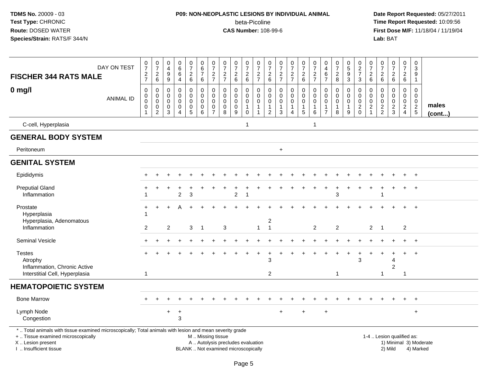## **P09: NON-NEOPLASTIC LESIONS BY INDIVIDUAL ANIMAL**beta-Picoline<br>CAS Number: 108-99-6

| <b>FISCHER 344 RATS MALE</b>                                                                                                                                                                  | DAY ON TEST      | $\frac{0}{7}$<br>$\frac{2}{7}$                                 | $\frac{0}{7}$<br>$\boldsymbol{2}$<br>$6\phantom{a}$                  | 0<br>$\overline{4}$<br>9<br>9                                 | $\begin{array}{c} 0 \\ 6 \end{array}$<br>6<br>$\overline{4}$                     | 0<br>$\overline{7}$<br>$\boldsymbol{2}$<br>$\,6\,$ | 0<br>$\,6\,$<br>$\overline{7}$<br>6                                                           | 0<br>$\overline{7}$<br>$\overline{c}$<br>$\overline{7}$              | $\frac{0}{7}$<br>$\frac{2}{7}$                            | $\frac{0}{7}$<br>$\overline{c}$<br>6                          | $\frac{0}{7}$<br>$\begin{array}{c} 2 \\ 6 \end{array}$    | 0<br>$\overline{7}$<br>$\frac{2}{7}$                        | $\frac{0}{7}$<br>$\begin{array}{c} 2 \\ 6 \end{array}$           | $\frac{0}{7}$<br>$\frac{2}{7}$                                 | 0<br>$\overline{7}$<br>$\frac{2}{7}$                                        | $\begin{array}{c} 0 \\ 7 \end{array}$<br>$\boldsymbol{2}$<br>6 | 0<br>$\overline{7}$<br>$\overline{2}$<br>$\overline{7}$ | $\begin{smallmatrix}0\\4\end{smallmatrix}$<br>6<br>$\overline{7}$        | $\frac{0}{7}$<br>$\overline{c}$<br>8                 | $\begin{array}{c} 0 \\ 5 \\ 9 \end{array}$<br>$\overline{3}$ | 0<br>$\frac{2}{7}$<br>$\mathbf{3}$                                  | $\frac{0}{7}$<br>$^2\phantom{1}6$                                         | $\frac{0}{7}$<br>$\overline{2}$<br>$6\phantom{1}6$ | 0<br>$\overline{7}$<br>$\sqrt{2}$<br>$\,6\,$               | 0<br>$\overline{7}$<br>$\overline{c}$<br>$\,6\,$                              | 0<br>$\mathbf{3}$<br>9<br>$\mathbf{1}$                                          |  |
|-----------------------------------------------------------------------------------------------------------------------------------------------------------------------------------------------|------------------|----------------------------------------------------------------|----------------------------------------------------------------------|---------------------------------------------------------------|----------------------------------------------------------------------------------|----------------------------------------------------|-----------------------------------------------------------------------------------------------|----------------------------------------------------------------------|-----------------------------------------------------------|---------------------------------------------------------------|-----------------------------------------------------------|-------------------------------------------------------------|------------------------------------------------------------------|----------------------------------------------------------------|-----------------------------------------------------------------------------|----------------------------------------------------------------|---------------------------------------------------------|--------------------------------------------------------------------------|------------------------------------------------------|--------------------------------------------------------------|---------------------------------------------------------------------|---------------------------------------------------------------------------|----------------------------------------------------|------------------------------------------------------------|-------------------------------------------------------------------------------|---------------------------------------------------------------------------------|--|
| $0$ mg/l                                                                                                                                                                                      | <b>ANIMAL ID</b> | $\mathbf 0$<br>0<br>$\pmb{0}$<br>$\mathbf 0$<br>$\overline{1}$ | $\mathbf 0$<br>$\mathbf 0$<br>$\pmb{0}$<br>$\,0\,$<br>$\overline{2}$ | $\mathbf 0$<br>$\mathbf 0$<br>$\mathbf 0$<br>$\mathbf 0$<br>3 | $\mathbf 0$<br>$\mathbf 0$<br>$\mathbf 0$<br>$\pmb{0}$<br>$\boldsymbol{\Lambda}$ | 0<br>$\mathbf 0$<br>0<br>$\mathbf 0$<br>$\sqrt{5}$ | $\mathbf 0$<br>$\mathbf 0$<br>$\mathbf 0$<br>$\pmb{0}$<br>6                                   | $\Omega$<br>$\Omega$<br>$\mathbf 0$<br>$\mathbf 0$<br>$\overline{7}$ | $\mathbf 0$<br>$\mathbf 0$<br>$\pmb{0}$<br>$\pmb{0}$<br>8 | $\mathbf 0$<br>$\mathbf 0$<br>$\mathbf 0$<br>$\mathbf 0$<br>9 | 0<br>$\mathsf{O}\xspace$<br>$\pmb{0}$<br>1<br>$\mathbf 0$ | $\mathbf 0$<br>$\mathbf 0$<br>$\mathsf 0$<br>$\overline{1}$ | $\mathbf 0$<br>$\mathbf 0$<br>$\mathbf 0$<br>$\overline{1}$<br>2 | $\mathbf 0$<br>$\mathbf 0$<br>$\mathbf 0$<br>$\mathbf{1}$<br>3 | $\mathbf 0$<br>$\mathbf 0$<br>$\mathbf 0$<br>$\mathbf{1}$<br>$\overline{4}$ | $\mathbf 0$<br>$\mathbf 0$<br>$\mathbf 0$<br>$\mathbf{1}$<br>5 | 0<br>0<br>$\mathbf 0$<br>$\mathbf{1}$<br>6              | $\Omega$<br>$\mathbf 0$<br>$\mathbf 0$<br>$\mathbf{1}$<br>$\overline{7}$ | 0<br>$\mathbf 0$<br>$\mathbf 0$<br>$\mathbf{1}$<br>8 | 0<br>0<br>$\mathbf 0$<br>$\mathbf{1}$<br>$9\,$               | $\mathbf 0$<br>$\Omega$<br>$\mathsf 0$<br>$\sqrt{2}$<br>$\mathbf 0$ | $\mathbf 0$<br>$\mathbf 0$<br>$\mathbf 0$<br>$\sqrt{2}$<br>$\overline{1}$ | $\mathbf 0$<br>$\mathbf 0$<br>0<br>$\frac{2}{2}$   | $\mathbf 0$<br>$\mathbf 0$<br>$\mathbf 0$<br>$\frac{2}{3}$ | $\mathbf 0$<br>$\mathbf 0$<br>$\mathbf 0$<br>$\overline{2}$<br>$\overline{4}$ | $\Omega$<br>$\mathbf 0$<br>$\boldsymbol{0}$<br>males<br>$\frac{2}{5}$<br>(cont) |  |
| C-cell, Hyperplasia                                                                                                                                                                           |                  |                                                                |                                                                      |                                                               |                                                                                  |                                                    |                                                                                               |                                                                      |                                                           |                                                               | $\mathbf{1}$                                              |                                                             |                                                                  |                                                                |                                                                             |                                                                | $\mathbf{1}$                                            |                                                                          |                                                      |                                                              |                                                                     |                                                                           |                                                    |                                                            |                                                                               |                                                                                 |  |
| <b>GENERAL BODY SYSTEM</b>                                                                                                                                                                    |                  |                                                                |                                                                      |                                                               |                                                                                  |                                                    |                                                                                               |                                                                      |                                                           |                                                               |                                                           |                                                             |                                                                  |                                                                |                                                                             |                                                                |                                                         |                                                                          |                                                      |                                                              |                                                                     |                                                                           |                                                    |                                                            |                                                                               |                                                                                 |  |
| Peritoneum                                                                                                                                                                                    |                  |                                                                |                                                                      |                                                               |                                                                                  |                                                    |                                                                                               |                                                                      |                                                           |                                                               |                                                           |                                                             |                                                                  | $\ddot{}$                                                      |                                                                             |                                                                |                                                         |                                                                          |                                                      |                                                              |                                                                     |                                                                           |                                                    |                                                            |                                                                               |                                                                                 |  |
| <b>GENITAL SYSTEM</b>                                                                                                                                                                         |                  |                                                                |                                                                      |                                                               |                                                                                  |                                                    |                                                                                               |                                                                      |                                                           |                                                               |                                                           |                                                             |                                                                  |                                                                |                                                                             |                                                                |                                                         |                                                                          |                                                      |                                                              |                                                                     |                                                                           |                                                    |                                                            |                                                                               |                                                                                 |  |
| Epididymis                                                                                                                                                                                    |                  |                                                                |                                                                      |                                                               |                                                                                  |                                                    |                                                                                               |                                                                      |                                                           |                                                               |                                                           |                                                             |                                                                  |                                                                |                                                                             |                                                                |                                                         |                                                                          |                                                      |                                                              |                                                                     |                                                                           |                                                    |                                                            |                                                                               |                                                                                 |  |
| <b>Preputial Gland</b><br>Inflammation                                                                                                                                                        |                  |                                                                |                                                                      |                                                               | $\overline{2}$                                                                   | 3                                                  |                                                                                               |                                                                      |                                                           | $\overline{c}$                                                |                                                           |                                                             |                                                                  |                                                                |                                                                             |                                                                |                                                         |                                                                          | 3                                                    |                                                              |                                                                     |                                                                           |                                                    |                                                            |                                                                               | $\ddot{}$                                                                       |  |
| Prostate<br>Hyperplasia<br>Hyperplasia, Adenomatous<br>Inflammation                                                                                                                           |                  | $\ddot{}$<br>2                                                 | $\div$                                                               |                                                               |                                                                                  |                                                    | $\overline{1}$                                                                                |                                                                      |                                                           |                                                               |                                                           | -1                                                          | 2<br>$\overline{1}$                                              |                                                                |                                                                             |                                                                |                                                         |                                                                          |                                                      |                                                              |                                                                     |                                                                           | -1                                                 |                                                            |                                                                               | $\div$                                                                          |  |
| <b>Seminal Vesicle</b>                                                                                                                                                                        |                  |                                                                |                                                                      | 2                                                             |                                                                                  | 3                                                  |                                                                                               |                                                                      | 3                                                         |                                                               |                                                           |                                                             |                                                                  |                                                                |                                                                             |                                                                | $\overline{c}$                                          |                                                                          | $\overline{c}$                                       |                                                              |                                                                     | $\overline{2}$                                                            |                                                    |                                                            | $\overline{2}$                                                                | $\ddot{+}$                                                                      |  |
| <b>Testes</b><br>Atrophy<br>Inflammation, Chronic Active<br>Interstitial Cell, Hyperplasia                                                                                                    |                  | $\mathbf{1}$                                                   |                                                                      |                                                               |                                                                                  |                                                    |                                                                                               |                                                                      |                                                           |                                                               |                                                           |                                                             | 3<br>$\overline{2}$                                              |                                                                |                                                                             |                                                                |                                                         |                                                                          | $\mathbf{1}$                                         |                                                              | 3                                                                   |                                                                           | $\overline{1}$                                     | 4<br>$\overline{c}$                                        | -1                                                                            |                                                                                 |  |
| <b>HEMATOPOIETIC SYSTEM</b>                                                                                                                                                                   |                  |                                                                |                                                                      |                                                               |                                                                                  |                                                    |                                                                                               |                                                                      |                                                           |                                                               |                                                           |                                                             |                                                                  |                                                                |                                                                             |                                                                |                                                         |                                                                          |                                                      |                                                              |                                                                     |                                                                           |                                                    |                                                            |                                                                               |                                                                                 |  |
| <b>Bone Marrow</b>                                                                                                                                                                            |                  |                                                                |                                                                      |                                                               |                                                                                  |                                                    |                                                                                               |                                                                      |                                                           |                                                               |                                                           |                                                             |                                                                  |                                                                |                                                                             |                                                                |                                                         |                                                                          |                                                      |                                                              |                                                                     |                                                                           |                                                    |                                                            |                                                                               |                                                                                 |  |
| Lymph Node<br>Congestion                                                                                                                                                                      |                  |                                                                |                                                                      | $\ddot{}$                                                     | $\overline{+}$<br>3                                                              |                                                    |                                                                                               |                                                                      |                                                           |                                                               |                                                           |                                                             |                                                                  | $\div$                                                         |                                                                             | $+$                                                            |                                                         | $\ddot{}$                                                                |                                                      |                                                              |                                                                     |                                                                           |                                                    |                                                            |                                                                               | $\ddot{}$                                                                       |  |
| *  Total animals with tissue examined microscopically; Total animals with lesion and mean severity grade<br>+  Tissue examined microscopically<br>X  Lesion present<br>I. Insufficient tissue |                  |                                                                |                                                                      |                                                               |                                                                                  |                                                    | M  Missing tissue<br>A  Autolysis precludes evaluation<br>BLANK  Not examined microscopically |                                                                      |                                                           |                                                               |                                                           |                                                             |                                                                  |                                                                |                                                                             |                                                                |                                                         |                                                                          |                                                      |                                                              |                                                                     |                                                                           |                                                    | 1-4  Lesion qualified as:<br>2) Mild                       |                                                                               | 1) Minimal 3) Moderate<br>4) Marked                                             |  |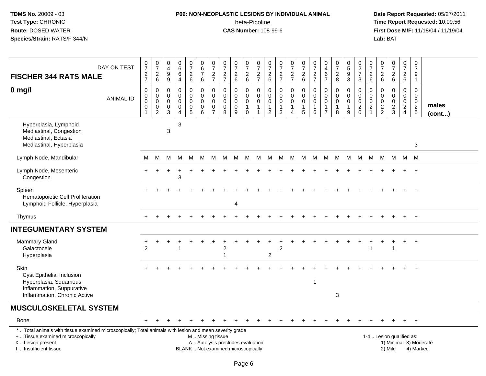## **P09: NON-NEOPLASTIC LESIONS BY INDIVIDUAL ANIMAL**beta-Picoline<br>CAS Number: 108-99-6

| DAY ON TEST<br><b>FISCHER 344 RATS MALE</b>                                                                                                                                                   | $\frac{0}{7}$<br>$\frac{2}{7}$       | $\frac{0}{7}$<br>$\frac{2}{6}$                             | 0<br>$\overline{4}$<br>$\boldsymbol{9}$<br>$\mathsf g$ | $\boldsymbol{0}$<br>$6\phantom{a}$<br>$\,6$<br>$\overline{4}$            | $\frac{0}{7}$<br>$\overline{c}$<br>6                             | $_{6}^{\rm 0}$<br>$\overline{7}$<br>6                                     | $\frac{0}{7}$<br>$\frac{2}{7}$                           | $\begin{smallmatrix}0\\7\end{smallmatrix}$<br>$\frac{2}{7}$              | $\begin{array}{c} 0 \\ 7 \end{array}$<br>$\boldsymbol{2}$<br>$6\phantom{a}$ | $\begin{array}{c} 0 \\ 7 \end{array}$<br>$\boldsymbol{2}$<br>$\,6\,$ | $\frac{0}{7}$<br>$rac{2}{7}$                                                   | $\frac{0}{7}$<br>$\frac{2}{6}$                                 | $\begin{array}{c} 0 \\ 7 \end{array}$<br>$\frac{2}{7}$       | $\frac{0}{7}$<br>$\frac{2}{7}$                                  | 0726                                                                         | $\begin{array}{c} 0 \\ 7 \end{array}$<br>$\frac{2}{7}$     | $\pmb{0}$<br>$\frac{4}{6}$<br>$\overline{7}$                    | $\begin{array}{c} 0 \\ 7 \end{array}$<br>$\boldsymbol{2}$<br>$\,8\,$ | 0<br>$\overline{5}$<br>$\boldsymbol{9}$<br>$\mathbf{3}$ | $\pmb{0}$<br>$\overline{2}$<br>$\overline{7}$<br>$\mathbf{3}$           | 0<br>$\overline{7}$<br>$\overline{c}$<br>$\,6\,$        | $\frac{0}{7}$<br>$^2$ 6                       | $\frac{0}{7}$<br>$\overline{c}$<br>$\,6\,$                     | $\begin{array}{c} 0 \\ 7 \end{array}$<br>$\frac{2}{6}$              | $\mathbf 0$<br>$\overline{3}$<br>$\boldsymbol{9}$<br>$\mathbf{1}$ |                        |
|-----------------------------------------------------------------------------------------------------------------------------------------------------------------------------------------------|--------------------------------------|------------------------------------------------------------|--------------------------------------------------------|--------------------------------------------------------------------------|------------------------------------------------------------------|---------------------------------------------------------------------------|----------------------------------------------------------|--------------------------------------------------------------------------|-----------------------------------------------------------------------------|----------------------------------------------------------------------|--------------------------------------------------------------------------------|----------------------------------------------------------------|--------------------------------------------------------------|-----------------------------------------------------------------|------------------------------------------------------------------------------|------------------------------------------------------------|-----------------------------------------------------------------|----------------------------------------------------------------------|---------------------------------------------------------|-------------------------------------------------------------------------|---------------------------------------------------------|-----------------------------------------------|----------------------------------------------------------------|---------------------------------------------------------------------|-------------------------------------------------------------------|------------------------|
| $0$ mg/l<br><b>ANIMAL ID</b>                                                                                                                                                                  | $\mathbf 0$<br>0<br>$\mathbf 0$<br>0 | $\mathbf 0$<br>$\mathbf 0$<br>$\mathbf 0$<br>$\frac{0}{2}$ | $\mathbf 0$<br>0<br>$\mathbf 0$<br>0<br>3              | $\mathbf 0$<br>$\mathbf 0$<br>$\mathbf 0$<br>$\pmb{0}$<br>$\overline{4}$ | $\mathbf 0$<br>$\mathbf 0$<br>$\mathbf 0$<br>0<br>$\overline{5}$ | 0<br>$\mathsf{O}$<br>$\mathsf 0$<br>$\begin{array}{c} 0 \\ 6 \end{array}$ | $\mathbf 0$<br>0<br>$\mathsf{O}\xspace$<br>$\frac{0}{7}$ | $\mathbf 0$<br>$\mathbf 0$<br>$\mathbf 0$<br>$\mathbf 0$<br>8            | $\mathbf 0$<br>$\mathbf 0$<br>$\mathbf 0$<br>0<br>9                         | 0<br>0<br>$\mathbf 0$<br>$\mathbf{1}$<br>$\mathbf 0$                 | $\mathbf 0$<br>$\mathbf 0$<br>$\overline{0}$<br>$\mathbf{1}$<br>$\overline{1}$ | $\mathbf 0$<br>$\mathbf 0$<br>$\mathbf 0$<br>$\mathbf{1}$<br>2 | $\mathbf 0$<br>$\mathbf 0$<br>$\pmb{0}$<br>$\mathbf{1}$<br>3 | 0<br>$\mathbf 0$<br>$\pmb{0}$<br>$\mathbf{1}$<br>$\overline{A}$ | $\mathbf 0$<br>$\mathbf 0$<br>$\mathbf 0$<br>$\mathbf{1}$<br>$5\phantom{.0}$ | $\mathbf 0$<br>$\pmb{0}$<br>$\pmb{0}$<br>$\mathbf{1}$<br>6 | $\mathbf 0$<br>0<br>$\pmb{0}$<br>$\mathbf{1}$<br>$\overline{7}$ | $\mathbf{0}$<br>$\mathbf 0$<br>$\mathbf 0$<br>$\mathbf{1}$<br>8      | $\mathbf 0$<br>0<br>$\pmb{0}$<br>$\mathbf{1}$<br>$9\,$  | $\Omega$<br>$\mathbf 0$<br>$\mathbf 0$<br>$\overline{c}$<br>$\mathbf 0$ | 0<br>0<br>$\mathbf 0$<br>$\overline{c}$<br>$\mathbf{1}$ | 0<br>$\Omega$<br>$\mathsf 0$<br>$\frac{2}{2}$ | $\mathbf 0$<br>$\mathbf 0$<br>$\pmb{0}$<br>$\overline{c}$<br>3 | $\mathbf 0$<br>0<br>$\mathbf 0$<br>$\overline{c}$<br>$\overline{4}$ | $\mathbf 0$<br>$\mathbf 0$<br>$\mathbf 0$<br>$\frac{2}{5}$        | males<br>(cont)        |
| Hyperplasia, Lymphoid<br>Mediastinal, Congestion<br>Mediastinal, Ectasia<br>Mediastinal, Hyperplasia                                                                                          |                                      |                                                            | 3                                                      | 3                                                                        |                                                                  |                                                                           |                                                          |                                                                          |                                                                             |                                                                      |                                                                                |                                                                |                                                              |                                                                 |                                                                              |                                                            |                                                                 |                                                                      |                                                         |                                                                         |                                                         |                                               |                                                                |                                                                     | 3                                                                 |                        |
| Lymph Node, Mandibular                                                                                                                                                                        | м                                    | M                                                          | М                                                      | M                                                                        | M                                                                | M                                                                         | M                                                        | м                                                                        | M                                                                           | M                                                                    | M                                                                              | M                                                              | M                                                            | M                                                               | M                                                                            | M                                                          | M                                                               | M                                                                    | M                                                       | M                                                                       | M                                                       |                                               | M M                                                            | M M                                                                 |                                                                   |                        |
| Lymph Node, Mesenteric<br>Congestion                                                                                                                                                          |                                      |                                                            |                                                        | 3                                                                        |                                                                  |                                                                           |                                                          |                                                                          |                                                                             |                                                                      |                                                                                |                                                                |                                                              |                                                                 |                                                                              |                                                            |                                                                 |                                                                      |                                                         |                                                                         |                                                         |                                               |                                                                |                                                                     | $+$                                                               |                        |
| Spleen<br>Hematopoietic Cell Proliferation<br>Lymphoid Follicle, Hyperplasia                                                                                                                  |                                      |                                                            |                                                        |                                                                          |                                                                  |                                                                           |                                                          |                                                                          | 4                                                                           |                                                                      |                                                                                |                                                                |                                                              |                                                                 |                                                                              |                                                            |                                                                 |                                                                      |                                                         |                                                                         |                                                         |                                               |                                                                | $\ddot{}$                                                           | $+$                                                               |                        |
| Thymus                                                                                                                                                                                        | $+$                                  |                                                            |                                                        |                                                                          |                                                                  |                                                                           |                                                          |                                                                          |                                                                             |                                                                      |                                                                                |                                                                |                                                              |                                                                 |                                                                              |                                                            |                                                                 |                                                                      |                                                         |                                                                         |                                                         |                                               |                                                                | $\pm$                                                               | $+$                                                               |                        |
| <b>INTEGUMENTARY SYSTEM</b>                                                                                                                                                                   |                                      |                                                            |                                                        |                                                                          |                                                                  |                                                                           |                                                          |                                                                          |                                                                             |                                                                      |                                                                                |                                                                |                                                              |                                                                 |                                                                              |                                                            |                                                                 |                                                                      |                                                         |                                                                         |                                                         |                                               |                                                                |                                                                     |                                                                   |                        |
| <b>Mammary Gland</b><br>Galactocele<br>Hyperplasia                                                                                                                                            | $\overline{2}$                       |                                                            |                                                        |                                                                          |                                                                  |                                                                           |                                                          | $\overline{c}$<br>1                                                      |                                                                             |                                                                      |                                                                                | $\overline{c}$                                                 | $\overline{2}$                                               |                                                                 |                                                                              |                                                            |                                                                 |                                                                      |                                                         |                                                                         |                                                         |                                               | $\overline{1}$                                                 | $\pm$                                                               | $+$                                                               |                        |
| <b>Skin</b><br><b>Cyst Epithelial Inclusion</b><br>Hyperplasia, Squamous<br>Inflammation, Suppurative<br>Inflammation, Chronic Active                                                         |                                      |                                                            |                                                        |                                                                          |                                                                  |                                                                           |                                                          |                                                                          |                                                                             |                                                                      |                                                                                |                                                                |                                                              |                                                                 |                                                                              | $\overline{1}$                                             |                                                                 | $\mathbf{3}$                                                         |                                                         |                                                                         |                                                         |                                               |                                                                |                                                                     | $\overline{+}$                                                    |                        |
| <b>MUSCULOSKELETAL SYSTEM</b>                                                                                                                                                                 |                                      |                                                            |                                                        |                                                                          |                                                                  |                                                                           |                                                          |                                                                          |                                                                             |                                                                      |                                                                                |                                                                |                                                              |                                                                 |                                                                              |                                                            |                                                                 |                                                                      |                                                         |                                                                         |                                                         |                                               |                                                                |                                                                     |                                                                   |                        |
| <b>Bone</b>                                                                                                                                                                                   |                                      |                                                            |                                                        |                                                                          |                                                                  |                                                                           |                                                          |                                                                          |                                                                             |                                                                      |                                                                                |                                                                |                                                              |                                                                 |                                                                              |                                                            |                                                                 |                                                                      |                                                         |                                                                         |                                                         |                                               |                                                                | $+$                                                                 | $+$                                                               |                        |
| *  Total animals with tissue examined microscopically; Total animals with lesion and mean severity grade<br>+  Tissue examined microscopically<br>X  Lesion present<br>I. Insufficient tissue |                                      |                                                            |                                                        |                                                                          |                                                                  | M  Missing tissue                                                         |                                                          | A  Autolysis precludes evaluation<br>BLANK  Not examined microscopically |                                                                             |                                                                      |                                                                                |                                                                |                                                              |                                                                 |                                                                              |                                                            |                                                                 |                                                                      |                                                         |                                                                         |                                                         |                                               | 1-4  Lesion qualified as:<br>2) Mild                           |                                                                     | 4) Marked                                                         | 1) Minimal 3) Moderate |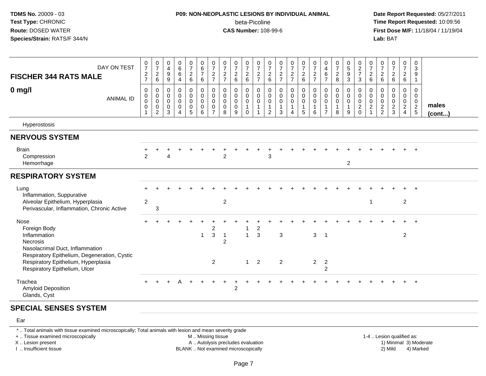### **P09: NON-NEOPLASTIC LESIONS BY INDIVIDUAL ANIMAL** beta-Picoline**beta-Picoline**<br> **CAS Number:** 108-99-6<br> **CAS Number:** 108-99-6<br> **CAS Number:** 108-99-6

 **Date Report Requested:** 05/27/2011 **First Dose M/F:** 11/18/04 / 11/19/04 Lab: BAT **Lab:** BAT

| 0<br>DAY ON TEST<br>$\overline{7}$           | 0<br>$\overline{7}$                                    | $\mathbf 0$                                         | 0                                                                        |                                         | 0                                                                | $\boldsymbol{0}$                                             | 0                                                  | $\pmb{0}$                                                     |                                                     |                                                 |                                                       |                                                                  |                                                                           |                                            |                                                      |                                                         |                                                          |                                                             |                                                                             |                                                                            |                                                                  |                                                     |                                                                        |                                                                      |                       |
|----------------------------------------------|--------------------------------------------------------|-----------------------------------------------------|--------------------------------------------------------------------------|-----------------------------------------|------------------------------------------------------------------|--------------------------------------------------------------|----------------------------------------------------|---------------------------------------------------------------|-----------------------------------------------------|-------------------------------------------------|-------------------------------------------------------|------------------------------------------------------------------|---------------------------------------------------------------------------|--------------------------------------------|------------------------------------------------------|---------------------------------------------------------|----------------------------------------------------------|-------------------------------------------------------------|-----------------------------------------------------------------------------|----------------------------------------------------------------------------|------------------------------------------------------------------|-----------------------------------------------------|------------------------------------------------------------------------|----------------------------------------------------------------------|-----------------------|
| $\frac{2}{7}$                                | $\sqrt{2}$<br>$\,6\,$                                  | $\overline{4}$<br>9<br>9                            | 6<br>6<br>$\overline{4}$                                                 | $\frac{0}{7}$<br>$\overline{c}$<br>6    | $6 \over 7$<br>$\,6\,$                                           | $\overline{7}$<br>$\frac{2}{7}$                              | $\overline{7}$<br>$\overline{c}$<br>$\overline{7}$ | $\overline{7}$<br>$\boldsymbol{2}$<br>6                       | 0<br>$\overline{7}$<br>$\overline{\mathbf{c}}$<br>6 | 0<br>$\overline{7}$<br>$\frac{2}{7}$            | 0<br>$\overline{7}$<br>$\overline{c}$<br>$\,6\,$      | 0<br>$\overline{7}$<br>$\overline{\mathbf{c}}$<br>$\overline{7}$ | $\frac{0}{7}$<br>$\frac{2}{7}$                                            | $\frac{0}{7}$<br>$\frac{2}{6}$             | 0<br>$\boldsymbol{7}$<br>$\frac{2}{7}$               | 0<br>$\overline{\mathbf{4}}$<br>$\,6$<br>$\overline{7}$ | 0<br>$\overline{7}$<br>$\boldsymbol{2}$<br>8             | 0<br>$\sqrt{5}$<br>$\overline{9}$<br>$\mathbf{3}$           | 0<br>$\frac{2}{7}$<br>3                                                     | 0<br>$\overline{7}$<br>$\boldsymbol{2}$<br>6                               | 0<br>$\overline{7}$<br>$\overline{c}$<br>6                       | 0<br>$\overline{7}$<br>$\overline{c}$<br>6          | $\frac{0}{7}$<br>$\overline{a}$<br>6                                   | 0<br>$\mathbf{3}$<br>9<br>$\mathbf{1}$                               |                       |
| 0<br>0<br>$\pmb{0}$<br>$\mathbf 0$           | 0<br>$\boldsymbol{0}$<br>$\mathbf 0$<br>$\pmb{0}$<br>2 | 0<br>$\mathbf 0$<br>$\mathbf 0$<br>$\mathbf 0$<br>3 | $\mathbf 0$<br>$\mathbf 0$<br>$\mathbf 0$<br>$\pmb{0}$<br>$\overline{A}$ | 0<br>0<br>$\mathbf 0$<br>$\pmb{0}$<br>5 | 0<br>$\mathbf 0$<br>$\mathbf 0$<br>$\mathbf 0$<br>$6\phantom{1}$ | 0<br>$\mathbf 0$<br>$\pmb{0}$<br>$\pmb{0}$<br>$\overline{7}$ | $\Omega$<br>0<br>$\mathbf 0$<br>0<br>8             | $\mathbf 0$<br>$\mathbf 0$<br>$\mathbf 0$<br>$\mathbf 0$<br>9 | 0<br>$\mathbf 0$<br>$\mathbf 0$<br>1<br>$\Omega$    | 0<br>$\mathbf 0$<br>$\mathbf 0$<br>$\mathbf{1}$ | 0<br>0<br>$\pmb{0}$<br>$\mathbf{1}$<br>$\overline{2}$ | 0<br>0<br>0<br>$\mathbf{1}$<br>3                                 | 0<br>$\pmb{0}$<br>$\mathbf 0$<br>$\mathbf{1}$<br>$\boldsymbol{\varDelta}$ | 0<br>0<br>$\mathbf 0$<br>$\mathbf{1}$<br>5 | $\mathbf 0$<br>0<br>$\mathbf 0$<br>$\mathbf{1}$<br>6 | 0<br>0<br>0<br>$\mathbf{1}$<br>$\overline{7}$           | $\Omega$<br>$\Omega$<br>$\mathbf 0$<br>$\mathbf{1}$<br>8 | $\Omega$<br>$\mathbf 0$<br>$\mathbf 0$<br>$\mathbf{1}$<br>9 | $\mathbf{0}$<br>$\mathbf 0$<br>$\mathbf 0$<br>$\overline{c}$<br>$\mathbf 0$ | $\Omega$<br>$\mathbf 0$<br>$\mathbf 0$<br>$\overline{c}$<br>$\overline{1}$ | $\Omega$<br>0<br>$\mathbf 0$<br>$\overline{2}$<br>$\overline{2}$ | $\Omega$<br>0<br>$\mathbf 0$<br>$\overline{a}$<br>3 | $\overline{0}$<br>0<br>$\mathbf 0$<br>$\overline{a}$<br>$\overline{4}$ | 0<br>$\mathbf 0$<br>$\mathbf 0$<br>$\overline{2}$<br>$5\phantom{.0}$ | males<br>$($ cont $)$ |
|                                              |                                                        |                                                     |                                                                          |                                         |                                                                  |                                                              |                                                    |                                                               |                                                     |                                                 |                                                       |                                                                  |                                                                           |                                            |                                                      |                                                         |                                                          |                                                             |                                                                             |                                                                            |                                                                  |                                                     |                                                                        |                                                                      |                       |
|                                              |                                                        |                                                     |                                                                          |                                         |                                                                  |                                                              |                                                    |                                                               |                                                     |                                                 |                                                       |                                                                  |                                                                           |                                            |                                                      |                                                         |                                                          |                                                             |                                                                             |                                                                            |                                                                  |                                                     |                                                                        |                                                                      |                       |
| $\overline{2}$                               |                                                        | 4                                                   |                                                                          |                                         |                                                                  |                                                              | 2                                                  |                                                               |                                                     |                                                 | 3                                                     |                                                                  |                                                                           |                                            |                                                      |                                                         |                                                          | $\overline{2}$                                              |                                                                             |                                                                            |                                                                  |                                                     |                                                                        | $+$                                                                  |                       |
|                                              |                                                        |                                                     |                                                                          |                                         |                                                                  |                                                              |                                                    |                                                               |                                                     |                                                 |                                                       |                                                                  |                                                                           |                                            |                                                      |                                                         |                                                          |                                                             |                                                                             |                                                                            |                                                                  |                                                     |                                                                        |                                                                      |                       |
| $\overline{2}$                               | 3                                                      |                                                     |                                                                          |                                         |                                                                  |                                                              | 2                                                  |                                                               |                                                     |                                                 |                                                       |                                                                  |                                                                           |                                            |                                                      |                                                         |                                                          |                                                             |                                                                             | $\overline{1}$                                                             |                                                                  |                                                     | $\overline{2}$                                                         |                                                                      |                       |
|                                              |                                                        |                                                     |                                                                          |                                         | $\mathbf{1}$                                                     | 2<br>3<br>$\overline{2}$                                     | $\overline{1}$<br>$\overline{c}$                   |                                                               | $\mathbf{1}$<br>1                                   | $\overline{\mathbf{c}}$<br>3<br>$\overline{2}$  |                                                       | $\mathbf{3}$<br>$\overline{2}$                                   |                                                                           |                                            | 3<br>$\overline{2}$                                  | $\overline{1}$                                          |                                                          |                                                             |                                                                             |                                                                            |                                                                  |                                                     | $\overline{c}$                                                         | $\ddot{}$                                                            |                       |
|                                              |                                                        |                                                     |                                                                          |                                         |                                                                  |                                                              |                                                    |                                                               |                                                     |                                                 |                                                       |                                                                  |                                                                           |                                            |                                                      | $\overline{2}$                                          |                                                          |                                                             |                                                                             |                                                                            |                                                                  |                                                     |                                                                        |                                                                      |                       |
|                                              |                                                        |                                                     |                                                                          |                                         |                                                                  |                                                              |                                                    | $\overline{2}$                                                |                                                     |                                                 |                                                       |                                                                  |                                                                           |                                            |                                                      |                                                         |                                                          |                                                             |                                                                             |                                                                            |                                                                  |                                                     | $\ddot{}$                                                              | $+$                                                                  |                       |
| Respiratory Epithelium, Degeneration, Cystic | <b>ANIMAL ID</b>                                       |                                                     |                                                                          |                                         |                                                                  |                                                              |                                                    |                                                               |                                                     |                                                 |                                                       |                                                                  |                                                                           |                                            |                                                      |                                                         | $\overline{2}$                                           |                                                             |                                                                             |                                                                            |                                                                  |                                                     |                                                                        |                                                                      |                       |

#### Ear

\* .. Total animals with tissue examined microscopically; Total animals with lesion and mean severity grade

+ .. Tissue examined microscopically

X .. Lesion present

I .. Insufficient tissue

 M .. Missing tissueA .. Autolysis precludes evaluation

1-4 .. Lesion qualified as:<br>1) Minimal 3) Moderate BLANK .. Not examined microscopically 2) Mild 4) Marked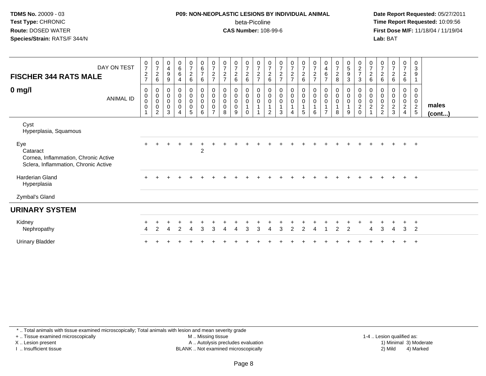### **P09: NON-NEOPLASTIC LESIONS BY INDIVIDUAL ANIMAL** beta-Picoline**beta-Picoline**<br> **CAS Number:** 108-99-6<br> **CAS Number:** 108-99-6<br> **CAS Number:** 108-99-6

 **Date Report Requested:** 05/27/2011 **First Dose M/F:** 11/18/04 / 11/19/04 Lab: BAT **Lab:** BAT

| DAY ON TEST<br><b>FISCHER 344 RATS MALE</b>                                                     |                  | $\frac{0}{7}$<br>$\frac{2}{7}$             | $\frac{0}{7}$<br>$\boldsymbol{2}$<br>$\,6$                                 | $\mathbf 0$<br>$\overline{4}$<br>9<br>9                  | $\begin{array}{c} 0 \\ 6 \\ 6 \end{array}$<br>4 | $\frac{0}{7}$<br>$\begin{array}{c} 2 \\ 6 \end{array}$               | $_{6}^{\rm 0}$<br>$\overline{7}$<br>$\,6$             | $\frac{0}{7}$<br>$\overline{c}$<br>$\overline{7}$            | $\begin{array}{c} 0 \\ 7 \end{array}$<br>$\frac{2}{7}$ | $\frac{0}{7}$<br>$\overline{c}$<br>$\,6\,$ | $\frac{0}{7}$<br>$^2$ 6            | $\frac{0}{7}$<br>$\frac{2}{7}$                   | $\frac{0}{7}$<br>$^2\phantom{1}6$  | $\frac{0}{7}$<br>$\frac{2}{7}$                           | $\frac{0}{7}$<br>$\frac{2}{7}$               | $\begin{array}{c} 0 \\ 7 \end{array}$<br>$\frac{2}{6}$         | $\frac{0}{7}$<br>$\frac{2}{7}$                         | 0<br>$\overline{4}$<br>6<br>$\overline{7}$    | $\frac{0}{7}$<br>$\frac{2}{8}$           | $\begin{array}{c} 0 \\ 5 \\ 9 \end{array}$<br>3 | $\begin{array}{c} 0 \\ 2 \\ 7 \end{array}$<br>$\mathbf{3}$    | $\frac{0}{7}$<br>$\overline{c}$<br>6              | $\frac{0}{7}$<br>$\frac{2}{6}$                          | $\frac{0}{7}$<br>$\frac{2}{6}$               | 0<br>$\boldsymbol{7}$<br>$\frac{2}{6}$ | $\pmb{0}$<br>$\sqrt{3}$<br>9<br>$\overline{1}$ |                 |
|-------------------------------------------------------------------------------------------------|------------------|--------------------------------------------|----------------------------------------------------------------------------|----------------------------------------------------------|-------------------------------------------------|----------------------------------------------------------------------|-------------------------------------------------------|--------------------------------------------------------------|--------------------------------------------------------|--------------------------------------------|------------------------------------|--------------------------------------------------|------------------------------------|----------------------------------------------------------|----------------------------------------------|----------------------------------------------------------------|--------------------------------------------------------|-----------------------------------------------|------------------------------------------|-------------------------------------------------|---------------------------------------------------------------|---------------------------------------------------|---------------------------------------------------------|----------------------------------------------|----------------------------------------|------------------------------------------------|-----------------|
| $0 \text{ mg/l}$                                                                                | <b>ANIMAL ID</b> | 0<br>$\pmb{0}$<br>$\pmb{0}$<br>$\mathbf 0$ | $\,0\,$<br>$\begin{smallmatrix}0\\0\\0\end{smallmatrix}$<br>$\overline{c}$ | 0<br>$\pmb{0}$<br>$\pmb{0}$<br>$\pmb{0}$<br>$\mathbf{3}$ | $_{\rm 0}^{\rm 0}$<br>$\overline{0}$<br>4       | 0<br>$\mathsf{O}\xspace$<br>$\pmb{0}$<br>$\pmb{0}$<br>$\overline{5}$ | $\pmb{0}$<br>$\pmb{0}$<br>$\pmb{0}$<br>$\pmb{0}$<br>6 | 0<br>$\mathbf 0$<br>$\pmb{0}$<br>$\pmb{0}$<br>$\overline{ }$ | 0<br>$\pmb{0}$<br>$\pmb{0}$<br>$\mathbf 0$<br>8        | 0<br>$\pmb{0}$<br>$\pmb{0}$<br>0<br>9      | 0<br>$\mathbf 0$<br>$\pmb{0}$<br>0 | $\begin{smallmatrix}0\\0\\0\\0\end{smallmatrix}$ | 0<br>$\mathbf 0$<br>$\pmb{0}$<br>2 | $\pmb{0}$<br>$\pmb{0}$<br>$\pmb{0}$<br>$\mathbf{1}$<br>3 | $\mathbf 0$<br>$\mathsf{O}\xspace$<br>0<br>4 | 0<br>$\mathbf 0$<br>$\mathsf{O}\xspace$<br>$\overline{1}$<br>5 | $_{\rm 0}^{\rm 0}$<br>$\mathbf 0$<br>$\mathbf{1}$<br>6 | 0<br>$\pmb{0}$<br>$\pmb{0}$<br>$\overline{ }$ | $\pmb{0}$<br>$\pmb{0}$<br>$\pmb{0}$<br>8 | 0<br>$\pmb{0}$<br>0<br>9                        | $\begin{smallmatrix} 0\\0 \end{smallmatrix}$<br>$\frac{0}{2}$ | 0<br>$\mathbf 0$<br>$\mathbf 0$<br>$\overline{c}$ | $\pmb{0}$<br>$\begin{array}{c} 0 \\ 2 \\ 2 \end{array}$ | 0<br>$\pmb{0}$<br>$\pmb{0}$<br>$\frac{2}{3}$ | 0<br>0<br>$\frac{0}{2}$                | 0<br>$\mathbf 0$<br>$\frac{0}{2}$              | males<br>(cont) |
| Cyst<br>Hyperplasia, Squamous                                                                   |                  |                                            |                                                                            |                                                          |                                                 |                                                                      |                                                       |                                                              |                                                        |                                            |                                    |                                                  |                                    |                                                          |                                              |                                                                |                                                        |                                               |                                          |                                                 |                                                               |                                                   |                                                         |                                              |                                        |                                                |                 |
| Eye<br>Cataract<br>Cornea, Inflammation, Chronic Active<br>Sclera, Inflammation, Chronic Active |                  | $+$                                        |                                                                            |                                                          |                                                 |                                                                      | $\overline{2}$                                        |                                                              |                                                        |                                            |                                    |                                                  |                                    |                                                          |                                              |                                                                |                                                        |                                               |                                          |                                                 |                                                               |                                                   |                                                         |                                              | $+$                                    | $+$                                            |                 |
| Harderian Gland<br>Hyperplasia                                                                  |                  |                                            |                                                                            |                                                          |                                                 |                                                                      |                                                       |                                                              |                                                        |                                            |                                    |                                                  |                                    |                                                          |                                              |                                                                |                                                        |                                               |                                          |                                                 |                                                               |                                                   |                                                         |                                              | $^+$                                   | $+$                                            |                 |
| Zymbal's Gland                                                                                  |                  |                                            |                                                                            |                                                          |                                                 |                                                                      |                                                       |                                                              |                                                        |                                            |                                    |                                                  |                                    |                                                          |                                              |                                                                |                                                        |                                               |                                          |                                                 |                                                               |                                                   |                                                         |                                              |                                        |                                                |                 |
| <b>URINARY SYSTEM</b>                                                                           |                  |                                            |                                                                            |                                                          |                                                 |                                                                      |                                                       |                                                              |                                                        |                                            |                                    |                                                  |                                    |                                                          |                                              |                                                                |                                                        |                                               |                                          |                                                 |                                                               |                                                   |                                                         |                                              |                                        |                                                |                 |
| Kidney<br>Nephropathy                                                                           |                  | 4                                          | $\overline{2}$                                                             |                                                          | 2                                               | 4                                                                    | 3                                                     | 3                                                            |                                                        |                                            | 3                                  | 3                                                |                                    |                                                          | 2                                            |                                                                |                                                        |                                               | 2                                        | 2                                               |                                                               | 4                                                 | 3                                                       | 4                                            | 3                                      | $\overline{2}$                                 |                 |
| Urinary Bladder                                                                                 |                  |                                            |                                                                            |                                                          |                                                 |                                                                      |                                                       |                                                              |                                                        |                                            |                                    |                                                  |                                    |                                                          |                                              |                                                                |                                                        |                                               |                                          |                                                 |                                                               |                                                   |                                                         |                                              | $\ddot{}$                              | $^{+}$                                         |                 |

\* .. Total animals with tissue examined microscopically; Total animals with lesion and mean severity grade

+ .. Tissue examined microscopically

X .. Lesion present

I .. Insufficient tissue

M .. Missing tissue

Lesion present A .. Autolysis precludes evaluation 1) Minimal 3) Moderate

1-4 .. Lesion qualified as:<br>1) Minimal 3) Moderate BLANK .. Not examined microscopically 2) Mild 4) Marked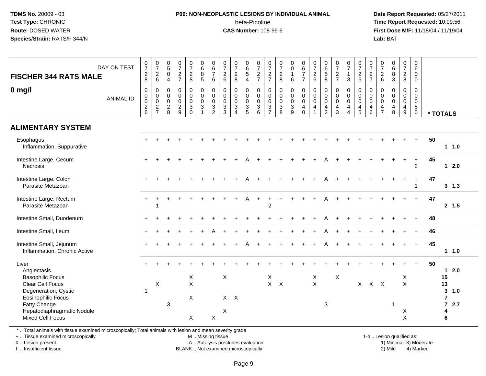### **P09: NON-NEOPLASTIC LESIONS BY INDIVIDUAL ANIMAL** beta-Picoline**beta-Picoline**<br> **CAS Number:** 108-99-6<br> **CAS Number:** 108-99-6<br> **CAS Number:** 108-99-6

 **Date Report Requested:** 05/27/2011 **First Dose M/F:** 11/18/04 / 11/19/04 Lab: BAT **Lab:** BAT

| DAY ON TEST<br><b>FISCHER 344 RATS MALE</b>                                                                                                                     | $\frac{0}{7}$<br>$_{8}^2$ | $\frac{0}{7}$<br>$\overline{c}$<br>$6\phantom{a}$                   | $\begin{array}{c} 0 \\ 5 \end{array}$<br>0<br>$\overline{4}$ | $\frac{0}{7}$<br>$\frac{2}{7}$                            | $\begin{smallmatrix}0\\7\end{smallmatrix}$<br>$\frac{2}{8}$   | 0<br>$\,6\,$<br>$\bf 8$<br>$\overline{5}$                       | $\begin{array}{c} 0 \\ 6 \\ 7 \end{array}$<br>$\,6\,$                                  | $\frac{0}{7}$<br>$^2\phantom{1}6$                              | $\frac{0}{7}$<br>$\overline{c}$<br>8                                                            | $\begin{array}{c} 0 \\ 6 \\ 5 \end{array}$<br>$\overline{4}$                              | $\frac{0}{7}$<br>$\frac{2}{7}$                               | $\frac{0}{7}$<br>$\frac{2}{7}$                                          | $\begin{smallmatrix}0\\7\end{smallmatrix}$<br>$_{\rm 8}^2$                   | $_0^0$<br>$\mathbf{1}$<br>6                                           | $\begin{array}{c} 0 \\ 6 \\ 7 \end{array}$<br>$\overline{7}$                   | 0726                                                                                  | $\begin{matrix} 0 \\ 6 \\ 5 \end{matrix}$<br>$\overline{8}$                        | $\frac{0}{7}$<br>$\frac{2}{7}$                                               | $\frac{0}{7}$<br>3                                     | 0726                                                                                          | $\frac{0}{7}$<br>$\frac{2}{7}$                          | $\frac{0}{7}$<br>$^2\phantom{1}6$                         | $\begin{matrix}0\\6\\8\end{matrix}$<br>$\overline{3}$             | $\frac{0}{7}$<br>$\overline{2}$<br>8                   | $\mathbf 0$<br>6<br>$\mathbf{0}$<br>$\mathbf 0$                           |          |                                                                             |            |
|-----------------------------------------------------------------------------------------------------------------------------------------------------------------|---------------------------|---------------------------------------------------------------------|--------------------------------------------------------------|-----------------------------------------------------------|---------------------------------------------------------------|-----------------------------------------------------------------|----------------------------------------------------------------------------------------|----------------------------------------------------------------|-------------------------------------------------------------------------------------------------|-------------------------------------------------------------------------------------------|--------------------------------------------------------------|-------------------------------------------------------------------------|------------------------------------------------------------------------------|-----------------------------------------------------------------------|--------------------------------------------------------------------------------|---------------------------------------------------------------------------------------|------------------------------------------------------------------------------------|------------------------------------------------------------------------------|--------------------------------------------------------|-----------------------------------------------------------------------------------------------|---------------------------------------------------------|-----------------------------------------------------------|-------------------------------------------------------------------|--------------------------------------------------------|---------------------------------------------------------------------------|----------|-----------------------------------------------------------------------------|------------|
| $0 \text{ mg/l}$<br><b>ANIMAL ID</b>                                                                                                                            | $\mathbf 0$<br>00026      | $\pmb{0}$<br>$\mathsf{O}\xspace$<br>$\overline{0}$<br>$\frac{2}{7}$ | 0<br>0<br>$\mathbf 0$<br>$_{\rm 8}^2$                        | $\pmb{0}$<br>$\overline{0}$ <sub>0</sub><br>$\frac{2}{9}$ | 0<br>$\mathbf 0$<br>$\mathbf 0$<br>$\mathsf 3$<br>$\mathbf 0$ | $\pmb{0}$<br>$\overline{0}$<br>$\mathbf 0$<br>$\mathbf{3}$<br>1 | $\pmb{0}$<br>$\ddot{\mathbf{0}}$<br>$\overline{0}$<br>$\overline{3}$<br>$\overline{2}$ | $\mathbf 0$<br>$\mathbf 0$<br>$\mathbf 0$<br>$\mathbf{3}$<br>3 | $\pmb{0}$<br>$\mathsf{O}\xspace$<br>$\mathsf{O}\xspace$<br>$\sqrt{3}$<br>$\boldsymbol{\Lambda}$ | $\mathbf 0$<br>$\mathsf{O}\xspace$<br>$\mathsf{O}\xspace$<br>$\sqrt{3}$<br>$\overline{5}$ | 0<br>$\mathbf 0$<br>$\mathbf 0$<br>$\overline{3}$<br>$\,6\,$ | $\pmb{0}$<br>$\mathbf 0$<br>$\mathbf 0$<br>$\sqrt{3}$<br>$\overline{7}$ | $\pmb{0}$<br>$\ddot{\mathbf{0}}$<br>$\ddot{\mathbf{0}}$<br>$\mathbf{3}$<br>8 | $\mathbf 0$<br>$\overline{0}$<br>$\ddot{\mathbf{0}}$<br>$\frac{3}{9}$ | $\begin{smallmatrix}0\0\0\0\end{smallmatrix}$<br>$\overline{4}$<br>$\mathsf 0$ | $\begin{smallmatrix} 0\\0 \end{smallmatrix}$<br>$\overline{0}$<br>$\overline{4}$<br>1 | $\boldsymbol{0}$<br>$\mathsf 0$<br>$\mathbf 0$<br>$\overline{4}$<br>$\overline{2}$ | $\pmb{0}$<br>$\ddot{\mathbf{0}}$<br>$\ddot{\mathbf{0}}$<br>4<br>$\mathbf{3}$ | 0<br>$\mathbf 0$<br>$\mathbf 0$<br>$\overline{4}$<br>4 | $\begin{smallmatrix}0\\0\\0\\0\end{smallmatrix}$<br>$\overline{\mathbf{4}}$<br>$\overline{5}$ | $\pmb{0}$<br>$\overline{0}$<br>$\overline{0}$<br>4<br>6 | 0<br>0<br>$\mathbf 0$<br>$\overline{4}$<br>$\overline{7}$ | $\mathbf 0$<br>$\overline{0}$ <sub>0</sub><br>$\overline{4}$<br>8 | 0<br>$\mathbf 0$<br>$\mathbf 0$<br>$\overline{4}$<br>9 | $\pmb{0}$<br>$\mathbf 0$<br>$\mathbf 0$<br>$5\phantom{.0}$<br>$\mathbf 0$ | * TOTALS |                                                                             |            |
| <b>ALIMENTARY SYSTEM</b>                                                                                                                                        |                           |                                                                     |                                                              |                                                           |                                                               |                                                                 |                                                                                        |                                                                |                                                                                                 |                                                                                           |                                                              |                                                                         |                                                                              |                                                                       |                                                                                |                                                                                       |                                                                                    |                                                                              |                                                        |                                                                                               |                                                         |                                                           |                                                                   |                                                        |                                                                           |          |                                                                             |            |
| Esophagus<br>Inflammation, Suppurative                                                                                                                          |                           |                                                                     |                                                              |                                                           |                                                               |                                                                 |                                                                                        |                                                                |                                                                                                 |                                                                                           |                                                              |                                                                         |                                                                              |                                                                       |                                                                                |                                                                                       |                                                                                    |                                                                              |                                                        |                                                                                               |                                                         |                                                           |                                                                   |                                                        | $+$                                                                       | 50       | 1 1.0                                                                       |            |
| Intestine Large, Cecum<br><b>Necrosis</b>                                                                                                                       |                           |                                                                     |                                                              |                                                           |                                                               |                                                                 |                                                                                        |                                                                |                                                                                                 |                                                                                           |                                                              |                                                                         |                                                                              |                                                                       |                                                                                |                                                                                       |                                                                                    |                                                                              |                                                        |                                                                                               |                                                         |                                                           |                                                                   | $\ddot{}$                                              | $+$<br>$\overline{c}$                                                     | 45       | $12.0$                                                                      |            |
| Intestine Large, Colon<br>Parasite Metazoan                                                                                                                     |                           |                                                                     |                                                              |                                                           |                                                               |                                                                 |                                                                                        |                                                                |                                                                                                 |                                                                                           |                                                              |                                                                         |                                                                              |                                                                       |                                                                                |                                                                                       |                                                                                    |                                                                              |                                                        |                                                                                               |                                                         |                                                           |                                                                   | +                                                      | $\ddot{}$<br>1                                                            | 47       | 3, 1.3                                                                      |            |
| Intestine Large, Rectum<br>Parasite Metazoan                                                                                                                    | $+$                       |                                                                     |                                                              |                                                           |                                                               |                                                                 |                                                                                        |                                                                |                                                                                                 | A                                                                                         | $+$                                                          | $\ddot{}$<br>$\overline{2}$                                             |                                                                              |                                                                       |                                                                                |                                                                                       |                                                                                    |                                                                              |                                                        |                                                                                               |                                                         |                                                           |                                                                   |                                                        | $+$                                                                       | 47       | 2, 1.5                                                                      |            |
| Intestine Small, Duodenum                                                                                                                                       |                           |                                                                     |                                                              |                                                           |                                                               |                                                                 |                                                                                        |                                                                |                                                                                                 |                                                                                           |                                                              |                                                                         |                                                                              |                                                                       |                                                                                |                                                                                       |                                                                                    |                                                                              |                                                        |                                                                                               |                                                         |                                                           |                                                                   |                                                        | $+$                                                                       | 48       |                                                                             |            |
| Intestine Small, Ileum                                                                                                                                          |                           |                                                                     |                                                              |                                                           |                                                               |                                                                 |                                                                                        |                                                                |                                                                                                 |                                                                                           |                                                              |                                                                         |                                                                              |                                                                       |                                                                                |                                                                                       |                                                                                    |                                                                              |                                                        |                                                                                               |                                                         |                                                           |                                                                   |                                                        | $+$                                                                       | 46       |                                                                             |            |
| Intestine Small, Jejunum<br>Inflammation, Chronic Active                                                                                                        |                           |                                                                     |                                                              |                                                           |                                                               |                                                                 |                                                                                        |                                                                |                                                                                                 |                                                                                           |                                                              |                                                                         |                                                                              |                                                                       |                                                                                |                                                                                       |                                                                                    |                                                                              |                                                        |                                                                                               |                                                         |                                                           |                                                                   |                                                        | $+$                                                                       | 45       | 1 1.0                                                                       |            |
| Liver<br>Angiectasis<br><b>Basophilic Focus</b><br>Clear Cell Focus<br>Degeneration, Cystic<br>Eosinophilic Focus<br>Fatty Change<br>Hepatodiaphragmatic Nodule | $\overline{1}$            | X                                                                   | 3                                                            |                                                           | X<br>$\pmb{\times}$<br>X                                      |                                                                 |                                                                                        | $\boldsymbol{\mathsf{X}}$<br>$\boldsymbol{\mathsf{X}}$         | $X$ $X$                                                                                         |                                                                                           |                                                              | $\mathsf X$<br>$\mathsf{X}$                                             | $\boldsymbol{\mathsf{X}}$                                                    |                                                                       |                                                                                | $\boldsymbol{\mathsf{X}}$<br>$\mathsf{X}$                                             | 3                                                                                  | $\pmb{\times}$                                                               |                                                        | X                                                                                             | $X$ $X$                                                 |                                                           | $\overline{1}$                                                    | X<br>$\sf X$<br>X                                      | $+$                                                                       | 50       | $12.0$<br>15<br>13<br>$\mathbf{3}$<br>$\overline{7}$<br>$\overline{7}$<br>4 | 1.0<br>2.7 |
| Mixed Cell Focus                                                                                                                                                |                           |                                                                     |                                                              |                                                           | $\sf X$                                                       |                                                                 | $\boldsymbol{\mathsf{X}}$                                                              |                                                                |                                                                                                 |                                                                                           |                                                              |                                                                         |                                                                              |                                                                       |                                                                                |                                                                                       |                                                                                    |                                                                              |                                                        |                                                                                               |                                                         |                                                           |                                                                   | $\mathsf{X}$                                           |                                                                           |          | 6                                                                           |            |

\* .. Total animals with tissue examined microscopically; Total animals with lesion and mean severity grade

+ .. Tissue examined microscopically

X .. Lesion present

I .. Insufficient tissue

M .. Missing tissue

A .. Autolysis precludes evaluation 19 (1999) 1999 10: 12 (1999) 1999 10: 12 (1999) A .. Autolysis precludes evaluation 1999 10: 13 (1999) 1999 10: 13 (1999) 1999 10: 13 (1999) 1999 10: 13 (1999) 1999 10: 13 (1999) 1999 10

BLANK .. Not examined microscopically

1-4 .. Lesion qualified as:<br>1) Minimal 3) Moderate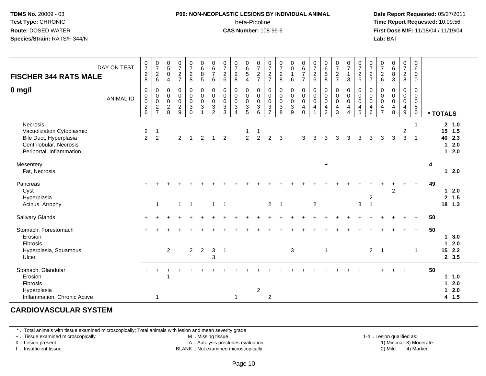### **P09: NON-NEOPLASTIC LESIONS BY INDIVIDUAL ANIMAL** beta-Picoline**beta-Picoline**<br> **CAS Number:** 108-99-6<br> **CAS Number:** 108-99-6<br> **CAS Number:** 108-99-6

 **Date Report Requested:** 05/27/2011 **First Dose M/F:** 11/18/04 / 11/19/04 Lab: BAT **Lab:** BAT

| <b>FISCHER 344 RATS MALE</b>                                                                                           | DAY ON TEST      | $\begin{smallmatrix}0\\7\end{smallmatrix}$<br>$\frac{2}{8}$ | $\begin{array}{c} 0 \\ 7 \end{array}$<br>$\sqrt{2}$<br>$\,6\,$ | $\begin{array}{c} 0 \\ 5 \end{array}$<br>0<br>$\overline{4}$ | $\frac{0}{7}$<br>$\overline{c}$<br>$\overline{7}$ | $\frac{0}{7}$<br>$\boldsymbol{2}$<br>$\,8\,$                                      | $\begin{array}{c} 0 \\ 6 \end{array}$<br>$\overline{8}$<br>$\overline{5}$ | $\begin{array}{c} 0 \\ 6 \end{array}$<br>$\overline{7}$<br>$\,6\,$      | $\frac{0}{7}$<br>$\overline{c}$<br>6                         | $\frac{0}{7}$<br>$\boldsymbol{2}$<br>8                            | $\begin{array}{c} 0 \\ 6 \\ 5 \end{array}$<br>$\overline{4}$ | $\begin{smallmatrix}0\\7\end{smallmatrix}$<br>$\frac{2}{7}$ | $\frac{0}{7}$<br>$\frac{2}{7}$                                            | $\frac{0}{7}$<br>$\boldsymbol{2}$<br>8 | $_{\rm 0}^{\rm 0}$<br>$\,6\,$                            | $\begin{array}{c} 0 \\ 6 \\ 7 \end{array}$<br>$\overline{7}$        | $\begin{array}{c} 0 \\ 7 \end{array}$<br>$\begin{array}{c} 2 \\ 6 \end{array}$ | $\begin{array}{c} 0 \\ 6 \end{array}$<br>$\sqrt{5}$<br>$\,8\,$                | $\frac{0}{7}$<br>$\frac{2}{7}$            | $\frac{0}{7}$<br>$\mathbf{1}$<br>$\mathfrak{Z}$                           | $\frac{0}{7}$<br>$\overline{c}$<br>$\,6$                               | $\frac{0}{7}$<br>$\frac{2}{7}$ | $\frac{0}{7}$<br>$\boldsymbol{2}$<br>$\,6\,$                                   | $\begin{array}{c} 0 \\ 6 \end{array}$<br>$\bf 8$<br>3 | $\begin{array}{c} 0 \\ 7 \end{array}$<br>$\frac{2}{8}$         | $\pmb{0}$<br>$\overline{6}$<br>$\pmb{0}$<br>$\mathsf 0$      |          |                                                        |  |
|------------------------------------------------------------------------------------------------------------------------|------------------|-------------------------------------------------------------|----------------------------------------------------------------|--------------------------------------------------------------|---------------------------------------------------|-----------------------------------------------------------------------------------|---------------------------------------------------------------------------|-------------------------------------------------------------------------|--------------------------------------------------------------|-------------------------------------------------------------------|--------------------------------------------------------------|-------------------------------------------------------------|---------------------------------------------------------------------------|----------------------------------------|----------------------------------------------------------|---------------------------------------------------------------------|--------------------------------------------------------------------------------|-------------------------------------------------------------------------------|-------------------------------------------|---------------------------------------------------------------------------|------------------------------------------------------------------------|--------------------------------|--------------------------------------------------------------------------------|-------------------------------------------------------|----------------------------------------------------------------|--------------------------------------------------------------|----------|--------------------------------------------------------|--|
| $0$ mg/l                                                                                                               | <b>ANIMAL ID</b> | 0<br>$\boldsymbol{0}$<br>$\pmb{0}$<br>$\frac{2}{6}$         | $\mathbf 0$<br>$\mathsf{O}\xspace$<br>$\frac{0}{2}$            | 0<br>0<br>0<br>$\sqrt{2}$<br>8                               | 0<br>$\pmb{0}$<br>0<br>$\frac{2}{9}$              | $\mathbf 0$<br>$\pmb{0}$<br>$\pmb{0}$<br>$\ensuremath{\mathsf{3}}$<br>$\mathbf 0$ | 0<br>$\overline{0}$<br>$\pmb{0}$<br>$\sqrt{3}$<br>$\overline{1}$          | $\mathbf 0$<br>$\pmb{0}$<br>$\mathbf 0$<br>$\sqrt{3}$<br>$\overline{2}$ | $\mathbf 0$<br>$\pmb{0}$<br>$\mathbf 0$<br>$\mathbf{3}$<br>3 | 0<br>$\mathbf 0$<br>$\mathbf 0$<br>$\mathbf{3}$<br>$\overline{4}$ | 0<br>$\pmb{0}$<br>$\pmb{0}$<br>$\frac{3}{5}$                 | 0<br>$\boldsymbol{0}$<br>$\mathbf 0$<br>$\sqrt{3}$<br>6     | $\mathbf 0$<br>$\mathsf{O}\xspace$<br>0<br>$\mathbf{3}$<br>$\overline{7}$ | 0<br>0<br>0<br>3<br>8                  | $\mathbf 0$<br>$\pmb{0}$<br>$\pmb{0}$<br>$\sqrt{3}$<br>9 | $\mathbf 0$<br>$\pmb{0}$<br>$\pmb{0}$<br>$\overline{4}$<br>$\Omega$ | 0<br>$\mathbf 0$<br>$\mathbf 0$<br>$\overline{4}$                              | $\mathbf 0$<br>$\mathbf 0$<br>$\mathbf 0$<br>$\overline{4}$<br>$\overline{c}$ | $\Omega$<br>0<br>0<br>$\overline{4}$<br>3 | $\mathbf 0$<br>$\pmb{0}$<br>$\pmb{0}$<br>$\overline{4}$<br>$\overline{4}$ | $\mathbf 0$<br>$\pmb{0}$<br>$\mathsf{O}\xspace$<br>$\overline{4}$<br>5 | 0<br>0<br>0<br>4<br>6          | $\mathbf{0}$<br>$\mathbf 0$<br>$\mathbf 0$<br>$\overline{4}$<br>$\overline{7}$ | $\mathbf 0$<br>0<br>0<br>4<br>8                       | $\mathbf 0$<br>$\mathbf 0$<br>$\pmb{0}$<br>$\overline{4}$<br>9 | $\mathbf 0$<br>0<br>$\mathbf 0$<br>$\sqrt{5}$<br>$\mathbf 0$ | * TOTALS |                                                        |  |
| Necrosis<br>Vacuolization Cytoplasmic<br>Bile Duct, Hyperplasia<br>Centrilobular, Necrosis<br>Periportal, Inflammation |                  | $\overline{c}$<br>$\overline{2}$                            | $\overline{1}$<br>$\overline{2}$                               |                                                              | $\overline{2}$                                    | $\overline{1}$                                                                    | $\overline{2}$                                                            | $\overline{1}$                                                          | $\overline{2}$                                               |                                                                   | 1<br>$\overline{2}$                                          | 1<br>$\overline{2}$                                         | 2                                                                         | $\mathbf{3}$                           |                                                          | 3                                                                   | 3                                                                              | 3                                                                             | 3                                         | 3                                                                         | 3                                                                      | 3                              | 3                                                                              | 3                                                     | $\overline{c}$<br>3                                            | $\mathbf{1}$<br>$\overline{1}$                               |          | 2 1.0<br>15<br>1.5<br>2.3<br>40<br>2.0<br>1.<br>$12.0$ |  |
| Mesentery<br>Fat, Necrosis                                                                                             |                  |                                                             |                                                                |                                                              |                                                   |                                                                                   |                                                                           |                                                                         |                                                              |                                                                   |                                                              |                                                             |                                                                           |                                        |                                                          |                                                                     |                                                                                | $\ddot{}$                                                                     |                                           |                                                                           |                                                                        |                                |                                                                                |                                                       |                                                                |                                                              | 4        | $12.0$                                                 |  |
| Pancreas<br>Cyst<br>Hyperplasia<br>Acinus, Atrophy                                                                     |                  |                                                             | $\mathbf{1}$                                                   |                                                              | $\mathbf{1}$                                      | $\overline{1}$                                                                    |                                                                           | $\overline{1}$                                                          | $\overline{1}$                                               |                                                                   |                                                              |                                                             | $\overline{2}$                                                            | $\overline{1}$                         |                                                          |                                                                     | $\overline{2}$                                                                 |                                                                               |                                           |                                                                           | 3                                                                      | $\overline{c}$                 |                                                                                | $\overline{2}$                                        |                                                                | $\ddot{}$                                                    | 49       | $1 \quad 2.0$<br>$2$ 1.5<br>18 1.3                     |  |
| Salivary Glands                                                                                                        |                  |                                                             |                                                                |                                                              |                                                   |                                                                                   |                                                                           |                                                                         |                                                              |                                                                   |                                                              |                                                             |                                                                           |                                        |                                                          |                                                                     |                                                                                |                                                                               |                                           |                                                                           |                                                                        |                                |                                                                                |                                                       |                                                                |                                                              | 50       |                                                        |  |
| Stomach, Forestomach<br>Erosion<br>Fibrosis<br>Hyperplasia, Squamous<br>Ulcer                                          |                  |                                                             |                                                                | $\overline{2}$                                               |                                                   | $\overline{2}$                                                                    | $\overline{2}$                                                            | $\mathbf{3}$<br>3                                                       | $\overline{1}$                                               |                                                                   |                                                              |                                                             |                                                                           |                                        | $\sqrt{3}$                                               |                                                                     |                                                                                | $\overline{1}$                                                                |                                           |                                                                           |                                                                        | $\overline{2}$                 | $\overline{\phantom{0}}$ 1                                                     |                                                       |                                                                | $\ddot{}$<br>$\mathbf{1}$                                    | 50       | 13.0<br>2.0<br>1<br>15<br>2.2<br>2, 3.5                |  |
| Stomach, Glandular<br>Erosion<br>Fibrosis<br>Hyperplasia<br>Inflammation, Chronic Active                               |                  | $+$                                                         | +<br>1                                                         | 1                                                            |                                                   |                                                                                   |                                                                           |                                                                         |                                                              | -1                                                                |                                                              | $\overline{\mathbf{c}}$                                     | $\boldsymbol{2}$                                                          |                                        |                                                          |                                                                     |                                                                                |                                                                               |                                           |                                                                           |                                                                        |                                |                                                                                |                                                       |                                                                | $\ddot{}$                                                    | 50       | $1 \t1.0$<br>2.0<br>2.0<br>1<br>4 1.5                  |  |

## **CARDIOVASCULAR SYSTEM**

\* .. Total animals with tissue examined microscopically; Total animals with lesion and mean severity grade

+ .. Tissue examined microscopically

X .. Lesion present

I .. Insufficient tissue

 M .. Missing tissueA .. Autolysis precludes evaluation

1-4 .. Lesion qualified as:<br>1) Minimal 3) Moderate BLANK .. Not examined microscopically 2) Mild 4) Marked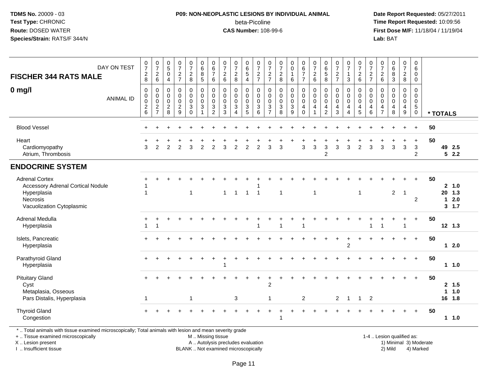### **P09: NON-NEOPLASTIC LESIONS BY INDIVIDUAL ANIMAL** beta-Picoline**beta-Picoline**<br> **CAS Number:** 108-99-6<br> **CAS Number:** 108-99-6<br> **CAS Number:** 108-99-6

 **Date Report Requested:** 05/27/2011 **First Dose M/F:** 11/18/04 / 11/19/04 Lab: BAT **Lab:** BAT

| DAY ON TEST<br><b>FISCHER 344 RATS MALE</b><br>$0$ mg/l<br><b>ANIMAL ID</b>                                        | $\frac{0}{7}$<br>$_{8}^{\rm 2}$<br>$\pmb{0}$<br>00026 | $\frac{0}{7}$<br>$^2\phantom{1}6$<br>0<br>00027 | $\begin{array}{c} 0 \\ 5 \end{array}$<br>$\mathbf 0$<br>$\overline{4}$<br>$\mathbf 0$<br>$\begin{smallmatrix} 0\\0 \end{smallmatrix}$<br>$\frac{2}{8}$ | $\frac{0}{7}$<br>$\frac{2}{7}$<br>$\pmb{0}$<br>$\mathbf 0$<br>$\mathsf{O}\xspace$<br>$\overline{2}$<br>9 | $\frac{0}{7}$<br>$\overline{2}$<br>$\bf 8$<br>0<br>$\mathbf 0$<br>$\mathbf 0$<br>3<br>$\Omega$ | $\begin{matrix} 0 \\ 6 \\ 8 \end{matrix}$<br>$\sqrt{5}$<br>$\pmb{0}$<br>$\overline{0}$<br>0<br>$\overline{3}$<br>$\mathbf{1}$ | $\begin{array}{c} 0 \\ 6 \\ 7 \end{array}$<br>$6\phantom{1}$<br>$\mathbf 0$<br>$\ddot{\mathbf{0}}$<br>$\ddot{\mathbf{0}}$<br>$\mathbf 3$<br>$\overline{2}$ | $\begin{array}{c} 0 \\ 7 \\ 2 \end{array}$<br>$\,6\,$<br>0<br>$\pmb{0}$<br>$\mathsf{O}\xspace$<br>$\ensuremath{\mathsf{3}}$<br>3 | $\begin{array}{c} 0 \\ 7 \\ 2 \\ 8 \end{array}$<br>$\pmb{0}$<br>$\pmb{0}$<br>$\overline{0}$<br>$\overline{3}$<br>$\Delta$ | $\begin{matrix} 0 \\ 6 \\ 5 \end{matrix}$<br>4<br>$\pmb{0}$<br>$\mathbf 0$<br>$\mathbf 0$<br>$\ensuremath{\mathsf{3}}$<br>5 | $\frac{0}{7}$<br>$\frac{2}{7}$<br>$\pmb{0}$<br>$\overline{0}$<br>$\overline{0}$<br>$\mathbf{3}$<br>6 | $\frac{0}{7}$<br>$\frac{2}{7}$<br>0<br>$\pmb{0}$<br>$\mathbf 0$<br>$\ensuremath{\mathsf{3}}$<br>$\overline{7}$ | 0728<br>$\pmb{0}$<br>$\overline{0}$ <sub>0</sub><br>$\ensuremath{\mathsf{3}}$<br>8 | $_{\rm 0}^{\rm 0}$<br>$\mathbf{1}$<br>6<br>$\pmb{0}$<br>$\pmb{0}$<br>$\frac{0}{3}$<br>9 | $\begin{array}{c} 0 \\ 6 \\ 7 \end{array}$<br>$\overline{7}$<br>$\mathsf{O}$<br>$\overline{0}$<br>$\ddot{\mathbf{0}}$<br>4<br>$\Omega$ | 0726<br>$\mathbf 0$<br>$\overline{0}$<br>$\overline{0}$<br>$\overline{4}$<br>$\overline{1}$ | $\begin{matrix} 0 \\ 6 \\ 5 \end{matrix}$<br>8<br>0<br>$\pmb{0}$<br>$\mathbf 0$<br>$\overline{4}$<br>$\overline{2}$ | $\begin{array}{c} 0 \\ 7 \\ 2 \end{array}$<br>$\overline{7}$<br>$\pmb{0}$<br>$\overline{0}$<br>$\ddot{\mathbf{0}}$<br>$\overline{4}$<br>3 | $\frac{0}{7}$<br>$\mathbf{1}$<br>3<br>0<br>$\mathbf 0$<br>$\ddot{\mathbf{0}}$<br>4<br>4 | $\begin{array}{c} 0 \\ 7 \\ 2 \end{array}$<br>$6\phantom{1}$<br>0<br>$\mathbf 0$<br>$\tilde{0}$<br>4<br>5 | $\frac{0}{7}$<br>$\frac{2}{7}$<br>$\mathbf 0$<br>$\mathbf 0$<br>$\overline{0}$<br>$\overline{a}$<br>6 | $\begin{array}{c} 0 \\ 7 \end{array}$<br>$\frac{2}{6}$<br>$\mathbf 0$<br>$\pmb{0}$<br>$\overline{0}$<br>$\overline{4}$<br>$\overline{7}$ | $\begin{matrix}0\\6\\8\end{matrix}$<br>$\mathbf 3$<br>0<br>$\mathbf 0$<br>$\pmb{0}$<br>$\overline{4}$<br>8 | $\begin{array}{c} 0 \\ 7 \\ 2 \\ 8 \end{array}$<br>$\pmb{0}$<br>$\pmb{0}$<br>$\frac{0}{4}$<br>9 | $_{6}^{\rm 0}$<br>$\mathbf 0$<br>$\mathbf 0$<br>$\mathsf 0$<br>$\mathsf{O}\xspace$<br>$\ddot{\mathbf{0}}$<br>$\overline{5}$<br>$\mathbf 0$ |    |                        |                               |
|--------------------------------------------------------------------------------------------------------------------|-------------------------------------------------------|-------------------------------------------------|--------------------------------------------------------------------------------------------------------------------------------------------------------|----------------------------------------------------------------------------------------------------------|------------------------------------------------------------------------------------------------|-------------------------------------------------------------------------------------------------------------------------------|------------------------------------------------------------------------------------------------------------------------------------------------------------|----------------------------------------------------------------------------------------------------------------------------------|---------------------------------------------------------------------------------------------------------------------------|-----------------------------------------------------------------------------------------------------------------------------|------------------------------------------------------------------------------------------------------|----------------------------------------------------------------------------------------------------------------|------------------------------------------------------------------------------------|-----------------------------------------------------------------------------------------|----------------------------------------------------------------------------------------------------------------------------------------|---------------------------------------------------------------------------------------------|---------------------------------------------------------------------------------------------------------------------|-------------------------------------------------------------------------------------------------------------------------------------------|-----------------------------------------------------------------------------------------|-----------------------------------------------------------------------------------------------------------|-------------------------------------------------------------------------------------------------------|------------------------------------------------------------------------------------------------------------------------------------------|------------------------------------------------------------------------------------------------------------|-------------------------------------------------------------------------------------------------|--------------------------------------------------------------------------------------------------------------------------------------------|----|------------------------|-------------------------------|
|                                                                                                                    |                                                       |                                                 |                                                                                                                                                        |                                                                                                          |                                                                                                |                                                                                                                               |                                                                                                                                                            |                                                                                                                                  |                                                                                                                           |                                                                                                                             |                                                                                                      |                                                                                                                |                                                                                    |                                                                                         |                                                                                                                                        |                                                                                             |                                                                                                                     |                                                                                                                                           |                                                                                         |                                                                                                           |                                                                                                       |                                                                                                                                          |                                                                                                            |                                                                                                 |                                                                                                                                            |    | * TOTALS               |                               |
| <b>Blood Vessel</b>                                                                                                |                                                       |                                                 |                                                                                                                                                        |                                                                                                          |                                                                                                |                                                                                                                               |                                                                                                                                                            |                                                                                                                                  |                                                                                                                           |                                                                                                                             |                                                                                                      |                                                                                                                |                                                                                    |                                                                                         |                                                                                                                                        |                                                                                             |                                                                                                                     |                                                                                                                                           |                                                                                         |                                                                                                           |                                                                                                       |                                                                                                                                          |                                                                                                            |                                                                                                 | $+$                                                                                                                                        | 50 |                        |                               |
| Heart<br>Cardiomyopathy<br>Atrium, Thrombosis                                                                      | 3                                                     | $\overline{2}$                                  | $\overline{2}$                                                                                                                                         | $\overline{2}$                                                                                           | 3                                                                                              | $\overline{2}$                                                                                                                | $\overline{2}$                                                                                                                                             | 3                                                                                                                                | $\overline{2}$                                                                                                            | $\overline{c}$                                                                                                              | $\overline{2}$                                                                                       | 3                                                                                                              | 3                                                                                  |                                                                                         | 3                                                                                                                                      | 3                                                                                           | 3<br>$\overline{2}$                                                                                                 | $\mathsf 3$                                                                                                                               | $\mathbf{3}$                                                                            | $\overline{2}$                                                                                            | $\mathbf{3}$                                                                                          | 3                                                                                                                                        | 3                                                                                                          | $\ddot{}$<br>$\mathbf{3}$                                                                       | $\ddot{}$<br>$\mathbf{3}$<br>$\overline{2}$                                                                                                | 50 | 49 2.5                 | 52.2                          |
| <b>ENDOCRINE SYSTEM</b>                                                                                            |                                                       |                                                 |                                                                                                                                                        |                                                                                                          |                                                                                                |                                                                                                                               |                                                                                                                                                            |                                                                                                                                  |                                                                                                                           |                                                                                                                             |                                                                                                      |                                                                                                                |                                                                                    |                                                                                         |                                                                                                                                        |                                                                                             |                                                                                                                     |                                                                                                                                           |                                                                                         |                                                                                                           |                                                                                                       |                                                                                                                                          |                                                                                                            |                                                                                                 |                                                                                                                                            |    |                        |                               |
| <b>Adrenal Cortex</b><br>Accessory Adrenal Cortical Nodule<br>Hyperplasia<br>Necrosis<br>Vacuolization Cytoplasmic | 1                                                     |                                                 |                                                                                                                                                        |                                                                                                          | -1                                                                                             |                                                                                                                               |                                                                                                                                                            | $\mathbf{1}$                                                                                                                     | $\overline{1}$                                                                                                            | $\overline{1}$                                                                                                              | $\overline{1}$                                                                                       |                                                                                                                | $\overline{1}$                                                                     |                                                                                         |                                                                                                                                        | $\overline{\mathbf{1}}$                                                                     |                                                                                                                     |                                                                                                                                           |                                                                                         | -1                                                                                                        |                                                                                                       |                                                                                                                                          | $\overline{2}$                                                                                             | $\overline{1}$                                                                                  | $\overline{c}$                                                                                                                             | 50 | 20<br>$\mathbf{1}$     | 2 1.0<br>1.3<br>2.0<br>3, 1.7 |
| Adrenal Medulla<br>Hyperplasia                                                                                     | $\mathbf{1}$                                          |                                                 |                                                                                                                                                        |                                                                                                          |                                                                                                |                                                                                                                               |                                                                                                                                                            |                                                                                                                                  |                                                                                                                           |                                                                                                                             | 1                                                                                                    |                                                                                                                | -1                                                                                 |                                                                                         | $\overline{\mathbf{A}}$                                                                                                                |                                                                                             |                                                                                                                     |                                                                                                                                           |                                                                                         |                                                                                                           | $\overline{1}$                                                                                        | -1                                                                                                                                       |                                                                                                            | $\mathbf{1}$                                                                                    | $\ddot{}$                                                                                                                                  | 50 | $12$ 1.3               |                               |
| Islets, Pancreatic<br>Hyperplasia                                                                                  |                                                       |                                                 |                                                                                                                                                        |                                                                                                          |                                                                                                |                                                                                                                               |                                                                                                                                                            |                                                                                                                                  |                                                                                                                           |                                                                                                                             |                                                                                                      |                                                                                                                |                                                                                    |                                                                                         |                                                                                                                                        |                                                                                             |                                                                                                                     |                                                                                                                                           | $\overline{2}$                                                                          |                                                                                                           |                                                                                                       |                                                                                                                                          |                                                                                                            | $+$                                                                                             | $+$                                                                                                                                        | 50 |                        | $12.0$                        |
| Parathyroid Gland<br>Hyperplasia                                                                                   |                                                       |                                                 |                                                                                                                                                        |                                                                                                          |                                                                                                |                                                                                                                               |                                                                                                                                                            |                                                                                                                                  |                                                                                                                           |                                                                                                                             |                                                                                                      |                                                                                                                |                                                                                    |                                                                                         |                                                                                                                                        |                                                                                             |                                                                                                                     |                                                                                                                                           |                                                                                         |                                                                                                           |                                                                                                       |                                                                                                                                          |                                                                                                            |                                                                                                 | $\ddot{}$                                                                                                                                  | 50 |                        | 1 1.0                         |
| <b>Pituitary Gland</b><br>Cyst<br>Metaplasia, Osseous<br>Pars Distalis, Hyperplasia                                | $\mathbf{1}$                                          |                                                 |                                                                                                                                                        |                                                                                                          | $\mathbf{1}$                                                                                   |                                                                                                                               |                                                                                                                                                            |                                                                                                                                  | $\mathbf{3}$                                                                                                              |                                                                                                                             |                                                                                                      | $\overline{2}$<br>$\mathbf{1}$                                                                                 |                                                                                    |                                                                                         | $\overline{2}$                                                                                                                         |                                                                                             |                                                                                                                     | $\overline{2}$                                                                                                                            | $\overline{1}$                                                                          | $\mathbf{1}$                                                                                              | 2                                                                                                     |                                                                                                                                          |                                                                                                            |                                                                                                 |                                                                                                                                            | 50 | $\mathbf{1}$<br>16 1.8 | 2, 1.5<br>1.0                 |
| <b>Thyroid Gland</b><br>Congestion                                                                                 |                                                       |                                                 |                                                                                                                                                        |                                                                                                          |                                                                                                |                                                                                                                               |                                                                                                                                                            |                                                                                                                                  |                                                                                                                           |                                                                                                                             |                                                                                                      |                                                                                                                |                                                                                    |                                                                                         |                                                                                                                                        |                                                                                             |                                                                                                                     |                                                                                                                                           |                                                                                         |                                                                                                           |                                                                                                       |                                                                                                                                          |                                                                                                            |                                                                                                 | $+$                                                                                                                                        | 50 |                        | $1 1.0$                       |

\* .. Total animals with tissue examined microscopically; Total animals with lesion and mean severity grade

+ .. Tissue examined microscopically

X .. Lesion present

I .. Insufficient tissue

 M .. Missing tissueA .. Autolysis precludes evaluation

BLANK .. Not examined microscopically 2) Mild 4) Marked

1-4 .. Lesion qualified as: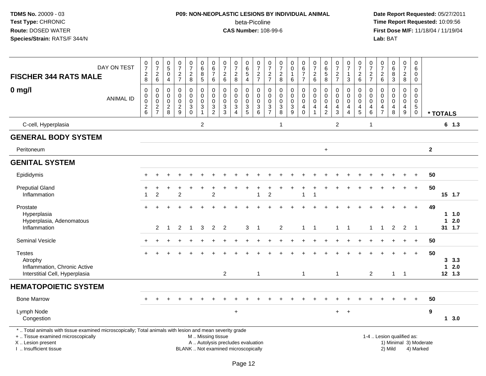## **P09: NON-NEOPLASTIC LESIONS BY INDIVIDUAL ANIMAL**beta-Picoline<br>CAS Number: 108-99-6

| <b>FISCHER 344 RATS MALE</b>                                                                                                                                                                  | DAY ON TEST      | $\begin{smallmatrix}0\\7\end{smallmatrix}$<br>$_{8}^2$ | $\begin{array}{c} 0 \\ 7 \end{array}$<br>$\sqrt{2}$<br>6 | $\begin{array}{c} 0 \\ 5 \end{array}$<br>$\mathbf 0$<br>$\overline{4}$ | $\begin{array}{c} 0 \\ 7 \end{array}$<br>$\mathbf 2$<br>$\overline{7}$ | $\frac{0}{7}$<br>$\frac{2}{8}$                    | $_{6}^{\rm 0}$<br>8<br>$\sqrt{5}$                                            | $\begin{array}{c} 0 \\ 6 \end{array}$<br>$\overline{7}$<br>$\,6\,$ | $\frac{0}{7}$<br>$^2\phantom{1}6$                                        | $\begin{array}{c} 0 \\ 7 \end{array}$<br>$\sqrt{2}$<br>8                                  | $\begin{array}{c} 0 \\ 6 \end{array}$<br>$\overline{5}$<br>$\overline{4}$ | $\,0\,$<br>$\overline{7}$<br>$\frac{2}{7}$              | $\frac{0}{7}$<br>$\boldsymbol{2}$<br>$\overline{7}$ | $\frac{0}{7}$<br>$\sqrt{2}$<br>8                 | $\pmb{0}$<br>$\overline{0}$<br>1<br>$\,6\,$                                              | $\begin{array}{c} 0 \\ 6 \end{array}$<br>$\overline{7}$<br>$\overline{7}$ | $\begin{array}{c} 0 \\ 7 \end{array}$<br>$\sqrt{2}$<br>6       | $\begin{array}{c} 0 \\ 6 \end{array}$<br>$\mathbf 5$<br>8     | $\frac{0}{7}$<br>$\sqrt{2}$<br>$\overline{7}$            | $\frac{0}{7}$<br>$\mathbf{1}$<br>3                                         | $\frac{0}{7}$<br>$\overline{c}$<br>6           | $\begin{array}{c} 0 \\ 7 \end{array}$<br>$\frac{2}{7}$ | $\begin{array}{c} 0 \\ 7 \end{array}$<br>$^2\phantom{1}6$ | $\begin{array}{c} 0 \\ 6 \end{array}$<br>$\overline{8}$<br>3        | $\frac{0}{7}$<br>$\overline{a}$<br>8                     | $\mathbf 0$<br>6<br>$\mathbf 0$<br>0                                     |                                     |              |                      |                          |
|-----------------------------------------------------------------------------------------------------------------------------------------------------------------------------------------------|------------------|--------------------------------------------------------|----------------------------------------------------------|------------------------------------------------------------------------|------------------------------------------------------------------------|---------------------------------------------------|------------------------------------------------------------------------------|--------------------------------------------------------------------|--------------------------------------------------------------------------|-------------------------------------------------------------------------------------------|---------------------------------------------------------------------------|---------------------------------------------------------|-----------------------------------------------------|--------------------------------------------------|------------------------------------------------------------------------------------------|---------------------------------------------------------------------------|----------------------------------------------------------------|---------------------------------------------------------------|----------------------------------------------------------|----------------------------------------------------------------------------|------------------------------------------------|--------------------------------------------------------|-----------------------------------------------------------|---------------------------------------------------------------------|----------------------------------------------------------|--------------------------------------------------------------------------|-------------------------------------|--------------|----------------------|--------------------------|
| $0$ mg/l                                                                                                                                                                                      | <b>ANIMAL ID</b> | 0<br>$\mathbf 0$<br>$\pmb{0}$<br>$\frac{2}{6}$         | $\mathbf 0$<br>$\pmb{0}$<br>$\pmb{0}$<br>$\frac{2}{7}$   | $\mathbf 0$<br>$\mathbf 0$<br>$\mathbf 0$<br>$\frac{2}{8}$             | $\mathbf 0$<br>$\Omega$<br>$\mathbf 0$<br>$\frac{2}{9}$                | 0<br>$\mathbf 0$<br>0<br>$\mathbf{3}$<br>$\Omega$ | $\mathbf 0$<br>$\mathbf 0$<br>0<br>$\ensuremath{\mathsf{3}}$<br>$\mathbf{1}$ | $\mathbf 0$<br>$\mathbf 0$<br>$\pmb{0}$<br>$\frac{3}{2}$           | $\mathbf 0$<br>$\mathbf 0$<br>0<br>$\frac{3}{3}$                         | $\mathbf 0$<br>$\mathbf{0}$<br>$\mathbf 0$<br>$\ensuremath{\mathsf{3}}$<br>$\overline{4}$ | 0<br>$\mathbf 0$<br>$\pmb{0}$<br>$\frac{3}{5}$                            | 0<br>$\mathbf 0$<br>0<br>$\ensuremath{\mathsf{3}}$<br>6 | 0<br>$\Omega$<br>$\mathbf 0$<br>$\frac{3}{7}$       | $\mathbf 0$<br>$\mathbf 0$<br>0<br>$\frac{3}{8}$ | $\mathbf 0$<br>$\mathbf 0$<br>$\pmb{0}$<br>$\ensuremath{\mathsf{3}}$<br>$\boldsymbol{9}$ | $\mathbf 0$<br>$\mathbf 0$<br>$\mathbf 0$<br>$\overline{4}$<br>$\pmb{0}$  | 0<br>$\Omega$<br>$\mathbf 0$<br>$\overline{4}$<br>$\mathbf{1}$ | $\mathbf 0$<br>$\Omega$<br>$\mathbf 0$<br>4<br>$\overline{2}$ | $\mathbf 0$<br>$\mathbf 0$<br>$\pmb{0}$<br>$\frac{4}{3}$ | $\mathbf 0$<br>$\Omega$<br>$\mathbf 0$<br>$\overline{4}$<br>$\overline{4}$ | 0<br>$\pmb{0}$<br>$\mathbf 0$<br>$\frac{4}{5}$ | $\mathbf 0$<br>$\Omega$<br>$\mathsf 0$<br>4<br>$\,6\,$ | $\mathbf 0$<br>$\Omega$<br>$\mathbf 0$<br>$\frac{4}{7}$   | $\mathbf 0$<br>$\Omega$<br>$\mathbf 0$<br>$\overline{4}$<br>$\,8\,$ | $\mathbf 0$<br>$\mathbf 0$<br>0<br>4<br>$\boldsymbol{9}$ | $\mathbf 0$<br>$\pmb{0}$<br>$\mathbf 0$<br>$\overline{5}$<br>$\mathbf 0$ |                                     | * TOTALS     |                      |                          |
| C-cell, Hyperplasia                                                                                                                                                                           |                  |                                                        |                                                          |                                                                        |                                                                        |                                                   | $\overline{2}$                                                               |                                                                    |                                                                          |                                                                                           |                                                                           |                                                         |                                                     | $\mathbf{1}$                                     |                                                                                          |                                                                           |                                                                |                                                               | $\overline{2}$                                           |                                                                            |                                                | $\overline{1}$                                         |                                                           |                                                                     |                                                          |                                                                          |                                     |              |                      | $6$ 1.3                  |
| <b>GENERAL BODY SYSTEM</b>                                                                                                                                                                    |                  |                                                        |                                                          |                                                                        |                                                                        |                                                   |                                                                              |                                                                    |                                                                          |                                                                                           |                                                                           |                                                         |                                                     |                                                  |                                                                                          |                                                                           |                                                                |                                                               |                                                          |                                                                            |                                                |                                                        |                                                           |                                                                     |                                                          |                                                                          |                                     |              |                      |                          |
| Peritoneum                                                                                                                                                                                    |                  |                                                        |                                                          |                                                                        |                                                                        |                                                   |                                                                              |                                                                    |                                                                          |                                                                                           |                                                                           |                                                         |                                                     |                                                  |                                                                                          |                                                                           |                                                                | $\ddot{}$                                                     |                                                          |                                                                            |                                                |                                                        |                                                           |                                                                     |                                                          |                                                                          |                                     | $\mathbf{2}$ |                      |                          |
| <b>GENITAL SYSTEM</b>                                                                                                                                                                         |                  |                                                        |                                                          |                                                                        |                                                                        |                                                   |                                                                              |                                                                    |                                                                          |                                                                                           |                                                                           |                                                         |                                                     |                                                  |                                                                                          |                                                                           |                                                                |                                                               |                                                          |                                                                            |                                                |                                                        |                                                           |                                                                     |                                                          |                                                                          |                                     |              |                      |                          |
| Epididymis                                                                                                                                                                                    |                  |                                                        |                                                          |                                                                        |                                                                        |                                                   |                                                                              |                                                                    |                                                                          |                                                                                           |                                                                           |                                                         |                                                     |                                                  |                                                                                          |                                                                           |                                                                |                                                               |                                                          |                                                                            |                                                |                                                        |                                                           |                                                                     |                                                          |                                                                          |                                     | 50           |                      |                          |
| <b>Preputial Gland</b><br>Inflammation                                                                                                                                                        |                  |                                                        | 2                                                        |                                                                        | $\mathfrak{p}$                                                         |                                                   | $\div$                                                                       | $\overline{2}$                                                     |                                                                          |                                                                                           |                                                                           | 1                                                       | $\overline{2}$                                      |                                                  |                                                                                          |                                                                           |                                                                |                                                               |                                                          |                                                                            |                                                |                                                        |                                                           |                                                                     |                                                          | $\div$                                                                   |                                     | 50           |                      | 15 1.7                   |
| Prostate<br>Hyperplasia<br>Hyperplasia, Adenomatous<br>Inflammation                                                                                                                           |                  | $\div$                                                 | $\overline{2}$                                           | $\mathbf{1}$                                                           | 2                                                                      | $\overline{1}$                                    | 3                                                                            | $\overline{2}$                                                     | $\overline{2}$                                                           |                                                                                           | 3                                                                         | $\overline{1}$                                          |                                                     | $\overline{2}$                                   |                                                                                          | $\mathbf{1}$                                                              | $\overline{1}$                                                 |                                                               | $\mathbf 1$                                              | $\overline{1}$                                                             |                                                | $\mathbf{1}$                                           | $\overline{1}$                                            | $\overline{2}$                                                      | $\overline{2}$                                           | $+$<br>$\overline{1}$                                                    |                                     | 49           | $\mathbf{1}$         | $1 1.0$<br>2.0<br>31 1.7 |
| <b>Seminal Vesicle</b>                                                                                                                                                                        |                  |                                                        |                                                          |                                                                        |                                                                        |                                                   |                                                                              |                                                                    |                                                                          |                                                                                           |                                                                           |                                                         |                                                     |                                                  |                                                                                          |                                                                           |                                                                |                                                               |                                                          |                                                                            |                                                |                                                        |                                                           |                                                                     |                                                          | $+$                                                                      |                                     | 50           |                      |                          |
| <b>Testes</b><br>Atrophy<br>Inflammation, Chronic Active<br>Interstitial Cell, Hyperplasia                                                                                                    |                  |                                                        |                                                          |                                                                        |                                                                        |                                                   |                                                                              |                                                                    | $\overline{2}$                                                           |                                                                                           |                                                                           | $\overline{1}$                                          |                                                     |                                                  |                                                                                          | $\overline{1}$                                                            |                                                                |                                                               | $\mathbf{1}$                                             |                                                                            |                                                | 2                                                      |                                                           | $\mathbf{1}$                                                        | $\overline{1}$                                           |                                                                          |                                     | 50           | $\blacktriangleleft$ | 3.3.3<br>2.0<br>$12$ 1.3 |
| <b>HEMATOPOIETIC SYSTEM</b>                                                                                                                                                                   |                  |                                                        |                                                          |                                                                        |                                                                        |                                                   |                                                                              |                                                                    |                                                                          |                                                                                           |                                                                           |                                                         |                                                     |                                                  |                                                                                          |                                                                           |                                                                |                                                               |                                                          |                                                                            |                                                |                                                        |                                                           |                                                                     |                                                          |                                                                          |                                     |              |                      |                          |
| <b>Bone Marrow</b>                                                                                                                                                                            |                  |                                                        |                                                          |                                                                        |                                                                        |                                                   |                                                                              |                                                                    |                                                                          |                                                                                           |                                                                           |                                                         |                                                     |                                                  |                                                                                          |                                                                           |                                                                |                                                               |                                                          |                                                                            |                                                |                                                        |                                                           |                                                                     |                                                          |                                                                          |                                     | 50           |                      |                          |
| Lymph Node<br>Congestion                                                                                                                                                                      |                  |                                                        |                                                          |                                                                        |                                                                        |                                                   |                                                                              |                                                                    |                                                                          | $\ddot{}$                                                                                 |                                                                           |                                                         |                                                     |                                                  |                                                                                          |                                                                           |                                                                |                                                               | $+$                                                      | $+$                                                                        |                                                |                                                        |                                                           |                                                                     |                                                          |                                                                          |                                     | 9            |                      | 13.0                     |
| *  Total animals with tissue examined microscopically; Total animals with lesion and mean severity grade<br>+  Tissue examined microscopically<br>X  Lesion present<br>I. Insufficient tissue |                  |                                                        |                                                          |                                                                        |                                                                        |                                                   | M  Missing tissue                                                            |                                                                    | A  Autolysis precludes evaluation<br>BLANK  Not examined microscopically |                                                                                           |                                                                           |                                                         |                                                     |                                                  |                                                                                          |                                                                           |                                                                |                                                               |                                                          |                                                                            |                                                |                                                        |                                                           | 1-4  Lesion qualified as:<br>2) Mild                                |                                                          |                                                                          | 1) Minimal 3) Moderate<br>4) Marked |              |                      |                          |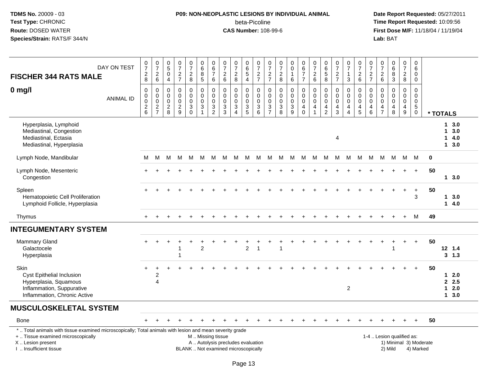## **P09: NON-NEOPLASTIC LESIONS BY INDIVIDUAL ANIMAL**beta-Picoline<br>CAS Number: 108-99-6

| DAY ON TEST<br><b>FISCHER 344 RATS MALE</b>                                                                                                                                                   | 0<br>$\overline{7}$<br>$\overline{c}$<br>8             | $\frac{0}{7}$<br>$\overline{2}$<br>$6\phantom{a}$ | $\begin{array}{c} 0 \\ 5 \end{array}$<br>$\overline{0}$<br>$\overline{4}$ | 0<br>$\overline{7}$<br>$\overline{c}$<br>$\overline{7}$ | $\begin{smallmatrix}0\\7\end{smallmatrix}$<br>$\frac{2}{8}$       | $\begin{array}{c} 0 \\ 6 \end{array}$<br>$\overline{8}$<br>$\overline{5}$ | 0<br>6<br>$\overline{7}$<br>$6\phantom{1}6$                | $\frac{0}{7}$<br>$\overline{c}$<br>$\,6\,$                               | $\begin{array}{c} 0 \\ 7 \\ 2 \\ 8 \end{array}$      | $\begin{array}{c} 0 \\ 6 \\ 5 \end{array}$<br>$\overline{4}$ | $\pmb{0}$<br>$\overline{7}$<br>$\frac{2}{7}$   | $\begin{array}{c} 0 \\ 7 \end{array}$<br>$\frac{2}{7}$   | $\frac{0}{7}$<br>$\frac{2}{8}$                                                 | $\pmb{0}$<br>$\mathbf 0$<br>$\mathbf{1}$<br>$\,6\,$                       | $\begin{array}{c} 0 \\ 6 \end{array}$<br>$\overline{7}$<br>$\overline{7}$ | $\begin{array}{c} 0 \\ 7 \end{array}$<br>$\overline{c}$<br>6                      | 0<br>6<br>5<br>8                               | 0<br>$\overline{7}$<br>$\boldsymbol{2}$<br>$\overline{7}$ | $\frac{0}{7}$<br>1<br>$\mathfrak{Z}$                                                 | $\mathbf 0$<br>$\overline{7}$<br>$\overline{c}$<br>$6\phantom{1}$ | $\frac{0}{7}$<br>$\frac{2}{7}$                                                                | 0<br>$\overline{7}$<br>$\overline{c}$<br>$\,6\,$                  | $\mathbf 0$<br>$\,6\,$<br>8<br>$\sqrt{3}$                           | $\frac{0}{7}$<br>$\overline{c}$<br>8                   | 0<br>$\,6\,$<br>0<br>$\mathbf 0$                                                       |           |          |                   |                              |  |
|-----------------------------------------------------------------------------------------------------------------------------------------------------------------------------------------------|--------------------------------------------------------|---------------------------------------------------|---------------------------------------------------------------------------|---------------------------------------------------------|-------------------------------------------------------------------|---------------------------------------------------------------------------|------------------------------------------------------------|--------------------------------------------------------------------------|------------------------------------------------------|--------------------------------------------------------------|------------------------------------------------|----------------------------------------------------------|--------------------------------------------------------------------------------|---------------------------------------------------------------------------|---------------------------------------------------------------------------|-----------------------------------------------------------------------------------|------------------------------------------------|-----------------------------------------------------------|--------------------------------------------------------------------------------------|-------------------------------------------------------------------|-----------------------------------------------------------------------------------------------|-------------------------------------------------------------------|---------------------------------------------------------------------|--------------------------------------------------------|----------------------------------------------------------------------------------------|-----------|----------|-------------------|------------------------------|--|
| $0$ mg/l<br><b>ANIMAL ID</b>                                                                                                                                                                  | $\pmb{0}$<br>$\pmb{0}$<br>$\mathbf 0$<br>$\frac{2}{6}$ | $\pmb{0}$<br>$\overline{0}$<br>$\frac{2}{7}$      | $\mathsf{O}\xspace$<br>$\mathsf{O}\xspace$<br>$\mathbf 0$<br>$_{\rm 8}^2$ | $\pmb{0}$<br>0<br>0<br>$\frac{2}{9}$                    | $\mathbf 0$<br>$\mathsf{O}\xspace$<br>$\pmb{0}$<br>$\overline{3}$ | 0<br>$\mathbf 0$<br>$\mathbf 0$<br>$\sqrt{3}$<br>$\overline{\mathbf{1}}$  | $\mathsf 0$<br>$\mathbf 0$<br>$\mathbf 0$<br>$\frac{3}{2}$ | 0<br>$\mathbf 0$<br>$\Omega$<br>3<br>3                                   | $\pmb{0}$<br>$\pmb{0}$<br>$\pmb{0}$<br>$\frac{3}{4}$ | 0<br>$\mathbf 0$<br>$\mathbf 0$<br>$\frac{3}{5}$             | 0<br>$\mathbf 0$<br>$\pmb{0}$<br>$\frac{3}{6}$ | $\mathbf 0$<br>$\pmb{0}$<br>$\mathsf 0$<br>$\frac{3}{7}$ | $\pmb{0}$<br>$\mathbf 0$<br>$\pmb{0}$<br>$\begin{array}{c} 3 \\ 8 \end{array}$ | $\pmb{0}$<br>$\mathbf 0$<br>$\mathbf 0$<br>$\ensuremath{\mathsf{3}}$<br>9 | $\pmb{0}$<br>$\pmb{0}$<br>$\pmb{0}$<br>$^4_{\rm 0}$                       | $\pmb{0}$<br>$\mathsf{O}\xspace$<br>$\mathbf 0$<br>$\overline{4}$<br>$\mathbf{1}$ | 0<br>$\pmb{0}$<br>$\mathbf 0$<br>$\frac{4}{2}$ | $\pmb{0}$<br>$\mathbf 0$<br>$\mathbf 0$<br>$\frac{4}{3}$  | $\mathbf 0$<br>$\pmb{0}$<br>$\mathbf 0$<br>$\overline{\mathbf{4}}$<br>$\overline{4}$ | 0<br>$\mathbf 0$<br>$\mathbf 0$<br>$\overline{4}$<br>$\sqrt{5}$   | $\boldsymbol{0}$<br>$\mathbf 0$<br>$\mathbf 0$<br>$\overline{\mathcal{A}}$<br>$6\phantom{1}6$ | $\mathbf 0$<br>$\mathbf 0$<br>$\mathbf{0}$<br>4<br>$\overline{7}$ | $\mathbf 0$<br>$\mathbf 0$<br>$\Omega$<br>$\overline{4}$<br>$\,8\,$ | 0<br>$\mathbf 0$<br>$\mathbf 0$<br>$\overline{4}$<br>9 | $\overline{0}$<br>$\mathbf 0$<br>$\mathbf 0$<br>$5\phantom{.0}$<br>$\mathsf{O}\xspace$ |           | * TOTALS |                   |                              |  |
| Hyperplasia, Lymphoid<br>Mediastinal, Congestion<br>Mediastinal, Ectasia<br>Mediastinal, Hyperplasia                                                                                          |                                                        |                                                   |                                                                           |                                                         |                                                                   |                                                                           |                                                            |                                                                          |                                                      |                                                              |                                                |                                                          |                                                                                |                                                                           |                                                                           |                                                                                   |                                                | 4                                                         |                                                                                      |                                                                   |                                                                                               |                                                                   |                                                                     |                                                        |                                                                                        |           |          | $\mathbf{1}$<br>1 | 13.0<br>3.0<br>4.0<br>13.0   |  |
| Lymph Node, Mandibular                                                                                                                                                                        | М                                                      | M                                                 | M                                                                         | M                                                       | M                                                                 | M                                                                         | M                                                          | M                                                                        | M                                                    | M                                                            | M                                              | M                                                        | М                                                                              | M                                                                         | M                                                                         | M                                                                                 | M                                              | M                                                         | M                                                                                    | M                                                                 | M                                                                                             | M                                                                 | M                                                                   |                                                        | M M                                                                                    |           | 0        |                   |                              |  |
| Lymph Node, Mesenteric<br>Congestion                                                                                                                                                          |                                                        |                                                   |                                                                           |                                                         |                                                                   |                                                                           |                                                            |                                                                          |                                                      |                                                              |                                                |                                                          |                                                                                |                                                                           |                                                                           |                                                                                   |                                                |                                                           |                                                                                      |                                                                   |                                                                                               |                                                                   |                                                                     |                                                        | $+$                                                                                    |           | 50       |                   | 1, 3.0                       |  |
| Spleen<br>Hematopoietic Cell Proliferation<br>Lymphoid Follicle, Hyperplasia                                                                                                                  |                                                        |                                                   |                                                                           |                                                         |                                                                   |                                                                           |                                                            |                                                                          |                                                      |                                                              |                                                |                                                          |                                                                                |                                                                           |                                                                           |                                                                                   |                                                |                                                           |                                                                                      |                                                                   |                                                                                               |                                                                   |                                                                     |                                                        | $+$<br>3                                                                               |           | 50       |                   | 13.0<br>14.0                 |  |
| Thymus                                                                                                                                                                                        | $+$                                                    |                                                   |                                                                           |                                                         |                                                                   |                                                                           |                                                            |                                                                          |                                                      |                                                              |                                                |                                                          |                                                                                |                                                                           |                                                                           |                                                                                   |                                                |                                                           |                                                                                      |                                                                   |                                                                                               |                                                                   |                                                                     |                                                        | M                                                                                      |           | 49       |                   |                              |  |
| <b>INTEGUMENTARY SYSTEM</b>                                                                                                                                                                   |                                                        |                                                   |                                                                           |                                                         |                                                                   |                                                                           |                                                            |                                                                          |                                                      |                                                              |                                                |                                                          |                                                                                |                                                                           |                                                                           |                                                                                   |                                                |                                                           |                                                                                      |                                                                   |                                                                                               |                                                                   |                                                                     |                                                        |                                                                                        |           |          |                   |                              |  |
| <b>Mammary Gland</b><br>Galactocele<br>Hyperplasia                                                                                                                                            |                                                        |                                                   |                                                                           |                                                         |                                                                   | $\overline{2}$                                                            |                                                            |                                                                          |                                                      | $\overline{2}$                                               | $\overline{1}$                                 |                                                          | 1                                                                              |                                                                           |                                                                           |                                                                                   |                                                |                                                           |                                                                                      |                                                                   |                                                                                               |                                                                   |                                                                     |                                                        | $+$                                                                                    |           | 50       |                   | 12 1.4<br>3, 1.3             |  |
| <b>Skin</b><br>Cyst Epithelial Inclusion<br>Hyperplasia, Squamous<br>Inflammation, Suppurative<br>Inflammation, Chronic Active                                                                |                                                        | $\overline{c}$<br>$\overline{4}$                  |                                                                           |                                                         |                                                                   |                                                                           |                                                            |                                                                          |                                                      |                                                              |                                                |                                                          |                                                                                |                                                                           |                                                                           |                                                                                   |                                                |                                                           | $\overline{2}$                                                                       |                                                                   |                                                                                               |                                                                   |                                                                     |                                                        |                                                                                        |           | 50       | $\mathbf{1}$      | $12.0$<br>2.5<br>2.0<br>13.0 |  |
| <b>MUSCULOSKELETAL SYSTEM</b>                                                                                                                                                                 |                                                        |                                                   |                                                                           |                                                         |                                                                   |                                                                           |                                                            |                                                                          |                                                      |                                                              |                                                |                                                          |                                                                                |                                                                           |                                                                           |                                                                                   |                                                |                                                           |                                                                                      |                                                                   |                                                                                               |                                                                   |                                                                     |                                                        |                                                                                        |           |          |                   |                              |  |
| Bone                                                                                                                                                                                          |                                                        |                                                   |                                                                           |                                                         |                                                                   |                                                                           |                                                            |                                                                          |                                                      |                                                              |                                                |                                                          |                                                                                |                                                                           |                                                                           |                                                                                   |                                                |                                                           |                                                                                      |                                                                   |                                                                                               |                                                                   |                                                                     | $+$                                                    | $+$                                                                                    |           | 50       |                   |                              |  |
| *  Total animals with tissue examined microscopically; Total animals with lesion and mean severity grade<br>+  Tissue examined microscopically<br>X  Lesion present<br>I  Insufficient tissue |                                                        |                                                   |                                                                           |                                                         |                                                                   | M  Missing tissue                                                         |                                                            | A  Autolysis precludes evaluation<br>BLANK  Not examined microscopically |                                                      |                                                              |                                                |                                                          |                                                                                |                                                                           |                                                                           |                                                                                   |                                                |                                                           |                                                                                      |                                                                   |                                                                                               |                                                                   | 1-4  Lesion qualified as:<br>1) Minimal 3) Moderate<br>2) Mild      |                                                        |                                                                                        | 4) Marked |          |                   |                              |  |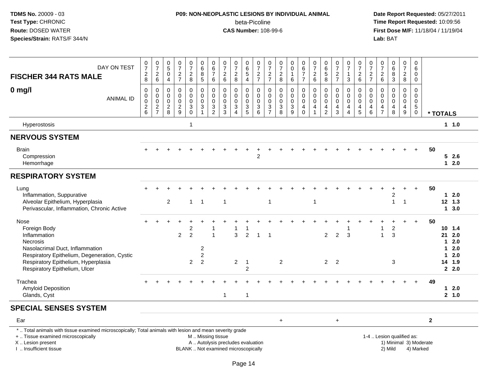## **P09: NON-NEOPLASTIC LESIONS BY INDIVIDUAL ANIMAL**beta-Picoline<br>CAS Number: 108-99-6

| DAY ON TEST<br><b>FISCHER 344 RATS MALE</b>                                                                                                                                                                        | 0<br>$\overline{7}$<br>$_{\rm 8}^2$            | $\frac{0}{7}$<br>$\frac{2}{6}$               | 0<br>$\overline{5}$<br>$\pmb{0}$<br>4                      | $\frac{0}{7}$<br>$\boldsymbol{2}$<br>$\overline{7}$      | $\frac{0}{7}$<br>$_{\rm 8}^2$                                                     | $\begin{array}{c} 0 \\ 6 \end{array}$<br>8<br>$\overline{5}$                                  | 0<br>$6\phantom{1}6$<br>$\overline{7}$<br>$6\phantom{1}6$     | 0<br>$\overline{7}$<br>$\overline{c}$<br>$\,6\,$                            | $\frac{0}{7}$<br>$_{\rm 8}^2$                                                                   | $_{6}^{\rm 0}$<br>5<br>$\overline{4}$                                | $\frac{0}{7}$<br>$rac{2}{7}$                           | $\frac{0}{7}$<br>$\frac{2}{7}$                                                 | $\frac{0}{7}$<br>$\frac{2}{8}$                                   | 0<br>$\overline{0}$<br>$\mathbf{1}$<br>$\,6\,$             | 0<br>$\overline{6}$<br>$\overline{7}$<br>$\overline{7}$  | $\frac{0}{7}$<br>$\frac{2}{6}$                                                               | $\begin{array}{c} 0 \\ 6 \end{array}$<br>$\sqrt{5}$<br>$\overline{8}$    | $\frac{0}{7}$<br>$\frac{2}{7}$                                 | $\frac{0}{7}$<br>$\mathbf{1}$<br>$\mathbf{3}$                                 | 0<br>$\overline{7}$<br>$\begin{array}{c} 2 \\ 6 \end{array}$ | $\frac{0}{7}$<br>$\frac{2}{7}$                                   | 0<br>$\overline{7}$<br>$^2\phantom{1}6$             | $_{6}^{\rm 0}$<br>$\bf 8$<br>$\overline{3}$                     | $\begin{array}{c} 0 \\ 7 \end{array}$<br>$\overline{a}$<br>$\,8\,$                      | 0<br>$6\phantom{1}$<br>$\mathbf 0$<br>$\mathbf 0$                      |              |                                                       |                                                      |  |
|--------------------------------------------------------------------------------------------------------------------------------------------------------------------------------------------------------------------|------------------------------------------------|----------------------------------------------|------------------------------------------------------------|----------------------------------------------------------|-----------------------------------------------------------------------------------|-----------------------------------------------------------------------------------------------|---------------------------------------------------------------|-----------------------------------------------------------------------------|-------------------------------------------------------------------------------------------------|----------------------------------------------------------------------|--------------------------------------------------------|--------------------------------------------------------------------------------|------------------------------------------------------------------|------------------------------------------------------------|----------------------------------------------------------|----------------------------------------------------------------------------------------------|--------------------------------------------------------------------------|----------------------------------------------------------------|-------------------------------------------------------------------------------|--------------------------------------------------------------|------------------------------------------------------------------|-----------------------------------------------------|-----------------------------------------------------------------|-----------------------------------------------------------------------------------------|------------------------------------------------------------------------|--------------|-------------------------------------------------------|------------------------------------------------------|--|
| $0$ mg/l<br><b>ANIMAL ID</b>                                                                                                                                                                                       | 0<br>$\mathsf 0$<br>$\pmb{0}$<br>$\frac{2}{6}$ | 0<br>$\,0\,$<br>$\mathbf 0$<br>$\frac{2}{7}$ | $\mathbf 0$<br>$\mathbf 0$<br>$\mathbf 0$<br>$\frac{2}{8}$ | $\mathbf 0$<br>$\mathbf 0$<br>$\pmb{0}$<br>$\frac{2}{9}$ | $\mathbf 0$<br>$\pmb{0}$<br>$\pmb{0}$<br>$\ensuremath{\mathsf{3}}$<br>$\mathbf 0$ | 0<br>$\mathbf 0$<br>$\mathbf 0$<br>$\ensuremath{\mathsf{3}}$                                  | $\mathbf 0$<br>$\pmb{0}$<br>$\boldsymbol{0}$<br>$\frac{3}{2}$ | $\mathbf 0$<br>$\mathbf 0$<br>$\mathbf 0$<br>$\ensuremath{\mathsf{3}}$<br>3 | $\mathbf 0$<br>$\mathbf 0$<br>$\pmb{0}$<br>$\ensuremath{\mathsf{3}}$<br>$\overline{\mathbf{4}}$ | 0<br>$\mathbf 0$<br>$\mathbf 0$<br>$\ensuremath{\mathsf{3}}$<br>5    | $\mathbf 0$<br>$\pmb{0}$<br>$\pmb{0}$<br>$\frac{3}{6}$ | 0<br>$\mathbf 0$<br>$\mathsf 0$<br>$\ensuremath{\mathsf{3}}$<br>$\overline{7}$ | $\mathbf 0$<br>$\pmb{0}$<br>$\mathsf{O}\xspace$<br>$\frac{3}{8}$ | $\mathbf 0$<br>$\mathbf 0$<br>$\pmb{0}$<br>$\sqrt{3}$<br>9 | $\mathbf 0$<br>$\pmb{0}$<br>$\mathbf 0$<br>4<br>$\Omega$ | $\mathbf 0$<br>$\pmb{0}$<br>$\mathsf{O}\xspace$<br>$\overline{\mathbf{4}}$<br>$\overline{1}$ | 0<br>$\pmb{0}$<br>$\pmb{0}$<br>$\overline{\mathbf{4}}$<br>$\overline{2}$ | $\mathbf 0$<br>$\mathbf 0$<br>$\pmb{0}$<br>$\overline{4}$<br>3 | $\mathbf 0$<br>$\mathbf 0$<br>$\boldsymbol{0}$<br>4<br>$\boldsymbol{\Lambda}$ | 0<br>0<br>$\pmb{0}$<br>4<br>5                                | $\mathbf 0$<br>$\mathbf 0$<br>$\mathbf 0$<br>$\overline{4}$<br>6 | $\Omega$<br>$\mathbf 0$<br>0<br>4<br>$\overline{7}$ | $\mathbf 0$<br>$\mathbf 0$<br>0<br>$\overline{\mathbf{4}}$<br>8 | $\mathbf 0$<br>$\mathbf 0$<br>$\mathsf{O}\xspace$<br>$\overline{4}$<br>$\boldsymbol{9}$ | $\mathbf 0$<br>$\mathbf 0$<br>$\mathbf 0$<br>$\sqrt{5}$<br>$\mathbf 0$ |              | * TOTALS                                              |                                                      |  |
| Hyperostosis                                                                                                                                                                                                       |                                                |                                              |                                                            |                                                          | $\mathbf{1}$                                                                      |                                                                                               |                                                               |                                                                             |                                                                                                 |                                                                      |                                                        |                                                                                |                                                                  |                                                            |                                                          |                                                                                              |                                                                          |                                                                |                                                                               |                                                              |                                                                  |                                                     |                                                                 |                                                                                         |                                                                        |              |                                                       | 11.0                                                 |  |
| <b>NERVOUS SYSTEM</b>                                                                                                                                                                                              |                                                |                                              |                                                            |                                                          |                                                                                   |                                                                                               |                                                               |                                                                             |                                                                                                 |                                                                      |                                                        |                                                                                |                                                                  |                                                            |                                                          |                                                                                              |                                                                          |                                                                |                                                                               |                                                              |                                                                  |                                                     |                                                                 |                                                                                         |                                                                        |              |                                                       |                                                      |  |
| <b>Brain</b><br>Compression<br>Hemorrhage                                                                                                                                                                          |                                                |                                              |                                                            |                                                          |                                                                                   |                                                                                               |                                                               |                                                                             |                                                                                                 |                                                                      | 2                                                      |                                                                                |                                                                  |                                                            |                                                          |                                                                                              |                                                                          |                                                                |                                                                               |                                                              |                                                                  |                                                     |                                                                 |                                                                                         |                                                                        | 50           |                                                       | $5$ 2.6<br>$12.0$                                    |  |
| <b>RESPIRATORY SYSTEM</b>                                                                                                                                                                                          |                                                |                                              |                                                            |                                                          |                                                                                   |                                                                                               |                                                               |                                                                             |                                                                                                 |                                                                      |                                                        |                                                                                |                                                                  |                                                            |                                                          |                                                                                              |                                                                          |                                                                |                                                                               |                                                              |                                                                  |                                                     |                                                                 |                                                                                         |                                                                        |              |                                                       |                                                      |  |
| Lung<br>Inflammation, Suppurative<br>Alveolar Epithelium, Hyperplasia<br>Perivascular, Inflammation, Chronic Active                                                                                                |                                                |                                              | 2                                                          |                                                          | $\mathbf{1}$                                                                      | $\overline{\phantom{0}}$                                                                      |                                                               | $\overline{1}$                                                              |                                                                                                 |                                                                      |                                                        | $\overline{1}$                                                                 |                                                                  |                                                            |                                                          | 1                                                                                            |                                                                          |                                                                |                                                                               |                                                              |                                                                  |                                                     | 2<br>$\mathbf{1}$                                               | -1                                                                                      | $\ddot{+}$                                                             | 50           |                                                       | $12.0$<br>$12$ 1.3<br>13.0                           |  |
| Nose<br>Foreign Body<br>Inflammation<br><b>Necrosis</b><br>Nasolacrimal Duct, Inflammation<br>Respiratory Epithelium, Degeneration, Cystic<br>Respiratory Epithelium, Hyperplasia<br>Respiratory Epithelium, Ulcer |                                                |                                              |                                                            | $\overline{c}$                                           | $\boldsymbol{2}$<br>$\overline{2}$<br>$\overline{2}$                              | $\overline{c}$<br>$\overline{c}$<br>$\overline{2}$                                            | -1<br>$\overline{1}$                                          |                                                                             | 3<br>$\overline{2}$                                                                             | -1<br>$\overline{2}$<br>$\overline{\phantom{0}}$ 1<br>$\overline{2}$ | $\mathbf{1}$                                           | $\overline{1}$                                                                 | $\overline{c}$                                                   |                                                            |                                                          |                                                                                              | $\overline{2}$<br>$2^{\circ}$                                            | $\overline{2}$<br>$\overline{2}$                               | $\mathbf{3}$                                                                  |                                                              |                                                                  | 1<br>$\mathbf{1}$                                   | $\overline{c}$<br>3<br>$\mathbf{3}$                             |                                                                                         | $\ddot{}$                                                              | 50           | 21<br>$\mathbf{1}$<br>$\blacktriangleleft$<br>1<br>14 | $10$ $1.4$<br>2.0<br>2.0<br>2.0<br>2.0<br>1.9<br>2.0 |  |
| Trachea<br><b>Amyloid Deposition</b><br>Glands, Cyst                                                                                                                                                               |                                                |                                              |                                                            |                                                          |                                                                                   |                                                                                               |                                                               | $\mathbf{1}$                                                                |                                                                                                 | $\mathbf{1}$                                                         |                                                        |                                                                                |                                                                  |                                                            |                                                          |                                                                                              |                                                                          |                                                                |                                                                               |                                                              |                                                                  |                                                     |                                                                 |                                                                                         |                                                                        | 49           | 1                                                     | 2.0<br>2, 1.0                                        |  |
| <b>SPECIAL SENSES SYSTEM</b>                                                                                                                                                                                       |                                                |                                              |                                                            |                                                          |                                                                                   |                                                                                               |                                                               |                                                                             |                                                                                                 |                                                                      |                                                        |                                                                                |                                                                  |                                                            |                                                          |                                                                                              |                                                                          |                                                                |                                                                               |                                                              |                                                                  |                                                     |                                                                 |                                                                                         |                                                                        |              |                                                       |                                                      |  |
| Ear                                                                                                                                                                                                                |                                                |                                              |                                                            |                                                          |                                                                                   |                                                                                               |                                                               |                                                                             |                                                                                                 |                                                                      |                                                        |                                                                                | $+$                                                              |                                                            |                                                          |                                                                                              |                                                                          | $\ddot{}$                                                      |                                                                               |                                                              |                                                                  |                                                     |                                                                 |                                                                                         |                                                                        | $\mathbf{2}$ |                                                       |                                                      |  |
| *  Total animals with tissue examined microscopically; Total animals with lesion and mean severity grade<br>+  Tissue examined microscopically<br>X  Lesion present<br>I  Insufficient tissue                      |                                                |                                              |                                                            |                                                          |                                                                                   | M  Missing tissue<br>A  Autolysis precludes evaluation<br>BLANK  Not examined microscopically |                                                               |                                                                             |                                                                                                 |                                                                      |                                                        |                                                                                |                                                                  |                                                            |                                                          |                                                                                              |                                                                          |                                                                |                                                                               |                                                              |                                                                  |                                                     | 1-4  Lesion qualified as:<br>1) Minimal 3) Moderate<br>2) Mild  |                                                                                         | 4) Marked                                                              |              |                                                       |                                                      |  |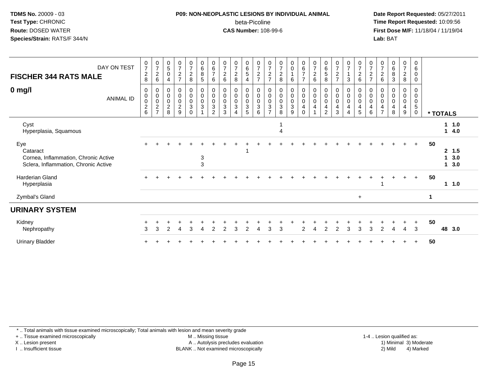### **P09: NON-NEOPLASTIC LESIONS BY INDIVIDUAL ANIMAL** beta-Picoline**beta-Picoline**<br> **CAS Number:** 108-99-6<br> **CAS Number:** 108-99-6<br> **CAS Number:** 108-99-6

 **Date Report Requested:** 05/27/2011 **First Dose M/F:** 11/18/04 / 11/19/04 Lab: BAT **Lab:** BAT

| DAY ON TEST                                                                                     | $\frac{0}{7}$                                                              | $\frac{0}{7}$                                           | $\begin{array}{c} 0 \\ 5 \end{array}$                          | $\frac{0}{7}$                                                | $\mathbf 0$<br>$\overline{7}$ | $\begin{array}{c} 0 \\ 6 \\ 8 \end{array}$                         | $\begin{array}{c} 0 \\ 6 \\ 7 \end{array}$                      | 0<br>$\overline{7}$       | $\begin{array}{c} 0 \\ 7 \end{array}$                                                                    | $\mathbf 0$<br>$\,6\,$                         | $\frac{0}{7}$                                                                | 0<br>$\overline{7}$                | $\frac{0}{7}$                                                   | 0<br>$\pmb{0}$                                                | 0                               | $\frac{0}{7}$                        | $\begin{array}{c} 0 \\ 6 \end{array}$                | 0<br>$\overline{7}$                                  | $\frac{0}{7}$         | $\frac{0}{7}$                         | $\frac{0}{7}$                                      | $\frac{0}{7}$                                           | $\begin{matrix}0\\6\\8\end{matrix}$ | $\pmb{0}$<br>$\boldsymbol{7}$      | $\mathbf 0$<br>6                                      |    |                                 |
|-------------------------------------------------------------------------------------------------|----------------------------------------------------------------------------|---------------------------------------------------------|----------------------------------------------------------------|--------------------------------------------------------------|-------------------------------|--------------------------------------------------------------------|-----------------------------------------------------------------|---------------------------|----------------------------------------------------------------------------------------------------------|------------------------------------------------|------------------------------------------------------------------------------|------------------------------------|-----------------------------------------------------------------|---------------------------------------------------------------|---------------------------------|--------------------------------------|------------------------------------------------------|------------------------------------------------------|-----------------------|---------------------------------------|----------------------------------------------------|---------------------------------------------------------|-------------------------------------|------------------------------------|-------------------------------------------------------|----|---------------------------------|
| <b>FISCHER 344 RATS MALE</b>                                                                    | $_{\rm 8}^2$                                                               | $\overline{c}$<br>$\,6\,$                               | $\ddot{\mathbf{0}}$<br>$\overline{4}$                          | $\overline{2}$<br>$\overline{7}$                             | $\overline{a}$<br>8           | $\overline{5}$                                                     | 6                                                               | $\overline{c}$<br>$\,6\,$ | $\sqrt{2}$<br>$\bf8$                                                                                     | $\overline{5}$<br>4                            | $\overline{c}$<br>$\overline{7}$                                             | $\boldsymbol{2}$<br>$\overline{ }$ | $\boldsymbol{2}$<br>8                                           | $\mathbf{1}$<br>6                                             | $\frac{6}{7}$<br>$\overline{z}$ | $\overline{c}$<br>$6\phantom{1}6$    | $\overline{5}$<br>$\bf8$                             | $\boldsymbol{2}$<br>$\overline{7}$                   | 3                     | $\frac{2}{6}$                         | $\boldsymbol{2}$<br>$\overline{ }$                 | $\boldsymbol{2}$<br>$6\phantom{1}$                      | 3                                   | $\overline{c}$<br>8                | $\mathbf 0$<br>0                                      |    |                                 |
| $0$ mg/l<br><b>ANIMAL ID</b>                                                                    | $\pmb{0}$<br>$\begin{smallmatrix}0\\0\end{smallmatrix}$<br>$\sqrt{2}$<br>6 | 0<br>$_{\rm 0}^{\rm 0}$<br>$\sqrt{2}$<br>$\overline{ }$ | $\begin{smallmatrix}0\\0\\0\end{smallmatrix}$<br>$\frac{2}{8}$ | $\begin{matrix} 0 \\ 0 \\ 0 \end{matrix}$<br>$\sqrt{2}$<br>9 | 0<br>0<br>0<br>3<br>$\Omega$  | $\mathbf 0$<br>$\pmb{0}$<br>$\pmb{0}$<br>$\ensuremath{\mathsf{3}}$ | 0<br>$\mathbf 0$<br>$\pmb{0}$<br>$\ensuremath{\mathsf{3}}$<br>2 | 0<br>0<br>0<br>3<br>3     | $\pmb{0}$<br>$\begin{smallmatrix} 0\\0 \end{smallmatrix}$<br>$\ensuremath{\mathsf{3}}$<br>$\overline{4}$ | 0<br>$\pmb{0}$<br>$\pmb{0}$<br>$\sqrt{3}$<br>5 | $\begin{smallmatrix}0\\0\end{smallmatrix}$<br>$\pmb{0}$<br>$\mathbf{3}$<br>6 | 0<br>0<br>0<br>3<br>$\overline{ }$ | 0<br>$\mathbf 0$<br>$\pmb{0}$<br>$\ensuremath{\mathsf{3}}$<br>8 | 0<br>$\pmb{0}$<br>$\pmb{0}$<br>$\ensuremath{\mathsf{3}}$<br>9 | 0<br>0<br>$\pmb{0}$<br>4<br>0   | $_{\rm 0}^{\rm 0}$<br>$\pmb{0}$<br>4 | 0<br>$\pmb{0}$<br>$\mathbf 0$<br>4<br>$\overline{2}$ | $\boldsymbol{0}$<br>$\pmb{0}$<br>$\pmb{0}$<br>4<br>3 | 0<br>0<br>0<br>4<br>4 | 0<br>$\pmb{0}$<br>$\pmb{0}$<br>4<br>5 | 0<br>$\pmb{0}$<br>$\pmb{0}$<br>$\overline{4}$<br>6 | 0<br>0<br>$\pmb{0}$<br>$\overline{4}$<br>$\overline{z}$ | 0<br>0<br>0<br>4<br>8               | 0<br>0<br>0<br>$\overline{4}$<br>9 | 0<br>0<br>$\pmb{0}$<br>$5\phantom{.0}$<br>$\mathbf 0$ |    | * TOTALS                        |
| Cyst<br>Hyperplasia, Squamous                                                                   |                                                                            |                                                         |                                                                |                                                              |                               |                                                                    |                                                                 |                           |                                                                                                          |                                                |                                                                              |                                    | 4                                                               |                                                               |                                 |                                      |                                                      |                                                      |                       |                                       |                                                    |                                                         |                                     |                                    |                                                       |    | $1 \t1.0$<br>4.0<br>$\mathbf 1$ |
| Eye<br>Cataract<br>Cornea, Inflammation, Chronic Active<br>Sclera, Inflammation, Chronic Active |                                                                            |                                                         |                                                                |                                                              |                               | 3<br>3                                                             |                                                                 |                           |                                                                                                          |                                                |                                                                              |                                    |                                                                 |                                                               |                                 |                                      |                                                      |                                                      |                       |                                       |                                                    |                                                         |                                     |                                    | $\ddot{}$                                             | 50 | 2, 1.5<br>3.0<br>1<br>3.0<br>1  |
| <b>Harderian Gland</b><br>Hyperplasia                                                           |                                                                            |                                                         |                                                                |                                                              |                               |                                                                    |                                                                 |                           |                                                                                                          |                                                |                                                                              |                                    |                                                                 |                                                               |                                 |                                      |                                                      |                                                      |                       |                                       |                                                    |                                                         |                                     |                                    | $\ddot{}$                                             | 50 | 1.0<br>1                        |
| Zymbal's Gland                                                                                  |                                                                            |                                                         |                                                                |                                                              |                               |                                                                    |                                                                 |                           |                                                                                                          |                                                |                                                                              |                                    |                                                                 |                                                               |                                 |                                      |                                                      |                                                      |                       | $+$                                   |                                                    |                                                         |                                     |                                    |                                                       |    |                                 |
| <b>URINARY SYSTEM</b>                                                                           |                                                                            |                                                         |                                                                |                                                              |                               |                                                                    |                                                                 |                           |                                                                                                          |                                                |                                                                              |                                    |                                                                 |                                                               |                                 |                                      |                                                      |                                                      |                       |                                       |                                                    |                                                         |                                     |                                    |                                                       |    |                                 |
| Kidney<br>Nephropathy                                                                           | 3                                                                          | 3                                                       | 2                                                              | 4                                                            | 3                             | 4                                                                  | $\overline{2}$                                                  |                           | 3                                                                                                        | 2                                              | 4                                                                            | 3                                  | 3                                                               |                                                               | $\overline{2}$                  | 4                                    | 2                                                    |                                                      | 3                     | 3                                     | 3                                                  | 2                                                       | 4                                   | 4                                  | 3                                                     | 50 | 48 3.0                          |
| <b>Urinary Bladder</b>                                                                          |                                                                            |                                                         |                                                                |                                                              |                               |                                                                    |                                                                 |                           |                                                                                                          |                                                |                                                                              |                                    |                                                                 |                                                               |                                 |                                      |                                                      |                                                      |                       |                                       |                                                    |                                                         |                                     |                                    |                                                       | 50 |                                 |

\* .. Total animals with tissue examined microscopically; Total animals with lesion and mean severity grade

+ .. Tissue examined microscopically

X .. Lesion present

I .. Insufficient tissue

M .. Missing tissue

A .. Autolysis precludes evaluation

 1-4 .. Lesion qualified as: BLANK .. Not examined microscopically 2) Mild 4) Marked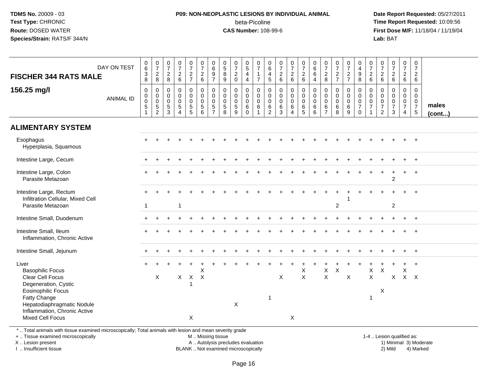## **P09: NON-NEOPLASTIC LESIONS BY INDIVIDUAL ANIMAL**beta-Picoline<br>CAS Number: 108-99-6

 **Date Report Requested:** 05/27/2011 **Time Report Requested:** 10:09:56 **First Dose M/F:** 11/18/04 / 11/19/04<br>Lab: BAT **Lab:** BAT

| DAY ON TEST<br><b>FISCHER 344 RATS MALE</b>                                                                                                                                                                        | $\begin{matrix} 0 \\ 6 \end{matrix}$<br>$\mathsf 3$<br>8 | $\frac{0}{7}$<br>8                                 | $\frac{0}{7}$<br>$\overline{c}$<br>8               | $\frac{0}{7}$<br>$\sqrt{2}$<br>$\,6\,$                                    | $\frac{0}{7}$<br>$\overline{c}$<br>$\overline{7}$ | $\begin{smallmatrix}0\\7\end{smallmatrix}$<br>$\overline{2}$<br>6 | $_{6}^{\rm 0}$<br>$\boldsymbol{9}$<br>$\overline{7}$                           | $\begin{smallmatrix}0\0\0\end{smallmatrix}$<br>$\boldsymbol{8}$<br>9 | $\frac{0}{7}$<br>$\sqrt{2}$<br>$\mathbf 0$                   | $\begin{matrix} 0 \\ 5 \end{matrix}$<br>$\overline{4}$<br>$\overline{4}$ | 0<br>$\boldsymbol{7}$<br>$\mathbf{1}$<br>$\overline{7}$           | 0<br>6<br>$\overline{4}$<br>$5\overline{)}$                  | $\frac{0}{7}$<br>$\frac{2}{6}$                          | $\frac{0}{7}$<br>$\frac{2}{6}$                                                             | $\frac{0}{7}$<br>$\frac{2}{6}$                  | $\begin{array}{c} 0 \\ 6 \end{array}$<br>$\,6\,$<br>$\overline{4}$          | $\frac{0}{7}$<br>$\overline{c}$<br>8                   | $\frac{0}{7}$<br>$\frac{2}{7}$                        | $\frac{0}{7}$<br>$\overline{c}$<br>$\overline{7}$             | $_4^{\rm 0}$<br>$\boldsymbol{9}$<br>8                            | $\frac{0}{7}$<br>6                                                          | 0<br>$\overline{7}$<br>$\overline{2}$<br>6                | $\frac{0}{7}$<br>$\overline{2}$<br>6                             | 0<br>$\overline{7}$<br>$\overline{2}$<br>6                          | 0<br>$\boldsymbol{7}$<br>$\overline{c}$<br>6                         |                 |
|--------------------------------------------------------------------------------------------------------------------------------------------------------------------------------------------------------------------|----------------------------------------------------------|----------------------------------------------------|----------------------------------------------------|---------------------------------------------------------------------------|---------------------------------------------------|-------------------------------------------------------------------|--------------------------------------------------------------------------------|----------------------------------------------------------------------|--------------------------------------------------------------|--------------------------------------------------------------------------|-------------------------------------------------------------------|--------------------------------------------------------------|---------------------------------------------------------|--------------------------------------------------------------------------------------------|-------------------------------------------------|-----------------------------------------------------------------------------|--------------------------------------------------------|-------------------------------------------------------|---------------------------------------------------------------|------------------------------------------------------------------|-----------------------------------------------------------------------------|-----------------------------------------------------------|------------------------------------------------------------------|---------------------------------------------------------------------|----------------------------------------------------------------------|-----------------|
| 156.25 mg/l<br><b>ANIMAL ID</b>                                                                                                                                                                                    | 0<br>0<br>0<br>$\sqrt{5}$                                | $\pmb{0}$<br>$\overline{0}$<br>5<br>$\overline{2}$ | $\mathbf 0$<br>0<br>$\mathbf 0$<br>$\sqrt{5}$<br>3 | $\mathbf 0$<br>$\mathbf 0$<br>$\mathbf 0$<br>$\sqrt{5}$<br>$\overline{4}$ | 0<br>$\mathbf 0$<br>$\mathsf 0$<br>$\frac{5}{5}$  | $\mathsf 0$<br>0<br>$\mathbf 0$<br>$5\phantom{.0}$<br>6           | $\pmb{0}$<br>$\pmb{0}$<br>$\mathsf{O}\xspace$<br>$\mathbf 5$<br>$\overline{7}$ | $\mathbf 0$<br>$\mathbf 0$<br>$\mathbf 0$<br>$\sqrt{5}$<br>8         | $\mathbf 0$<br>$\mathbf 0$<br>$\mathbf 0$<br>$\sqrt{5}$<br>9 | $\mathsf{O}\xspace$<br>$\mathbf 0$<br>$\mathbf 0$<br>$\,6\,$<br>$\Omega$ | $\mathsf 0$<br>$\overline{0}$<br>$\mathbf 0$<br>6<br>$\mathbf{1}$ | $\mathbf 0$<br>0<br>$\mathbf 0$<br>$\,6\,$<br>$\overline{2}$ | $\pmb{0}$<br>$\mathbf 0$<br>$\mathbf 0$<br>$\,6\,$<br>3 | $\mathsf{O}\xspace$<br>$\pmb{0}$<br>$\mathsf{O}\xspace$<br>$\,6$<br>$\boldsymbol{\Lambda}$ | $\pmb{0}$<br>$\mathbf 0$<br>$\pmb{0}$<br>$^6$ 5 | $\mathbf 0$<br>$\begin{smallmatrix} 0\\0 \end{smallmatrix}$<br>$\,6\,$<br>6 | 0<br>$\pmb{0}$<br>$\mathbf 0$<br>6<br>$\overline{7}$   | $\pmb{0}$<br>$\pmb{0}$<br>$\mathbf 0$<br>$\,6\,$<br>8 | $\mathsf{O}$<br>$\mathsf{O}\xspace$<br>$\mathsf{O}$<br>6<br>9 | 0<br>$\mathbf 0$<br>$\mathsf 0$<br>$\overline{7}$<br>$\mathbf 0$ | $\mathbf 0$<br>$\mathbf 0$<br>$\pmb{0}$<br>$\overline{7}$<br>$\overline{1}$ | 0<br>0<br>$\mathbf 0$<br>$\overline{7}$<br>$\overline{2}$ | $\mathbf 0$<br>$\mathbf 0$<br>$\mathbf 0$<br>$\overline{7}$<br>3 | 0<br>$\mathbf 0$<br>$\mathbf 0$<br>$\overline{7}$<br>$\overline{4}$ | $\mathbf 0$<br>0<br>$\mathbf 0$<br>$\overline{7}$<br>$5\phantom{.0}$ | males<br>(cont) |
| <b>ALIMENTARY SYSTEM</b>                                                                                                                                                                                           |                                                          |                                                    |                                                    |                                                                           |                                                   |                                                                   |                                                                                |                                                                      |                                                              |                                                                          |                                                                   |                                                              |                                                         |                                                                                            |                                                 |                                                                             |                                                        |                                                       |                                                               |                                                                  |                                                                             |                                                           |                                                                  |                                                                     |                                                                      |                 |
| Esophagus<br>Hyperplasia, Squamous                                                                                                                                                                                 |                                                          |                                                    |                                                    |                                                                           |                                                   |                                                                   |                                                                                |                                                                      |                                                              |                                                                          |                                                                   |                                                              |                                                         |                                                                                            |                                                 |                                                                             |                                                        |                                                       |                                                               |                                                                  |                                                                             |                                                           |                                                                  |                                                                     | $\ddot{}$                                                            |                 |
| Intestine Large, Cecum                                                                                                                                                                                             |                                                          |                                                    |                                                    |                                                                           |                                                   |                                                                   |                                                                                |                                                                      |                                                              |                                                                          |                                                                   |                                                              |                                                         |                                                                                            |                                                 |                                                                             |                                                        |                                                       |                                                               |                                                                  |                                                                             |                                                           |                                                                  |                                                                     |                                                                      |                 |
| Intestine Large, Colon<br>Parasite Metazoan                                                                                                                                                                        |                                                          |                                                    |                                                    |                                                                           |                                                   |                                                                   |                                                                                |                                                                      |                                                              |                                                                          |                                                                   |                                                              |                                                         |                                                                                            |                                                 |                                                                             |                                                        |                                                       |                                                               |                                                                  |                                                                             |                                                           | $\overline{2}$                                                   |                                                                     |                                                                      |                 |
| Intestine Large, Rectum<br>Infiltration Cellular, Mixed Cell<br>Parasite Metazoan                                                                                                                                  | -1                                                       |                                                    |                                                    | $\mathbf{1}$                                                              |                                                   |                                                                   |                                                                                |                                                                      |                                                              |                                                                          |                                                                   |                                                              |                                                         |                                                                                            |                                                 |                                                                             |                                                        | $\overline{2}$                                        |                                                               |                                                                  |                                                                             |                                                           | $\overline{c}$                                                   |                                                                     |                                                                      |                 |
| Intestine Small, Duodenum                                                                                                                                                                                          |                                                          |                                                    |                                                    |                                                                           |                                                   |                                                                   |                                                                                |                                                                      |                                                              |                                                                          |                                                                   |                                                              |                                                         |                                                                                            |                                                 |                                                                             |                                                        |                                                       |                                                               |                                                                  |                                                                             |                                                           |                                                                  |                                                                     |                                                                      |                 |
| Intestine Small, Ileum<br>Inflammation, Chronic Active                                                                                                                                                             |                                                          |                                                    |                                                    |                                                                           |                                                   |                                                                   |                                                                                |                                                                      |                                                              |                                                                          |                                                                   |                                                              |                                                         |                                                                                            |                                                 |                                                                             |                                                        |                                                       |                                                               |                                                                  |                                                                             |                                                           |                                                                  |                                                                     |                                                                      |                 |
| Intestine Small, Jejunum                                                                                                                                                                                           |                                                          |                                                    |                                                    |                                                                           |                                                   |                                                                   |                                                                                |                                                                      |                                                              |                                                                          |                                                                   |                                                              |                                                         |                                                                                            |                                                 |                                                                             |                                                        |                                                       |                                                               |                                                                  |                                                                             |                                                           |                                                                  |                                                                     | $\ddot{}$                                                            |                 |
| Liver<br><b>Basophilic Focus</b><br>Clear Cell Focus<br>Degeneration, Cystic<br><b>Eosinophilic Focus</b><br>Fatty Change<br>Hepatodiaphragmatic Nodule<br>Inflammation, Chronic Active<br><b>Mixed Cell Focus</b> |                                                          | X                                                  |                                                    | X                                                                         | $\mathsf{X}$<br>$\mathbf{1}$<br>X                 | $\mathsf X$<br>$\mathsf{X}$                                       |                                                                                |                                                                      | X                                                            |                                                                          |                                                                   | $\mathbf{1}$                                                 | X                                                       | X                                                                                          | $\pmb{\times}$<br>$\times$                      |                                                                             | $\boldsymbol{\mathsf{X}}$<br>$\boldsymbol{\mathsf{X}}$ | $\mathsf X$                                           | X                                                             |                                                                  | X<br>$\boldsymbol{\mathsf{X}}$<br>$\overline{1}$                            | $\boldsymbol{\mathsf{X}}$<br>$\boldsymbol{\mathsf{X}}$    | $\mathsf{X}$                                                     | X<br>$X$ $X$                                                        |                                                                      |                 |

+ .. Tissue examined microscopically

X .. Lesion present

I .. Insufficient tissue

M .. Missing tissue

BLANK .. Not examined microscopically

 1-4 .. Lesion qualified as: A .. Autolysis precludes evaluation 19 and 10 minimal 3) Moderate 1 and 20 minimal 3) Moderate 19 minimal 3) Moderat<br>19 and 19 and 19 and 19 and 19 and 19 and 19 and 19 and 19 and 19 and 19 and 19 and 19 and 19 and 19 and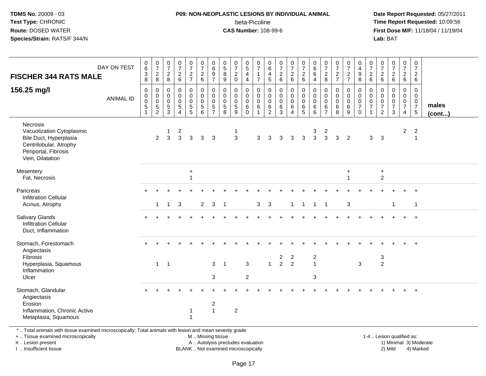## **P09: NON-NEOPLASTIC LESIONS BY INDIVIDUAL ANIMAL** beta-Picoline**beta-Picoline**<br> **CAS Number:** 108-99-6<br> **CAS Number:** 108-99-6<br> **CAS Number:** 108-99-6

 **Date Report Requested:** 05/27/2011 **First Dose M/F:** 11/18/04 / 11/19/04<br>Lab: BAT **Lab:** BAT

| DAY ON TEST<br><b>FISCHER 344 RATS MALE</b>                                                                                           | 0<br>0<br>0<br>3<br>8                                         | $\frac{0}{7}$<br>$\sqrt{2}$<br>8                          | $\frac{0}{7}$<br>$\overline{c}$<br>8                | $\begin{array}{c} 0 \\ 7 \end{array}$<br>$\begin{array}{c} 2 \\ 6 \end{array}$ | $\frac{0}{7}$<br>$\frac{2}{7}$                              | $\frac{0}{7}$<br>$\frac{2}{6}$                       | $\begin{array}{c} 0 \\ 6 \end{array}$<br>$\frac{9}{7}$ | $\begin{array}{c} 0 \\ 5 \end{array}$<br>$^8_9$                                    | $\frac{0}{7}$<br>$^2_{\rm 0}$                              | $\begin{array}{c} 0 \\ 5 \end{array}$<br>$\overline{4}$<br>4 | $\begin{array}{c} 0 \\ 7 \end{array}$<br>$\frac{1}{7}$   | $_6^0$<br>4<br>5                                              | $\begin{array}{c} 0 \\ 7 \end{array}$<br>$^2\phantom{1}6$ | $\begin{smallmatrix}0\\7\end{smallmatrix}$<br>$\begin{array}{c} 2 \\ 6 \end{array}$ | $\begin{array}{c} 0 \\ 7 \end{array}$<br>$\begin{array}{c} 2 \\ 6 \end{array}$             | $\begin{array}{c} 0 \\ 6 \end{array}$<br>6<br>4               | $\frac{0}{7}$<br>$\overline{c}$<br>8                             | $\frac{0}{7}$<br>$\frac{2}{7}$                        | $\frac{0}{7}$<br>$\frac{2}{7}$                   | $\begin{array}{c} 0 \\ 4 \\ 9 \\ 8 \end{array}$            | $\begin{array}{c} 0 \\ 7 \end{array}$<br>$^2\phantom{1}6$        | $\frac{0}{7}$<br>$\begin{array}{c} 2 \\ 6 \end{array}$             | $\begin{array}{c} 0 \\ 7 \end{array}$<br>$\frac{2}{6}$                        | $\frac{0}{7}$<br>$\frac{2}{6}$                                 | $\begin{array}{c} 0 \\ 7 \end{array}$<br>$\frac{2}{6}$   |                 |
|---------------------------------------------------------------------------------------------------------------------------------------|---------------------------------------------------------------|-----------------------------------------------------------|-----------------------------------------------------|--------------------------------------------------------------------------------|-------------------------------------------------------------|------------------------------------------------------|--------------------------------------------------------|------------------------------------------------------------------------------------|------------------------------------------------------------|--------------------------------------------------------------|----------------------------------------------------------|---------------------------------------------------------------|-----------------------------------------------------------|-------------------------------------------------------------------------------------|--------------------------------------------------------------------------------------------|---------------------------------------------------------------|------------------------------------------------------------------|-------------------------------------------------------|--------------------------------------------------|------------------------------------------------------------|------------------------------------------------------------------|--------------------------------------------------------------------|-------------------------------------------------------------------------------|----------------------------------------------------------------|----------------------------------------------------------|-----------------|
| 156.25 mg/l<br><b>ANIMAL ID</b>                                                                                                       | $\boldsymbol{0}$<br>$\mathbf 0$<br>$\mathbf 0$<br>$\mathbf 5$ | 0<br>$\pmb{0}$<br>$\mathsf 0$<br>$\sqrt{5}$<br>$\sqrt{2}$ | $\mathbf 0$<br>$\mathbf 0$<br>$\mathbf 0$<br>5<br>3 | $\mathbf 0$<br>$\mathbf 0$<br>$\mathsf 0$<br>$\,$ 5 $\,$<br>$\overline{4}$     | $\mathbf 0$<br>$\mathbf 0$<br>$\mathsf{O}$<br>$\frac{5}{5}$ | $\pmb{0}$<br>$\pmb{0}$<br>$\pmb{0}$<br>$\frac{5}{6}$ | $\pmb{0}$<br>$\pmb{0}$<br>$\pmb{0}$<br>$\frac{5}{7}$   | $\mathbf 0$<br>$\mathbf 0$<br>$\mathbf 0$<br>$\begin{array}{c} 5 \\ 8 \end{array}$ | $\mathbf 0$<br>$\pmb{0}$<br>$\mathbf 0$<br>$\sqrt{5}$<br>9 | $\mathbf 0$<br>0<br>$\mathsf{O}\xspace$<br>$\,6$<br>$\Omega$ | 0<br>$\mathbf 0$<br>$\mathsf 0$<br>$\,6$<br>$\mathbf{1}$ | $\Omega$<br>$\mathbf 0$<br>$\mathbf 0$<br>6<br>$\overline{2}$ | $\mathbf 0$<br>$\mathbf 0$<br>$\pmb{0}$<br>$\frac{6}{3}$  | $\mathbf 0$<br>$\mathsf 0$<br>$\pmb{0}$<br>$\,6\,$<br>$\overline{4}$                | $\mathsf{O}\xspace$<br>$\mathbf 0$<br>$\mathsf 0$<br>$\begin{array}{c} 6 \\ 5 \end{array}$ | $\pmb{0}$<br>$\mathbf 0$<br>$\mathbf 0$<br>$\,6\,$<br>$\,6\,$ | $\mathbf 0$<br>$\mathbf 0$<br>$\mathbf 0$<br>6<br>$\overline{7}$ | $\mathbf 0$<br>$\pmb{0}$<br>$\pmb{0}$<br>$\,6\,$<br>8 | $\Omega$<br>$\mathbf 0$<br>$\mathbf 0$<br>6<br>9 | 0<br>$\pmb{0}$<br>$\pmb{0}$<br>$\overline{7}$<br>$\pmb{0}$ | $\mathbf 0$<br>$\mathbf 0$<br>$\mathsf 0$<br>$\overline{7}$<br>1 | $\mathbf 0$<br>$\Omega$<br>0<br>$\boldsymbol{7}$<br>$\overline{2}$ | $\mathbf 0$<br>$\mathbf 0$<br>$\mathsf 0$<br>$\boldsymbol{7}$<br>$\mathbf{3}$ | $\mathbf 0$<br>0<br>$\mathsf{O}\xspace$<br>$\overline{7}$<br>4 | $\mathbf 0$<br>$\mathbf 0$<br>$\pmb{0}$<br>$\frac{7}{5}$ | males<br>(cont) |
| Necrosis<br>Vacuolization Cytoplasmic<br>Bile Duct, Hyperplasia<br>Centrilobular, Atrophy<br>Periportal, Fibrosis<br>Vein, Dilatation |                                                               | $\overline{2}$                                            | 1<br>$\mathbf{3}$                                   | $\overline{c}$<br>$\mathfrak{S}$                                               | $\mathbf{3}$                                                | 3                                                    | 3                                                      |                                                                                    | 1<br>$\mathfrak{S}$                                        |                                                              | 3                                                        | 3                                                             | 3                                                         | $\mathbf{3}$                                                                        | 3                                                                                          | 3<br>$\mathbf{3}$                                             | $\overline{c}$<br>$\mathfrak{Z}$                                 | 3                                                     | $\overline{2}$                                   |                                                            | 3                                                                | 3                                                                  |                                                                               | $\overline{2}$                                                 | $\overline{2}$<br>$\mathbf 1$                            |                 |
| Mesentery<br>Fat, Necrosis                                                                                                            |                                                               |                                                           |                                                     |                                                                                | $\ddot{}$<br>$\mathbf{1}$                                   |                                                      |                                                        |                                                                                    |                                                            |                                                              |                                                          |                                                               |                                                           |                                                                                     |                                                                                            |                                                               |                                                                  |                                                       | $\ddot{}$<br>$\overline{1}$                      |                                                            |                                                                  | $\ddot{}$<br>$\overline{2}$                                        |                                                                               |                                                                |                                                          |                 |
| Pancreas<br><b>Infiltration Cellular</b><br>Acinus, Atrophy                                                                           |                                                               | 1                                                         | $\overline{1}$                                      | $\mathbf{3}$                                                                   |                                                             | $\overline{2}$                                       | 3                                                      | $\overline{\mathbf{1}}$                                                            |                                                            |                                                              | 3                                                        | $\mathbf{3}$                                                  |                                                           | $\mathbf{1}$                                                                        | $\overline{1}$                                                                             | $1 \quad 1$                                                   |                                                                  |                                                       | 3                                                |                                                            |                                                                  |                                                                    | $\mathbf{1}$                                                                  |                                                                | $\mathbf 1$                                              |                 |
| <b>Salivary Glands</b><br><b>Infiltration Cellular</b><br>Duct, Inflammation                                                          |                                                               |                                                           |                                                     |                                                                                |                                                             |                                                      |                                                        |                                                                                    |                                                            |                                                              |                                                          |                                                               |                                                           |                                                                                     |                                                                                            |                                                               |                                                                  |                                                       |                                                  |                                                            |                                                                  |                                                                    |                                                                               |                                                                |                                                          |                 |
| Stomach, Forestomach<br>Angiectasis                                                                                                   |                                                               |                                                           |                                                     |                                                                                |                                                             |                                                      |                                                        |                                                                                    |                                                            |                                                              |                                                          |                                                               |                                                           |                                                                                     |                                                                                            |                                                               |                                                                  |                                                       |                                                  |                                                            |                                                                  |                                                                    |                                                                               |                                                                |                                                          |                 |
| Fibrosis<br>Hyperplasia, Squamous<br>Inflammation<br>Ulcer                                                                            |                                                               | $\mathbf{1}$                                              | $\overline{1}$                                      |                                                                                |                                                             |                                                      | 3<br>$\mathbf{3}$                                      | -1                                                                                 |                                                            | 3<br>$\boldsymbol{2}$                                        |                                                          | $\mathbf{1}$                                                  | $\overline{c}$<br>$\overline{2}$                          | $\overline{2}$<br>$\overline{2}$                                                    |                                                                                            | $\overline{2}$<br>$\overline{1}$<br>$\mathbf{3}$              |                                                                  |                                                       |                                                  | 3                                                          |                                                                  | 3<br>$\overline{c}$                                                |                                                                               |                                                                |                                                          |                 |
| Stomach, Glandular<br>Angiectasis                                                                                                     |                                                               |                                                           |                                                     |                                                                                |                                                             |                                                      |                                                        |                                                                                    |                                                            |                                                              |                                                          |                                                               |                                                           |                                                                                     |                                                                                            |                                                               |                                                                  |                                                       |                                                  |                                                            |                                                                  |                                                                    |                                                                               |                                                                |                                                          |                 |
| Erosion<br>Inflammation, Chronic Active<br>Metaplasia, Squamous                                                                       |                                                               |                                                           |                                                     |                                                                                | -1                                                          |                                                      | $\sqrt{2}$<br>$\overline{1}$                           |                                                                                    | $\overline{2}$                                             |                                                              |                                                          |                                                               |                                                           |                                                                                     |                                                                                            |                                                               |                                                                  |                                                       |                                                  |                                                            |                                                                  |                                                                    |                                                                               |                                                                |                                                          |                 |

\* .. Total animals with tissue examined microscopically; Total animals with lesion and mean severity grade

+ .. Tissue examined microscopically

X .. Lesion present

I .. Insufficient tissue

M .. Missing tissue

BLANK .. Not examined microscopically

 1-4 .. Lesion qualified as: A .. Autolysis precludes evaluation 19 and 10 minimal 3) Moderate 1 and 20 minimal 3) Moderate 19 minimal 3) Moderat<br>19 and 19 and 19 and 19 and 19 and 19 and 19 and 19 and 19 and 19 and 19 and 19 and 19 and 19 and 19 and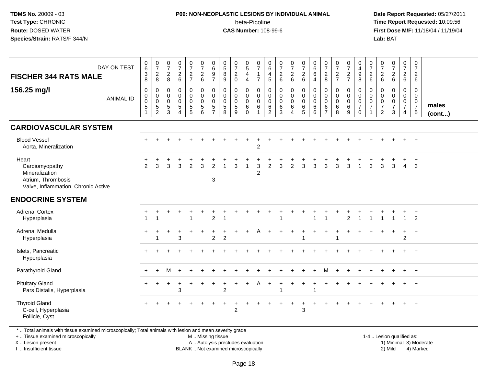### **P09: NON-NEOPLASTIC LESIONS BY INDIVIDUAL ANIMAL** beta-Picoline**beta-Picoline**<br> **CAS Number:** 108-99-6<br> **CAS Number:** 108-99-6<br> **CAS Number:** 108-99-6

 **Date Report Requested:** 05/27/2011 **First Dose M/F:** 11/18/04 / 11/19/04 Lab: BAT **Lab:** BAT

| DAY ON TEST<br><b>FISCHER 344 RATS MALE</b>                                                            | $\mathbf 0$<br>$6\phantom{a}$<br>$\sqrt{3}$<br>8                              | $\frac{0}{7}$<br>$\frac{2}{8}$                                            | $\frac{0}{7}$<br>$_{\rm 8}^2$                    | $\frac{0}{7}$<br>$\begin{array}{c} 2 \\ 6 \end{array}$            | $\frac{0}{7}$<br>$\frac{2}{7}$                                           | $\frac{0}{7}$<br>$\begin{array}{c} 2 \\ 6 \end{array}$    | 0<br>$\,6\,$<br>$\boldsymbol{9}$<br>$\overline{7}$              | 0<br>$\overline{5}$<br>$\, 8$<br>9                           | $\frac{0}{7}$<br>$^2_{\rm 0}$             | $\begin{matrix} 0 \\ 5 \end{matrix}$<br>$\overline{4}$<br>$\overline{4}$ | $\frac{0}{7}$<br>$\mathbf{1}$<br>$\overline{7}$ | $\begin{matrix} 0 \\ 6 \end{matrix}$<br>$\overline{4}$<br>$\overline{5}$ | $\frac{0}{7}$<br>$\begin{array}{c} 2 \\ 6 \end{array}$  | $\frac{0}{7}$<br>$\begin{array}{c} 2 \\ 6 \end{array}$ | $\frac{0}{7}$<br>$\frac{2}{6}$                                         | $\begin{array}{c} 0 \\ 6 \end{array}$<br>$\,6\,$<br>$\overline{4}$ | 0<br>$\overline{7}$<br>$_{\rm 8}^2$                            | $\frac{0}{7}$<br>$\frac{2}{7}$                      | $\frac{0}{7}$<br>$\frac{2}{7}$                          | 0<br>$\begin{array}{c} 4 \\ 9 \end{array}$<br>$\overline{8}$             | $\frac{0}{7}$<br>$^2\phantom{1}6$                      | 0<br>$\boldsymbol{7}$<br>$^2\phantom{1}6$            | $\frac{0}{7}$<br>$\begin{array}{c} 2 \\ 6 \end{array}$         | $\frac{0}{7}$<br>$\begin{array}{c} 2 \\ 6 \end{array}$                 | 0<br>$\overline{7}$<br>$\overline{a}$<br>6                                  |                       |
|--------------------------------------------------------------------------------------------------------|-------------------------------------------------------------------------------|---------------------------------------------------------------------------|--------------------------------------------------|-------------------------------------------------------------------|--------------------------------------------------------------------------|-----------------------------------------------------------|-----------------------------------------------------------------|--------------------------------------------------------------|-------------------------------------------|--------------------------------------------------------------------------|-------------------------------------------------|--------------------------------------------------------------------------|---------------------------------------------------------|--------------------------------------------------------|------------------------------------------------------------------------|--------------------------------------------------------------------|----------------------------------------------------------------|-----------------------------------------------------|---------------------------------------------------------|--------------------------------------------------------------------------|--------------------------------------------------------|------------------------------------------------------|----------------------------------------------------------------|------------------------------------------------------------------------|-----------------------------------------------------------------------------|-----------------------|
| 156.25 mg/l<br><b>ANIMAL ID</b>                                                                        | $\mathbf 0$<br>$\mathbf 0$<br>$\mathbf 0$<br>$\overline{5}$<br>$\overline{1}$ | $\mathbf 0$<br>$\mathbf 0$<br>$\mathbf 0$<br>$\sqrt{5}$<br>$\overline{2}$ | 0<br>0<br>$\mathsf{O}\xspace$<br>$\sqrt{5}$<br>3 | 0<br>$\overline{0}$<br>$\mathsf{O}\xspace$<br>5<br>$\overline{4}$ | $\mathbf 0$<br>$\mathbf 0$<br>$\mathsf{O}\xspace$<br>$\overline{5}$<br>5 | $\pmb{0}$<br>$\pmb{0}$<br>$\mathbf 0$<br>$\,$ 5 $\,$<br>6 | 0<br>$\mathbf 0$<br>$\mathbf 0$<br>$\sqrt{5}$<br>$\overline{7}$ | $\mathbf 0$<br>$\mathbf 0$<br>$\mathbf 0$<br>$\sqrt{5}$<br>8 | 0<br>$\mathbf 0$<br>$\mathbf 0$<br>5<br>9 | 0<br>$\mathbf 0$<br>$\mathsf{O}\xspace$<br>$\,6\,$<br>$\Omega$           | 0<br>$\pmb{0}$<br>$\mathbf 0$<br>6              | $\boldsymbol{0}$<br>$\mathbf 0$<br>$\mathsf{O}\xspace$<br>$\frac{6}{2}$  | $\mathbf 0$<br>$\mathbf 0$<br>$\mathbf 0$<br>$\,6$<br>3 | 0<br>$\mathbf 0$<br>$\mathbf 0$<br>6<br>$\overline{4}$ | $\mathbf 0$<br>$\mathbf 0$<br>$\mathbf 0$<br>$\,6\,$<br>$\overline{5}$ | $\pmb{0}$<br>$\pmb{0}$<br>$\overline{0}$<br>6<br>6                 | $\mathbf 0$<br>$\pmb{0}$<br>$\mathbf 0$<br>6<br>$\overline{7}$ | $\mathbf 0$<br>$\mathbf 0$<br>$\mathbf 0$<br>6<br>8 | 0<br>$\mathsf{O}\xspace$<br>$\mathsf 0$<br>$\,6\,$<br>9 | 0<br>$\mathbf 0$<br>$\mathsf{O}\xspace$<br>$\overline{7}$<br>$\mathbf 0$ | 0<br>$\mathbf 0$<br>$\mathbf 0$<br>$\overline{7}$<br>1 | 0<br>$\mathbf 0$<br>$\pmb{0}$<br>$\overline{7}$<br>2 | $\mathbf 0$<br>$\mathbf 0$<br>$\pmb{0}$<br>$\overline{7}$<br>3 | 0<br>$\mathbf 0$<br>$\overline{0}$<br>$\overline{7}$<br>$\overline{4}$ | $\mathbf 0$<br>$\Omega$<br>$\mathbf 0$<br>$\overline{7}$<br>$5\phantom{.0}$ | males<br>$($ cont $)$ |
| <b>CARDIOVASCULAR SYSTEM</b>                                                                           |                                                                               |                                                                           |                                                  |                                                                   |                                                                          |                                                           |                                                                 |                                                              |                                           |                                                                          |                                                 |                                                                          |                                                         |                                                        |                                                                        |                                                                    |                                                                |                                                     |                                                         |                                                                          |                                                        |                                                      |                                                                |                                                                        |                                                                             |                       |
| <b>Blood Vessel</b><br>Aorta, Mineralization                                                           |                                                                               |                                                                           |                                                  |                                                                   |                                                                          |                                                           |                                                                 |                                                              |                                           |                                                                          | $\overline{2}$                                  |                                                                          |                                                         |                                                        |                                                                        |                                                                    |                                                                |                                                     |                                                         |                                                                          |                                                        |                                                      |                                                                |                                                                        | $^{+}$                                                                      |                       |
| Heart<br>Cardiomyopathy<br>Mineralization<br>Atrium, Thrombosis<br>Valve, Inflammation, Chronic Active | 2                                                                             | 3                                                                         | 3                                                | 3                                                                 | $\overline{2}$                                                           | 3                                                         | $\overline{c}$<br>3                                             |                                                              | 3                                         | $\blacktriangleleft$                                                     | $\mathbf{3}$<br>$\overline{2}$                  | $\overline{c}$                                                           | 3                                                       | $\overline{2}$                                         | 3                                                                      | 3                                                                  | 3                                                              | 3                                                   | 3                                                       |                                                                          | 3                                                      | 3                                                    | 3                                                              | $\overline{4}$                                                         | $^{+}$<br>3                                                                 |                       |
| <b>ENDOCRINE SYSTEM</b>                                                                                |                                                                               |                                                                           |                                                  |                                                                   |                                                                          |                                                           |                                                                 |                                                              |                                           |                                                                          |                                                 |                                                                          |                                                         |                                                        |                                                                        |                                                                    |                                                                |                                                     |                                                         |                                                                          |                                                        |                                                      |                                                                |                                                                        |                                                                             |                       |
| <b>Adrenal Cortex</b><br>Hyperplasia                                                                   |                                                                               |                                                                           |                                                  |                                                                   |                                                                          |                                                           | $\overline{c}$                                                  |                                                              |                                           |                                                                          |                                                 |                                                                          |                                                         |                                                        |                                                                        |                                                                    |                                                                |                                                     | $\boldsymbol{2}$                                        |                                                                          |                                                        |                                                      |                                                                | $\mathbf{1}$                                                           | +<br>$\overline{2}$                                                         |                       |
| Adrenal Medulla<br>Hyperplasia                                                                         |                                                                               | 1                                                                         |                                                  | 3                                                                 |                                                                          |                                                           | $\overline{2}$                                                  | $\overline{2}$                                               |                                           |                                                                          |                                                 |                                                                          |                                                         | $\ddot{}$                                              |                                                                        |                                                                    |                                                                |                                                     |                                                         |                                                                          |                                                        |                                                      | $\ddot{}$                                                      | $\ddot{}$<br>$\overline{2}$                                            | $^{+}$                                                                      |                       |
| Islets, Pancreatic<br>Hyperplasia                                                                      |                                                                               |                                                                           |                                                  |                                                                   |                                                                          |                                                           |                                                                 |                                                              |                                           |                                                                          |                                                 |                                                                          |                                                         |                                                        |                                                                        |                                                                    |                                                                |                                                     |                                                         |                                                                          |                                                        |                                                      |                                                                | $\ddot{}$                                                              | $+$                                                                         |                       |
| Parathyroid Gland                                                                                      | $\pm$                                                                         | $\ddot{}$                                                                 | М                                                | $\ddot{}$                                                         |                                                                          |                                                           |                                                                 |                                                              |                                           |                                                                          |                                                 |                                                                          |                                                         |                                                        |                                                                        |                                                                    |                                                                |                                                     |                                                         |                                                                          |                                                        |                                                      |                                                                | $\ddot{}$                                                              | $+$                                                                         |                       |
| <b>Pituitary Gland</b><br>Pars Distalis, Hyperplasia                                                   |                                                                               |                                                                           |                                                  | 3                                                                 |                                                                          |                                                           | $\ddot{}$                                                       | $\overline{c}$                                               |                                           |                                                                          |                                                 |                                                                          | 1                                                       |                                                        |                                                                        | -1                                                                 |                                                                |                                                     |                                                         |                                                                          |                                                        |                                                      |                                                                |                                                                        | $+$                                                                         |                       |
| <b>Thyroid Gland</b><br>C-cell, Hyperplasia<br>Follicle, Cyst                                          |                                                                               |                                                                           |                                                  |                                                                   |                                                                          |                                                           |                                                                 |                                                              | $\ddot{}$<br>$\overline{2}$               |                                                                          |                                                 |                                                                          |                                                         | $\ddot{}$                                              | $\ddot{}$<br>3                                                         | $\ddot{}$                                                          |                                                                |                                                     |                                                         |                                                                          |                                                        |                                                      |                                                                | $\ddot{}$                                                              | $^{+}$                                                                      |                       |

\* .. Total animals with tissue examined microscopically; Total animals with lesion and mean severity grade

+ .. Tissue examined microscopically

X .. Lesion present

I .. Insufficient tissue

M .. Missing tissue

A .. Autolysis precludes evaluation

BLANK .. Not examined microscopically 2) Mild 4) Marked

1-4 .. Lesion qualified as: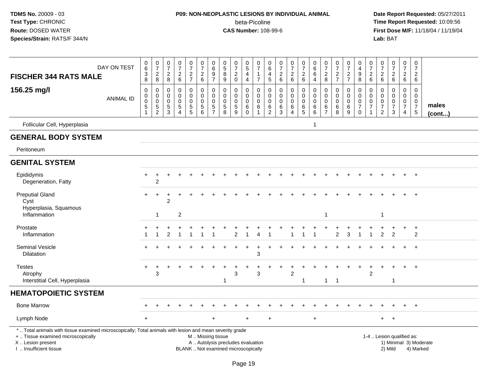## **P09: NON-NEOPLASTIC LESIONS BY INDIVIDUAL ANIMAL**beta-Picoline<br>CAS Number: 108-99-6

| DAY ON TEST<br><b>FISCHER 344 RATS MALE</b>                                                                                                                                                   | 0<br>6<br>$_8^3$                                       | $\begin{array}{c} 0 \\ 7 \end{array}$<br>$_{\rm 8}^2$ | $\,0\,$<br>$\overline{7}$<br>$_{\rm 8}^2$          | $\begin{array}{c} 0 \\ 7 \end{array}$<br>$\frac{2}{6}$                  | $\begin{smallmatrix}0\\7\end{smallmatrix}$<br>$\frac{2}{7}$ | $\pmb{0}$<br>$\overline{7}$<br>$\overline{c}$<br>6 | $\pmb{0}$<br>$\,6\,$<br>9<br>$\overline{7}$                                | 0<br>$\sqrt{5}$<br>8<br>$9\,$                                            | $\frac{0}{7}$<br>$\overline{c}$<br>$\mathbf 0$ | 0<br>5<br>4<br>$\overline{4}$             | $\boldsymbol{0}$<br>$\overline{7}$<br>1<br>$\overline{7}$ | 0<br>$\,6\,$<br>4<br>$\sqrt{5}$              | $\frac{0}{7}$<br>$\overline{c}$<br>$\,6\,$ | $\begin{array}{c} 0 \\ 7 \end{array}$<br>$\frac{2}{6}$     | 0<br>$\overline{7}$<br>$\overline{c}$<br>$\,6\,$ | 0<br>6<br>6<br>$\overline{4}$   | 0<br>$\overline{7}$<br>$\overline{2}$<br>8          | $\frac{0}{7}$<br>$\frac{2}{7}$                      | $\mathbf 0$<br>$\overline{7}$<br>$\frac{2}{7}$ | 0<br>$\overline{4}$<br>$_{8}^{\rm 9}$                                        | 0<br>$\overline{7}$<br>$\overline{c}$<br>$\,6\,$ | 0<br>$\overline{7}$<br>$\overline{c}$<br>$6\phantom{1}6$                      | $\frac{0}{7}$<br>$\overline{2}$<br>$\,6\,$   | $\pmb{0}$<br>$\overline{7}$<br>$\begin{array}{c} 2 \\ 6 \end{array}$        | $\pmb{0}$<br>$\overline{7}$<br>$\overline{2}$<br>6                          |                        |
|-----------------------------------------------------------------------------------------------------------------------------------------------------------------------------------------------|--------------------------------------------------------|-------------------------------------------------------|----------------------------------------------------|-------------------------------------------------------------------------|-------------------------------------------------------------|----------------------------------------------------|----------------------------------------------------------------------------|--------------------------------------------------------------------------|------------------------------------------------|-------------------------------------------|-----------------------------------------------------------|----------------------------------------------|--------------------------------------------|------------------------------------------------------------|--------------------------------------------------|---------------------------------|-----------------------------------------------------|-----------------------------------------------------|------------------------------------------------|------------------------------------------------------------------------------|--------------------------------------------------|-------------------------------------------------------------------------------|----------------------------------------------|-----------------------------------------------------------------------------|-----------------------------------------------------------------------------|------------------------|
| 156.25 mg/l<br><b>ANIMAL ID</b>                                                                                                                                                               | 0<br>$\mathbf 0$<br>$\pmb{0}$<br>$5\,$<br>$\mathbf{1}$ | 0<br>$\mathbf 0$<br>0<br>5<br>$\overline{2}$          | 0<br>$\mathbf 0$<br>$\mathbf 0$<br>$\sqrt{5}$<br>3 | 0<br>$\mathbf 0$<br>$\mathbf 0$<br>$\sqrt{5}$<br>$\boldsymbol{\Lambda}$ | 0<br>$\mathbf 0$<br>$\mathbf 0$<br>$\frac{5}{5}$            | $\mathbf 0$<br>$\mathbf 0$<br>0<br>$\sqrt{5}$<br>6 | $\mathbf 0$<br>$\mathbf 0$<br>$\mathbf 0$<br>$\,$ 5 $\,$<br>$\overline{7}$ | $\mathbf 0$<br>$\mathbf 0$<br>$\mathbf 0$<br>$\sqrt{5}$<br>8             | 0<br>0<br>0<br>5<br>9                          | 0<br>$\mathbf 0$<br>0<br>6<br>$\mathbf 0$ | 0<br>$\mathbf 0$<br>$\mathbf 0$<br>6<br>$\overline{1}$    | $\mathbf 0$<br>0<br>0<br>6<br>$\overline{2}$ | 0<br>$\mathbf 0$<br>$\mathbf 0$<br>6<br>3  | 0<br>$\mathbf 0$<br>$\mathbf 0$<br>$\,6$<br>$\overline{4}$ | 0<br>$\mathbf 0$<br>$\mathbf 0$<br>$\,6$<br>5    | 0<br>$\mathbf 0$<br>0<br>6<br>6 | $\mathbf 0$<br>$\Omega$<br>0<br>6<br>$\overline{7}$ | $\mathbf 0$<br>$\mathbf 0$<br>$\mathbf 0$<br>6<br>8 | 0<br>$\mathbf 0$<br>$\mathbf 0$<br>6<br>9      | $\mathbf 0$<br>$\mathbf 0$<br>$\mathbf 0$<br>$\boldsymbol{7}$<br>$\mathbf 0$ | 0<br>$\Omega$<br>0<br>$\overline{7}$             | $\mathbf 0$<br>$\mathbf 0$<br>$\mathbf 0$<br>$\overline{7}$<br>$\overline{2}$ | 0<br>$\mathbf 0$<br>0<br>$\overline{7}$<br>3 | 0<br>$\mathbf 0$<br>$\mathsf{O}\xspace$<br>$\overline{7}$<br>$\overline{4}$ | $\mathbf 0$<br>$\mathbf 0$<br>$\pmb{0}$<br>$\overline{7}$<br>$\overline{5}$ | males<br>(cont)        |
| Follicular Cell, Hyperplasia                                                                                                                                                                  |                                                        |                                                       |                                                    |                                                                         |                                                             |                                                    |                                                                            |                                                                          |                                                |                                           |                                                           |                                              |                                            |                                                            |                                                  | $\mathbf{1}$                    |                                                     |                                                     |                                                |                                                                              |                                                  |                                                                               |                                              |                                                                             |                                                                             |                        |
| <b>GENERAL BODY SYSTEM</b>                                                                                                                                                                    |                                                        |                                                       |                                                    |                                                                         |                                                             |                                                    |                                                                            |                                                                          |                                                |                                           |                                                           |                                              |                                            |                                                            |                                                  |                                 |                                                     |                                                     |                                                |                                                                              |                                                  |                                                                               |                                              |                                                                             |                                                                             |                        |
| Peritoneum                                                                                                                                                                                    |                                                        |                                                       |                                                    |                                                                         |                                                             |                                                    |                                                                            |                                                                          |                                                |                                           |                                                           |                                              |                                            |                                                            |                                                  |                                 |                                                     |                                                     |                                                |                                                                              |                                                  |                                                                               |                                              |                                                                             |                                                                             |                        |
| <b>GENITAL SYSTEM</b>                                                                                                                                                                         |                                                        |                                                       |                                                    |                                                                         |                                                             |                                                    |                                                                            |                                                                          |                                                |                                           |                                                           |                                              |                                            |                                                            |                                                  |                                 |                                                     |                                                     |                                                |                                                                              |                                                  |                                                                               |                                              |                                                                             |                                                                             |                        |
| Epididymis<br>Degeneration, Fatty                                                                                                                                                             |                                                        | $\overline{2}$                                        |                                                    |                                                                         |                                                             |                                                    |                                                                            |                                                                          |                                                |                                           |                                                           |                                              |                                            |                                                            |                                                  |                                 |                                                     |                                                     |                                                |                                                                              |                                                  |                                                                               |                                              |                                                                             | $\overline{+}$                                                              |                        |
| <b>Preputial Gland</b><br>Cyst<br>Hyperplasia, Squamous                                                                                                                                       |                                                        |                                                       | 2                                                  |                                                                         |                                                             |                                                    |                                                                            |                                                                          |                                                |                                           |                                                           |                                              |                                            |                                                            |                                                  |                                 |                                                     |                                                     |                                                |                                                                              |                                                  |                                                                               |                                              |                                                                             | $\overline{+}$                                                              |                        |
| Inflammation                                                                                                                                                                                  |                                                        | $\overline{1}$                                        |                                                    | $\overline{c}$                                                          |                                                             |                                                    |                                                                            |                                                                          |                                                |                                           |                                                           |                                              |                                            |                                                            |                                                  |                                 | -1                                                  |                                                     |                                                |                                                                              |                                                  | 1                                                                             |                                              |                                                                             |                                                                             |                        |
| Prostate<br>Inflammation                                                                                                                                                                      |                                                        |                                                       | $\mathfrak{p}$                                     |                                                                         |                                                             |                                                    |                                                                            |                                                                          | $\mathfrak{p}$                                 |                                           | $\overline{\Lambda}$                                      |                                              |                                            |                                                            |                                                  |                                 |                                                     | $\overline{2}$                                      | 3                                              |                                                                              |                                                  | $\overline{2}$                                                                | $\overline{2}$                               |                                                                             | $\ddot{}$<br>$\overline{2}$                                                 |                        |
| Seminal Vesicle<br>Dilatation                                                                                                                                                                 |                                                        |                                                       |                                                    |                                                                         |                                                             |                                                    |                                                                            |                                                                          |                                                |                                           | 3                                                         |                                              |                                            |                                                            |                                                  |                                 |                                                     |                                                     |                                                |                                                                              |                                                  |                                                                               |                                              |                                                                             | $\overline{+}$                                                              |                        |
| <b>Testes</b><br>Atrophy<br>Interstitial Cell, Hyperplasia                                                                                                                                    |                                                        | +<br>3                                                |                                                    |                                                                         |                                                             |                                                    |                                                                            | 1                                                                        | 3                                              |                                           | 3                                                         |                                              |                                            | $\mathcal{P}$                                              | -1                                               |                                 | 1                                                   | -1                                                  |                                                |                                                                              | 2                                                |                                                                               | $\mathbf 1$                                  |                                                                             | $\overline{+}$                                                              |                        |
| <b>HEMATOPOIETIC SYSTEM</b>                                                                                                                                                                   |                                                        |                                                       |                                                    |                                                                         |                                                             |                                                    |                                                                            |                                                                          |                                                |                                           |                                                           |                                              |                                            |                                                            |                                                  |                                 |                                                     |                                                     |                                                |                                                                              |                                                  |                                                                               |                                              |                                                                             |                                                                             |                        |
| <b>Bone Marrow</b>                                                                                                                                                                            |                                                        |                                                       |                                                    |                                                                         |                                                             |                                                    |                                                                            |                                                                          |                                                |                                           |                                                           |                                              |                                            |                                                            |                                                  |                                 |                                                     |                                                     |                                                |                                                                              |                                                  |                                                                               |                                              |                                                                             | $+$                                                                         |                        |
| Lymph Node                                                                                                                                                                                    | $\ddot{}$                                              |                                                       |                                                    |                                                                         |                                                             |                                                    | $\ddot{}$                                                                  |                                                                          |                                                | $\ddot{}$                                 |                                                           | $\ddot{}$                                    |                                            |                                                            |                                                  | $\ddot{}$                       |                                                     |                                                     |                                                |                                                                              |                                                  | $+$                                                                           | $+$                                          |                                                                             |                                                                             |                        |
| *  Total animals with tissue examined microscopically; Total animals with lesion and mean severity grade<br>+  Tissue examined microscopically<br>X  Lesion present<br>I  Insufficient tissue |                                                        |                                                       |                                                    |                                                                         |                                                             | M  Missing tissue                                  |                                                                            | A  Autolysis precludes evaluation<br>BLANK  Not examined microscopically |                                                |                                           |                                                           |                                              |                                            |                                                            |                                                  |                                 |                                                     |                                                     |                                                |                                                                              |                                                  |                                                                               | 1-4  Lesion qualified as:<br>2) Mild         |                                                                             | 4) Marked                                                                   | 1) Minimal 3) Moderate |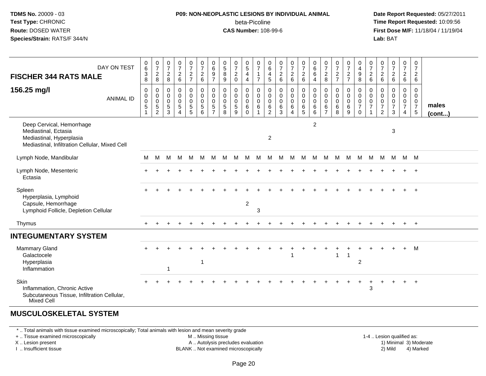### **P09: NON-NEOPLASTIC LESIONS BY INDIVIDUAL ANIMAL** beta-Picoline**beta-Picoline**<br> **CAS Number:** 108-99-6<br> **CAS Number:** 108-99-6<br> **CAS Number:** 108-99-6

 **Date Report Requested:** 05/27/2011 **First Dose M/F:** 11/18/04 / 11/19/04<br>**Lab:** BAT **Lab:** BAT

| DAY ON TEST                                                                                                                     | $\begin{matrix} 0 \\ 6 \end{matrix}$ | $\frac{0}{7}$                    | $\frac{0}{7}$              | $\frac{0}{7}$               | $\frac{0}{7}$               | $\frac{0}{7}$              | $_6^0$                           | $\begin{array}{c} 0 \\ 5 \\ 8 \end{array}$ | $\frac{0}{7}$              | $\begin{array}{c} 0 \\ 5 \end{array}$ | $\frac{0}{7}$                  | 0<br>$\,6\,$            | $\frac{0}{7}$              | $\frac{0}{7}$                    | $\frac{0}{7}$             | $\begin{array}{c} 0 \\ 6 \end{array}$ | $\frac{0}{7}$             | $\frac{0}{7}$              | $\frac{0}{7}$    | 0<br>4                        | $\frac{0}{7}$       | $\frac{0}{7}$                    | $\frac{0}{7}$               | 0<br>$\overline{7}$           | 0<br>$\overline{7}$                        |              |
|---------------------------------------------------------------------------------------------------------------------------------|--------------------------------------|----------------------------------|----------------------------|-----------------------------|-----------------------------|----------------------------|----------------------------------|--------------------------------------------|----------------------------|---------------------------------------|--------------------------------|-------------------------|----------------------------|----------------------------------|---------------------------|---------------------------------------|---------------------------|----------------------------|------------------|-------------------------------|---------------------|----------------------------------|-----------------------------|-------------------------------|--------------------------------------------|--------------|
| <b>FISCHER 344 RATS MALE</b>                                                                                                    | $\ensuremath{\mathsf{3}}$<br>8       | $\frac{2}{8}$                    | $\boldsymbol{2}$<br>8      | $\boldsymbol{2}$<br>6       | $\frac{2}{7}$               | $\frac{2}{6}$              | $\frac{9}{7}$                    | $9\,$                                      | $\frac{2}{0}$              | 4<br>$\overline{4}$                   | $\mathbf{1}$<br>$\overline{7}$ | 4<br>5                  | $rac{2}{6}$                | $\overline{2}$<br>$6\phantom{1}$ | $\frac{2}{6}$             | $6\phantom{a}$<br>$\overline{4}$      | $\frac{2}{8}$             | $\frac{2}{7}$              | $\frac{2}{7}$    | $\boldsymbol{9}$<br>8         | $\frac{2}{6}$       | $\sqrt{2}$<br>$\,6\,$            | $\overline{2}$<br>6         | $\frac{2}{6}$                 | $\begin{array}{c} 2 \\ 6 \end{array}$      |              |
|                                                                                                                                 |                                      |                                  |                            |                             |                             |                            |                                  |                                            |                            |                                       |                                |                         |                            |                                  |                           |                                       |                           |                            |                  |                               |                     |                                  |                             |                               |                                            |              |
| 156.25 mg/l                                                                                                                     | 0<br>$\mathbf 0$                     | $\mathbf 0$<br>$\pmb{0}$         | $\mathbf 0$<br>$\mathbf 0$ | $\mathbf 0$<br>$\mathbf 0$  | $\mathbf 0$<br>$\mathsf{O}$ | $\mathbf 0$<br>$\mathbf 0$ | $\mathbf 0$<br>$\mathbf 0$       | $\Omega$<br>0                              | $\mathbf 0$<br>$\mathbf 0$ | 0<br>0                                | $\mathbf 0$<br>$\mathsf 0$     | 0<br>$\mathbf 0$        | $\mathbf 0$<br>$\mathbf 0$ | $\mathbf{0}$<br>$\mathbf 0$      | 0<br>$\pmb{0}$            | $\mathbf 0$<br>$\pmb{0}$              | $\mathbf 0$<br>0          | $\mathbf 0$<br>$\mathbf 0$ | 0<br>$\mathbf 0$ | $\mathbf 0$<br>$\mathbf 0$    | $\mathbf 0$<br>0    | $\mathbf 0$<br>$\mathbf 0$       | $\mathbf 0$<br>$\pmb{0}$    | $\mathbf{0}$<br>$\mathbf 0$   | $\mathbf 0$<br>$\mathbf 0$                 |              |
| <b>ANIMAL ID</b>                                                                                                                | $\mathsf{O}\xspace$                  | $\pmb{0}$                        | $\mathbf 0$                | $\Omega$                    | 0                           | $\mathbf 0$                | $\mathbf 0$                      | 0                                          | $\mathbf 0$                | $\mathsf 0$                           | $\mathsf 0$                    | $\mathbf 0$             | $\mathbf 0$                | $\mathbf 0$                      | $\mathbf 0$               | $\pmb{0}$                             | $\mathbf 0$               | $\pmb{0}$                  | $\mathbf 0$      | $\mathbf 0$<br>$\overline{7}$ | 0<br>$\overline{7}$ | 0                                | $\pmb{0}$<br>$\overline{7}$ | $\mathbf 0$<br>$\overline{7}$ | $\begin{smallmatrix}0\\7\end{smallmatrix}$ | males        |
|                                                                                                                                 | $\overline{5}$                       | $\overline{5}$<br>$\overline{2}$ | $\sqrt{5}$<br>3            | 5<br>$\boldsymbol{\Lambda}$ | 5<br>5                      | $\overline{5}$<br>6        | $\overline{5}$<br>$\overline{7}$ | $\sqrt{5}$<br>8                            | $\sqrt{5}$<br>9            | $\,6\,$<br>$\Omega$                   | $\,6\,$<br>$\overline{1}$      | $\,6$<br>$\overline{2}$ | $\,6\,$<br>3               | 6<br>$\overline{4}$              | $\,6\,$<br>$\overline{5}$ | $\,6\,$<br>$6\phantom{1}$             | $\,6\,$<br>$\overline{7}$ | $\,6\,$<br>8               | $\,6\,$<br>9     | $\Omega$                      |                     | $\overline{7}$<br>$\overline{2}$ | 3                           | $\overline{4}$                | $\sqrt{5}$                                 | $($ cont $)$ |
| Deep Cervical, Hemorrhage<br>Mediastinal, Ectasia<br>Mediastinal, Hyperplasia<br>Mediastinal, Infiltration Cellular, Mixed Cell |                                      |                                  |                            |                             |                             |                            |                                  |                                            |                            |                                       |                                | $\overline{c}$          |                            |                                  |                           | $\overline{2}$                        |                           |                            |                  |                               |                     |                                  | 3                           |                               |                                            |              |
| Lymph Node, Mandibular                                                                                                          | м                                    | м                                | M                          | M                           | M                           | M                          | M                                | M                                          | M                          | M                                     | M                              | M                       | M                          | M                                | M                         | M                                     | M                         | M                          | M                | M                             | M                   | M                                | M M M                       |                               |                                            |              |
| Lymph Node, Mesenteric<br>Ectasia                                                                                               |                                      |                                  |                            |                             |                             |                            |                                  |                                            |                            |                                       |                                |                         |                            |                                  |                           |                                       |                           |                            |                  |                               |                     |                                  |                             |                               | $\ddot{}$                                  |              |
| Spleen<br>Hyperplasia, Lymphoid                                                                                                 |                                      |                                  |                            |                             |                             |                            |                                  |                                            |                            |                                       |                                |                         |                            |                                  |                           |                                       |                           |                            |                  |                               |                     |                                  |                             |                               |                                            |              |
| Capsule, Hemorrhage                                                                                                             |                                      |                                  |                            |                             |                             |                            |                                  |                                            |                            | $\overline{c}$                        |                                |                         |                            |                                  |                           |                                       |                           |                            |                  |                               |                     |                                  |                             |                               |                                            |              |
| Lymphoid Follicle, Depletion Cellular                                                                                           |                                      |                                  |                            |                             |                             |                            |                                  |                                            |                            |                                       | 3                              |                         |                            |                                  |                           |                                       |                           |                            |                  |                               |                     |                                  |                             |                               |                                            |              |
| Thymus                                                                                                                          |                                      |                                  |                            |                             |                             |                            |                                  |                                            |                            |                                       |                                |                         |                            |                                  |                           |                                       |                           |                            |                  |                               |                     |                                  |                             | $\ddot{}$                     | $+$                                        |              |
| <b>INTEGUMENTARY SYSTEM</b>                                                                                                     |                                      |                                  |                            |                             |                             |                            |                                  |                                            |                            |                                       |                                |                         |                            |                                  |                           |                                       |                           |                            |                  |                               |                     |                                  |                             |                               |                                            |              |
| <b>Mammary Gland</b>                                                                                                            |                                      |                                  |                            |                             |                             |                            |                                  |                                            |                            |                                       |                                |                         |                            |                                  |                           |                                       |                           |                            |                  |                               |                     |                                  |                             | ∔                             | м                                          |              |
| Galactocele                                                                                                                     |                                      |                                  |                            |                             |                             |                            |                                  |                                            |                            |                                       |                                |                         |                            |                                  |                           |                                       |                           | -1                         | 1                |                               |                     |                                  |                             |                               |                                            |              |
| Hyperplasia                                                                                                                     |                                      |                                  |                            |                             |                             | -1                         |                                  |                                            |                            |                                       |                                |                         |                            |                                  |                           |                                       |                           |                            |                  | $\overline{c}$                |                     |                                  |                             |                               |                                            |              |
| Inflammation                                                                                                                    |                                      |                                  | 1                          |                             |                             |                            |                                  |                                            |                            |                                       |                                |                         |                            |                                  |                           |                                       |                           |                            |                  |                               |                     |                                  |                             |                               |                                            |              |
| Skin<br>Inflammation, Chronic Active<br>Subcutaneous Tissue, Infiltration Cellular,<br><b>Mixed Cell</b>                        |                                      |                                  |                            |                             |                             |                            |                                  |                                            |                            |                                       |                                |                         |                            |                                  |                           |                                       |                           |                            |                  |                               | 3                   |                                  |                             |                               |                                            |              |

## **MUSCULOSKELETAL SYSTEM**

\* .. Total animals with tissue examined microscopically; Total animals with lesion and mean severity grade

+ .. Tissue examined microscopically

X .. Lesion present

I .. Insufficient tissue

 M .. Missing tissueA .. Autolysis precludes evaluation

1-4 .. Lesion qualified as:<br>1) Minimal 3) Moderate BLANK .. Not examined microscopically 2) Mild 4) Marked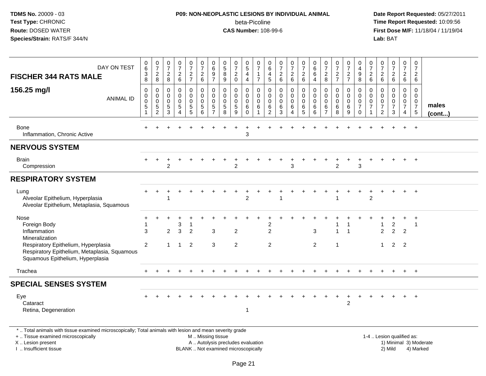## **P09: NON-NEOPLASTIC LESIONS BY INDIVIDUAL ANIMAL**beta-Picoline<br>CAS Number: 108-99-6

| DAY ON TEST<br><b>FISCHER 344 RATS MALE</b>                                                                                                                                                   | $\pmb{0}$<br>$\,6\,$<br>$\sqrt{3}$<br>8                        | $\frac{0}{7}$<br>$\overline{c}$<br>8                               | $\frac{0}{7}$<br>$\sqrt{2}$<br>8                          | $\frac{0}{7}$<br>$\overline{a}$<br>$\,6\,$          | $\frac{0}{7}$<br>$\overline{a}$<br>$\overline{7}$ | $\begin{array}{c} 0 \\ 7 \end{array}$<br>$\sqrt{2}$<br>$\,6\,$                                | 0<br>$\,6\,$<br>9<br>$\overline{7}$                                 | 0<br>$\overline{5}$<br>8<br>9                              | $\begin{array}{c} 0 \\ 7 \end{array}$<br>$\overline{c}$<br>$\mathbf 0$ | 0<br>$\overline{5}$<br>4<br>$\overline{4}$             | $\begin{array}{c} 0 \\ 7 \end{array}$<br>$\mathbf{1}$<br>$\overline{7}$ | 0<br>$\,6\,$<br>$\overline{4}$<br>$\sqrt{5}$                            | $\frac{0}{7}$<br>$\sqrt{2}$<br>6                       | $\frac{0}{7}$<br>$\frac{2}{6}$                               | $\frac{0}{7}$<br>$\overline{2}$<br>6                              | 0<br>$\overline{6}$<br>6<br>$\overline{4}$ | $\frac{0}{7}$<br>$\boldsymbol{2}$<br>8                       | $\frac{0}{7}$<br>$\frac{2}{7}$                         | $\begin{array}{c} 0 \\ 7 \end{array}$<br>$\sqrt{2}$<br>$\overline{7}$ | 0<br>$\overline{a}$<br>$\boldsymbol{9}$<br>8                            | 0<br>$\overline{7}$<br>$\sqrt{2}$<br>$6\phantom{1}$ | $\frac{0}{7}$<br>$\sqrt{2}$<br>$6\phantom{1}$                    | $\frac{0}{7}$<br>$\frac{2}{6}$                                            | $\mathbf 0$<br>$\overline{7}$<br>$\sqrt{2}$<br>$6\phantom{1}$                  | $\mathbf 0$<br>$\overline{7}$<br>$\overline{2}$<br>6                    |                       |
|-----------------------------------------------------------------------------------------------------------------------------------------------------------------------------------------------|----------------------------------------------------------------|--------------------------------------------------------------------|-----------------------------------------------------------|-----------------------------------------------------|---------------------------------------------------|-----------------------------------------------------------------------------------------------|---------------------------------------------------------------------|------------------------------------------------------------|------------------------------------------------------------------------|--------------------------------------------------------|-------------------------------------------------------------------------|-------------------------------------------------------------------------|--------------------------------------------------------|--------------------------------------------------------------|-------------------------------------------------------------------|--------------------------------------------|--------------------------------------------------------------|--------------------------------------------------------|-----------------------------------------------------------------------|-------------------------------------------------------------------------|-----------------------------------------------------|------------------------------------------------------------------|---------------------------------------------------------------------------|--------------------------------------------------------------------------------|-------------------------------------------------------------------------|-----------------------|
| 156.25 mg/l<br><b>ANIMAL ID</b>                                                                                                                                                               | $\mathbf 0$<br>$\Omega$<br>0<br>$\overline{5}$<br>$\mathbf{1}$ | $\boldsymbol{0}$<br>$\overline{0}$<br>$\mathbf 0$<br>$\frac{5}{2}$ | $\pmb{0}$<br>$\mathbf 0$<br>0<br>$\sqrt{5}$<br>$\sqrt{3}$ | $\mathbf 0$<br>$\Omega$<br>0<br>5<br>$\overline{4}$ | $\mathbf 0$<br>$\mathbf 0$<br>0<br>$\frac{5}{5}$  | $\mathbf 0$<br>$\mathbf 0$<br>$\mathbf 0$<br>$\,$ 5 $\,$<br>$\,6\,$                           | $\mathbf 0$<br>$\Omega$<br>$\Omega$<br>$\sqrt{5}$<br>$\overline{7}$ | $\mathbf 0$<br>$\Omega$<br>$\Omega$<br>$\overline{5}$<br>8 | 0<br>$\mathbf 0$<br>0<br>$\sqrt{5}$<br>9                               | 0<br>$\mathbf 0$<br>$\mathbf 0$<br>$\,6\,$<br>$\Omega$ | $\mathbf 0$<br>$\mathbf 0$<br>$\mathbf 0$<br>$\,6$                      | $\mathbf 0$<br>$\mathbf{0}$<br>$\mathbf 0$<br>$\,6\,$<br>$\overline{c}$ | $\mathbf 0$<br>$\Omega$<br>$\mathbf 0$<br>$\,6\,$<br>3 | 0<br>$\mathbf 0$<br>$\mathbf 0$<br>$\,6\,$<br>$\overline{4}$ | $\mathbf 0$<br>$\mathbf 0$<br>$\mathbf 0$<br>6<br>$5\phantom{.0}$ | $\mathbf 0$<br>$\Omega$<br>0<br>6<br>6     | $\mathbf 0$<br>$\mathbf 0$<br>0<br>$\,6\,$<br>$\overline{7}$ | $\mathbf 0$<br>$\Omega$<br>$\mathbf 0$<br>$\,6\,$<br>8 | 0<br>$\mathbf 0$<br>0<br>$\,6$<br>9                                   | $\mathbf 0$<br>$\mathbf 0$<br>$\mathbf 0$<br>$\overline{7}$<br>$\Omega$ | 0<br>$\mathbf{0}$<br>0<br>$\overline{7}$            | $\mathbf 0$<br>$\Omega$<br>0<br>$\overline{7}$<br>$\overline{2}$ | $\mathsf 0$<br>$\mathbf 0$<br>$\pmb{0}$<br>$\overline{7}$<br>$\mathbf{3}$ | $\mathbf 0$<br>$\mathbf{0}$<br>$\mathbf 0$<br>$\overline{7}$<br>$\overline{4}$ | $\mathbf 0$<br>$\Omega$<br>$\mathbf 0$<br>$\overline{7}$<br>$\,$ 5 $\,$ | males<br>$($ cont $)$ |
| Bone<br>Inflammation, Chronic Active                                                                                                                                                          |                                                                |                                                                    |                                                           |                                                     |                                                   |                                                                                               |                                                                     |                                                            |                                                                        | 3                                                      |                                                                         |                                                                         |                                                        |                                                              |                                                                   |                                            |                                                              |                                                        |                                                                       |                                                                         |                                                     |                                                                  |                                                                           |                                                                                | $\ddot{}$                                                               |                       |
| <b>NERVOUS SYSTEM</b>                                                                                                                                                                         |                                                                |                                                                    |                                                           |                                                     |                                                   |                                                                                               |                                                                     |                                                            |                                                                        |                                                        |                                                                         |                                                                         |                                                        |                                                              |                                                                   |                                            |                                                              |                                                        |                                                                       |                                                                         |                                                     |                                                                  |                                                                           |                                                                                |                                                                         |                       |
| <b>Brain</b><br>Compression                                                                                                                                                                   |                                                                |                                                                    | 2                                                         |                                                     |                                                   |                                                                                               |                                                                     |                                                            | $\overline{2}$                                                         |                                                        |                                                                         |                                                                         |                                                        | 3                                                            |                                                                   |                                            |                                                              | $\overline{2}$                                         |                                                                       | 3                                                                       |                                                     |                                                                  |                                                                           |                                                                                |                                                                         |                       |
| <b>RESPIRATORY SYSTEM</b>                                                                                                                                                                     |                                                                |                                                                    |                                                           |                                                     |                                                   |                                                                                               |                                                                     |                                                            |                                                                        |                                                        |                                                                         |                                                                         |                                                        |                                                              |                                                                   |                                            |                                                              |                                                        |                                                                       |                                                                         |                                                     |                                                                  |                                                                           |                                                                                |                                                                         |                       |
| Lung<br>Alveolar Epithelium, Hyperplasia<br>Alveolar Epithelium, Metaplasia, Squamous                                                                                                         |                                                                |                                                                    |                                                           |                                                     |                                                   |                                                                                               |                                                                     |                                                            |                                                                        | 2                                                      |                                                                         |                                                                         | 1                                                      |                                                              |                                                                   |                                            |                                                              |                                                        |                                                                       |                                                                         | $\overline{2}$                                      |                                                                  |                                                                           |                                                                                | $\ddot{}$                                                               |                       |
| Nose<br>Foreign Body<br>Inflammation<br>Mineralization<br>Respiratory Epithelium, Hyperplasia<br>Respiratory Epithelium, Metaplasia, Squamous<br>Squamous Epithelium, Hyperplasia             | $\overline{1}$<br>3<br>$\sqrt{2}$                              |                                                                    | $\overline{2}$<br>$\mathbf{1}$                            | 3<br>$\mathbf{3}$<br>$\mathbf{1}$                   | $\overline{c}$<br>$\overline{2}$                  |                                                                                               | 3<br>3                                                              |                                                            | $\boldsymbol{2}$<br>$\overline{2}$                                     |                                                        |                                                                         | 2<br>$\overline{c}$<br>$\overline{c}$                                   |                                                        |                                                              |                                                                   | 3<br>$\overline{2}$                        |                                                              | $\overline{1}$<br>$\overline{1}$                       | $\overline{1}$                                                        |                                                                         |                                                     | $\overline{2}$<br>$\mathbf{1}$                                   | $\boldsymbol{2}$<br>$\overline{2}$<br>$\overline{2}$                      | $\overline{2}$<br>$\overline{2}$                                               | $\overline{1}$                                                          |                       |
| Trachea                                                                                                                                                                                       |                                                                |                                                                    |                                                           |                                                     |                                                   |                                                                                               |                                                                     |                                                            |                                                                        |                                                        |                                                                         |                                                                         |                                                        |                                                              |                                                                   |                                            |                                                              |                                                        |                                                                       |                                                                         |                                                     |                                                                  |                                                                           | $+$                                                                            | $+$                                                                     |                       |
| <b>SPECIAL SENSES SYSTEM</b>                                                                                                                                                                  |                                                                |                                                                    |                                                           |                                                     |                                                   |                                                                                               |                                                                     |                                                            |                                                                        |                                                        |                                                                         |                                                                         |                                                        |                                                              |                                                                   |                                            |                                                              |                                                        |                                                                       |                                                                         |                                                     |                                                                  |                                                                           |                                                                                |                                                                         |                       |
| Eye<br>Cataract<br>Retina, Degeneration                                                                                                                                                       |                                                                |                                                                    |                                                           |                                                     |                                                   |                                                                                               |                                                                     |                                                            |                                                                        | -1                                                     |                                                                         |                                                                         |                                                        |                                                              |                                                                   |                                            |                                                              |                                                        | $\overline{c}$                                                        |                                                                         |                                                     |                                                                  |                                                                           |                                                                                | $+$                                                                     |                       |
| *  Total animals with tissue examined microscopically; Total animals with lesion and mean severity grade<br>+  Tissue examined microscopically<br>X  Lesion present<br>I  Insufficient tissue |                                                                |                                                                    |                                                           |                                                     |                                                   | M  Missing tissue<br>A  Autolysis precludes evaluation<br>BLANK  Not examined microscopically |                                                                     |                                                            |                                                                        |                                                        |                                                                         |                                                                         |                                                        |                                                              |                                                                   |                                            |                                                              |                                                        |                                                                       |                                                                         |                                                     |                                                                  | 1-4  Lesion qualified as:<br>2) Mild                                      |                                                                                | 1) Minimal 3) Moderate<br>4) Marked                                     |                       |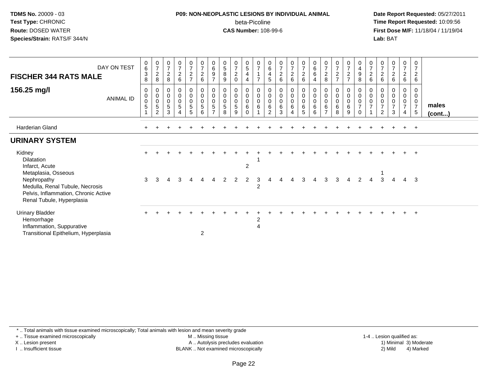### **P09: NON-NEOPLASTIC LESIONS BY INDIVIDUAL ANIMAL** beta-Picoline**beta-Picoline**<br> **CAS Number:** 108-99-6<br> **CAS Number:** 108-99-6<br> **CAS Number:** 108-99-6

 **Date Report Requested:** 05/27/2011 **First Dose M/F:** 11/18/04 / 11/19/04 Lab: BAT **Lab:** BAT

| <b>FISCHER 344 RATS MALE</b>                                                                                                               | DAY ON TEST      | $\boldsymbol{0}$<br>$\,6\,$<br>$\mathbf{3}$<br>8 | $\frac{0}{7}$<br>$\overline{c}$<br>8                              | $\frac{0}{7}$<br>$\boldsymbol{2}$<br>8               | $\frac{0}{7}$<br>$\overline{c}$<br>$\,6\,$                                | $\begin{smallmatrix}0\\7\end{smallmatrix}$<br>$\overline{c}$<br>$\overline{7}$ | $\frac{0}{7}$<br>$\overline{c}$<br>$\,6\,$         | $\begin{matrix} 0 \\ 6 \end{matrix}$<br>9<br>$\overline{7}$                               | $\begin{array}{c} 0 \\ 5 \end{array}$<br>$\,8\,$<br>9                 | $\frac{0}{7}$<br>$\overline{c}$<br>$\mathbf 0$ | $\begin{array}{c} 0 \\ 5 \end{array}$<br>$\overline{4}$<br>$\overline{4}$ | $\frac{0}{7}$                              | $\begin{array}{c} 0 \\ 6 \end{array}$<br>$\overline{4}$<br>$\sqrt{5}$ | $\frac{0}{7}$<br>$\overline{c}$<br>$\,6\,$                    | $\frac{0}{7}$<br>$\overline{c}$<br>6                           | 0726                                            | $\begin{array}{c} 0 \\ 6 \end{array}$<br>$\,6\,$<br>4 | 0<br>$\boldsymbol{7}$<br>$\sqrt{2}$<br>8 | $\frac{0}{7}$<br>$\overline{c}$<br>$\overline{ }$                   | $\frac{0}{7}$<br>$\overline{c}$<br>$\overline{7}$ | 0<br>$\overline{4}$<br>$\boldsymbol{9}$<br>8                      | 0<br>$\overline{7}$<br>$\overline{c}$<br>6      | $\frac{0}{7}$<br>$\boldsymbol{2}$<br>6                   | $\frac{0}{7}$<br>$\overline{c}$<br>$\,6\,$ | $\mathbf 0$<br>$\boldsymbol{7}$<br>$\overline{c}$<br>$6\phantom{1}$ | 0<br>$\overline{7}$<br>$\overline{2}$<br>6  |                       |
|--------------------------------------------------------------------------------------------------------------------------------------------|------------------|--------------------------------------------------|-------------------------------------------------------------------|------------------------------------------------------|---------------------------------------------------------------------------|--------------------------------------------------------------------------------|----------------------------------------------------|-------------------------------------------------------------------------------------------|-----------------------------------------------------------------------|------------------------------------------------|---------------------------------------------------------------------------|--------------------------------------------|-----------------------------------------------------------------------|---------------------------------------------------------------|----------------------------------------------------------------|-------------------------------------------------|-------------------------------------------------------|------------------------------------------|---------------------------------------------------------------------|---------------------------------------------------|-------------------------------------------------------------------|-------------------------------------------------|----------------------------------------------------------|--------------------------------------------|---------------------------------------------------------------------|---------------------------------------------|-----------------------|
| 156.25 mg/l                                                                                                                                | <b>ANIMAL ID</b> | 0<br>$\pmb{0}$<br>$\pmb{0}$<br>5                 | 0<br>$\pmb{0}$<br>$\mathbf 0$<br>$\overline{5}$<br>$\overline{2}$ | $\pmb{0}$<br>$\pmb{0}$<br>$\boldsymbol{0}$<br>5<br>3 | $_{\rm 0}^{\rm 0}$<br>$\pmb{0}$<br>$\,$ 5 $\,$<br>$\overline{\mathbf{4}}$ | 0<br>$\mathsf 0$<br>$\mathsf 0$<br>$\sqrt{5}$<br>5                             | $_{\rm 0}^{\rm 0}$<br>$\pmb{0}$<br>$\sqrt{5}$<br>6 | $\begin{smallmatrix} 0\\0 \end{smallmatrix}$<br>$\pmb{0}$<br>$\sqrt{5}$<br>$\overline{ }$ | $\begin{smallmatrix} 0\\0 \end{smallmatrix}$<br>$\mathbf 0$<br>5<br>8 | 0<br>$\pmb{0}$<br>$\mathsf{O}$<br>5<br>9       | $\begin{smallmatrix}0\\0\\0\end{smallmatrix}$<br>6<br>$\mathbf 0$         | $_{\rm 0}^{\rm 0}$<br>$\pmb{0}$<br>$\,6\,$ | $_{\rm 0}^{\rm 0}$<br>$\pmb{0}$<br>$\,6\,$<br>2                       | $\begin{smallmatrix}0\\0\\0\end{smallmatrix}$<br>$\,6\,$<br>3 | $_{\rm 0}^{\rm 0}$<br>$\mathsf 0$<br>$\,6\,$<br>$\overline{4}$ | $_{\rm 0}^{\rm 0}$<br>$\pmb{0}$<br>$\,6\,$<br>5 | $_{\rm 0}^{\rm 0}$<br>$\mathsf 0$<br>$\,6$<br>6       | $\pmb{0}$<br>0<br>6<br>$\overline{ }$    | $\begin{smallmatrix} 0\\0 \end{smallmatrix}$<br>$\pmb{0}$<br>6<br>8 | $_{\rm 0}^{\rm 0}$<br>$\pmb{0}$<br>6<br>9         | $\pmb{0}$<br>$\pmb{0}$<br>$\pmb{0}$<br>$\overline{7}$<br>$\Omega$ | 0<br>$\mathbf 0$<br>$\pmb{0}$<br>$\overline{ }$ | $\pmb{0}$<br>$\,0\,$<br>$\overline{7}$<br>$\overline{2}$ | 0<br>$\pmb{0}$<br>0<br>$\overline{ }$<br>3 | 0<br>$\mathbf 0$<br>0<br>$\overline{7}$<br>$\overline{4}$           | 0<br>0<br>0<br>$\overline{7}$<br>$\sqrt{5}$ | males<br>$($ cont $)$ |
| Harderian Gland                                                                                                                            |                  |                                                  |                                                                   |                                                      |                                                                           |                                                                                |                                                    |                                                                                           |                                                                       |                                                |                                                                           |                                            |                                                                       |                                                               |                                                                |                                                 |                                                       |                                          |                                                                     |                                                   |                                                                   |                                                 |                                                          |                                            | $\pm$                                                               | $+$                                         |                       |
| <b>URINARY SYSTEM</b>                                                                                                                      |                  |                                                  |                                                                   |                                                      |                                                                           |                                                                                |                                                    |                                                                                           |                                                                       |                                                |                                                                           |                                            |                                                                       |                                                               |                                                                |                                                 |                                                       |                                          |                                                                     |                                                   |                                                                   |                                                 |                                                          |                                            |                                                                     |                                             |                       |
| Kidney<br><b>Dilatation</b><br>Infarct, Acute                                                                                              |                  |                                                  |                                                                   |                                                      |                                                                           |                                                                                |                                                    |                                                                                           |                                                                       |                                                | 2                                                                         |                                            |                                                                       |                                                               |                                                                |                                                 |                                                       |                                          |                                                                     |                                                   |                                                                   |                                                 |                                                          |                                            |                                                                     | $+$                                         |                       |
| Metaplasia, Osseous<br>Nephropathy<br>Medulla, Renal Tubule, Necrosis<br>Pelvis, Inflammation, Chronic Active<br>Renal Tubule, Hyperplasia |                  | 3                                                | 3                                                                 |                                                      | 3                                                                         |                                                                                |                                                    |                                                                                           |                                                                       | $\overline{2}$                                 |                                                                           | 3<br>2                                     |                                                                       |                                                               |                                                                | 3                                               | 4                                                     | 3                                        | 3                                                                   | 4                                                 | 2                                                                 |                                                 |                                                          |                                            | 4                                                                   | $\mathbf{3}$                                |                       |
| <b>Urinary Bladder</b><br>Hemorrhage<br>Inflammation, Suppurative<br>Transitional Epithelium, Hyperplasia                                  |                  |                                                  |                                                                   |                                                      |                                                                           |                                                                                | $\overline{2}$                                     |                                                                                           |                                                                       |                                                |                                                                           | 2<br>$\overline{4}$                        |                                                                       |                                                               |                                                                |                                                 |                                                       |                                          |                                                                     |                                                   |                                                                   |                                                 |                                                          |                                            |                                                                     | $+$                                         |                       |

\* .. Total animals with tissue examined microscopically; Total animals with lesion and mean severity grade

+ .. Tissue examined microscopically

X .. Lesion present

I .. Insufficient tissue

M .. Missing tissue

Lesion present A .. Autolysis precludes evaluation 1) Minimal 3) Moderate

BLANK .. Not examined microscopically 2) Mild 4) Marked

1-4 .. Lesion qualified as: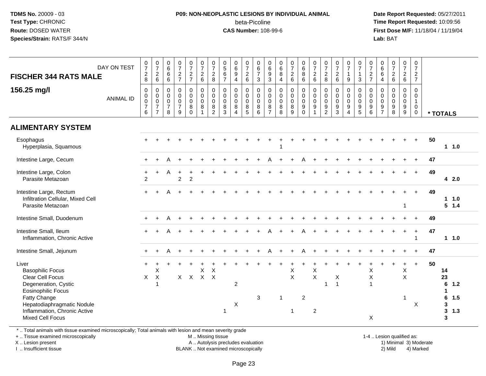## **P09: NON-NEOPLASTIC LESIONS BY INDIVIDUAL ANIMAL**beta-Picoline<br>CAS Number: 108-99-6

 **Date Report Requested:** 05/27/2011 **Time Report Requested:** 10:09:56 **First Dose M/F:** 11/18/04 / 11/19/04 Lab: BAT **Lab:** BAT

| DAY ON TEST<br><b>FISCHER 344 RATS MALE</b>                                                                                                                                                                        | $\frac{0}{7}$<br>$\frac{2}{8}$                                      | $\frac{0}{7}$<br>$\overline{c}$<br>$6\phantom{a}$                       | $\begin{array}{c} 0 \\ 6 \end{array}$<br>$\,6\,$<br>6              | $\frac{0}{7}$<br>$\frac{2}{7}$                                 | $\frac{0}{7}$<br>$\frac{2}{7}$                                  | $\frac{0}{7}$<br>$\frac{2}{6}$                                                   | $\frac{0}{7}$<br>$_{8}^2$                                        | $\begin{array}{c} 0 \\ 5 \\ 6 \end{array}$<br>$\overline{7}$ | $\begin{matrix} 0 \\ 6 \\ 9 \end{matrix}$<br>$\overline{4}$                   | $\frac{0}{7}$<br>$^2\phantom{1}6$                                           | 0<br>$\,6\,$<br>$\overline{7}$<br>$\mathbf{3}$    | $\begin{array}{c} 0 \\ 6 \end{array}$<br>$\boldsymbol{9}$<br>$\overline{3}$ | $\begin{matrix} 0 \\ 6 \\ 8 \end{matrix}$<br>$\overline{4}$      | $\frac{0}{7}$<br>$\frac{2}{6}$              | 0<br>$6\overline{6}$<br>8<br>$6^{\circ}$               | $\frac{0}{7}$<br>$\begin{array}{c} 2 \\ 6 \end{array}$                            | $\frac{0}{7}$<br>$\frac{2}{8}$                                        | $\frac{0}{7}$<br>$\sqrt{2}$<br>$6\phantom{1}6$          | $\frac{0}{7}$<br>$\mathbf{1}$<br>9                               | $\frac{0}{7}$<br>$\mathbf{1}$<br>$\mathbf{3}$                    | $\frac{0}{7}$<br>$\frac{2}{7}$                    | 0<br>$6\overline{6}$<br>$\,6\,$<br>$\overline{4}$                     | $\begin{smallmatrix}0\\7\end{smallmatrix}$<br>$\begin{array}{c} 2 \\ 6 \end{array}$ | 0<br>$\overline{7}$<br>$\begin{array}{c} 2 \\ 6 \end{array}$ | 0<br>$\overline{7}$<br>$rac{2}{7}$                                        |                                                                     |
|--------------------------------------------------------------------------------------------------------------------------------------------------------------------------------------------------------------------|---------------------------------------------------------------------|-------------------------------------------------------------------------|--------------------------------------------------------------------|----------------------------------------------------------------|-----------------------------------------------------------------|----------------------------------------------------------------------------------|------------------------------------------------------------------|--------------------------------------------------------------|-------------------------------------------------------------------------------|-----------------------------------------------------------------------------|---------------------------------------------------|-----------------------------------------------------------------------------|------------------------------------------------------------------|---------------------------------------------|--------------------------------------------------------|-----------------------------------------------------------------------------------|-----------------------------------------------------------------------|---------------------------------------------------------|------------------------------------------------------------------|------------------------------------------------------------------|---------------------------------------------------|-----------------------------------------------------------------------|-------------------------------------------------------------------------------------|--------------------------------------------------------------|---------------------------------------------------------------------------|---------------------------------------------------------------------|
| 156.25 mg/l<br><b>ANIMAL ID</b>                                                                                                                                                                                    | $\mathsf{O}\xspace$<br>0<br>$\boldsymbol{0}$<br>$\overline{7}$<br>6 | $\pmb{0}$<br>$\pmb{0}$<br>$\pmb{0}$<br>$\overline{7}$<br>$\overline{7}$ | $\mathbf 0$<br>$\mathbf 0$<br>$\mathbf 0$<br>$\boldsymbol{7}$<br>8 | $\pmb{0}$<br>$\mathbf 0$<br>$\mathbf 0$<br>$\overline{7}$<br>9 | $\pmb{0}$<br>$\mathbf 0$<br>$\pmb{0}$<br>$\bf 8$<br>$\mathbf 0$ | $\begin{smallmatrix} 0\\0 \end{smallmatrix}$<br>$\mathbf 0$<br>8<br>$\mathbf{1}$ | $\mathbf 0$<br>$\mathbf 0$<br>$\mathbf 0$<br>8<br>$\overline{2}$ | 0<br>$\pmb{0}$<br>$\pmb{0}$<br>$\bf8$<br>3                   | $\mathbf 0$<br>$\check{\mathbf{0}}$<br>$\pmb{0}$<br>$\bf 8$<br>$\overline{4}$ | $\boldsymbol{0}$<br>$\mathsf 0$<br>$\mathbf 0$<br>$\bf 8$<br>$\overline{5}$ | $\pmb{0}$<br>$\mathbf 0$<br>$\mathbf 0$<br>8<br>6 | 0<br>$\mathbf 0$<br>$\pmb{0}$<br>$\, 8$<br>$\overline{7}$                   | $\begin{smallmatrix}0\\0\\0\\0\end{smallmatrix}$<br>$\bf 8$<br>8 | $_{\rm 0}^{\rm 0}$<br>$\mathbf 0$<br>8<br>9 | 0<br>$\mathbf 0$<br>$\overline{0}$<br>9<br>$\mathbf 0$ | $\begin{smallmatrix}0\\0\\0\end{smallmatrix}$<br>$\boldsymbol{9}$<br>$\mathbf{1}$ | 0<br>$\mathbf 0$<br>$\mathbf 0$<br>$\boldsymbol{9}$<br>$\overline{2}$ | $\mathbf 0$<br>$\mathbf 0$<br>$\mathbf 0$<br>$9\,$<br>3 | $\mathbf 0$<br>$\mathbf 0$<br>$\mathbf 0$<br>9<br>$\overline{4}$ | $_{\rm 0}^{\rm 0}$<br>$\mathsf{O}\xspace$<br>9<br>$\overline{5}$ | 0<br>$\mathbf 0$<br>$\mathsf{O}\xspace$<br>9<br>6 | 0<br>$\mathbf 0$<br>$\mathbf 0$<br>$\boldsymbol{9}$<br>$\overline{7}$ | $_{\rm 0}^{\rm 0}$<br>$\frac{0}{9}$                                                 | 0<br>$\mathbf 0$<br>$\mathbf 0$<br>$9\,$<br>9                | $\mathbf 0$<br>$\mathbf 0$<br>$\mathbf{1}$<br>$\mathbf{0}$<br>$\mathbf 0$ | * TOTALS                                                            |
| <b>ALIMENTARY SYSTEM</b>                                                                                                                                                                                           |                                                                     |                                                                         |                                                                    |                                                                |                                                                 |                                                                                  |                                                                  |                                                              |                                                                               |                                                                             |                                                   |                                                                             |                                                                  |                                             |                                                        |                                                                                   |                                                                       |                                                         |                                                                  |                                                                  |                                                   |                                                                       |                                                                                     |                                                              |                                                                           |                                                                     |
| Esophagus<br>Hyperplasia, Squamous                                                                                                                                                                                 |                                                                     |                                                                         |                                                                    |                                                                |                                                                 |                                                                                  |                                                                  |                                                              |                                                                               |                                                                             |                                                   |                                                                             |                                                                  |                                             |                                                        |                                                                                   |                                                                       |                                                         |                                                                  |                                                                  |                                                   |                                                                       |                                                                                     | $+$                                                          | $+$                                                                       | 50<br>$1 1.0$                                                       |
| Intestine Large, Cecum                                                                                                                                                                                             | $+$                                                                 |                                                                         | А                                                                  |                                                                |                                                                 |                                                                                  |                                                                  |                                                              |                                                                               |                                                                             |                                                   |                                                                             |                                                                  |                                             |                                                        |                                                                                   |                                                                       |                                                         |                                                                  |                                                                  |                                                   |                                                                       |                                                                                     |                                                              | $+$                                                                       | 47                                                                  |
| Intestine Large, Colon<br>Parasite Metazoan                                                                                                                                                                        | $\overline{2}$                                                      |                                                                         |                                                                    | $\overline{c}$                                                 | $\sqrt{2}$                                                      |                                                                                  |                                                                  |                                                              |                                                                               |                                                                             |                                                   |                                                                             |                                                                  |                                             |                                                        |                                                                                   |                                                                       |                                                         |                                                                  |                                                                  |                                                   |                                                                       |                                                                                     |                                                              | $+$                                                                       | 49<br>42.0                                                          |
| Intestine Large, Rectum<br>Infiltration Cellular, Mixed Cell<br>Parasite Metazoan                                                                                                                                  |                                                                     |                                                                         |                                                                    |                                                                |                                                                 |                                                                                  |                                                                  |                                                              |                                                                               |                                                                             |                                                   |                                                                             |                                                                  |                                             |                                                        |                                                                                   |                                                                       |                                                         |                                                                  |                                                                  |                                                   |                                                                       |                                                                                     | 1                                                            |                                                                           | 49<br>11.0<br>$5 \t1.4$                                             |
| Intestine Small, Duodenum                                                                                                                                                                                          |                                                                     |                                                                         |                                                                    |                                                                |                                                                 |                                                                                  |                                                                  |                                                              |                                                                               |                                                                             |                                                   |                                                                             |                                                                  |                                             |                                                        |                                                                                   |                                                                       |                                                         |                                                                  |                                                                  |                                                   |                                                                       |                                                                                     |                                                              |                                                                           | 49                                                                  |
| Intestine Small, Ileum<br>Inflammation, Chronic Active                                                                                                                                                             |                                                                     |                                                                         |                                                                    |                                                                |                                                                 |                                                                                  |                                                                  |                                                              |                                                                               |                                                                             |                                                   |                                                                             |                                                                  |                                             |                                                        |                                                                                   |                                                                       |                                                         |                                                                  |                                                                  |                                                   |                                                                       |                                                                                     | $\ddot{}$                                                    | $+$<br>-1                                                                 | 47<br>$1 \t1.0$                                                     |
| Intestine Small, Jejunum                                                                                                                                                                                           |                                                                     |                                                                         |                                                                    |                                                                |                                                                 |                                                                                  |                                                                  |                                                              |                                                                               |                                                                             |                                                   |                                                                             |                                                                  |                                             |                                                        |                                                                                   |                                                                       |                                                         |                                                                  |                                                                  |                                                   |                                                                       |                                                                                     |                                                              |                                                                           | 47                                                                  |
| Liver<br><b>Basophilic Focus</b><br>Clear Cell Focus<br>Degeneration, Cystic<br><b>Eosinophilic Focus</b><br>Fatty Change<br>Hepatodiaphragmatic Nodule<br>Inflammation, Chronic Active<br><b>Mixed Cell Focus</b> | $+$<br>$\mathsf{X}$                                                 | X<br>$\mathsf{X}$                                                       |                                                                    |                                                                |                                                                 | X<br>$X$ $X$ $X$ $X$                                                             | $\times$                                                         | $\mathbf{1}$                                                 | $\sqrt{2}$<br>$\boldsymbol{\mathsf{X}}$                                       |                                                                             | 3                                                 |                                                                             | $\mathbf{1}$                                                     | Χ<br>$\mathsf{X}$<br>$\mathbf 1$            | $\overline{2}$                                         | X<br>$\mathsf{X}$<br>2                                                            |                                                                       | $\boldsymbol{\mathsf{X}}$<br>$\overline{1}$             |                                                                  |                                                                  | $\mathsf X$<br>$\mathsf X$<br>$\overline{1}$<br>X |                                                                       |                                                                                     | $\ddot{}$<br>X<br>X<br>$\mathbf{1}$                          | $+$<br>X                                                                  | 50<br>14<br>23<br>6<br>$1.2$<br>1<br>6<br>1.5<br>3<br>3<br>1.3<br>3 |

\* .. Total animals with tissue examined microscopically; Total animals with lesion and mean severity grade

+ .. Tissue examined microscopically

X .. Lesion present

I .. Insufficient tissue

M .. Missing tissue

BLANK .. Not examined microscopically

1-4 .. Lesion qualified as:<br>1) Minimal 3) Moderate A .. Autolysis precludes evaluation 19 (1999) 1999 10: 12 (1999) 1999 10: 12 (1999) A .. Autolysis precludes evaluation 1999 10: 13 (1999) 1999 10: 13 (1999) 1999 10: 13 (1999) 1999 10: 13 (1999) 1999 10: 13 (1999) 1999 10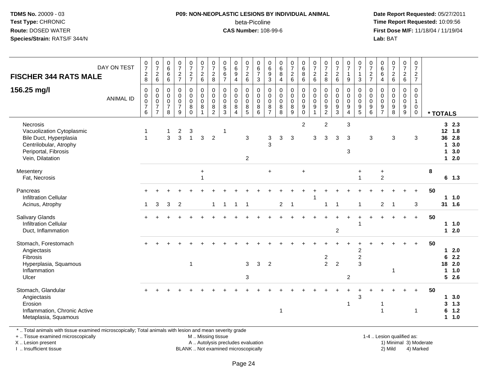### **P09: NON-NEOPLASTIC LESIONS BY INDIVIDUAL ANIMAL** beta-Picoline**beta-Picoline**<br> **CAS Number:** 108-99-6<br> **CAS Number:** 108-99-6<br> **CAS Number:** 108-99-6

 **Date Report Requested:** 05/27/2011 **First Dose M/F:** 11/18/04 / 11/19/04 Lab: BAT **Lab:** BAT

| <b>FISCHER 344 RATS MALE</b>                                                                                                                 | DAY ON TEST      | $\frac{0}{7}$<br>$_{\rm 8}^2$                               | $\begin{array}{c} 0 \\ 7 \end{array}$<br>$^2\phantom{1}6$                      | $\begin{array}{c} 0 \\ 6 \end{array}$<br>$\,6\,$<br>$\,6\,$              | $\begin{array}{c} 0 \\ 7 \end{array}$<br>$\frac{2}{7}$                 | $\frac{0}{7}$<br>$\frac{2}{7}$                         | $\begin{smallmatrix}0\\7\end{smallmatrix}$<br>$\frac{2}{6}$         | $\begin{array}{c} 0 \\ 7 \end{array}$<br>$\overline{c}$<br>$\,8\,$ | $\begin{array}{c} 0 \\ 5 \end{array}$<br>6<br>$\overline{7}$ | $\begin{array}{c} 0 \\ 6 \end{array}$<br>$9\,$<br>$\overline{4}$         | $\frac{0}{7}$<br>$^2\phantom{1}6$                        | $\begin{array}{c} 0 \\ 6 \end{array}$<br>$\overline{7}$<br>$\mathbf{3}$ | $\begin{array}{c} 0 \\ 6 \\ 9 \end{array}$<br>3                          | $_{6}^{\rm 0}$<br>8<br>$\overline{4}$                                          | $\frac{0}{7}$<br>$\begin{array}{c} 2 \\ 6 \end{array}$                     | $\begin{array}{c} 0 \\ 6 \end{array}$<br>8<br>$\,6\,$                                        | $\frac{0}{7}$<br>$\sqrt{2}$<br>6                                            | $\frac{0}{7}$<br>$\overline{2}$<br>8                 | $\begin{array}{c} 0 \\ 7 \end{array}$<br>$\begin{array}{c} 2 \\ 6 \end{array}$ | $\frac{0}{7}$<br>$\mathbf{1}$<br>9                              | $\frac{0}{7}$<br>$\mathbf{1}$<br>$\mathbf{3}$                  | $\begin{array}{c} 0 \\ 7 \end{array}$<br>$\frac{2}{7}$                | $\begin{array}{c} 0 \\ 6 \end{array}$<br>6<br>$\overline{4}$ | $\frac{0}{7}$<br>6                                     | $\frac{0}{7}$<br>$\frac{2}{6}$                               | $\begin{smallmatrix} 0\\7 \end{smallmatrix}$<br>$\frac{2}{7}$            |    |                                                                                  |  |
|----------------------------------------------------------------------------------------------------------------------------------------------|------------------|-------------------------------------------------------------|--------------------------------------------------------------------------------|--------------------------------------------------------------------------|------------------------------------------------------------------------|--------------------------------------------------------|---------------------------------------------------------------------|--------------------------------------------------------------------|--------------------------------------------------------------|--------------------------------------------------------------------------|----------------------------------------------------------|-------------------------------------------------------------------------|--------------------------------------------------------------------------|--------------------------------------------------------------------------------|----------------------------------------------------------------------------|----------------------------------------------------------------------------------------------|-----------------------------------------------------------------------------|------------------------------------------------------|--------------------------------------------------------------------------------|-----------------------------------------------------------------|----------------------------------------------------------------|-----------------------------------------------------------------------|--------------------------------------------------------------|--------------------------------------------------------|--------------------------------------------------------------|--------------------------------------------------------------------------|----|----------------------------------------------------------------------------------|--|
| 156.25 mg/l                                                                                                                                  | <b>ANIMAL ID</b> | $\,0\,$<br>$\overline{0}$<br>0<br>$\overline{7}$<br>$\,6\,$ | $\mathbf 0$<br>$\overline{0}$ <sub>0</sub><br>$\overline{7}$<br>$\overline{7}$ | $\mathbf 0$<br>$\mathbf 0$<br>$\mathsf{O}\xspace$<br>$\overline{7}$<br>8 | $\mathbf 0$<br>$\pmb{0}$<br>$\ddot{\mathbf{0}}$<br>$\overline{7}$<br>9 | 0<br>$\pmb{0}$<br>$\ddot{\mathbf{0}}$<br>8<br>$\Omega$ | $\mathbf 0$<br>$\ddot{\mathbf{0}}$<br>$\ddot{\mathbf{0}}$<br>8<br>1 | $\pmb{0}$<br>$\overline{0}$ <sub>0</sub><br>8<br>$\overline{2}$    | $\mathbf 0$<br>$\mathbf 0$<br>$\mathbf 0$<br>8<br>3          | $\mathbf 0$<br>$\mathsf 0$<br>$\mathbf 0$<br>8<br>$\boldsymbol{\Lambda}$ | 0<br>$\pmb{0}$<br>$\pmb{0}$<br>$\bf 8$<br>$\overline{5}$ | $\mathbf 0$<br>$\pmb{0}$<br>$\ddot{\mathbf{0}}$<br>$\,8\,$<br>6         | $\mathbf 0$<br>$\mathsf{O}\xspace$<br>$\mathbf 0$<br>8<br>$\overline{7}$ | $\mathbf 0$<br>$\mathbf 0$<br>$\mathsf{O}\xspace$<br>$\bf 8$<br>$\overline{8}$ | $\pmb{0}$<br>$\pmb{0}$<br>$\ddot{\mathbf{0}}$<br>$\bf 8$<br>$\overline{9}$ | $\mathbf 0$<br>$\mathsf{O}\xspace$<br>$\ddot{\mathbf{0}}$<br>$\boldsymbol{9}$<br>$\mathbf 0$ | 0<br>$\pmb{0}$<br>$\ddot{\mathbf{0}}$<br>$\boldsymbol{9}$<br>$\overline{1}$ | 0<br>$\pmb{0}$<br>$\mathbf 0$<br>9<br>$\overline{c}$ | $\mathbf 0$<br>$\overline{0}$<br>$\frac{9}{3}$                                 | $\mathbf 0$<br>$\mathsf{O}$<br>$\bar{0}$<br>9<br>$\overline{4}$ | $\pmb{0}$<br>$\pmb{0}$<br>$\ddot{\mathbf{0}}$<br>$\frac{9}{5}$ | $\mathbf 0$<br>$\mathbf 0$<br>$\overline{0}$<br>$\boldsymbol{9}$<br>6 | 0<br>$\mathbf 0$<br>$\mathbf 0$<br>9<br>$\overline{7}$       | $\pmb{0}$<br>$\pmb{0}$<br>$\mathbf 0$<br>$\frac{9}{8}$ | $\mathbf 0$<br>$\pmb{0}$<br>$\pmb{0}$<br>9<br>$\overline{9}$ | $\mathbf 0$<br>$\mathbf 0$<br>$\mathbf{1}$<br>$\mathbf 0$<br>$\mathbf 0$ |    | * TOTALS                                                                         |  |
| <b>Necrosis</b><br>Vacuolization Cytoplasmic<br>Bile Duct, Hyperplasia<br>Centrilobular, Atrophy<br>Periportal, Fibrosis<br>Vein, Dilatation |                  | $\overline{1}$                                              |                                                                                | -1<br>3                                                                  | $\frac{2}{3}$                                                          | $\frac{3}{1}$                                          | 3                                                                   | $\overline{2}$                                                     | -1                                                           |                                                                          | 3<br>$\overline{c}$                                      |                                                                         | 3<br>3                                                                   | 3                                                                              | $\mathbf{3}$                                                               | $\overline{2}$                                                                               | 3                                                                           | $\overline{c}$<br>3                                  | 3                                                                              | 3<br>3<br>$\ensuremath{\mathsf{3}}$                             |                                                                | 3                                                                     |                                                              | 3                                                      |                                                              | 3                                                                        |    | 32.3<br>12 1.8<br>36 2.8<br>3.0<br>$\mathbf{1}$<br>3.0<br>$\mathbf{1}$<br>$12.0$ |  |
| Mesentery<br>Fat, Necrosis                                                                                                                   |                  |                                                             |                                                                                |                                                                          |                                                                        |                                                        | $\ddot{}$                                                           |                                                                    |                                                              |                                                                          |                                                          |                                                                         | $\ddot{}$                                                                |                                                                                |                                                                            | $\ddot{}$                                                                                    |                                                                             |                                                      |                                                                                |                                                                 | +<br>$\overline{A}$                                            |                                                                       | $\ddot{}$<br>$\overline{c}$                                  |                                                        |                                                              |                                                                          | 8  | $6-1.3$                                                                          |  |
| Pancreas<br><b>Infiltration Cellular</b><br>Acinus, Atrophy                                                                                  |                  | $\mathbf{1}$                                                | 3                                                                              | 3                                                                        | $\overline{2}$                                                         |                                                        |                                                                     | $\mathbf{1}$                                                       | -1                                                           | -1                                                                       | $\overline{1}$                                           |                                                                         |                                                                          | $\overline{2}$                                                                 | -1                                                                         |                                                                                              |                                                                             | $\mathbf{1}$                                         | $\mathbf 1$                                                                    |                                                                 | 1                                                              |                                                                       | $\overline{c}$                                               | -1                                                     |                                                              | $+$<br>3                                                                 | 50 | $1 1.0$<br>31 1.6                                                                |  |
| Salivary Glands<br><b>Infiltration Cellular</b><br>Duct, Inflammation                                                                        |                  |                                                             |                                                                                |                                                                          |                                                                        |                                                        |                                                                     |                                                                    |                                                              |                                                                          |                                                          |                                                                         |                                                                          |                                                                                |                                                                            |                                                                                              |                                                                             |                                                      | $\overline{c}$                                                                 |                                                                 |                                                                |                                                                       |                                                              |                                                        |                                                              | $+$                                                                      | 50 | 1 1.0<br>$1 \quad 2.0$                                                           |  |
| Stomach, Forestomach<br>Angiectasis<br><b>Fibrosis</b><br>Hyperplasia, Squamous<br>Inflammation<br>Ulcer                                     |                  |                                                             |                                                                                |                                                                          |                                                                        | 1                                                      |                                                                     |                                                                    |                                                              |                                                                          | 3<br>3                                                   | 3                                                                       | $\overline{2}$                                                           |                                                                                |                                                                            |                                                                                              |                                                                             | $\boldsymbol{2}$<br>$\overline{2}$                   | $\overline{2}$                                                                 | $\overline{c}$                                                  | 2<br>$\overline{2}$<br>3                                       |                                                                       |                                                              | 1                                                      |                                                              |                                                                          | 50 | $12.0$<br>6<br>2.2<br>18 2.0<br>11.0<br>52.6                                     |  |
| Stomach, Glandular<br>Angiectasis<br>Erosion<br>Inflammation, Chronic Active<br>Metaplasia, Squamous                                         |                  |                                                             |                                                                                |                                                                          |                                                                        |                                                        |                                                                     |                                                                    |                                                              |                                                                          |                                                          |                                                                         |                                                                          | $\mathbf{1}$                                                                   |                                                                            |                                                                                              |                                                                             |                                                      |                                                                                |                                                                 | 3                                                              |                                                                       | $\mathbf{1}$                                                 |                                                        |                                                              | -1                                                                       | 50 | 3.0<br>1<br>3<br>1.3<br>6<br>1.2<br>1 1.0                                        |  |

\* .. Total animals with tissue examined microscopically; Total animals with lesion and mean severity grade

+ .. Tissue examined microscopically

X .. Lesion present

I .. Insufficient tissue

M .. Missing tissue

A .. Autolysis precludes evaluation

BLANK .. Not examined microscopically 2) Mild 4) Marked

1-4 .. Lesion qualified as:<br>1) Minimal 3) Moderate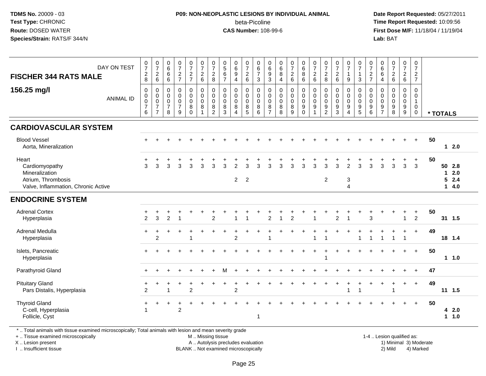### **P09: NON-NEOPLASTIC LESIONS BY INDIVIDUAL ANIMAL** beta-Picoline**beta-Picoline**<br> **CAS Number:** 108-99-6<br> **CAS Number:** 108-99-6<br> **CAS Number:** 108-99-6

 **Date Report Requested:** 05/27/2011 **First Dose M/F:** 11/18/04 / 11/19/04 Lab: BAT **Lab:** BAT

| DAY ON TEST<br><b>FISCHER 344 RATS MALE</b>                                                            | $\frac{0}{7}$<br>$\frac{2}{8}$                                            | $\frac{0}{7}$<br>$\overline{c}$<br>$\,6\,$                                | 0<br>$6\overline{6}$<br>$\,6\,$<br>$6\phantom{1}$              | $\frac{0}{7}$<br>$\frac{2}{7}$                                            | $\frac{0}{7}$<br>$\frac{2}{7}$                                | $\frac{0}{7}$<br>$\frac{2}{6}$                                     | $\frac{0}{7}$<br>$\boldsymbol{2}$<br>8                         | $\begin{array}{c} 0 \\ 5 \end{array}$<br>$\,6\,$<br>$\overline{7}$  | $_{6}^{\rm 0}$<br>$\boldsymbol{9}$<br>$\overline{4}$                 | 0<br>$\overline{7}$<br>$^2\phantom{1}6$                                       | 0<br>$\,6\,$<br>$\overline{7}$<br>$\mathbf{3}$  | 0<br>$6\phantom{a}$<br>$\boldsymbol{9}$<br>3                   | $_{6}^{\rm 0}$<br>$\bf 8$<br>$\overline{\mathbf{4}}$ | $\frac{0}{7}$<br>$\frac{2}{6}$                                     | 0<br>$6\phantom{a}$<br>$\bf 8$<br>6                                        | $\frac{0}{7}$<br>$\frac{2}{6}$                                                | $\frac{0}{7}$<br>$\overline{2}$<br>8                           | $\frac{0}{7}$<br>$^2$ 6                                                   | $\frac{0}{7}$<br>$\mathbf{1}$<br>9                           | 0<br>$\overline{7}$<br>$\mathbf{1}$<br>3                            | $\frac{0}{7}$<br>$\frac{2}{7}$                              | $\begin{matrix} 0 \\ 6 \end{matrix}$<br>$\,6\,$<br>$\overline{4}$             | $\frac{0}{7}$<br>$\begin{array}{c} 2 \\ 6 \end{array}$             | $\frac{0}{7}$<br>$\frac{2}{6}$                                               | 0<br>$\overline{7}$<br>$\frac{2}{7}$                           |    |                                                         |                   |
|--------------------------------------------------------------------------------------------------------|---------------------------------------------------------------------------|---------------------------------------------------------------------------|----------------------------------------------------------------|---------------------------------------------------------------------------|---------------------------------------------------------------|--------------------------------------------------------------------|----------------------------------------------------------------|---------------------------------------------------------------------|----------------------------------------------------------------------|-------------------------------------------------------------------------------|-------------------------------------------------|----------------------------------------------------------------|------------------------------------------------------|--------------------------------------------------------------------|----------------------------------------------------------------------------|-------------------------------------------------------------------------------|----------------------------------------------------------------|---------------------------------------------------------------------------|--------------------------------------------------------------|---------------------------------------------------------------------|-------------------------------------------------------------|-------------------------------------------------------------------------------|--------------------------------------------------------------------|------------------------------------------------------------------------------|----------------------------------------------------------------|----|---------------------------------------------------------|-------------------|
| 156.25 mg/l<br><b>ANIMAL ID</b>                                                                        | $\boldsymbol{0}$<br>$\mathbf 0$<br>$\,0\,$<br>$\boldsymbol{7}$<br>$\,6\,$ | $\mathbf 0$<br>$\pmb{0}$<br>$\pmb{0}$<br>$\overline{7}$<br>$\overline{7}$ | $\pmb{0}$<br>$\mathbf 0$<br>$\mathbf 0$<br>$\overline{7}$<br>8 | $\pmb{0}$<br>$\pmb{0}$<br>$\pmb{0}$<br>$\overline{7}$<br>$\boldsymbol{9}$ | $\pmb{0}$<br>$\pmb{0}$<br>$\pmb{0}$<br>$\bf 8$<br>$\mathbf 0$ | $\pmb{0}$<br>$\mathbf 0$<br>$\mathbf 0$<br>$\,8\,$<br>$\mathbf{1}$ | $\pmb{0}$<br>$\mathbf 0$<br>$\mathbf 0$<br>8<br>$\overline{c}$ | $\mathbf 0$<br>$\mathbf 0$<br>$\mathbf 0$<br>$\, 8$<br>$\mathbf{3}$ | $\pmb{0}$<br>$\mathsf{O}\xspace$<br>$\pmb{0}$<br>8<br>$\overline{4}$ | $\mathbf 0$<br>$\mathbf 0$<br>$\mathsf{O}\xspace$<br>$\, 8$<br>$\overline{5}$ | 0<br>$\mathbf 0$<br>$\mathsf 0$<br>8<br>$\,6\,$ | 0<br>$\mathbf 0$<br>$\mathsf{O}\xspace$<br>8<br>$\overline{7}$ | $\pmb{0}$<br>$\pmb{0}$<br>$\pmb{0}$<br>8<br>8        | $\pmb{0}$<br>$\pmb{0}$<br>$\pmb{0}$<br>$\bf 8$<br>$\boldsymbol{9}$ | $\mathbf 0$<br>$\mathbf 0$<br>$\mathbf 0$<br>$\boldsymbol{9}$<br>$\pmb{0}$ | $\mathsf 0$<br>$\mathbf 0$<br>$\mathbf 0$<br>$\boldsymbol{9}$<br>$\mathbf{1}$ | $\pmb{0}$<br>$\mathbf 0$<br>$\mathbf 0$<br>9<br>$\overline{c}$ | $\pmb{0}$<br>$\mathbf 0$<br>$\pmb{0}$<br>$\boldsymbol{9}$<br>$\mathbf{3}$ | $\pmb{0}$<br>$\pmb{0}$<br>$\mathsf 0$<br>9<br>$\overline{4}$ | 0<br>0<br>$\mathsf{O}\xspace$<br>$\boldsymbol{9}$<br>$\overline{5}$ | $\mathbf 0$<br>$\mathbf 0$<br>$\pmb{0}$<br>$9\,$<br>$\,6\,$ | $\mathbf 0$<br>$\mathbf 0$<br>$\pmb{0}$<br>$\boldsymbol{9}$<br>$\overline{7}$ | $\mathbf 0$<br>$\mathbf 0$<br>$\mathbf 0$<br>$\boldsymbol{9}$<br>8 | $\pmb{0}$<br>$\mathsf{O}$<br>$\pmb{0}$<br>$\boldsymbol{9}$<br>$\overline{9}$ | $\mathbf 0$<br>$\mathbf 0$<br>$\mathbf{1}$<br>0<br>$\mathbf 0$ |    | * TOTALS                                                |                   |
| <b>CARDIOVASCULAR SYSTEM</b>                                                                           |                                                                           |                                                                           |                                                                |                                                                           |                                                               |                                                                    |                                                                |                                                                     |                                                                      |                                                                               |                                                 |                                                                |                                                      |                                                                    |                                                                            |                                                                               |                                                                |                                                                           |                                                              |                                                                     |                                                             |                                                                               |                                                                    |                                                                              |                                                                |    |                                                         |                   |
| <b>Blood Vessel</b><br>Aorta, Mineralization                                                           |                                                                           |                                                                           |                                                                |                                                                           |                                                               |                                                                    |                                                                |                                                                     |                                                                      |                                                                               |                                                 |                                                                |                                                      |                                                                    |                                                                            |                                                                               |                                                                |                                                                           |                                                              |                                                                     |                                                             |                                                                               |                                                                    |                                                                              | $\ddot{}$                                                      | 50 | 12.0                                                    |                   |
| Heart<br>Cardiomyopathy<br>Mineralization<br>Atrium, Thrombosis<br>Valve, Inflammation, Chronic Active | 3                                                                         | 3                                                                         | 3                                                              | 3                                                                         | 3                                                             | 3                                                                  | 3                                                              | $\mathcal{R}$                                                       | $\overline{2}$<br>$\overline{2}$                                     | 3<br>$\overline{2}$                                                           | 3                                               | 3                                                              | 3                                                    | 3                                                                  | 3                                                                          | 3                                                                             | 3<br>$\overline{c}$                                            | $\mathcal{R}$                                                             | $\overline{2}$<br>3<br>$\overline{4}$                        | 3                                                                   | 3                                                           | 3                                                                             | 3                                                                  | 3                                                                            | $\ddot{}$<br>3                                                 | 50 | 50 2.8<br>$\mathbf{1}$<br>$5\phantom{1}$<br>$\mathbf 1$ | 2.0<br>2.4<br>4.0 |
| <b>ENDOCRINE SYSTEM</b>                                                                                |                                                                           |                                                                           |                                                                |                                                                           |                                                               |                                                                    |                                                                |                                                                     |                                                                      |                                                                               |                                                 |                                                                |                                                      |                                                                    |                                                                            |                                                                               |                                                                |                                                                           |                                                              |                                                                     |                                                             |                                                                               |                                                                    |                                                                              |                                                                |    |                                                         |                   |
| <b>Adrenal Cortex</b><br>Hyperplasia                                                                   | $\overline{2}$                                                            | 3                                                                         | $\overline{2}$                                                 | $\overline{\mathbf{1}}$                                                   |                                                               |                                                                    | $\overline{2}$                                                 |                                                                     | $\overline{\mathbf{A}}$                                              | $\overline{1}$                                                                |                                                 | $\overline{2}$                                                 | $\mathbf{1}$                                         | $\overline{c}$                                                     |                                                                            | $\overline{\mathbf{1}}$                                                       |                                                                | $\overline{2}$                                                            | $\overline{1}$                                               |                                                                     | 3                                                           |                                                                               |                                                                    | $\ddot{}$<br>$\mathbf{1}$                                                    | $\ddot{}$<br>$\overline{c}$                                    | 50 | 31 1.5                                                  |                   |
| Adrenal Medulla<br>Hyperplasia                                                                         | $\ddot{}$                                                                 | $\overline{2}$                                                            |                                                                |                                                                           |                                                               |                                                                    |                                                                |                                                                     | $\overline{2}$                                                       |                                                                               |                                                 |                                                                |                                                      |                                                                    |                                                                            | $\overline{\mathbf{1}}$                                                       | 1                                                              |                                                                           |                                                              |                                                                     | $\overline{1}$                                              | 1                                                                             | $\overline{1}$                                                     | $\overline{1}$                                                               | $+$                                                            | 49 | 18 1.4                                                  |                   |
| Islets, Pancreatic<br>Hyperplasia                                                                      | $\pm$                                                                     |                                                                           |                                                                |                                                                           |                                                               |                                                                    |                                                                |                                                                     |                                                                      |                                                                               |                                                 |                                                                |                                                      |                                                                    |                                                                            |                                                                               | 1                                                              |                                                                           |                                                              |                                                                     |                                                             |                                                                               |                                                                    | $\ddot{}$                                                                    | $+$                                                            | 50 | $1 1.0$                                                 |                   |
| Parathyroid Gland                                                                                      |                                                                           |                                                                           |                                                                |                                                                           |                                                               |                                                                    |                                                                |                                                                     |                                                                      |                                                                               |                                                 |                                                                |                                                      |                                                                    |                                                                            |                                                                               |                                                                |                                                                           |                                                              |                                                                     |                                                             |                                                                               |                                                                    |                                                                              | $+$                                                            | 47 |                                                         |                   |
| <b>Pituitary Gland</b><br>Pars Distalis, Hyperplasia                                                   | +<br>$\overline{2}$                                                       |                                                                           |                                                                | $\ddot{}$                                                                 | $\ddot{}$<br>$\overline{2}$                                   |                                                                    |                                                                |                                                                     | $\div$<br>$\overline{c}$                                             |                                                                               |                                                 |                                                                |                                                      |                                                                    |                                                                            |                                                                               |                                                                |                                                                           | $\mathbf{1}$                                                 |                                                                     |                                                             |                                                                               |                                                                    | $+$                                                                          | $+$                                                            | 49 | $11 \t1.5$                                              |                   |
| <b>Thyroid Gland</b><br>C-cell, Hyperplasia<br>Follicle, Cyst                                          | ٠<br>1                                                                    |                                                                           | ÷                                                              | $\ddot{}$<br>$\overline{2}$                                               |                                                               |                                                                    |                                                                |                                                                     |                                                                      |                                                                               | -1                                              |                                                                |                                                      |                                                                    |                                                                            |                                                                               |                                                                |                                                                           |                                                              |                                                                     |                                                             |                                                                               |                                                                    | $\ddot{}$                                                                    | $+$                                                            | 50 | 4<br>11.0                                               | 2.0               |

\* .. Total animals with tissue examined microscopically; Total animals with lesion and mean severity grade

+ .. Tissue examined microscopically

X .. Lesion present

I .. Insufficient tissue

M .. Missing tissue

A .. Autolysis precludes evaluation

 1-4 .. Lesion qualified as: BLANK .. Not examined microscopically 2) Mild 4) Marked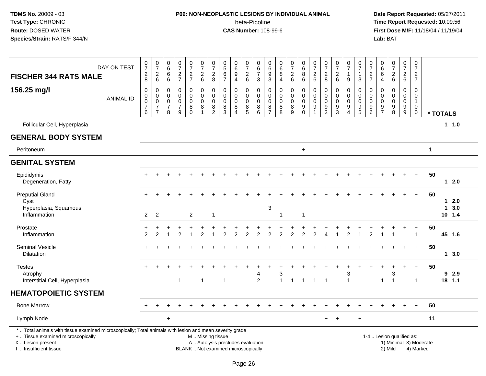## **P09: NON-NEOPLASTIC LESIONS BY INDIVIDUAL ANIMAL**beta-Picoline<br>CAS Number: 108-99-6

| <b>FISCHER 344 RATS MALE</b>                                                                                                                                                                  | DAY ON TEST      | $\frac{0}{7}$<br>$\begin{array}{c} 2 \\ 8 \end{array}$ | $\frac{0}{7}$<br>$^2\phantom{1}6$                                        | 0<br>$6\phantom{a}$<br>6<br>6                           | $\frac{0}{7}$<br>$\frac{2}{7}$                               | $\frac{0}{7}$<br>$\frac{2}{7}$                         | $\frac{0}{7}$<br>$\begin{array}{c} 2 \\ 6 \end{array}$ | $\begin{array}{c} 0 \\ 7 \end{array}$<br>$_{\rm 8}^2$                | $\begin{array}{c} 0 \\ 5 \end{array}$<br>$\,6\,$<br>$\overline{7}$ | 0<br>$6\phantom{1}6$<br>$\boldsymbol{9}$<br>$\overline{4}$               | 0<br>$\overline{7}$<br>$\begin{array}{c} 2 \\ 6 \end{array}$ | 0<br>$\,6\,$<br>$\boldsymbol{7}$<br>$\mathbf{3}$         | 0<br>$\,6$<br>9<br>3                                             | 0<br>6<br>8<br>$\overline{4}$                       | $\frac{0}{7}$<br>$\frac{2}{6}$                          | 0<br>$6\phantom{a}$<br>8<br>6                                  | $\frac{0}{7}$<br>$\frac{2}{6}$                                            | 0<br>$\overline{7}$<br>$\frac{2}{8}$                             | $\frac{0}{7}$<br>$^2$ 6                                         | $\frac{0}{7}$<br>9                                                                  | 0<br>$\overline{7}$<br>$\overline{1}$<br>3               | $\frac{0}{7}$<br>$\frac{2}{7}$                  | 0<br>$6\phantom{a}$<br>$\,6$<br>$\overline{4}$                | $\frac{0}{7}$<br>$\frac{2}{6}$                                     | 0<br>$\overline{7}$<br>$\begin{array}{c} 2 \\ 6 \end{array}$ |             | 0<br>$\overline{7}$<br>$\frac{2}{7}$                                       |              |          |                           |
|-----------------------------------------------------------------------------------------------------------------------------------------------------------------------------------------------|------------------|--------------------------------------------------------|--------------------------------------------------------------------------|---------------------------------------------------------|--------------------------------------------------------------|--------------------------------------------------------|--------------------------------------------------------|----------------------------------------------------------------------|--------------------------------------------------------------------|--------------------------------------------------------------------------|--------------------------------------------------------------|----------------------------------------------------------|------------------------------------------------------------------|-----------------------------------------------------|---------------------------------------------------------|----------------------------------------------------------------|---------------------------------------------------------------------------|------------------------------------------------------------------|-----------------------------------------------------------------|-------------------------------------------------------------------------------------|----------------------------------------------------------|-------------------------------------------------|---------------------------------------------------------------|--------------------------------------------------------------------|--------------------------------------------------------------|-------------|----------------------------------------------------------------------------|--------------|----------|---------------------------|
| 156.25 mg/l                                                                                                                                                                                   | <b>ANIMAL ID</b> | $\mathbf 0$<br>$\mathbf 0$<br>0<br>$\overline{7}$<br>6 | $\boldsymbol{0}$<br>$\overline{0}$<br>$\boldsymbol{7}$<br>$\overline{7}$ | $\mathbf 0$<br>$\mathbf{0}$<br>0<br>$\overline{7}$<br>8 | $\Omega$<br>$\Omega$<br>$\mathbf 0$<br>$\boldsymbol{7}$<br>9 | $\mathbf 0$<br>$\mathbf 0$<br>0<br>$\bf 8$<br>$\Omega$ | $\mathbf 0$<br>$\mathbf 0$<br>0<br>8<br>$\overline{1}$ | $\pmb{0}$<br>$\mathbf 0$<br>$\mathbf 0$<br>$\bf 8$<br>$\overline{2}$ | $\mathbf 0$<br>$\Omega$<br>$\mathbf 0$<br>8<br>$\mathbf{3}$        | $\mathbf 0$<br>$\mathbf 0$<br>$\mathbf 0$<br>8<br>$\boldsymbol{\Lambda}$ | 0<br>0<br>0<br>$\bf 8$<br>$\sqrt{5}$                         | $\mathbf 0$<br>$\mathbf 0$<br>$\mathbf 0$<br>$\, 8$<br>6 | $\mathbf 0$<br>$\mathbf 0$<br>$\mathbf 0$<br>8<br>$\overline{7}$ | $\mathbf 0$<br>$\mathbf 0$<br>$\mathbf 0$<br>8<br>8 | $\mathbf 0$<br>$\mathbf 0$<br>$\pmb{0}$<br>$\bf 8$<br>9 | $\mathbf 0$<br>$\mathbf{0}$<br>$\mathbf 0$<br>9<br>$\mathbf 0$ | $\mathbf 0$<br>$\mathbf 0$<br>$\boldsymbol{0}$<br>$9\,$<br>$\overline{1}$ | $\mathbf 0$<br>$\mathbf 0$<br>$\mathbf 0$<br>9<br>$\overline{2}$ | $\mathbf 0$<br>$\Omega$<br>$\mathbf 0$<br>$\boldsymbol{9}$<br>3 | $\Omega$<br>$\mathbf 0$<br>$\pmb{0}$<br>$\boldsymbol{9}$<br>$\overline{\mathbf{4}}$ | $\mathbf 0$<br>$\mathbf 0$<br>0<br>$\boldsymbol{9}$<br>5 | $\mathbf 0$<br>$\mathbf 0$<br>0<br>9<br>$\,6\,$ | $\mathbf 0$<br>$\Omega$<br>$\mathbf 0$<br>9<br>$\overline{7}$ | $\mathbf 0$<br>$\mathbf 0$<br>$\mathbf 0$<br>$\boldsymbol{9}$<br>8 | $\mathbf 0$<br>$\mathbf 0$<br>9<br>$\boldsymbol{9}$          | $\mathbf 0$ | $\mathbf 0$<br>$\Omega$<br>$\mathbf{1}$<br>$\mathbf 0$<br>$\boldsymbol{0}$ |              | * TOTALS |                           |
| Follicular Cell, Hyperplasia                                                                                                                                                                  |                  |                                                        |                                                                          |                                                         |                                                              |                                                        |                                                        |                                                                      |                                                                    |                                                                          |                                                              |                                                          |                                                                  |                                                     |                                                         |                                                                |                                                                           |                                                                  |                                                                 |                                                                                     |                                                          |                                                 |                                                               |                                                                    |                                                              |             |                                                                            |              |          | $1 1.0$                   |
| <b>GENERAL BODY SYSTEM</b>                                                                                                                                                                    |                  |                                                        |                                                                          |                                                         |                                                              |                                                        |                                                        |                                                                      |                                                                    |                                                                          |                                                              |                                                          |                                                                  |                                                     |                                                         |                                                                |                                                                           |                                                                  |                                                                 |                                                                                     |                                                          |                                                 |                                                               |                                                                    |                                                              |             |                                                                            |              |          |                           |
| Peritoneum                                                                                                                                                                                    |                  |                                                        |                                                                          |                                                         |                                                              |                                                        |                                                        |                                                                      |                                                                    |                                                                          |                                                              |                                                          |                                                                  |                                                     |                                                         | $+$                                                            |                                                                           |                                                                  |                                                                 |                                                                                     |                                                          |                                                 |                                                               |                                                                    |                                                              |             |                                                                            | $\mathbf{1}$ |          |                           |
| <b>GENITAL SYSTEM</b>                                                                                                                                                                         |                  |                                                        |                                                                          |                                                         |                                                              |                                                        |                                                        |                                                                      |                                                                    |                                                                          |                                                              |                                                          |                                                                  |                                                     |                                                         |                                                                |                                                                           |                                                                  |                                                                 |                                                                                     |                                                          |                                                 |                                                               |                                                                    |                                                              |             |                                                                            |              |          |                           |
| Epididymis<br>Degeneration, Fatty                                                                                                                                                             |                  |                                                        |                                                                          |                                                         |                                                              |                                                        |                                                        |                                                                      |                                                                    |                                                                          |                                                              |                                                          |                                                                  |                                                     |                                                         |                                                                |                                                                           |                                                                  |                                                                 |                                                                                     |                                                          |                                                 |                                                               |                                                                    |                                                              |             | $\ddot{}$                                                                  | 50           |          | $12.0$                    |
| <b>Preputial Gland</b><br>Cyst<br>Hyperplasia, Squamous<br>Inflammation                                                                                                                       |                  | $\div$<br>$\overline{2}$                               | $\overline{2}$                                                           |                                                         |                                                              | $\overline{c}$                                         |                                                        | $\overline{1}$                                                       |                                                                    |                                                                          |                                                              |                                                          | $\sqrt{3}$                                                       | -1                                                  |                                                         | $\overline{1}$                                                 |                                                                           |                                                                  |                                                                 |                                                                                     |                                                          |                                                 |                                                               |                                                                    |                                                              |             |                                                                            | 50           |          | $12.0$<br>13.0<br>10, 1.4 |
| Prostate<br>Inflammation                                                                                                                                                                      |                  | 2                                                      | $\overline{2}$                                                           |                                                         |                                                              |                                                        | $\mathfrak{p}$                                         |                                                                      | 2                                                                  | 2                                                                        | 2                                                            | 2                                                        | 2                                                                | 2                                                   | $\overline{2}$                                          | $\overline{2}$                                                 | 2                                                                         | Δ                                                                |                                                                 | $\overline{2}$                                                                      |                                                          | $\overline{2}$                                  |                                                               |                                                                    | $\ddot{}$                                                    |             | $\ddot{}$<br>$\mathbf{1}$                                                  | 50           |          | 45 1.6                    |
| <b>Seminal Vesicle</b><br><b>Dilatation</b>                                                                                                                                                   |                  | $\div$                                                 |                                                                          |                                                         |                                                              |                                                        |                                                        |                                                                      |                                                                    |                                                                          |                                                              |                                                          |                                                                  |                                                     |                                                         |                                                                |                                                                           |                                                                  |                                                                 |                                                                                     |                                                          |                                                 |                                                               |                                                                    | $+$                                                          |             | $+$                                                                        | 50           |          | 13.0                      |
| <b>Testes</b><br>Atrophy<br>Interstitial Cell, Hyperplasia                                                                                                                                    |                  |                                                        |                                                                          |                                                         | $\mathbf{1}$                                                 |                                                        | $\mathbf{1}$                                           |                                                                      | $\mathbf{1}$                                                       |                                                                          |                                                              | 2                                                        |                                                                  | $\mathbf{1}$                                        | $\overline{1}$                                          | $\overline{1}$                                                 | $\overline{1}$                                                            | $\overline{1}$                                                   |                                                                 | 3<br>$\mathbf{1}$                                                                   |                                                          |                                                 | $\mathbf{1}$                                                  | 3<br>$\overline{1}$                                                |                                                              |             | $\ddot{}$<br>1                                                             | 50           |          | 92.9<br>18 1.1            |
| <b>HEMATOPOIETIC SYSTEM</b>                                                                                                                                                                   |                  |                                                        |                                                                          |                                                         |                                                              |                                                        |                                                        |                                                                      |                                                                    |                                                                          |                                                              |                                                          |                                                                  |                                                     |                                                         |                                                                |                                                                           |                                                                  |                                                                 |                                                                                     |                                                          |                                                 |                                                               |                                                                    |                                                              |             |                                                                            |              |          |                           |
| <b>Bone Marrow</b>                                                                                                                                                                            |                  |                                                        |                                                                          |                                                         |                                                              |                                                        |                                                        |                                                                      |                                                                    |                                                                          |                                                              |                                                          |                                                                  |                                                     |                                                         |                                                                |                                                                           |                                                                  |                                                                 |                                                                                     |                                                          |                                                 |                                                               |                                                                    |                                                              |             |                                                                            | 50           |          |                           |
| Lymph Node                                                                                                                                                                                    |                  |                                                        |                                                                          | $\ddot{}$                                               |                                                              |                                                        |                                                        |                                                                      |                                                                    |                                                                          |                                                              |                                                          |                                                                  |                                                     |                                                         |                                                                |                                                                           | $+$                                                              | $\overline{+}$                                                  |                                                                                     | $+$                                                      |                                                 |                                                               |                                                                    |                                                              |             |                                                                            | 11           |          |                           |
| *  Total animals with tissue examined microscopically; Total animals with lesion and mean severity grade<br>+  Tissue examined microscopically<br>X  Lesion present<br>I  Insufficient tissue |                  |                                                        |                                                                          |                                                         |                                                              |                                                        | M. Missing tissue                                      |                                                                      |                                                                    | A  Autolysis precludes evaluation<br>BLANK  Not examined microscopically |                                                              |                                                          |                                                                  |                                                     |                                                         |                                                                |                                                                           |                                                                  |                                                                 |                                                                                     |                                                          |                                                 |                                                               | 1-4  Lesion qualified as:<br>1) Minimal 3) Moderate<br>2) Mild     |                                                              |             | 4) Marked                                                                  |              |          |                           |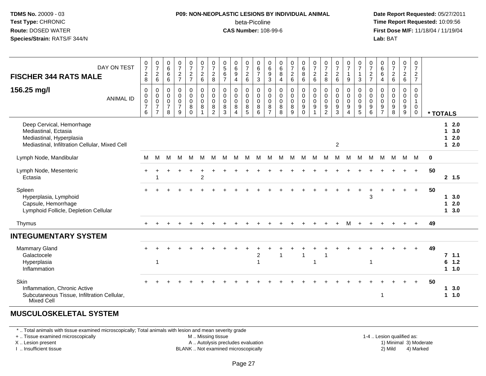### **P09: NON-NEOPLASTIC LESIONS BY INDIVIDUAL ANIMAL** beta-Picoline**beta-Picoline**<br> **CAS Number:** 108-99-6<br> **CAS Number:** 108-99-6<br> **CAS Number:** 108-99-6

 **Date Report Requested:** 05/27/2011 **First Dose M/F:** 11/18/04 / 11/19/04<br>**Lab:** BAT **Lab:** BAT

| DAY ON TEST<br><b>FISCHER 344 RATS MALE</b>                                                                                     | $\frac{0}{7}$<br>$_{\rm 8}^2$                | 0726                                                                             | $\begin{array}{c} 0 \\ 6 \end{array}$<br>$\,6\,$<br>$\,6\,$           | $\begin{array}{c} 0 \\ 7 \end{array}$<br>$\overline{2}$<br>$\overline{7}$ | $\frac{0}{7}$<br>$\frac{2}{7}$       | $\frac{0}{7}$<br>6                                             | $\frac{0}{7}$<br>$_{8}^2$                                          | $\begin{array}{c} 0 \\ 5 \\ 6 \end{array}$<br>$\overline{7}$ | $\begin{array}{c} 0 \\ 6 \end{array}$<br>$9\,$<br>$\overline{4}$ | $\frac{0}{7}$<br>$\begin{array}{c} 2 \\ 6 \end{array}$              | $\,0\,$<br>$\frac{6}{7}$<br>3             | 0<br>$\frac{6}{9}$<br>$\overline{3}$                   | $\begin{matrix}0\\6\\8\end{matrix}$<br>$\overline{4}$ | $\frac{0}{7}$<br>$\frac{2}{6}$                                    | $\begin{smallmatrix}0\0&8\0&8\end{smallmatrix}$                            | 0726                                                               | $\frac{0}{7}$<br>$\overline{2}$<br>8                             | 0726                                                   | $\frac{0}{7}$<br>$\mathbf{1}$<br>9                     | $\frac{0}{7}$<br>$\mathbf{1}$<br>$\sqrt{3}$              | $\frac{0}{7}$<br>$\frac{2}{7}$                                           | $\begin{matrix} 0 \\ 6 \\ 6 \end{matrix}$<br>$\overline{4}$ | 0726                                                             | $\frac{0}{7}$<br>$\frac{2}{6}$                          | $\frac{0}{7}$<br>$\frac{2}{7}$                       |             |                  |                          |
|---------------------------------------------------------------------------------------------------------------------------------|----------------------------------------------|----------------------------------------------------------------------------------|-----------------------------------------------------------------------|---------------------------------------------------------------------------|--------------------------------------|----------------------------------------------------------------|--------------------------------------------------------------------|--------------------------------------------------------------|------------------------------------------------------------------|---------------------------------------------------------------------|-------------------------------------------|--------------------------------------------------------|-------------------------------------------------------|-------------------------------------------------------------------|----------------------------------------------------------------------------|--------------------------------------------------------------------|------------------------------------------------------------------|--------------------------------------------------------|--------------------------------------------------------|----------------------------------------------------------|--------------------------------------------------------------------------|-------------------------------------------------------------|------------------------------------------------------------------|---------------------------------------------------------|------------------------------------------------------|-------------|------------------|--------------------------|
| 156.25 mg/l<br><b>ANIMAL ID</b>                                                                                                 | $\mathbf 0$<br>0<br>0<br>$\overline{7}$<br>6 | $\mathbf 0$<br>$\mathbf 0$<br>$\overline{0}$<br>$\overline{7}$<br>$\overline{7}$ | $\mathbf 0$<br>$\mathbf 0$<br>$\boldsymbol{0}$<br>$\overline{7}$<br>8 | $\mathbf 0$<br>$\mathbf 0$<br>$\mathbf 0$<br>$\overline{7}$<br>9          | 0<br>0<br>$\pmb{0}$<br>8<br>$\Omega$ | 0<br>$\mathbf 0$<br>$\mathsf{O}\xspace$<br>8<br>$\overline{1}$ | $\mathbf 0$<br>$\pmb{0}$<br>$\pmb{0}$<br>$\bf 8$<br>$\overline{2}$ | $\mathbf 0$<br>0<br>$\mathbf 0$<br>8<br>3                    | $\mathbf 0$<br>$\mathbf 0$<br>$\mathbf 0$<br>8<br>$\overline{4}$ | $\mathbf 0$<br>$\boldsymbol{0}$<br>$\pmb{0}$<br>8<br>$\overline{5}$ | $\mathbf 0$<br>0<br>$\mathbf 0$<br>8<br>6 | $\mathbf 0$<br>0<br>$\mathbf 0$<br>8<br>$\overline{7}$ | 0<br>0<br>$\pmb{0}$<br>$\bf 8$<br>8                   | $\mathbf 0$<br>$\mathbf 0$<br>$\ddot{\mathbf{0}}$<br>$\bf 8$<br>9 | $\mathbf 0$<br>$\mathbf 0$<br>$\pmb{0}$<br>$\boldsymbol{9}$<br>$\mathbf 0$ | $\mathbf 0$<br>$\mathbf 0$<br>$\mathsf 0$<br>$9\,$<br>$\mathbf{1}$ | $\mathbf 0$<br>$\mathbf 0$<br>$\mathbf 0$<br>9<br>$\overline{2}$ | $\mathbf 0$<br>$\boldsymbol{0}$<br>$\pmb{0}$<br>9<br>3 | $\mathbf 0$<br>0<br>$\mathbf 0$<br>9<br>$\overline{4}$ | 0<br>$\mathbf 0$<br>$\ddot{\mathbf{0}}$<br>$\frac{9}{5}$ | $\mathbf 0$<br>$\mathbf 0$<br>$\mathbf 0$<br>$\boldsymbol{9}$<br>$\,6\,$ | $\mathbf 0$<br>0<br>$\mathbf 0$<br>$\frac{9}{7}$            | $\mathbf 0$<br>$\mathbf 0$<br>$\pmb{0}$<br>$\boldsymbol{9}$<br>8 | $\mathbf{0}$<br>0<br>$\pmb{0}$<br>$\boldsymbol{9}$<br>9 | $\mathbf 0$<br>0<br>$\mathbf{1}$<br>$\mathbf 0$<br>0 |             | * TOTALS         |                          |
| Deep Cervical, Hemorrhage<br>Mediastinal, Ectasia<br>Mediastinal, Hyperplasia<br>Mediastinal, Infiltration Cellular, Mixed Cell |                                              |                                                                                  |                                                                       |                                                                           |                                      |                                                                |                                                                    |                                                              |                                                                  |                                                                     |                                           |                                                        |                                                       |                                                                   |                                                                            |                                                                    |                                                                  | $\overline{c}$                                         |                                                        |                                                          |                                                                          |                                                             |                                                                  |                                                         |                                                      |             | 1<br>1<br>1<br>1 | 2.0<br>3.0<br>2.0<br>2.0 |
| Lymph Node, Mandibular                                                                                                          | м                                            | м                                                                                | М                                                                     | M                                                                         | M                                    | M                                                              | M                                                                  | M                                                            | M                                                                | M                                                                   | M                                         | M                                                      | M                                                     | M                                                                 | M                                                                          | M                                                                  | M                                                                | M                                                      | M                                                      | M                                                        | M                                                                        | M                                                           | M                                                                | M                                                       | <b>M</b>                                             | $\mathbf 0$ |                  |                          |
| Lymph Node, Mesenteric<br>Ectasia                                                                                               |                                              |                                                                                  |                                                                       |                                                                           |                                      | $\overline{c}$                                                 |                                                                    |                                                              |                                                                  |                                                                     |                                           |                                                        |                                                       |                                                                   |                                                                            |                                                                    |                                                                  |                                                        |                                                        |                                                          |                                                                          |                                                             |                                                                  |                                                         | $+$                                                  | 50          | 2, 1.5           |                          |
| Spleen<br>Hyperplasia, Lymphoid<br>Capsule, Hemorrhage<br>Lymphoid Follicle, Depletion Cellular                                 |                                              |                                                                                  |                                                                       |                                                                           |                                      |                                                                |                                                                    |                                                              |                                                                  |                                                                     |                                           |                                                        |                                                       |                                                                   |                                                                            |                                                                    |                                                                  |                                                        |                                                        |                                                          | 3                                                                        |                                                             |                                                                  |                                                         |                                                      | 50          | 1<br>1<br>1      | 3.0<br>2.0<br>3.0        |
| Thymus                                                                                                                          |                                              |                                                                                  |                                                                       |                                                                           |                                      |                                                                |                                                                    |                                                              |                                                                  |                                                                     |                                           |                                                        |                                                       |                                                                   |                                                                            |                                                                    |                                                                  |                                                        | М                                                      |                                                          |                                                                          |                                                             |                                                                  |                                                         |                                                      | 49          |                  |                          |
| <b>INTEGUMENTARY SYSTEM</b>                                                                                                     |                                              |                                                                                  |                                                                       |                                                                           |                                      |                                                                |                                                                    |                                                              |                                                                  |                                                                     |                                           |                                                        |                                                       |                                                                   |                                                                            |                                                                    |                                                                  |                                                        |                                                        |                                                          |                                                                          |                                                             |                                                                  |                                                         |                                                      |             |                  |                          |
| <b>Mammary Gland</b><br>Galactocele<br>Hyperplasia<br>Inflammation                                                              |                                              | $\overline{1}$                                                                   |                                                                       |                                                                           |                                      |                                                                |                                                                    |                                                              |                                                                  |                                                                     | $\overline{c}$                            |                                                        |                                                       |                                                                   | $\overline{\mathbf{1}}$                                                    | -1                                                                 | 1                                                                |                                                        |                                                        |                                                          | -1                                                                       |                                                             |                                                                  |                                                         |                                                      | 49          | 7, 1.1<br>6      | 1.2<br>1 1.0             |
| Skin<br>Inflammation, Chronic Active<br>Subcutaneous Tissue, Infiltration Cellular,<br><b>Mixed Cell</b>                        |                                              |                                                                                  |                                                                       |                                                                           |                                      |                                                                |                                                                    |                                                              |                                                                  |                                                                     |                                           |                                                        |                                                       |                                                                   |                                                                            |                                                                    |                                                                  |                                                        |                                                        |                                                          |                                                                          | 1                                                           |                                                                  |                                                         |                                                      | 50          | 1<br>1           | 3.0<br>1.0               |

## **MUSCULOSKELETAL SYSTEM**

\* .. Total animals with tissue examined microscopically; Total animals with lesion and mean severity grade

+ .. Tissue examined microscopically

X .. Lesion present

I .. Insufficient tissue

 M .. Missing tissueA .. Autolysis precludes evaluation

1-4 .. Lesion qualified as:<br>1) Minimal 3) Moderate BLANK .. Not examined microscopically 2) Mild 4) Marked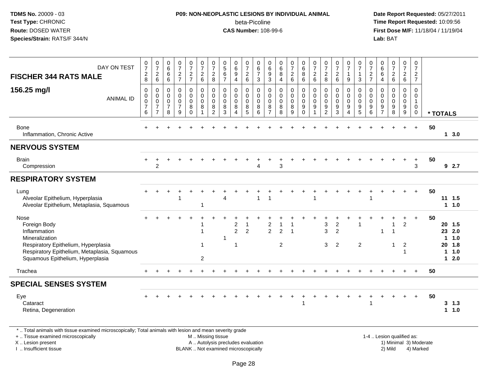## **P09: NON-NEOPLASTIC LESIONS BY INDIVIDUAL ANIMAL** beta-Picoline**beta-Picoline**<br> **CAS Number:** 108-99-6<br> **CAS Number:** 108-99-6<br> **CAS Number:** 108-99-6

 **Date Report Requested:** 05/27/2011 **First Dose M/F:** 11/18/04 / 11/19/04 Lab: BAT **Lab:** BAT

| DAY ON TEST<br><b>FISCHER 344 RATS MALE</b>                                                                                                                                       | $\frac{0}{7}$<br>$\overline{c}$<br>8                             | $\begin{smallmatrix}0\\7\end{smallmatrix}$<br>$\overline{2}$<br>$6\phantom{a}$ | 0<br>$6\overline{6}$<br>$\,6\,$<br>$\,6\,$   | $\begin{array}{c} 0 \\ 7 \end{array}$<br>$\frac{2}{7}$         | $\frac{0}{7}$<br>$\frac{2}{7}$                           | $\frac{0}{7}$<br>$\frac{2}{6}$                               | 0<br>$\overline{7}$<br>$\boldsymbol{2}$<br>8           | $\begin{array}{c} 0 \\ 5 \end{array}$<br>$6\phantom{a}$<br>$\overline{7}$ | $\begin{array}{c} 0 \\ 6 \end{array}$<br>$\overline{9}$<br>$\overline{4}$ | $\frac{0}{7}$<br>$\frac{2}{6}$                      | 0<br>$6\overline{6}$<br>$\overline{7}$<br>$\mathbf{3}$ | 0<br>6<br>$\boldsymbol{9}$<br>3              | $\begin{array}{c} 0 \\ 6 \end{array}$<br>$\overline{8}$<br>$\overline{\mathbf{4}}$ | $\frac{0}{7}$<br>$\frac{2}{6}$        | 0<br>$\overline{6}$<br>$\overline{8}$<br>6       | $\frac{0}{7}$<br>$\frac{2}{6}$             | $\frac{0}{7}$<br>$\boldsymbol{2}$<br>8       | $\frac{0}{7}$<br>$\frac{2}{6}$                | $\frac{0}{7}$<br>$\mathbf{1}$<br>9         | $\frac{0}{7}$<br>$\mathbf{1}$<br>3 | 0<br>$\overline{7}$<br>$\frac{2}{7}$                    | $\begin{matrix} 0 \\ 6 \end{matrix}$<br>$\,6\,$<br>$\overline{4}$ | $\begin{smallmatrix}0\\7\end{smallmatrix}$<br>$\frac{2}{6}$ | $\frac{0}{7}$<br>$\frac{2}{6}$                   | 0<br>$\overline{7}$<br>$\frac{2}{7}$       |    |                                         |                                              |  |
|-----------------------------------------------------------------------------------------------------------------------------------------------------------------------------------|------------------------------------------------------------------|--------------------------------------------------------------------------------|----------------------------------------------|----------------------------------------------------------------|----------------------------------------------------------|--------------------------------------------------------------|--------------------------------------------------------|---------------------------------------------------------------------------|---------------------------------------------------------------------------|-----------------------------------------------------|--------------------------------------------------------|----------------------------------------------|------------------------------------------------------------------------------------|---------------------------------------|--------------------------------------------------|--------------------------------------------|----------------------------------------------|-----------------------------------------------|--------------------------------------------|------------------------------------|---------------------------------------------------------|-------------------------------------------------------------------|-------------------------------------------------------------|--------------------------------------------------|--------------------------------------------|----|-----------------------------------------|----------------------------------------------|--|
| 156.25 mg/l<br><b>ANIMAL ID</b>                                                                                                                                                   | $\mathbf 0$<br>$\mathbf 0$<br>$\mathbf 0$<br>$\overline{7}$<br>6 | 0<br>$\mathbf 0$<br>$\mathbf 0$<br>$\overline{7}$<br>$\overline{7}$            | 0<br>$\mathbf 0$<br>0<br>$\overline{7}$<br>8 | $\pmb{0}$<br>$\mathbf 0$<br>$\mathbf 0$<br>$\overline{7}$<br>9 | $\pmb{0}$<br>$\mathbf 0$<br>$\mathbf 0$<br>8<br>$\Omega$ | $\pmb{0}$<br>$\mathbf 0$<br>$\mathbf 0$<br>8<br>$\mathbf{1}$ | 0<br>$\mathbf 0$<br>$\mathbf 0$<br>8<br>$\overline{2}$ | 0<br>0<br>0<br>8<br>3                                                     | 0<br>0<br>0<br>8<br>$\Delta$                                              | $\mathbf 0$<br>$\mathbf 0$<br>$\mathbf 0$<br>8<br>5 | 0<br>0<br>$\mathbf 0$<br>8<br>6                        | 0<br>0<br>$\mathbf 0$<br>8<br>$\overline{7}$ | 0<br>$\pmb{0}$<br>0<br>8<br>8                                                      | 0<br>$\pmb{0}$<br>$\pmb{0}$<br>8<br>9 | 0<br>$\mathbf 0$<br>$\mathbf 0$<br>9<br>$\Omega$ | 0<br>$\mathbf 0$<br>0<br>9<br>$\mathbf{1}$ | 0<br>$\mathbf 0$<br>0<br>9<br>$\overline{2}$ | 0<br>$\mathbf 0$<br>$\mathbf 0$<br>$9\,$<br>3 | 0<br>0<br>0<br>9<br>$\boldsymbol{\Lambda}$ | 0<br>0<br>0<br>9<br>5              | $\mathbf 0$<br>$\mathbf 0$<br>$\mathbf 0$<br>$9\,$<br>6 | 0<br>0<br>$\mathbf 0$<br>$9\,$<br>$\overline{7}$                  | $\mathbf 0$<br>0<br>$\mathbf 0$<br>9<br>8                   | 0<br>$\mathsf{O}$<br>$\mathbf 0$<br>9<br>9       | 0<br>0<br>$\mathbf{1}$<br>0<br>$\mathbf 0$ |    | * TOTALS                                |                                              |  |
| <b>Bone</b><br>Inflammation, Chronic Active                                                                                                                                       |                                                                  |                                                                                |                                              |                                                                |                                                          |                                                              |                                                        |                                                                           |                                                                           |                                                     |                                                        |                                              |                                                                                    |                                       |                                                  |                                            |                                              |                                               |                                            |                                    |                                                         |                                                                   |                                                             |                                                  | $\ddot{}$                                  | 50 |                                         | $1 \quad 3.0$                                |  |
| <b>NERVOUS SYSTEM</b>                                                                                                                                                             |                                                                  |                                                                                |                                              |                                                                |                                                          |                                                              |                                                        |                                                                           |                                                                           |                                                     |                                                        |                                              |                                                                                    |                                       |                                                  |                                            |                                              |                                               |                                            |                                    |                                                         |                                                                   |                                                             |                                                  |                                            |    |                                         |                                              |  |
| <b>Brain</b><br>Compression                                                                                                                                                       |                                                                  | 2                                                                              |                                              |                                                                |                                                          |                                                              |                                                        |                                                                           |                                                                           |                                                     | Δ                                                      |                                              | 3                                                                                  |                                       |                                                  |                                            |                                              |                                               |                                            |                                    |                                                         |                                                                   |                                                             | $\div$                                           | $\ddot{}$<br>3                             | 50 |                                         | 92.7                                         |  |
| <b>RESPIRATORY SYSTEM</b>                                                                                                                                                         |                                                                  |                                                                                |                                              |                                                                |                                                          |                                                              |                                                        |                                                                           |                                                                           |                                                     |                                                        |                                              |                                                                                    |                                       |                                                  |                                            |                                              |                                               |                                            |                                    |                                                         |                                                                   |                                                             |                                                  |                                            |    |                                         |                                              |  |
| Lung<br>Alveolar Epithelium, Hyperplasia<br>Alveolar Epithelium, Metaplasia, Squamous                                                                                             |                                                                  |                                                                                |                                              |                                                                |                                                          | 1                                                            |                                                        | 4                                                                         |                                                                           |                                                     | 1                                                      |                                              |                                                                                    |                                       |                                                  | -1                                         |                                              |                                               |                                            |                                    |                                                         |                                                                   |                                                             | $\div$                                           | $+$                                        | 50 |                                         | 11 1.5<br>11.0                               |  |
| Nose<br>Foreign Body<br>Inflammation<br>Mineralization<br>Respiratory Epithelium, Hyperplasia<br>Respiratory Epithelium, Metaplasia, Squamous<br>Squamous Epithelium, Hyperplasia |                                                                  |                                                                                |                                              |                                                                |                                                          | 1<br>$\mathbf{1}$<br>1<br>$\overline{\mathbf{c}}$            |                                                        | -1                                                                        | $\sqrt{2}$<br>$\overline{2}$<br>-1                                        | $\overline{1}$<br>$\overline{2}$                    |                                                        | $\overline{\mathbf{c}}$<br>$\overline{2}$    | $\mathbf{1}$<br>$\overline{2}$<br>$\overline{2}$                                   | $\mathbf{1}$<br>1                     |                                                  |                                            | 3<br>3<br>3                                  | $\overline{c}$<br>$\overline{2}$<br>2         |                                            | $\overline{1}$<br>$\overline{2}$   |                                                         | 1                                                                 | 1<br>1<br>1                                                 | $\overline{c}$<br>$\overline{2}$<br>$\mathbf{1}$ | $+$                                        | 50 | $\mathbf{1}$<br>20<br>1<br>$\mathbf{1}$ | 20 1.5<br>23 2.0<br>1.0<br>1.8<br>1.0<br>2.0 |  |
| Trachea                                                                                                                                                                           |                                                                  |                                                                                |                                              |                                                                |                                                          |                                                              |                                                        |                                                                           |                                                                           |                                                     |                                                        |                                              |                                                                                    |                                       |                                                  |                                            |                                              |                                               |                                            |                                    |                                                         |                                                                   |                                                             |                                                  | $\ddot{}$                                  | 50 |                                         |                                              |  |
| <b>SPECIAL SENSES SYSTEM</b>                                                                                                                                                      |                                                                  |                                                                                |                                              |                                                                |                                                          |                                                              |                                                        |                                                                           |                                                                           |                                                     |                                                        |                                              |                                                                                    |                                       |                                                  |                                            |                                              |                                               |                                            |                                    |                                                         |                                                                   |                                                             |                                                  |                                            |    |                                         |                                              |  |
| Eye<br>Cataract<br>Retina, Degeneration                                                                                                                                           |                                                                  |                                                                                |                                              |                                                                |                                                          |                                                              |                                                        |                                                                           |                                                                           |                                                     |                                                        |                                              |                                                                                    |                                       |                                                  |                                            |                                              |                                               |                                            |                                    | -1                                                      |                                                                   |                                                             |                                                  | $+$                                        | 50 | $\mathbf{1}$                            | $3 \t1.3$<br>1.0                             |  |
|                                                                                                                                                                                   |                                                                  |                                                                                |                                              |                                                                |                                                          |                                                              |                                                        |                                                                           |                                                                           |                                                     |                                                        |                                              |                                                                                    |                                       |                                                  |                                            |                                              |                                               |                                            |                                    |                                                         |                                                                   |                                                             |                                                  |                                            |    |                                         |                                              |  |

\* .. Total animals with tissue examined microscopically; Total animals with lesion and mean severity grade

+ .. Tissue examined microscopically

X .. Lesion present

I .. Insufficient tissue

 M .. Missing tissueA .. Autolysis precludes evaluation

BLANK .. Not examined microscopically 2) Mild 4) Marked

1-4 .. Lesion qualified as:<br>1) Minimal 3) Moderate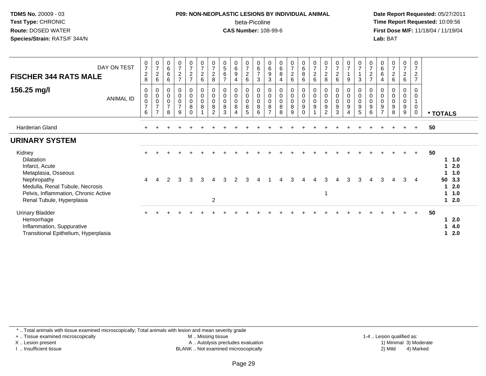### **P09: NON-NEOPLASTIC LESIONS BY INDIVIDUAL ANIMAL** beta-Picoline**beta-Picoline**<br> **CAS Number:** 108-99-6<br> **CAS Number:** 108-99-6<br> **CAS Number:** 108-99-6

 **Date Report Requested:** 05/27/2011 **First Dose M/F:** 11/18/04 / 11/19/04 Lab: BAT **Lab:** BAT

| DAY ON TEST<br><b>FISCHER 344 RATS MALE</b>                                                                                                | $\frac{0}{7}$<br>$_{\rm 8}^2$                                           | $\frac{0}{7}$<br>$\overline{c}$<br>6                                          | $\begin{matrix} 0 \\ 6 \end{matrix}$<br>6<br>6       | $\frac{0}{7}$<br>$\boldsymbol{2}$<br>$\overline{7}$                  | $\frac{0}{7}$<br>$\frac{2}{7}$                              | $\frac{0}{7}$<br>$\boldsymbol{2}$<br>$\,6\,$                    | $\frac{0}{7}$<br>$\overline{c}$<br>8                | $\begin{array}{c} 0 \\ 5 \\ 6 \end{array}$<br>$\overline{7}$ | $\begin{array}{c} 0 \\ 6 \end{array}$<br>$\boldsymbol{9}$<br>$\overline{4}$ | $\frac{0}{7}$<br>$\overline{c}$<br>6    | $\begin{array}{c} 0 \\ 6 \\ 7 \end{array}$<br>$\mathbf{3}$           | $\begin{array}{c} 0 \\ 6 \end{array}$<br>$\overline{9}$<br>3           | $\begin{matrix} 0 \\ 6 \end{matrix}$<br>$\overline{8}$<br>4             | $\frac{0}{7}$<br>$\overline{a}$<br>6         | $\begin{array}{c} 0 \\ 6 \\ 8 \end{array}$<br>6                                  | $\frac{0}{7}$<br>$\overline{c}$<br>$\,6\,$                        | $\frac{0}{7}$<br>$\frac{2}{8}$                                  | $\frac{0}{7}$<br>$\sqrt{2}$<br>6                                     | $\frac{0}{7}$<br>9              | $\frac{0}{7}$<br>$\mathbf{1}$<br>$\mathbf{3}$                                        | $\frac{0}{7}$<br>$\overline{c}$<br>$\overline{ }$ | $\begin{matrix} 0 \\ 6 \end{matrix}$<br>$\,6$<br>$\overline{4}$   | $\begin{smallmatrix}0\\7\end{smallmatrix}$<br>$\boldsymbol{2}$<br>$\,6\,$ | $\frac{0}{7}$<br>$\begin{array}{c} 2 \\ 6 \end{array}$   | 0<br>$\overline{7}$<br>$\overline{c}$<br>$\overline{7}$              |    |                   |                                 |
|--------------------------------------------------------------------------------------------------------------------------------------------|-------------------------------------------------------------------------|-------------------------------------------------------------------------------|------------------------------------------------------|----------------------------------------------------------------------|-------------------------------------------------------------|-----------------------------------------------------------------|-----------------------------------------------------|--------------------------------------------------------------|-----------------------------------------------------------------------------|-----------------------------------------|----------------------------------------------------------------------|------------------------------------------------------------------------|-------------------------------------------------------------------------|----------------------------------------------|----------------------------------------------------------------------------------|-------------------------------------------------------------------|-----------------------------------------------------------------|----------------------------------------------------------------------|---------------------------------|--------------------------------------------------------------------------------------|---------------------------------------------------|-------------------------------------------------------------------|---------------------------------------------------------------------------|----------------------------------------------------------|----------------------------------------------------------------------|----|-------------------|---------------------------------|
| 156.25 mg/l<br><b>ANIMAL ID</b>                                                                                                            | $\mathbf 0$<br>$\pmb{0}$<br>$\boldsymbol{0}$<br>$\overline{7}$<br>$\,6$ | $\begin{matrix} 0 \\ 0 \\ 0 \end{matrix}$<br>$\overline{7}$<br>$\overline{7}$ | 0<br>$\pmb{0}$<br>$\mathbf 0$<br>$\overline{7}$<br>8 | $\begin{smallmatrix}0\\0\\0\end{smallmatrix}$<br>$\overline{7}$<br>9 | $_0^0$<br>$\mathsf{O}\xspace$<br>$\overline{8}$<br>$\Omega$ | $\begin{smallmatrix}0\\0\\0\end{smallmatrix}$<br>$\overline{8}$ | $\mathbf 0$<br>$\mathbf 0$<br>$\mathbf 0$<br>8<br>2 | $\pmb{0}$<br>$\overline{0}$<br>$\, 8$<br>3                   | $_{\rm 0}^{\rm 0}$<br>$\pmb{0}$<br>$\bf 8$<br>4                             | 0<br>$\mathbf 0$<br>$\pmb{0}$<br>8<br>5 | $\begin{smallmatrix}0\\0\\0\end{smallmatrix}$<br>$\overline{8}$<br>6 | $\pmb{0}$<br>$\pmb{0}$<br>$\boldsymbol{0}$<br>$\, 8$<br>$\overline{7}$ | $\overline{0}$<br>$\ddot{\mathbf{0}}$<br>$\overline{0}$<br>$\bf 8$<br>8 | $\begin{matrix} 0\0\0\end{matrix}$<br>8<br>9 | $\begin{smallmatrix}0\0\0\0\end{smallmatrix}$<br>$\boldsymbol{9}$<br>$\mathbf 0$ | $\begin{smallmatrix}0\\0\\0\end{smallmatrix}$<br>$\boldsymbol{9}$ | $\begin{smallmatrix}0\0\0\0\end{smallmatrix}$<br>$\overline{c}$ | $\begin{smallmatrix}0\\0\\0\end{smallmatrix}$<br>$\overline{9}$<br>3 | $_0^0$<br>$\mathbf 0$<br>9<br>4 | $\begin{smallmatrix}0\\0\\0\end{smallmatrix}$<br>$\boldsymbol{9}$<br>$5\phantom{.0}$ | 0<br>$\bar{0}$<br>$\bar{0}$<br>9<br>6             | 0<br>$\pmb{0}$<br>$\pmb{0}$<br>$\boldsymbol{9}$<br>$\overline{7}$ | $\begin{smallmatrix}0\0\0\0\end{smallmatrix}$<br>8                        | $\begin{smallmatrix}0\0\end{smallmatrix}$<br>0<br>9<br>9 | $\mathbf 0$<br>$\pmb{0}$<br>$\mathbf{1}$<br>$\pmb{0}$<br>$\mathbf 0$ |    | * TOTALS          |                                 |
| Harderian Gland                                                                                                                            |                                                                         |                                                                               |                                                      |                                                                      |                                                             |                                                                 |                                                     |                                                              |                                                                             |                                         |                                                                      |                                                                        |                                                                         |                                              |                                                                                  |                                                                   |                                                                 |                                                                      |                                 |                                                                                      |                                                   |                                                                   |                                                                           |                                                          |                                                                      | 50 |                   |                                 |
| <b>URINARY SYSTEM</b>                                                                                                                      |                                                                         |                                                                               |                                                      |                                                                      |                                                             |                                                                 |                                                     |                                                              |                                                                             |                                         |                                                                      |                                                                        |                                                                         |                                              |                                                                                  |                                                                   |                                                                 |                                                                      |                                 |                                                                                      |                                                   |                                                                   |                                                                           |                                                          |                                                                      |    |                   |                                 |
| Kidney<br>Dilatation<br>Infarct, Acute                                                                                                     |                                                                         |                                                                               |                                                      |                                                                      |                                                             |                                                                 |                                                     |                                                              |                                                                             |                                         |                                                                      |                                                                        |                                                                         |                                              |                                                                                  |                                                                   |                                                                 |                                                                      |                                 |                                                                                      |                                                   |                                                                   |                                                                           |                                                          |                                                                      | 50 | $1 \t1.0$<br>1    | 2.0                             |
| Metaplasia, Osseous<br>Nephropathy<br>Medulla, Renal Tubule, Necrosis<br>Pelvis, Inflammation, Chronic Active<br>Renal Tubule, Hyperplasia | 4                                                                       |                                                                               | $\mathcal{P}$                                        | 3                                                                    | 3                                                           | 3                                                               | $\boldsymbol{2}$                                    | 3                                                            | 2                                                                           | 3                                       |                                                                      |                                                                        |                                                                         | 3                                            |                                                                                  |                                                                   | 3                                                               |                                                                      | 3                               | 3                                                                                    |                                                   | 3                                                                 | 4                                                                         | 3                                                        | $\overline{4}$                                                       |    | 50<br>1<br>1<br>1 | 1.0<br>3.3<br>2.0<br>1.0<br>2.0 |
| <b>Urinary Bladder</b><br>Hemorrhage<br>Inflammation, Suppurative<br>Transitional Epithelium, Hyperplasia                                  |                                                                         |                                                                               |                                                      |                                                                      |                                                             |                                                                 |                                                     |                                                              |                                                                             |                                         |                                                                      |                                                                        |                                                                         |                                              |                                                                                  |                                                                   |                                                                 |                                                                      |                                 |                                                                                      |                                                   |                                                                   |                                                                           |                                                          |                                                                      | 50 | 1<br>1<br>1       | 2.0<br>4.0<br>2.0               |

\* .. Total animals with tissue examined microscopically; Total animals with lesion and mean severity grade

+ .. Tissue examined microscopically

X .. Lesion present

I .. Insufficient tissue

 M .. Missing tissueA .. Autolysis precludes evaluation

 1-4 .. Lesion qualified as: BLANK .. Not examined microscopically 2) Mild 4) Marked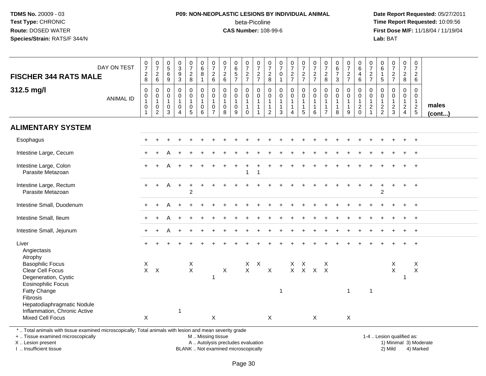## **P09: NON-NEOPLASTIC LESIONS BY INDIVIDUAL ANIMAL** beta-Picoline**beta-Picoline**<br> **CAS Number:** 108-99-6<br> **CAS Number:** 108-99-6<br> **CAS Number:** 108-99-6

 **Date Report Requested:** 05/27/2011 **First Dose M/F:** 11/18/04 / 11/19/04 Lab: BAT **Lab:** BAT

| <b>FISCHER 344 RATS MALE</b>                                                                                     | DAY ON TEST      | $\frac{0}{7}$<br>$_{8}^2$                      | $\begin{smallmatrix}0\\7\end{smallmatrix}$<br>$^2\phantom{1}6$                                  | $\begin{array}{c} 0 \\ 5 \end{array}$<br>$\,6$<br>9 | $\begin{smallmatrix} 0\\ 3 \end{smallmatrix}$<br>$\boldsymbol{9}$<br>$\mathbf{3}$ | $\frac{0}{7}$<br>$\frac{2}{8}$                       | $\pmb{0}$<br>$\,6\,$<br>8<br>$\mathbf{1}$                    | $\begin{array}{c} 0 \\ 7 \end{array}$<br>$\boldsymbol{2}$<br>$\,6\,$ | $\frac{0}{7}$<br>$^2\phantom{1}6$                              | $\begin{array}{c} 0 \\ 6 \end{array}$<br>$\frac{5}{7}$         | $\frac{0}{7}$<br>$\frac{2}{7}$                               | $\frac{0}{7}$<br>$\frac{2}{7}$                                                           | $\frac{0}{7}$<br>$_{8}^2$                             | $\frac{0}{7}$<br>$\mathsf 0$<br>$\overline{1}$        | $\frac{0}{7}$<br>$\frac{2}{7}$                                             | $\begin{array}{c} 0 \\ 7 \end{array}$<br>$\frac{2}{7}$          | $\begin{array}{c} 0 \\ 7 \end{array}$<br>$\frac{2}{7}$            | $\frac{0}{7}$<br>$\sqrt{2}$<br>8                                             | $\begin{array}{c} 0 \\ 6 \end{array}$<br>$\boldsymbol{7}$<br>3    | $\frac{0}{7}$<br>$\frac{2}{7}$                        | $_{6}^{\rm 0}$<br>$\overline{4}$<br>6                                          | $\frac{0}{7}$<br>$\frac{2}{7}$                                                   | $\begin{array}{c} 0 \\ 6 \end{array}$<br>$\frac{1}{5}$        | $\begin{array}{c} 0 \\ 7 \end{array}$<br>$\frac{2}{7}$ | $\frac{0}{7}$<br>$\frac{2}{8}$                                       | $\begin{array}{c} 0 \\ 7 \end{array}$<br>$\frac{2}{6}$ |                       |
|------------------------------------------------------------------------------------------------------------------|------------------|------------------------------------------------|-------------------------------------------------------------------------------------------------|-----------------------------------------------------|-----------------------------------------------------------------------------------|------------------------------------------------------|--------------------------------------------------------------|----------------------------------------------------------------------|----------------------------------------------------------------|----------------------------------------------------------------|--------------------------------------------------------------|------------------------------------------------------------------------------------------|-------------------------------------------------------|-------------------------------------------------------|----------------------------------------------------------------------------|-----------------------------------------------------------------|-------------------------------------------------------------------|------------------------------------------------------------------------------|-------------------------------------------------------------------|-------------------------------------------------------|--------------------------------------------------------------------------------|----------------------------------------------------------------------------------|---------------------------------------------------------------|--------------------------------------------------------|----------------------------------------------------------------------|--------------------------------------------------------|-----------------------|
| 312.5 mg/l                                                                                                       | <b>ANIMAL ID</b> | 0<br>$\mathsf{O}$<br>$\mathbf{1}$<br>$\pmb{0}$ | $\boldsymbol{0}$<br>$\begin{smallmatrix}0\\1\end{smallmatrix}$<br>$\mathbf 0$<br>$\overline{2}$ | 0<br>$\mathbf 0$<br>$\mathbf{1}$<br>0<br>3          | $\mathbf 0$<br>$\mathbf 0$<br>$\mathbf{1}$<br>$\mathbf 0$<br>$\overline{4}$       | 0<br>$\mathbf 0$<br>$\mathbf{1}$<br>$\mathbf 0$<br>5 | $\mathsf{O}\xspace$<br>$\mathbf 0$<br>$\mathbf{1}$<br>0<br>6 | $\mathbf 0$<br>$\pmb{0}$<br>$\mathbf{1}$<br>0<br>$\overline{7}$      | $\mathbf 0$<br>$\mathbf 0$<br>$\mathbf{1}$<br>$\mathbf 0$<br>8 | $\mathbf 0$<br>$\mathbf 0$<br>$\mathbf{1}$<br>$\mathbf 0$<br>9 | 0<br>$\mathbf 0$<br>$\mathbf{1}$<br>$\mathbf{1}$<br>$\Omega$ | $\mathsf{O}\xspace$<br>$\mathsf 0$<br>$\overline{1}$<br>$\overline{1}$<br>$\overline{1}$ | 0<br>$\mathbf 0$<br>$\mathbf{1}$<br>$\mathbf{1}$<br>2 | $\mathbf 0$<br>0<br>$\mathbf{1}$<br>$\mathbf{1}$<br>3 | $\mathbf 0$<br>$\pmb{0}$<br>$\mathbf{1}$<br>$\mathbf{1}$<br>$\overline{4}$ | $\mathbf 0$<br>$\mathbf 0$<br>$\mathbf{1}$<br>$\mathbf{1}$<br>5 | $\pmb{0}$<br>$\mathbf 0$<br>$\mathbf{1}$<br>$\mathbf{1}$<br>6     | $\mathbf 0$<br>$\mathbf 0$<br>$\mathbf{1}$<br>$\mathbf{1}$<br>$\overline{7}$ | $\mathbf 0$<br>$\mathbf 0$<br>$\overline{1}$<br>$\mathbf{1}$<br>8 | 0<br>$\mathbf 0$<br>$\mathbf{1}$<br>$\mathbf{1}$<br>9 | $\pmb{0}$<br>$\mathsf{O}\xspace$<br>$\mathbf{1}$<br>$\overline{c}$<br>$\Omega$ | $\mathbf 0$<br>$\mathbf 0$<br>$\mathbf{1}$<br>$\boldsymbol{2}$<br>$\overline{1}$ | $\mathbf 0$<br>$\mathbf 0$<br>$\overline{1}$<br>$\frac{2}{2}$ | $\mathsf 0$<br>0<br>$\mathbf{1}$<br>$\frac{2}{3}$      | 0<br>$\mathbf 0$<br>$\mathbf{1}$<br>$\overline{a}$<br>$\overline{4}$ | 0<br>$\overline{0}$<br>$\frac{1}{2}$                   | males<br>$($ cont $)$ |
| <b>ALIMENTARY SYSTEM</b>                                                                                         |                  |                                                |                                                                                                 |                                                     |                                                                                   |                                                      |                                                              |                                                                      |                                                                |                                                                |                                                              |                                                                                          |                                                       |                                                       |                                                                            |                                                                 |                                                                   |                                                                              |                                                                   |                                                       |                                                                                |                                                                                  |                                                               |                                                        |                                                                      |                                                        |                       |
| Esophagus                                                                                                        |                  |                                                |                                                                                                 |                                                     |                                                                                   |                                                      |                                                              |                                                                      |                                                                |                                                                |                                                              |                                                                                          |                                                       |                                                       |                                                                            |                                                                 |                                                                   |                                                                              |                                                                   |                                                       |                                                                                |                                                                                  |                                                               |                                                        |                                                                      |                                                        |                       |
| Intestine Large, Cecum                                                                                           |                  |                                                |                                                                                                 |                                                     |                                                                                   |                                                      |                                                              |                                                                      |                                                                |                                                                |                                                              |                                                                                          |                                                       |                                                       |                                                                            |                                                                 |                                                                   |                                                                              |                                                                   |                                                       |                                                                                |                                                                                  |                                                               |                                                        |                                                                      |                                                        |                       |
| Intestine Large, Colon<br>Parasite Metazoan                                                                      |                  |                                                |                                                                                                 |                                                     |                                                                                   |                                                      |                                                              |                                                                      |                                                                |                                                                | $\mathbf 1$                                                  |                                                                                          |                                                       |                                                       |                                                                            |                                                                 |                                                                   |                                                                              |                                                                   |                                                       |                                                                                |                                                                                  |                                                               |                                                        |                                                                      |                                                        |                       |
| Intestine Large, Rectum<br>Parasite Metazoan                                                                     |                  | $+$                                            | $+$                                                                                             | A                                                   | $+$                                                                               | $\ddot{}$<br>$\overline{2}$                          |                                                              |                                                                      |                                                                |                                                                |                                                              |                                                                                          |                                                       |                                                       |                                                                            |                                                                 |                                                                   |                                                                              |                                                                   |                                                       |                                                                                | $\overline{ }$                                                                   | $\overline{c}$                                                |                                                        | $+$                                                                  | $+$                                                    |                       |
| Intestine Small, Duodenum                                                                                        |                  |                                                |                                                                                                 |                                                     |                                                                                   |                                                      |                                                              |                                                                      |                                                                |                                                                |                                                              |                                                                                          |                                                       |                                                       |                                                                            |                                                                 |                                                                   |                                                                              |                                                                   |                                                       |                                                                                |                                                                                  |                                                               |                                                        |                                                                      |                                                        |                       |
| Intestine Small, Ileum                                                                                           |                  |                                                |                                                                                                 |                                                     |                                                                                   |                                                      |                                                              |                                                                      |                                                                |                                                                |                                                              |                                                                                          |                                                       |                                                       |                                                                            |                                                                 |                                                                   |                                                                              |                                                                   |                                                       |                                                                                |                                                                                  |                                                               |                                                        |                                                                      |                                                        |                       |
| Intestine Small, Jejunum                                                                                         |                  |                                                |                                                                                                 |                                                     |                                                                                   |                                                      |                                                              |                                                                      |                                                                |                                                                |                                                              |                                                                                          |                                                       |                                                       |                                                                            |                                                                 |                                                                   |                                                                              |                                                                   |                                                       |                                                                                |                                                                                  |                                                               |                                                        |                                                                      |                                                        |                       |
| Liver<br>Angiectasis<br>Atrophy                                                                                  |                  |                                                |                                                                                                 |                                                     |                                                                                   |                                                      |                                                              |                                                                      |                                                                |                                                                |                                                              |                                                                                          |                                                       |                                                       |                                                                            |                                                                 |                                                                   |                                                                              |                                                                   |                                                       |                                                                                |                                                                                  |                                                               |                                                        |                                                                      |                                                        |                       |
| <b>Basophilic Focus</b><br>Clear Cell Focus<br>Degeneration, Cystic<br><b>Eosinophilic Focus</b><br>Fatty Change |                  |                                                | $X$<br>$X$ $X$                                                                                  |                                                     |                                                                                   | $\frac{x}{x}$                                        |                                                              | $\mathbf{1}$                                                         | $\mathsf X$                                                    |                                                                | $\mathsf{X}$                                                 | $X$ $X$                                                                                  | $\mathsf{X}$                                          | -1                                                    |                                                                            |                                                                 | $\begin{array}{ccccc}\nX & X & & X \\ X & X & X & X\n\end{array}$ |                                                                              |                                                                   | $\mathbf{1}$                                          |                                                                                | $\overline{1}$                                                                   |                                                               | X<br>$\mathsf X$                                       | $\mathbf{1}$                                                         | X<br>$\mathsf X$                                       |                       |
| Fibrosis<br>Hepatodiaphragmatic Nodule<br>Inflammation, Chronic Active<br><b>Mixed Cell Focus</b>                |                  | X                                              |                                                                                                 |                                                     | $\mathbf 1$                                                                       |                                                      |                                                              | $\pmb{\times}$                                                       |                                                                |                                                                |                                                              |                                                                                          | $\boldsymbol{X}$                                      |                                                       |                                                                            |                                                                 | $\mathsf{X}$                                                      |                                                                              |                                                                   | X                                                     |                                                                                |                                                                                  |                                                               |                                                        |                                                                      |                                                        |                       |

\* .. Total animals with tissue examined microscopically; Total animals with lesion and mean severity grade

+ .. Tissue examined microscopically

X .. Lesion present

I .. Insufficient tissue

 M .. Missing tissueA .. Autolysis precludes evaluation

 1-4 .. Lesion qualified as: BLANK .. Not examined microscopically 2) Mild 4) Marked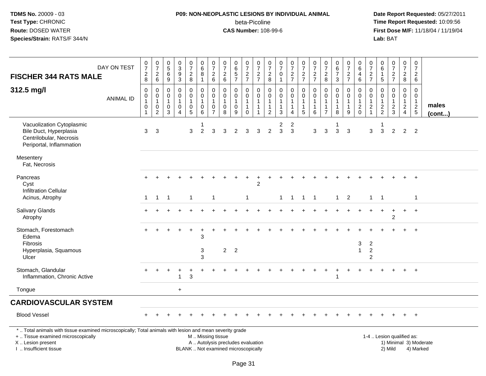## **P09: NON-NEOPLASTIC LESIONS BY INDIVIDUAL ANIMAL**beta-Picoline<br>CAS Number: 108-99-6

| <b>FISCHER 344 RATS MALE</b>                                                                                                                                                                 | DAY ON TEST      | $\frac{0}{7}$<br>$\frac{2}{8}$                                          | 0726                                                                           | 0<br>$\overline{5}$ 6<br>$9\,$                       | $\begin{array}{c} 0 \\ 3 \\ 9 \end{array}$<br>$\mathbf{3}$                | $\frac{0}{7}$<br>$\overline{c}$<br>8       | $_{6}^{\rm 0}$<br>8<br>$\mathbf{1}$                                                           | $\frac{0}{7}$<br>$\frac{2}{6}$                                 | $\begin{array}{c} 0 \\ 7 \end{array}$<br>$\overline{2}$<br>$6\phantom{1}$ | $\begin{array}{c} 0 \\ 6 \end{array}$<br>$\overline{5}$<br>$\overline{7}$ | $\begin{array}{c} 0 \\ 7 \end{array}$<br>$\frac{2}{7}$                            | $\frac{0}{7}$<br>$\frac{2}{7}$                                              | 0<br>$\overline{7}$<br>$\overline{c}$<br>8                                   | $\frac{0}{7}$<br>$\Omega$<br>$\overline{1}$                  | $\frac{0}{7}$<br>$\frac{2}{7}$                    | $\frac{0}{7}$<br>$\frac{2}{7}$                                  | $\frac{0}{7}$<br>$\frac{2}{7}$                                              | $\frac{0}{7}$<br>$\overline{c}$<br>8            | $\begin{array}{c} 0 \\ 6 \\ 7 \end{array}$<br>$\mathbf{3}$ | $\frac{0}{7}$<br>$\frac{2}{7}$                                      | 0<br>$\,6\,$<br>$\overline{4}$<br>6                                              | 0<br>$\overline{7}$<br>$\frac{2}{7}$                               | $\pmb{0}$<br>$\,6\,$<br>5                                | $\frac{0}{7}$<br>$\frac{2}{7}$                              | $\begin{smallmatrix}0\\7\end{smallmatrix}$<br>$\overline{2}$<br>8           | $\pmb{0}$<br>$\overline{7}$<br>$\overline{c}$<br>$\,6\,$           |                        |
|----------------------------------------------------------------------------------------------------------------------------------------------------------------------------------------------|------------------|-------------------------------------------------------------------------|--------------------------------------------------------------------------------|------------------------------------------------------|---------------------------------------------------------------------------|--------------------------------------------|-----------------------------------------------------------------------------------------------|----------------------------------------------------------------|---------------------------------------------------------------------------|---------------------------------------------------------------------------|-----------------------------------------------------------------------------------|-----------------------------------------------------------------------------|------------------------------------------------------------------------------|--------------------------------------------------------------|---------------------------------------------------|-----------------------------------------------------------------|-----------------------------------------------------------------------------|-------------------------------------------------|------------------------------------------------------------|---------------------------------------------------------------------|----------------------------------------------------------------------------------|--------------------------------------------------------------------|----------------------------------------------------------|-------------------------------------------------------------|-----------------------------------------------------------------------------|--------------------------------------------------------------------|------------------------|
| 312.5 mg/l                                                                                                                                                                                   | <b>ANIMAL ID</b> | $\mathbf 0$<br>$\mathbf 0$<br>$\mathbf{1}$<br>$\pmb{0}$<br>$\mathbf{1}$ | $\mathbf 0$<br>$\pmb{0}$<br>$\mathbf{1}$<br>$\boldsymbol{0}$<br>$\overline{2}$ | $\Omega$<br>0<br>$\overline{1}$<br>0<br>$\mathbf{3}$ | $\mathbf 0$<br>$\mathbf 0$<br>$\mathbf{1}$<br>$\pmb{0}$<br>$\overline{4}$ | 0<br>$\mathbf 0$<br>$\mathbf{1}$<br>0<br>5 | $\mathbf 0$<br>$\ddot{\mathbf{0}}$<br>$\mathbf{1}$<br>$\pmb{0}$<br>$6^{\circ}$                | $\Omega$<br>$\mathbf 0$<br>$\mathbf{1}$<br>0<br>$\overline{7}$ | 0<br>$\mathbf 0$<br>$\mathbf{1}$<br>$\mathbf 0$<br>8                      | $\mathbf 0$<br>$\pmb{0}$<br>$\mathbf{1}$<br>$\pmb{0}$<br>9                | $\mathbf 0$<br>$\mathbf 0$<br>$\mathbf{1}$<br>$\mathbf{1}$<br>$\mathsf{O}\xspace$ | $\Omega$<br>$\mathbf 0$<br>$\mathbf{1}$<br>$\overline{1}$<br>$\overline{1}$ | $\mathbf 0$<br>$\mathbf 0$<br>$\mathbf{1}$<br>$\mathbf{1}$<br>$\overline{2}$ | $\Omega$<br>$\mathbf 0$<br>$\mathbf{1}$<br>1<br>$\mathbf{3}$ | 0<br>$\mathsf{O}\xspace$<br>$\mathbf 1$<br>1<br>4 | $\mathbf 0$<br>$\mathbf 0$<br>$\mathbf{1}$<br>$\mathbf{1}$<br>5 | $\mathbf 0$<br>$\pmb{0}$<br>$\mathbf{1}$<br>$\mathbf{1}$<br>$6\phantom{1}6$ | $\Omega$<br>0<br>$\mathbf{1}$<br>$\overline{7}$ | $\mathbf 0$<br>$\pmb{0}$<br>$\mathbf{1}$<br>1<br>$\,8\,$   | $\mathbf 0$<br>$\mathbf 0$<br>$\mathbf{1}$<br>$\mathbf{1}$<br>$9\,$ | $\mathbf{0}$<br>$\mathbf 0$<br>$\overline{1}$<br>$\boldsymbol{2}$<br>$\mathbf 0$ | 0<br>$\mathbf 0$<br>$\mathbf{1}$<br>$\overline{c}$<br>$\mathbf{1}$ | $\Omega$<br>$\mathbf 0$<br>$\mathbf{1}$<br>$\frac{2}{2}$ | $\mathbf 0$<br>$\mathbf 0$<br>$\mathbf{1}$<br>$\frac{2}{3}$ | $\Omega$<br>$\mathbf 0$<br>$\mathbf{1}$<br>$\overline{2}$<br>$\overline{4}$ | $\mathbf 0$<br>0<br>$\mathbf{1}$<br>$\boldsymbol{2}$<br>$\sqrt{5}$ | males<br>$($ cont $)$  |
| Vacuolization Cytoplasmic<br>Bile Duct, Hyperplasia<br>Centrilobular, Necrosis<br>Periportal, Inflammation                                                                                   |                  | 3                                                                       | 3                                                                              |                                                      |                                                                           | 3                                          | 2                                                                                             | 3                                                              | 3                                                                         | 2                                                                         | 3                                                                                 | 3                                                                           | 2                                                                            | $\overline{\mathbf{c}}$<br>3                                 | $\boldsymbol{2}$<br>$\overline{3}$                |                                                                 | 3                                                                           | 3                                               | 3                                                          | 3                                                                   |                                                                                  | 3                                                                  | $\mathbf{3}$                                             | $\overline{2}$                                              | 2                                                                           | $\overline{2}$                                                     |                        |
| Mesentery<br>Fat, Necrosis                                                                                                                                                                   |                  |                                                                         |                                                                                |                                                      |                                                                           |                                            |                                                                                               |                                                                |                                                                           |                                                                           |                                                                                   |                                                                             |                                                                              |                                                              |                                                   |                                                                 |                                                                             |                                                 |                                                            |                                                                     |                                                                                  |                                                                    |                                                          |                                                             |                                                                             |                                                                    |                        |
| Pancreas<br>Cyst<br><b>Infiltration Cellular</b>                                                                                                                                             |                  |                                                                         |                                                                                |                                                      |                                                                           |                                            |                                                                                               |                                                                |                                                                           |                                                                           |                                                                                   | $\overline{c}$                                                              |                                                                              |                                                              |                                                   |                                                                 |                                                                             |                                                 |                                                            |                                                                     |                                                                                  |                                                                    |                                                          |                                                             |                                                                             | $\ddot{}$                                                          |                        |
| Acinus, Atrophy                                                                                                                                                                              |                  | -1                                                                      | $\mathbf{1}$                                                                   | $\overline{1}$                                       |                                                                           | 1                                          |                                                                                               | -1                                                             |                                                                           |                                                                           | $\mathbf 1$                                                                       |                                                                             |                                                                              | $\mathbf{1}$                                                 | $\overline{1}$                                    | $\overline{1}$                                                  | $\overline{1}$                                                              |                                                 | $\mathbf{1}$                                               | $\overline{2}$                                                      |                                                                                  | $\mathbf{1}$                                                       | $\overline{1}$                                           |                                                             |                                                                             | $\overline{1}$                                                     |                        |
| Salivary Glands<br>Atrophy                                                                                                                                                                   |                  |                                                                         |                                                                                |                                                      |                                                                           |                                            |                                                                                               |                                                                |                                                                           |                                                                           |                                                                                   |                                                                             |                                                                              |                                                              |                                                   |                                                                 |                                                                             |                                                 |                                                            |                                                                     |                                                                                  |                                                                    |                                                          | $\overline{2}$                                              | $+$                                                                         | $+$                                                                |                        |
| Stomach, Forestomach<br>Edema                                                                                                                                                                |                  |                                                                         |                                                                                |                                                      |                                                                           |                                            | 3                                                                                             |                                                                |                                                                           |                                                                           |                                                                                   |                                                                             |                                                                              |                                                              |                                                   |                                                                 |                                                                             |                                                 |                                                            |                                                                     |                                                                                  |                                                                    |                                                          |                                                             |                                                                             |                                                                    |                        |
| <b>Fibrosis</b><br>Hyperplasia, Squamous<br>Ulcer                                                                                                                                            |                  |                                                                         |                                                                                |                                                      |                                                                           |                                            | 3<br>3                                                                                        |                                                                | $2^{\circ}$                                                               | $\overline{2}$                                                            |                                                                                   |                                                                             |                                                                              |                                                              |                                                   |                                                                 |                                                                             |                                                 |                                                            |                                                                     | 3<br>$\overline{1}$                                                              | $\overline{c}$<br>$\overline{2}$<br>2                              |                                                          |                                                             |                                                                             |                                                                    |                        |
| Stomach, Glandular<br>Inflammation, Chronic Active                                                                                                                                           |                  |                                                                         |                                                                                |                                                      | 1                                                                         | $\ensuremath{\mathsf{3}}$                  |                                                                                               |                                                                |                                                                           |                                                                           |                                                                                   |                                                                             |                                                                              |                                                              |                                                   |                                                                 |                                                                             |                                                 | -1                                                         |                                                                     |                                                                                  |                                                                    |                                                          |                                                             |                                                                             | $\overline{+}$                                                     |                        |
| Tongue                                                                                                                                                                                       |                  |                                                                         |                                                                                |                                                      | $+$                                                                       |                                            |                                                                                               |                                                                |                                                                           |                                                                           |                                                                                   |                                                                             |                                                                              |                                                              |                                                   |                                                                 |                                                                             |                                                 |                                                            |                                                                     |                                                                                  |                                                                    |                                                          |                                                             |                                                                             |                                                                    |                        |
| <b>CARDIOVASCULAR SYSTEM</b>                                                                                                                                                                 |                  |                                                                         |                                                                                |                                                      |                                                                           |                                            |                                                                                               |                                                                |                                                                           |                                                                           |                                                                                   |                                                                             |                                                                              |                                                              |                                                   |                                                                 |                                                                             |                                                 |                                                            |                                                                     |                                                                                  |                                                                    |                                                          |                                                             |                                                                             |                                                                    |                        |
| <b>Blood Vessel</b>                                                                                                                                                                          |                  |                                                                         |                                                                                |                                                      |                                                                           |                                            |                                                                                               |                                                                |                                                                           |                                                                           |                                                                                   |                                                                             |                                                                              |                                                              |                                                   |                                                                 |                                                                             |                                                 |                                                            |                                                                     |                                                                                  |                                                                    |                                                          |                                                             |                                                                             | $\ddot{}$                                                          |                        |
| *  Total animals with tissue examined microscopically; Total animals with lesion and mean severity grade<br>+  Tissue examined microscopically<br>X Lesion present<br>I. Insufficient tissue |                  |                                                                         |                                                                                |                                                      |                                                                           |                                            | M  Missing tissue<br>A  Autolysis precludes evaluation<br>BLANK  Not examined microscopically |                                                                |                                                                           |                                                                           |                                                                                   |                                                                             |                                                                              |                                                              |                                                   |                                                                 |                                                                             |                                                 |                                                            |                                                                     |                                                                                  |                                                                    |                                                          | 1-4  Lesion qualified as:<br>2) Mild                        |                                                                             | 4) Marked                                                          | 1) Minimal 3) Moderate |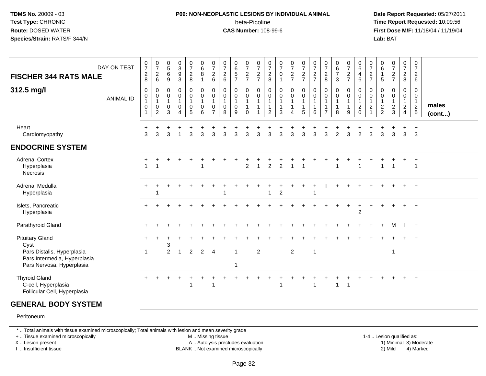## **P09: NON-NEOPLASTIC LESIONS BY INDIVIDUAL ANIMAL** beta-Picoline**beta-Picoline**<br> **CAS Number:** 108-99-6<br> **CAS Number:** 108-99-6<br> **CAS Number:** 108-99-6

 **Date Report Requested:** 05/27/2011 **First Dose M/F:** 11/18/04 / 11/19/04 Lab: BAT **Lab:** BAT

| DAY ON TEST<br><b>FISCHER 344 RATS MALE</b><br>312.5 mg/l                               |                  | $\begin{smallmatrix}0\\7\end{smallmatrix}$<br>$\frac{2}{8}$<br>$\pmb{0}$<br>$\pmb{0}$ | $\frac{0}{7}$<br>$\boldsymbol{2}$<br>$\,6\,$<br>$\pmb{0}$<br>$\pmb{0}$ | $\begin{array}{c} 0 \\ 5 \end{array}$<br>$\,6\,$<br>9<br>$\mathbf 0$<br>$\mathbf 0$ | $\frac{0}{3}$<br>$\boldsymbol{9}$<br>$\mathbf{3}$<br>0<br>$\mathbf 0$ | $\frac{0}{7}$<br>$\overline{c}$<br>8<br>$\pmb{0}$<br>$\mathsf{O}\xspace$ | $\begin{array}{c} 0 \\ 6 \end{array}$<br>$\overline{8}$<br>1<br>$\pmb{0}$<br>$\pmb{0}$ | $\frac{0}{7}$<br>$\sqrt{2}$<br>$\,6\,$<br>$\pmb{0}$<br>$\pmb{0}$ | $\begin{array}{c} 0 \\ 7 \end{array}$<br>$\sqrt{2}$<br>$6\phantom{1}$<br>$\pmb{0}$<br>$\mathbf 0$ | $\begin{array}{c} 0 \\ 6 \end{array}$<br>$\frac{5}{7}$<br>0<br>$\mathsf{O}\xspace$ | $\frac{0}{7}$<br>$\frac{2}{7}$<br>$\begin{smallmatrix} 0\\0 \end{smallmatrix}$ | $\frac{0}{7}$<br>$\frac{2}{7}$<br>0<br>$\mathbf 0$ | $\frac{0}{7}$<br>$_{\rm 8}^2$<br>0<br>$\pmb{0}$  | $\frac{0}{7}$<br>$\mathbf 0$<br>$\mathbf{1}$<br>$_{\rm 0}^{\rm 0}$ | $\frac{0}{7}$<br>$\frac{2}{7}$<br>$\begin{smallmatrix}0\0\0\end{smallmatrix}$ | $\frac{0}{7}$<br>$\frac{2}{7}$<br>$\begin{smallmatrix} 0\\0 \end{smallmatrix}$ | $\frac{0}{7}$<br>$\frac{2}{7}$<br>$\mathbf 0$<br>$\mathbf 0$ | $\frac{0}{7}$<br>$\boldsymbol{2}$<br>8<br>$\mathbf 0$<br>$\pmb{0}$ | $\begin{array}{c} 0 \\ 6 \\ 7 \end{array}$<br>3<br>$\pmb{0}$<br>$\pmb{0}$ | $\frac{0}{7}$<br>$\frac{2}{7}$<br>0<br>$\overline{0}$ | $\begin{array}{c} 0 \\ 6 \end{array}$<br>$\overline{4}$<br>6<br>$\mathbf 0$<br>$\mathsf{O}\xspace$ | $\frac{0}{7}$<br>$\boldsymbol{2}$<br>$\overline{7}$<br>0<br>$\mathbf 0$ | $\begin{array}{c} 0 \\ 6 \end{array}$<br>5<br>0<br>$\mathbf 0$ | $\frac{0}{7}$<br>$\frac{2}{7}$<br>0<br>$\mathbf 0$ | $\begin{array}{c} 0 \\ 7 \end{array}$<br>$\sqrt{2}$<br>8<br>$\pmb{0}$<br>$\mathsf{O}\xspace$ | $\frac{0}{7}$<br>$\overline{2}$<br>6<br>0<br>$\mathbf 0$ |                       |
|-----------------------------------------------------------------------------------------|------------------|---------------------------------------------------------------------------------------|------------------------------------------------------------------------|-------------------------------------------------------------------------------------|-----------------------------------------------------------------------|--------------------------------------------------------------------------|----------------------------------------------------------------------------------------|------------------------------------------------------------------|---------------------------------------------------------------------------------------------------|------------------------------------------------------------------------------------|--------------------------------------------------------------------------------|----------------------------------------------------|--------------------------------------------------|--------------------------------------------------------------------|-------------------------------------------------------------------------------|--------------------------------------------------------------------------------|--------------------------------------------------------------|--------------------------------------------------------------------|---------------------------------------------------------------------------|-------------------------------------------------------|----------------------------------------------------------------------------------------------------|-------------------------------------------------------------------------|----------------------------------------------------------------|----------------------------------------------------|----------------------------------------------------------------------------------------------|----------------------------------------------------------|-----------------------|
|                                                                                         | <b>ANIMAL ID</b> | $\mathbf{1}$<br>$\mathbf 0$                                                           | $\mathbf{1}$<br>0<br>$\overline{c}$                                    | $\mathbf{1}$<br>$\boldsymbol{0}$<br>3                                               | $\mathbf{1}$<br>$\mathbf 0$<br>$\overline{4}$                         | $\mathbf{1}$<br>$\begin{matrix}0\\5\end{matrix}$                         | 1<br>$\pmb{0}$<br>$6\phantom{1}$                                                       | $\overline{1}$<br>$\mathbf 0$<br>$\overline{7}$                  | $\mathbf{1}$<br>$\pmb{0}$<br>8                                                                    | $\mathbf{1}$<br>$\pmb{0}$<br>9                                                     | $\mathbf{1}$<br>$\mathbf{1}$<br>$\mathbf 0$                                    | $\mathbf{1}$<br>$\mathbf{1}$                       | $\mathbf{1}$<br>$\overline{1}$<br>$\overline{c}$ | $\mathbf{1}$<br>$\mathbf{1}$<br>3                                  | $\overline{1}$<br>1<br>$\overline{4}$                                         | $\overline{1}$<br>$\overline{1}$<br>$\sqrt{5}$                                 | 1<br>6                                                       | $\mathbf{1}$<br>$\mathbf{1}$<br>$\overline{7}$                     | $\mathbf{1}$<br>$\mathbf{1}$<br>8                                         | $\mathbf{1}$<br>9                                     | $\begin{bmatrix} 1 \\ 2 \\ 0 \end{bmatrix}$                                                        | $\mathbf{1}$<br>$\boldsymbol{2}$<br>$\overline{1}$                      | $\mathbf{1}$<br>$\frac{2}{2}$                                  | $\frac{2}{3}$                                      | $\mathbf{1}$<br>$\frac{2}{4}$                                                                | $\mathbf{1}$<br>$\frac{2}{5}$                            | males<br>$($ cont $)$ |
| Heart<br>Cardiomyopathy                                                                 |                  | 3                                                                                     | 3                                                                      |                                                                                     |                                                                       | 3                                                                        | 3                                                                                      | 3                                                                | З                                                                                                 | 3                                                                                  | 3                                                                              | 3                                                  | 3                                                | 3                                                                  | 3                                                                             | 3                                                                              | 3                                                            | З                                                                  | $\overline{2}$                                                            | 3                                                     | 2                                                                                                  | 3                                                                       | 3                                                              | 3                                                  | 3                                                                                            | $\pm$<br>3                                               |                       |
| <b>ENDOCRINE SYSTEM</b>                                                                 |                  |                                                                                       |                                                                        |                                                                                     |                                                                       |                                                                          |                                                                                        |                                                                  |                                                                                                   |                                                                                    |                                                                                |                                                    |                                                  |                                                                    |                                                                               |                                                                                |                                                              |                                                                    |                                                                           |                                                       |                                                                                                    |                                                                         |                                                                |                                                    |                                                                                              |                                                          |                       |
| <b>Adrenal Cortex</b><br>Hyperplasia<br>Necrosis                                        |                  |                                                                                       |                                                                        |                                                                                     |                                                                       | $\ddot{}$                                                                | $\ddot{}$                                                                              |                                                                  |                                                                                                   |                                                                                    | 2                                                                              | $\overline{1}$                                     | $\overline{2}$                                   | $\overline{2}$                                                     | $\overline{\mathbf{1}}$                                                       | $\overline{1}$                                                                 |                                                              |                                                                    | $\overline{1}$                                                            | $\ddot{}$                                             | $\overline{1}$                                                                                     |                                                                         | $\overline{1}$                                                 | $\mathbf{1}$                                       | $+$                                                                                          | $_{+}$<br>-1                                             |                       |
| Adrenal Medulla<br>Hyperplasia                                                          |                  | $+$                                                                                   |                                                                        |                                                                                     |                                                                       |                                                                          |                                                                                        |                                                                  |                                                                                                   |                                                                                    |                                                                                |                                                    | $\mathbf 1$                                      | $\overline{c}$                                                     |                                                                               |                                                                                | $\ddot{}$<br>-1                                              |                                                                    |                                                                           |                                                       |                                                                                                    |                                                                         |                                                                |                                                    |                                                                                              | $+$                                                      |                       |
| Islets, Pancreatic<br>Hyperplasia                                                       |                  |                                                                                       |                                                                        |                                                                                     |                                                                       |                                                                          |                                                                                        |                                                                  |                                                                                                   |                                                                                    |                                                                                |                                                    |                                                  |                                                                    |                                                                               |                                                                                |                                                              |                                                                    | $\ddot{}$                                                                 | $+$                                                   | $\ddot{}$<br>$\overline{2}$                                                                        | $\ddot{}$                                                               |                                                                | $\ddot{}$                                          | $+$                                                                                          | $+$                                                      |                       |
| Parathyroid Gland                                                                       |                  |                                                                                       |                                                                        |                                                                                     |                                                                       |                                                                          |                                                                                        |                                                                  |                                                                                                   |                                                                                    |                                                                                |                                                    |                                                  |                                                                    |                                                                               |                                                                                |                                                              |                                                                    |                                                                           |                                                       |                                                                                                    |                                                                         | $\ddot{}$                                                      | M                                                  | $\left  +\right $                                                                            |                                                          |                       |
| <b>Pituitary Gland</b><br>Cyst                                                          |                  |                                                                                       | $\ddot{}$                                                              | 3                                                                                   |                                                                       |                                                                          |                                                                                        |                                                                  |                                                                                                   |                                                                                    |                                                                                |                                                    |                                                  |                                                                    |                                                                               |                                                                                |                                                              |                                                                    |                                                                           |                                                       |                                                                                                    |                                                                         |                                                                |                                                    |                                                                                              |                                                          |                       |
| Pars Distalis, Hyperplasia<br>Pars Intermedia, Hyperplasia<br>Pars Nervosa, Hyperplasia |                  | -1                                                                                    |                                                                        | $\overline{c}$                                                                      | $\mathbf{1}$                                                          | $\overline{2}$                                                           | 2                                                                                      | $\overline{4}$                                                   |                                                                                                   | 1<br>1                                                                             |                                                                                | $\overline{c}$                                     |                                                  |                                                                    | $\overline{2}$                                                                |                                                                                | 1                                                            |                                                                    |                                                                           |                                                       |                                                                                                    |                                                                         |                                                                | $\mathbf{1}$                                       |                                                                                              |                                                          |                       |
| <b>Thyroid Gland</b><br>C-cell, Hyperplasia<br>Follicular Cell, Hyperplasia             |                  |                                                                                       |                                                                        |                                                                                     |                                                                       | $\overline{1}$                                                           |                                                                                        | $\mathbf 1$                                                      |                                                                                                   |                                                                                    |                                                                                |                                                    |                                                  | $\overline{1}$                                                     |                                                                               |                                                                                | 1                                                            |                                                                    | $\mathbf{1}$                                                              | $\overline{\mathbf{1}}$                               |                                                                                                    |                                                                         |                                                                |                                                    |                                                                                              | $+$                                                      |                       |

## **GENERAL BODY SYSTEM**

**Peritoneum** 

\* .. Total animals with tissue examined microscopically; Total animals with lesion and mean severity grade

+ .. Tissue examined microscopically

X .. Lesion present

I .. Insufficient tissue

M .. Missing tissue

A .. Autolysis precludes evaluation

BLANK .. Not examined microscopically 2) Mild 4) Marked

1-4 .. Lesion qualified as:<br>1) Minimal 3) Moderate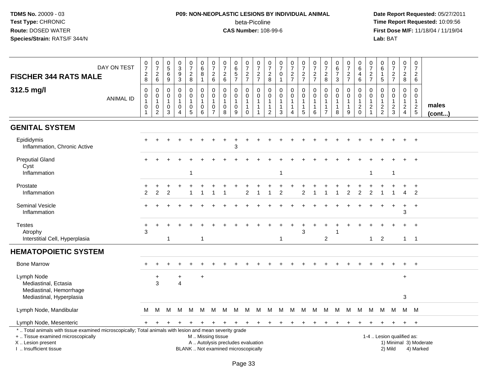## **P09: NON-NEOPLASTIC LESIONS BY INDIVIDUAL ANIMAL**beta-Picoline<br>CAS Number: 108-99-6

|                                                                                                          |                             | $\mathbf 0$                       | 0                             |                     | $\mathbf 0$         |                           | 0                                |                                     |                               |                              |                                       |                              |                   |                              |                              |                                    |                              |                                       | $\pmb{0}$                    |                                  | 0                                  |                               |                                  | $\pmb{0}$                  | 0                                |              |
|----------------------------------------------------------------------------------------------------------|-----------------------------|-----------------------------------|-------------------------------|---------------------|---------------------|---------------------------|----------------------------------|-------------------------------------|-------------------------------|------------------------------|---------------------------------------|------------------------------|-------------------|------------------------------|------------------------------|------------------------------------|------------------------------|---------------------------------------|------------------------------|----------------------------------|------------------------------------|-------------------------------|----------------------------------|----------------------------|----------------------------------|--------------|
| DAY ON TEST                                                                                              | $\frac{0}{7}$               | $\overline{7}$                    | $\sqrt{5}$                    | $\frac{0}{3}$       | $\overline{7}$      | $_{6}^{\rm 0}$            | $\overline{7}$                   | $\frac{0}{7}$                       | 0<br>$\,6\,$                  | $\pmb{0}$<br>$\overline{7}$  | $\begin{array}{c} 0 \\ 7 \end{array}$ | $\pmb{0}$<br>$\overline{7}$  | $\frac{0}{7}$     | 0<br>$\overline{7}$          | $\frac{0}{7}$                | $\frac{0}{7}$                      | $\frac{0}{7}$                | $\begin{array}{c} 0 \\ 6 \end{array}$ | $\overline{7}$               | 0<br>$\,6\,$                     | $\overline{7}$                     | $_{6}^{\rm 0}$                | 0<br>$\overline{7}$              | $\overline{7}$             | $\overline{7}$                   |              |
| <b>FISCHER 344 RATS MALE</b>                                                                             | $\boldsymbol{2}$<br>$\,8\,$ | $\overline{2}$<br>$6\phantom{1}6$ | 6<br>$9\,$                    | $\overline{9}$<br>3 | $\overline{a}$<br>8 | $\bf 8$<br>$\mathbf{1}$   | $\overline{a}$<br>$6\phantom{1}$ | $\frac{2}{6}$                       | $\frac{5}{7}$                 | $\frac{2}{7}$                | $\overline{c}$<br>$\overline{7}$      | $\frac{2}{8}$                | 0<br>$\mathbf{1}$ | $\frac{2}{7}$                | $\frac{2}{7}$                | $\boldsymbol{2}$<br>$\overline{7}$ | $\sqrt{2}$<br>8              | $\overline{7}$<br>$\mathfrak{Z}$      | $\frac{2}{7}$                | 4<br>6                           | $\boldsymbol{2}$<br>$\overline{7}$ | $\mathbf{1}$<br>5             | $\overline{2}$<br>$\overline{7}$ | $\sqrt{2}$<br>8            | $\overline{2}$<br>6              |              |
| 312.5 mg/l                                                                                               | $\boldsymbol{0}$            | $\mathbf 0$                       | $\Omega$                      | 0                   | 0                   | $\pmb{0}$                 | $\mathbf 0$                      | $\pmb{0}$                           | 0                             | $\pmb{0}$                    | 0                                     | $\mathbf 0$                  | $\mathbf 0$       | 0                            | 0                            | 0                                  | $\mathbf 0$                  | 0                                     | 0                            | $\mathbf 0$                      | 0                                  | 0                             | 0                                | $\mathbf 0$                | $\Omega$                         |              |
| <b>ANIMAL ID</b>                                                                                         | $\mathbf 0$                 | $\mathbf 0$                       | $\mathbf 0$                   | $\mathsf 0$         | $\mathbf 0$         | $\pmb{0}$                 | $\mathbf 0$                      | $\pmb{0}$                           | $\mathbf 0$                   | $\mathbf 0$                  | $\mathbf 0$                           | $\boldsymbol{0}$             | $\mathbf 0$       | $\mathbf 0$                  | $\pmb{0}$                    | $\mathbf 0$                        | $\mathbf 0$                  | $\pmb{0}$                             | $\pmb{0}$                    | $\mathbf 0$                      | $\mathbf 0$                        | $\mathsf{O}\xspace$           | $\mathbf 0$                      | $\mathbf 0$                | $\mathbf 0$                      |              |
|                                                                                                          | $\mathbf{1}$<br>$\mathbf 0$ | $\mathbf{1}$<br>$\mathbf 0$       | $\overline{1}$<br>$\mathbf 0$ | 0                   | $\mathbf{1}$<br>0   | $\mathbf{1}$<br>$\pmb{0}$ | $\mathbf 1$<br>0                 | $\mathbf{1}$<br>$\pmb{0}$           | $\overline{1}$<br>$\mathbf 0$ | $\mathbf{1}$<br>$\mathbf{1}$ | 1                                     | $\mathbf{1}$<br>$\mathbf{1}$ | $\mathbf{1}$      | $\mathbf{1}$<br>$\mathbf{1}$ | $\mathbf{1}$<br>$\mathbf{1}$ | $\overline{1}$<br>$\mathbf{1}$     | $\mathbf{1}$<br>$\mathbf{1}$ | $\mathbf{1}$<br>$\mathbf{1}$          | $\mathbf{1}$<br>$\mathbf{1}$ | $\mathbf{1}$<br>$\boldsymbol{2}$ | $\mathbf{1}$<br>$\overline{2}$     | $\mathbf{1}$<br>$\frac{2}{2}$ | $\mathbf 1$<br>$\frac{2}{3}$     | $\mathbf{1}$<br>$\sqrt{2}$ | $\overline{1}$<br>$\overline{c}$ | males        |
|                                                                                                          | $\overline{1}$              | $\overline{2}$                    | 3                             | $\overline{4}$      | $\overline{5}$      | 6                         | $\overline{7}$                   | 8                                   | 9                             | $\mathbf 0$                  | 1                                     | $\overline{2}$               | 3                 | $\overline{4}$               | $\sqrt{5}$                   | 6                                  | $\overline{7}$               | 8                                     | 9                            | $\Omega$                         | $\mathbf{1}$                       |                               |                                  | $\overline{4}$             | $\sqrt{5}$                       | $($ cont $)$ |
| <b>GENITAL SYSTEM</b>                                                                                    |                             |                                   |                               |                     |                     |                           |                                  |                                     |                               |                              |                                       |                              |                   |                              |                              |                                    |                              |                                       |                              |                                  |                                    |                               |                                  |                            |                                  |              |
| Epididymis<br>Inflammation, Chronic Active                                                               |                             |                                   |                               |                     |                     |                           |                                  |                                     | 3                             |                              |                                       |                              |                   |                              |                              |                                    |                              |                                       |                              |                                  |                                    |                               |                                  |                            | $\ddot{}$                        |              |
|                                                                                                          |                             |                                   |                               |                     |                     |                           |                                  |                                     |                               |                              |                                       |                              |                   |                              |                              |                                    |                              |                                       |                              |                                  |                                    |                               |                                  |                            |                                  |              |
| <b>Preputial Gland</b><br>Cyst                                                                           |                             |                                   |                               |                     |                     |                           |                                  |                                     |                               |                              |                                       |                              |                   |                              |                              |                                    |                              |                                       |                              |                                  |                                    |                               |                                  |                            |                                  |              |
| Inflammation                                                                                             |                             |                                   |                               |                     |                     |                           |                                  |                                     |                               |                              |                                       |                              | -1                |                              |                              |                                    |                              |                                       |                              |                                  |                                    |                               |                                  |                            |                                  |              |
| Prostate                                                                                                 |                             |                                   |                               |                     |                     |                           |                                  |                                     |                               |                              |                                       |                              |                   |                              |                              |                                    |                              |                                       |                              |                                  |                                    |                               |                                  |                            | $\ddot{}$                        |              |
| Inflammation                                                                                             | 2                           | 2                                 | $\overline{2}$                |                     |                     | -1                        |                                  |                                     |                               | $\overline{2}$               |                                       |                              | $\overline{2}$    |                              | 2                            | -1                                 | -1                           | $\mathbf{1}$                          | $\overline{2}$               | $\overline{2}$                   | 2                                  | $\overline{1}$                | -1                               | 4                          | $\overline{2}$                   |              |
| Seminal Vesicle<br>Inflammation                                                                          |                             |                                   |                               |                     |                     |                           |                                  |                                     |                               |                              |                                       |                              |                   |                              |                              |                                    |                              |                                       |                              |                                  |                                    |                               | $\ddot{}$                        | $\ddot{}$<br>3             | $+$                              |              |
|                                                                                                          |                             |                                   |                               |                     |                     |                           |                                  |                                     |                               |                              |                                       |                              |                   |                              |                              |                                    |                              |                                       |                              |                                  |                                    |                               |                                  |                            |                                  |              |
| <b>Testes</b><br>Atrophy                                                                                 | $\ddot{}$<br>3              |                                   |                               |                     |                     |                           |                                  |                                     |                               |                              |                                       |                              |                   |                              | 3                            |                                    |                              | 1                                     |                              |                                  |                                    |                               |                                  |                            | $+$                              |              |
| Interstitial Cell, Hyperplasia                                                                           |                             |                                   | 1                             |                     |                     | $\mathbf{1}$              |                                  |                                     |                               |                              |                                       |                              | 1                 |                              |                              |                                    | $\overline{c}$               |                                       |                              |                                  | $\mathbf{1}$                       | $\overline{2}$                |                                  | $\mathbf{1}$               | $\overline{1}$                   |              |
| <b>HEMATOPOIETIC SYSTEM</b>                                                                              |                             |                                   |                               |                     |                     |                           |                                  |                                     |                               |                              |                                       |                              |                   |                              |                              |                                    |                              |                                       |                              |                                  |                                    |                               |                                  |                            |                                  |              |
| <b>Bone Marrow</b>                                                                                       |                             |                                   |                               |                     |                     |                           |                                  |                                     |                               |                              |                                       |                              |                   |                              |                              |                                    |                              |                                       |                              |                                  |                                    |                               |                                  |                            | $+$                              |              |
| Lymph Node                                                                                               |                             | +                                 |                               | $\ddot{}$           |                     | $\ddot{}$                 |                                  |                                     |                               |                              |                                       |                              |                   |                              |                              |                                    |                              |                                       |                              |                                  |                                    |                               |                                  | $\ddot{}$                  |                                  |              |
| Mediastinal, Ectasia                                                                                     |                             | 3                                 |                               | $\overline{4}$      |                     |                           |                                  |                                     |                               |                              |                                       |                              |                   |                              |                              |                                    |                              |                                       |                              |                                  |                                    |                               |                                  |                            |                                  |              |
| Mediastinal, Hemorrhage                                                                                  |                             |                                   |                               |                     |                     |                           |                                  |                                     |                               |                              |                                       |                              |                   |                              |                              |                                    |                              |                                       |                              |                                  |                                    |                               |                                  |                            |                                  |              |
| Mediastinal, Hyperplasia                                                                                 |                             |                                   |                               |                     |                     |                           |                                  |                                     |                               |                              |                                       |                              |                   |                              |                              |                                    |                              |                                       |                              |                                  |                                    |                               |                                  | 3                          |                                  |              |
| Lymph Node, Mandibular                                                                                   | м                           | M                                 | М                             | M                   | M                   | M                         | M                                | M                                   | M                             | M                            | M                                     | M                            | М                 | M                            | М                            | М                                  | M                            | M                                     | M                            | M                                | M                                  | M M                           |                                  |                            | M M                              |              |
| Lymph Node, Mesenteric                                                                                   |                             |                                   |                               |                     |                     |                           | $+$                              | $+$                                 | $+$                           | $+$                          | $\ddot{}$                             | $\ddot{}$                    | $\ddot{}$         | $^+$                         |                              |                                    |                              |                                       |                              |                                  |                                    | $\ddot{}$                     | $\ddot{}$                        | $+$                        | $+$                              |              |
| *  Total animals with tissue examined microscopically; Total animals with lesion and mean severity grade |                             |                                   |                               |                     |                     |                           |                                  |                                     |                               |                              |                                       |                              |                   |                              |                              |                                    |                              |                                       |                              |                                  |                                    |                               |                                  |                            |                                  |              |
| +  Tissue examined microscopically<br>X  Lesion present                                                  |                             |                                   |                               |                     |                     | M  Missing tissue         |                                  | A  Autolysis precludes evaluation   |                               |                              |                                       |                              |                   |                              |                              |                                    |                              |                                       |                              |                                  |                                    | 1-4  Lesion qualified as:     |                                  |                            | 1) Minimal 3) Moderate           |              |
| I  Insufficient tissue                                                                                   |                             |                                   |                               |                     |                     |                           |                                  | BLANK  Not examined microscopically |                               |                              |                                       |                              |                   |                              |                              |                                    |                              |                                       |                              |                                  |                                    |                               | 2) Mild                          |                            | 4) Marked                        |              |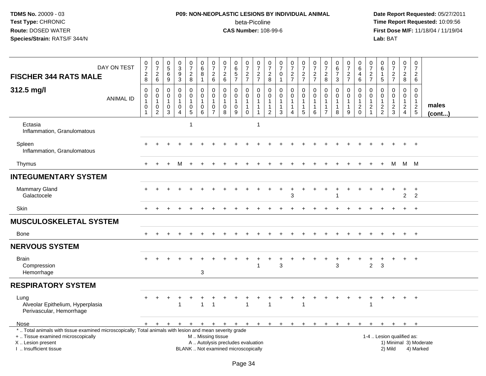## **P09: NON-NEOPLASTIC LESIONS BY INDIVIDUAL ANIMAL**beta-Picoline<br>CAS Number: 108-99-6

| DAY ON TEST<br><b>FISCHER 344 RATS MALE</b>                                                                                                                                                  | $\frac{0}{7}$<br>$^{\,2}_{\,8}$                 | $\frac{0}{7}$<br>6                                                | $\begin{array}{c} 0 \\ 5 \end{array}$<br>$6\phantom{a}$<br>9    | $_{3}^{\rm 0}$<br>$\frac{9}{3}$                                 | $\begin{array}{c} 0 \\ 7 \end{array}$<br>$\frac{2}{8}$                      | $\begin{array}{c} 0 \\ 6 \end{array}$<br>$\bar{8}$<br>$\mathbf{1}$      | $\frac{0}{7}$<br>$\sqrt{2}$<br>$6\phantom{1}$                     | $\begin{array}{c} 0 \\ 7 \end{array}$<br>$^2$ 6                          | $\begin{array}{c} 0 \\ 6 \end{array}$<br>$\frac{5}{7}$            | $\begin{array}{c} 0 \\ 7 \end{array}$<br>$\frac{2}{7}$                    | $\frac{0}{7}$<br>$\frac{2}{7}$                                  | $\frac{0}{7}$<br>$\frac{2}{8}$                                      | $\frac{0}{7}$<br>$\pmb{0}$<br>$\mathbf{1}$ | $\frac{0}{7}$<br>$\frac{2}{7}$                                            | $\frac{0}{7}$<br>$\frac{2}{7}$                               | $\frac{0}{7}$<br>$\frac{2}{7}$     | $\frac{0}{7}$<br>$\frac{2}{8}$                                               | $\begin{array}{c} 0 \\ 6 \end{array}$<br>$\overline{7}$<br>$\mathbf{3}$ | $\frac{0}{7}$<br>$\frac{2}{7}$                                        | 0<br>$\tilde{6}$<br>4<br>6        | $\frac{0}{7}$<br>$\frac{2}{7}$                                  | $_{6}^{\rm 0}$<br>1<br>$5\phantom{.0}$                              | $\begin{smallmatrix}0\\7\end{smallmatrix}$<br>$\frac{2}{7}$ | $\frac{0}{7}$<br>$\sqrt{2}$<br>8                                           | $\mathbf 0$<br>$\overline{7}$<br>2<br>6          |                        |
|----------------------------------------------------------------------------------------------------------------------------------------------------------------------------------------------|-------------------------------------------------|-------------------------------------------------------------------|-----------------------------------------------------------------|-----------------------------------------------------------------|-----------------------------------------------------------------------------|-------------------------------------------------------------------------|-------------------------------------------------------------------|--------------------------------------------------------------------------|-------------------------------------------------------------------|---------------------------------------------------------------------------|-----------------------------------------------------------------|---------------------------------------------------------------------|--------------------------------------------|---------------------------------------------------------------------------|--------------------------------------------------------------|------------------------------------|------------------------------------------------------------------------------|-------------------------------------------------------------------------|-----------------------------------------------------------------------|-----------------------------------|-----------------------------------------------------------------|---------------------------------------------------------------------|-------------------------------------------------------------|----------------------------------------------------------------------------|--------------------------------------------------|------------------------|
| 312.5 mg/l<br><b>ANIMAL ID</b>                                                                                                                                                               | $\mathbf 0$<br>$\pmb{0}$<br>0<br>$\overline{1}$ | $\mathbf 0$<br>$\pmb{0}$<br>$\overline{1}$<br>0<br>$\overline{2}$ | 0<br>$\mathbf 0$<br>$\mathbf{1}$<br>$\mathsf 0$<br>$\mathbf{3}$ | 0<br>$\mathbf 0$<br>$\mathbf{1}$<br>$\pmb{0}$<br>$\overline{4}$ | $\mathbf 0$<br>$\mathbf 0$<br>$\mathbf{1}$<br>$\mathbf 0$<br>$\overline{5}$ | $\pmb{0}$<br>$\mathbf 0$<br>$\mathbf{1}$<br>$\pmb{0}$<br>$6\phantom{1}$ | $\mathbf 0$<br>$\mathbf 0$<br>$\mathbf{1}$<br>0<br>$\overline{7}$ | $\mathbf 0$<br>$\mathbf 0$<br>$\pmb{0}$<br>8                             | 0<br>$\mathbf 0$<br>$\mathbf{1}$<br>$\mathbf 0$<br>$\overline{9}$ | $\mathbf 0$<br>$\mathbf 0$<br>$\mathbf{1}$<br>$\mathbf{1}$<br>$\mathbf 0$ | $\mathbf 0$<br>$\mathbf 0$<br>$\mathbf{1}$<br>1<br>$\mathbf{1}$ | $\boldsymbol{0}$<br>$\Omega$<br>$\mathbf{1}$<br>1<br>$\overline{2}$ | 0<br>$\mathbf 0$<br>1<br>1<br>3            | $\mathbf 0$<br>$\mathbf 0$<br>$\mathbf{1}$<br>1<br>$\boldsymbol{\Lambda}$ | $\mathbf 0$<br>$\pmb{0}$<br>$\mathbf{1}$<br>$\mathbf 1$<br>5 | $\mathbf 0$<br>$\Omega$<br>-1<br>6 | $\mathbf 0$<br>$\mathbf 0$<br>$\mathbf{1}$<br>$\mathbf{1}$<br>$\overline{7}$ | 0<br>$\mathbf 0$<br>$\mathbf{1}$<br>$\mathbf{1}$<br>$\bf8$              | $\mathbf 0$<br>$\mathbf 0$<br>$\overline{1}$<br>$\mathbf{1}$<br>$9\,$ | 0<br>$\mathbf 0$<br>$\frac{2}{0}$ | 0<br>$\Omega$<br>$\overline{1}$<br>$\sqrt{2}$<br>$\overline{1}$ | $\mathsf{O}\xspace$<br>$\mathbf 0$<br>$\mathbf{1}$<br>$\frac{2}{2}$ | 0<br>$\mathbf 0$<br>1<br>$\frac{2}{3}$                      | $\mathbf 0$<br>$\mathbf 0$<br>$\mathbf{1}$<br>$\sqrt{2}$<br>$\overline{4}$ | 0<br>$\Omega$<br>$\overline{1}$<br>$\frac{2}{5}$ | males<br>$($ cont $)$  |
| Ectasia<br>Inflammation, Granulomatous                                                                                                                                                       |                                                 |                                                                   |                                                                 |                                                                 | $\mathbf 1$                                                                 |                                                                         |                                                                   |                                                                          |                                                                   |                                                                           | $\mathbf{1}$                                                    |                                                                     |                                            |                                                                           |                                                              |                                    |                                                                              |                                                                         |                                                                       |                                   |                                                                 |                                                                     |                                                             |                                                                            |                                                  |                        |
| Spleen<br>Inflammation, Granulomatous                                                                                                                                                        |                                                 |                                                                   |                                                                 |                                                                 |                                                                             |                                                                         |                                                                   |                                                                          |                                                                   |                                                                           |                                                                 |                                                                     |                                            |                                                                           |                                                              |                                    |                                                                              |                                                                         |                                                                       |                                   |                                                                 |                                                                     |                                                             |                                                                            | $\ddot{}$                                        |                        |
| Thymus                                                                                                                                                                                       | $\div$                                          |                                                                   | $\ddot{}$                                                       | М                                                               |                                                                             |                                                                         |                                                                   |                                                                          |                                                                   |                                                                           |                                                                 |                                                                     |                                            |                                                                           |                                                              |                                    |                                                                              |                                                                         |                                                                       |                                   |                                                                 |                                                                     | м                                                           |                                                                            | M M                                              |                        |
| <b>INTEGUMENTARY SYSTEM</b>                                                                                                                                                                  |                                                 |                                                                   |                                                                 |                                                                 |                                                                             |                                                                         |                                                                   |                                                                          |                                                                   |                                                                           |                                                                 |                                                                     |                                            |                                                                           |                                                              |                                    |                                                                              |                                                                         |                                                                       |                                   |                                                                 |                                                                     |                                                             |                                                                            |                                                  |                        |
| <b>Mammary Gland</b><br>Galactocele                                                                                                                                                          |                                                 |                                                                   |                                                                 |                                                                 |                                                                             |                                                                         |                                                                   |                                                                          |                                                                   |                                                                           |                                                                 |                                                                     |                                            | 3                                                                         |                                                              |                                    |                                                                              |                                                                         |                                                                       |                                   |                                                                 |                                                                     |                                                             | 2                                                                          | $+$<br>$\overline{2}$                            |                        |
| Skin                                                                                                                                                                                         |                                                 |                                                                   |                                                                 |                                                                 |                                                                             |                                                                         |                                                                   |                                                                          |                                                                   |                                                                           |                                                                 |                                                                     |                                            |                                                                           |                                                              |                                    |                                                                              |                                                                         |                                                                       |                                   |                                                                 |                                                                     |                                                             |                                                                            | $+$                                              |                        |
| <b>MUSCULOSKELETAL SYSTEM</b>                                                                                                                                                                |                                                 |                                                                   |                                                                 |                                                                 |                                                                             |                                                                         |                                                                   |                                                                          |                                                                   |                                                                           |                                                                 |                                                                     |                                            |                                                                           |                                                              |                                    |                                                                              |                                                                         |                                                                       |                                   |                                                                 |                                                                     |                                                             |                                                                            |                                                  |                        |
| Bone                                                                                                                                                                                         |                                                 |                                                                   |                                                                 |                                                                 |                                                                             |                                                                         |                                                                   |                                                                          |                                                                   |                                                                           |                                                                 |                                                                     |                                            |                                                                           |                                                              |                                    |                                                                              |                                                                         |                                                                       |                                   |                                                                 |                                                                     |                                                             | $+$                                                                        | $+$                                              |                        |
| <b>NERVOUS SYSTEM</b>                                                                                                                                                                        |                                                 |                                                                   |                                                                 |                                                                 |                                                                             |                                                                         |                                                                   |                                                                          |                                                                   |                                                                           |                                                                 |                                                                     |                                            |                                                                           |                                                              |                                    |                                                                              |                                                                         |                                                                       |                                   |                                                                 |                                                                     |                                                             |                                                                            |                                                  |                        |
| <b>Brain</b><br>Compression<br>Hemorrhage                                                                                                                                                    |                                                 |                                                                   |                                                                 |                                                                 |                                                                             | 3                                                                       |                                                                   |                                                                          |                                                                   |                                                                           | 1                                                               |                                                                     | 3                                          | +                                                                         |                                                              |                                    |                                                                              | +<br>3                                                                  |                                                                       |                                   | $\overline{2}$                                                  | $\ddot{}$<br>3                                                      | $\ddot{}$                                                   | $+$                                                                        | $+$                                              |                        |
| <b>RESPIRATORY SYSTEM</b>                                                                                                                                                                    |                                                 |                                                                   |                                                                 |                                                                 |                                                                             |                                                                         |                                                                   |                                                                          |                                                                   |                                                                           |                                                                 |                                                                     |                                            |                                                                           |                                                              |                                    |                                                                              |                                                                         |                                                                       |                                   |                                                                 |                                                                     |                                                             |                                                                            |                                                  |                        |
| Lung<br>Alveolar Epithelium, Hyperplasia<br>Perivascular, Hemorrhage                                                                                                                         |                                                 |                                                                   |                                                                 | $\mathbf{1}$                                                    |                                                                             | $\mathbf{1}$                                                            | -1                                                                |                                                                          |                                                                   | -1                                                                        |                                                                 |                                                                     |                                            |                                                                           | -1                                                           |                                    |                                                                              |                                                                         |                                                                       |                                   | -1                                                              | $\overline{+}$                                                      | $\ddot{}$                                                   | $+$                                                                        | $+$                                              |                        |
| Nose                                                                                                                                                                                         | $+$                                             | $+$                                                               | $+$                                                             | $+$                                                             |                                                                             |                                                                         |                                                                   | + + + + +                                                                |                                                                   |                                                                           |                                                                 |                                                                     | + + + + +                                  |                                                                           | $+$                                                          | $+$                                | $+$                                                                          | $+$                                                                     | $+$                                                                   | $+$                               | $+$                                                             | $+$                                                                 | $+$                                                         |                                                                            | $+$ $+$                                          |                        |
| *  Total animals with tissue examined microscopically; Total animals with lesion and mean severity grade<br>+  Tissue examined microscopically<br>X Lesion present<br>I. Insufficient tissue |                                                 |                                                                   |                                                                 |                                                                 |                                                                             |                                                                         | M  Missing tissue                                                 | A  Autolysis precludes evaluation<br>BLANK  Not examined microscopically |                                                                   |                                                                           |                                                                 |                                                                     |                                            |                                                                           |                                                              |                                    |                                                                              |                                                                         |                                                                       |                                   |                                                                 | 1-4  Lesion qualified as:                                           | 2) Mild                                                     |                                                                            | 4) Marked                                        | 1) Minimal 3) Moderate |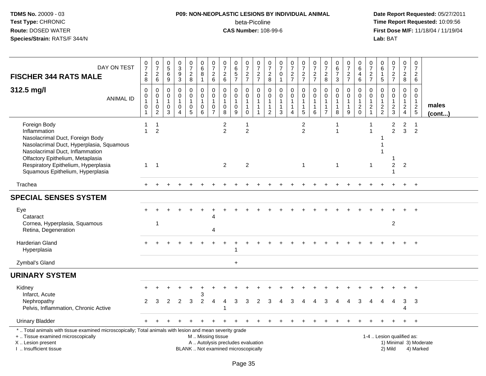## **P09: NON-NEOPLASTIC LESIONS BY INDIVIDUAL ANIMAL**beta-Picoline<br>CAS Number: 108-99-6

| DAY ON TEST<br><b>FISCHER 344 RATS MALE</b>                                                                                                                                                   | $\frac{0}{7}$<br>$\frac{2}{8}$                                             | $\begin{smallmatrix}0\\7\end{smallmatrix}$<br>$^2\phantom{1}6$ | 0<br>5<br>6<br>9                                                          | $\frac{0}{3}$<br>$\overline{9}$<br>$\mathbf{3}$                             | $\begin{array}{c} 0 \\ 7 \end{array}$<br>$\frac{2}{8}$                            | $\begin{array}{c} 0 \\ 6 \end{array}$<br>$\overline{8}$<br>$\mathbf{1}$ | $\begin{array}{c} 0 \\ 7 \end{array}$<br>$\begin{array}{c} 2 \\ 6 \end{array}$ | $\begin{array}{c} 0 \\ 7 \end{array}$<br>$\frac{2}{6}$                                        | $\begin{array}{c} 0 \\ 6 \end{array}$<br>$\frac{5}{7}$ | $\begin{smallmatrix}0\\7\end{smallmatrix}$<br>$\frac{2}{7}$                           | $\frac{0}{7}$<br>$\frac{2}{7}$                                             | $\begin{smallmatrix}0\\7\end{smallmatrix}$<br>$\frac{2}{8}$                          | $\begin{array}{c} 0 \\ 7 \end{array}$<br>$\pmb{0}$<br>$\mathbf{1}$         | $\begin{smallmatrix}0\\7\end{smallmatrix}$<br>$\frac{2}{7}$                    | $\begin{array}{c} 0 \\ 7 \end{array}$<br>$\frac{2}{7}$                              | $\frac{0}{7}$<br>$\frac{2}{7}$                                  | $\frac{0}{7}$<br>$\frac{2}{8}$                                               | $_6^0$<br>$\overline{7}$<br>3                        | $\begin{array}{c} 0 \\ 7 \end{array}$<br>$\frac{2}{7}$           | $\begin{array}{c} 0 \\ 6 \end{array}$<br>$\overline{4}$<br>6 | $\mathbf 0$<br>$\overline{7}$<br>$\frac{2}{7}$              | $\begin{array}{c} 0 \\ 6 \end{array}$<br>-1<br>$\sqrt{5}$   | $\begin{array}{c} 0 \\ 7 \end{array}$<br>$\frac{2}{7}$ | $\frac{0}{7}$<br>$\boldsymbol{2}$<br>8                                     | $\frac{0}{7}$<br>2<br>6                               |                        |
|-----------------------------------------------------------------------------------------------------------------------------------------------------------------------------------------------|----------------------------------------------------------------------------|----------------------------------------------------------------|---------------------------------------------------------------------------|-----------------------------------------------------------------------------|-----------------------------------------------------------------------------------|-------------------------------------------------------------------------|--------------------------------------------------------------------------------|-----------------------------------------------------------------------------------------------|--------------------------------------------------------|---------------------------------------------------------------------------------------|----------------------------------------------------------------------------|--------------------------------------------------------------------------------------|----------------------------------------------------------------------------|--------------------------------------------------------------------------------|-------------------------------------------------------------------------------------|-----------------------------------------------------------------|------------------------------------------------------------------------------|------------------------------------------------------|------------------------------------------------------------------|--------------------------------------------------------------|-------------------------------------------------------------|-------------------------------------------------------------|--------------------------------------------------------|----------------------------------------------------------------------------|-------------------------------------------------------|------------------------|
| 312.5 mg/l<br><b>ANIMAL ID</b>                                                                                                                                                                | $\pmb{0}$<br>$\boldsymbol{0}$<br>$\mathbf{1}$<br>$\pmb{0}$<br>$\mathbf{1}$ | 0<br>$\pmb{0}$<br>1<br>0<br>$\boldsymbol{2}$                   | $\mathbf 0$<br>$\mathbf 0$<br>$\mathbf{1}$<br>$\pmb{0}$<br>$\overline{3}$ | $\mathsf 0$<br>$\mathbf 0$<br>$\mathbf{1}$<br>$\mathsf 0$<br>$\overline{4}$ | 0<br>$\mathsf{O}\xspace$<br>$\mathbf{1}$<br>$\begin{array}{c} 0 \\ 5 \end{array}$ | $\mathbf 0$<br>$\pmb{0}$<br>$\overline{1}$<br>$_{6}^{\rm 0}$            | 0<br>$\mathbf 0$<br>$\overline{1}$<br>0<br>$\overline{7}$                      | $\pmb{0}$<br>$\mathbf 0$<br>$\mathbf{1}$<br>$\mathsf{O}\xspace$<br>$\overline{8}$             | 0<br>$\mathbf 0$<br>1<br>$\pmb{0}$<br>$\overline{9}$   | $\pmb{0}$<br>$\mathbf 0$<br>$\mathbf{1}$<br>$\begin{smallmatrix}1\0\end{smallmatrix}$ | $\mathbf 0$<br>$\mathbf 0$<br>$\mathbf{1}$<br>$\mathbf{1}$<br>$\mathbf{1}$ | $\mathsf{O}\xspace$<br>$\mathbf 0$<br>$\mathbf{1}$<br>$\mathbf{1}$<br>$\overline{2}$ | $\mathbf 0$<br>$\mathbf 0$<br>$\mathbf{1}$<br>$\mathbf{1}$<br>$\mathbf{3}$ | $\mathbf 0$<br>$\mathbf 0$<br>$\overline{1}$<br>$\mathbf{1}$<br>$\overline{4}$ | $\mathbf 0$<br>$\mathbf 0$<br>$\mathbf{1}$<br>$\begin{array}{c} 1 \\ 5 \end{array}$ | $\mathbf 0$<br>$\mathbf 0$<br>$\mathbf{1}$<br>$\mathbf{1}$<br>6 | $\mathbf 0$<br>$\mathbf 0$<br>$\mathbf{1}$<br>$\mathbf{1}$<br>$\overline{7}$ | 0<br>$\mathbf 0$<br>$\mathbf{1}$<br>$\mathbf 1$<br>8 | $\mathbf 0$<br>$\mathbf 0$<br>$\overline{1}$<br>1<br>$\mathsf g$ | $\mathbf 0$<br>$\pmb{0}$<br>$\mathbf{1}$<br>$^2_{\rm 0}$     | $\mathbf 0$<br>$\mathbf 0$<br>$\mathbf{1}$<br>$\frac{2}{1}$ | $\mathbf 0$<br>$\mathbf 0$<br>$\mathbf{1}$<br>$\frac{2}{2}$ | 0<br>$\mathbf 0$<br>$\mathbf{1}$<br>$\frac{2}{3}$      | $\mathbf 0$<br>$\mathbf 0$<br>$\mathbf{1}$<br>$\sqrt{2}$<br>$\overline{4}$ | $\Omega$<br>$\Omega$<br>$\mathbf{1}$<br>$\frac{2}{5}$ | males<br>(cont)        |
| Foreign Body<br>Inflammation<br>Nasolacrimal Duct, Foreign Body<br>Nasolacrimal Duct, Hyperplasia, Squamous<br>Nasolacrimal Duct, Inflammation<br>Olfactory Epithelium, Metaplasia            | 1<br>1                                                                     | $\mathbf{1}$<br>$\overline{2}$                                 |                                                                           |                                                                             |                                                                                   |                                                                         |                                                                                | $\overline{\mathbf{c}}$<br>$\overline{2}$                                                     |                                                        | 1<br>$\overline{2}$                                                                   |                                                                            |                                                                                      |                                                                            |                                                                                | $\overline{c}$<br>$\overline{2}$                                                    |                                                                 |                                                                              | $\mathbf{1}$                                         |                                                                  |                                                              | $\overline{1}$                                              |                                                             | 2<br>$\overline{2}$                                    | $\overline{c}$<br>3                                                        | $\overline{1}$<br>$\overline{2}$                      |                        |
| Respiratory Epithelium, Hyperplasia<br>Squamous Epithelium, Hyperplasia                                                                                                                       | 1                                                                          | $\overline{1}$                                                 |                                                                           |                                                                             |                                                                                   |                                                                         |                                                                                | $\overline{2}$                                                                                |                                                        | $\overline{2}$                                                                        |                                                                            |                                                                                      |                                                                            |                                                                                | $\overline{1}$                                                                      |                                                                 |                                                                              | $\mathbf{1}$                                         |                                                                  |                                                              | $\mathbf 1$                                                 |                                                             | $\overline{2}$<br>1                                    | $\overline{2}$                                                             |                                                       |                        |
| Trachea                                                                                                                                                                                       |                                                                            |                                                                |                                                                           |                                                                             |                                                                                   |                                                                         |                                                                                |                                                                                               |                                                        |                                                                                       |                                                                            |                                                                                      |                                                                            |                                                                                |                                                                                     |                                                                 |                                                                              |                                                      |                                                                  |                                                              |                                                             |                                                             |                                                        |                                                                            | $+$                                                   |                        |
| <b>SPECIAL SENSES SYSTEM</b>                                                                                                                                                                  |                                                                            |                                                                |                                                                           |                                                                             |                                                                                   |                                                                         |                                                                                |                                                                                               |                                                        |                                                                                       |                                                                            |                                                                                      |                                                                            |                                                                                |                                                                                     |                                                                 |                                                                              |                                                      |                                                                  |                                                              |                                                             |                                                             |                                                        |                                                                            |                                                       |                        |
| Eye<br>Cataract<br>Cornea, Hyperplasia, Squamous                                                                                                                                              |                                                                            | 1                                                              |                                                                           |                                                                             |                                                                                   |                                                                         | Δ                                                                              |                                                                                               |                                                        |                                                                                       |                                                                            |                                                                                      |                                                                            |                                                                                |                                                                                     |                                                                 |                                                                              |                                                      |                                                                  |                                                              |                                                             |                                                             | $\overline{c}$                                         |                                                                            |                                                       |                        |
| Retina, Degeneration                                                                                                                                                                          |                                                                            |                                                                |                                                                           |                                                                             |                                                                                   |                                                                         | 4                                                                              |                                                                                               |                                                        |                                                                                       |                                                                            |                                                                                      |                                                                            |                                                                                |                                                                                     |                                                                 |                                                                              |                                                      |                                                                  |                                                              |                                                             |                                                             |                                                        |                                                                            |                                                       |                        |
| <b>Harderian Gland</b><br>Hyperplasia                                                                                                                                                         |                                                                            |                                                                |                                                                           |                                                                             |                                                                                   |                                                                         |                                                                                |                                                                                               |                                                        |                                                                                       |                                                                            |                                                                                      |                                                                            |                                                                                |                                                                                     |                                                                 |                                                                              |                                                      |                                                                  |                                                              |                                                             |                                                             |                                                        |                                                                            |                                                       |                        |
| Zymbal's Gland                                                                                                                                                                                |                                                                            |                                                                |                                                                           |                                                                             |                                                                                   |                                                                         |                                                                                |                                                                                               | $\ddot{}$                                              |                                                                                       |                                                                            |                                                                                      |                                                                            |                                                                                |                                                                                     |                                                                 |                                                                              |                                                      |                                                                  |                                                              |                                                             |                                                             |                                                        |                                                                            |                                                       |                        |
| <b>URINARY SYSTEM</b>                                                                                                                                                                         |                                                                            |                                                                |                                                                           |                                                                             |                                                                                   |                                                                         |                                                                                |                                                                                               |                                                        |                                                                                       |                                                                            |                                                                                      |                                                                            |                                                                                |                                                                                     |                                                                 |                                                                              |                                                      |                                                                  |                                                              |                                                             |                                                             |                                                        |                                                                            |                                                       |                        |
| Kidney<br>Infarct, Acute                                                                                                                                                                      |                                                                            |                                                                |                                                                           |                                                                             |                                                                                   | 3                                                                       |                                                                                |                                                                                               |                                                        |                                                                                       |                                                                            |                                                                                      |                                                                            |                                                                                |                                                                                     |                                                                 |                                                                              |                                                      |                                                                  |                                                              |                                                             |                                                             |                                                        |                                                                            |                                                       |                        |
| Nephropathy<br>Pelvis, Inflammation, Chronic Active                                                                                                                                           | 2                                                                          | 3                                                              | 2                                                                         | 2                                                                           | 3                                                                                 | 2                                                                       | 4                                                                              |                                                                                               | 3                                                      |                                                                                       |                                                                            |                                                                                      |                                                                            |                                                                                |                                                                                     |                                                                 |                                                                              |                                                      |                                                                  |                                                              |                                                             |                                                             | 4                                                      | 3<br>Δ                                                                     | 3                                                     |                        |
| <b>Urinary Bladder</b>                                                                                                                                                                        |                                                                            |                                                                |                                                                           |                                                                             |                                                                                   |                                                                         |                                                                                |                                                                                               |                                                        |                                                                                       |                                                                            |                                                                                      |                                                                            |                                                                                |                                                                                     |                                                                 |                                                                              |                                                      |                                                                  |                                                              |                                                             |                                                             |                                                        |                                                                            | $+$                                                   |                        |
| *  Total animals with tissue examined microscopically; Total animals with lesion and mean severity grade<br>+  Tissue examined microscopically<br>X  Lesion present<br>I. Insufficient tissue |                                                                            |                                                                |                                                                           |                                                                             |                                                                                   |                                                                         |                                                                                | M  Missing tissue<br>A  Autolysis precludes evaluation<br>BLANK  Not examined microscopically |                                                        |                                                                                       |                                                                            |                                                                                      |                                                                            |                                                                                |                                                                                     |                                                                 |                                                                              |                                                      |                                                                  |                                                              |                                                             |                                                             | 1-4  Lesion qualified as:<br>2) Mild                   |                                                                            | 4) Marked                                             | 1) Minimal 3) Moderate |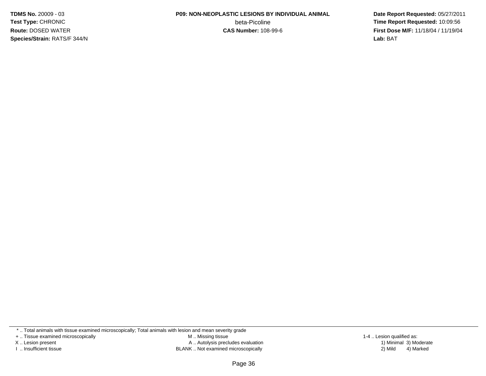# **P09: NON-NEOPLASTIC LESIONS BY INDIVIDUAL ANIMAL**

beta-Picoline

 **Date Report Requested:** 05/27/2011 **beta-Picoline**<br> **CAS Number:** 108-99-6<br> **CAS Number:** 108-99-6<br> **CAS Number:** 108-99-6 **First Dose M/F:** 11/18/04 / 11/19/04 Lab: BAT **Lab:** BAT

\* .. Total animals with tissue examined microscopically; Total animals with lesion and mean severity grade

+ .. Tissue examined microscopically

X .. Lesion present

I .. Insufficient tissue

 M .. Missing tissueA .. Autolysis precludes evaluation

BLANK .. Not examined microscopically 2) Mild 4) Marked

1-4 .. Lesion qualified as: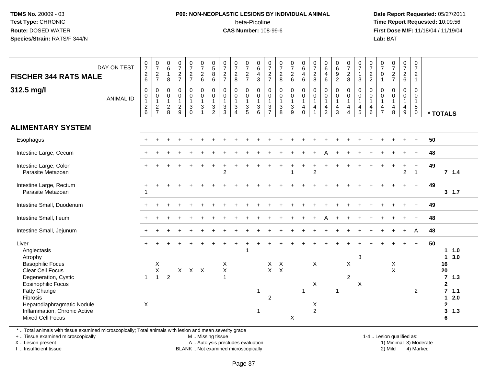### **P09: NON-NEOPLASTIC LESIONS BY INDIVIDUAL ANIMAL** beta-Picoline**beta-Picoline**<br> **CAS Number:** 108-99-6<br> **CAS Number:** 108-99-6<br> **CAS Number:** 108-99-6

 **Date Report Requested:** 05/27/2011 **First Dose M/F:** 11/18/04 / 11/19/04 Lab: BAT **Lab:** BAT

| <b>FISCHER 344 RATS MALE</b>                                                                                      | DAY ON TEST      | $\begin{array}{c} 0 \\ 7 \end{array}$<br>$\begin{array}{c} 2 \\ 6 \end{array}$        | $\frac{0}{7}$<br>$\frac{2}{7}$                                        | $_{6}^{\rm 0}$<br>$\mathbf{1}$<br>8                           | $\begin{smallmatrix}0\\7\end{smallmatrix}$<br>$\frac{2}{7}$ | $\frac{0}{7}$<br>$rac{2}{7}$                                               | $\frac{0}{7}$<br>$\frac{2}{6}$                   | $\begin{array}{c} 0 \\ 5 \\ 8 \end{array}$<br>6           | $\begin{array}{c} 0 \\ 7 \end{array}$<br>$\frac{2}{7}$          | $\frac{0}{7}$<br>$\frac{2}{8}$                                              | $\frac{0}{7}$<br>$\frac{2}{7}$                                  | 0<br>6<br>$\overline{4}$<br>$\mathbf{3}$                    | $\frac{0}{7}$<br>$\frac{2}{7}$                                           | $\frac{0}{7}$<br>$\frac{2}{8}$                                | $\begin{array}{c} 0 \\ 7 \end{array}$<br>$\frac{2}{6}$       | $\begin{array}{c} 0 \\ 6 \end{array}$<br>$\overline{4}$<br>6      | $\frac{0}{7}$<br>$\frac{2}{8}$                                  | $\begin{array}{c} 0 \\ 6 \end{array}$<br>$\overline{4}$<br>$6\phantom{1}$              | $\begin{array}{c} 0 \\ 6 \end{array}$<br>$\frac{9}{2}$ | $\begin{array}{c} 0 \\ 7 \end{array}$<br>$\frac{2}{8}$          | $\frac{0}{7}$<br>$\mathbf{1}$<br>3         | $\frac{0}{7}$<br>$\frac{2}{2}$                                      | $\frac{0}{7}$<br>0<br>$\mathbf 1$                       | $\begin{array}{c} 0 \\ 7 \end{array}$<br>$\frac{2}{7}$ | $\frac{0}{7}$<br>$\frac{2}{6}$                                                          | $\mathbf 0$<br>$\overline{7}$<br>$\frac{2}{1}$                          |    |                                                            |            |
|-------------------------------------------------------------------------------------------------------------------|------------------|---------------------------------------------------------------------------------------|-----------------------------------------------------------------------|---------------------------------------------------------------|-------------------------------------------------------------|----------------------------------------------------------------------------|--------------------------------------------------|-----------------------------------------------------------|-----------------------------------------------------------------|-----------------------------------------------------------------------------|-----------------------------------------------------------------|-------------------------------------------------------------|--------------------------------------------------------------------------|---------------------------------------------------------------|--------------------------------------------------------------|-------------------------------------------------------------------|-----------------------------------------------------------------|----------------------------------------------------------------------------------------|--------------------------------------------------------|-----------------------------------------------------------------|--------------------------------------------|---------------------------------------------------------------------|---------------------------------------------------------|--------------------------------------------------------|-----------------------------------------------------------------------------------------|-------------------------------------------------------------------------|----|------------------------------------------------------------|------------|
| 312.5 mg/l                                                                                                        | <b>ANIMAL ID</b> | $\mathbf 0$<br>$\mathbf 0$<br>$\overline{1}$<br>$\begin{array}{c} 2 \\ 6 \end{array}$ | $\mathbf 0$<br>$\mathsf{O}\xspace$<br>$\overline{1}$<br>$\frac{2}{7}$ | $\mathbf 0$<br>$\mathbf 0$<br>$\mathbf{1}$<br>$\sqrt{2}$<br>8 | $\mathbf 0$<br>$\pmb{0}$<br>$\mathbf{1}$<br>$\frac{2}{9}$   | $\mathsf{O}$<br>$\mathbf 0$<br>$\mathbf{1}$<br>$\mathbf{3}$<br>$\mathbf 0$ | 0<br>$\mathbf 0$<br>$\mathbf{1}$<br>$\mathbf{3}$ | $\pmb{0}$<br>$\pmb{0}$<br>$\overline{1}$<br>$\frac{3}{2}$ | $\mathbf 0$<br>$\pmb{0}$<br>$\overline{1}$<br>$\mathbf{3}$<br>3 | $\mathbf 0$<br>$\mathbf 0$<br>$\mathbf{1}$<br>$\mathbf 3$<br>$\overline{A}$ | $\mathbf 0$<br>$\mathbf 0$<br>$\mathbf{1}$<br>$\mathbf{3}$<br>5 | 0<br>$\mathsf{O}\xspace$<br>$\mathbf{1}$<br>$\sqrt{3}$<br>6 | $\mathbf 0$<br>$\pmb{0}$<br>$\mathbf{1}$<br>$\sqrt{3}$<br>$\overline{7}$ | $\mathbf 0$<br>$\mathsf 0$<br>$\overline{1}$<br>$\frac{3}{8}$ | $\pmb{0}$<br>$\mathbf 0$<br>$\mathbf{1}$<br>$\mathbf 3$<br>9 | 0<br>$\mathbf 0$<br>$\mathbf{1}$<br>$\overline{4}$<br>$\mathbf 0$ | $\mathsf 0$<br>$\mathbf 0$<br>$\mathbf{1}$<br>4<br>$\mathbf{1}$ | $\mathbf 0$<br>$\mathsf{O}\xspace$<br>$\mathbf{1}$<br>$\overline{a}$<br>$\overline{2}$ | $\mathbf 0$<br>$\pmb{0}$<br>$\mathbf{1}$<br>4<br>3     | $\mathbf 0$<br>$\pmb{0}$<br>$\mathbf{1}$<br>4<br>$\overline{A}$ | 0<br>$\mathbf 0$<br>$\mathbf{1}$<br>4<br>5 | $\mathbf 0$<br>$\mathbf 0$<br>$\overline{1}$<br>$\overline{4}$<br>6 | $\mathbf 0$<br>0<br>$\mathbf{1}$<br>4<br>$\overline{7}$ | $\Omega$<br>0<br>$\mathbf{1}$<br>4<br>8                | $\mathbf 0$<br>$\pmb{0}$<br>$\mathbf{1}$<br>$\overline{\mathbf{4}}$<br>$\boldsymbol{9}$ | $\mathbf 0$<br>$\mathbf 0$<br>$\mathbf{1}$<br>$\sqrt{5}$<br>$\mathbf 0$ |    | * TOTALS                                                   |            |
| <b>ALIMENTARY SYSTEM</b>                                                                                          |                  |                                                                                       |                                                                       |                                                               |                                                             |                                                                            |                                                  |                                                           |                                                                 |                                                                             |                                                                 |                                                             |                                                                          |                                                               |                                                              |                                                                   |                                                                 |                                                                                        |                                                        |                                                                 |                                            |                                                                     |                                                         |                                                        |                                                                                         |                                                                         |    |                                                            |            |
| Esophagus                                                                                                         |                  |                                                                                       |                                                                       |                                                               |                                                             |                                                                            |                                                  |                                                           |                                                                 |                                                                             |                                                                 |                                                             |                                                                          |                                                               |                                                              |                                                                   |                                                                 |                                                                                        |                                                        |                                                                 |                                            |                                                                     |                                                         |                                                        |                                                                                         |                                                                         | 50 |                                                            |            |
| Intestine Large, Cecum                                                                                            |                  |                                                                                       |                                                                       |                                                               |                                                             |                                                                            |                                                  |                                                           |                                                                 |                                                                             |                                                                 |                                                             |                                                                          |                                                               |                                                              |                                                                   |                                                                 |                                                                                        |                                                        |                                                                 |                                            |                                                                     |                                                         |                                                        |                                                                                         | $\div$                                                                  | 48 |                                                            |            |
| Intestine Large, Colon<br>Parasite Metazoan                                                                       |                  |                                                                                       |                                                                       |                                                               |                                                             |                                                                            |                                                  |                                                           | $\overline{c}$                                                  |                                                                             |                                                                 |                                                             |                                                                          |                                                               | $\overline{1}$                                               |                                                                   | $\overline{c}$                                                  |                                                                                        |                                                        |                                                                 |                                            |                                                                     |                                                         |                                                        | $\overline{c}$                                                                          | $\overline{1}$                                                          | 49 | 7.14                                                       |            |
| Intestine Large, Rectum<br>Parasite Metazoan                                                                      |                  | +                                                                                     |                                                                       |                                                               |                                                             |                                                                            |                                                  |                                                           |                                                                 |                                                                             |                                                                 |                                                             |                                                                          |                                                               |                                                              |                                                                   |                                                                 |                                                                                        |                                                        |                                                                 |                                            |                                                                     |                                                         |                                                        |                                                                                         | $+$                                                                     | 49 | $3 \t1.7$                                                  |            |
| Intestine Small, Duodenum                                                                                         |                  |                                                                                       |                                                                       |                                                               |                                                             |                                                                            |                                                  |                                                           |                                                                 |                                                                             |                                                                 |                                                             |                                                                          |                                                               |                                                              |                                                                   |                                                                 |                                                                                        |                                                        |                                                                 |                                            |                                                                     |                                                         |                                                        |                                                                                         |                                                                         | 49 |                                                            |            |
| Intestine Small, Ileum                                                                                            |                  |                                                                                       |                                                                       |                                                               |                                                             |                                                                            |                                                  |                                                           |                                                                 |                                                                             |                                                                 |                                                             |                                                                          |                                                               |                                                              |                                                                   |                                                                 |                                                                                        |                                                        |                                                                 |                                            |                                                                     |                                                         |                                                        |                                                                                         |                                                                         | 48 |                                                            |            |
| Intestine Small, Jejunum                                                                                          |                  |                                                                                       |                                                                       |                                                               |                                                             |                                                                            |                                                  |                                                           |                                                                 |                                                                             |                                                                 |                                                             |                                                                          |                                                               |                                                              |                                                                   |                                                                 |                                                                                        |                                                        |                                                                 |                                            |                                                                     |                                                         |                                                        |                                                                                         | A                                                                       | 48 |                                                            |            |
| Liver<br>Angiectasis<br>Atrophy                                                                                   |                  |                                                                                       |                                                                       |                                                               |                                                             |                                                                            |                                                  |                                                           |                                                                 |                                                                             | 1                                                               |                                                             |                                                                          |                                                               |                                                              |                                                                   |                                                                 |                                                                                        |                                                        |                                                                 | 3                                          |                                                                     |                                                         |                                                        |                                                                                         | $+$                                                                     | 50 | $\mathbf 1$<br>$\mathbf 1$                                 | 1.0<br>3.0 |
| <b>Basophilic Focus</b><br><b>Clear Cell Focus</b><br>Degeneration, Cystic<br><b>Eosinophilic Focus</b>           |                  | $\mathbf{1}$                                                                          | Χ<br>$\boldsymbol{\mathsf{X}}$<br>$\overline{1}$                      | $\overline{2}$                                                |                                                             | $X$ $X$ $X$                                                                |                                                  |                                                           | X<br>$\mathsf X$<br>$\mathbf{1}$                                |                                                                             |                                                                 |                                                             | X<br>$\mathsf{X}$                                                        | $\mathsf{X}$<br>$\mathsf{X}$                                  |                                                              |                                                                   | X<br>X                                                          |                                                                                        |                                                        | X<br>$\overline{c}$                                             | $\times$                                   |                                                                     |                                                         | X<br>$\sf X$                                           |                                                                                         |                                                                         |    | 16<br>20<br>$\overline{7}$<br>$\mathbf{2}$                 | 1.3        |
| Fatty Change<br>Fibrosis<br>Hepatodiaphragmatic Nodule<br>Inflammation, Chronic Active<br><b>Mixed Cell Focus</b> |                  | X                                                                                     |                                                                       |                                                               |                                                             |                                                                            |                                                  |                                                           |                                                                 |                                                                             |                                                                 | -1                                                          | 2                                                                        |                                                               | X                                                            | $\mathbf{1}$                                                      | X<br>$\overline{c}$                                             |                                                                                        | $\mathbf{1}$                                           |                                                                 |                                            |                                                                     |                                                         |                                                        |                                                                                         | $\overline{2}$                                                          |    | 7.1.1<br>$\mathbf{1}$<br>$\mathbf{2}$<br>$\mathbf{3}$<br>6 | 2.0<br>1.3 |

\* .. Total animals with tissue examined microscopically; Total animals with lesion and mean severity grade

+ .. Tissue examined microscopically

X .. Lesion present

I .. Insufficient tissue

M .. Missing tissue

A .. Autolysis precludes evaluation

BLANK .. Not examined microscopically 2) Mild 4) Marked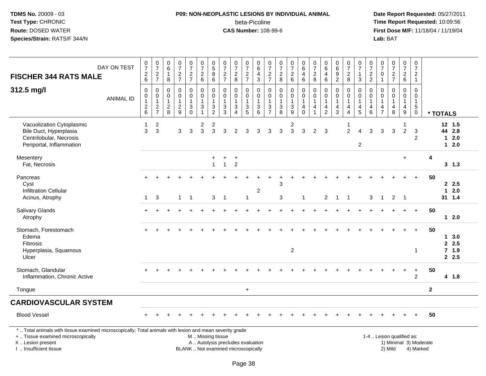## **P09: NON-NEOPLASTIC LESIONS BY INDIVIDUAL ANIMAL**beta-Picoline<br>CAS Number: 108-99-6

| <b>FISCHER 344 RATS MALE</b>                                                                                                                                                                  | DAY ON TEST      | $\frac{0}{7}$<br>$\overline{c}$<br>$\,6\,$ | $\frac{0}{7}$<br>$\frac{2}{7}$                                  | $\pmb{0}$<br>$\,6\,$<br>1<br>8                | $\frac{0}{7}$<br>$\overline{2}$<br>$\overline{7}$        | $\frac{0}{7}$<br>$\overline{c}$<br>$\overline{7}$                  | $\frac{0}{7}$<br>$\overline{2}$<br>$\,6\,$                                                    | $\begin{array}{c} 0 \\ 5 \\ 8 \end{array}$<br>$6\phantom{1}$ | $\frac{0}{7}$<br>$\sqrt{2}$<br>$\overline{7}$               | $\begin{array}{c} 0 \\ 7 \end{array}$<br>$\sqrt{2}$<br>8                         | $\frac{0}{7}$<br>$\boldsymbol{2}$<br>$\overline{7}$                 | $\pmb{0}$<br>6<br>4<br>$\mathbf{3}$                                 | $\frac{0}{7}$<br>$\overline{2}$<br>$\overline{7}$         | $\begin{array}{c} 0 \\ 7 \end{array}$<br>$\overline{c}$<br>8 | $\begin{array}{c} 0 \\ 7 \end{array}$<br>$\boldsymbol{2}$<br>$\,6\,$ | $\begin{array}{c} 0 \\ 6 \end{array}$<br>$\overline{4}$<br>$\,6\,$                  | $\frac{0}{7}$<br>$\overline{2}$<br>8                 | $\pmb{0}$<br>$\,6\,$<br>$\overline{4}$<br>6                       | $\pmb{0}$<br>$\,6\,$<br>$\boldsymbol{9}$<br>$\sqrt{2}$                             | $\frac{0}{7}$<br>$\overline{c}$<br>8                           | $\begin{array}{c} 0 \\ 7 \end{array}$<br>$\mathbf{1}$<br>$\mathbf{3}$ | $\frac{0}{7}$<br>$\overline{c}$<br>$\overline{c}$                      | 0<br>$\overline{7}$<br>$\mathbf 0$<br>$\mathbf{1}$     | $\begin{smallmatrix}0\\7\end{smallmatrix}$<br>$\overline{c}$<br>$\overline{7}$ | $\frac{0}{7}$<br>$\boldsymbol{2}$<br>6                           | $\pmb{0}$<br>$\overline{7}$<br>$\sqrt{2}$<br>$\mathbf{1}$            |                        |                   |                                |  |
|-----------------------------------------------------------------------------------------------------------------------------------------------------------------------------------------------|------------------|--------------------------------------------|-----------------------------------------------------------------|-----------------------------------------------|----------------------------------------------------------|--------------------------------------------------------------------|-----------------------------------------------------------------------------------------------|--------------------------------------------------------------|-------------------------------------------------------------|----------------------------------------------------------------------------------|---------------------------------------------------------------------|---------------------------------------------------------------------|-----------------------------------------------------------|--------------------------------------------------------------|----------------------------------------------------------------------|-------------------------------------------------------------------------------------|------------------------------------------------------|-------------------------------------------------------------------|------------------------------------------------------------------------------------|----------------------------------------------------------------|-----------------------------------------------------------------------|------------------------------------------------------------------------|--------------------------------------------------------|--------------------------------------------------------------------------------|------------------------------------------------------------------|----------------------------------------------------------------------|------------------------|-------------------|--------------------------------|--|
| 312.5 mg/l                                                                                                                                                                                    | <b>ANIMAL ID</b> | $\mathbf 0$<br>0<br>1<br>$^2\phantom{0}6$  | $\Omega$<br>$\boldsymbol{0}$<br>$\overline{1}$<br>$\frac{2}{7}$ | $\Omega$<br>0<br>$\mathbf{1}$<br>$_{\rm 8}^2$ | $\Omega$<br>$\mathbf 0$<br>$\mathbf{1}$<br>$\frac{2}{9}$ | 0<br>$\ddot{\mathbf{0}}$<br>$\mathbf{1}$<br>$\sqrt{3}$<br>$\Omega$ | $\mathbf 0$<br>$\mathbf 0$<br>$\mathbf{1}$<br>$\sqrt{3}$<br>$\overline{1}$                    | $\mathbf{0}$<br>$\pmb{0}$<br>$\overline{1}$<br>$\frac{3}{2}$ | $\mathbf 0$<br>$\pmb{0}$<br>$\overline{1}$<br>$\frac{3}{3}$ | $\Omega$<br>$\mathbf 0$<br>$\mathbf{1}$<br>$\ensuremath{\mathsf{3}}$<br>$\Delta$ | $\mathbf 0$<br>$\mathsf{O}\xspace$<br>$\mathbf{1}$<br>$\frac{3}{5}$ | $\mathbf 0$<br>$\mathsf{O}\xspace$<br>$\mathbf{1}$<br>$\frac{3}{6}$ | $\mathbf 0$<br>$\pmb{0}$<br>$\mathbf{1}$<br>$\frac{3}{7}$ | $\mathbf 0$<br>0<br>$\mathbf{1}$<br>$\frac{3}{8}$            | $\mathbf 0$<br>$\pmb{0}$<br>$\mathbf{1}$<br>$\frac{3}{9}$            | $\mathbf 0$<br>$\mathbf 0$<br>$\mathbf{1}$<br>$\begin{array}{c} 4 \\ 0 \end{array}$ | $\Omega$<br>0<br>$\mathbf{1}$<br>4<br>$\overline{1}$ | $\mathbf 0$<br>$\mathbf 0$<br>$\mathbf{1}$<br>4<br>$\overline{2}$ | $\Omega$<br>$\mathbf 0$<br>$\mathbf{1}$<br>$\overline{\mathbf{4}}$<br>$\mathbf{3}$ | $\Omega$<br>$\mathbf 0$<br>$\mathbf{1}$<br>4<br>$\overline{4}$ | $\Omega$<br>$\mathbf 0$<br>$\overline{1}$<br>$\frac{4}{5}$            | $\Omega$<br>$\mathsf{O}\xspace$<br>$\mathbf{1}$<br>4<br>$6\phantom{1}$ | $\Omega$<br>0<br>$\overline{1}$<br>4<br>$\overline{7}$ | $\Omega$<br>$\mathbf 0$<br>$\mathbf{1}$<br>4<br>8                              | $\Omega$<br>$\mathbf 0$<br>$\mathbf{1}$<br>4<br>$\boldsymbol{9}$ | $\Omega$<br>$\mathbf 0$<br>$\mathbf{1}$<br>$\sqrt{5}$<br>$\mathbf 0$ | * TOTALS               |                   |                                |  |
| Vacuolization Cytoplasmic<br>Bile Duct, Hyperplasia<br>Centrilobular, Necrosis<br>Periportal, Inflammation                                                                                    |                  | $\mathbf{1}$<br>3                          | $\overline{c}$<br>3                                             |                                               | 3                                                        | $\mathbf{3}$                                                       | 2<br>$\mathbf{3}$                                                                             | 2<br>$\mathbf{3}$                                            | 3                                                           | 2                                                                                | 3                                                                   | 3                                                                   | 3                                                         | 3                                                            | 2<br>3                                                               | 3                                                                                   | 2                                                    | 3                                                                 |                                                                                    | $\overline{2}$                                                 | 4<br>$\overline{c}$                                                   | 3                                                                      | 3                                                      | 3                                                                              | 1<br>$\overline{c}$                                              | 3<br>2                                                               |                        | 1<br>$\mathbf{1}$ | 12 1.5<br>44 2.8<br>2.0<br>2.0 |  |
| Mesentery<br>Fat, Necrosis                                                                                                                                                                    |                  |                                            |                                                                 |                                               |                                                          |                                                                    |                                                                                               | $\ddot{}$<br>$\overline{1}$                                  | $\ddot{}$<br>$\overline{1}$                                 | $\ddot{}$<br>$\overline{2}$                                                      |                                                                     |                                                                     |                                                           |                                                              |                                                                      |                                                                                     |                                                      |                                                                   |                                                                                    |                                                                |                                                                       |                                                                        |                                                        |                                                                                | $+$                                                              |                                                                      | 4                      |                   | $3 \t1.3$                      |  |
| Pancreas<br>Cyst<br><b>Infiltration Cellular</b>                                                                                                                                              |                  | $\div$                                     |                                                                 |                                               |                                                          |                                                                    |                                                                                               |                                                              |                                                             |                                                                                  |                                                                     | $\overline{2}$                                                      |                                                           | 3                                                            |                                                                      |                                                                                     |                                                      |                                                                   |                                                                                    |                                                                |                                                                       |                                                                        |                                                        |                                                                                |                                                                  | $+$                                                                  | 50                     | $\mathbf{1}$      | 2.5<br>2.0                     |  |
| Acinus, Atrophy<br>Salivary Glands<br>Atrophy                                                                                                                                                 |                  | $\overline{1}$                             | 3                                                               |                                               | 1                                                        | $\overline{\mathbf{1}}$                                            |                                                                                               | 3                                                            | -1                                                          |                                                                                  | $\mathbf{1}$                                                        |                                                                     |                                                           | 3                                                            |                                                                      | -1                                                                                  |                                                      | $\overline{2}$                                                    | $\mathbf{1}$                                                                       | $\overline{\phantom{1}}$                                       |                                                                       | 3                                                                      | $\overline{1}$                                         | 2                                                                              | $\overline{\phantom{0}}$ 1                                       | $+$                                                                  | 50                     |                   | $31$ 1.4<br>$12.0$             |  |
| Stomach, Forestomach<br>Edema<br><b>Fibrosis</b><br>Hyperplasia, Squamous<br>Ulcer                                                                                                            |                  |                                            |                                                                 |                                               |                                                          |                                                                    |                                                                                               |                                                              |                                                             |                                                                                  |                                                                     |                                                                     |                                                           |                                                              | $\overline{2}$                                                       |                                                                                     |                                                      |                                                                   |                                                                                    |                                                                |                                                                       |                                                                        |                                                        |                                                                                |                                                                  | $\mathbf{1}$                                                         | 50                     | $\mathbf{2}$      | 13.0<br>2.5<br>$7$ 1.9<br>2.5  |  |
| Stomach, Glandular<br>Inflammation, Chronic Active                                                                                                                                            |                  |                                            |                                                                 |                                               |                                                          |                                                                    |                                                                                               |                                                              |                                                             |                                                                                  |                                                                     |                                                                     |                                                           |                                                              |                                                                      |                                                                                     |                                                      |                                                                   |                                                                                    |                                                                |                                                                       |                                                                        |                                                        |                                                                                |                                                                  | $+$<br>$\overline{2}$                                                | 50                     |                   | 4 1.8                          |  |
| Tongue                                                                                                                                                                                        |                  |                                            |                                                                 |                                               |                                                          |                                                                    |                                                                                               |                                                              |                                                             |                                                                                  | $\ddot{}$                                                           |                                                                     |                                                           |                                                              |                                                                      |                                                                                     |                                                      |                                                                   |                                                                                    |                                                                |                                                                       |                                                                        |                                                        |                                                                                |                                                                  |                                                                      | $\mathbf{2}$           |                   |                                |  |
| <b>CARDIOVASCULAR SYSTEM</b>                                                                                                                                                                  |                  |                                            |                                                                 |                                               |                                                          |                                                                    |                                                                                               |                                                              |                                                             |                                                                                  |                                                                     |                                                                     |                                                           |                                                              |                                                                      |                                                                                     |                                                      |                                                                   |                                                                                    |                                                                |                                                                       |                                                                        |                                                        |                                                                                |                                                                  |                                                                      |                        |                   |                                |  |
| <b>Blood Vessel</b>                                                                                                                                                                           |                  |                                            |                                                                 |                                               |                                                          |                                                                    |                                                                                               |                                                              |                                                             |                                                                                  |                                                                     |                                                                     |                                                           |                                                              |                                                                      |                                                                                     |                                                      |                                                                   |                                                                                    |                                                                |                                                                       |                                                                        |                                                        |                                                                                |                                                                  |                                                                      | 50                     |                   |                                |  |
| *  Total animals with tissue examined microscopically; Total animals with lesion and mean severity grade<br>+  Tissue examined microscopically<br>X  Lesion present<br>I. Insufficient tissue |                  |                                            |                                                                 |                                               |                                                          |                                                                    | M  Missing tissue<br>A  Autolysis precludes evaluation<br>BLANK  Not examined microscopically |                                                              |                                                             |                                                                                  |                                                                     |                                                                     |                                                           |                                                              |                                                                      |                                                                                     |                                                      |                                                                   |                                                                                    |                                                                |                                                                       |                                                                        |                                                        | 1-4  Lesion qualified as:<br>2) Mild                                           |                                                                  | 4) Marked                                                            | 1) Minimal 3) Moderate |                   |                                |  |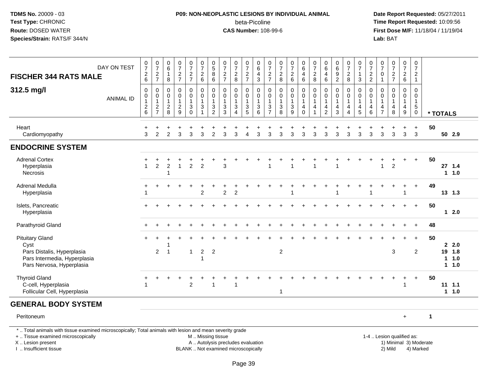### **P09: NON-NEOPLASTIC LESIONS BY INDIVIDUAL ANIMAL** beta-Picoline**beta-Picoline**<br> **CAS Number:** 108-99-6<br> **CAS Number:** 108-99-6<br> **CAS Number:** 108-99-6

 **Date Report Requested:** 05/27/2011 **First Dose M/F:** 11/18/04 / 11/19/04 Lab: BAT **Lab:** BAT

| <b>FISCHER 344 RATS MALE</b>                                                                                              | DAY ON TEST      | $\frac{0}{7}$<br>$^2$ 6                                     | $\frac{0}{7}$<br>$\frac{2}{7}$                              | $\begin{array}{c} 0 \\ 6 \end{array}$<br>$\overline{1}$<br>$\,8\,$ | $\begin{array}{c} 0 \\ 7 \end{array}$<br>$\frac{2}{7}$          | $\frac{0}{7}$<br>$\frac{2}{7}$                            | $\begin{array}{c} 0 \\ 7 \end{array}$<br>$\frac{2}{6}$         | $\begin{array}{c} 0 \\ 5 \\ 8 \end{array}$<br>6                         | $\begin{array}{c} 0 \\ 7 \end{array}$<br>$\frac{2}{7}$          | $\frac{0}{7}$<br>$\frac{2}{8}$                                                   | $\frac{0}{7}$<br>$\frac{2}{7}$                                                  | 0<br>6<br>$\overline{4}$<br>3                      | $\frac{0}{7}$<br>$\frac{2}{7}$                                     | $\frac{0}{7}$<br>$\frac{2}{8}$                                           | $\frac{0}{7}$<br>$\begin{array}{c} 2 \\ 6 \end{array}$ | $\begin{array}{c} 0 \\ 6 \end{array}$<br>$\overline{4}$<br>$\,6\,$     | $\begin{array}{c} 0 \\ 7 \\ 2 \\ 8 \end{array}$                                      | $_{6}^{\rm 0}$<br>$\overline{a}$<br>6                          | $_{6}^{\rm 0}$<br>$\frac{9}{2}$                  | $\frac{0}{7}$<br>$_{\rm 8}^2$            | $\frac{0}{7}$<br>$\mathbf{1}$<br>$\mathbf{3}$ | $\frac{0}{7}$<br>$\frac{2}{2}$                                            | $\frac{0}{7}$<br>$\boldsymbol{0}$<br>$\mathbf{1}$       | $\frac{0}{7}$<br>$\frac{2}{7}$                       | $\frac{0}{7}$<br>$\frac{2}{6}$                                            | $\begin{smallmatrix}0\\7\end{smallmatrix}$<br>$\begin{array}{c} 2 \\ 1 \end{array}$ |             |          |                                |  |
|---------------------------------------------------------------------------------------------------------------------------|------------------|-------------------------------------------------------------|-------------------------------------------------------------|--------------------------------------------------------------------|-----------------------------------------------------------------|-----------------------------------------------------------|----------------------------------------------------------------|-------------------------------------------------------------------------|-----------------------------------------------------------------|----------------------------------------------------------------------------------|---------------------------------------------------------------------------------|----------------------------------------------------|--------------------------------------------------------------------|--------------------------------------------------------------------------|--------------------------------------------------------|------------------------------------------------------------------------|--------------------------------------------------------------------------------------|----------------------------------------------------------------|--------------------------------------------------|------------------------------------------|-----------------------------------------------|---------------------------------------------------------------------------|---------------------------------------------------------|------------------------------------------------------|---------------------------------------------------------------------------|-------------------------------------------------------------------------------------|-------------|----------|--------------------------------|--|
| 312.5 mg/l                                                                                                                | <b>ANIMAL ID</b> | $\mathbf 0$<br>$\pmb{0}$<br>$\mathbf 1$<br>$^2\phantom{1}6$ | $\pmb{0}$<br>$\mathbf 0$<br>$\overline{1}$<br>$\frac{2}{7}$ | 0<br>0<br>$\mathbf{1}$<br>$\sqrt{2}$<br>8                          | $\mathbf 0$<br>$\pmb{0}$<br>$\mathbf{1}$<br>$\overline{c}$<br>9 | $\pmb{0}$<br>$\mathbf 0$<br>1<br>$\mathbf{3}$<br>$\Omega$ | $\pmb{0}$<br>$\ddot{\mathbf{0}}$<br>$\mathbf{1}$<br>$\sqrt{3}$ | $\pmb{0}$<br>$\mathbf 0$<br>$\mathbf 1$<br>$\sqrt{3}$<br>$\overline{2}$ | $\mathbf 0$<br>$\mathbf 0$<br>$\overline{1}$<br>$\sqrt{3}$<br>3 | $\pmb{0}$<br>$\mathbf 0$<br>$\mathbf{1}$<br>$\sqrt{3}$<br>$\boldsymbol{\Lambda}$ | 0<br>$\mathbf 0$<br>$\mathbf{1}$<br>$\ensuremath{\mathsf{3}}$<br>$\overline{5}$ | 0<br>$\mathsf{O}\xspace$<br>$\mathbf{1}$<br>3<br>6 | 0<br>$\mathbf 0$<br>$\mathbf{1}$<br>$\mathbf{3}$<br>$\overline{7}$ | $\pmb{0}$<br>$\pmb{0}$<br>$\mathbf{1}$<br>$\ensuremath{\mathsf{3}}$<br>8 | $\pmb{0}$<br>$\pmb{0}$<br>$\overline{1}$<br>$_9^3$     | $\mathbf 0$<br>$\mathsf{O}\xspace$<br>$\mathbf{1}$<br>4<br>$\mathbf 0$ | $\pmb{0}$<br>$\ddot{\mathbf{0}}$<br>$\overline{1}$<br>$\overline{4}$<br>$\mathbf{1}$ | 0<br>$\pmb{0}$<br>$\mathbf{1}$<br>$\overline{\mathbf{4}}$<br>2 | $\pmb{0}$<br>$\pmb{0}$<br>$\mathbf{1}$<br>4<br>3 | 0<br>$\pmb{0}$<br>$\mathbf{1}$<br>4<br>4 | 0<br>$\mathbf 0$<br>$\mathbf{1}$<br>4<br>5    | $\pmb{0}$<br>$\mathsf{O}\xspace$<br>$\overline{1}$<br>$\overline{4}$<br>6 | 0<br>$\mathbf 0$<br>$\mathbf{1}$<br>4<br>$\overline{7}$ | $\mathbf 0$<br>$\mathbf 0$<br>$\mathbf{1}$<br>4<br>8 | 0<br>$\mathbf 0$<br>$\mathbf{1}$<br>$\begin{array}{c} 4 \\ 9 \end{array}$ | $\pmb{0}$<br>$\mathsf{O}\xspace$<br>$\mathbf{1}$<br>$\sqrt{5}$<br>$\mathbf 0$       |             | * TOTALS |                                |  |
| Heart<br>Cardiomyopathy                                                                                                   |                  | +<br>3                                                      | $\overline{2}$                                              | $\overline{2}$                                                     | 3                                                               | 3                                                         | 3                                                              | $\overline{2}$                                                          | 3                                                               | 3                                                                                | $\overline{A}$                                                                  | 3                                                  | 3                                                                  | 3                                                                        | 3                                                      | 3                                                                      | 3                                                                                    | 3                                                              | 3                                                | 3                                        | 3                                             | 3                                                                         | 3                                                       | 3                                                    | $\mathbf{3}$                                                              | $\ddot{}$<br>3                                                                      | 50          |          | 50 2.9                         |  |
| <b>ENDOCRINE SYSTEM</b>                                                                                                   |                  |                                                             |                                                             |                                                                    |                                                                 |                                                           |                                                                |                                                                         |                                                                 |                                                                                  |                                                                                 |                                                    |                                                                    |                                                                          |                                                        |                                                                        |                                                                                      |                                                                |                                                  |                                          |                                               |                                                                           |                                                         |                                                      |                                                                           |                                                                                     |             |          |                                |  |
| <b>Adrenal Cortex</b><br>Hyperplasia<br>Necrosis                                                                          |                  | +<br>$\overline{1}$                                         | $\overline{2}$                                              | $\overline{2}$<br>1                                                | $\mathbf{1}$                                                    | $\overline{2}$                                            | $\overline{2}$                                                 |                                                                         | 3                                                               |                                                                                  |                                                                                 |                                                    | $\overline{1}$                                                     |                                                                          | $\overline{1}$                                         |                                                                        | $\overline{1}$                                                                       |                                                                |                                                  |                                          |                                               |                                                                           | $\mathbf{1}$                                            | $\overline{2}$                                       |                                                                           | $+$                                                                                 | 50          |          | 27 1.4<br>11.0                 |  |
| Adrenal Medulla<br>Hyperplasia                                                                                            |                  | $\ddot{}$                                                   |                                                             |                                                                    |                                                                 |                                                           | 2                                                              |                                                                         | $\overline{2}$                                                  | $\overline{2}$                                                                   |                                                                                 |                                                    |                                                                    |                                                                          |                                                        |                                                                        |                                                                                      |                                                                |                                                  |                                          |                                               | -1                                                                        |                                                         |                                                      | $\ddot{}$<br>$\overline{1}$                                               | $+$                                                                                 | 49          |          | 13, 1.3                        |  |
| Islets, Pancreatic<br>Hyperplasia                                                                                         |                  |                                                             |                                                             |                                                                    |                                                                 |                                                           |                                                                |                                                                         |                                                                 |                                                                                  |                                                                                 |                                                    |                                                                    |                                                                          |                                                        |                                                                        |                                                                                      |                                                                |                                                  |                                          |                                               |                                                                           |                                                         |                                                      |                                                                           | $+$                                                                                 | 50          |          | $12.0$                         |  |
| Parathyroid Gland                                                                                                         |                  | $\pm$                                                       |                                                             |                                                                    |                                                                 |                                                           |                                                                |                                                                         |                                                                 |                                                                                  |                                                                                 |                                                    |                                                                    |                                                                          |                                                        |                                                                        |                                                                                      |                                                                |                                                  |                                          |                                               |                                                                           |                                                         |                                                      |                                                                           |                                                                                     | 48          |          |                                |  |
| <b>Pituitary Gland</b><br>Cyst<br>Pars Distalis, Hyperplasia<br>Pars Intermedia, Hyperplasia<br>Pars Nervosa, Hyperplasia |                  | $+$                                                         | 2                                                           | $\overline{1}$                                                     |                                                                 | $\mathbf{1}$                                              | $\overline{c}$                                                 | $\overline{2}$                                                          |                                                                 |                                                                                  |                                                                                 |                                                    |                                                                    | $\overline{c}$                                                           |                                                        |                                                                        |                                                                                      |                                                                |                                                  |                                          |                                               |                                                                           |                                                         | 3                                                    |                                                                           | $+$<br>$\overline{2}$                                                               | 50          |          | 22.0<br>19 1.8<br>11.0<br>11.0 |  |
| <b>Thyroid Gland</b><br>C-cell, Hyperplasia<br>Follicular Cell, Hyperplasia                                               |                  |                                                             |                                                             |                                                                    |                                                                 | $\overline{2}$                                            |                                                                | $\overline{1}$                                                          |                                                                 | $\overline{1}$                                                                   |                                                                                 |                                                    |                                                                    | $\mathbf{1}$                                                             |                                                        |                                                                        |                                                                                      |                                                                |                                                  |                                          |                                               |                                                                           |                                                         |                                                      | $\overline{1}$                                                            | $\ddot{}$                                                                           | 50          |          | $11$ 1.1<br>11.0               |  |
| <b>GENERAL BODY SYSTEM</b>                                                                                                |                  |                                                             |                                                             |                                                                    |                                                                 |                                                           |                                                                |                                                                         |                                                                 |                                                                                  |                                                                                 |                                                    |                                                                    |                                                                          |                                                        |                                                                        |                                                                                      |                                                                |                                                  |                                          |                                               |                                                                           |                                                         |                                                      |                                                                           |                                                                                     |             |          |                                |  |
| Peritoneum                                                                                                                |                  |                                                             |                                                             |                                                                    |                                                                 |                                                           |                                                                |                                                                         |                                                                 |                                                                                  |                                                                                 |                                                    |                                                                    |                                                                          |                                                        |                                                                        |                                                                                      |                                                                |                                                  |                                          |                                               |                                                                           |                                                         |                                                      | $\ddot{}$                                                                 |                                                                                     | $\mathbf 1$ |          |                                |  |

\* .. Total animals with tissue examined microscopically; Total animals with lesion and mean severity grade

+ .. Tissue examined microscopically

X .. Lesion present

I .. Insufficient tissue

 M .. Missing tissueA .. Autolysis precludes evaluation

BLANK .. Not examined microscopically 2) Mild 4) Marked

1-4 .. Lesion qualified as: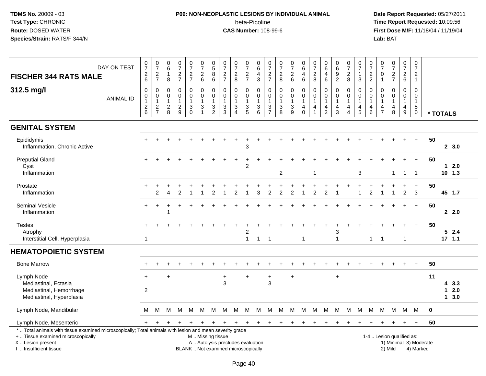## **P09: NON-NEOPLASTIC LESIONS BY INDIVIDUAL ANIMAL**beta-Picoline<br>CAS Number: 108-99-6

 **Date Report Requested:** 05/27/2011 **Time Report Requested:** 10:09:56 **First Dose M/F:** 11/18/04 / 11/19/04<br>**Lab:** BAT **Lab:** BAT

| DAY ON TEST<br><b>FISCHER 344 RATS MALE</b>                                                                                                                                                   | 0<br>$\overline{7}$<br>$^2\phantom{1}6$                   | $\frac{0}{7}$<br>$\frac{2}{7}$                              | $\pmb{0}$<br>$\,6\,$<br>$\mathbf{1}$<br>$\, 8$ | $\frac{0}{7}$<br>$\frac{2}{7}$                                    | $\frac{0}{7}$<br>$\frac{2}{7}$                     | 0<br>$\overline{7}$<br>$\frac{2}{6}$                                    | $\begin{array}{c} 0 \\ 5 \end{array}$<br>8<br>$6\phantom{1}$ | 0<br>$\overline{7}$<br>$\frac{2}{7}$                  | $\frac{0}{7}$<br>$\frac{2}{8}$                                                          | 0<br>$\overline{7}$<br>$\frac{2}{7}$                           | 0<br>$\,6\,$<br>$\overline{4}$<br>$\mathbf{3}$                              | 0<br>$\overline{7}$<br>$\frac{2}{7}$                              | 0<br>$\overline{7}$<br>$\frac{2}{8}$                   | $\frac{0}{7}$<br>$\overline{c}$<br>$\,6\,$                                   | 0<br>6<br>$\overline{\mathbf{4}}$<br>$6\phantom{1}$                         | $\frac{0}{7}$<br>$\boldsymbol{2}$<br>8                                       | 0<br>$\,6\,$<br>4<br>$6\phantom{1}6$ | $\begin{array}{c} 0 \\ 6 \end{array}$<br>$\frac{9}{2}$          | $\frac{0}{7}$<br>$\overline{c}$<br>8                             | 0<br>$\overline{7}$<br>$\mathbf{1}$<br>$\mathbf{3}$ | $\pmb{0}$<br>$\overline{7}$<br>$\frac{2}{2}$                 | 0<br>$\overline{7}$<br>0<br>$\overline{1}$ | 0<br>$\overline{7}$<br>$\frac{2}{7}$ | $\frac{0}{7}$<br>$\overline{a}$<br>6       | 0<br>$\overline{7}$<br>$\overline{c}$<br>$\mathbf{1}$                   |    |          |                     |
|-----------------------------------------------------------------------------------------------------------------------------------------------------------------------------------------------|-----------------------------------------------------------|-------------------------------------------------------------|------------------------------------------------|-------------------------------------------------------------------|----------------------------------------------------|-------------------------------------------------------------------------|--------------------------------------------------------------|-------------------------------------------------------|-----------------------------------------------------------------------------------------|----------------------------------------------------------------|-----------------------------------------------------------------------------|-------------------------------------------------------------------|--------------------------------------------------------|------------------------------------------------------------------------------|-----------------------------------------------------------------------------|------------------------------------------------------------------------------|--------------------------------------|-----------------------------------------------------------------|------------------------------------------------------------------|-----------------------------------------------------|--------------------------------------------------------------|--------------------------------------------|--------------------------------------|--------------------------------------------|-------------------------------------------------------------------------|----|----------|---------------------|
| 312.5 mg/l<br><b>ANIMAL ID</b>                                                                                                                                                                | 0<br>$\mathbf 0$<br>$\overline{1}$<br>$\overline{c}$<br>6 | $\mathbf 0$<br>$\mathbf 0$<br>$\mathbf{1}$<br>$\frac{2}{7}$ | $\mathbf 0$<br>0<br>$\overline{1}$<br>$_{8}^2$ | $\mathbf 0$<br>$\mathbf 0$<br>$\mathbf{1}$<br>$\overline{c}$<br>9 | 0<br>$\pmb{0}$<br>$\mathbf{1}$<br>3<br>$\mathbf 0$ | 0<br>$\mathsf{O}\xspace$<br>$\mathbf{1}$<br>$\mathsf 3$<br>$\mathbf{1}$ | $\mathbf 0$<br>0<br>$\mathbf{1}$<br>3<br>$\overline{2}$      | $\mathbf 0$<br>0<br>$\mathbf{1}$<br>3<br>$\mathbf{3}$ | $\mathbf 0$<br>$\pmb{0}$<br>$\mathbf{1}$<br>$\ensuremath{\mathsf{3}}$<br>$\overline{4}$ | 0<br>$\mathbf 0$<br>$\overline{1}$<br>$\sqrt{3}$<br>$\sqrt{5}$ | $\mathbf 0$<br>$\pmb{0}$<br>$\overline{1}$<br>$\sqrt{3}$<br>$6\phantom{1}6$ | $\mathbf 0$<br>$\mathbf 0$<br>$\mathbf{1}$<br>3<br>$\overline{7}$ | $\mathbf 0$<br>$\mathbf 0$<br>$\overline{1}$<br>3<br>8 | $\mathbf 0$<br>$\pmb{0}$<br>1<br>$\ensuremath{\mathsf{3}}$<br>$\overline{9}$ | 0<br>$\mathsf{O}\xspace$<br>$\overline{1}$<br>$\overline{4}$<br>$\mathbf 0$ | $\mathbf 0$<br>$\mathsf 0$<br>$\mathbf{1}$<br>$\overline{4}$<br>$\mathbf{1}$ | 0<br>0<br>1<br>4<br>$\overline{c}$   | $\mathbf 0$<br>$\mathbf 0$<br>$\mathbf{1}$<br>4<br>$\mathbf{3}$ | 0<br>$\mathbf 0$<br>$\mathbf{1}$<br>4<br>$\overline{\mathbf{4}}$ | 0<br>0<br>$\mathbf{1}$<br>$\overline{4}$<br>5       | $\mathbf 0$<br>$\mathbf 0$<br>$\overline{1}$<br>4<br>$\,6\,$ | 0<br>$\Omega$<br>1<br>4<br>$\overline{7}$  | $\Omega$<br>$\Omega$<br>1<br>4<br>8  | 0<br>$\mathbf 0$<br>$\mathbf{1}$<br>4<br>9 | $\mathbf 0$<br>$\mathbf 0$<br>$\mathbf{1}$<br>$\sqrt{5}$<br>$\mathbf 0$ |    | * TOTALS |                     |
| <b>GENITAL SYSTEM</b>                                                                                                                                                                         |                                                           |                                                             |                                                |                                                                   |                                                    |                                                                         |                                                              |                                                       |                                                                                         |                                                                |                                                                             |                                                                   |                                                        |                                                                              |                                                                             |                                                                              |                                      |                                                                 |                                                                  |                                                     |                                                              |                                            |                                      |                                            |                                                                         |    |          |                     |
| Epididymis<br>Inflammation, Chronic Active                                                                                                                                                    |                                                           |                                                             |                                                |                                                                   |                                                    |                                                                         |                                                              |                                                       |                                                                                         | 3                                                              |                                                                             |                                                                   |                                                        |                                                                              |                                                                             |                                                                              |                                      |                                                                 |                                                                  |                                                     |                                                              |                                            |                                      |                                            | $\ddot{}$                                                               | 50 |          | 2, 3.0              |
| <b>Preputial Gland</b><br>Cyst<br>Inflammation                                                                                                                                                |                                                           |                                                             |                                                |                                                                   |                                                    |                                                                         |                                                              |                                                       |                                                                                         | $\overline{c}$                                                 |                                                                             |                                                                   | $\overline{c}$                                         |                                                                              |                                                                             | -1                                                                           |                                      |                                                                 |                                                                  | 3                                                   |                                                              |                                            | $\mathbf{1}$                         | $\mathbf{1}$                               | $\overline{1}$                                                          | 50 | $10$ 1.3 | $12.0$              |
| Prostate<br>Inflammation                                                                                                                                                                      |                                                           | $\overline{2}$                                              | Δ                                              | $\overline{2}$                                                    |                                                    |                                                                         | $\overline{2}$                                               |                                                       | 2                                                                                       |                                                                | 3                                                                           | 2                                                                 | 2                                                      | 2                                                                            |                                                                             | $\mathcal{P}$                                                                | $\mathfrak{p}$                       |                                                                 |                                                                  |                                                     | $\mathcal{P}$                                                |                                            |                                      | $\overline{2}$                             | $+$<br>3                                                                | 50 | 45 1.7   |                     |
| <b>Seminal Vesicle</b><br>Inflammation                                                                                                                                                        |                                                           |                                                             |                                                |                                                                   |                                                    |                                                                         |                                                              |                                                       |                                                                                         |                                                                |                                                                             |                                                                   |                                                        |                                                                              |                                                                             |                                                                              |                                      |                                                                 |                                                                  |                                                     |                                                              |                                            |                                      |                                            | $\ddot{}$                                                               | 50 |          | 2.2.0               |
| <b>Testes</b><br>Atrophy<br>Interstitial Cell, Hyperplasia                                                                                                                                    | -1                                                        |                                                             |                                                |                                                                   |                                                    |                                                                         |                                                              |                                                       |                                                                                         | $\overline{c}$<br>$\mathbf{1}$                                 | $\mathbf{1}$                                                                | $\overline{1}$                                                    |                                                        |                                                                              | $\overline{1}$                                                              |                                                                              |                                      | 3<br>$\mathbf{1}$                                               |                                                                  |                                                     | $\mathbf{1}$                                                 | $\overline{1}$                             |                                      | $\mathbf{1}$                               | $\div$                                                                  | 50 | $17$ 1.1 | 52.4                |
| <b>HEMATOPOIETIC SYSTEM</b>                                                                                                                                                                   |                                                           |                                                             |                                                |                                                                   |                                                    |                                                                         |                                                              |                                                       |                                                                                         |                                                                |                                                                             |                                                                   |                                                        |                                                                              |                                                                             |                                                                              |                                      |                                                                 |                                                                  |                                                     |                                                              |                                            |                                      |                                            |                                                                         |    |          |                     |
| <b>Bone Marrow</b>                                                                                                                                                                            |                                                           |                                                             |                                                |                                                                   |                                                    |                                                                         |                                                              |                                                       |                                                                                         |                                                                |                                                                             |                                                                   |                                                        |                                                                              |                                                                             |                                                                              |                                      |                                                                 |                                                                  |                                                     |                                                              |                                            |                                      | $\ddot{}$                                  | $+$                                                                     | 50 |          |                     |
| Lymph Node<br>Mediastinal, Ectasia<br>Mediastinal, Hemorrhage<br>Mediastinal, Hyperplasia                                                                                                     | $\pm$<br>$\overline{2}$                                   |                                                             | $\ddot{}$                                      |                                                                   |                                                    |                                                                         |                                                              | +<br>$\mathbf{3}$                                     |                                                                                         | +                                                              |                                                                             | $\ddot{}$<br>$\mathbf{3}$                                         |                                                        | $\ddot{}$                                                                    |                                                                             |                                                                              |                                      | $\ddot{}$                                                       |                                                                  |                                                     |                                                              |                                            |                                      |                                            |                                                                         | 11 | 1        | 43.3<br>2.0<br>13.0 |
| Lymph Node, Mandibular                                                                                                                                                                        | M                                                         | M                                                           | M                                              | - M                                                               | M                                                  | M                                                                       | M                                                            |                                                       | M M M                                                                                   |                                                                | M                                                                           | M                                                                 |                                                        | M M M                                                                        |                                                                             | M                                                                            | M                                    |                                                                 |                                                                  | M M M M                                             |                                                              | M                                          |                                      | M M M                                      |                                                                         | 0  |          |                     |
| Lymph Node, Mesenteric                                                                                                                                                                        | $+$                                                       | $\ddot{}$                                                   | +                                              | $\ddot{}$                                                         | $\ddot{}$                                          | $+$                                                                     | $+$                                                          | $+$                                                   | $+$                                                                                     | $+$                                                            | $+$                                                                         | $\ddot{}$                                                         | $+$                                                    | $\ddot{}$                                                                    | +                                                                           | +                                                                            |                                      |                                                                 |                                                                  | $\ddot{}$                                           |                                                              |                                            |                                      | $+$                                        | $+$                                                                     | 50 |          |                     |
| *  Total animals with tissue examined microscopically; Total animals with lesion and mean severity grade<br>+  Tissue examined microscopically<br>X  Lesion present<br>I  Insufficient tissue |                                                           |                                                             |                                                |                                                                   |                                                    | M  Missing tissue                                                       |                                                              |                                                       | A  Autolysis precludes evaluation<br>BLANK  Not examined microscopically                |                                                                |                                                                             |                                                                   |                                                        |                                                                              |                                                                             |                                                                              |                                      |                                                                 |                                                                  |                                                     |                                                              |                                            | 1-4  Lesion qualified as:<br>2) Mild |                                            | 1) Minimal 3) Moderate<br>4) Marked                                     |    |          |                     |

Page 40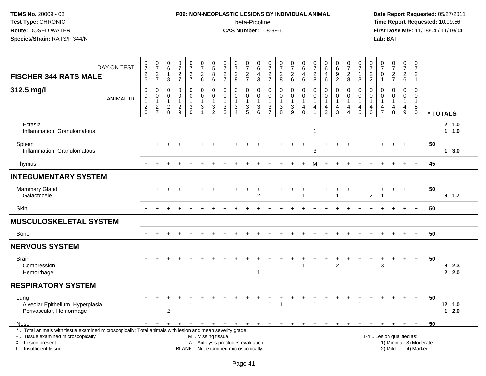## **P09: NON-NEOPLASTIC LESIONS BY INDIVIDUAL ANIMAL**beta-Picoline<br>CAS Number: 108-99-6

| DAY ON TEST<br><b>FISCHER 344 RATS MALE</b>                                                                                                                                                   | 0<br>$\overline{7}$<br>$^2$ 6                                | $\frac{0}{7}$<br>$\frac{2}{7}$                  | $\pmb{0}$<br>$\,6\,$<br>$\overline{1}$<br>8             | $\frac{0}{7}$<br>$\frac{2}{7}$                                | $\frac{0}{7}$<br>$\frac{2}{7}$                       | 0<br>$\overline{7}$<br>$\overline{c}$<br>$6\phantom{1}$          | $\begin{array}{c} 0 \\ 5 \end{array}$<br>$\overline{8}$<br>$6\phantom{a}$               | $\pmb{0}$<br>$\overline{7}$<br>$\frac{2}{7}$                               | $\pmb{0}$<br>$\overline{7}$<br>$\boldsymbol{2}$<br>8                                              | $\frac{0}{7}$<br>$\frac{2}{7}$                                     | 0<br>$\,6$<br>4<br>$\mathfrak{S}$                                  | 0<br>$\overline{7}$<br>$\frac{2}{7}$          | 0<br>$\overline{7}$<br>$\frac{2}{8}$ | $\begin{smallmatrix}0\\7\end{smallmatrix}$<br>$\frac{2}{6}$           | $\begin{array}{c} 0 \\ 6 \end{array}$<br>$\overline{\mathbf{4}}$<br>$\,6\,$ | $\frac{0}{7}$<br>$\overline{c}$<br>8                                         | 0<br>6<br>4<br>6                                        | 0<br>$\,6\,$<br>$\boldsymbol{9}$<br>$\overline{2}$                           | $\frac{0}{7}$<br>$\overline{c}$<br>8                      | $\mathbf 0$<br>$\overline{7}$<br>$\mathbf{1}$<br>$\mathbf{3}$     | $\frac{0}{7}$<br>$\frac{2}{2}$                                                    | $\frac{0}{7}$<br>$\mathbf 0$<br>$\overline{1}$       | $\frac{0}{7}$<br>$\frac{2}{7}$                       | $\frac{0}{7}$<br>$\overline{c}$<br>6           | 0<br>$\overline{7}$<br>$\overline{a}$<br>$\mathbf{1}$             |                        |          |                   |
|-----------------------------------------------------------------------------------------------------------------------------------------------------------------------------------------------|--------------------------------------------------------------|-------------------------------------------------|---------------------------------------------------------|---------------------------------------------------------------|------------------------------------------------------|------------------------------------------------------------------|-----------------------------------------------------------------------------------------|----------------------------------------------------------------------------|---------------------------------------------------------------------------------------------------|--------------------------------------------------------------------|--------------------------------------------------------------------|-----------------------------------------------|--------------------------------------|-----------------------------------------------------------------------|-----------------------------------------------------------------------------|------------------------------------------------------------------------------|---------------------------------------------------------|------------------------------------------------------------------------------|-----------------------------------------------------------|-------------------------------------------------------------------|-----------------------------------------------------------------------------------|------------------------------------------------------|------------------------------------------------------|------------------------------------------------|-------------------------------------------------------------------|------------------------|----------|-------------------|
| 312.5 mg/l<br><b>ANIMAL ID</b>                                                                                                                                                                | $\mathbf 0$<br>$\pmb{0}$<br>$\mathbf{1}$<br>$^2\phantom{1}6$ | 0<br>$\pmb{0}$<br>$\mathbf{1}$<br>$\frac{2}{7}$ | $\mathbf 0$<br>0<br>$\mathbf{1}$<br>$\overline{c}$<br>8 | $\mathbf 0$<br>$\mathbf 0$<br>$\mathbf{1}$<br>$\sqrt{2}$<br>9 | 0<br>$\mathbf 0$<br>1<br>$\mathbf{3}$<br>$\mathbf 0$ | 0<br>$\mathbf 0$<br>$\mathbf{1}$<br>$\sqrt{3}$<br>$\overline{1}$ | $\mathbf 0$<br>$\pmb{0}$<br>$\mathbf{1}$<br>$\ensuremath{\mathsf{3}}$<br>$\overline{2}$ | $\mathbf 0$<br>$\mathbf 0$<br>$\mathbf{1}$<br>$\sqrt{3}$<br>$\overline{3}$ | $\mathbf 0$<br>$\mathbf 0$<br>$\mathbf{1}$<br>$\ensuremath{\mathsf{3}}$<br>$\boldsymbol{\Lambda}$ | 0<br>$\mathbf 0$<br>$\mathbf{1}$<br>$\ensuremath{\mathsf{3}}$<br>5 | 0<br>$\mathbf 0$<br>$\mathbf{1}$<br>$\ensuremath{\mathsf{3}}$<br>6 | 0<br>0<br>$\mathbf{1}$<br>3<br>$\overline{7}$ | 0<br>0<br>$\mathbf{1}$<br>3<br>8     | $\mathbf 0$<br>$\mathsf{O}\xspace$<br>$\mathbf{1}$<br>$\sqrt{3}$<br>9 | 0<br>$\mathbf 0$<br>$\mathbf{1}$<br>4<br>$\mathbf 0$                        | $\mathbf 0$<br>$\pmb{0}$<br>$\mathbf{1}$<br>$\overline{4}$<br>$\overline{1}$ | 0<br>$\mathbf 0$<br>$\mathbf{1}$<br>4<br>$\overline{2}$ | $\mathbf 0$<br>$\mathbf 0$<br>$\mathbf{1}$<br>$\overline{4}$<br>$\mathbf{3}$ | $\mathbf 0$<br>$\mathbf 0$<br>4<br>$\boldsymbol{\Lambda}$ | $\mathbf 0$<br>$\mathbf 0$<br>$\mathbf{1}$<br>$\overline{4}$<br>5 | $\mathbf 0$<br>$\mathbf 0$<br>$\overline{1}$<br>$\overline{4}$<br>$6\phantom{1}6$ | $\Omega$<br>$\mathbf 0$<br>-1<br>4<br>$\overline{7}$ | $\mathbf 0$<br>$\mathbf 0$<br>$\mathbf{1}$<br>4<br>8 | 0<br>$\mathbf 0$<br>$\mathbf{1}$<br>4<br>$9\,$ | $\mathbf 0$<br>$\mathbf 0$<br>$\mathbf{1}$<br>$\overline{5}$<br>0 |                        | * TOTALS |                   |
| Ectasia<br>Inflammation, Granulomatous                                                                                                                                                        |                                                              |                                                 |                                                         |                                                               |                                                      |                                                                  |                                                                                         |                                                                            |                                                                                                   |                                                                    |                                                                    |                                               |                                      |                                                                       |                                                                             | 1                                                                            |                                                         |                                                                              |                                                           |                                                                   |                                                                                   |                                                      |                                                      |                                                |                                                                   |                        |          | 2, 1.0<br>$1 1.0$ |
| Spleen<br>Inflammation, Granulomatous                                                                                                                                                         |                                                              |                                                 |                                                         |                                                               |                                                      |                                                                  |                                                                                         |                                                                            |                                                                                                   |                                                                    |                                                                    |                                               |                                      |                                                                       |                                                                             | 3                                                                            |                                                         |                                                                              |                                                           |                                                                   |                                                                                   |                                                      |                                                      |                                                | $\ddot{}$                                                         | 50                     |          | 13.0              |
| Thymus                                                                                                                                                                                        | $\pm$                                                        |                                                 |                                                         |                                                               |                                                      |                                                                  |                                                                                         |                                                                            |                                                                                                   |                                                                    |                                                                    |                                               |                                      |                                                                       | $\div$                                                                      | м                                                                            |                                                         |                                                                              |                                                           |                                                                   |                                                                                   |                                                      |                                                      |                                                |                                                                   | 45                     |          |                   |
| <b>INTEGUMENTARY SYSTEM</b>                                                                                                                                                                   |                                                              |                                                 |                                                         |                                                               |                                                      |                                                                  |                                                                                         |                                                                            |                                                                                                   |                                                                    |                                                                    |                                               |                                      |                                                                       |                                                                             |                                                                              |                                                         |                                                                              |                                                           |                                                                   |                                                                                   |                                                      |                                                      |                                                |                                                                   |                        |          |                   |
| <b>Mammary Gland</b><br>Galactocele                                                                                                                                                           |                                                              |                                                 |                                                         |                                                               |                                                      |                                                                  |                                                                                         |                                                                            |                                                                                                   | $\ddot{}$                                                          | $\overline{2}$                                                     |                                               |                                      |                                                                       |                                                                             |                                                                              |                                                         |                                                                              |                                                           |                                                                   | $\overline{c}$                                                                    | -1                                                   |                                                      | $\ddot{}$                                      | $\ddot{}$                                                         | 50                     |          | 9, 1.7            |
| Skin                                                                                                                                                                                          | $+$                                                          |                                                 |                                                         |                                                               |                                                      |                                                                  |                                                                                         |                                                                            |                                                                                                   |                                                                    |                                                                    |                                               |                                      |                                                                       | $\div$                                                                      |                                                                              |                                                         |                                                                              | ÷                                                         | $\div$                                                            | $\div$                                                                            | $\div$                                               | $\div$                                               | $+$                                            | $+$                                                               | 50                     |          |                   |
| <b>MUSCULOSKELETAL SYSTEM</b>                                                                                                                                                                 |                                                              |                                                 |                                                         |                                                               |                                                      |                                                                  |                                                                                         |                                                                            |                                                                                                   |                                                                    |                                                                    |                                               |                                      |                                                                       |                                                                             |                                                                              |                                                         |                                                                              |                                                           |                                                                   |                                                                                   |                                                      |                                                      |                                                |                                                                   |                        |          |                   |
| <b>Bone</b>                                                                                                                                                                                   |                                                              |                                                 |                                                         |                                                               |                                                      |                                                                  |                                                                                         |                                                                            |                                                                                                   |                                                                    |                                                                    |                                               |                                      |                                                                       |                                                                             |                                                                              |                                                         |                                                                              |                                                           |                                                                   |                                                                                   |                                                      |                                                      |                                                |                                                                   | 50                     |          |                   |
| <b>NERVOUS SYSTEM</b>                                                                                                                                                                         |                                                              |                                                 |                                                         |                                                               |                                                      |                                                                  |                                                                                         |                                                                            |                                                                                                   |                                                                    |                                                                    |                                               |                                      |                                                                       |                                                                             |                                                                              |                                                         |                                                                              |                                                           |                                                                   |                                                                                   |                                                      |                                                      |                                                |                                                                   |                        |          |                   |
| <b>Brain</b><br>Compression<br>Hemorrhage                                                                                                                                                     |                                                              |                                                 |                                                         |                                                               |                                                      |                                                                  |                                                                                         |                                                                            |                                                                                                   |                                                                    | $\overline{1}$                                                     |                                               |                                      |                                                                       |                                                                             |                                                                              |                                                         | $\overline{2}$                                                               |                                                           |                                                                   | $\ddot{}$                                                                         | ٠<br>3                                               |                                                      | $\ddot{}$                                      | $+$                                                               | 50                     |          | 8 2.3<br>2.0      |
| <b>RESPIRATORY SYSTEM</b>                                                                                                                                                                     |                                                              |                                                 |                                                         |                                                               |                                                      |                                                                  |                                                                                         |                                                                            |                                                                                                   |                                                                    |                                                                    |                                               |                                      |                                                                       |                                                                             |                                                                              |                                                         |                                                                              |                                                           |                                                                   |                                                                                   |                                                      |                                                      |                                                |                                                                   |                        |          |                   |
| Lung<br>Alveolar Epithelium, Hyperplasia<br>Perivascular, Hemorrhage                                                                                                                          |                                                              |                                                 | 2                                                       |                                                               |                                                      |                                                                  |                                                                                         |                                                                            |                                                                                                   |                                                                    |                                                                    |                                               |                                      |                                                                       |                                                                             |                                                                              |                                                         |                                                                              |                                                           |                                                                   |                                                                                   |                                                      |                                                      | $\div$                                         | $+$                                                               | 50                     |          | 12 1.0<br>$12.0$  |
| Nose                                                                                                                                                                                          |                                                              | $+$                                             | $+$                                                     | $+$                                                           | $\ddot{}$                                            | $+$                                                              |                                                                                         | $+$ $+$ $+$                                                                |                                                                                                   | $+$                                                                |                                                                    | $+$ $+$ $+$                                   |                                      | $+$                                                                   | $+$                                                                         | $+$                                                                          | $\ddot{}$                                               |                                                                              |                                                           |                                                                   |                                                                                   |                                                      |                                                      | $+$                                            | $+$                                                               | 50                     |          |                   |
| *  Total animals with tissue examined microscopically; Total animals with lesion and mean severity grade<br>+  Tissue examined microscopically<br>X  Lesion present<br>I. Insufficient tissue |                                                              |                                                 |                                                         |                                                               |                                                      | M  Missing tissue                                                |                                                                                         |                                                                            | A  Autolysis precludes evaluation<br>BLANK  Not examined microscopically                          |                                                                    |                                                                    |                                               |                                      |                                                                       |                                                                             |                                                                              |                                                         |                                                                              |                                                           |                                                                   |                                                                                   |                                                      | 1-4  Lesion qualified as:<br>2) Mild                 |                                                | 4) Marked                                                         | 1) Minimal 3) Moderate |          |                   |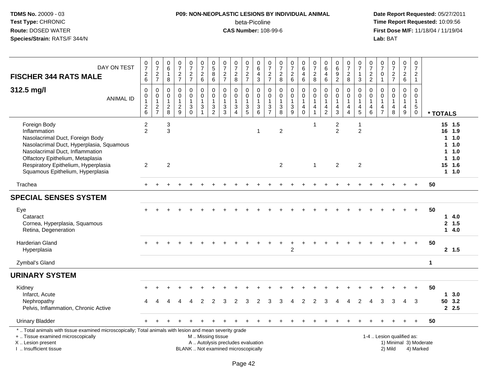## **P09: NON-NEOPLASTIC LESIONS BY INDIVIDUAL ANIMAL**beta-Picoline<br>CAS Number: 108-99-6

| DAY ON TEST<br><b>FISCHER 344 RATS MALE</b>                                                                                                                                                                                                                   | $\frac{0}{7}$<br>$\frac{2}{6}$                     | $\frac{0}{7}$<br>$\frac{2}{7}$                                    | $\begin{array}{c} 0 \\ 6 \end{array}$<br>$\overline{1}$<br>8 | $\frac{0}{7}$<br>$\frac{2}{7}$                            | $\frac{0}{7}$<br>$\frac{2}{7}$                   | $\frac{0}{7}$<br>$\sqrt{2}$<br>6                              | $\begin{smallmatrix}0\0\5\end{smallmatrix}$<br>8<br>6       | $\frac{0}{7}$<br>$\frac{2}{7}$                                                                | $\begin{array}{c} 0 \\ 7 \end{array}$<br>$_{\rm 8}^2$       | $\begin{smallmatrix} 0\\7 \end{smallmatrix}$<br>$\frac{2}{7}$ | $\mathbf 0$<br>$\overline{6}$<br>$\overline{4}$<br>$\overline{3}$ | $\frac{0}{7}$<br>$\frac{2}{7}$                              | $\frac{0}{7}$<br>$\frac{2}{8}$                   | $\frac{0}{7}$<br>$\frac{2}{6}$                                    | $\begin{array}{c} 0 \\ 6 \end{array}$<br>$\overline{\mathbf{4}}$<br>$6\phantom{a}$ | $\frac{0}{7}$<br>$\frac{2}{8}$                                                  | $\begin{array}{c} 0 \\ 6 \end{array}$<br>$\overline{a}$<br>$\,6\,$ | 0<br>$\overline{6}$<br>$\frac{9}{2}$                      | $\frac{0}{7}$<br>$_{\rm 8}^2$                                                  | $\frac{0}{7}$<br>$\mathbf{1}$<br>3                        | $\frac{0}{7}$<br>$\frac{2}{2}$                                                   | $\begin{smallmatrix}0\\7\end{smallmatrix}$<br>0<br>$\overline{1}$ | $\begin{array}{c} 0 \\ 7 \end{array}$<br>$\frac{2}{7}$                           | $\frac{0}{7}$<br>$\frac{2}{6}$                              | $\mathsf 0$<br>$\overline{7}$<br>$\mathbf 2$<br>$\mathbf{1}$                        |                        |          |                                                                     |  |
|---------------------------------------------------------------------------------------------------------------------------------------------------------------------------------------------------------------------------------------------------------------|----------------------------------------------------|-------------------------------------------------------------------|--------------------------------------------------------------|-----------------------------------------------------------|--------------------------------------------------|---------------------------------------------------------------|-------------------------------------------------------------|-----------------------------------------------------------------------------------------------|-------------------------------------------------------------|---------------------------------------------------------------|-------------------------------------------------------------------|-------------------------------------------------------------|--------------------------------------------------|-------------------------------------------------------------------|------------------------------------------------------------------------------------|---------------------------------------------------------------------------------|--------------------------------------------------------------------|-----------------------------------------------------------|--------------------------------------------------------------------------------|-----------------------------------------------------------|----------------------------------------------------------------------------------|-------------------------------------------------------------------|----------------------------------------------------------------------------------|-------------------------------------------------------------|-------------------------------------------------------------------------------------|------------------------|----------|---------------------------------------------------------------------|--|
| 312.5 mg/l<br><b>ANIMAL ID</b>                                                                                                                                                                                                                                | $\mathbf 0$<br>0<br>1<br>$\frac{2}{6}$             | $\pmb{0}$<br>$\mathsf{O}\xspace$<br>$\mathbf{1}$<br>$\frac{2}{7}$ | $\pmb{0}$<br>$\pmb{0}$<br>$\overline{1}$<br>$_{\rm 8}^2$     | $\pmb{0}$<br>$\mathbf 0$<br>$\mathbf{1}$<br>$\frac{2}{9}$ | 0<br>$\mathbf 0$<br>$\mathbf{1}$<br>$_{\rm 0}^3$ | $\mathbf 0$<br>$\mathbf 0$<br>$\overline{1}$<br>$\frac{3}{1}$ | $\mathbf 0$<br>$\mathbf 0$<br>$\mathbf{1}$<br>$\frac{3}{2}$ | $\mathbf 0$<br>$\mathbf 0$<br>$\mathbf{1}$<br>$\frac{3}{3}$                                   | $\mathbf 0$<br>$\mathbf 0$<br>$\mathbf{1}$<br>$\frac{3}{4}$ | $\mathbf 0$<br>$\mathbf 0$<br>$\mathbf{1}$<br>$\frac{3}{5}$   | 0<br>$\mathbf 0$<br>$\mathbf{1}$<br>$\frac{3}{6}$                 | $\mathbf 0$<br>$\mathbf 0$<br>$\mathbf{1}$<br>$\frac{3}{7}$ | $\pmb{0}$<br>$\pmb{0}$<br>$\mathbf{1}$<br>$_8^3$ | $\pmb{0}$<br>$\mathsf{O}\xspace$<br>$\mathbf{1}$<br>$\frac{3}{9}$ | 0<br>$\mathbf 0$<br>$\begin{array}{c} 4 \\ 0 \end{array}$                          | $\pmb{0}$<br>$\pmb{0}$<br>$\mathbf{1}$<br>$\begin{array}{c} 4 \\ 1 \end{array}$ | $\mathbf 0$<br>$\mathbf 0$<br>$\mathbf{1}$<br>$\frac{4}{2}$        | $\mathbf 0$<br>$\mathbf 0$<br>$\mathbf{1}$<br>$rac{4}{3}$ | $\mathbf 0$<br>$\mathbf 0$<br>$\mathbf{1}$<br>$\overline{4}$<br>$\overline{4}$ | $\pmb{0}$<br>$\mathbf 0$<br>$\mathbf{1}$<br>$\frac{4}{5}$ | $\mathbf 0$<br>$\Omega$<br>$\mathbf{1}$<br>$\begin{array}{c} 4 \\ 6 \end{array}$ | $\mathbf 0$<br>$\Omega$<br>$\overline{1}$<br>$\frac{4}{7}$        | $\mathbf 0$<br>$\Omega$<br>$\mathbf{1}$<br>$\begin{array}{c} 4 \\ 8 \end{array}$ | $\mathbf 0$<br>$\mathbf 0$<br>$\mathbf{1}$<br>$\frac{4}{9}$ | $\mathbf 0$<br>$\mathbf 0$<br>$\mathbf{1}$<br>$\begin{array}{c} 5 \\ 0 \end{array}$ |                        | * TOTALS |                                                                     |  |
| Foreign Body<br>Inflammation<br>Nasolacrimal Duct, Foreign Body<br>Nasolacrimal Duct, Hyperplasia, Squamous<br>Nasolacrimal Duct, Inflammation<br>Olfactory Epithelium, Metaplasia<br>Respiratory Epithelium, Hyperplasia<br>Squamous Epithelium, Hyperplasia | $\overline{c}$<br>$\overline{2}$<br>$\overline{2}$ |                                                                   | 3<br>3<br>$\overline{2}$                                     |                                                           |                                                  |                                                               |                                                             |                                                                                               |                                                             |                                                               | $\overline{1}$                                                    |                                                             | $\boldsymbol{2}$<br>$\overline{2}$               |                                                                   |                                                                                    | $\overline{1}$<br>$\overline{1}$                                                |                                                                    | $\overline{c}$<br>$\overline{2}$<br>$\overline{2}$        |                                                                                | 1<br>$\overline{2}$<br>$\overline{2}$                     |                                                                                  |                                                                   |                                                                                  |                                                             |                                                                                     |                        |          | 15 1.5<br>16 1.9<br>11.0<br>1.0<br>1.0<br>$1 1.0$<br>15 1.6<br>11.0 |  |
| Trachea                                                                                                                                                                                                                                                       |                                                    |                                                                   |                                                              |                                                           |                                                  |                                                               |                                                             |                                                                                               |                                                             |                                                               |                                                                   |                                                             |                                                  |                                                                   |                                                                                    |                                                                                 |                                                                    |                                                           |                                                                                |                                                           |                                                                                  |                                                                   |                                                                                  |                                                             | $\ddot{}$                                                                           | 50                     |          |                                                                     |  |
| <b>SPECIAL SENSES SYSTEM</b>                                                                                                                                                                                                                                  |                                                    |                                                                   |                                                              |                                                           |                                                  |                                                               |                                                             |                                                                                               |                                                             |                                                               |                                                                   |                                                             |                                                  |                                                                   |                                                                                    |                                                                                 |                                                                    |                                                           |                                                                                |                                                           |                                                                                  |                                                                   |                                                                                  |                                                             |                                                                                     |                        |          |                                                                     |  |
| Eye<br>Cataract<br>Cornea, Hyperplasia, Squamous<br>Retina, Degeneration                                                                                                                                                                                      |                                                    |                                                                   |                                                              |                                                           |                                                  |                                                               |                                                             |                                                                                               |                                                             |                                                               |                                                                   |                                                             |                                                  |                                                                   |                                                                                    |                                                                                 |                                                                    |                                                           |                                                                                |                                                           |                                                                                  |                                                                   |                                                                                  |                                                             |                                                                                     | 50                     |          | 14.0<br>2, 1.5<br>14.0                                              |  |
| <b>Harderian Gland</b><br>Hyperplasia                                                                                                                                                                                                                         |                                                    |                                                                   |                                                              |                                                           |                                                  |                                                               |                                                             |                                                                                               |                                                             |                                                               |                                                                   |                                                             |                                                  | $\ddot{}$<br>$\overline{2}$                                       |                                                                                    |                                                                                 |                                                                    |                                                           |                                                                                |                                                           |                                                                                  |                                                                   |                                                                                  |                                                             | $+$                                                                                 | 50                     |          | 2, 1.5                                                              |  |
| Zymbal's Gland                                                                                                                                                                                                                                                |                                                    |                                                                   |                                                              |                                                           |                                                  |                                                               |                                                             |                                                                                               |                                                             |                                                               |                                                                   |                                                             |                                                  |                                                                   |                                                                                    |                                                                                 |                                                                    |                                                           |                                                                                |                                                           |                                                                                  |                                                                   |                                                                                  |                                                             |                                                                                     | $\mathbf{1}$           |          |                                                                     |  |
| <b>URINARY SYSTEM</b>                                                                                                                                                                                                                                         |                                                    |                                                                   |                                                              |                                                           |                                                  |                                                               |                                                             |                                                                                               |                                                             |                                                               |                                                                   |                                                             |                                                  |                                                                   |                                                                                    |                                                                                 |                                                                    |                                                           |                                                                                |                                                           |                                                                                  |                                                                   |                                                                                  |                                                             |                                                                                     |                        |          |                                                                     |  |
| Kidney<br>Infarct, Acute<br>Nephropathy<br>Pelvis, Inflammation, Chronic Active                                                                                                                                                                               |                                                    |                                                                   |                                                              |                                                           |                                                  |                                                               |                                                             |                                                                                               | 2                                                           | 3                                                             | 2                                                                 | 3                                                           |                                                  | Δ                                                                 | 2                                                                                  |                                                                                 | з                                                                  |                                                           |                                                                                | 2                                                         | Δ                                                                                | 3                                                                 | 3                                                                                | 4                                                           | -3                                                                                  | 50                     |          | 13.0<br>50 3.2<br>2.5                                               |  |
| <b>Urinary Bladder</b>                                                                                                                                                                                                                                        |                                                    |                                                                   |                                                              |                                                           |                                                  |                                                               |                                                             |                                                                                               |                                                             |                                                               |                                                                   |                                                             |                                                  |                                                                   |                                                                                    |                                                                                 |                                                                    |                                                           |                                                                                |                                                           |                                                                                  |                                                                   |                                                                                  |                                                             |                                                                                     | 50                     |          |                                                                     |  |
| *  Total animals with tissue examined microscopically; Total animals with lesion and mean severity grade<br>+  Tissue examined microscopically<br>X Lesion present<br>I. Insufficient tissue                                                                  |                                                    |                                                                   |                                                              |                                                           |                                                  |                                                               |                                                             | M  Missing tissue<br>A  Autolysis precludes evaluation<br>BLANK  Not examined microscopically |                                                             |                                                               |                                                                   |                                                             |                                                  |                                                                   |                                                                                    |                                                                                 |                                                                    |                                                           |                                                                                |                                                           |                                                                                  |                                                                   | 1-4  Lesion qualified as:<br>2) Mild                                             |                                                             | 4) Marked                                                                           | 1) Minimal 3) Moderate |          |                                                                     |  |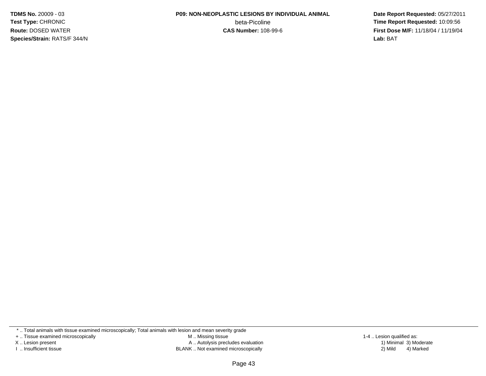# **P09: NON-NEOPLASTIC LESIONS BY INDIVIDUAL ANIMAL**

beta-Picoline

 **Date Report Requested:** 05/27/2011 **beta-Picoline**<br> **CAS Number:** 108-99-6<br> **CAS Number:** 108-99-6<br> **CAS Number:** 108-99-6 **First Dose M/F:** 11/18/04 / 11/19/04 Lab: BAT **Lab:** BAT

\* .. Total animals with tissue examined microscopically; Total animals with lesion and mean severity grade

+ .. Tissue examined microscopically

X .. Lesion present

I .. Insufficient tissue

 M .. Missing tissueA .. Autolysis precludes evaluation

BLANK .. Not examined microscopically 2) Mild 4) Marked

1-4 .. Lesion qualified as: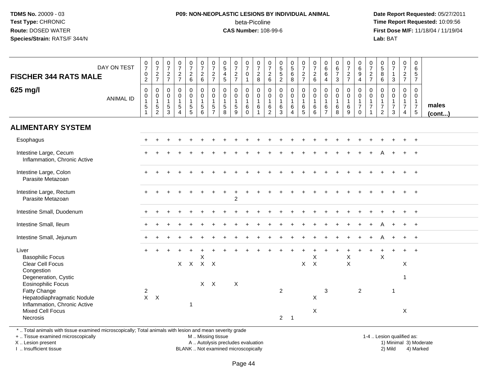### **P09: NON-NEOPLASTIC LESIONS BY INDIVIDUAL ANIMAL** beta-Picoline**beta-Picoline**<br> **CAS Number:** 108-99-6<br> **CAS Number:** 108-99-6<br> **CAS Number:** 108-99-6

 **Date Report Requested:** 05/27/2011 **First Dose M/F:** 11/18/04 / 11/19/04 Lab: BAT **Lab:** BAT

| <b>FISCHER 344 RATS MALE</b><br>625 mg/l                | DAY ON TEST      | $\begin{smallmatrix}0\\7\end{smallmatrix}$<br>$\begin{smallmatrix} 0\\2 \end{smallmatrix}$<br>$\mathbf 0$ | $\begin{array}{c} 0 \\ 7 \end{array}$<br>$\frac{2}{7}$<br>$\mathbf 0$ | $\begin{array}{c} 0 \\ 7 \end{array}$<br>$\frac{2}{7}$<br>$\mathbf 0$ | $\begin{smallmatrix}0\\7\end{smallmatrix}$<br>$rac{2}{7}$<br>$\mathbf 0$ | $\begin{smallmatrix}0\\7\end{smallmatrix}$<br>$\frac{2}{6}$<br>$\mathsf{O}$ | $\begin{smallmatrix}0\\7\end{smallmatrix}$<br>$\frac{2}{6}$<br>0 | $\frac{0}{7}$<br>$\frac{2}{7}$<br>$\pmb{0}$                  | $\begin{array}{c} 0 \\ 5 \end{array}$<br>$\begin{array}{c} 4 \\ 5 \end{array}$<br>$\mathbf 0$ | $\begin{array}{c} 0 \\ 7 \end{array}$<br>$\frac{2}{7}$<br>$\mathbf 0$ | $\frac{0}{7}$<br>$\mathsf{O}\xspace$<br>$\mathbf{1}$<br>$\mathbf 0$ | $\begin{array}{c} 0 \\ 7 \end{array}$<br>$_{8}^2$<br>0 | $\frac{0}{7}$<br>$\frac{2}{6}$<br>$\mathbf 0$          | $\begin{array}{c} 0 \\ 5 \\ 2 \end{array}$<br>$\mathbf 0$ | $\begin{array}{c} 0 \\ 5 \end{array}$<br>$\,6\,$<br>$\overline{8}$<br>$\mathbf 0$ | $\begin{smallmatrix}0\\7\end{smallmatrix}$<br>$rac{2}{7}$<br>0 | $\frac{0}{7}$<br>$\begin{array}{c} 2 \\ 6 \end{array}$<br>$\mathbf 0$ | $\begin{array}{c} 0 \\ 6 \end{array}$<br>$\,6\,$<br>$\overline{4}$<br>$\mathbf 0$ | $\pmb{0}$<br>$\,6\,$<br>$\overline{7}$<br>$\mathfrak{Z}$<br>$\mathbf 0$ | $\begin{array}{c} 0 \\ 7 \end{array}$<br>$\frac{2}{7}$<br>$\mathbf 0$ | $\begin{array}{c} 0 \\ 6 \end{array}$<br>$\boldsymbol{9}$<br>$\overline{4}$<br>$\mathbf 0$ | $\frac{0}{7}$<br>$\frac{2}{7}$<br>$\mathbf 0$                          | 0<br>$\overline{5}$<br>$\boldsymbol{8}$<br>6<br>$\mathbf 0$ | $\begin{smallmatrix}0\\7\end{smallmatrix}$<br>$\mathbf{1}$<br>$\mathbf{3}$<br>$\mathbf 0$ | $\frac{0}{7}$<br>$\frac{2}{7}$<br>$\pmb{0}$                     | $\mathbf 0$<br>$\,6\,$<br>$\frac{5}{7}$<br>$\mathbf 0$        |                 |
|---------------------------------------------------------|------------------|-----------------------------------------------------------------------------------------------------------|-----------------------------------------------------------------------|-----------------------------------------------------------------------|--------------------------------------------------------------------------|-----------------------------------------------------------------------------|------------------------------------------------------------------|--------------------------------------------------------------|-----------------------------------------------------------------------------------------------|-----------------------------------------------------------------------|---------------------------------------------------------------------|--------------------------------------------------------|--------------------------------------------------------|-----------------------------------------------------------|-----------------------------------------------------------------------------------|----------------------------------------------------------------|-----------------------------------------------------------------------|-----------------------------------------------------------------------------------|-------------------------------------------------------------------------|-----------------------------------------------------------------------|--------------------------------------------------------------------------------------------|------------------------------------------------------------------------|-------------------------------------------------------------|-------------------------------------------------------------------------------------------|-----------------------------------------------------------------|---------------------------------------------------------------|-----------------|
|                                                         | <b>ANIMAL ID</b> | $\boldsymbol{0}$<br>$\mathbf{1}$<br>$\sqrt{5}$<br>$\overline{1}$                                          | $\mathbf 0$<br>$\mathbf{1}$<br>$\sqrt{5}$<br>$\overline{2}$           | $\mathbf 0$<br>$\mathbf{1}$<br>$\sqrt{5}$<br>3                        | $\mathbf 0$<br>$\mathbf{1}$<br>$\sqrt{5}$<br>$\overline{4}$              | $\mathsf{O}\xspace$<br>$\mathbf{1}$<br>$\frac{5}{5}$                        | $\overline{0}$<br>$\mathbf{1}$<br>$5\,$<br>6                     | $\pmb{0}$<br>$\overline{1}$<br>$\,$ 5 $\,$<br>$\overline{7}$ | $\mathbf 0$<br>$\mathbf{1}$<br>$\sqrt{5}$<br>8                                                | $\mathbf 0$<br>$\overline{1}$<br>$\overline{5}$<br>9                  | $\mathsf{O}\xspace$<br>$\mathbf{1}$<br>6<br>$\Omega$                | $\mathbf 0$<br>$\mathbf{1}$<br>6<br>-1                 | $\pmb{0}$<br>$\mathbf{1}$<br>$\,6\,$<br>$\overline{2}$ | $\mathsf 0$<br>$\mathbf{1}$<br>$\,6\,$<br>$\mathbf{3}$    | $\mathbf 0$<br>$\mathbf{1}$<br>$\,6\,$<br>$\overline{4}$                          | $\mathsf{O}\xspace$<br>$\mathbf{1}$<br>$\,6\,$<br>5            | $\mathbf 0$<br>$\mathbf{1}$<br>$\,6\,$<br>6                           | $\mathsf 0$<br>$\mathbf{1}$<br>$6\phantom{1}$<br>$\overline{7}$                   | 0<br>$\mathbf{1}$<br>$\,6\,$<br>8                                       | $\pmb{0}$<br>$\mathbf{1}$<br>$\,6\,$<br>9                             | $\mathbf 0$<br>$\mathbf{1}$<br>$\overline{7}$<br>$\Omega$                                  | $\boldsymbol{0}$<br>$\overline{1}$<br>$\overline{7}$<br>$\overline{1}$ | 0<br>$\mathbf{1}$<br>$\overline{7}$<br>$\overline{2}$       | $\mathbf 0$<br>$\overline{1}$<br>$\overline{7}$<br>3                                      | $\mathbf 0$<br>$\mathbf{1}$<br>$\overline{7}$<br>$\overline{4}$ | $\mathbf 0$<br>$\overline{1}$<br>$\overline{7}$<br>$\sqrt{5}$ | males<br>(cont) |
| <b>ALIMENTARY SYSTEM</b>                                |                  |                                                                                                           |                                                                       |                                                                       |                                                                          |                                                                             |                                                                  |                                                              |                                                                                               |                                                                       |                                                                     |                                                        |                                                        |                                                           |                                                                                   |                                                                |                                                                       |                                                                                   |                                                                         |                                                                       |                                                                                            |                                                                        |                                                             |                                                                                           |                                                                 |                                                               |                 |
| Esophagus                                               |                  |                                                                                                           |                                                                       |                                                                       |                                                                          |                                                                             |                                                                  |                                                              |                                                                                               |                                                                       |                                                                     |                                                        |                                                        |                                                           |                                                                                   |                                                                |                                                                       |                                                                                   |                                                                         |                                                                       |                                                                                            |                                                                        |                                                             |                                                                                           |                                                                 |                                                               |                 |
| Intestine Large, Cecum<br>Inflammation, Chronic Active  |                  |                                                                                                           |                                                                       |                                                                       |                                                                          |                                                                             |                                                                  |                                                              |                                                                                               |                                                                       |                                                                     |                                                        |                                                        |                                                           |                                                                                   |                                                                |                                                                       |                                                                                   |                                                                         |                                                                       |                                                                                            |                                                                        |                                                             |                                                                                           |                                                                 | $+$                                                           |                 |
| Intestine Large, Colon<br>Parasite Metazoan             |                  |                                                                                                           |                                                                       |                                                                       |                                                                          |                                                                             |                                                                  |                                                              |                                                                                               |                                                                       |                                                                     |                                                        |                                                        |                                                           |                                                                                   |                                                                |                                                                       |                                                                                   |                                                                         |                                                                       |                                                                                            |                                                                        |                                                             |                                                                                           |                                                                 |                                                               |                 |
| Intestine Large, Rectum<br>Parasite Metazoan            |                  |                                                                                                           |                                                                       |                                                                       |                                                                          |                                                                             |                                                                  |                                                              |                                                                                               | $\overline{2}$                                                        |                                                                     |                                                        |                                                        |                                                           |                                                                                   |                                                                |                                                                       |                                                                                   |                                                                         |                                                                       |                                                                                            |                                                                        |                                                             |                                                                                           |                                                                 |                                                               |                 |
| Intestine Small, Duodenum                               |                  |                                                                                                           |                                                                       |                                                                       |                                                                          |                                                                             |                                                                  |                                                              |                                                                                               |                                                                       |                                                                     |                                                        |                                                        |                                                           |                                                                                   |                                                                |                                                                       |                                                                                   |                                                                         |                                                                       |                                                                                            |                                                                        |                                                             |                                                                                           |                                                                 | $+$                                                           |                 |
| Intestine Small, Ileum                                  |                  |                                                                                                           |                                                                       |                                                                       |                                                                          |                                                                             |                                                                  |                                                              |                                                                                               |                                                                       |                                                                     |                                                        |                                                        |                                                           |                                                                                   |                                                                |                                                                       |                                                                                   |                                                                         |                                                                       |                                                                                            |                                                                        |                                                             |                                                                                           | $\ddot{}$                                                       | $+$                                                           |                 |
| Intestine Small, Jejunum                                |                  |                                                                                                           |                                                                       |                                                                       |                                                                          |                                                                             |                                                                  |                                                              |                                                                                               |                                                                       |                                                                     |                                                        |                                                        |                                                           |                                                                                   |                                                                |                                                                       |                                                                                   |                                                                         |                                                                       |                                                                                            |                                                                        |                                                             |                                                                                           |                                                                 | $+$                                                           |                 |
| Liver<br><b>Basophilic Focus</b>                        |                  |                                                                                                           |                                                                       |                                                                       |                                                                          | $\ddot{}$                                                                   | $\ddot{}$<br>X                                                   |                                                              |                                                                                               |                                                                       |                                                                     |                                                        |                                                        |                                                           |                                                                                   |                                                                | X                                                                     |                                                                                   |                                                                         | $\mathsf X$                                                           |                                                                                            | $\pm$                                                                  | $\ddot{}$<br>$\sf X$                                        | $\ddot{}$                                                                                 | $+$                                                             | $+$                                                           |                 |
| Clear Cell Focus<br>Congestion                          |                  |                                                                                                           |                                                                       |                                                                       |                                                                          |                                                                             | X X X X                                                          |                                                              |                                                                                               |                                                                       |                                                                     |                                                        |                                                        |                                                           |                                                                                   | X                                                              | $\mathsf{X}$                                                          |                                                                                   |                                                                         | $\mathsf{X}$                                                          |                                                                                            |                                                                        |                                                             |                                                                                           | X                                                               |                                                               |                 |
| Degeneration, Cystic<br><b>Eosinophilic Focus</b>       |                  |                                                                                                           |                                                                       |                                                                       |                                                                          |                                                                             | $X$ $X$                                                          |                                                              |                                                                                               | $\sf X$                                                               |                                                                     |                                                        |                                                        |                                                           |                                                                                   |                                                                |                                                                       |                                                                                   |                                                                         |                                                                       |                                                                                            |                                                                        |                                                             |                                                                                           | $\overline{1}$                                                  |                                                               |                 |
| Fatty Change<br>Hepatodiaphragmatic Nodule              |                  | $\sqrt{2}$                                                                                                | $X$ $X$                                                               |                                                                       |                                                                          |                                                                             |                                                                  |                                                              |                                                                                               |                                                                       |                                                                     |                                                        |                                                        | $\overline{2}$                                            |                                                                                   |                                                                | $\mathsf X$                                                           | $\sqrt{3}$                                                                        |                                                                         |                                                                       | $\overline{c}$                                                                             |                                                                        |                                                             | $\mathbf 1$                                                                               |                                                                 |                                                               |                 |
| Inflammation, Chronic Active<br><b>Mixed Cell Focus</b> |                  |                                                                                                           |                                                                       |                                                                       |                                                                          | $\mathbf 1$                                                                 |                                                                  |                                                              |                                                                                               |                                                                       |                                                                     |                                                        |                                                        |                                                           |                                                                                   |                                                                | $\boldsymbol{X}$                                                      |                                                                                   |                                                                         |                                                                       |                                                                                            |                                                                        |                                                             |                                                                                           | X                                                               |                                                               |                 |
| <b>Necrosis</b>                                         |                  |                                                                                                           |                                                                       |                                                                       |                                                                          |                                                                             |                                                                  |                                                              |                                                                                               |                                                                       |                                                                     |                                                        |                                                        | $\overline{2}$                                            | $\overline{1}$                                                                    |                                                                |                                                                       |                                                                                   |                                                                         |                                                                       |                                                                                            |                                                                        |                                                             |                                                                                           |                                                                 |                                                               |                 |

\* .. Total animals with tissue examined microscopically; Total animals with lesion and mean severity grade

+ .. Tissue examined microscopically

X .. Lesion present

I .. Insufficient tissue

M .. Missing tissue

A .. Autolysis precludes evaluation

BLANK .. Not examined microscopically 2) Mild 4) Marked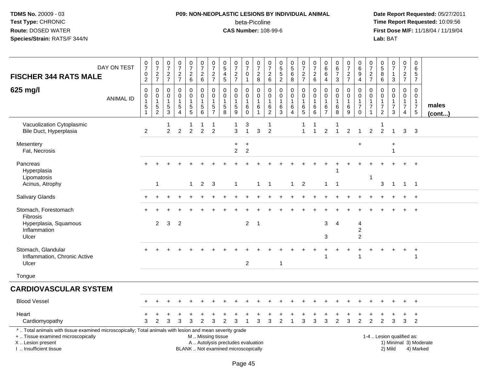I .. Insufficient tissue

## **P09: NON-NEOPLASTIC LESIONS BY INDIVIDUAL ANIMAL**beta-Picoline<br>CAS Number: 108-99-6

| <b>FISCHER 344 RATS MALE</b>                                                                                                                                                                  | DAY ON TEST      | $\frac{0}{7}$<br>$\pmb{0}$<br>$\overline{2}$      | $\frac{0}{7}$<br>$\frac{2}{7}$                    | $\frac{0}{7}$<br>$\frac{2}{7}$                     | $\begin{smallmatrix}0\\7\end{smallmatrix}$<br>$\frac{2}{7}$        | $\begin{array}{c} 0 \\ 7 \end{array}$<br>$\overline{c}$<br>$\,6\,$          | $\frac{0}{7}$<br>$\overline{c}$<br>$\,6\,$                                  | 0<br>$\overline{7}$<br>$\overline{c}$<br>$\overline{7}$ | $\pmb{0}$<br>$\overline{5}$<br>$\overline{4}$<br>5                        | $\frac{0}{7}$<br>$\overline{c}$<br>$\overline{7}$                        | $\frac{0}{7}$<br>0<br>$\mathbf{1}$           | $\frac{0}{7}$<br>$_{\rm 8}^2$                                     | 0<br>$\overline{7}$<br>$^2\phantom{1}6$                   | $\begin{array}{c} 0 \\ 5 \end{array}$<br>$\overline{5}$<br>$\overline{2}$ | $\begin{smallmatrix} 0\\5 \end{smallmatrix}$<br>$\,6\,$<br>8 | $\begin{smallmatrix} 0\\7 \end{smallmatrix}$<br>$\frac{2}{7}$ | $\begin{array}{c} 0 \\ 7 \end{array}$<br>$\overline{c}$<br>6 | 0<br>$\,6\,$<br>6<br>$\overline{4}$                     | $\begin{array}{c} 0 \\ 6 \end{array}$<br>$\overline{7}$<br>$\mathbf{3}$ | $\frac{0}{7}$<br>$\frac{2}{7}$                                | 0<br>$\,6\,$<br>9<br>$\overline{4}$                                   | 0<br>$\overline{7}$<br>$\overline{c}$<br>$\overline{7}$ | 0<br>$\,$ 5 $\,$<br>8<br>6                                                     | $\frac{0}{7}$<br>$\mathbf 1$<br>3                                | $\begin{array}{c} 0 \\ 7 \end{array}$<br>$rac{2}{7}$                           | $\pmb{0}$<br>$\,6\,$<br>5<br>$\overline{7}$                      |                        |
|-----------------------------------------------------------------------------------------------------------------------------------------------------------------------------------------------|------------------|---------------------------------------------------|---------------------------------------------------|----------------------------------------------------|--------------------------------------------------------------------|-----------------------------------------------------------------------------|-----------------------------------------------------------------------------|---------------------------------------------------------|---------------------------------------------------------------------------|--------------------------------------------------------------------------|----------------------------------------------|-------------------------------------------------------------------|-----------------------------------------------------------|---------------------------------------------------------------------------|--------------------------------------------------------------|---------------------------------------------------------------|--------------------------------------------------------------|---------------------------------------------------------|-------------------------------------------------------------------------|---------------------------------------------------------------|-----------------------------------------------------------------------|---------------------------------------------------------|--------------------------------------------------------------------------------|------------------------------------------------------------------|--------------------------------------------------------------------------------|------------------------------------------------------------------|------------------------|
| 625 mg/l                                                                                                                                                                                      | <b>ANIMAL ID</b> | $\mathbf 0$<br>0<br>$\mathbf{1}$<br>$\frac{5}{1}$ | $\mathbf 0$<br>0<br>$\mathbf{1}$<br>$\frac{5}{2}$ | $\Omega$<br>0<br>1<br>$\sqrt{5}$<br>$\overline{3}$ | $\mathbf 0$<br>0<br>$\overline{1}$<br>$\sqrt{5}$<br>$\overline{4}$ | 0<br>$\mathsf 0$<br>$\overline{1}$<br>$\begin{array}{c} 5 \\ 5 \end{array}$ | $\mathbf 0$<br>0<br>$\overline{1}$<br>$\begin{array}{c} 5 \\ 6 \end{array}$ | 0<br>$\mathbf 0$<br>5<br>$\overline{7}$                 | 0<br>$\mathbf 0$<br>$\mathbf{1}$<br>$\begin{array}{c} 5 \\ 8 \end{array}$ | 0<br>0<br>$\mathbf{1}$<br>$\overline{5}$<br>$\overline{9}$               | 0<br>0<br>$\mathbf{1}$<br>$\,6$<br>$\bar{0}$ | $\mathbf 0$<br>$\mathsf 0$<br>$\overline{1}$<br>6<br>$\mathbf{1}$ | $\mathbf 0$<br>0<br>$\overline{1}$<br>6<br>$\overline{2}$ | $\mathbf 0$<br>0<br>$\mathbf{1}$<br>$\,6\,$<br>$\overline{3}$             | 0<br>$\mathbf 0$<br>1<br>$\,6$<br>$\overline{4}$             | $\mathbf 0$<br>$\pmb{0}$<br>$\mathbf{1}$<br>$6\over 5$        | $\mathbf 0$<br>0<br>$\mathbf{1}$<br>$^6_6$                   | $\mathbf 0$<br>0<br>$\mathbf{1}$<br>6<br>$\overline{7}$ | $\mathbf 0$<br>0<br>$\mathbf{1}$<br>$^6_8$                              | $\mathbf 0$<br>$\mathbf 0$<br>-1<br>$\,6\,$<br>$\overline{9}$ | 0<br>$\mathbf 0$<br>$\overline{1}$<br>$\boldsymbol{7}$<br>$\mathbf 0$ | 0<br>0<br>$\mathbf{1}$<br>7<br>$\blacktriangleleft$     | $\mathbf 0$<br>$\mathbf 0$<br>$\mathbf{1}$<br>$\overline{7}$<br>$\overline{2}$ | $\mathbf 0$<br>$\mathbf 0$<br>$\mathbf 1$<br>$\overline{7}$<br>3 | $\mathbf 0$<br>$\mathbf 0$<br>$\mathbf{1}$<br>$\overline{7}$<br>$\overline{4}$ | $\mathbf 0$<br>0<br>$\mathbf{1}$<br>$\overline{7}$<br>$\sqrt{5}$ | males<br>(cont)        |
| Vacuolization Cytoplasmic<br>Bile Duct, Hyperplasia                                                                                                                                           |                  | $\overline{c}$                                    |                                                   | $\overline{2}$                                     | $\overline{2}$                                                     | $\overline{2}$                                                              | $\overline{c}$                                                              | -1<br>$\overline{2}$                                    |                                                                           | 3                                                                        | 3<br>$\overline{1}$                          | 3                                                                 | -1<br>2                                                   |                                                                           |                                                              | $\mathbf{1}$                                                  | $\mathbf{1}$                                                 | $\overline{2}$                                          |                                                                         | $\overline{2}$                                                | $\overline{\mathbf{1}}$                                               | $\overline{2}$                                          | 2                                                                              | $\overline{1}$                                                   | 3                                                                              | $\overline{3}$                                                   |                        |
| Mesentery<br>Fat, Necrosis                                                                                                                                                                    |                  |                                                   |                                                   |                                                    |                                                                    |                                                                             |                                                                             |                                                         |                                                                           | $\ddot{}$<br>$\overline{2}$                                              | $\ddot{}$<br>$\overline{c}$                  |                                                                   |                                                           |                                                                           |                                                              |                                                               |                                                              |                                                         |                                                                         |                                                               | $\ddot{}$                                                             |                                                         |                                                                                | $\ddot{}$<br>1                                                   |                                                                                |                                                                  |                        |
| Pancreas<br>Hyperplasia<br>Lipomatosis                                                                                                                                                        |                  |                                                   |                                                   |                                                    |                                                                    |                                                                             |                                                                             |                                                         |                                                                           |                                                                          |                                              |                                                                   |                                                           |                                                                           |                                                              |                                                               |                                                              |                                                         |                                                                         |                                                               |                                                                       | 1                                                       |                                                                                |                                                                  |                                                                                | $\overline{+}$                                                   |                        |
| Acinus, Atrophy                                                                                                                                                                               |                  |                                                   | $\mathbf 1$                                       |                                                    |                                                                    | $\mathbf{1}$                                                                | $\overline{2}$                                                              | -3                                                      |                                                                           | $\mathbf{1}$                                                             |                                              | $\mathbf{1}$                                                      | $\overline{1}$                                            |                                                                           |                                                              | $1 \quad 2$                                                   |                                                              | $\mathbf{1}$                                            | $\overline{\phantom{0}}$ 1                                              |                                                               |                                                                       |                                                         | 3                                                                              | $\overline{1}$                                                   | $1 \quad 1$                                                                    |                                                                  |                        |
| Salivary Glands                                                                                                                                                                               |                  |                                                   |                                                   |                                                    |                                                                    |                                                                             |                                                                             |                                                         |                                                                           |                                                                          |                                              |                                                                   |                                                           |                                                                           |                                                              |                                                               |                                                              |                                                         |                                                                         |                                                               |                                                                       |                                                         |                                                                                |                                                                  | $+$                                                                            | $+$                                                              |                        |
| Stomach, Forestomach<br>Fibrosis                                                                                                                                                              |                  |                                                   |                                                   |                                                    |                                                                    |                                                                             |                                                                             |                                                         |                                                                           |                                                                          |                                              |                                                                   |                                                           |                                                                           |                                                              |                                                               |                                                              |                                                         |                                                                         |                                                               |                                                                       |                                                         |                                                                                |                                                                  |                                                                                | $\overline{+}$                                                   |                        |
| Hyperplasia, Squamous<br>Inflammation<br>Ulcer                                                                                                                                                |                  |                                                   | $\overline{2}$                                    | 3                                                  | 2                                                                  |                                                                             |                                                                             |                                                         |                                                                           |                                                                          | 2                                            | $\overline{\phantom{0}}$                                          |                                                           |                                                                           |                                                              |                                                               |                                                              | 3<br>3                                                  | $\overline{4}$                                                          |                                                               | $\overline{4}$<br>$\overline{c}$<br>$\overline{c}$                    |                                                         |                                                                                |                                                                  |                                                                                |                                                                  |                        |
| Stomach, Glandular<br>Inflammation, Chronic Active<br>Ulcer                                                                                                                                   |                  |                                                   |                                                   |                                                    |                                                                    |                                                                             |                                                                             |                                                         |                                                                           |                                                                          | 2                                            |                                                                   |                                                           |                                                                           |                                                              |                                                               |                                                              |                                                         |                                                                         |                                                               | 1                                                                     |                                                         |                                                                                |                                                                  | $\pm$                                                                          | $\overline{1}$<br>$\overline{1}$                                 |                        |
| Tongue                                                                                                                                                                                        |                  |                                                   |                                                   |                                                    |                                                                    |                                                                             |                                                                             |                                                         |                                                                           |                                                                          |                                              |                                                                   |                                                           | $\mathbf{1}$                                                              |                                                              |                                                               |                                                              |                                                         |                                                                         |                                                               |                                                                       |                                                         |                                                                                |                                                                  |                                                                                |                                                                  |                        |
| <b>CARDIOVASCULAR SYSTEM</b>                                                                                                                                                                  |                  |                                                   |                                                   |                                                    |                                                                    |                                                                             |                                                                             |                                                         |                                                                           |                                                                          |                                              |                                                                   |                                                           |                                                                           |                                                              |                                                               |                                                              |                                                         |                                                                         |                                                               |                                                                       |                                                         |                                                                                |                                                                  |                                                                                |                                                                  |                        |
| <b>Blood Vessel</b>                                                                                                                                                                           |                  |                                                   |                                                   |                                                    |                                                                    |                                                                             |                                                                             |                                                         |                                                                           |                                                                          |                                              |                                                                   |                                                           |                                                                           |                                                              |                                                               |                                                              |                                                         |                                                                         |                                                               |                                                                       |                                                         |                                                                                |                                                                  |                                                                                | $\ddot{}$                                                        |                        |
| Heart                                                                                                                                                                                         |                  |                                                   |                                                   |                                                    |                                                                    |                                                                             |                                                                             |                                                         |                                                                           |                                                                          |                                              |                                                                   |                                                           |                                                                           |                                                              |                                                               |                                                              |                                                         |                                                                         |                                                               |                                                                       |                                                         |                                                                                |                                                                  |                                                                                | $\ddot{}$                                                        |                        |
| Cardiomyopathy                                                                                                                                                                                |                  | 3                                                 | $\mathcal{P}$                                     | 3                                                  | 3                                                                  | 3                                                                           |                                                                             | 3                                                       | 2                                                                         | 3                                                                        |                                              | 3                                                                 | 3                                                         | $\overline{2}$                                                            | $\mathbf{1}$                                                 | 3                                                             | 3                                                            | 3                                                       | 2                                                                       | 3                                                             | 2                                                                     | 2                                                       | 2                                                                              | 3                                                                | 3                                                                              | 2                                                                |                        |
| *  Total animals with tissue examined microscopically; Total animals with lesion and mean severity grade<br>+  Tissue examined microscopically<br>X  Lesion present<br>I  Insufficient tissue |                  |                                                   |                                                   |                                                    |                                                                    |                                                                             | M  Missing tissue                                                           |                                                         |                                                                           | A  Autolysis precludes evaluation<br>BLANK  Not examined microscopically |                                              |                                                                   |                                                           |                                                                           |                                                              |                                                               |                                                              |                                                         |                                                                         |                                                               |                                                                       |                                                         | 1-4  Lesion qualified as:                                                      | 2) Mild                                                          |                                                                                | 4) Marked                                                        | 1) Minimal 3) Moderate |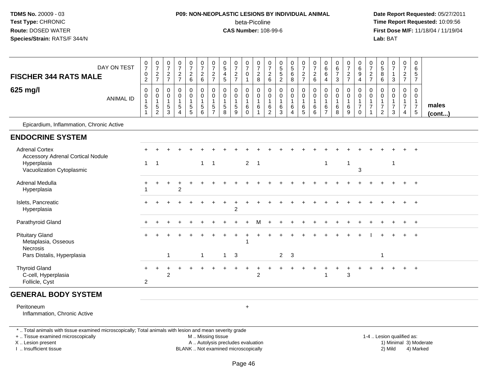#### **P09: NON-NEOPLASTIC LESIONS BY INDIVIDUAL ANIMAL** beta-Picoline**beta-Picoline**<br> **CAS Number:** 108-99-6<br> **CAS Number:** 108-99-6<br> **CAS Number:** 108-99-6

 **Date Report Requested:** 05/27/2011 **First Dose M/F:** 11/18/04 / 11/19/04 Lab: BAT **Lab:** BAT

| DAY ON TEST<br><b>FISCHER 344 RATS MALE</b>                       |                  | 0<br>$\boldsymbol{7}$<br>$\pmb{0}$<br>$\overline{2}$ | $\frac{0}{7}$<br>$\sqrt{2}$<br>$\overline{7}$                       | $\frac{0}{7}$<br>$\overline{c}$<br>$\overline{7}$ | $\frac{0}{7}$<br>$\sqrt{2}$<br>$\overline{7}$              | $\frac{0}{7}$<br>$\overline{2}$<br>6 | $\begin{smallmatrix}0\\7\end{smallmatrix}$<br>$\overline{c}$<br>6 | $\frac{0}{7}$<br>$\sqrt{2}$<br>$\overline{7}$ | $\begin{array}{c} 0 \\ 5 \end{array}$<br>$\overline{4}$<br>$\sqrt{5}$ | $\frac{0}{7}$<br>$\boldsymbol{2}$<br>$\overline{7}$           | $\frac{0}{7}$<br>$\pmb{0}$<br>1                         | 0<br>$\boldsymbol{7}$<br>$\overline{\mathbf{c}}$<br>8   | $\frac{0}{7}$<br>$\frac{2}{6}$                          | $\begin{array}{c} 0 \\ 5 \\ 5 \end{array}$<br>$\overline{2}$ | $\begin{smallmatrix}0\0\5\end{smallmatrix}$<br>$\,6\,$<br>8                           | $\frac{0}{7}$<br>$\overline{2}$<br>$\overline{7}$                                           | $\frac{0}{7}$<br>$\sqrt{2}$<br>6                           | 0<br>$\,6$<br>6<br>$\overline{4}$            | 0<br>$\,6\,$<br>$\overline{7}$<br>3      | $\frac{0}{7}$<br>$\overline{c}$<br>$\overline{7}$ | 0<br>$\,6\,$<br>9<br>4                         | $\begin{array}{c} 0 \\ 7 \\ 2 \end{array}$<br>$\overline{7}$           | 0<br>$\overline{5}$<br>8<br>6                                        | $\mathbf 0$<br>$\overline{7}$<br>3             | $\frac{0}{7}$<br>$\frac{2}{7}$                          | $\mathbf 0$<br>6<br>$\sqrt{5}$<br>$\overline{7}$                     |                       |
|-------------------------------------------------------------------|------------------|------------------------------------------------------|---------------------------------------------------------------------|---------------------------------------------------|------------------------------------------------------------|--------------------------------------|-------------------------------------------------------------------|-----------------------------------------------|-----------------------------------------------------------------------|---------------------------------------------------------------|---------------------------------------------------------|---------------------------------------------------------|---------------------------------------------------------|--------------------------------------------------------------|---------------------------------------------------------------------------------------|---------------------------------------------------------------------------------------------|------------------------------------------------------------|----------------------------------------------|------------------------------------------|---------------------------------------------------|------------------------------------------------|------------------------------------------------------------------------|----------------------------------------------------------------------|------------------------------------------------|---------------------------------------------------------|----------------------------------------------------------------------|-----------------------|
| 625 mg/l                                                          | <b>ANIMAL ID</b> | 0<br>$\pmb{0}$<br>$\mathbf{1}$<br>$\,$ 5 $\,$        | 0<br>$\mathbf 0$<br>$\overline{1}$<br>$\,$ 5 $\,$<br>$\overline{2}$ | 0<br>0<br>$\overline{1}$<br>$\,$ 5 $\,$<br>3      | 0<br>$\mathbf 0$<br>$\mathbf{1}$<br>$\sqrt{5}$<br>$\Delta$ | 0<br>$\mathbf 0$<br>$\sqrt{5}$<br>5  | 0<br>$\ddot{\mathbf{0}}$<br>$\mathbf{1}$<br>$\sqrt{5}$<br>6       | 0<br>$\pmb{0}$<br>$\mathbf{1}$<br>$\,$ 5 $\,$ | 0<br>$\mathbf 0$<br>$\overline{1}$<br>$\sqrt{5}$<br>8                 | 0<br>$\pmb{0}$<br>$\mathbf{1}$<br>$\mathbf 5$<br>$\mathbf{q}$ | 0<br>$\mathbf 0$<br>$\mathbf{1}$<br>$\,6\,$<br>$\Omega$ | 0<br>$\mathbf 0$<br>$\mathbf{1}$<br>6<br>$\overline{ }$ | 0<br>$\mathbf 0$<br>$\mathbf{1}$<br>6<br>$\overline{2}$ | 0<br>$\boldsymbol{0}$<br>$\mathbf{1}$<br>$\,6$<br>3          | $\pmb{0}$<br>$\ddot{\mathbf{0}}$<br>$\mathbf{1}$<br>$\,6\,$<br>$\boldsymbol{\Lambda}$ | $\begin{smallmatrix}0\0\0\end{smallmatrix}$<br>$\overline{1}$<br>$\,6\,$<br>$5\phantom{.0}$ | 0<br>$\ddot{\mathbf{0}}$<br>$\overline{1}$<br>$\,6\,$<br>6 | 0<br>$\mathbf 0$<br>1<br>6<br>$\overline{ }$ | 0<br>$\pmb{0}$<br>$\mathbf{1}$<br>6<br>8 | 0<br>$\pmb{0}$<br>$\mathbf{1}$<br>6<br>9          | 0<br>$\mathbf 0$<br>$\overline{7}$<br>$\Omega$ | $\mathbf 0$<br>$\mathsf{O}\xspace$<br>$\overline{1}$<br>$\overline{7}$ | 0<br>$\mathbf 0$<br>$\mathbf{1}$<br>$\overline{7}$<br>$\overline{2}$ | $\Omega$<br>$\mathbf 0$<br>$\overline{7}$<br>3 | 0<br>$\mathbf 0$<br>$\mathbf{1}$<br>$\overline{7}$<br>4 | 0<br>$\mathbf 0$<br>$\overline{1}$<br>$\boldsymbol{7}$<br>$\sqrt{5}$ | males<br>$($ cont $)$ |
| Epicardium, Inflammation, Chronic Active                          |                  |                                                      |                                                                     |                                                   |                                                            |                                      |                                                                   |                                               |                                                                       |                                                               |                                                         |                                                         |                                                         |                                                              |                                                                                       |                                                                                             |                                                            |                                              |                                          |                                                   |                                                |                                                                        |                                                                      |                                                |                                                         |                                                                      |                       |
| <b>ENDOCRINE SYSTEM</b>                                           |                  |                                                      |                                                                     |                                                   |                                                            |                                      |                                                                   |                                               |                                                                       |                                                               |                                                         |                                                         |                                                         |                                                              |                                                                                       |                                                                                             |                                                            |                                              |                                          |                                                   |                                                |                                                                        |                                                                      |                                                |                                                         |                                                                      |                       |
| <b>Adrenal Cortex</b><br><b>Accessory Adrenal Cortical Nodule</b> |                  |                                                      | $\overline{1}$                                                      |                                                   |                                                            |                                      | $\mathbf{1}$                                                      | $\overline{1}$                                |                                                                       |                                                               |                                                         | $\overline{\phantom{0}}$ 1                              |                                                         |                                                              |                                                                                       |                                                                                             |                                                            | $\mathbf{1}$                                 |                                          | $\overline{1}$                                    |                                                |                                                                        |                                                                      | 1                                              |                                                         |                                                                      |                       |
| Hyperplasia<br>Vacuolization Cytoplasmic                          |                  | $\mathbf{1}$                                         |                                                                     |                                                   |                                                            |                                      |                                                                   |                                               |                                                                       |                                                               | $\overline{2}$                                          |                                                         |                                                         |                                                              |                                                                                       |                                                                                             |                                                            |                                              |                                          |                                                   | 3                                              |                                                                        |                                                                      |                                                |                                                         |                                                                      |                       |
| Adrenal Medulla<br>Hyperplasia                                    |                  |                                                      |                                                                     |                                                   | $\overline{2}$                                             |                                      |                                                                   |                                               |                                                                       |                                                               |                                                         |                                                         |                                                         |                                                              |                                                                                       |                                                                                             |                                                            |                                              |                                          |                                                   |                                                |                                                                        |                                                                      |                                                |                                                         |                                                                      |                       |
| Islets, Pancreatic<br>Hyperplasia                                 |                  |                                                      |                                                                     |                                                   |                                                            |                                      |                                                                   |                                               |                                                                       | $\overline{2}$                                                |                                                         |                                                         |                                                         |                                                              |                                                                                       |                                                                                             |                                                            |                                              |                                          |                                                   |                                                |                                                                        |                                                                      |                                                |                                                         | $\overline{+}$                                                       |                       |
| Parathyroid Gland                                                 |                  |                                                      |                                                                     |                                                   |                                                            |                                      |                                                                   |                                               |                                                                       |                                                               |                                                         |                                                         |                                                         |                                                              |                                                                                       |                                                                                             |                                                            |                                              |                                          |                                                   |                                                |                                                                        |                                                                      |                                                |                                                         | $\ddot{}$                                                            |                       |
| <b>Pituitary Gland</b><br>Metaplasia, Osseous<br>Necrosis         |                  |                                                      |                                                                     |                                                   |                                                            |                                      |                                                                   |                                               |                                                                       |                                                               |                                                         |                                                         |                                                         |                                                              |                                                                                       |                                                                                             |                                                            |                                              |                                          |                                                   |                                                |                                                                        |                                                                      |                                                |                                                         | $\ddot{}$                                                            |                       |
| Pars Distalis, Hyperplasia                                        |                  |                                                      |                                                                     | $\mathbf 1$                                       |                                                            |                                      | -1                                                                |                                               | $1 \quad 3$                                                           |                                                               |                                                         |                                                         |                                                         | $\overline{2}$                                               | 3                                                                                     |                                                                                             |                                                            |                                              |                                          |                                                   |                                                |                                                                        | 1                                                                    |                                                |                                                         |                                                                      |                       |
| <b>Thyroid Gland</b><br>C-cell, Hyperplasia<br>Follicle, Cyst     |                  | $\overline{2}$                                       |                                                                     | $\overline{2}$                                    |                                                            |                                      |                                                                   |                                               |                                                                       |                                                               |                                                         | $\overline{c}$                                          |                                                         |                                                              |                                                                                       |                                                                                             |                                                            | 1                                            |                                          | 3                                                 |                                                |                                                                        |                                                                      |                                                |                                                         |                                                                      |                       |
| <b>GENERAL BODY SYSTEM</b>                                        |                  |                                                      |                                                                     |                                                   |                                                            |                                      |                                                                   |                                               |                                                                       |                                                               |                                                         |                                                         |                                                         |                                                              |                                                                                       |                                                                                             |                                                            |                                              |                                          |                                                   |                                                |                                                                        |                                                                      |                                                |                                                         |                                                                      |                       |

Peritoneum

<sup>+</sup> Inflammation, Chronic Active

\* .. Total animals with tissue examined microscopically; Total animals with lesion and mean severity grade

+ .. Tissue examined microscopically

X .. Lesion present

I .. Insufficient tissue

M .. Missing tissue

A .. Autolysis precludes evaluation

BLANK .. Not examined microscopically 2) Mild 4) Marked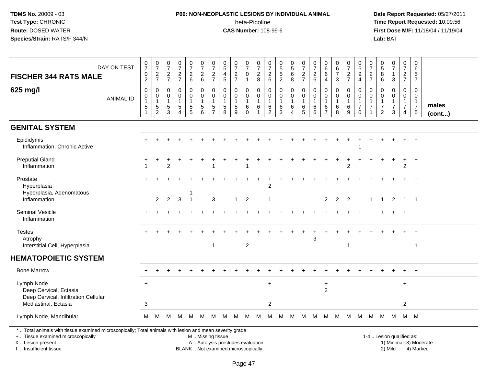## **P09: NON-NEOPLASTIC LESIONS BY INDIVIDUAL ANIMAL**beta-Picoline<br>CAS Number: 108-99-6

 **Date Report Requested:** 05/27/2011 **Time Report Requested:** 10:09:56 **First Dose M/F:** 11/18/04 / 11/19/04<br>**Lab:** BAT **Lab:** BAT

| DAY ON TEST                                                                                                                                    | $\frac{0}{7}$                                                             | $\frac{0}{7}$                                                    | $\frac{0}{7}$                                       | $\frac{0}{7}$                                                                       | 0<br>$\overline{7}$                     | $\frac{0}{7}$                                                             | 0<br>$\overline{7}$                                     | $\begin{smallmatrix}0\0\5\end{smallmatrix}$ | $\frac{0}{7}$                                                 | $\frac{0}{7}$                                                | $\frac{0}{7}$                                                         | 0<br>$\overline{7}$                                         | $\frac{0}{5}$                                         | $\begin{array}{c} 0 \\ 5 \end{array}$                 | $\frac{0}{7}$                                      | $\frac{0}{7}$                                                          | 0<br>$\,6\,$                                              | 0<br>$\,6\,$                                               | 0<br>$\overline{\mathcal{I}}$       | 0<br>$\,6\,$                                                      | 0<br>$\overline{7}$                                     | 0<br>$\,$ 5 $\,$                                  | $\frac{0}{7}$                                           | 0<br>$\overline{7}$                                                    | 0<br>$\,6\,$                                                                 |                       |
|------------------------------------------------------------------------------------------------------------------------------------------------|---------------------------------------------------------------------------|------------------------------------------------------------------|-----------------------------------------------------|-------------------------------------------------------------------------------------|-----------------------------------------|---------------------------------------------------------------------------|---------------------------------------------------------|---------------------------------------------|---------------------------------------------------------------|--------------------------------------------------------------|-----------------------------------------------------------------------|-------------------------------------------------------------|-------------------------------------------------------|-------------------------------------------------------|----------------------------------------------------|------------------------------------------------------------------------|-----------------------------------------------------------|------------------------------------------------------------|-------------------------------------|-------------------------------------------------------------------|---------------------------------------------------------|---------------------------------------------------|---------------------------------------------------------|------------------------------------------------------------------------|------------------------------------------------------------------------------|-----------------------|
| <b>FISCHER 344 RATS MALE</b>                                                                                                                   | $\pmb{0}$<br>$\overline{c}$                                               | $\frac{2}{7}$                                                    | $\overline{c}$<br>$\overline{7}$                    | $\sqrt{2}$<br>$\overline{7}$                                                        | $\overline{c}$<br>$\,6\,$               | $\begin{array}{c} 2 \\ 6 \end{array}$                                     | $\overline{c}$<br>$\overline{7}$                        | $\overline{4}$<br>$\sqrt{5}$                | $\sqrt{2}$<br>$\overline{7}$                                  | $\boldsymbol{0}$<br>$\overline{1}$                           | $\sqrt{2}$<br>8                                                       | $\overline{c}$<br>$\,6\,$                                   | $\sqrt{5}$<br>$\overline{2}$                          | 6<br>8                                                | $\overline{a}$<br>$\overline{7}$                   | $\sqrt{2}$<br>$\,6\,$                                                  | 6<br>$\overline{4}$                                       | $\overline{7}$<br>$\mathbf{3}$                             | $\boldsymbol{2}$<br>$\overline{7}$  | 9<br>$\overline{4}$                                               | $\overline{c}$<br>$\overline{7}$                        | 8<br>6                                            | $\mathbf{1}$<br>$\mathbf{3}$                            | $\overline{2}$<br>$\overline{7}$                                       | 5<br>$\overline{7}$                                                          |                       |
| 625 mg/l<br><b>ANIMAL ID</b>                                                                                                                   | $\mathbf 0$<br>$\pmb{0}$<br>$\mathbf{1}$<br>$\mathbf 5$<br>$\overline{1}$ | 0<br>$\mathbf 0$<br>$\mathbf{1}$<br>$\sqrt{5}$<br>$\overline{c}$ | $\mathbf 0$<br>0<br>$\overline{1}$<br>$\frac{5}{3}$ | $\mathbf 0$<br>$\mathbf 0$<br>$\mathbf{1}$<br>$\,$ 5 $\,$<br>$\boldsymbol{\Lambda}$ | 0<br>0<br>$\mathbf{1}$<br>$\frac{5}{5}$ | 0<br>$\mathbf 0$<br>$\mathbf{1}$<br>$\begin{array}{c} 5 \\ 6 \end{array}$ | $\mathbf 0$<br>0<br>$\mathbf{1}$<br>5<br>$\overline{7}$ | 0<br>0<br>$\mathbf{1}$<br>$\,$ 5 $\,$<br>8  | $\mathbf 0$<br>$\mathbf 0$<br>$\mathbf{1}$<br>$\sqrt{5}$<br>9 | 0<br>$\mathbf 0$<br>$\overline{1}$<br>$\,6\,$<br>$\mathbf 0$ | $\mathbf 0$<br>$\mathbf 0$<br>$\mathbf{1}$<br>$\,6\,$<br>$\mathbf{1}$ | $\mathbf 0$<br>0<br>$\mathbf{1}$<br>$\,6$<br>$\overline{2}$ | 0<br>$\mathbf 0$<br>$\mathbf{1}$<br>6<br>$\mathbf{3}$ | 0<br>0<br>$\mathbf{1}$<br>6<br>$\boldsymbol{\Lambda}$ | 0<br>$\mathsf{O}\xspace$<br>$\mathbf{1}$<br>$^6_5$ | $\mathbf 0$<br>$\mathbf 0$<br>$\mathbf{1}$<br>$\,6$<br>$6\phantom{1}6$ | 0<br>$\mathbf 0$<br>$\overline{1}$<br>6<br>$\overline{7}$ | $\mathbf 0$<br>$\mathbf 0$<br>$\mathbf{1}$<br>$\,6\,$<br>8 | 0<br>$\mathbf 0$<br>1<br>$\,6$<br>9 | 0<br>$\mathbf 0$<br>$\mathbf{1}$<br>$\overline{7}$<br>$\mathbf 0$ | 0<br>$\mathbf 0$<br>$\mathbf{1}$<br>$\overline{7}$<br>1 | 0<br>0<br>1<br>$\boldsymbol{7}$<br>$\overline{2}$ | $\mathbf 0$<br>0<br>$\mathbf{1}$<br>$\overline{7}$<br>3 | 0<br>$\mathbf 0$<br>$\overline{1}$<br>$\overline{7}$<br>$\overline{4}$ | $\mathbf 0$<br>$\mathbf 0$<br>$\overline{1}$<br>$\overline{7}$<br>$\sqrt{5}$ | males<br>$($ cont $)$ |
| <b>GENITAL SYSTEM</b>                                                                                                                          |                                                                           |                                                                  |                                                     |                                                                                     |                                         |                                                                           |                                                         |                                             |                                                               |                                                              |                                                                       |                                                             |                                                       |                                                       |                                                    |                                                                        |                                                           |                                                            |                                     |                                                                   |                                                         |                                                   |                                                         |                                                                        |                                                                              |                       |
| Epididymis<br>Inflammation, Chronic Active                                                                                                     |                                                                           |                                                                  |                                                     |                                                                                     |                                         |                                                                           |                                                         |                                             |                                                               |                                                              |                                                                       |                                                             |                                                       |                                                       |                                                    |                                                                        |                                                           |                                                            |                                     |                                                                   |                                                         |                                                   |                                                         |                                                                        |                                                                              |                       |
| <b>Preputial Gland</b><br>Inflammation                                                                                                         |                                                                           |                                                                  | $\overline{c}$                                      |                                                                                     |                                         |                                                                           |                                                         |                                             |                                                               |                                                              |                                                                       |                                                             |                                                       |                                                       |                                                    |                                                                        |                                                           |                                                            | 2                                   |                                                                   |                                                         |                                                   |                                                         | +<br>$\overline{c}$                                                    | $\overline{+}$                                                               |                       |
| Prostate<br>Hyperplasia<br>Hyperplasia, Adenomatous                                                                                            |                                                                           |                                                                  |                                                     |                                                                                     | 1                                       |                                                                           |                                                         |                                             |                                                               |                                                              |                                                                       | 2                                                           |                                                       |                                                       |                                                    |                                                                        |                                                           |                                                            |                                     |                                                                   |                                                         |                                                   |                                                         |                                                                        | $\overline{+}$                                                               |                       |
| Inflammation                                                                                                                                   |                                                                           | $\overline{2}$                                                   | 2                                                   | $\mathbf{3}$                                                                        | $\overline{1}$                          |                                                                           | $\sqrt{3}$                                              |                                             | $\mathbf{1}$                                                  | $\overline{2}$                                               |                                                                       | 1                                                           |                                                       |                                                       |                                                    |                                                                        | $\overline{2}$                                            | $\overline{2}$                                             | $\overline{2}$                      |                                                                   | 1                                                       | 1                                                 | 2                                                       | $\overline{1}$                                                         | $\overline{1}$                                                               |                       |
| Seminal Vesicle<br>Inflammation                                                                                                                |                                                                           |                                                                  |                                                     |                                                                                     |                                         |                                                                           |                                                         |                                             |                                                               |                                                              |                                                                       |                                                             |                                                       |                                                       |                                                    |                                                                        |                                                           |                                                            |                                     |                                                                   |                                                         |                                                   |                                                         |                                                                        |                                                                              |                       |
| <b>Testes</b><br>Atrophy                                                                                                                       |                                                                           |                                                                  |                                                     |                                                                                     |                                         |                                                                           |                                                         |                                             |                                                               |                                                              |                                                                       |                                                             |                                                       |                                                       |                                                    | 3                                                                      |                                                           |                                                            |                                     |                                                                   |                                                         |                                                   |                                                         |                                                                        |                                                                              |                       |
| Interstitial Cell, Hyperplasia                                                                                                                 |                                                                           |                                                                  |                                                     |                                                                                     |                                         |                                                                           | $\mathbf{1}$                                            |                                             |                                                               | $\overline{2}$                                               |                                                                       |                                                             |                                                       |                                                       |                                                    |                                                                        |                                                           |                                                            | 1                                   |                                                                   |                                                         |                                                   |                                                         |                                                                        | $\mathbf{1}$                                                                 |                       |
| <b>HEMATOPOIETIC SYSTEM</b>                                                                                                                    |                                                                           |                                                                  |                                                     |                                                                                     |                                         |                                                                           |                                                         |                                             |                                                               |                                                              |                                                                       |                                                             |                                                       |                                                       |                                                    |                                                                        |                                                           |                                                            |                                     |                                                                   |                                                         |                                                   |                                                         |                                                                        |                                                                              |                       |
| <b>Bone Marrow</b>                                                                                                                             |                                                                           |                                                                  |                                                     |                                                                                     |                                         |                                                                           |                                                         |                                             |                                                               |                                                              |                                                                       |                                                             |                                                       |                                                       |                                                    |                                                                        |                                                           |                                                            |                                     |                                                                   |                                                         |                                                   |                                                         |                                                                        | $+$                                                                          |                       |
| Lymph Node<br>Deep Cervical, Ectasia<br>Deep Cervical, Infiltration Cellular                                                                   | $\ddot{}$                                                                 |                                                                  |                                                     |                                                                                     |                                         |                                                                           |                                                         |                                             |                                                               |                                                              |                                                                       | $\ddot{}$                                                   |                                                       |                                                       |                                                    |                                                                        | $\ddot{}$<br>$\overline{c}$                               |                                                            |                                     |                                                                   |                                                         |                                                   |                                                         | $\ddot{}$                                                              |                                                                              |                       |
| Mediastinal, Ectasia                                                                                                                           | 3                                                                         |                                                                  |                                                     |                                                                                     |                                         |                                                                           |                                                         |                                             |                                                               |                                                              |                                                                       | $\overline{c}$                                              |                                                       |                                                       |                                                    |                                                                        |                                                           |                                                            |                                     |                                                                   |                                                         |                                                   |                                                         | $\overline{2}$                                                         |                                                                              |                       |
| Lymph Node, Mandibular                                                                                                                         | М                                                                         | м                                                                | м                                                   | м                                                                                   | M                                       | M                                                                         | M                                                       | M                                           | м                                                             | M                                                            | M                                                                     | м                                                           | м                                                     | м                                                     | M                                                  | M                                                                      | м                                                         | M                                                          | M                                   | M                                                                 | М                                                       | M                                                 | м                                                       |                                                                        | M M                                                                          |                       |
| *  Total animals with tissue examined microscopically; Total animals with lesion and mean severity grade<br>+  Tissue examined microscopically |                                                                           |                                                                  |                                                     |                                                                                     |                                         | M  Missing tissue                                                         |                                                         |                                             |                                                               |                                                              |                                                                       |                                                             |                                                       |                                                       |                                                    |                                                                        |                                                           |                                                            |                                     |                                                                   |                                                         |                                                   | 1-4  Lesion qualified as:                               |                                                                        |                                                                              |                       |

X .. Lesion present

I .. Insufficient tissue

 M .. Missing tissueA .. Autolysis precludes evaluation

BLANK .. Not examined microscopically 2) Mild 4) Marked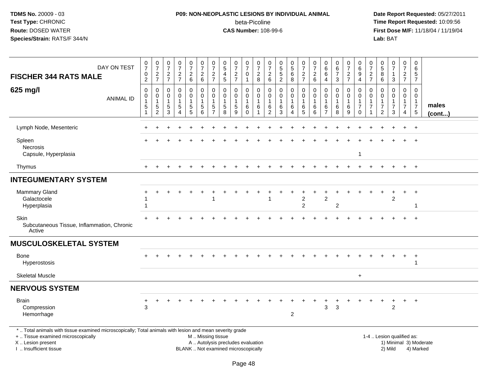## **P09: NON-NEOPLASTIC LESIONS BY INDIVIDUAL ANIMAL**beta-Picoline<br>CAS Number: 108-99-6

| DAY ON TEST<br><b>FISCHER 344 RATS MALE</b>                                                                                                                                                   | $\frac{0}{7}$<br>$\pmb{0}$<br>$\overline{2}$                         | $\frac{0}{7}$<br>$\overline{2}$<br>$\overline{7}$                | $\frac{0}{7}$<br>$\frac{2}{7}$                  | $\frac{0}{7}$<br>$\frac{2}{7}$               | $\begin{array}{c} 0 \\ 7 \end{array}$<br>$\sqrt{2}$<br>$6\phantom{1}$               | $\begin{array}{c} 0 \\ 7 \end{array}$<br>$\sqrt{2}$<br>$\,6\,$                                | $\begin{array}{c} 0 \\ 7 \end{array}$<br>$\overline{c}$<br>$\overline{7}$ | $\begin{array}{c} 0 \\ 5 \end{array}$<br>$\begin{array}{c} 4 \\ 5 \end{array}$ | $\begin{array}{c} 0 \\ 7 \end{array}$<br>$\frac{2}{7}$ | $\frac{0}{7}$<br>$\pmb{0}$<br>$\mathbf{1}$                  | $\frac{0}{7}$<br>$\boldsymbol{2}$<br>8                      | $\frac{0}{7}$<br>$\begin{array}{c} 2 \\ 6 \end{array}$ | $\begin{array}{c} 0 \\ 5 \end{array}$<br>$\frac{5}{2}$  | $\begin{array}{c} 0 \\ 5 \end{array}$<br>$\,6\,$<br>8                   | $\frac{0}{7}$<br>$\sqrt{2}$<br>$\overline{7}$ | $\frac{0}{7}$<br>$\overline{\mathbf{c}}$<br>6 | $_{6}^{\rm 0}$<br>$\,6\,$<br>$\overline{4}$            | $\begin{array}{c} 0 \\ 6 \end{array}$<br>$\overline{7}$<br>$\sqrt{3}$ | $\frac{0}{7}$<br>$\frac{2}{7}$                   | $\begin{array}{c} 0 \\ 6 \end{array}$<br>9<br>$\overline{4}$             | 0<br>$\overline{7}$<br>$\overline{c}$<br>$\overline{7}$ | $\begin{array}{c} 0 \\ 5 \end{array}$<br>8<br>$\,6\,$    | $\frac{0}{7}$<br>$\mathbf{1}$<br>$\mathbf{3}$          | $\begin{array}{c} 0 \\ 7 \end{array}$<br>$\overline{2}$<br>$\overline{7}$ | 0<br>6<br>5<br>$\overline{7}$                                       |                       |
|-----------------------------------------------------------------------------------------------------------------------------------------------------------------------------------------------|----------------------------------------------------------------------|------------------------------------------------------------------|-------------------------------------------------|----------------------------------------------|-------------------------------------------------------------------------------------|-----------------------------------------------------------------------------------------------|---------------------------------------------------------------------------|--------------------------------------------------------------------------------|--------------------------------------------------------|-------------------------------------------------------------|-------------------------------------------------------------|--------------------------------------------------------|---------------------------------------------------------|-------------------------------------------------------------------------|-----------------------------------------------|-----------------------------------------------|--------------------------------------------------------|-----------------------------------------------------------------------|--------------------------------------------------|--------------------------------------------------------------------------|---------------------------------------------------------|----------------------------------------------------------|--------------------------------------------------------|---------------------------------------------------------------------------|---------------------------------------------------------------------|-----------------------|
| 625 mg/l<br><b>ANIMAL ID</b>                                                                                                                                                                  | $\boldsymbol{0}$<br>$\mathbf 0$<br>$\overline{1}$<br>$\sqrt{5}$<br>1 | 0<br>$\mathbf 0$<br>$\mathbf{1}$<br>$\sqrt{5}$<br>$\overline{c}$ | $\mathbf 0$<br>$\Omega$<br>1<br>$\sqrt{5}$<br>3 | 0<br>$\mathbf 0$<br>1<br>5<br>$\overline{4}$ | $\mathsf 0$<br>$\mathbf{0}$<br>$\mathbf 1$<br>$\begin{array}{c} 5 \\ 5 \end{array}$ | 0<br>$\Omega$<br>-1<br>$\sqrt{5}$<br>6                                                        | $\mathbf 0$<br>$\mathbf 0$<br>-1<br>$\sqrt{5}$<br>$\overline{7}$          | $\mathbf 0$<br>$\mathbf 0$<br>$\mathbf{1}$<br>$\sqrt{5}$<br>8                  | 0<br>$\Omega$<br>1<br>5<br>9                           | $\mathbf 0$<br>$\mathbf 0$<br>$\mathbf{1}$<br>6<br>$\Omega$ | 0<br>$\mathbf 0$<br>$\mathbf{1}$<br>$\,6\,$<br>$\mathbf{1}$ | 0<br>$\Omega$<br>-1<br>6<br>$\sqrt{2}$                 | $\pmb{0}$<br>$\mathbf 0$<br>$\mathbf 1$<br>$\,6\,$<br>3 | $\mathbf 0$<br>$\mathbf 0$<br>$\mathbf{1}$<br>$\,6\,$<br>$\overline{4}$ | 0<br>$\mathbf 0$<br>$\mathbf{1}$<br>6<br>5    | 0<br>$\mathbf 0$<br>1<br>6<br>6               | $\mathbf 0$<br>0<br>$\mathbf 1$<br>6<br>$\overline{7}$ | $\mathbf 0$<br>$\Omega$<br>$\mathbf{1}$<br>$\,6\,$<br>8               | 0<br>$\mathbf 0$<br>$\mathbf{1}$<br>$\,6\,$<br>9 | $\mathbf 0$<br>$\mathbf 0$<br>$\mathbf{1}$<br>$\overline{7}$<br>$\Omega$ | 0<br>$\Omega$<br>1<br>$\overline{7}$                    | 0<br>$\Omega$<br>1<br>$\boldsymbol{7}$<br>$\overline{2}$ | $\mathbf 0$<br>$\mathbf 0$<br>1<br>$\overline{7}$<br>3 | 0<br>$\mathbf 0$<br>$\mathbf{1}$<br>$\overline{7}$<br>4                   | 0<br>$\mathbf 0$<br>$\overline{1}$<br>$\overline{7}$<br>$\,$ 5 $\,$ | males<br>$($ cont $)$ |
| Lymph Node, Mesenteric                                                                                                                                                                        |                                                                      |                                                                  |                                                 |                                              |                                                                                     |                                                                                               |                                                                           |                                                                                |                                                        |                                                             |                                                             |                                                        |                                                         |                                                                         |                                               |                                               |                                                        |                                                                       |                                                  |                                                                          |                                                         |                                                          |                                                        |                                                                           | $+$                                                                 |                       |
| Spleen<br>Necrosis<br>Capsule, Hyperplasia                                                                                                                                                    |                                                                      |                                                                  |                                                 |                                              |                                                                                     |                                                                                               |                                                                           |                                                                                |                                                        |                                                             |                                                             |                                                        |                                                         |                                                                         |                                               |                                               |                                                        |                                                                       |                                                  | 1                                                                        |                                                         |                                                          |                                                        |                                                                           |                                                                     |                       |
| Thymus                                                                                                                                                                                        |                                                                      |                                                                  |                                                 |                                              |                                                                                     |                                                                                               |                                                                           |                                                                                |                                                        |                                                             |                                                             |                                                        |                                                         |                                                                         |                                               |                                               |                                                        |                                                                       |                                                  |                                                                          |                                                         |                                                          |                                                        |                                                                           | $+$                                                                 |                       |
| <b>INTEGUMENTARY SYSTEM</b>                                                                                                                                                                   |                                                                      |                                                                  |                                                 |                                              |                                                                                     |                                                                                               |                                                                           |                                                                                |                                                        |                                                             |                                                             |                                                        |                                                         |                                                                         |                                               |                                               |                                                        |                                                                       |                                                  |                                                                          |                                                         |                                                          |                                                        |                                                                           |                                                                     |                       |
| <b>Mammary Gland</b><br>Galactocele<br>Hyperplasia                                                                                                                                            | 1                                                                    |                                                                  |                                                 |                                              |                                                                                     |                                                                                               |                                                                           |                                                                                |                                                        |                                                             |                                                             |                                                        |                                                         |                                                                         | $\overline{c}$<br>$\overline{c}$              |                                               | $\overline{c}$                                         | $\overline{c}$                                                        |                                                  |                                                                          |                                                         |                                                          | $\overline{c}$                                         |                                                                           | $\overline{+}$<br>-1                                                |                       |
| Skin<br>Subcutaneous Tissue, Inflammation, Chronic<br>Active                                                                                                                                  |                                                                      |                                                                  |                                                 |                                              |                                                                                     |                                                                                               |                                                                           |                                                                                |                                                        |                                                             |                                                             |                                                        |                                                         |                                                                         |                                               |                                               |                                                        |                                                                       |                                                  |                                                                          |                                                         |                                                          |                                                        |                                                                           | $\ddot{}$                                                           |                       |
| <b>MUSCULOSKELETAL SYSTEM</b>                                                                                                                                                                 |                                                                      |                                                                  |                                                 |                                              |                                                                                     |                                                                                               |                                                                           |                                                                                |                                                        |                                                             |                                                             |                                                        |                                                         |                                                                         |                                               |                                               |                                                        |                                                                       |                                                  |                                                                          |                                                         |                                                          |                                                        |                                                                           |                                                                     |                       |
| Bone<br>Hyperostosis                                                                                                                                                                          |                                                                      |                                                                  |                                                 |                                              |                                                                                     |                                                                                               |                                                                           |                                                                                |                                                        |                                                             |                                                             |                                                        |                                                         |                                                                         |                                               |                                               |                                                        |                                                                       |                                                  |                                                                          |                                                         |                                                          |                                                        |                                                                           | $\div$<br>-1                                                        |                       |
| <b>Skeletal Muscle</b>                                                                                                                                                                        |                                                                      |                                                                  |                                                 |                                              |                                                                                     |                                                                                               |                                                                           |                                                                                |                                                        |                                                             |                                                             |                                                        |                                                         |                                                                         |                                               |                                               |                                                        |                                                                       |                                                  | +                                                                        |                                                         |                                                          |                                                        |                                                                           |                                                                     |                       |
| <b>NERVOUS SYSTEM</b>                                                                                                                                                                         |                                                                      |                                                                  |                                                 |                                              |                                                                                     |                                                                                               |                                                                           |                                                                                |                                                        |                                                             |                                                             |                                                        |                                                         |                                                                         |                                               |                                               |                                                        |                                                                       |                                                  |                                                                          |                                                         |                                                          |                                                        |                                                                           |                                                                     |                       |
| Brain<br>Compression<br>Hemorrhage                                                                                                                                                            | $\sqrt{3}$                                                           |                                                                  |                                                 |                                              |                                                                                     |                                                                                               |                                                                           |                                                                                |                                                        |                                                             |                                                             |                                                        |                                                         | $\overline{\mathbf{c}}$                                                 |                                               |                                               | $\mathbf{3}$                                           | $\sqrt{3}$                                                            |                                                  |                                                                          |                                                         |                                                          | $\overline{c}$                                         | +                                                                         | $+$                                                                 |                       |
| *  Total animals with tissue examined microscopically; Total animals with lesion and mean severity grade<br>+  Tissue examined microscopically<br>X  Lesion present<br>I. Insufficient tissue |                                                                      |                                                                  |                                                 |                                              |                                                                                     | M  Missing tissue<br>A  Autolysis precludes evaluation<br>BLANK  Not examined microscopically |                                                                           |                                                                                |                                                        |                                                             |                                                             |                                                        |                                                         |                                                                         |                                               |                                               |                                                        |                                                                       |                                                  |                                                                          |                                                         |                                                          | 1-4  Lesion qualified as:<br>2) Mild                   |                                                                           | 1) Minimal 3) Moderate<br>4) Marked                                 |                       |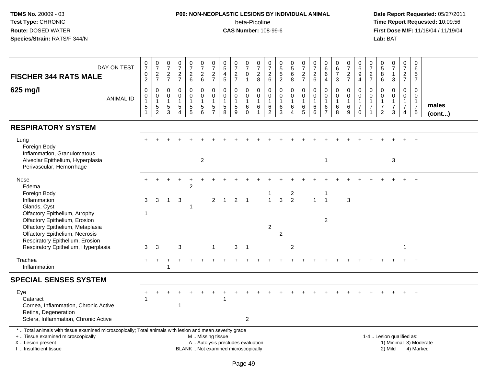## **P09: NON-NEOPLASTIC LESIONS BY INDIVIDUAL ANIMAL**beta-Picoline<br>CAS Number: 108-99-6

| DAY ON TEST<br><b>FISCHER 344 RATS MALE</b>                                                                                                                                                                    | $\begin{array}{c} 0 \\ 7 \\ 0 \end{array}$<br>$\overline{2}$                 | $\frac{0}{7}$<br>$\frac{2}{7}$          | $\begin{smallmatrix}0\\7\end{smallmatrix}$<br>$\frac{2}{7}$        | $\frac{0}{7}$<br>$\frac{2}{7}$                                             | $\begin{array}{c} 0 \\ 7 \end{array}$<br>$\frac{2}{6}$        | $\frac{0}{7}$<br>$\boldsymbol{2}$<br>$\,6\,$                                                  | $\pmb{0}$<br>$\overline{7}$<br>$\boldsymbol{2}$<br>$\overline{7}$ | $\pmb{0}$<br>$\sqrt{5}$<br>$\overline{4}$<br>$\overline{5}$ | $\frac{0}{7}$<br>$\overline{c}$<br>$\overline{7}$       | $\frac{0}{7}$<br>$\mathbf 0$<br>$\mathbf{1}$     | $\frac{0}{7}$<br>$\overline{c}$<br>8               | $\begin{smallmatrix}0\\7\end{smallmatrix}$<br>$^2\phantom{1}6$ | $\begin{array}{c} 0 \\ 5 \\ 5 \end{array}$<br>$\overline{2}$ | $\begin{array}{c} 0 \\ 5 \\ 6 \end{array}$<br>$\bf 8$           | $\frac{0}{7}$<br>$\frac{2}{7}$                                       | $\frac{0}{7}$<br>$\overline{c}$<br>$\,6\,$ | $\begin{matrix}0\6\6\end{matrix}$<br>$\overline{4}$   | $\begin{array}{c} 0 \\ 6 \\ 7 \end{array}$<br>3                | $\begin{array}{c} 0 \\ 7 \end{array}$<br>$\frac{2}{7}$ | $\pmb{0}$<br>$\,6$<br>$\boldsymbol{9}$<br>$\overline{4}$                | $\begin{array}{c} 0 \\ 7 \end{array}$<br>$\boldsymbol{2}$<br>$\overline{7}$ | $\begin{array}{c} 0 \\ 5 \end{array}$<br>8<br>$\,6\,$                         | $\pmb{0}$<br>$\overline{7}$<br>$\mathbf{1}$<br>$\mathbf{3}$ | $\begin{array}{c} 0 \\ 7 \end{array}$<br>$\boldsymbol{2}$<br>$\overline{7}$ | 0<br>6<br>5<br>$\overline{7}$                       |                                     |
|----------------------------------------------------------------------------------------------------------------------------------------------------------------------------------------------------------------|------------------------------------------------------------------------------|-----------------------------------------|--------------------------------------------------------------------|----------------------------------------------------------------------------|---------------------------------------------------------------|-----------------------------------------------------------------------------------------------|-------------------------------------------------------------------|-------------------------------------------------------------|---------------------------------------------------------|--------------------------------------------------|----------------------------------------------------|----------------------------------------------------------------|--------------------------------------------------------------|-----------------------------------------------------------------|----------------------------------------------------------------------|--------------------------------------------|-------------------------------------------------------|----------------------------------------------------------------|--------------------------------------------------------|-------------------------------------------------------------------------|-----------------------------------------------------------------------------|-------------------------------------------------------------------------------|-------------------------------------------------------------|-----------------------------------------------------------------------------|-----------------------------------------------------|-------------------------------------|
| 625 mg/l<br><b>ANIMAL ID</b>                                                                                                                                                                                   | $\mathbf 0$<br>$\pmb{0}$<br>$\overline{1}$<br>$\overline{5}$<br>$\mathbf{1}$ | 0<br>0<br>$\mathbf{1}$<br>$\frac{5}{2}$ | $\mathbf 0$<br>0<br>$\overline{1}$<br>$\sqrt{5}$<br>$\overline{3}$ | $\mathbf 0$<br>$\mathbf 0$<br>$\mathbf{1}$<br>$\sqrt{5}$<br>$\overline{A}$ | $\mathbf 0$<br>$\mathbf 0$<br>$\overline{1}$<br>$\frac{5}{5}$ | $\Omega$<br>$\mathbf 0$<br>$\overline{1}$<br>5<br>6                                           | $\Omega$<br>$\mathbf 0$<br>$\overline{1}$<br>5<br>$\overline{7}$  | $\Omega$<br>$\mathbf 0$<br>$\mathbf{1}$<br>$\sqrt{5}$<br>8  | 0<br>$\mathbf 0$<br>$\mathbf{1}$<br>5<br>$\overline{9}$ | $\Omega$<br>0<br>$\overline{1}$<br>6<br>$\Omega$ | 0<br>$\mathsf{O}\xspace$<br>$\mathbf{1}$<br>6<br>1 | 0<br>$\mathbf 0$<br>$\mathbf{1}$<br>$\frac{6}{2}$              | 0<br>$\mathbf 0$<br>$\mathbf{1}$<br>$\,6$<br>$\overline{3}$  | 0<br>$\mathbf 0$<br>$\overline{1}$<br>$\,6\,$<br>$\overline{4}$ | $\Omega$<br>$\mathbf 0$<br>$\overline{1}$<br>$\,6$<br>$\overline{5}$ | $\Omega$<br>$\mathbf 0$<br>1<br>6<br>6     | 0<br>$\pmb{0}$<br>$\mathbf{1}$<br>6<br>$\overline{7}$ | $\Omega$<br>$\mathbf 0$<br>$\mathbf{1}$<br>6<br>$\overline{8}$ | $\mathbf 0$<br>$\mathbf 0$<br>$\mathbf{1}$<br>$^6_9$   | $\Omega$<br>$\mathbf 0$<br>$\overline{1}$<br>$\overline{7}$<br>$\Omega$ | $\Omega$<br>$\mathbf 0$<br>$\overline{1}$<br>$\overline{7}$                 | $\Omega$<br>$\mathbf 0$<br>$\overline{1}$<br>$\overline{7}$<br>$\overline{2}$ | 0<br>$\mathbf{0}$<br>$\mathbf{1}$<br>$\overline{7}$<br>3    | $\Omega$<br>$\mathbf 0$<br>$\mathbf{1}$<br>$\overline{7}$<br>4              | $\Omega$<br>$\mathbf 0$<br>1<br>$\overline{7}$<br>5 | males<br>(cont)                     |
| <b>RESPIRATORY SYSTEM</b>                                                                                                                                                                                      |                                                                              |                                         |                                                                    |                                                                            |                                                               |                                                                                               |                                                                   |                                                             |                                                         |                                                  |                                                    |                                                                |                                                              |                                                                 |                                                                      |                                            |                                                       |                                                                |                                                        |                                                                         |                                                                             |                                                                               |                                                             |                                                                             |                                                     |                                     |
| Lung<br>Foreign Body<br>Inflammation, Granulomatous<br>Alveolar Epithelium, Hyperplasia<br>Perivascular, Hemorrhage                                                                                            |                                                                              |                                         |                                                                    |                                                                            |                                                               | $\overline{2}$                                                                                |                                                                   |                                                             |                                                         |                                                  |                                                    |                                                                |                                                              |                                                                 |                                                                      |                                            | $\mathbf{1}$                                          |                                                                |                                                        |                                                                         |                                                                             |                                                                               | 3                                                           |                                                                             |                                                     |                                     |
| Nose<br>Edema<br>Foreign Body<br>Inflammation<br>Glands, Cyst                                                                                                                                                  | 3                                                                            | 3                                       | $\mathbf{1}$                                                       | 3                                                                          | $\overline{c}$<br>1                                           |                                                                                               | 2                                                                 | $\mathbf 1$                                                 | $\overline{2}$                                          | $\overline{\phantom{0}}$                         |                                                    | $\overline{1}$                                                 | $\mathbf{3}$                                                 | $\overline{c}$<br>$\overline{2}$                                |                                                                      | 1                                          | -1<br>$\mathbf{1}$                                    |                                                                | 3                                                      |                                                                         |                                                                             |                                                                               |                                                             |                                                                             |                                                     |                                     |
| Olfactory Epithelium, Atrophy<br>Olfactory Epithelium, Erosion<br>Olfactory Epithelium, Metaplasia<br>Olfactory Epithelium, Necrosis<br>Respiratory Epithelium, Erosion<br>Respiratory Epithelium, Hyperplasia | -1<br>3                                                                      | 3                                       |                                                                    | 3                                                                          |                                                               |                                                                                               | $\mathbf{1}$                                                      |                                                             | 3                                                       | $\overline{1}$                                   |                                                    | $\sqrt{2}$                                                     | $\overline{2}$                                               | 2                                                               |                                                                      |                                            | $\overline{c}$                                        |                                                                |                                                        |                                                                         |                                                                             |                                                                               |                                                             | -1                                                                          |                                                     |                                     |
| Trachea<br>Inflammation                                                                                                                                                                                        |                                                                              |                                         | 1                                                                  |                                                                            |                                                               |                                                                                               |                                                                   |                                                             |                                                         |                                                  |                                                    |                                                                |                                                              |                                                                 |                                                                      |                                            |                                                       |                                                                |                                                        |                                                                         |                                                                             |                                                                               |                                                             |                                                                             |                                                     |                                     |
| <b>SPECIAL SENSES SYSTEM</b>                                                                                                                                                                                   |                                                                              |                                         |                                                                    |                                                                            |                                                               |                                                                                               |                                                                   |                                                             |                                                         |                                                  |                                                    |                                                                |                                                              |                                                                 |                                                                      |                                            |                                                       |                                                                |                                                        |                                                                         |                                                                             |                                                                               |                                                             |                                                                             |                                                     |                                     |
| Eye<br>Cataract<br>Cornea, Inflammation, Chronic Active<br>Retina, Degeneration<br>Sclera, Inflammation, Chronic Active                                                                                        |                                                                              |                                         |                                                                    | -1                                                                         |                                                               |                                                                                               |                                                                   |                                                             |                                                         | $\overline{c}$                                   |                                                    |                                                                |                                                              |                                                                 |                                                                      |                                            |                                                       |                                                                |                                                        |                                                                         |                                                                             |                                                                               |                                                             |                                                                             | $\ddot{}$                                           |                                     |
| *  Total animals with tissue examined microscopically; Total animals with lesion and mean severity grade<br>+  Tissue examined microscopically<br>X  Lesion present<br>I. Insufficient tissue                  |                                                                              |                                         |                                                                    |                                                                            |                                                               | M  Missing tissue<br>A  Autolysis precludes evaluation<br>BLANK  Not examined microscopically |                                                                   |                                                             |                                                         |                                                  |                                                    |                                                                |                                                              |                                                                 |                                                                      |                                            |                                                       |                                                                |                                                        |                                                                         |                                                                             | 1-4  Lesion qualified as:                                                     | 2) Mild                                                     |                                                                             |                                                     | 1) Minimal 3) Moderate<br>4) Marked |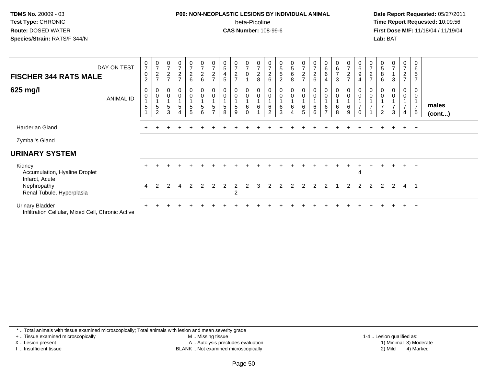### **P09: NON-NEOPLASTIC LESIONS BY INDIVIDUAL ANIMAL** beta-Picoline**beta-Picoline**<br> **CAS Number:** 108-99-6<br> **CAS Number:** 108-99-6<br> **CAS Number:** 108-99-6

 **Date Report Requested:** 05/27/2011 **First Dose M/F:** 11/18/04 / 11/19/04 Lab: BAT **Lab:** BAT

| DAY ON TEST<br><b>FISCHER 344 RATS MALE</b><br>625 mg/l<br>ANIMAL ID        | $\begin{array}{c} 0 \\ 7 \end{array}$<br>$\pmb{0}$<br>$\overline{2}$<br>$\mathbf 0$<br>$\mathbf 0$<br>$\sqrt{5}$ | $\frac{0}{7}$<br>$\frac{2}{7}$<br>$_{\rm 0}^{\rm 0}$<br>$\mathbf{1}$<br>$\sqrt{5}$<br>2 | $\overline{7}$<br>$\overline{c}$<br>$\overline{ }$<br>0<br>$\mathbf 0$<br>5<br>3 | 0<br>$\overline{z}$<br>$\overline{a}$<br>$\overline{ }$<br>0<br>$\mathbf 0$<br>5<br>4 | $\frac{0}{7}$<br>$\frac{2}{6}$<br>$_{\rm 0}^{\rm 0}$<br>$\overline{A}$<br>$\sqrt{5}$<br>5 | 0<br>$\overline{ }$<br>$\overline{\mathbf{c}}$<br>$\,6\,$<br>$_{0}^{0}$<br>$\sqrt{5}$<br>6 | $\frac{0}{7}$<br>$\frac{2}{7}$<br>$\begin{smallmatrix} 0\\0 \end{smallmatrix}$<br>$\sqrt{5}$<br>$\overline{\phantom{0}}$ | 0<br>$\frac{5}{4}$<br>5<br>$\begin{smallmatrix} 0\\0 \end{smallmatrix}$<br>$\mathbf{1}$<br>$\,$ 5 $\,$<br>8 | $\frac{0}{7}$<br>$\mathbf 2$<br>$\overline{ }$<br>0<br>$\mathsf 0$<br>5<br>9 | $\frac{0}{7}$<br>$\mathsf 0$<br>$\begin{smallmatrix}0\0\end{smallmatrix}$<br>1<br>$\,6\,$ | $\frac{0}{7}$<br>$\sqrt{2}$<br>8<br>$_{\rm 0}^{\rm 0}$<br>$\mathbf{1}$<br>$\,6$<br>$\overline{A}$ | $\overline{z}$<br>$\boldsymbol{2}$<br>6<br>0<br>$\mathbf 0$<br>6<br>2 | $\begin{array}{c} 0 \\ 5 \\ 5 \end{array}$<br>$\overline{2}$<br>$_{\rm 0}^{\rm 0}$<br>$\,6\,$<br>3 | $\begin{array}{c} 0 \\ 5 \\ 6 \end{array}$<br>8<br>$_0^0$<br>$\mathbf{1}$<br>6<br>4 | 0<br>$\overline{7}$<br>$\overline{c}$<br>$\overline{7}$<br>0<br>$\pmb{0}$<br>$\,6\,$<br>5 | $\frac{0}{7}$<br>$\frac{2}{6}$<br>$_0^0$<br>6<br>6 | $\begin{matrix} 0 \\ 6 \end{matrix}$<br>$\overline{6}$<br>$\overline{4}$<br>$\pmb{0}$<br>6<br>$\overline{z}$ | $\begin{array}{c} 0 \\ 6 \\ 7 \end{array}$<br>$\mathbf{3}$<br>$\begin{smallmatrix} 0\\0 \end{smallmatrix}$<br>$\,6\,$<br>8 | $\frac{0}{7}$<br>$\frac{2}{7}$<br>$\begin{smallmatrix} 0\\0 \end{smallmatrix}$<br>$\,6\,$<br>9 | $\begin{array}{c} 0 \\ 6 \end{array}$<br>$\overline{9}$<br>$\overline{4}$<br>$_{\rm 0}^{\rm 0}$<br>$\mathbf{1}$<br>$\overline{7}$<br>$\Omega$ | 0<br>$\overline{7}$<br>$\boldsymbol{2}$<br>$\overline{ }$<br>0<br>$\mathbf 0$<br>$\overline{ }$ | 5<br>8<br>6<br>$\mathbf 0$<br>$\overline{7}$<br>$\overline{2}$ | 0<br>3<br>0<br>0<br>$\overline{ }$<br>3 | 0<br>$\overline{\phantom{a}}$<br>$\overline{c}$<br>$\overline{ }$<br>0<br>$\mathbf 0$<br>$\overline{ }$<br>$\overline{4}$ | 0<br>6<br>5<br>$\overline{7}$<br>0<br>$\mathbf 0$<br>$\overline{7}$<br>$\sqrt{5}$ | males<br>(cont) |
|-----------------------------------------------------------------------------|------------------------------------------------------------------------------------------------------------------|-----------------------------------------------------------------------------------------|----------------------------------------------------------------------------------|---------------------------------------------------------------------------------------|-------------------------------------------------------------------------------------------|--------------------------------------------------------------------------------------------|--------------------------------------------------------------------------------------------------------------------------|-------------------------------------------------------------------------------------------------------------|------------------------------------------------------------------------------|-------------------------------------------------------------------------------------------|---------------------------------------------------------------------------------------------------|-----------------------------------------------------------------------|----------------------------------------------------------------------------------------------------|-------------------------------------------------------------------------------------|-------------------------------------------------------------------------------------------|----------------------------------------------------|--------------------------------------------------------------------------------------------------------------|----------------------------------------------------------------------------------------------------------------------------|------------------------------------------------------------------------------------------------|-----------------------------------------------------------------------------------------------------------------------------------------------|-------------------------------------------------------------------------------------------------|----------------------------------------------------------------|-----------------------------------------|---------------------------------------------------------------------------------------------------------------------------|-----------------------------------------------------------------------------------|-----------------|
| Harderian Gland                                                             |                                                                                                                  |                                                                                         |                                                                                  |                                                                                       |                                                                                           |                                                                                            |                                                                                                                          |                                                                                                             |                                                                              |                                                                                           |                                                                                                   |                                                                       |                                                                                                    |                                                                                     |                                                                                           |                                                    |                                                                                                              |                                                                                                                            |                                                                                                |                                                                                                                                               |                                                                                                 |                                                                |                                         | $+$                                                                                                                       | $+$                                                                               |                 |
| Zymbal's Gland                                                              |                                                                                                                  |                                                                                         |                                                                                  |                                                                                       |                                                                                           |                                                                                            |                                                                                                                          |                                                                                                             |                                                                              |                                                                                           |                                                                                                   |                                                                       |                                                                                                    |                                                                                     |                                                                                           |                                                    |                                                                                                              |                                                                                                                            |                                                                                                |                                                                                                                                               |                                                                                                 |                                                                |                                         |                                                                                                                           |                                                                                   |                 |
| <b>URINARY SYSTEM</b>                                                       |                                                                                                                  |                                                                                         |                                                                                  |                                                                                       |                                                                                           |                                                                                            |                                                                                                                          |                                                                                                             |                                                                              |                                                                                           |                                                                                                   |                                                                       |                                                                                                    |                                                                                     |                                                                                           |                                                    |                                                                                                              |                                                                                                                            |                                                                                                |                                                                                                                                               |                                                                                                 |                                                                |                                         |                                                                                                                           |                                                                                   |                 |
| Kidney<br>Accumulation, Hyaline Droplet                                     |                                                                                                                  |                                                                                         |                                                                                  |                                                                                       |                                                                                           |                                                                                            |                                                                                                                          |                                                                                                             |                                                                              |                                                                                           |                                                                                                   |                                                                       |                                                                                                    |                                                                                     |                                                                                           |                                                    |                                                                                                              |                                                                                                                            |                                                                                                | 4                                                                                                                                             |                                                                                                 |                                                                |                                         | $+$                                                                                                                       | $+$                                                                               |                 |
| Infarct, Acute<br>Nephropathy<br>Renal Tubule, Hyperplasia                  | 4                                                                                                                |                                                                                         |                                                                                  |                                                                                       |                                                                                           |                                                                                            |                                                                                                                          |                                                                                                             | 2                                                                            |                                                                                           |                                                                                                   |                                                                       |                                                                                                    |                                                                                     |                                                                                           |                                                    |                                                                                                              |                                                                                                                            |                                                                                                |                                                                                                                                               |                                                                                                 |                                                                | 2                                       | 4                                                                                                                         | - 1                                                                               |                 |
| <b>Urinary Bladder</b><br>Infiltration Cellular, Mixed Cell, Chronic Active |                                                                                                                  |                                                                                         |                                                                                  |                                                                                       |                                                                                           |                                                                                            |                                                                                                                          |                                                                                                             |                                                                              |                                                                                           |                                                                                                   |                                                                       |                                                                                                    |                                                                                     |                                                                                           |                                                    |                                                                                                              |                                                                                                                            |                                                                                                |                                                                                                                                               |                                                                                                 |                                                                |                                         | $\pm$                                                                                                                     | $+$                                                                               |                 |

\* .. Total animals with tissue examined microscopically; Total animals with lesion and mean severity grade

+ .. Tissue examined microscopically

X .. Lesion present

I .. Insufficient tissue

 M .. Missing tissueA .. Autolysis precludes evaluation

BLANK .. Not examined microscopically 2) Mild 4) Marked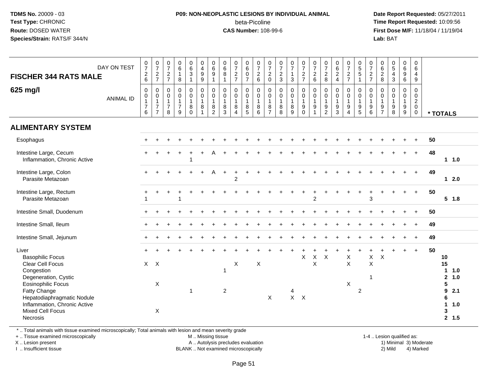### **P09: NON-NEOPLASTIC LESIONS BY INDIVIDUAL ANIMAL** beta-Picoline**beta-Picoline**<br> **CAS Number:** 108-99-6<br> **CAS Number:** 108-99-6<br> **CAS Number:** 108-99-6

 **Date Report Requested:** 05/27/2011 **First Dose M/F:** 11/18/04 / 11/19/04 Lab: BAT **Lab:** BAT

| DAY ON TEST<br><b>FISCHER 344 RATS MALE</b>                                                                                                                                                                                                  | $\frac{0}{7}$<br>$\boldsymbol{2}$<br>$6\phantom{a}$                           | $\frac{0}{7}$<br>$\frac{2}{7}$                                                      | $\frac{0}{7}$<br>$rac{2}{7}$                                      | $_6^0$<br>$\mathbf{1}$<br>8                              | $\begin{array}{c} 0 \\ 6 \end{array}$<br>$\overline{3}$<br>$\overline{1}$ | $_4^{\rm 0}$<br>$\frac{9}{9}$                                     | $_{6}^{\rm 0}$<br>$\overline{9}$<br>$\mathbf 1$             | $\begin{array}{c} 0 \\ 6 \\ 8 \end{array}$<br>$\mathbf{1}$                              | $\frac{0}{7}$<br>$\frac{2}{7}$                                                | $\begin{array}{c} 0 \\ 6 \end{array}$<br>$\mathbf 0$<br>$\overline{7}$ | $\frac{0}{7}$<br>$\begin{array}{c} 2 \\ 6 \end{array}$        | $\frac{0}{7}$<br>$\sqrt{2}$<br>$\mathbf 0$                                 | $\frac{0}{7}$<br>$\frac{2}{3}$           | $\frac{0}{7}$<br>$\mathbf{1}$<br>$\mathfrak{Z}$                                           | $\frac{0}{7}$<br>$\overline{c}$<br>$\overline{7}$            | $\frac{0}{7}$<br>$\frac{2}{6}$                     | $\begin{array}{c} 0 \\ 7 \end{array}$<br>$\frac{2}{8}$                                             | $062$<br>4                                                                     | $\frac{0}{7}$<br>$\frac{2}{7}$                                        | $\begin{array}{c} 0 \\ 5 \end{array}$<br>$\overline{5}$<br>$\mathbf{1}$               | $\frac{0}{7}$<br>$\frac{2}{7}$                                               | 0628                                                     | $\frac{0}{5}$<br>$\frac{4}{3}$                                                        | $\begin{array}{c} 0 \\ 6 \end{array}$<br>$\overline{9}$<br>$\overline{6}$ | 0<br>6<br>4<br>9                                       |    |                                                                                |
|----------------------------------------------------------------------------------------------------------------------------------------------------------------------------------------------------------------------------------------------|-------------------------------------------------------------------------------|-------------------------------------------------------------------------------------|-------------------------------------------------------------------|----------------------------------------------------------|---------------------------------------------------------------------------|-------------------------------------------------------------------|-------------------------------------------------------------|-----------------------------------------------------------------------------------------|-------------------------------------------------------------------------------|------------------------------------------------------------------------|---------------------------------------------------------------|----------------------------------------------------------------------------|------------------------------------------|-------------------------------------------------------------------------------------------|--------------------------------------------------------------|----------------------------------------------------|----------------------------------------------------------------------------------------------------|--------------------------------------------------------------------------------|-----------------------------------------------------------------------|---------------------------------------------------------------------------------------|------------------------------------------------------------------------------|----------------------------------------------------------|---------------------------------------------------------------------------------------|---------------------------------------------------------------------------|--------------------------------------------------------|----|--------------------------------------------------------------------------------|
| 625 mg/l<br><b>ANIMAL ID</b>                                                                                                                                                                                                                 | $\mathbf 0$<br>$\pmb{0}$<br>$\mathbf{1}$<br>$\overline{7}$<br>$6\phantom{1}6$ | $\boldsymbol{0}$<br>$\mathbf 0$<br>$\mathbf{1}$<br>$\overline{7}$<br>$\overline{7}$ | $\mathbf 0$<br>$\mathbf 0$<br>$\mathbf{1}$<br>$\overline{7}$<br>8 | 0<br>$\mathsf{O}$<br>$\mathbf{1}$<br>$\overline{7}$<br>9 | 0<br>$\mathsf{O}\xspace$<br>$\mathbf{1}$<br>$\bf 8$<br>$\mathbf 0$        | $\pmb{0}$<br>$\pmb{0}$<br>$\mathbf{1}$<br>$\bf 8$<br>$\mathbf{1}$ | 0<br>$\pmb{0}$<br>$\mathbf{1}$<br>$\bf 8$<br>$\overline{c}$ | $\begin{smallmatrix} 0\\0 \end{smallmatrix}$<br>$\mathbf{1}$<br>$\bf 8$<br>$\mathbf{3}$ | $\pmb{0}$<br>$\pmb{0}$<br>$\overline{1}$<br>$\bf8$<br>$\overline{\mathbf{4}}$ | $\mathsf 0$<br>$\,0\,$<br>$\overline{1}$<br>8<br>$\overline{5}$        | $\pmb{0}$<br>$\boldsymbol{0}$<br>$\mathbf{1}$<br>$\bf 8$<br>6 | $\pmb{0}$<br>$\boldsymbol{0}$<br>$\mathbf{1}$<br>$\,8\,$<br>$\overline{7}$ | 0<br>$\pmb{0}$<br>$\mathbf{1}$<br>8<br>8 | $\begin{smallmatrix} 0\\0 \end{smallmatrix}$<br>$\mathbf{1}$<br>$\bf 8$<br>$\overline{9}$ | $\pmb{0}$<br>$\mathsf 0$<br>$\mathbf{1}$<br>9<br>$\mathbf 0$ | 0<br>$\pmb{0}$<br>$\mathbf{1}$<br>$\boldsymbol{9}$ | $\begin{smallmatrix} 0\\0 \end{smallmatrix}$<br>$\mathbf{1}$<br>$\boldsymbol{9}$<br>$\overline{2}$ | $\pmb{0}$<br>$\pmb{0}$<br>$\overline{1}$<br>$\boldsymbol{9}$<br>$\mathfrak{Z}$ | $\mathbf 0$<br>$\mathbf 0$<br>$\mathbf{1}$<br>$9\,$<br>$\overline{4}$ | $\mathbf 0$<br>$\boldsymbol{0}$<br>$\mathbf{1}$<br>$\boldsymbol{9}$<br>$\overline{5}$ | $\boldsymbol{0}$<br>$\pmb{0}$<br>$\mathbf{1}$<br>$\boldsymbol{9}$<br>$\,6\,$ | 0<br>$\mathsf{O}$<br>$\mathbf{1}$<br>9<br>$\overline{7}$ | $\begin{smallmatrix} 0\\0 \end{smallmatrix}$<br>$\mathbf{1}$<br>$\boldsymbol{9}$<br>8 | $\mathsf 0$<br>$\mathsf 0$<br>$\mathbf{1}$<br>$\boldsymbol{9}$<br>9       | $\mathbf 0$<br>0<br>$\overline{2}$<br>0<br>$\mathbf 0$ |    | * TOTALS                                                                       |
| <b>ALIMENTARY SYSTEM</b>                                                                                                                                                                                                                     |                                                                               |                                                                                     |                                                                   |                                                          |                                                                           |                                                                   |                                                             |                                                                                         |                                                                               |                                                                        |                                                               |                                                                            |                                          |                                                                                           |                                                              |                                                    |                                                                                                    |                                                                                |                                                                       |                                                                                       |                                                                              |                                                          |                                                                                       |                                                                           |                                                        |    |                                                                                |
| Esophagus                                                                                                                                                                                                                                    |                                                                               |                                                                                     |                                                                   |                                                          |                                                                           |                                                                   |                                                             |                                                                                         |                                                                               |                                                                        |                                                               |                                                                            |                                          |                                                                                           |                                                              |                                                    |                                                                                                    |                                                                                |                                                                       |                                                                                       |                                                                              |                                                          |                                                                                       |                                                                           |                                                        | 50 |                                                                                |
| Intestine Large, Cecum<br>Inflammation, Chronic Active                                                                                                                                                                                       |                                                                               |                                                                                     |                                                                   |                                                          |                                                                           |                                                                   |                                                             |                                                                                         |                                                                               |                                                                        |                                                               |                                                                            |                                          |                                                                                           |                                                              |                                                    |                                                                                                    |                                                                                |                                                                       |                                                                                       |                                                                              |                                                          |                                                                                       |                                                                           | $+$                                                    | 48 | $1 1.0$                                                                        |
| Intestine Large, Colon<br>Parasite Metazoan                                                                                                                                                                                                  |                                                                               |                                                                                     |                                                                   |                                                          |                                                                           |                                                                   |                                                             |                                                                                         | $\overline{2}$                                                                |                                                                        |                                                               |                                                                            |                                          |                                                                                           |                                                              |                                                    |                                                                                                    |                                                                                |                                                                       |                                                                                       |                                                                              |                                                          |                                                                                       |                                                                           |                                                        | 49 | $12.0$                                                                         |
| Intestine Large, Rectum<br>Parasite Metazoan                                                                                                                                                                                                 |                                                                               |                                                                                     |                                                                   |                                                          |                                                                           |                                                                   |                                                             |                                                                                         |                                                                               |                                                                        |                                                               |                                                                            |                                          |                                                                                           |                                                              | $\overline{2}$                                     |                                                                                                    |                                                                                |                                                                       |                                                                                       | 3                                                                            |                                                          |                                                                                       |                                                                           |                                                        | 50 | $5$ 1.8                                                                        |
| Intestine Small, Duodenum                                                                                                                                                                                                                    |                                                                               |                                                                                     |                                                                   |                                                          |                                                                           |                                                                   |                                                             |                                                                                         |                                                                               |                                                                        |                                                               |                                                                            |                                          |                                                                                           |                                                              |                                                    |                                                                                                    |                                                                                |                                                                       |                                                                                       |                                                                              |                                                          |                                                                                       |                                                                           |                                                        | 50 |                                                                                |
| Intestine Small, Ileum                                                                                                                                                                                                                       |                                                                               |                                                                                     |                                                                   |                                                          |                                                                           |                                                                   |                                                             |                                                                                         |                                                                               |                                                                        |                                                               |                                                                            |                                          |                                                                                           |                                                              |                                                    |                                                                                                    |                                                                                |                                                                       |                                                                                       |                                                                              |                                                          |                                                                                       |                                                                           | $\ddot{}$                                              | 49 |                                                                                |
| Intestine Small, Jejunum                                                                                                                                                                                                                     |                                                                               |                                                                                     |                                                                   |                                                          |                                                                           |                                                                   |                                                             |                                                                                         |                                                                               |                                                                        |                                                               |                                                                            |                                          |                                                                                           |                                                              |                                                    |                                                                                                    |                                                                                |                                                                       |                                                                                       |                                                                              |                                                          |                                                                                       |                                                                           |                                                        | 49 |                                                                                |
| Liver<br><b>Basophilic Focus</b><br>Clear Cell Focus<br>Congestion<br>Degeneration, Cystic<br><b>Eosinophilic Focus</b><br>Fatty Change<br>Hepatodiaphragmatic Nodule<br>Inflammation, Chronic Active<br><b>Mixed Cell Focus</b><br>Necrosis |                                                                               | $X$ $X$<br>$\times$<br>$\boldsymbol{\mathsf{X}}$                                    |                                                                   |                                                          | -1                                                                        |                                                                   |                                                             | $\overline{1}$<br>$\overline{2}$                                                        | $\pmb{\times}$                                                                |                                                                        | $\boldsymbol{\mathsf{X}}$                                     | $\mathsf X$                                                                |                                          | 4                                                                                         | Χ<br>$X \times X$                                            | X<br>X                                             | X                                                                                                  |                                                                                | X<br>$\sf X$<br>X                                                     | $\overline{2}$                                                                        | X<br>$\mathsf{X}$<br>1                                                       | X                                                        |                                                                                       |                                                                           | $+$                                                    | 50 | 10<br>15<br>$1 1.0$<br>2, 1.0<br>5<br>9<br>2.1<br>6<br>$1 1.0$<br>3<br>$2$ 1.5 |

\* .. Total animals with tissue examined microscopically; Total animals with lesion and mean severity grade

+ .. Tissue examined microscopically

X .. Lesion present

I .. Insufficient tissue

M .. Missing tissue

A .. Autolysis precludes evaluation

BLANK .. Not examined microscopically 2) Mild 4) Marked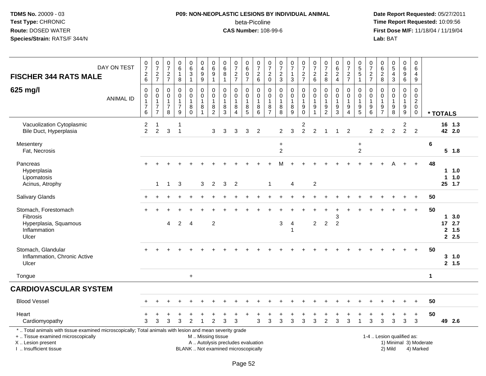## **P09: NON-NEOPLASTIC LESIONS BY INDIVIDUAL ANIMAL**beta-Picoline<br>CAS Number: 108-99-6

| <b>FISCHER 344 RATS MALE</b>                                                                                                                                                                  | DAY ON TEST      | $\frac{0}{7}$<br>$^2$ 6          | $\begin{array}{c} 0 \\ 7 \end{array}$<br>$\frac{2}{7}$                                | $\frac{0}{7}$<br>$\overline{c}$<br>$\overline{7}$ | $\pmb{0}$<br>6<br>$\mathbf{1}$<br>8                              | $\begin{array}{c} 0 \\ 6 \end{array}$<br>3<br>1  | $_4^{\rm 0}$<br>$\boldsymbol{9}$<br>$\boldsymbol{9}$             | 0<br>$\frac{6}{9}$<br>$\mathbf{1}$                        | $\pmb{0}$<br>$\,6\,$<br>8<br>$\overline{1}$                        | $\begin{array}{c} 0 \\ 7 \end{array}$<br>$\sqrt{2}$<br>$\overline{7}$  | 0<br>$\,6\,$<br>$\mathbf 0$<br>$\overline{7}$                  | $\frac{0}{7}$<br>$\overline{2}$<br>6                            | 0<br>$\overline{7}$<br>$\sqrt{2}$<br>$\overline{0}$            | $\frac{0}{7}$<br>$\overline{c}$<br>3              | $\begin{array}{c} 0 \\ 7 \end{array}$<br>1<br>$\sqrt{3}$ | $\begin{smallmatrix}0\\7\end{smallmatrix}$<br>$\overline{c}$<br>$\overline{7}$ | $\frac{0}{7}$<br>$\overline{c}$<br>6                             | $\begin{array}{c} 0 \\ 7 \end{array}$<br>$\sqrt{2}$<br>8         | $\pmb{0}$<br>$6\phantom{1}$<br>$\overline{2}$<br>$\overline{4}$ | $\frac{0}{7}$<br>$\overline{a}$<br>$\overline{7}$    | $\begin{array}{c} 0 \\ 5 \\ 5 \end{array}$<br>$\mathbf{1}$                | $\frac{0}{7}$<br>$\boldsymbol{2}$<br>$\overline{7}$              | $\boldsymbol{0}$<br>$\begin{array}{c} 6 \\ 2 \\ 8 \end{array}$ | $\begin{array}{c} 0 \\ 5 \end{array}$<br>$\overline{4}$<br>$\sqrt{3}$ | 0<br>$\,6\,$<br>$\boldsymbol{9}$<br>$\,6\,$                      | $\boldsymbol{0}$<br>6<br>$\overline{4}$<br>9                                  |                        |              |                               |  |
|-----------------------------------------------------------------------------------------------------------------------------------------------------------------------------------------------|------------------|----------------------------------|---------------------------------------------------------------------------------------|---------------------------------------------------|------------------------------------------------------------------|--------------------------------------------------|------------------------------------------------------------------|-----------------------------------------------------------|--------------------------------------------------------------------|------------------------------------------------------------------------|----------------------------------------------------------------|-----------------------------------------------------------------|----------------------------------------------------------------|---------------------------------------------------|----------------------------------------------------------|--------------------------------------------------------------------------------|------------------------------------------------------------------|------------------------------------------------------------------|-----------------------------------------------------------------|------------------------------------------------------|---------------------------------------------------------------------------|------------------------------------------------------------------|----------------------------------------------------------------|-----------------------------------------------------------------------|------------------------------------------------------------------|-------------------------------------------------------------------------------|------------------------|--------------|-------------------------------|--|
| 625 mg/l                                                                                                                                                                                      | <b>ANIMAL ID</b> | $\mathbf 0$<br>0<br>7<br>6       | $\mathbf 0$<br>$\boldsymbol{0}$<br>$\overline{1}$<br>$\overline{7}$<br>$\overline{7}$ | $\Omega$<br>0<br>$\overline{1}$<br>7<br>8         | $\Omega$<br>$\mathbf 0$<br>$\overline{1}$<br>$\overline{7}$<br>9 | 0<br>$\mathbf 0$<br>$\mathbf 1$<br>8<br>$\Omega$ | $\Omega$<br>$\mathbf 0$<br>$\overline{1}$<br>8<br>$\overline{1}$ | $\mathbf 0$<br>$\pmb{0}$<br>$\mathbf{1}$<br>$\frac{8}{2}$ | $\mathbf{0}$<br>$\mathbf 0$<br>$\overline{1}$<br>8<br>$\mathbf{3}$ | $\Omega$<br>$\mathbf 0$<br>$\mathbf{1}$<br>8<br>$\boldsymbol{\Lambda}$ | $\Omega$<br>$\mathbf 0$<br>$\mathbf{1}$<br>8<br>$\overline{5}$ | $\Omega$<br>$\mathbf 0$<br>$\mathbf{1}$<br>8<br>$6\phantom{1}6$ | $\Omega$<br>$\mathbf 0$<br>$\mathbf{1}$<br>8<br>$\overline{7}$ | $\Omega$<br>$\mathbf 0$<br>$\mathbf{1}$<br>8<br>8 | $\mathbf 0$<br>$\mathbf 0$<br>$\mathbf{1}$<br>$^8_9$     | 0<br>$\mathbf 0$<br>$\overline{1}$<br>$_{0}^{9}$                               | $\Omega$<br>$\mathbf 0$<br>$\overline{1}$<br>9<br>$\overline{1}$ | $\Omega$<br>$\mathbf 0$<br>$\overline{1}$<br>9<br>$\overline{2}$ | $\Omega$<br>$\mathbf 0$<br>$\mathbf{1}$<br>9<br>$\overline{3}$  | $\Omega$<br>0<br>$\mathbf{1}$<br>9<br>$\overline{4}$ | $\mathbf 0$<br>0<br>$\mathbf{1}$<br>$\begin{array}{c} 9 \\ 5 \end{array}$ | $\Omega$<br>$\mathbf 0$<br>$\overline{1}$<br>9<br>$6\phantom{1}$ | $\Omega$<br>$\mathbf 0$<br>$\overline{1}$<br>$\frac{9}{7}$     | $\Omega$<br>$\mathbf 0$<br>$\mathbf{1}$<br>9<br>8                     | $\Omega$<br>$\mathbf 0$<br>$\mathbf{1}$<br>9<br>$\boldsymbol{9}$ | $\mathbf 0$<br>$\mathbf 0$<br>$\overline{a}$<br>$\overline{0}$<br>$\mathbf 0$ |                        | * TOTALS     |                               |  |
| Vacuolization Cytoplasmic<br>Bile Duct, Hyperplasia                                                                                                                                           |                  | $\overline{c}$<br>$\overline{2}$ | $\overline{\mathbf{1}}$<br>$\overline{2}$                                             | 3                                                 | 1<br>$\mathbf{1}$                                                |                                                  |                                                                  | 3                                                         | 3                                                                  | 3                                                                      | 3                                                              | 2                                                               |                                                                | $\overline{2}$                                    | 3                                                        | 2<br>$\overline{2}$                                                            | $\overline{c}$                                                   | $\mathbf 1$                                                      |                                                                 | $\overline{2}$                                       |                                                                           | 2                                                                | 2                                                              | $\overline{c}$                                                        | 2<br>$\overline{2}$                                              | $\overline{2}$                                                                |                        |              | 16 1.3<br>42 2.0              |  |
| Mesentery<br>Fat, Necrosis                                                                                                                                                                    |                  |                                  |                                                                                       |                                                   |                                                                  |                                                  |                                                                  |                                                           |                                                                    |                                                                        |                                                                |                                                                 |                                                                | $\ddot{}$<br>$\overline{2}$                       |                                                          |                                                                                |                                                                  |                                                                  |                                                                 |                                                      | $\ddot{}$<br>$\overline{2}$                                               |                                                                  |                                                                |                                                                       |                                                                  |                                                                               | 6                      |              | $5 \t1.8$                     |  |
| Pancreas<br>Hyperplasia<br>Lipomatosis<br>Acinus, Atrophy                                                                                                                                     |                  |                                  | $\mathbf{1}$                                                                          | $\overline{1}$                                    | 3                                                                |                                                  | 3                                                                | 2                                                         | 3                                                                  | $\overline{2}$                                                         |                                                                |                                                                 | $\mathbf{1}$                                                   |                                                   | $\overline{4}$                                           |                                                                                | $\overline{2}$                                                   |                                                                  |                                                                 |                                                      |                                                                           |                                                                  |                                                                |                                                                       |                                                                  | $\ddot{}$                                                                     | 48                     | $\mathbf{1}$ | 11.0<br>1.0<br>25 1.7         |  |
| Salivary Glands                                                                                                                                                                               |                  |                                  |                                                                                       |                                                   |                                                                  |                                                  |                                                                  |                                                           |                                                                    |                                                                        |                                                                |                                                                 |                                                                |                                                   |                                                          |                                                                                |                                                                  |                                                                  |                                                                 |                                                      |                                                                           |                                                                  |                                                                |                                                                       |                                                                  | $+$                                                                           | 50                     |              |                               |  |
| Stomach, Forestomach<br>Fibrosis<br>Hyperplasia, Squamous<br>Inflammation<br>Ulcer                                                                                                            |                  |                                  |                                                                                       | 4                                                 | $\overline{2}$                                                   | $\overline{4}$                                   |                                                                  | $\overline{2}$                                            |                                                                    |                                                                        |                                                                |                                                                 |                                                                | 3                                                 | $\overline{4}$<br>$\overline{1}$                         |                                                                                | $\overline{2}$                                                   | $\overline{2}$                                                   | 3<br>$\overline{2}$                                             |                                                      |                                                                           |                                                                  |                                                                |                                                                       |                                                                  | $\div$                                                                        | 50                     | $\mathbf 1$  | 3.0<br>172.7<br>2, 1.5<br>2.5 |  |
| Stomach, Glandular<br>Inflammation, Chronic Active<br>Ulcer                                                                                                                                   |                  |                                  |                                                                                       |                                                   |                                                                  |                                                  |                                                                  |                                                           |                                                                    |                                                                        |                                                                |                                                                 |                                                                |                                                   |                                                          |                                                                                |                                                                  |                                                                  |                                                                 |                                                      |                                                                           |                                                                  |                                                                |                                                                       |                                                                  |                                                                               | 50                     |              | 3 1.0<br>2, 1.5               |  |
| Tongue                                                                                                                                                                                        |                  |                                  |                                                                                       |                                                   |                                                                  | $\ddot{}$                                        |                                                                  |                                                           |                                                                    |                                                                        |                                                                |                                                                 |                                                                |                                                   |                                                          |                                                                                |                                                                  |                                                                  |                                                                 |                                                      |                                                                           |                                                                  |                                                                |                                                                       |                                                                  |                                                                               | $\mathbf 1$            |              |                               |  |
| <b>CARDIOVASCULAR SYSTEM</b>                                                                                                                                                                  |                  |                                  |                                                                                       |                                                   |                                                                  |                                                  |                                                                  |                                                           |                                                                    |                                                                        |                                                                |                                                                 |                                                                |                                                   |                                                          |                                                                                |                                                                  |                                                                  |                                                                 |                                                      |                                                                           |                                                                  |                                                                |                                                                       |                                                                  |                                                                               |                        |              |                               |  |
| <b>Blood Vessel</b>                                                                                                                                                                           |                  |                                  |                                                                                       |                                                   |                                                                  |                                                  |                                                                  |                                                           |                                                                    |                                                                        |                                                                |                                                                 |                                                                |                                                   |                                                          |                                                                                |                                                                  |                                                                  |                                                                 |                                                      |                                                                           |                                                                  |                                                                |                                                                       |                                                                  |                                                                               | 50                     |              |                               |  |
| Heart<br>Cardiomyopathy                                                                                                                                                                       |                  | 3                                | 3                                                                                     | 3                                                 | 3                                                                | 2                                                |                                                                  | $\overline{2}$                                            | 3                                                                  | 3                                                                      |                                                                | 3                                                               | 3                                                              | 3                                                 | 3                                                        | 3                                                                              | 3                                                                | $\overline{2}$                                                   | 3                                                               | 3                                                    |                                                                           | 3                                                                | 3                                                              | 3                                                                     | 3                                                                | +<br>3                                                                        | 50                     |              | 49 2.6                        |  |
| *  Total animals with tissue examined microscopically; Total animals with lesion and mean severity grade<br>+  Tissue examined microscopically<br>X  Lesion present<br>I. Insufficient tissue |                  |                                  |                                                                                       |                                                   |                                                                  | BLANK  Not examined microscopically              | M  Missing tissue                                                |                                                           |                                                                    | A  Autolysis precludes evaluation                                      |                                                                |                                                                 |                                                                |                                                   |                                                          |                                                                                |                                                                  |                                                                  |                                                                 |                                                      |                                                                           |                                                                  |                                                                | 1-4  Lesion qualified as:<br>2) Mild                                  |                                                                  | 4) Marked                                                                     | 1) Minimal 3) Moderate |              |                               |  |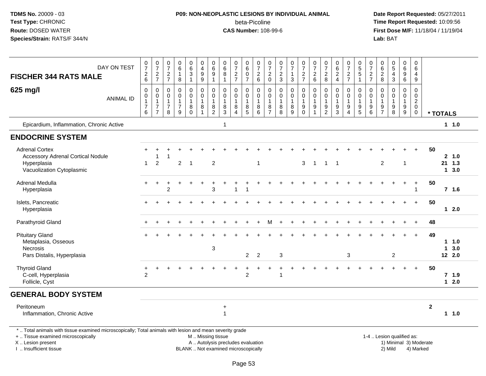## **P09: NON-NEOPLASTIC LESIONS BY INDIVIDUAL ANIMAL**beta-Picoline<br>CAS Number: 108-99-6

 **Date Report Requested:** 05/27/2011 **Time Report Requested:** 10:09:56 **First Dose M/F:** 11/18/04 / 11/19/04<br>**Lab:** BAT **Lab:** BAT

| <b>FISCHER 344 RATS MALE</b>                                                                                                                                        | DAY ON TEST      | $\frac{0}{7}$<br>$\frac{2}{6}$                | $\frac{0}{7}$<br>$\frac{2}{7}$                                             | $\frac{0}{7}$<br>$\frac{2}{7}$                          | $\begin{array}{c} 0 \\ 6 \end{array}$<br>$\mathbf{1}$<br>8        | $\begin{array}{c} 0 \\ 6 \end{array}$<br>$\overline{3}$<br>$\mathbf{1}$ | 0<br>$\overline{4}$<br>$\boldsymbol{9}$<br>$\boldsymbol{9}$ | $\begin{array}{c} 0 \\ 6 \end{array}$<br>$\overline{9}$<br>$\mathbf{1}$ | $\begin{array}{c} 0 \\ 6 \end{array}$<br>$\, 8$<br>$\overline{1}$ | $\frac{0}{7}$<br>$\frac{2}{7}$                                        | $\begin{array}{c} 0 \\ 6 \end{array}$<br>$\mathsf{O}\xspace$<br>$\overline{7}$ | $\frac{0}{7}$<br>$\frac{2}{6}$                       | $\frac{0}{7}$<br>$\overline{c}$<br>$\overline{0}$                   | $\frac{0}{7}$<br>$\frac{2}{3}$                       | $\frac{0}{7}$<br>$\mathbf{1}$<br>3         | $\begin{smallmatrix}0\\7\end{smallmatrix}$<br>$\frac{2}{7}$ | $\frac{0}{7}$<br>$\begin{array}{c} 2 \\ 6 \end{array}$       | $\begin{array}{c} 0 \\ 7 \end{array}$<br>$^{\,2}_{\,8}$ | $\begin{array}{c} 0 \\ 6 \end{array}$<br>$\frac{2}{4}$ | $\frac{0}{7}$<br>$\frac{2}{7}$                               | $\begin{array}{c} 0 \\ 5 \end{array}$<br>5<br>$\mathbf{1}$          | $\frac{0}{7}$<br>$\frac{2}{7}$                       | 0628                                              | $\begin{array}{c} 0 \\ 5 \\ 4 \end{array}$<br>$\mathfrak{Z}$                   | $\begin{array}{c} 0 \\ 6 \end{array}$<br>$\boldsymbol{9}$<br>$\,6\,$ | 0<br>$\,6\,$<br>$\overline{4}$<br>9                                        |                        |              |                            |  |
|---------------------------------------------------------------------------------------------------------------------------------------------------------------------|------------------|-----------------------------------------------|----------------------------------------------------------------------------|---------------------------------------------------------|-------------------------------------------------------------------|-------------------------------------------------------------------------|-------------------------------------------------------------|-------------------------------------------------------------------------|-------------------------------------------------------------------|-----------------------------------------------------------------------|--------------------------------------------------------------------------------|------------------------------------------------------|---------------------------------------------------------------------|------------------------------------------------------|--------------------------------------------|-------------------------------------------------------------|--------------------------------------------------------------|---------------------------------------------------------|--------------------------------------------------------|--------------------------------------------------------------|---------------------------------------------------------------------|------------------------------------------------------|---------------------------------------------------|--------------------------------------------------------------------------------|----------------------------------------------------------------------|----------------------------------------------------------------------------|------------------------|--------------|----------------------------|--|
| 625 mg/l                                                                                                                                                            | <b>ANIMAL ID</b> | 0<br>0<br>$\mathbf{1}$<br>$\overline{7}$<br>6 | $\pmb{0}$<br>$\pmb{0}$<br>$\mathbf{1}$<br>$\overline{7}$<br>$\overline{7}$ | $\mathbf 0$<br>0<br>$\mathbf{1}$<br>$\overline{7}$<br>8 | $\mathbf 0$<br>$\mathbf 0$<br>$\mathbf{1}$<br>$\overline{7}$<br>9 | $\mathbf 0$<br>$\mathbf 0$<br>$\mathbf{1}$<br>8<br>$\overline{0}$       | $\mathbf 0$<br>$\mathbf 0$<br>$\mathbf{1}$<br>8<br>1        | $\mathbf 0$<br>0<br>$\mathbf{1}$<br>$\frac{8}{2}$                       | $\Omega$<br>0<br>$\mathbf{1}$<br>8<br>$\overline{3}$              | $\mathbf 0$<br>0<br>$\mathbf{1}$<br>$\bf 8$<br>$\boldsymbol{\Lambda}$ | $\mathbf 0$<br>$\mathbf 0$<br>$\mathbf{1}$<br>$\bf 8$<br>$\overline{5}$        | $\mathbf 0$<br>$\mathbf 0$<br>$\mathbf{1}$<br>8<br>6 | $\mathbf 0$<br>$\mathbf 0$<br>$\overline{1}$<br>8<br>$\overline{7}$ | $\mathbf 0$<br>$\mathbf 0$<br>$\mathbf{1}$<br>8<br>8 | $\mathbf 0$<br>0<br>$\mathbf{1}$<br>$^8_9$ | $\pmb{0}$<br>$\mathbf 0$<br>$\mathbf{1}$<br>$_{0}^{9}$      | $\mathbf 0$<br>$\pmb{0}$<br>$\mathbf{1}$<br>$\boldsymbol{9}$ | $\mathbf 0$<br>0<br>$\overline{1}$<br>$\frac{9}{2}$     | $\mathbf 0$<br>0<br>$\mathbf{1}$<br>$\frac{9}{3}$      | 0<br>0<br>$\mathbf{1}$<br>$\boldsymbol{9}$<br>$\overline{4}$ | $\mathbf 0$<br>$\mathbf 0$<br>$\mathbf{1}$<br>$\boldsymbol{9}$<br>5 | $\mathbf 0$<br>$\mathbf 0$<br>$\mathbf{1}$<br>9<br>6 | $\mathbf 0$<br>0<br>$\mathbf{1}$<br>$\frac{9}{7}$ | $\mathbf 0$<br>$\pmb{0}$<br>$\mathbf{1}$<br>$\boldsymbol{9}$<br>$\overline{8}$ | $\mathbf 0$<br>$\mathbf 0$<br>$\mathbf{1}$<br>$^9_9$                 | $\mathbf 0$<br>$\mathbf 0$<br>$\overline{2}$<br>$\mathbf 0$<br>$\mathbf 0$ |                        | * TOTALS     |                            |  |
| Epicardium, Inflammation, Chronic Active                                                                                                                            |                  |                                               |                                                                            |                                                         |                                                                   |                                                                         |                                                             |                                                                         | $\mathbf{1}$                                                      |                                                                       |                                                                                |                                                      |                                                                     |                                                      |                                            |                                                             |                                                              |                                                         |                                                        |                                                              |                                                                     |                                                      |                                                   |                                                                                |                                                                      |                                                                            |                        |              | 1 1.0                      |  |
| <b>ENDOCRINE SYSTEM</b>                                                                                                                                             |                  |                                               |                                                                            |                                                         |                                                                   |                                                                         |                                                             |                                                                         |                                                                   |                                                                       |                                                                                |                                                      |                                                                     |                                                      |                                            |                                                             |                                                              |                                                         |                                                        |                                                              |                                                                     |                                                      |                                                   |                                                                                |                                                                      |                                                                            |                        |              |                            |  |
| <b>Adrenal Cortex</b><br><b>Accessory Adrenal Cortical Nodule</b><br>Hyperplasia<br>Vacuolization Cytoplasmic                                                       |                  | 1                                             | -1<br>$\overline{2}$                                                       |                                                         | $\overline{2}$                                                    | $\overline{\mathbf{1}}$                                                 |                                                             | $\overline{2}$                                                          |                                                                   |                                                                       |                                                                                | $\overline{\mathbf{1}}$                              |                                                                     |                                                      |                                            | 3                                                           | $\overline{1}$                                               | $1 \quad 1$                                             |                                                        |                                                              |                                                                     |                                                      | $\overline{2}$                                    |                                                                                | $\overline{1}$                                                       |                                                                            | 50                     | $\mathbf{1}$ | 2, 1.0<br>$21$ 1.3<br>3.0  |  |
| Adrenal Medulla<br>Hyperplasia                                                                                                                                      |                  | $\div$                                        | <b>+</b>                                                                   | 2                                                       |                                                                   |                                                                         |                                                             | 3                                                                       |                                                                   | -1                                                                    | -1                                                                             |                                                      |                                                                     |                                                      |                                            |                                                             |                                                              |                                                         |                                                        |                                                              |                                                                     |                                                      |                                                   |                                                                                |                                                                      | $+$<br>$\mathbf 1$                                                         | 50                     |              | $7$ 1.6                    |  |
| Islets, Pancreatic<br>Hyperplasia                                                                                                                                   |                  |                                               |                                                                            |                                                         |                                                                   |                                                                         |                                                             |                                                                         |                                                                   |                                                                       |                                                                                |                                                      |                                                                     |                                                      |                                            |                                                             |                                                              |                                                         |                                                        |                                                              |                                                                     |                                                      |                                                   |                                                                                |                                                                      | $\div$                                                                     | 50                     |              | $12.0$                     |  |
| Parathyroid Gland                                                                                                                                                   |                  |                                               |                                                                            |                                                         |                                                                   |                                                                         |                                                             |                                                                         |                                                                   |                                                                       |                                                                                |                                                      | м                                                                   |                                                      |                                            |                                                             |                                                              |                                                         |                                                        |                                                              |                                                                     |                                                      |                                                   |                                                                                |                                                                      |                                                                            | 48                     |              |                            |  |
| <b>Pituitary Gland</b><br>Metaplasia, Osseous<br><b>Necrosis</b><br>Pars Distalis, Hyperplasia                                                                      |                  |                                               |                                                                            |                                                         |                                                                   |                                                                         |                                                             | $\mathbf{3}$                                                            |                                                                   |                                                                       | $\overline{2}$                                                                 | $\overline{2}$                                       |                                                                     | 3                                                    |                                            |                                                             |                                                              |                                                         |                                                        | 3                                                            |                                                                     |                                                      |                                                   | $\overline{2}$                                                                 |                                                                      | ÷.                                                                         | 49                     | 1            | $1 \t1.0$<br>3.0<br>12 2.0 |  |
| <b>Thyroid Gland</b><br>C-cell, Hyperplasia<br>Follicle, Cyst                                                                                                       |                  | +<br>$\overline{2}$                           | $\div$                                                                     |                                                         |                                                                   |                                                                         |                                                             |                                                                         |                                                                   |                                                                       | $\overline{2}$                                                                 |                                                      |                                                                     | 1                                                    |                                            |                                                             |                                                              |                                                         |                                                        |                                                              |                                                                     |                                                      |                                                   |                                                                                | $\div$                                                               | $+$                                                                        | 50                     |              | $7$ 1.9<br>$12.0$          |  |
| <b>GENERAL BODY SYSTEM</b>                                                                                                                                          |                  |                                               |                                                                            |                                                         |                                                                   |                                                                         |                                                             |                                                                         |                                                                   |                                                                       |                                                                                |                                                      |                                                                     |                                                      |                                            |                                                             |                                                              |                                                         |                                                        |                                                              |                                                                     |                                                      |                                                   |                                                                                |                                                                      |                                                                            |                        |              |                            |  |
| Peritoneum<br>Inflammation, Chronic Active                                                                                                                          |                  |                                               |                                                                            |                                                         |                                                                   |                                                                         |                                                             |                                                                         | $\ddot{}$<br>$\mathbf{1}$                                         |                                                                       |                                                                                |                                                      |                                                                     |                                                      |                                            |                                                             |                                                              |                                                         |                                                        |                                                              |                                                                     |                                                      |                                                   |                                                                                |                                                                      |                                                                            | $\mathbf{2}$           |              | 1 1.0                      |  |
| *  Total animals with tissue examined microscopically; Total animals with lesion and mean severity grade<br>+  Tissue examined microscopically<br>X  Lesion present |                  |                                               |                                                                            |                                                         |                                                                   |                                                                         | M  Missing tissue                                           |                                                                         | A  Autolysis precludes evaluation                                 |                                                                       |                                                                                |                                                      |                                                                     |                                                      |                                            |                                                             |                                                              |                                                         |                                                        |                                                              |                                                                     |                                                      |                                                   | 1-4  Lesion qualified as:                                                      |                                                                      |                                                                            | 1) Minimal 3) Moderate |              |                            |  |

I .. Insufficient tissue

BLANK .. Not examined microscopically 2) Mild 4) Marked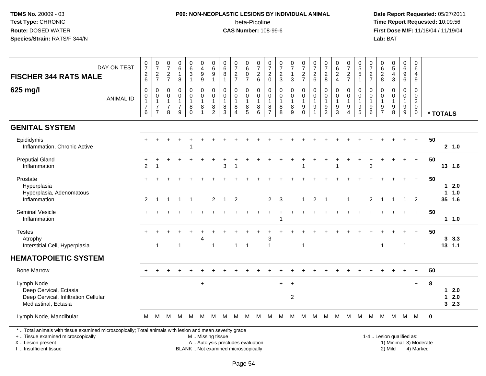## **P09: NON-NEOPLASTIC LESIONS BY INDIVIDUAL ANIMAL**beta-Picoline<br>CAS Number: 108-99-6

 **Date Report Requested:** 05/27/2011 **Time Report Requested:** 10:09:56 **First Dose M/F:** 11/18/04 / 11/19/04<br>**Lab:** BAT **Lab:** BAT

| <b>FISCHER 344 RATS MALE</b>                                                                                                                                        | DAY ON TEST      | $\begin{smallmatrix}0\\7\end{smallmatrix}$<br>$^2\phantom{1}6$      | $\frac{0}{7}$<br>$\frac{2}{7}$                                      | $\frac{0}{7}$<br>$\frac{2}{7}$                                    | $_6^0$<br>$\mathbf{1}$<br>8                                       | $\begin{matrix} 0 \\ 6 \\ 3 \end{matrix}$<br>$\mathbf{1}$      | $\begin{smallmatrix} 0\\4 \end{smallmatrix}$<br>$\boldsymbol{9}$<br>$\boldsymbol{9}$ | 0<br>$\,6\,$<br>$\boldsymbol{9}$                                        | $\begin{array}{c} 0 \\ 6 \end{array}$<br>8<br>$\mathbf{1}$ | 0<br>$\overline{7}$<br>$\frac{2}{7}$               | 0<br>6<br>$\mathsf 0$<br>$\overline{7}$              | 0<br>$\overline{7}$<br>$\frac{2}{6}$                 | $\frac{0}{7}$<br>$^2_{\rm 0}$                                 | $\frac{0}{7}$<br>$\frac{2}{3}$             | $\frac{0}{7}$<br>$\mathbf{1}$<br>$\mathbf{3}$              | $\frac{0}{7}$<br>$\frac{2}{7}$                                              | $\frac{0}{7}$<br>$\begin{array}{c} 2 \\ 6 \end{array}$ | $\frac{0}{7}$<br>$\frac{2}{8}$                                               | 0<br>$rac{6}{4}$                                       | $\frac{0}{7}$<br>$\frac{2}{7}$                                                   | 0<br>$\sqrt{5}$<br>$\overline{5}$<br>$\mathbf{1}$                   | $\frac{0}{7}$<br>$\frac{2}{7}$            | $_6^0$<br>$\frac{2}{8}$                                 | $\begin{array}{c} 0 \\ 5 \end{array}$<br>$\overline{4}$<br>$\mathfrak{Z}$ | $\pmb{0}$<br>6<br>$\boldsymbol{9}$<br>6              | 0<br>6<br>4<br>9                                                           |             |         |                          |
|---------------------------------------------------------------------------------------------------------------------------------------------------------------------|------------------|---------------------------------------------------------------------|---------------------------------------------------------------------|-------------------------------------------------------------------|-------------------------------------------------------------------|----------------------------------------------------------------|--------------------------------------------------------------------------------------|-------------------------------------------------------------------------|------------------------------------------------------------|----------------------------------------------------|------------------------------------------------------|------------------------------------------------------|---------------------------------------------------------------|--------------------------------------------|------------------------------------------------------------|-----------------------------------------------------------------------------|--------------------------------------------------------|------------------------------------------------------------------------------|--------------------------------------------------------|----------------------------------------------------------------------------------|---------------------------------------------------------------------|-------------------------------------------|---------------------------------------------------------|---------------------------------------------------------------------------|------------------------------------------------------|----------------------------------------------------------------------------|-------------|---------|--------------------------|
| 625 mg/l                                                                                                                                                            | <b>ANIMAL ID</b> | $\pmb{0}$<br>$\mathbf 0$<br>$\overline{1}$<br>$\boldsymbol{7}$<br>6 | $\mathbf 0$<br>$\mathbf 0$<br>1<br>$\overline{7}$<br>$\overline{7}$ | $\mathbf 0$<br>$\mathbf 0$<br>$\mathbf{1}$<br>$\overline{7}$<br>8 | $\mathbf 0$<br>$\mathbf 0$<br>$\mathbf{1}$<br>$\overline{7}$<br>9 | $\mathsf 0$<br>$\mathbf 0$<br>$\mathbf{1}$<br>8<br>$\mathbf 0$ | $\mathbf 0$<br>$\pmb{0}$<br>$\mathbf{1}$<br>$\bf 8$<br>$\overline{1}$                | $\mathbf 0$<br>$\mathbf 0$<br>$\mathbf{1}$<br>$\bf 8$<br>$\overline{2}$ | $\mathbf 0$<br>$\mathbf 0$<br>$\mathbf{1}$<br>8<br>3       | 0<br>$\mathbf 0$<br>$\overline{1}$<br>$\bf 8$<br>4 | $\mathbf 0$<br>$\mathsf 0$<br>$\mathbf{1}$<br>8<br>5 | $\mathbf 0$<br>$\mathbf 0$<br>$\mathbf{1}$<br>8<br>6 | 0<br>$\mathbf 0$<br>$\mathbf{1}$<br>$\bf 8$<br>$\overline{7}$ | 0<br>$\mathbf 0$<br>$\mathbf{1}$<br>8<br>8 | $\mathbf 0$<br>$\mathbf 0$<br>$\mathbf{1}$<br>$\bf 8$<br>9 | $\mathbf 0$<br>$\pmb{0}$<br>$\mathbf{1}$<br>$\boldsymbol{9}$<br>$\mathbf 0$ | $\Omega$<br>$\mathbf 0$<br>$\mathbf 1$<br>9            | $\pmb{0}$<br>$\pmb{0}$<br>$\mathbf{1}$<br>$\boldsymbol{9}$<br>$\overline{2}$ | $\mathbf 0$<br>$\mathbf 0$<br>$\overline{1}$<br>9<br>3 | $\mathbf 0$<br>$\mathbf 0$<br>$\mathbf{1}$<br>$\boldsymbol{9}$<br>$\overline{4}$ | $\mathbf 0$<br>$\mathbf 0$<br>$\mathbf{1}$<br>$\boldsymbol{9}$<br>5 | $\mathbf 0$<br>$\mathbf 0$<br>1<br>9<br>6 | 0<br>$\mathbf 0$<br>$\mathbf{1}$<br>9<br>$\overline{7}$ | $\mathbf 0$<br>$\mathbf 0$<br>$\mathbf{1}$<br>$\boldsymbol{9}$<br>8       | $\mathbf 0$<br>$\mathbf 0$<br>$\mathbf{1}$<br>9<br>9 | $\Omega$<br>$\mathbf 0$<br>$\overline{2}$<br>$\overline{0}$<br>$\mathbf 0$ | * TOTALS    |         |                          |
| <b>GENITAL SYSTEM</b>                                                                                                                                               |                  |                                                                     |                                                                     |                                                                   |                                                                   |                                                                |                                                                                      |                                                                         |                                                            |                                                    |                                                      |                                                      |                                                               |                                            |                                                            |                                                                             |                                                        |                                                                              |                                                        |                                                                                  |                                                                     |                                           |                                                         |                                                                           |                                                      |                                                                            |             |         |                          |
| Epididymis<br>Inflammation, Chronic Active                                                                                                                          |                  |                                                                     |                                                                     |                                                                   |                                                                   |                                                                |                                                                                      |                                                                         |                                                            |                                                    |                                                      |                                                      |                                                               |                                            |                                                            |                                                                             |                                                        |                                                                              |                                                        |                                                                                  |                                                                     |                                           |                                                         |                                                                           |                                                      |                                                                            | 50          |         | 2, 1.0                   |
| <b>Preputial Gland</b><br>Inflammation                                                                                                                              |                  | $\overline{2}$                                                      | -1                                                                  |                                                                   |                                                                   |                                                                |                                                                                      |                                                                         | 3                                                          | -1                                                 |                                                      |                                                      |                                                               |                                            |                                                            |                                                                             |                                                        |                                                                              |                                                        |                                                                                  |                                                                     | 3                                         |                                                         |                                                                           |                                                      |                                                                            | 50          | 13 1.6  |                          |
| Prostate<br>Hyperplasia<br>Hyperplasia, Adenomatous<br>Inflammation                                                                                                 |                  | $\overline{2}$                                                      | 1                                                                   | $\mathbf{1}$                                                      | $\overline{1}$                                                    | $\overline{1}$                                                 |                                                                                      | $\overline{2}$                                                          | $\overline{1}$                                             | $\overline{2}$                                     |                                                      |                                                      | $\overline{2}$                                                | $\overline{\mathbf{3}}$                    |                                                            | $\mathbf{1}$                                                                | $\overline{2}$                                         | $\overline{1}$                                                               |                                                        | $\mathbf{1}$                                                                     |                                                                     | $\overline{2}$                            | $\overline{1}$                                          | $\overline{1}$                                                            | $\mathbf{1}$                                         | 2                                                                          | 50          | 35 1.6  | $12.0$<br>$1 1.0$        |
| Seminal Vesicle<br>Inflammation                                                                                                                                     |                  |                                                                     |                                                                     |                                                                   |                                                                   |                                                                |                                                                                      |                                                                         |                                                            |                                                    |                                                      |                                                      |                                                               | 1                                          |                                                            |                                                                             |                                                        |                                                                              |                                                        |                                                                                  |                                                                     |                                           |                                                         |                                                                           |                                                      | $+$                                                                        | 50          |         | 1 1.0                    |
| <b>Testes</b><br>Atrophy<br>Interstitial Cell, Hyperplasia                                                                                                          |                  |                                                                     | $\mathbf{1}$                                                        |                                                                   | $\mathbf{1}$                                                      |                                                                | Δ                                                                                    | $\overline{1}$                                                          |                                                            | $\mathbf{1}$                                       | $\overline{1}$                                       |                                                      | $\mathbf 1$                                                   |                                            |                                                            | $\mathbf{1}$                                                                |                                                        |                                                                              |                                                        |                                                                                  |                                                                     |                                           | $\mathbf{1}$                                            |                                                                           | $\mathbf{1}$                                         |                                                                            | 50          | 13, 1.1 | 3.3.3                    |
| <b>HEMATOPOIETIC SYSTEM</b>                                                                                                                                         |                  |                                                                     |                                                                     |                                                                   |                                                                   |                                                                |                                                                                      |                                                                         |                                                            |                                                    |                                                      |                                                      |                                                               |                                            |                                                            |                                                                             |                                                        |                                                                              |                                                        |                                                                                  |                                                                     |                                           |                                                         |                                                                           |                                                      |                                                                            |             |         |                          |
| <b>Bone Marrow</b>                                                                                                                                                  |                  |                                                                     |                                                                     |                                                                   |                                                                   |                                                                |                                                                                      |                                                                         |                                                            |                                                    |                                                      |                                                      |                                                               |                                            |                                                            |                                                                             |                                                        |                                                                              |                                                        |                                                                                  |                                                                     |                                           |                                                         |                                                                           |                                                      |                                                                            | 50          |         |                          |
| Lymph Node<br>Deep Cervical, Ectasia<br>Deep Cervical, Infiltration Cellular<br>Mediastinal, Ectasia                                                                |                  |                                                                     |                                                                     |                                                                   |                                                                   |                                                                | $+$                                                                                  |                                                                         |                                                            |                                                    |                                                      |                                                      |                                                               | $+$                                        | $+$<br>$\overline{2}$                                      |                                                                             |                                                        |                                                                              |                                                        |                                                                                  |                                                                     |                                           |                                                         |                                                                           |                                                      | $+$                                                                        | 8           |         | $12.0$<br>$12.0$<br>32.3 |
| Lymph Node, Mandibular                                                                                                                                              |                  | м                                                                   | M                                                                   | M                                                                 | M                                                                 | M                                                              | M                                                                                    | м                                                                       | M                                                          | M                                                  | M                                                    | M                                                    |                                                               | M M                                        | M                                                          | M                                                                           |                                                        | M M                                                                          | <b>M</b>                                               | M                                                                                |                                                                     |                                           | M M M M                                                 |                                                                           | M M                                                  |                                                                            | $\mathbf 0$ |         |                          |
| *  Total animals with tissue examined microscopically; Total animals with lesion and mean severity grade<br>+  Tissue examined microscopically<br>X  Lesion present |                  |                                                                     |                                                                     |                                                                   |                                                                   |                                                                | M  Missing tissue                                                                    |                                                                         | A  Autolysis precludes evaluation                          |                                                    |                                                      |                                                      |                                                               |                                            |                                                            |                                                                             |                                                        |                                                                              |                                                        |                                                                                  |                                                                     |                                           | 1-4  Lesion qualified as:                               |                                                                           |                                                      | 1) Minimal 3) Moderate                                                     |             |         |                          |

I .. Insufficient tissue

BLANK .. Not examined microscopically 2) Mild 4) Marked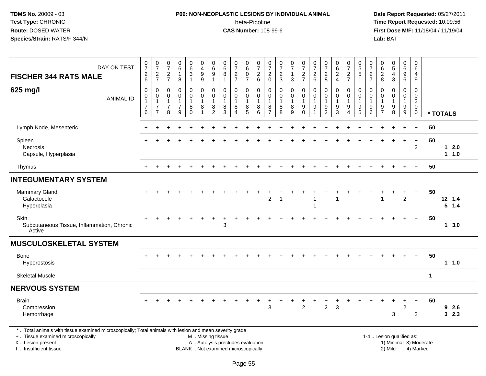## **P09: NON-NEOPLASTIC LESIONS BY INDIVIDUAL ANIMAL**beta-Picoline<br>CAS Number: 108-99-6

| DAY ON TEST<br><b>FISCHER 344 RATS MALE</b>                                                                                                                                                   | $\frac{0}{7}$<br>$^2\phantom{1}6$                                    | $\frac{0}{7}$<br>$\frac{2}{7}$                                     | $\pmb{0}$<br>$\overline{7}$<br>$\frac{2}{7}$            | $\begin{array}{c} 0 \\ 6 \end{array}$<br>$\mathbf{1}$<br>8                     | $\begin{array}{c} 0 \\ 6 \end{array}$<br>$\overline{3}$<br>$\overline{1}$ | $\pmb{0}$<br>$\overline{\mathbf{4}}$<br>.<br>9                                                | $\begin{matrix} 0 \\ 6 \\ 9 \end{matrix}$<br>$\mathbf{1}$ | 0<br>$\,6\,$<br>$\,8\,$<br>$\mathbf{1}$                           | $\begin{array}{c} 0 \\ 7 \end{array}$<br>$\frac{2}{7}$                  | 06007                                                                     | $\begin{matrix} 0 \\ 7 \end{matrix}$<br>$\frac{2}{6}$             | $\frac{0}{7}$<br>$^2_{\rm 0}$                           | $\frac{0}{7}$<br>$\frac{2}{3}$                       | $\begin{array}{c} 0 \\ 7 \end{array}$<br>1<br>$\mathbf{3}$            | $\begin{smallmatrix}0\\7\end{smallmatrix}$<br>$\frac{2}{7}$                     | $\frac{0}{7}$<br>$\frac{2}{6}$                                                         | $\frac{0}{7}$<br>$\overline{c}$<br>8                        | 0<br>$\frac{6}{2}$                                          | $\frac{0}{7}$<br>$\frac{2}{7}$                                         | $0$<br>5<br>5<br>5<br>1                                                | $\frac{0}{7}$<br>$\frac{2}{7}$                                                    | $\pmb{0}$<br>$\,6\,$<br>$\frac{2}{8}$                                            | $\frac{0}{5}$<br>$\frac{4}{3}$                              | 0<br>6<br>6<br>6                                               | 0<br>6<br>$\overline{4}$<br>$9\,$                                          |                        |          |              |
|-----------------------------------------------------------------------------------------------------------------------------------------------------------------------------------------------|----------------------------------------------------------------------|--------------------------------------------------------------------|---------------------------------------------------------|--------------------------------------------------------------------------------|---------------------------------------------------------------------------|-----------------------------------------------------------------------------------------------|-----------------------------------------------------------|-------------------------------------------------------------------|-------------------------------------------------------------------------|---------------------------------------------------------------------------|-------------------------------------------------------------------|---------------------------------------------------------|------------------------------------------------------|-----------------------------------------------------------------------|---------------------------------------------------------------------------------|----------------------------------------------------------------------------------------|-------------------------------------------------------------|-------------------------------------------------------------|------------------------------------------------------------------------|------------------------------------------------------------------------|-----------------------------------------------------------------------------------|----------------------------------------------------------------------------------|-------------------------------------------------------------|----------------------------------------------------------------|----------------------------------------------------------------------------|------------------------|----------|--------------|
| 625 mg/l<br><b>ANIMAL ID</b>                                                                                                                                                                  | $\mathbf 0$<br>0<br>$\mathbf{1}$<br>$\overline{\mathbf{7}}$<br>$\,6$ | 0<br>$\pmb{0}$<br>$\mathbf{1}$<br>$\overline{7}$<br>$\overline{7}$ | $\mathbf 0$<br>0<br>$\mathbf{1}$<br>$\overline{7}$<br>8 | $\pmb{0}$<br>$\mathbf 0$<br>$\mathbf{1}$<br>$\overline{7}$<br>$\boldsymbol{9}$ | 0<br>$\mathbf 0$<br>$\mathbf{1}$<br>8<br>$\mathbf 0$                      | $\mathbf 0$<br>$\pmb{0}$<br>$\mathbf{1}$<br>$\bf 8$<br>$\overline{1}$                         | 0<br>0<br>$\mathbf{1}$<br>8<br>$\overline{2}$             | $\mathbf 0$<br>$\mathbf 0$<br>$\mathbf{1}$<br>8<br>$\overline{3}$ | $\mathbf 0$<br>$\mathbf 0$<br>$\mathbf{1}$<br>$\bf 8$<br>$\overline{A}$ | 0<br>$\mathbf 0$<br>$\mathbf{1}$<br>$\begin{array}{c} 8 \\ 5 \end{array}$ | $\mathbf 0$<br>$\mathsf{O}\xspace$<br>$\mathbf{1}$<br>$\, 8$<br>6 | 0<br>$\mathsf 0$<br>$\mathbf{1}$<br>8<br>$\overline{7}$ | $\mathbf 0$<br>$\mathbf 0$<br>$\mathbf{1}$<br>8<br>8 | $\mathbf 0$<br>$\pmb{0}$<br>$\mathbf{1}$<br>$\bf 8$<br>$\overline{9}$ | $\mathbf 0$<br>$\mathbf 0$<br>$\overline{1}$<br>$\boldsymbol{9}$<br>$\mathbf 0$ | $\mathbf 0$<br>$\mathsf{O}\xspace$<br>$\mathbf{1}$<br>$\boldsymbol{9}$<br>$\mathbf{1}$ | 0<br>$\mathbf 0$<br>1<br>$\boldsymbol{9}$<br>$\overline{c}$ | $\mathbf 0$<br>$\mathbf 0$<br>$\mathbf{1}$<br>$\frac{9}{3}$ | 0<br>$\mathbf 0$<br>$\mathbf{1}$<br>$\boldsymbol{9}$<br>$\overline{4}$ | 0<br>$\mathbf 0$<br>$\mathbf{1}$<br>$\boldsymbol{9}$<br>$\overline{5}$ | $\mathbf 0$<br>$\mathbf 0$<br>$\mathbf{1}$<br>$\boldsymbol{9}$<br>$6\phantom{1}6$ | $\mathbf 0$<br>$\mathbf 0$<br>$\mathbf{1}$<br>$\boldsymbol{9}$<br>$\overline{7}$ | $\mathbf 0$<br>$\mathbf 0$<br>$\mathbf{1}$<br>$\frac{9}{8}$ | $\mathsf 0$<br>$\overline{0}$<br>$\mathbf{1}$<br>$\frac{9}{9}$ | $\mathbf 0$<br>$\mathbf 0$<br>$\overline{2}$<br>$\mathbf 0$<br>$\mathbf 0$ |                        | * TOTALS |              |
| Lymph Node, Mesenteric                                                                                                                                                                        |                                                                      |                                                                    |                                                         |                                                                                |                                                                           |                                                                                               |                                                           |                                                                   |                                                                         |                                                                           |                                                                   |                                                         |                                                      |                                                                       |                                                                                 |                                                                                        |                                                             |                                                             |                                                                        |                                                                        |                                                                                   |                                                                                  |                                                             | $\div$                                                         | $\ddot{}$                                                                  | 50                     |          |              |
| Spleen<br>Necrosis<br>Capsule, Hyperplasia                                                                                                                                                    |                                                                      |                                                                    |                                                         |                                                                                |                                                                           |                                                                                               |                                                           |                                                                   |                                                                         |                                                                           |                                                                   |                                                         |                                                      |                                                                       |                                                                                 |                                                                                        |                                                             |                                                             |                                                                        |                                                                        |                                                                                   |                                                                                  |                                                             | $\ddot{}$                                                      | $\ddot{}$<br>$\overline{2}$                                                | 50                     | 1        | 2.0<br>11.0  |
| Thymus                                                                                                                                                                                        |                                                                      |                                                                    |                                                         |                                                                                |                                                                           |                                                                                               |                                                           |                                                                   |                                                                         |                                                                           |                                                                   |                                                         |                                                      |                                                                       |                                                                                 |                                                                                        |                                                             |                                                             |                                                                        |                                                                        |                                                                                   |                                                                                  |                                                             |                                                                | $\ddot{}$                                                                  | 50                     |          |              |
| <b>INTEGUMENTARY SYSTEM</b>                                                                                                                                                                   |                                                                      |                                                                    |                                                         |                                                                                |                                                                           |                                                                                               |                                                           |                                                                   |                                                                         |                                                                           |                                                                   |                                                         |                                                      |                                                                       |                                                                                 |                                                                                        |                                                             |                                                             |                                                                        |                                                                        |                                                                                   |                                                                                  |                                                             |                                                                |                                                                            |                        |          |              |
| Mammary Gland<br>Galactocele<br>Hyperplasia                                                                                                                                                   |                                                                      |                                                                    |                                                         |                                                                                |                                                                           |                                                                                               |                                                           |                                                                   |                                                                         |                                                                           |                                                                   | $\overline{c}$                                          |                                                      |                                                                       |                                                                                 | 1<br>1                                                                                 |                                                             |                                                             |                                                                        |                                                                        |                                                                                   | $\mathbf{1}$                                                                     |                                                             | $\overline{c}$                                                 | $\ddot{}$                                                                  | 50                     | 12 1.4   | 5 1.4        |
| Skin<br>Subcutaneous Tissue, Inflammation, Chronic<br>Active                                                                                                                                  |                                                                      |                                                                    |                                                         |                                                                                |                                                                           |                                                                                               |                                                           | 3                                                                 |                                                                         |                                                                           |                                                                   |                                                         |                                                      |                                                                       |                                                                                 |                                                                                        |                                                             |                                                             |                                                                        |                                                                        |                                                                                   |                                                                                  |                                                             |                                                                | $+$                                                                        | 50                     |          | 13.0         |
| <b>MUSCULOSKELETAL SYSTEM</b>                                                                                                                                                                 |                                                                      |                                                                    |                                                         |                                                                                |                                                                           |                                                                                               |                                                           |                                                                   |                                                                         |                                                                           |                                                                   |                                                         |                                                      |                                                                       |                                                                                 |                                                                                        |                                                             |                                                             |                                                                        |                                                                        |                                                                                   |                                                                                  |                                                             |                                                                |                                                                            |                        |          |              |
| <b>Bone</b><br>Hyperostosis                                                                                                                                                                   |                                                                      |                                                                    |                                                         |                                                                                |                                                                           |                                                                                               |                                                           |                                                                   |                                                                         |                                                                           |                                                                   |                                                         |                                                      |                                                                       |                                                                                 |                                                                                        |                                                             |                                                             |                                                                        |                                                                        |                                                                                   |                                                                                  |                                                             |                                                                | $+$                                                                        | 50                     |          | 11.0         |
| <b>Skeletal Muscle</b>                                                                                                                                                                        |                                                                      |                                                                    |                                                         |                                                                                |                                                                           |                                                                                               |                                                           |                                                                   |                                                                         |                                                                           |                                                                   |                                                         |                                                      |                                                                       |                                                                                 |                                                                                        |                                                             |                                                             |                                                                        |                                                                        |                                                                                   |                                                                                  |                                                             |                                                                |                                                                            | $\mathbf{1}$           |          |              |
| <b>NERVOUS SYSTEM</b>                                                                                                                                                                         |                                                                      |                                                                    |                                                         |                                                                                |                                                                           |                                                                                               |                                                           |                                                                   |                                                                         |                                                                           |                                                                   |                                                         |                                                      |                                                                       |                                                                                 |                                                                                        |                                                             |                                                             |                                                                        |                                                                        |                                                                                   |                                                                                  |                                                             |                                                                |                                                                            |                        |          |              |
| <b>Brain</b><br>Compression<br>Hemorrhage                                                                                                                                                     |                                                                      |                                                                    |                                                         |                                                                                |                                                                           |                                                                                               |                                                           |                                                                   |                                                                         |                                                                           |                                                                   | $\mathbf{3}$                                            |                                                      |                                                                       | $\overline{a}$                                                                  |                                                                                        | $\overline{c}$                                              | 3                                                           |                                                                        |                                                                        |                                                                                   |                                                                                  | 3                                                           | $\boldsymbol{2}$                                               | $\ddot{}$<br>$\overline{2}$                                                | 50                     |          | 92.6<br>32.3 |
| *  Total animals with tissue examined microscopically; Total animals with lesion and mean severity grade<br>+  Tissue examined microscopically<br>X  Lesion present<br>I. Insufficient tissue |                                                                      |                                                                    |                                                         |                                                                                |                                                                           | M  Missing tissue<br>A  Autolysis precludes evaluation<br>BLANK  Not examined microscopically |                                                           |                                                                   |                                                                         |                                                                           |                                                                   |                                                         |                                                      |                                                                       |                                                                                 |                                                                                        |                                                             |                                                             |                                                                        |                                                                        |                                                                                   |                                                                                  | 1-4  Lesion qualified as:<br>2) Mild                        |                                                                | 4) Marked                                                                  | 1) Minimal 3) Moderate |          |              |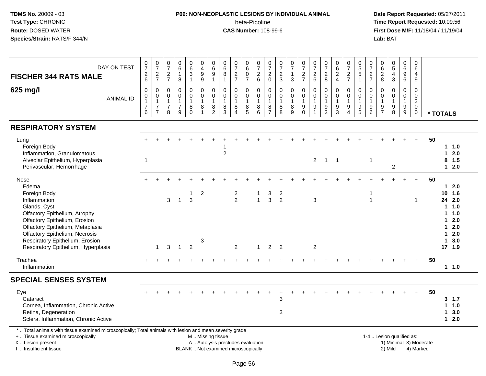## **P09: NON-NEOPLASTIC LESIONS BY INDIVIDUAL ANIMAL**beta-Picoline<br>CAS Number: 108-99-6

| DAY ON TEST<br><b>FISCHER 344 RATS MALE</b>                                                                                                                                                                                                                                     | $\frac{0}{7}$<br>$^2\phantom{1}6$                                 | $\frac{0}{7}$<br>$\frac{2}{7}$                                                   | $\frac{0}{7}$<br>$\overline{2}$<br>$\overline{7}$              | 0<br>$\,6\,$<br>$\mathbf{1}$<br>$\,8\,$                        | $_{6}^{\rm 0}$<br>1                              | $\begin{smallmatrix}0\\4\end{smallmatrix}$<br>$\overline{3}$<br>$\boldsymbol{9}$<br>$9\,$ | 0<br>6<br>$\overline{9}$<br>$\mathbf{1}$                             | $_{6}^{\rm 0}$<br>$\overline{8}$<br>$\mathbf{1}$                                              | $\begin{array}{c} 0 \\ 7 \end{array}$<br>$\frac{2}{7}$                  | $\begin{array}{c} 0 \\ 6 \end{array}$<br>$\mathbf 0$<br>$\overline{7}$ | $\frac{0}{7}$<br>$\frac{2}{6}$                         | 0<br>$\overline{7}$<br>$\overline{2}$<br>$\mathbf 0$              | $\frac{0}{7}$<br>$\frac{2}{3}$                         | $\frac{0}{7}$<br>$\mathbf{1}$<br>3         | $\frac{0}{7}$<br>$\frac{2}{7}$                                              | $\frac{0}{7}$<br>$\overline{c}$<br>6                 | $\frac{0}{7}$<br>$\overline{c}$<br>8                                | $\begin{array}{c} 0 \\ 6 \end{array}$<br>$\frac{2}{4}$      | $\frac{0}{7}$<br>$\frac{2}{7}$                                                   | 0<br>$\overline{5}$<br>$\sqrt{5}$<br>$\mathbf{1}$          | 0<br>$\overline{7}$<br>$\overline{2}$<br>$\overline{7}$ | 0<br>$\,6\,$<br>$\overline{c}$<br>$\,8\,$                         | $\begin{array}{c} 0 \\ 5 \end{array}$<br>4<br>3 | 0<br>$\,6\,$<br>$\boldsymbol{9}$<br>$6\phantom{1}$   | 0<br>6<br>4<br>9                                                        |                        |                                         |                                                                                      |
|---------------------------------------------------------------------------------------------------------------------------------------------------------------------------------------------------------------------------------------------------------------------------------|-------------------------------------------------------------------|----------------------------------------------------------------------------------|----------------------------------------------------------------|----------------------------------------------------------------|--------------------------------------------------|-------------------------------------------------------------------------------------------|----------------------------------------------------------------------|-----------------------------------------------------------------------------------------------|-------------------------------------------------------------------------|------------------------------------------------------------------------|--------------------------------------------------------|-------------------------------------------------------------------|--------------------------------------------------------|--------------------------------------------|-----------------------------------------------------------------------------|------------------------------------------------------|---------------------------------------------------------------------|-------------------------------------------------------------|----------------------------------------------------------------------------------|------------------------------------------------------------|---------------------------------------------------------|-------------------------------------------------------------------|-------------------------------------------------|------------------------------------------------------|-------------------------------------------------------------------------|------------------------|-----------------------------------------|--------------------------------------------------------------------------------------|
| 625 mg/l<br><b>ANIMAL ID</b>                                                                                                                                                                                                                                                    | $\mathbf 0$<br>$\mathbf 0$<br>$\mathbf{1}$<br>$\overline{7}$<br>6 | $\mathbf 0$<br>$\mathbf 0$<br>$\overline{1}$<br>$\overline{7}$<br>$\overline{7}$ | $\Omega$<br>$\mathbf 0$<br>$\mathbf{1}$<br>$\overline{7}$<br>8 | $\Omega$<br>$\mathbf 0$<br>$\mathbf{1}$<br>$\overline{7}$<br>9 | $\mathbf 0$<br>$\mathbf 0$<br>1<br>8<br>$\Omega$ | $\mathbf 0$<br>$\mathsf{O}\xspace$<br>$\mathbf{1}$<br>8<br>$\overline{1}$                 | $\Omega$<br>$\mathbf 0$<br>$\mathbf{1}$<br>$\bf 8$<br>$\overline{2}$ | $\mathbf 0$<br>$\mathsf{O}\xspace$<br>$\mathbf{1}$<br>$\frac{8}{3}$                           | $\mathbf 0$<br>$\mathbf 0$<br>$\mathbf{1}$<br>$\bf 8$<br>$\overline{4}$ | $\mathbf 0$<br>$\mathbf 0$<br>$\overline{1}$<br>$\bf 8$<br>5           | $\mathbf 0$<br>$\mathbf 0$<br>$\overline{1}$<br>8<br>6 | $\mathbf 0$<br>$\mathbf 0$<br>$\mathbf{1}$<br>8<br>$\overline{7}$ | $\Omega$<br>$\mathbf 0$<br>$\mathbf{1}$<br>$\bf8$<br>8 | $\mathbf{0}$<br>$\mathbf 0$<br>1<br>8<br>9 | $\mathbf 0$<br>$\pmb{0}$<br>$\mathbf{1}$<br>$\boldsymbol{9}$<br>$\mathbf 0$ | $\mathbf 0$<br>$\mathsf 0$<br>$\mathbf{1}$<br>9<br>1 | $\mathbf 0$<br>$\mathsf{O}\xspace$<br>$\mathbf{1}$<br>$\frac{9}{2}$ | $\mathbf 0$<br>$\mathbf 0$<br>$\mathbf{1}$<br>$\frac{9}{3}$ | $\mathbf 0$<br>$\mathbf 0$<br>$\mathbf{1}$<br>$\boldsymbol{9}$<br>$\overline{4}$ | $\mathbf 0$<br>$\mathbf 0$<br>$\overline{1}$<br>$9\,$<br>5 | $\mathbf 0$<br>$\mathbf 0$<br>$\mathbf{1}$<br>9<br>6    | $\Omega$<br>$\Omega$<br>$\overline{1}$<br>$9\,$<br>$\overline{7}$ | $\mathbf{0}$<br>$\overline{0}$<br>1<br>9<br>8   | $\mathbf 0$<br>$\mathbf 0$<br>$\mathbf{1}$<br>$^9_9$ | $\Omega$<br>$\mathbf 0$<br>$\overline{2}$<br>$\mathbf 0$<br>$\mathbf 0$ |                        | * TOTALS                                |                                                                                      |
| <b>RESPIRATORY SYSTEM</b>                                                                                                                                                                                                                                                       |                                                                   |                                                                                  |                                                                |                                                                |                                                  |                                                                                           |                                                                      |                                                                                               |                                                                         |                                                                        |                                                        |                                                                   |                                                        |                                            |                                                                             |                                                      |                                                                     |                                                             |                                                                                  |                                                            |                                                         |                                                                   |                                                 |                                                      |                                                                         |                        |                                         |                                                                                      |
| Lung<br>Foreign Body<br>Inflammation, Granulomatous<br>Alveolar Epithelium, Hyperplasia<br>Perivascular, Hemorrhage                                                                                                                                                             | -1                                                                |                                                                                  |                                                                |                                                                |                                                  |                                                                                           |                                                                      | $\boldsymbol{2}$                                                                              |                                                                         |                                                                        |                                                        |                                                                   |                                                        |                                            |                                                                             | $\overline{2}$                                       | $\mathbf{1}$                                                        | $\overline{\phantom{0}}$ 1                                  |                                                                                  |                                                            | $\mathbf{1}$                                            |                                                                   | $\overline{c}$                                  |                                                      |                                                                         | 50                     | $\mathbf 1$<br>8                        | 1 1.0<br>2.0<br>1.5<br>$12.0$                                                        |
| Nose<br>Edema<br>Foreign Body<br>Inflammation<br>Glands, Cyst<br>Olfactory Epithelium, Atrophy<br>Olfactory Epithelium, Erosion<br>Olfactory Epithelium, Metaplasia<br>Olfactory Epithelium, Necrosis<br>Respiratory Epithelium, Erosion<br>Respiratory Epithelium, Hyperplasia |                                                                   | $\mathbf{1}$                                                                     | 3<br>3                                                         | 1<br>$\overline{1}$                                            | 1<br>3<br>$\overline{2}$                         | 2<br>3                                                                                    |                                                                      |                                                                                               | $\overline{2}$<br>$\overline{2}$<br>$\overline{2}$                      |                                                                        | $\overline{1}$<br>$\overline{1}$<br>$\mathbf{1}$       | 3<br>$\overline{3}$                                               | $\overline{2}$<br>$\overline{2}$<br>2 <sub>2</sub>     |                                            |                                                                             | 3<br>$\overline{2}$                                  |                                                                     |                                                             |                                                                                  |                                                            | 1<br>$\mathbf{1}$                                       |                                                                   |                                                 |                                                      | $\ddot{}$<br>$\mathbf 1$                                                | 50                     | 1.<br>1.<br>$\mathbf 1$<br>$\mathbf{1}$ | 12.0<br>10, 1.6<br>24 2.0<br>$1 \t1.0$<br>11.0<br>2.0<br>2.0<br>2.0<br>3.0<br>17 1.9 |
| Trachea<br>Inflammation                                                                                                                                                                                                                                                         |                                                                   |                                                                                  |                                                                |                                                                |                                                  |                                                                                           |                                                                      |                                                                                               |                                                                         |                                                                        |                                                        |                                                                   |                                                        |                                            |                                                                             |                                                      |                                                                     |                                                             |                                                                                  |                                                            |                                                         |                                                                   |                                                 |                                                      |                                                                         | 50                     |                                         | $1 1.0$                                                                              |
| <b>SPECIAL SENSES SYSTEM</b>                                                                                                                                                                                                                                                    |                                                                   |                                                                                  |                                                                |                                                                |                                                  |                                                                                           |                                                                      |                                                                                               |                                                                         |                                                                        |                                                        |                                                                   |                                                        |                                            |                                                                             |                                                      |                                                                     |                                                             |                                                                                  |                                                            |                                                         |                                                                   |                                                 |                                                      |                                                                         |                        |                                         |                                                                                      |
| Eye<br>Cataract<br>Cornea, Inflammation, Chronic Active<br>Retina, Degeneration<br>Sclera, Inflammation, Chronic Active                                                                                                                                                         |                                                                   |                                                                                  |                                                                |                                                                |                                                  |                                                                                           |                                                                      |                                                                                               |                                                                         |                                                                        |                                                        |                                                                   | 3<br>3                                                 |                                            |                                                                             |                                                      |                                                                     |                                                             |                                                                                  |                                                            |                                                         |                                                                   |                                                 |                                                      |                                                                         | 50                     | 1.<br>1                                 | 3, 1.7<br>1 1.0<br>3.0<br>2.0                                                        |
| *  Total animals with tissue examined microscopically; Total animals with lesion and mean severity grade<br>+  Tissue examined microscopically<br>X  Lesion present<br>I  Insufficient tissue                                                                                   |                                                                   |                                                                                  |                                                                |                                                                |                                                  |                                                                                           |                                                                      | M  Missing tissue<br>A  Autolysis precludes evaluation<br>BLANK  Not examined microscopically |                                                                         |                                                                        |                                                        |                                                                   |                                                        |                                            |                                                                             |                                                      |                                                                     |                                                             |                                                                                  |                                                            |                                                         | 1-4  Lesion qualified as:                                         | 2) Mild                                         |                                                      | 4) Marked                                                               | 1) Minimal 3) Moderate |                                         |                                                                                      |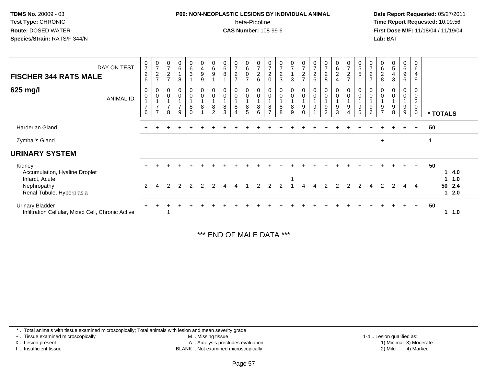### **P09: NON-NEOPLASTIC LESIONS BY INDIVIDUAL ANIMAL** beta-Picoline**beta-Picoline**<br> **CAS Number:** 108-99-6<br> **CAS Number:** 108-99-6<br> **CAS Number:** 108-99-6

 **Date Report Requested:** 05/27/2011 **First Dose M/F:** 11/18/04 / 11/19/04 Lab: BAT **Lab:** BAT

| DAY ON TEST<br><b>FISCHER 344 RATS MALE</b>                                 | $\frac{0}{7}$<br>$\frac{2}{6}$        | $\frac{0}{7}$<br>$\sqrt{2}$<br>$\overline{ }$        | $\begin{array}{c} 0 \\ 7 \end{array}$<br>$\sqrt{2}$<br>$\overline{7}$ | 0<br>6<br>$\mathbf{1}$<br>8   | $\begin{matrix} 0 \\ 6 \end{matrix}$<br>3 | $\mathbf 0$<br>$\begin{array}{c} 4 \\ 9 \\ 9 \end{array}$ | $\begin{array}{c} 0 \\ 6 \end{array}$<br>$\boldsymbol{9}$      | $\begin{matrix} 0 \\ 6 \end{matrix}$<br>8 | $\frac{0}{7}$<br>$\overline{c}$<br>$\overline{ }$ | $_6^0$<br>$\mathsf 0$<br>$\overline{ }$ | $\frac{0}{7}$<br>$\overline{c}$<br>$\,6\,$      | $\begin{smallmatrix}0\\7\end{smallmatrix}$<br>$\overline{c}$<br>$\mathbf 0$ | $\boldsymbol{0}$<br>$\overline{7}$<br>$\boldsymbol{2}$<br>3 | $\frac{0}{7}$<br>$\overline{A}$<br>3 | $\frac{0}{7}$<br>$\frac{2}{7}$ | $\frac{0}{7}$<br>$\sqrt{2}$<br>$\,6\,$                           | $\frac{0}{7}$<br>$\overline{2}$<br>8    | $\mathbf 0$<br>$\,6$<br>$\boldsymbol{2}$<br>4 | $\frac{0}{7}$<br>$\overline{c}$ | $\begin{array}{c} 0 \\ 5 \\ 5 \end{array}$        | $\begin{array}{c} 0 \\ 7 \end{array}$<br>$\overline{c}$<br>$\overline{ }$ | $_{6}^{\rm 0}$<br>$\overline{c}$<br>$\,8\,$ | $\boldsymbol{0}$<br>$\,$ 5 $\,$<br>4<br>3 | 0<br>6<br>9<br>6           | 0<br>$\,6$<br>$\overline{4}$<br>9                                |          |                              |  |
|-----------------------------------------------------------------------------|---------------------------------------|------------------------------------------------------|-----------------------------------------------------------------------|-------------------------------|-------------------------------------------|-----------------------------------------------------------|----------------------------------------------------------------|-------------------------------------------|---------------------------------------------------|-----------------------------------------|-------------------------------------------------|-----------------------------------------------------------------------------|-------------------------------------------------------------|--------------------------------------|--------------------------------|------------------------------------------------------------------|-----------------------------------------|-----------------------------------------------|---------------------------------|---------------------------------------------------|---------------------------------------------------------------------------|---------------------------------------------|-------------------------------------------|----------------------------|------------------------------------------------------------------|----------|------------------------------|--|
| 625 mg/l<br><b>ANIMAL ID</b>                                                | 0<br>$\pmb{0}$<br>$\overline{7}$<br>6 | 0<br>$\mathbf 0$<br>$\overline{7}$<br>$\overline{ }$ | $\begin{matrix} 0 \\ 0 \end{matrix}$<br>$\overline{7}$<br>8           | $_0^0$<br>$\overline{ }$<br>9 | 0<br>0<br>8<br>U                          | $_{\rm 0}^{\rm 0}$<br>$\overline{1}$<br>$\bf 8$           | $_{\rm 0}^{\rm 0}$<br>$\mathbf 1$<br>$\bf 8$<br>$\overline{2}$ | 0<br>$\pmb{0}$<br>8<br>3                  | 0<br>$\pmb{0}$<br>8<br>4                          | 0<br>$\mathsf{O}\xspace$<br>8<br>5      | $\mathbf 0$<br>$\boldsymbol{0}$<br>$\,8\,$<br>6 | $_{\rm 0}^{\rm 0}$<br>$\mathbf{1}$<br>8<br>$\overline{ }$                   | 0<br>$\pmb{0}$<br>8<br>8                                    | 0<br>$\mathsf{O}\xspace$<br>8<br>9   | $_0^0$<br>9<br>$\Omega$        | $\begin{smallmatrix} 0\\0 \end{smallmatrix}$<br>$\boldsymbol{9}$ | 0<br>$\mathbf 0$<br>9<br>$\overline{2}$ | 0<br>$\mathbf 0$<br>9<br>3                    | 0<br>0<br>9                     | $_{0}^{0}$<br>$\boldsymbol{9}$<br>$5\phantom{.0}$ | 0<br>$\mathbf 0$<br>$\boldsymbol{9}$<br>$\,6\,$                           | 0<br>0<br>9<br>$\overline{ }$               | 0<br>$\mathbf 0$<br>9<br>8                | 0<br>$\mathbf 0$<br>9<br>9 | 0<br>$\pmb{0}$<br>$\boldsymbol{2}$<br>$\mathbf 0$<br>$\mathbf 0$ | * TOTALS |                              |  |
| Harderian Gland                                                             |                                       |                                                      |                                                                       |                               |                                           |                                                           |                                                                |                                           |                                                   |                                         |                                                 |                                                                             |                                                             |                                      |                                |                                                                  |                                         |                                               |                                 |                                                   |                                                                           |                                             |                                           |                            |                                                                  | 50       |                              |  |
| Zymbal's Gland                                                              |                                       |                                                      |                                                                       |                               |                                           |                                                           |                                                                |                                           |                                                   |                                         |                                                 |                                                                             |                                                             |                                      |                                |                                                                  |                                         |                                               |                                 |                                                   |                                                                           | $+$                                         |                                           |                            |                                                                  | 1        |                              |  |
| <b>URINARY SYSTEM</b>                                                       |                                       |                                                      |                                                                       |                               |                                           |                                                           |                                                                |                                           |                                                   |                                         |                                                 |                                                                             |                                                             |                                      |                                |                                                                  |                                         |                                               |                                 |                                                   |                                                                           |                                             |                                           |                            |                                                                  |          |                              |  |
| Kidney<br>Accumulation, Hyaline Droplet                                     |                                       |                                                      |                                                                       |                               |                                           |                                                           |                                                                |                                           |                                                   |                                         |                                                 |                                                                             |                                                             |                                      |                                |                                                                  |                                         |                                               |                                 |                                                   |                                                                           |                                             |                                           |                            |                                                                  | 50       | 4.0                          |  |
| Infarct, Acute<br>Nephropathy<br>Renal Tubule, Hyperplasia                  | $\overline{2}$                        | Δ                                                    | 2                                                                     | $\mathfrak{D}$                | $\mathcal{P}$                             | $\mathcal{P}$                                             | $\mathcal{P}$                                                  | Δ                                         |                                                   |                                         |                                                 |                                                                             |                                                             |                                      |                                |                                                                  |                                         |                                               | $\mathcal{P}$                   | $\overline{2}$                                    | $\Delta$                                                                  | $\mathcal{P}$                               | $\mathcal{P}$                             | 4                          | 4                                                                |          | 1.0<br>50<br>2.4<br>2.0<br>1 |  |
| <b>Urinary Bladder</b><br>Infiltration Cellular, Mixed Cell, Chronic Active |                                       |                                                      |                                                                       |                               |                                           |                                                           |                                                                |                                           |                                                   |                                         |                                                 |                                                                             |                                                             |                                      |                                |                                                                  |                                         |                                               |                                 |                                                   |                                                                           |                                             |                                           |                            | $+$                                                              | 50       | 1.0                          |  |

\*\*\* END OF MALE DATA \*\*\*

\* .. Total animals with tissue examined microscopically; Total animals with lesion and mean severity grade

+ .. Tissue examined microscopically

X .. Lesion present

I .. Insufficient tissue

 M .. Missing tissueA .. Autolysis precludes evaluation

BLANK .. Not examined microscopically 2) Mild 4) Marked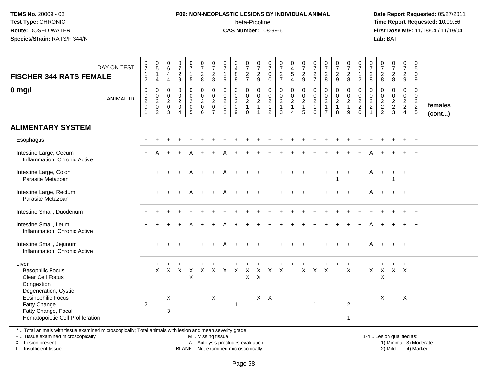### **P09: NON-NEOPLASTIC LESIONS BY INDIVIDUAL ANIMAL** beta-Picoline**beta-Picoline**<br> **CAS Number:** 108-99-6<br> **CAS Number:** 108-99-6<br> **CAS Number:** 108-99-6

 **Date Report Requested:** 05/27/2011 **First Dose M/F:** 11/18/04 / 11/19/04 Lab: BAT **Lab:** BAT

| <b>FISCHER 344 RATS FEMALE</b>                                                                | DAY ON TEST      | $\begin{array}{c} 0 \\ 7 \end{array}$<br>$\mathbf{1}$<br>$\overline{2}$ | $\begin{array}{c} 0 \\ 5 \\ 1 \end{array}$<br>$\overline{4}$ | $\begin{array}{c} 0 \\ 6 \end{array}$<br>$\overline{4}$<br>$\overline{4}$ | $\begin{array}{c} 0 \\ 7 \\ 2 \end{array}$<br>9                             | $\frac{0}{7}$<br>$\mathbf{1}$<br>$5\phantom{.0}$ | $\begin{array}{c} 0 \\ 7 \\ 2 \\ 8 \end{array}$ | $\frac{0}{7}$<br>$\frac{2}{8}$               | $\frac{0}{7}$<br>$\mathbf{1}$<br>9               | $\begin{array}{c} 0 \\ 4 \\ 8 \end{array}$<br>8  | $\frac{0}{7}$<br>$\frac{2}{7}$                                            | 0729                                                | $\frac{0}{7}$<br>$\mathbf 0$<br>$\mathbf 0$                                  | $\frac{0}{7}$<br>$\frac{2}{7}$                  | $\begin{array}{c} 0 \\ 4 \\ 5 \end{array}$<br>$\overline{4}$ | $\frac{0}{7}$<br>$\frac{2}{9}$                  | $\frac{0}{7}$<br>$\frac{2}{7}$    | $\frac{0}{7}$<br>$\frac{2}{8}$                                 | $\begin{array}{c} 0 \\ 7 \\ 2 \\ 9 \end{array}$   | $\frac{0}{7}$<br>$^2_{\bf 8}$                            | $\begin{array}{c} 0 \\ 7 \\ 1 \end{array}$<br>$\overline{2}$   | $\frac{0}{7}$<br>8                           | $\frac{0}{7}$<br>$\frac{2}{8}$                                 | 0728                              | $\begin{array}{c} 0 \\ 7 \end{array}$<br>$\frac{2}{9}$        | 0<br>$5\phantom{.0}$<br>$\mathbf 0$<br>9 |                   |
|-----------------------------------------------------------------------------------------------|------------------|-------------------------------------------------------------------------|--------------------------------------------------------------|---------------------------------------------------------------------------|-----------------------------------------------------------------------------|--------------------------------------------------|-------------------------------------------------|----------------------------------------------|--------------------------------------------------|--------------------------------------------------|---------------------------------------------------------------------------|-----------------------------------------------------|------------------------------------------------------------------------------|-------------------------------------------------|--------------------------------------------------------------|-------------------------------------------------|-----------------------------------|----------------------------------------------------------------|---------------------------------------------------|----------------------------------------------------------|----------------------------------------------------------------|----------------------------------------------|----------------------------------------------------------------|-----------------------------------|---------------------------------------------------------------|------------------------------------------|-------------------|
| $0$ mg/l                                                                                      | <b>ANIMAL ID</b> | 0<br>$\begin{smallmatrix} 0\\2\\0 \end{smallmatrix}$                    | $\boldsymbol{0}$<br>$\frac{0}{2}$<br>2                       | $\mathbf 0$<br>$\mathbf 0$<br>$\overline{2}$<br>$\mathbf 0$<br>3          | $\mathbf 0$<br>$\pmb{0}$<br>$\overline{2}$<br>$\mathbf 0$<br>$\overline{4}$ | 0<br>$\frac{0}{2}$<br>5                          | 0<br>$\frac{0}{2}$<br>6                         | $\pmb{0}$<br>$\frac{0}{2}$<br>$\overline{7}$ | $\mathbf 0$<br>$\frac{0}{2}$<br>$\mathbf 0$<br>8 | $\mathbf 0$<br>$\frac{0}{2}$<br>$\mathbf 0$<br>9 | 0<br>$\mathsf{O}\xspace$<br>$\overline{2}$<br>$\mathbf{1}$<br>$\mathbf 0$ | $\mathbf 0$<br>$\frac{0}{2}$<br>1<br>$\overline{1}$ | 0<br>$\mathsf{O}\xspace$<br>$\overline{2}$<br>$\mathbf{1}$<br>$\overline{2}$ | $\pmb{0}$<br>$\frac{0}{2}$<br>$\mathbf{1}$<br>3 | $\boldsymbol{0}$<br>$\frac{0}{2}$<br>1<br>$\overline{4}$     | $\mathbf 0$<br>$\frac{0}{2}$<br>1<br>$\sqrt{5}$ | $\mathbf 0$<br>$\frac{0}{2}$<br>6 | $\mathbf 0$<br>$\frac{0}{2}$<br>$\mathbf{1}$<br>$\overline{7}$ | $\mathbf 0$<br>$\frac{0}{2}$<br>$\mathbf{1}$<br>8 | $\mathbf 0$<br>$\mathsf{O}\xspace$<br>$\frac{2}{1}$<br>9 | $\mathbf 0$<br>$\begin{array}{c} 0 \\ 2 \\ 2 \\ 0 \end{array}$ | $\mathbf 0$<br>$\frac{0}{2}$<br>$\mathbf{1}$ | $\mathbf 0$<br>$\begin{array}{c} 0 \\ 2 \\ 2 \\ 2 \end{array}$ | $\mathbf 0$<br>$\frac{0}{2}$<br>3 | $\mathbf 0$<br>$\mathbf 0$<br>$\frac{2}{2}$<br>$\overline{4}$ | $\Omega$<br>$\mathbf 0$<br>$\frac{2}{2}$ | females<br>(cont) |
| <b>ALIMENTARY SYSTEM</b>                                                                      |                  |                                                                         |                                                              |                                                                           |                                                                             |                                                  |                                                 |                                              |                                                  |                                                  |                                                                           |                                                     |                                                                              |                                                 |                                                              |                                                 |                                   |                                                                |                                                   |                                                          |                                                                |                                              |                                                                |                                   |                                                               |                                          |                   |
| Esophagus                                                                                     |                  |                                                                         |                                                              |                                                                           |                                                                             |                                                  |                                                 |                                              |                                                  |                                                  |                                                                           |                                                     |                                                                              |                                                 |                                                              |                                                 |                                   |                                                                |                                                   |                                                          |                                                                |                                              |                                                                |                                   |                                                               |                                          |                   |
| Intestine Large, Cecum<br>Inflammation, Chronic Active                                        |                  | $+$                                                                     | A                                                            | $\ddot{}$                                                                 |                                                                             |                                                  |                                                 |                                              |                                                  |                                                  |                                                                           |                                                     |                                                                              |                                                 |                                                              |                                                 |                                   |                                                                |                                                   |                                                          |                                                                |                                              |                                                                |                                   |                                                               |                                          |                   |
| Intestine Large, Colon<br>Parasite Metazoan                                                   |                  |                                                                         |                                                              |                                                                           |                                                                             |                                                  |                                                 |                                              |                                                  |                                                  |                                                                           |                                                     |                                                                              |                                                 |                                                              |                                                 |                                   |                                                                |                                                   |                                                          |                                                                | A                                            |                                                                | $\overline{1}$                    | $\ddot{}$                                                     | $^{+}$                                   |                   |
| Intestine Large, Rectum<br>Parasite Metazoan                                                  |                  |                                                                         |                                                              |                                                                           |                                                                             |                                                  |                                                 |                                              |                                                  |                                                  |                                                                           |                                                     |                                                                              |                                                 |                                                              |                                                 |                                   |                                                                |                                                   |                                                          |                                                                |                                              |                                                                |                                   |                                                               |                                          |                   |
| Intestine Small, Duodenum                                                                     |                  |                                                                         |                                                              |                                                                           |                                                                             |                                                  |                                                 |                                              |                                                  |                                                  |                                                                           |                                                     |                                                                              |                                                 |                                                              |                                                 |                                   |                                                                |                                                   |                                                          |                                                                |                                              |                                                                |                                   |                                                               | $\ddot{}$                                |                   |
| Intestine Small, Ileum<br>Inflammation, Chronic Active                                        |                  |                                                                         |                                                              |                                                                           |                                                                             |                                                  |                                                 |                                              |                                                  |                                                  |                                                                           |                                                     |                                                                              |                                                 |                                                              |                                                 |                                   |                                                                |                                                   |                                                          |                                                                |                                              |                                                                |                                   |                                                               |                                          |                   |
| Intestine Small, Jejunum<br>Inflammation, Chronic Active                                      |                  |                                                                         |                                                              |                                                                           |                                                                             |                                                  |                                                 |                                              |                                                  |                                                  |                                                                           |                                                     |                                                                              |                                                 |                                                              |                                                 |                                   |                                                                |                                                   |                                                          |                                                                |                                              |                                                                |                                   |                                                               |                                          |                   |
| Liver<br><b>Basophilic Focus</b><br>Clear Cell Focus<br>Congestion<br>Degeneration, Cystic    |                  | $+$                                                                     | X                                                            | $\mathsf{X}$                                                              | $\mathsf{X}$                                                                | $\times$<br>X                                    | X                                               | X                                            | X                                                | X                                                | $\boldsymbol{\mathsf{X}}$<br>$\mathsf{X}$                                 | X<br>$\mathsf{X}$                                   | $\times$                                                                     | $\times$                                        |                                                              | $\mathsf X$                                     | X                                 | $\boldsymbol{\mathsf{X}}$                                      |                                                   | X                                                        |                                                                | $\boldsymbol{\mathsf{X}}$                    | $\boldsymbol{\mathsf{X}}$<br>X                                 |                                   | $X$ $X$                                                       |                                          |                   |
| Eosinophilic Focus<br>Fatty Change<br>Fatty Change, Focal<br>Hematopoietic Cell Proliferation |                  | $\overline{2}$                                                          |                                                              | $\boldsymbol{\mathsf{X}}$<br>3                                            |                                                                             |                                                  |                                                 | X                                            |                                                  | $\overline{1}$                                   |                                                                           | $X$ $X$                                             |                                                                              |                                                 |                                                              |                                                 | $\overline{1}$                    |                                                                |                                                   | $\overline{2}$<br>$\mathbf{1}$                           |                                                                |                                              | $\boldsymbol{\mathsf{X}}$                                      |                                   | $\boldsymbol{\mathsf{X}}$                                     |                                          |                   |

\* .. Total animals with tissue examined microscopically; Total animals with lesion and mean severity grade

+ .. Tissue examined microscopically

X .. Lesion present

I .. Insufficient tissue

M .. Missing tissue

A .. Autolysis precludes evaluation

BLANK .. Not examined microscopically 2) Mild 4) Marked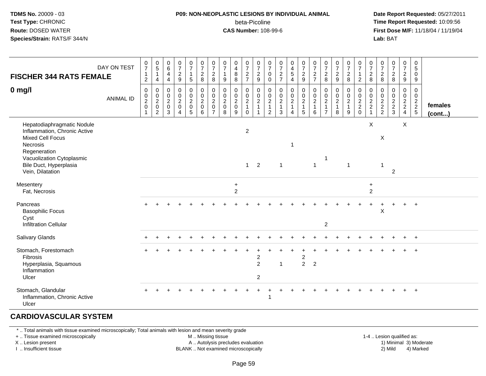### **P09: NON-NEOPLASTIC LESIONS BY INDIVIDUAL ANIMAL** beta-Picoline**beta-Picoline**<br> **CAS Number:** 108-99-6<br> **CAS Number:** 108-99-6<br> **CAS Number:** 108-99-6

 **Date Report Requested:** 05/27/2011 **First Dose M/F:** 11/18/04 / 11/19/04 Lab: BAT **Lab:** BAT

| <b>FISCHER 344 RATS FEMALE</b>                                                                                                                                                  | DAY ON TEST      | $\frac{0}{7}$<br>$\overline{2}$                          | $\begin{array}{c} 0 \\ 5 \end{array}$<br>$\mathbf{1}$<br>$\overline{4}$ | $\begin{array}{c} 0 \\ 6 \end{array}$<br>4<br>$\overline{4}$ | $\frac{0}{7}$<br>$\frac{2}{9}$                               | $\frac{0}{7}$<br>$\mathbf{1}$<br>$\sqrt{5}$                                     | $\frac{0}{7}$<br>$\overline{c}$<br>8                   | $\frac{0}{7}$<br>$_{8}^2$                    | $\frac{0}{7}$<br>$\mathbf{1}$<br>9            | 0<br>$\overline{4}$<br>$\bf 8$<br>8          | $\begin{smallmatrix}0\\7\end{smallmatrix}$<br>$\frac{2}{7}$ | $\frac{0}{7}$<br>$\boldsymbol{2}$<br>9             | $\frac{0}{7}$<br>$\mathbf 0$<br>$\mathbf 0$    | $\frac{0}{7}$<br>$\frac{2}{7}$                                    | 0<br>$\overline{\mathbf{4}}$<br>$\overline{5}$<br>$\overline{4}$ | $\frac{0}{7}$<br>$\frac{2}{9}$   | 0<br>$\boldsymbol{7}$<br>$\frac{2}{7}$           | $\frac{0}{7}$<br>$\sqrt{2}$<br>8                              | $\frac{0}{7}$<br>$\overline{c}$<br>9                              | $\frac{0}{7}$<br>$\sqrt{2}$<br>8                                                 | $\frac{0}{7}$<br>$\overline{2}$ | $\frac{0}{7}$<br>$\overline{2}$<br>8          | $\frac{0}{7}$<br>$\boldsymbol{2}$<br>8                    | $\frac{0}{7}$<br>$\frac{2}{8}$                                 | $\frac{0}{7}$<br>$\sqrt{2}$<br>$9\,$                           | 0<br>5<br>$\mathbf 0$<br>$\boldsymbol{9}$                      |                         |
|---------------------------------------------------------------------------------------------------------------------------------------------------------------------------------|------------------|----------------------------------------------------------|-------------------------------------------------------------------------|--------------------------------------------------------------|--------------------------------------------------------------|---------------------------------------------------------------------------------|--------------------------------------------------------|----------------------------------------------|-----------------------------------------------|----------------------------------------------|-------------------------------------------------------------|----------------------------------------------------|------------------------------------------------|-------------------------------------------------------------------|------------------------------------------------------------------|----------------------------------|--------------------------------------------------|---------------------------------------------------------------|-------------------------------------------------------------------|----------------------------------------------------------------------------------|---------------------------------|-----------------------------------------------|-----------------------------------------------------------|----------------------------------------------------------------|----------------------------------------------------------------|----------------------------------------------------------------|-------------------------|
| $0$ mg/l                                                                                                                                                                        | <b>ANIMAL ID</b> | $\mathbf 0$<br>$\begin{matrix} 0 \\ 2 \\ 0 \end{matrix}$ | $\pmb{0}$<br>$\frac{0}{2}$<br>$\overline{2}$                            | $\mathbf 0$<br>$\frac{0}{2}$<br>3                            | $\mathbf 0$<br>$\mathbf 0$<br>$^2_{\rm 0}$<br>$\overline{4}$ | $\mathbf 0$<br>$\begin{smallmatrix} 0\\2 \end{smallmatrix}$<br>$\mathbf 0$<br>5 | 0<br>$\mathbf 0$<br>$\overline{c}$<br>$\mathsf 0$<br>6 | $\pmb{0}$<br>$\frac{0}{2}$<br>$\overline{7}$ | $\mathbf 0$<br>$\pmb{0}$<br>$^2_{\rm 0}$<br>8 | 0<br>0<br>$\overline{a}$<br>$\mathbf 0$<br>9 | $\mathbf 0$<br>$\frac{0}{2}$<br>$\overline{1}$<br>$\Omega$  | 0<br>$\mathbf 0$<br>$\overline{2}$<br>$\mathbf{1}$ | $\mathbf 0$<br>$\frac{0}{2}$<br>$\overline{2}$ | $\mathbf 0$<br>$\mathbf 0$<br>$\overline{c}$<br>$\mathbf{1}$<br>3 | $\mathbf 0$<br>$_2^0$<br>$\mathbf{1}$<br>$\Delta$                | $\pmb{0}$<br>$\frac{0}{2}$<br>5  | 0<br>$_2^0$<br>$\overline{1}$<br>$6\phantom{1}6$ | $\mathbf 0$<br>$\mathsf 0$<br>$\frac{2}{1}$<br>$\overline{7}$ | $\mathbf 0$<br>$\mathbf 0$<br>$\overline{2}$<br>$\mathbf{1}$<br>8 | $\mathbf 0$<br>$\begin{smallmatrix} 0\\2 \end{smallmatrix}$<br>$\mathbf{1}$<br>9 | 0<br>$\frac{0}{2}$<br>0         | $\mathbf 0$<br>$\frac{0}{2}$<br>$\frac{2}{1}$ | $\mathbf 0$<br>$\begin{array}{c} 0 \\ 2 \\ 2 \end{array}$ | $\mathbf 0$<br>$\begin{array}{c} 0 \\ 2 \\ 2 \\ 3 \end{array}$ | $\mathbf 0$<br>$\begin{array}{c} 0 \\ 2 \\ 2 \\ 4 \end{array}$ | $\mathbf 0$<br>$\mathbf 0$<br>$\frac{2}{2}$<br>$5\phantom{.0}$ | females<br>$($ cont $)$ |
| Hepatodiaphragmatic Nodule<br>Inflammation, Chronic Active<br><b>Mixed Cell Focus</b><br><b>Necrosis</b><br>Regeneration<br>Vacuolization Cytoplasmic<br>Bile Duct, Hyperplasia |                  |                                                          |                                                                         |                                                              |                                                              |                                                                                 |                                                        |                                              |                                               |                                              | $\overline{2}$<br>$\mathbf{1}$                              | $\overline{2}$                                     |                                                | $\overline{1}$                                                    |                                                                  |                                  | $\mathbf{1}$                                     | -1                                                            |                                                                   | $\overline{1}$                                                                   |                                 | X                                             | X<br>$\overline{1}$                                       |                                                                | X                                                              |                                                                |                         |
| Vein, Dilatation<br>Mesentery                                                                                                                                                   |                  |                                                          |                                                                         |                                                              |                                                              |                                                                                 |                                                        |                                              |                                               | $+$                                          |                                                             |                                                    |                                                |                                                                   |                                                                  |                                  |                                                  |                                                               |                                                                   |                                                                                  |                                 | $+$                                           |                                                           | 2                                                              |                                                                |                                                                |                         |
| Fat, Necrosis                                                                                                                                                                   |                  |                                                          |                                                                         |                                                              |                                                              |                                                                                 |                                                        |                                              |                                               | $\overline{2}$                               |                                                             |                                                    |                                                |                                                                   |                                                                  |                                  |                                                  |                                                               |                                                                   |                                                                                  |                                 | $\overline{2}$                                |                                                           |                                                                |                                                                |                                                                |                         |
| Pancreas<br><b>Basophilic Focus</b><br>Cyst                                                                                                                                     |                  |                                                          |                                                                         |                                                              |                                                              |                                                                                 |                                                        |                                              |                                               |                                              |                                                             |                                                    |                                                |                                                                   |                                                                  |                                  |                                                  |                                                               |                                                                   |                                                                                  |                                 |                                               | $\mathsf{X}$                                              |                                                                |                                                                | $\ddot{}$                                                      |                         |
| <b>Infiltration Cellular</b>                                                                                                                                                    |                  |                                                          |                                                                         |                                                              |                                                              |                                                                                 |                                                        |                                              |                                               |                                              |                                                             |                                                    |                                                |                                                                   |                                                                  |                                  |                                                  | $\overline{2}$                                                |                                                                   |                                                                                  |                                 |                                               |                                                           |                                                                |                                                                |                                                                |                         |
| Salivary Glands                                                                                                                                                                 |                  |                                                          |                                                                         |                                                              |                                                              |                                                                                 |                                                        |                                              |                                               |                                              |                                                             |                                                    |                                                |                                                                   |                                                                  |                                  |                                                  |                                                               |                                                                   |                                                                                  |                                 |                                               |                                                           |                                                                |                                                                | $\ddot{+}$                                                     |                         |
| Stomach, Forestomach<br>Fibrosis<br>Hyperplasia, Squamous<br>Inflammation<br>Ulcer                                                                                              |                  |                                                          |                                                                         |                                                              |                                                              |                                                                                 |                                                        |                                              |                                               |                                              |                                                             | $\overline{c}$<br>$\overline{2}$<br>$\overline{c}$ |                                                | $\mathbf{1}$                                                      |                                                                  | $\overline{c}$<br>$\overline{2}$ | $\overline{2}$                                   |                                                               |                                                                   |                                                                                  |                                 |                                               |                                                           |                                                                |                                                                |                                                                |                         |
| Stomach, Glandular<br>Inflammation, Chronic Active<br>Ulcer                                                                                                                     |                  |                                                          |                                                                         |                                                              |                                                              |                                                                                 |                                                        |                                              |                                               |                                              |                                                             |                                                    | -1                                             |                                                                   |                                                                  |                                  |                                                  |                                                               |                                                                   |                                                                                  |                                 |                                               |                                                           |                                                                |                                                                |                                                                |                         |

### **CARDIOVASCULAR SYSTEM**

\* .. Total animals with tissue examined microscopically; Total animals with lesion and mean severity grade

+ .. Tissue examined microscopically

X .. Lesion present

I .. Insufficient tissue

M .. Missing tissue

A .. Autolysis precludes evaluation

BLANK .. Not examined microscopically 2) Mild 4) Marked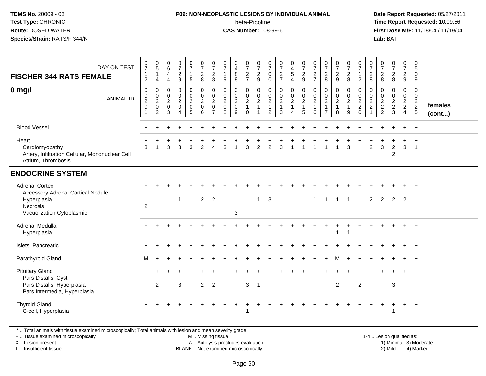### **P09: NON-NEOPLASTIC LESIONS BY INDIVIDUAL ANIMAL** beta-Picoline**beta-Picoline**<br> **CAS Number:** 108-99-6<br> **CAS Number:** 108-99-6<br> **CAS Number:** 108-99-6

 **Date Report Requested:** 05/27/2011 **First Dose M/F:** 11/18/04 / 11/19/04 Lab: BAT **Lab:** BAT

| DAY ON TEST<br><b>FISCHER 344 RATS FEMALE</b><br>$0$ mg/l<br><b>ANIMAL ID</b>                                             | $\frac{0}{7}$<br>$\mathbf{1}$<br>$\sqrt{2}$<br>$\mathsf{O}$<br>$\begin{smallmatrix} 0\\2 \end{smallmatrix}$<br>$\mathbf 0$<br>$\overline{\mathbf{1}}$ | $\begin{array}{c} 0 \\ 5 \end{array}$<br>$\mathbf{1}$<br>$\overline{a}$<br>$\mathbf 0$<br>$\overline{0}$<br>$\overline{c}$<br>$\pmb{0}$<br>2 | $\begin{array}{c} 0 \\ 6 \end{array}$<br>$\overline{4}$<br>$\overline{4}$<br>$\mathbf 0$<br>$\begin{smallmatrix} 0\\2 \end{smallmatrix}$<br>$\pmb{0}$<br>3 | $\frac{0}{7}$<br>$\frac{2}{9}$<br>0<br>$\frac{0}{2}$<br>$\mathbf 0$<br>$\overline{4}$ | $\frac{0}{7}$<br>$\mathbf{1}$<br>5<br>$\pmb{0}$<br>$\begin{smallmatrix} 0\\2 \end{smallmatrix}$<br>$\mathsf{O}\xspace$<br>$\overline{5}$ | $\frac{0}{7}$<br>$\frac{2}{8}$<br>$\begin{smallmatrix} 0\\0\\2 \end{smallmatrix}$<br>$\mathsf{O}\xspace$<br>6 | $\frac{0}{7}$<br>$\frac{2}{8}$<br>$\mathbf 0$<br>$\mathbf 0$<br>$\overline{2}$<br>$\mathbf 0$<br>$\overline{7}$ | $\frac{0}{7}$<br>$\mathbf{1}$<br>9<br>$\mathbf 0$<br>$\pmb{0}$<br>$\overline{2}$<br>$\mathbf 0$<br>8 | 0<br>$\overline{\mathbf{4}}$<br>$\bf 8$<br>8<br>0<br>$_2^0$<br>$\mathbf 0$<br>9 | $\frac{0}{7}$<br>$\frac{2}{7}$<br>0<br>$_2^0$<br>$\mathbf{1}$<br>$\Omega$ | $\frac{0}{7}$<br>$\frac{2}{9}$<br>$\begin{smallmatrix} 0\\0\\2 \end{smallmatrix}$<br>$\mathbf{1}$ | $\frac{0}{7}$<br>$\mathbf 0$<br>$\mathbf 0$<br>$\begin{smallmatrix} 0\\0\\2 \end{smallmatrix}$<br>$\frac{1}{2}$ | $\frac{0}{7}$<br>$rac{2}{7}$<br>$\mathbf 0$<br>$\frac{0}{2}$<br>$\mathbf{1}$<br>3 | $\begin{array}{c} 0 \\ 4 \\ 5 \end{array}$<br>$\overline{4}$<br>0<br>$\frac{0}{2}$<br>$\mathbf{1}$<br>$\overline{4}$ | $\frac{0}{7}$<br>$\frac{2}{9}$<br>$\begin{matrix} 0 \\ 0 \\ 2 \end{matrix}$<br>$\mathbf{1}$<br>5 | $\frac{0}{7}$<br>$\frac{2}{7}$<br>$\begin{matrix} 0 \\ 0 \\ 2 \end{matrix}$<br>$\mathbf{1}$<br>6 | $\frac{0}{7}$<br>$_{\rm 8}^2$<br>0<br>$\pmb{0}$<br>$\overline{2}$<br>$\overline{1}$<br>$\overline{7}$ | $\frac{0}{7}$<br>$\frac{2}{9}$<br>$\mathbf 0$<br>$\begin{smallmatrix} 0\\2 \end{smallmatrix}$<br>$\mathbf{1}$<br>8 | $\frac{0}{7}$<br>$\frac{2}{8}$<br>0<br>$\begin{smallmatrix} 0\\2 \end{smallmatrix}$<br>$\mathbf{1}$<br>9 | $\frac{0}{7}$<br>$\mathbf{1}$<br>$\overline{2}$<br>$\mathbf 0$<br>$\begin{smallmatrix} 0\\ 2 \end{smallmatrix}$<br>$\overline{2}$<br>0 | $\frac{0}{7}$<br>$\overline{a}$<br>8<br>0<br>$\mathbf 0$<br>$\overline{2}$<br>$\overline{2}$<br>1 | 0<br>$\boldsymbol{7}$<br>$^2_8$<br>0<br>$\pmb{0}$<br>$\frac{2}{2}$ | $\begin{smallmatrix}0\\7\end{smallmatrix}$<br>$\frac{2}{8}$<br>0<br>$\begin{array}{c}\n0 \\ 2 \\ 2 \\ 3\n\end{array}$ | $\frac{0}{7}$<br>$\frac{2}{9}$<br>0<br>$\mathbf 0$<br>$\frac{2}{2}$<br>$\overline{4}$ | 0<br>$\overline{5}$<br>$\mathbf 0$<br>9<br>0<br>$\mathbf 0$<br>$\overline{2}$<br>$\frac{2}{5}$ | females<br>$($ cont $)$ |
|---------------------------------------------------------------------------------------------------------------------------|-------------------------------------------------------------------------------------------------------------------------------------------------------|----------------------------------------------------------------------------------------------------------------------------------------------|------------------------------------------------------------------------------------------------------------------------------------------------------------|---------------------------------------------------------------------------------------|------------------------------------------------------------------------------------------------------------------------------------------|---------------------------------------------------------------------------------------------------------------|-----------------------------------------------------------------------------------------------------------------|------------------------------------------------------------------------------------------------------|---------------------------------------------------------------------------------|---------------------------------------------------------------------------|---------------------------------------------------------------------------------------------------|-----------------------------------------------------------------------------------------------------------------|-----------------------------------------------------------------------------------|----------------------------------------------------------------------------------------------------------------------|--------------------------------------------------------------------------------------------------|--------------------------------------------------------------------------------------------------|-------------------------------------------------------------------------------------------------------|--------------------------------------------------------------------------------------------------------------------|----------------------------------------------------------------------------------------------------------|----------------------------------------------------------------------------------------------------------------------------------------|---------------------------------------------------------------------------------------------------|--------------------------------------------------------------------|-----------------------------------------------------------------------------------------------------------------------|---------------------------------------------------------------------------------------|------------------------------------------------------------------------------------------------|-------------------------|
| <b>Blood Vessel</b>                                                                                                       |                                                                                                                                                       |                                                                                                                                              |                                                                                                                                                            | $\overline{1}$                                                                        |                                                                                                                                          |                                                                                                               |                                                                                                                 |                                                                                                      |                                                                                 |                                                                           |                                                                                                   |                                                                                                                 |                                                                                   |                                                                                                                      |                                                                                                  |                                                                                                  |                                                                                                       |                                                                                                                    |                                                                                                          |                                                                                                                                        |                                                                                                   |                                                                    |                                                                                                                       | $\ddot{}$                                                                             | $+$                                                                                            |                         |
| Heart<br>Cardiomyopathy<br>Artery, Infiltration Cellular, Mononuclear Cell<br>Atrium, Thrombosis                          | 3                                                                                                                                                     |                                                                                                                                              | 3                                                                                                                                                          | 3                                                                                     | 3                                                                                                                                        | 2                                                                                                             | 4                                                                                                               | 3                                                                                                    |                                                                                 | 3                                                                         | $\overline{2}$                                                                                    | $\overline{2}$                                                                                                  | 3                                                                                 |                                                                                                                      |                                                                                                  |                                                                                                  |                                                                                                       | $\overline{1}$                                                                                                     | $\overline{3}$                                                                                           |                                                                                                                                        | $\overline{2}$                                                                                    | 3                                                                  | $\overline{2}$<br>$\overline{2}$                                                                                      | $\mathbf{3}$                                                                          | $\ddot{}$<br>$\overline{1}$                                                                    |                         |
| <b>ENDOCRINE SYSTEM</b>                                                                                                   |                                                                                                                                                       |                                                                                                                                              |                                                                                                                                                            |                                                                                       |                                                                                                                                          |                                                                                                               |                                                                                                                 |                                                                                                      |                                                                                 |                                                                           |                                                                                                   |                                                                                                                 |                                                                                   |                                                                                                                      |                                                                                                  |                                                                                                  |                                                                                                       |                                                                                                                    |                                                                                                          |                                                                                                                                        |                                                                                                   |                                                                    |                                                                                                                       |                                                                                       |                                                                                                |                         |
| <b>Adrenal Cortex</b><br>Accessory Adrenal Cortical Nodule<br>Hyperplasia<br><b>Necrosis</b><br>Vacuolization Cytoplasmic | $\overline{2}$                                                                                                                                        |                                                                                                                                              |                                                                                                                                                            | $\overline{1}$                                                                        |                                                                                                                                          | 2                                                                                                             | 2                                                                                                               |                                                                                                      | 3                                                                               |                                                                           | 1                                                                                                 | 3                                                                                                               |                                                                                   |                                                                                                                      |                                                                                                  | $\mathbf{1}$                                                                                     | $\overline{1}$                                                                                        | $\overline{1}$                                                                                                     | $\overline{1}$                                                                                           |                                                                                                                                        | $\overline{2}$                                                                                    | 2                                                                  | $2 \quad 2$                                                                                                           |                                                                                       |                                                                                                |                         |
| Adrenal Medulla<br>Hyperplasia                                                                                            |                                                                                                                                                       |                                                                                                                                              |                                                                                                                                                            |                                                                                       |                                                                                                                                          |                                                                                                               |                                                                                                                 |                                                                                                      |                                                                                 |                                                                           |                                                                                                   |                                                                                                                 |                                                                                   |                                                                                                                      |                                                                                                  |                                                                                                  |                                                                                                       | -1                                                                                                                 | 1                                                                                                        |                                                                                                                                        |                                                                                                   |                                                                    |                                                                                                                       | $\ddot{}$                                                                             | $+$                                                                                            |                         |
| Islets, Pancreatic                                                                                                        |                                                                                                                                                       |                                                                                                                                              |                                                                                                                                                            |                                                                                       |                                                                                                                                          |                                                                                                               |                                                                                                                 |                                                                                                      |                                                                                 |                                                                           |                                                                                                   |                                                                                                                 |                                                                                   |                                                                                                                      |                                                                                                  |                                                                                                  |                                                                                                       |                                                                                                                    |                                                                                                          |                                                                                                                                        |                                                                                                   |                                                                    |                                                                                                                       |                                                                                       | $+$                                                                                            |                         |
| Parathyroid Gland                                                                                                         | м                                                                                                                                                     |                                                                                                                                              |                                                                                                                                                            |                                                                                       |                                                                                                                                          |                                                                                                               |                                                                                                                 |                                                                                                      |                                                                                 |                                                                           |                                                                                                   |                                                                                                                 |                                                                                   |                                                                                                                      |                                                                                                  |                                                                                                  |                                                                                                       |                                                                                                                    |                                                                                                          |                                                                                                                                        |                                                                                                   |                                                                    |                                                                                                                       |                                                                                       | $+$                                                                                            |                         |
| <b>Pituitary Gland</b><br>Pars Distalis, Cyst<br>Pars Distalis, Hyperplasia<br>Pars Intermedia, Hyperplasia               |                                                                                                                                                       | 2                                                                                                                                            |                                                                                                                                                            | 3                                                                                     |                                                                                                                                          | $\overline{2}$                                                                                                | $\overline{2}$                                                                                                  |                                                                                                      |                                                                                 | 3                                                                         | $\overline{1}$                                                                                    |                                                                                                                 |                                                                                   |                                                                                                                      |                                                                                                  |                                                                                                  |                                                                                                       | $\overline{2}$                                                                                                     |                                                                                                          | $\overline{c}$                                                                                                                         |                                                                                                   |                                                                    | $\mathbf{3}$                                                                                                          |                                                                                       |                                                                                                |                         |
| <b>Thyroid Gland</b><br>C-cell, Hyperplasia                                                                               |                                                                                                                                                       |                                                                                                                                              |                                                                                                                                                            |                                                                                       |                                                                                                                                          |                                                                                                               |                                                                                                                 |                                                                                                      |                                                                                 |                                                                           |                                                                                                   |                                                                                                                 |                                                                                   |                                                                                                                      |                                                                                                  |                                                                                                  |                                                                                                       |                                                                                                                    |                                                                                                          |                                                                                                                                        |                                                                                                   |                                                                    |                                                                                                                       | $\ddot{}$                                                                             | $^{+}$                                                                                         |                         |

\* .. Total animals with tissue examined microscopically; Total animals with lesion and mean severity grade

+ .. Tissue examined microscopically

X .. Lesion present

I .. Insufficient tissue

M .. Missing tissue

A .. Autolysis precludes evaluation

BLANK .. Not examined microscopically 2) Mild 4) Marked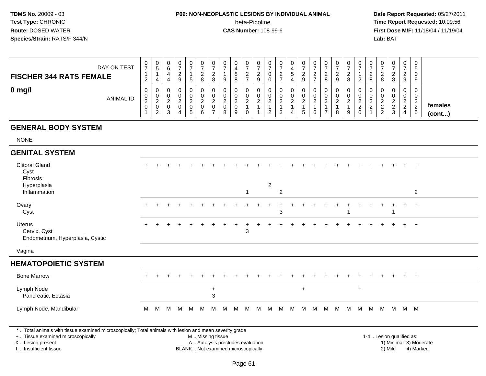### **P09: NON-NEOPLASTIC LESIONS BY INDIVIDUAL ANIMAL** beta-Picoline**beta-Picoline**<br> **CAS Number:** 108-99-6<br> **CAS Number:** 108-99-6<br> **CAS Number:** 108-99-6

 **Date Report Requested:** 05/27/2011 **First Dose M/F:** 11/18/04 / 11/19/04 Lab: BAT **Lab:** BAT

| DAY ON TEST<br><b>FISCHER 344 RATS FEMALE</b> | 0<br>-<br>ົ<br>∠             | IJ<br>4 | v<br>⌒<br>O | v<br>∼<br>9 | U<br>৾৾                     | 0<br><sup>o</sup><br>∼<br>8      | ν<br>8 | a        | v<br>$\circ$<br>O<br>8 | 0<br><u>_</u>    | U<br><u>_</u>      | U<br>v            | v | U<br><u>_</u><br>9 | U<br><u>_</u><br>- | ◡<br>ി<br>8 | 9 | <b>U</b><br>$\Omega$ | U<br>⌒                                          | U<br><u>_</u><br>$\circ$                 | 0<br>8                     | U<br>8                | $\mathbf 0$<br>∼<br>9           | 0<br>đ<br>0<br>9                                  |                         |
|-----------------------------------------------|------------------------------|---------|-------------|-------------|-----------------------------|----------------------------------|--------|----------|------------------------|------------------|--------------------|-------------------|---|--------------------|--------------------|-------------|---|----------------------|-------------------------------------------------|------------------------------------------|----------------------------|-----------------------|---------------------------------|---------------------------------------------------|-------------------------|
| 0 mg/l<br><b>ANIMAL ID</b>                    | 0<br>0<br>ົ<br><u>_</u><br>0 |         | ົ<br>د      |             | 0<br>U<br>0<br><sub>5</sub> | 0<br>υ<br><sup>o</sup><br>U<br>6 | -      | <u>_</u> | u<br>▃<br>U<br>9       | 0<br>0<br>ົ<br>0 | ◡<br>U<br><u>_</u> | U.<br>v<br>c<br>c |   | 0<br>O<br>5        | <u>_</u><br>6      | U<br>U<br>ാ |   | g                    | 0<br>U<br><u>_</u><br>$\sim$<br>$\epsilon$<br>C | 0<br>0<br><u>_</u><br>$\sim$<br><u>_</u> | 0<br>U<br>റ<br>ົ<br>2<br>∼ | υ<br>υ<br>◠<br>◠<br>ت | $\mathbf 0$<br>$\sim$<br>$\sim$ | 0<br>0<br>ົ<br><u>_</u><br>$\sim$<br>$\mathbf{p}$ | females<br>$($ cont $)$ |

### **GENERAL BODY SYSTEM**

NONE

#### **GENITAL SYSTEM**Clitoral Gland $\alpha$  + <sup>+</sup> <sup>+</sup> <sup>+</sup> <sup>+</sup> <sup>+</sup> <sup>+</sup> <sup>+</sup> <sup>+</sup> <sup>+</sup> <sup>+</sup> <sup>+</sup> <sup>+</sup> <sup>+</sup> <sup>+</sup> <sup>+</sup> <sup>+</sup> <sup>+</sup> <sup>+</sup> <sup>+</sup> <sup>+</sup> <sup>+</sup> <sup>+</sup> <sup>+</sup> <sup>+</sup> Cyst Fibrosis Hyperplasiaa  $\sim$  2 Inflammationn  $1$   $2$   $2$ **Ovary**  <sup>+</sup> <sup>+</sup> <sup>+</sup> <sup>+</sup> <sup>+</sup> <sup>+</sup> <sup>+</sup> <sup>+</sup> <sup>+</sup> <sup>+</sup> <sup>+</sup> <sup>+</sup> <sup>+</sup> <sup>+</sup> <sup>+</sup> <sup>+</sup> <sup>+</sup> <sup>+</sup> <sup>+</sup> <sup>+</sup> <sup>+</sup> <sup>+</sup> <sup>+</sup> <sup>+</sup> <sup>+</sup> Cystt to the contract of the contract of the contract of the contract of the contract of the contract of the contract of the contract of the contract of the contract of the contract of the contract of the contract of the contr <sup>1</sup> <sup>1</sup> **Uterus**  <sup>+</sup> <sup>+</sup> <sup>+</sup> <sup>+</sup> <sup>+</sup> <sup>+</sup> <sup>+</sup> <sup>+</sup> <sup>+</sup> <sup>+</sup> <sup>+</sup> <sup>+</sup> <sup>+</sup> <sup>+</sup> <sup>+</sup> <sup>+</sup> <sup>+</sup> <sup>+</sup> <sup>+</sup> <sup>+</sup> <sup>+</sup> <sup>+</sup> <sup>+</sup> <sup>+</sup> <sup>+</sup> Cervix, Cystt  $\sim$  3 Endometrium, Hyperplasia, CysticVagina**HEMATOPOIETIC SYSTEM**Bone Marrow <sup>+</sup> <sup>+</sup> <sup>+</sup> <sup>+</sup> <sup>+</sup> <sup>+</sup> <sup>+</sup> <sup>+</sup> <sup>+</sup> <sup>+</sup> <sup>+</sup> <sup>+</sup> <sup>+</sup> <sup>+</sup> <sup>+</sup> <sup>+</sup> <sup>+</sup> <sup>+</sup> <sup>+</sup> <sup>+</sup> <sup>+</sup> <sup>+</sup> <sup>+</sup> <sup>+</sup> <sup>+</sup> Lymph Node <sup>+</sup> <sup>+</sup> <sup>+</sup> Pancreatic, Ectasiaa  $\sim$  3 Lymph Node, Mandibularr M <sup>M</sup> <sup>M</sup> <sup>M</sup> <sup>M</sup> <sup>M</sup> <sup>M</sup> <sup>M</sup> <sup>M</sup> <sup>M</sup> <sup>M</sup> <sup>M</sup> <sup>M</sup> <sup>M</sup> <sup>M</sup> <sup>M</sup> <sup>M</sup> <sup>M</sup> <sup>M</sup> <sup>M</sup> <sup>M</sup> <sup>M</sup> <sup>M</sup> <sup>M</sup> <sup>M</sup>

\* .. Total animals with tissue examined microscopically; Total animals with lesion and mean severity grade

+ .. Tissue examined microscopically

X .. Lesion present

I .. Insufficient tissue

M .. Missing tissue

A .. Autolysis precludes evaluation

BLANK .. Not examined microscopically 2) Mild 4) Marked

1-4 .. Lesion qualified as: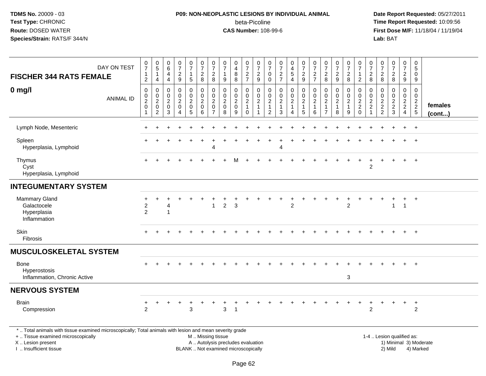## **P09: NON-NEOPLASTIC LESIONS BY INDIVIDUAL ANIMAL**beta-Picoline<br>CAS Number: 108-99-6

 **Date Report Requested:** 05/27/2011 **Time Report Requested:** 10:09:56 **First Dose M/F:** 11/18/04 / 11/19/04<br>**Lab:** BAT **Lab:** BAT

| <b>FISCHER 344 RATS FEMALE</b>                                                                                                                                      | DAY ON TEST      | 0<br>$\overline{7}$<br>$\mathbf{1}$<br>$\overline{2}$                       | $\boldsymbol{0}$<br>5<br>$\mathbf{1}$<br>4                          | 0<br>$\,6$<br>4<br>$\overline{4}$            | 0<br>$\overline{7}$<br>$\overline{c}$<br>9                                | 0<br>$\overline{7}$<br>$\mathbf{1}$<br>5               | $\boldsymbol{0}$<br>$\overline{7}$<br>$\frac{2}{8}$                | 0<br>$\overline{7}$<br>$\overline{2}$<br>8                          | 0<br>$\overline{7}$<br>$\mathbf{1}$<br>9                 | 0<br>$\overline{\mathbf{4}}$<br>$\bf 8$<br>8 | 0<br>$\overline{7}$<br>$\frac{2}{7}$                              | 0<br>$\overline{7}$<br>$\boldsymbol{2}$<br>$\mathsf g$ | $\overline{0}$<br>$\overline{7}$<br>$\mathbf 0$<br>$\mathbf 0$       | $\frac{0}{7}$<br>$\frac{2}{7}$                | 0<br>$\overline{4}$<br>5<br>4                           | $\frac{0}{7}$<br>$\frac{2}{9}$                                | 0<br>$\overline{7}$<br>$\overline{c}$<br>$\overline{7}$         | $\boldsymbol{0}$<br>$\overline{7}$<br>$\overline{a}$<br>8           | $\frac{0}{7}$<br>$\frac{2}{9}$                              | 0<br>$\overline{7}$<br>$\sqrt{2}$<br>8        | 0<br>$\overline{7}$<br>$\mathbf{1}$<br>$\overline{2}$                     | 0<br>$\overline{7}$<br>$\mathbf{2}$<br>8               | $\frac{0}{7}$<br>$\overline{2}$<br>8 | $\frac{0}{7}$<br>$\frac{2}{8}$              | $\mathbf 0$<br>$\overline{7}$<br>$\overline{c}$<br>$\mathsf g$ | 0<br>$\sqrt{5}$<br>$\mathbf 0$<br>9         |                         |
|---------------------------------------------------------------------------------------------------------------------------------------------------------------------|------------------|-----------------------------------------------------------------------------|---------------------------------------------------------------------|----------------------------------------------|---------------------------------------------------------------------------|--------------------------------------------------------|--------------------------------------------------------------------|---------------------------------------------------------------------|----------------------------------------------------------|----------------------------------------------|-------------------------------------------------------------------|--------------------------------------------------------|----------------------------------------------------------------------|-----------------------------------------------|---------------------------------------------------------|---------------------------------------------------------------|-----------------------------------------------------------------|---------------------------------------------------------------------|-------------------------------------------------------------|-----------------------------------------------|---------------------------------------------------------------------------|--------------------------------------------------------|--------------------------------------|---------------------------------------------|----------------------------------------------------------------|---------------------------------------------|-------------------------|
| $0$ mg/l                                                                                                                                                            | <b>ANIMAL ID</b> | $\mathbf 0$<br>$\mathbf 0$<br>$\overline{2}$<br>$\mathbf 0$<br>$\mathbf{1}$ | 0<br>$\mathbf 0$<br>$\overline{c}$<br>$\mathbf 0$<br>$\overline{c}$ | 0<br>0<br>$\overline{c}$<br>$\mathbf 0$<br>3 | 0<br>$\pmb{0}$<br>$\overline{c}$<br>$\mathbf 0$<br>$\boldsymbol{\Lambda}$ | 0<br>$\mathbf 0$<br>$\overline{a}$<br>$\mathbf 0$<br>5 | $\mathbf 0$<br>$\mathbf 0$<br>$\boldsymbol{2}$<br>$\mathbf 0$<br>6 | 0<br>$\mathbf 0$<br>$\overline{2}$<br>$\mathbf 0$<br>$\overline{7}$ | $\mathbf 0$<br>0<br>$\boldsymbol{2}$<br>$\mathbf 0$<br>8 | 0<br>0<br>$\overline{c}$<br>$\mathbf 0$<br>9 | 0<br>$\mathbf 0$<br>$\overline{2}$<br>$\mathbf{1}$<br>$\mathbf 0$ | 0<br>$\pmb{0}$<br>$\boldsymbol{2}$<br>$\mathbf{1}$     | $\mathbf 0$<br>$\boldsymbol{0}$<br>$\sqrt{2}$<br>$\overline{1}$<br>2 | 0<br>0<br>$\overline{c}$<br>$\mathbf{1}$<br>3 | 0<br>$\mathbf 0$<br>$\overline{c}$<br>$\mathbf{1}$<br>4 | $\pmb{0}$<br>$\pmb{0}$<br>$\overline{2}$<br>$\mathbf{1}$<br>5 | $\mathbf 0$<br>$\pmb{0}$<br>$\overline{c}$<br>$\mathbf{1}$<br>6 | $\mathbf 0$<br>$\mathbf 0$<br>$\overline{c}$<br>$\overline{1}$<br>7 | $\mathbf 0$<br>$\pmb{0}$<br>$\sqrt{2}$<br>$\mathbf{1}$<br>8 | 0<br>0<br>$\overline{c}$<br>$\mathbf{1}$<br>9 | $\mathbf 0$<br>$\mathbf 0$<br>$\overline{2}$<br>$\sqrt{2}$<br>$\mathbf 0$ | 0<br>$\mathbf 0$<br>$\boldsymbol{2}$<br>$\overline{2}$ | 0<br>0<br>$\frac{2}{2}$              | $\mathbf 0$<br>$\mathbf 0$<br>$\frac{2}{3}$ | 0<br>$\mathbf 0$<br>$\frac{2}{2}$<br>$\overline{4}$            | $\mathbf 0$<br>$\mathbf 0$<br>$\frac{2}{2}$ | females<br>$($ cont $)$ |
| Lymph Node, Mesenteric                                                                                                                                              |                  |                                                                             |                                                                     |                                              | $\ddot{}$                                                                 |                                                        |                                                                    |                                                                     |                                                          |                                              |                                                                   |                                                        |                                                                      |                                               |                                                         |                                                               | $\ddot{}$                                                       |                                                                     |                                                             |                                               |                                                                           |                                                        |                                      |                                             | $\ddot{}$                                                      | $+$                                         |                         |
| Spleen<br>Hyperplasia, Lymphoid                                                                                                                                     |                  |                                                                             |                                                                     |                                              |                                                                           |                                                        |                                                                    | 4                                                                   |                                                          |                                              |                                                                   |                                                        |                                                                      | 4                                             |                                                         |                                                               |                                                                 |                                                                     |                                                             |                                               |                                                                           |                                                        |                                      |                                             |                                                                | $\overline{1}$                              |                         |
| Thymus<br>Cyst<br>Hyperplasia, Lymphoid                                                                                                                             |                  |                                                                             |                                                                     |                                              |                                                                           |                                                        |                                                                    |                                                                     |                                                          |                                              |                                                                   |                                                        |                                                                      |                                               |                                                         |                                                               |                                                                 |                                                                     |                                                             |                                               |                                                                           | $\overline{c}$                                         |                                      |                                             | $\ddot{}$                                                      | $+$                                         |                         |
| <b>INTEGUMENTARY SYSTEM</b>                                                                                                                                         |                  |                                                                             |                                                                     |                                              |                                                                           |                                                        |                                                                    |                                                                     |                                                          |                                              |                                                                   |                                                        |                                                                      |                                               |                                                         |                                                               |                                                                 |                                                                     |                                                             |                                               |                                                                           |                                                        |                                      |                                             |                                                                |                                             |                         |
| <b>Mammary Gland</b><br>Galactocele<br>Hyperplasia<br>Inflammation                                                                                                  |                  | $\overline{2}$<br>$\overline{2}$                                            |                                                                     |                                              |                                                                           |                                                        |                                                                    | 1                                                                   | $\overline{2}$                                           | 3                                            |                                                                   |                                                        |                                                                      |                                               | $\overline{2}$                                          |                                                               |                                                                 |                                                                     |                                                             | $\overline{2}$                                |                                                                           |                                                        |                                      | $\overline{1}$                              | $\overline{1}$                                                 | $+$                                         |                         |
| <b>Skin</b><br>Fibrosis                                                                                                                                             |                  |                                                                             |                                                                     |                                              |                                                                           |                                                        |                                                                    |                                                                     |                                                          |                                              |                                                                   |                                                        |                                                                      |                                               |                                                         |                                                               |                                                                 |                                                                     |                                                             |                                               |                                                                           |                                                        |                                      |                                             | $\ddot{}$                                                      | $+$                                         |                         |
| <b>MUSCULOSKELETAL SYSTEM</b>                                                                                                                                       |                  |                                                                             |                                                                     |                                              |                                                                           |                                                        |                                                                    |                                                                     |                                                          |                                              |                                                                   |                                                        |                                                                      |                                               |                                                         |                                                               |                                                                 |                                                                     |                                                             |                                               |                                                                           |                                                        |                                      |                                             |                                                                |                                             |                         |
| <b>Bone</b><br>Hyperostosis<br>Inflammation, Chronic Active                                                                                                         |                  |                                                                             |                                                                     |                                              |                                                                           |                                                        |                                                                    |                                                                     |                                                          |                                              |                                                                   |                                                        |                                                                      |                                               |                                                         |                                                               |                                                                 |                                                                     |                                                             | 3                                             |                                                                           |                                                        |                                      |                                             |                                                                | $+$                                         |                         |
| <b>NERVOUS SYSTEM</b>                                                                                                                                               |                  |                                                                             |                                                                     |                                              |                                                                           |                                                        |                                                                    |                                                                     |                                                          |                                              |                                                                   |                                                        |                                                                      |                                               |                                                         |                                                               |                                                                 |                                                                     |                                                             |                                               |                                                                           |                                                        |                                      |                                             |                                                                |                                             |                         |
| <b>Brain</b><br>Compression                                                                                                                                         |                  | $\overline{2}$                                                              |                                                                     |                                              | $\div$                                                                    | 3                                                      |                                                                    |                                                                     | 3                                                        | $\overline{1}$                               |                                                                   |                                                        |                                                                      |                                               |                                                         |                                                               |                                                                 |                                                                     |                                                             |                                               | $\div$                                                                    | $\overline{c}$                                         | $\pm$                                | $\div$                                      | $+$                                                            | $\ddot{}$<br>$\overline{2}$                 |                         |
| *  Total animals with tissue examined microscopically; Total animals with lesion and mean severity grade<br>+  Tissue examined microscopically<br>X  Lesion present |                  |                                                                             |                                                                     |                                              |                                                                           |                                                        | M  Missing tissue                                                  |                                                                     | A  Autolysis precludes evaluation                        |                                              |                                                                   |                                                        |                                                                      |                                               |                                                         |                                                               |                                                                 |                                                                     |                                                             |                                               |                                                                           |                                                        |                                      | 1-4  Lesion qualified as:                   |                                                                |                                             | 1) Minimal 3) Moderate  |

I .. Insufficient tissue

BLANK .. Not examined microscopically 2) Mild 4) Marked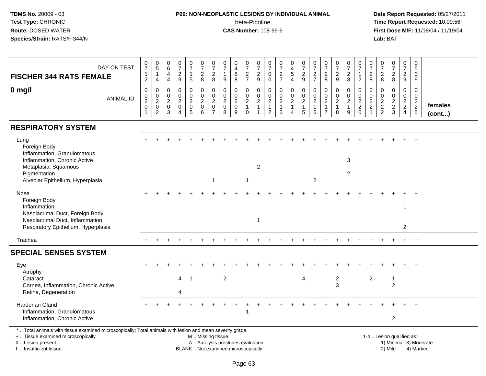## **P09: NON-NEOPLASTIC LESIONS BY INDIVIDUAL ANIMAL**beta-Picoline<br>CAS Number: 108-99-6

 **Date Report Requested:** 05/27/2011 **Time Report Requested:** 10:09:56 **First Dose M/F:** 11/18/04 / 11/19/04<br>**Lab:** BAT **Lab:** BAT

| DAY ON TEST<br><b>FISCHER 344 RATS FEMALE</b>                                                                                                                       | $\pmb{0}$<br>$\overline{7}$<br>$\overline{1}$<br>$\overline{c}$ | $\begin{array}{c} 0 \\ 5 \end{array}$<br>$\mathbf{1}$<br>4      | $\mathbf 0$<br>$\,6\,$<br>4<br>$\overline{a}$             | 0<br>$\overline{7}$<br>$\frac{2}{9}$                                            | $\frac{0}{7}$<br>$\mathbf{1}$<br>5                        | $\frac{0}{7}$<br>$\frac{2}{8}$                         | $\begin{array}{c} 0 \\ 7 \end{array}$<br>$\sqrt{2}$<br>$\,8\,$               | 0<br>$\overline{7}$<br>-1<br>9                         | $\mathbf 0$<br>$\overline{4}$<br>$\bf 8$<br>8                | $\frac{0}{7}$<br>$\frac{2}{7}$                                 | $\frac{0}{7}$<br>$\frac{2}{9}$                                       | 0<br>$\overline{7}$<br>0<br>$\mathbf 0$                           | 0<br>$\overline{7}$<br>$\frac{2}{7}$          | 0<br>$\tilde{4}$<br>$\overline{5}$<br>$\overline{4}$                         | $\frac{0}{7}$<br>$\frac{2}{9}$                                    | $\frac{0}{7}$<br>$\frac{2}{7}$                                     | $\begin{array}{c} 0 \\ 7 \end{array}$<br>$\overline{c}$<br>8      | $\frac{0}{7}$<br>$\frac{2}{9}$                                    | $\frac{0}{7}$<br>$\overline{c}$<br>8                    | $\frac{0}{7}$<br>$\mathbf{1}$<br>$\overline{2}$                 | 0<br>$\overline{7}$<br>$_{\rm 8}^2$                                                  | 0<br>$\overline{7}$<br>$\frac{2}{8}$            | $\begin{array}{c} 0 \\ 7 \end{array}$<br>$\frac{2}{8}$ | 0<br>$\frac{5}{7}$<br>$\overline{a}$<br>9           | $\begin{array}{c} 0 \\ 5 \end{array}$<br>$\mathbf 0$<br>$\boldsymbol{9}$ |                         |
|---------------------------------------------------------------------------------------------------------------------------------------------------------------------|-----------------------------------------------------------------|-----------------------------------------------------------------|-----------------------------------------------------------|---------------------------------------------------------------------------------|-----------------------------------------------------------|--------------------------------------------------------|------------------------------------------------------------------------------|--------------------------------------------------------|--------------------------------------------------------------|----------------------------------------------------------------|----------------------------------------------------------------------|-------------------------------------------------------------------|-----------------------------------------------|------------------------------------------------------------------------------|-------------------------------------------------------------------|--------------------------------------------------------------------|-------------------------------------------------------------------|-------------------------------------------------------------------|---------------------------------------------------------|-----------------------------------------------------------------|--------------------------------------------------------------------------------------|-------------------------------------------------|--------------------------------------------------------|-----------------------------------------------------|--------------------------------------------------------------------------|-------------------------|
| $0$ mg/l<br><b>ANIMAL ID</b>                                                                                                                                        | 0<br>$\boldsymbol{0}$<br>$\overline{2}$<br>$\mathbf 0$          | 0<br>$\mathbf 0$<br>$\sqrt{2}$<br>$\mathsf 0$<br>$\overline{2}$ | 0<br>$\overline{0}$<br>$\overline{c}$<br>$\mathbf 0$<br>3 | $\mathbf 0$<br>$\mathbf 0$<br>$\boldsymbol{2}$<br>$\mathbf 0$<br>$\overline{4}$ | 0<br>$\mathbf 0$<br>$\overline{a}$<br>$\overline{0}$<br>5 | 0<br>$\mathbf 0$<br>$\overline{2}$<br>$\pmb{0}$<br>6   | $\mathbf 0$<br>$\overline{0}$<br>$\sqrt{2}$<br>$\mathbf 0$<br>$\overline{7}$ | 0<br>$\mathbf 0$<br>$\overline{c}$<br>$\mathbf 0$<br>8 | $\mathbf 0$<br>$\mathbf 0$<br>$\sqrt{2}$<br>$\mathbf 0$<br>9 | 0<br>$\mathbf 0$<br>$\overline{c}$<br>$\mathbf{1}$<br>$\Omega$ | 0<br>$\mathbf 0$<br>$\overline{2}$<br>$\overline{1}$<br>$\mathbf{1}$ | 0<br>$\Omega$<br>$\overline{2}$<br>$\mathbf{1}$<br>$\overline{2}$ | 0<br>0<br>$\overline{c}$<br>$\mathbf{1}$<br>3 | 0<br>$\ddot{\mathbf{0}}$<br>$\overline{c}$<br>$\mathbf{1}$<br>$\overline{4}$ | $\pmb{0}$<br>$\mathbf 0$<br>$\overline{c}$<br>$\overline{1}$<br>5 | $\pmb{0}$<br>$\overline{0}$<br>$\overline{2}$<br>$\mathbf{1}$<br>6 | 0<br>$\Omega$<br>$\overline{2}$<br>$\mathbf{1}$<br>$\overline{7}$ | $\mathbf 0$<br>$\mathbf 0$<br>$\overline{2}$<br>$\mathbf{1}$<br>8 | 0<br>$\mathbf 0$<br>$\overline{c}$<br>$\mathbf{1}$<br>9 | 0<br>$\mathbf 0$<br>$\overline{2}$<br>$\sqrt{2}$<br>$\mathbf 0$ | $\mathbf 0$<br>$\mathbf 0$<br>$\boldsymbol{2}$<br>$\boldsymbol{2}$<br>$\overline{1}$ | 0<br>$\mathbf 0$<br>$\sqrt{2}$<br>$\frac{2}{2}$ | $\mathbf 0$<br>$\mathbf 0$<br>$\frac{2}{3}$            | 0<br>$\mathbf 0$<br>$\frac{2}{2}$<br>$\overline{4}$ | 0<br>$\mathbf 0$<br>$\frac{2}{2}$<br>5                                   | females<br>$($ cont $)$ |
| <b>RESPIRATORY SYSTEM</b>                                                                                                                                           |                                                                 |                                                                 |                                                           |                                                                                 |                                                           |                                                        |                                                                              |                                                        |                                                              |                                                                |                                                                      |                                                                   |                                               |                                                                              |                                                                   |                                                                    |                                                                   |                                                                   |                                                         |                                                                 |                                                                                      |                                                 |                                                        |                                                     |                                                                          |                         |
| Lung<br>Foreign Body<br>Inflammation, Granulomatous<br>Inflammation, Chronic Active<br>Metaplasia, Squamous                                                         |                                                                 |                                                                 |                                                           |                                                                                 |                                                           |                                                        |                                                                              |                                                        |                                                              |                                                                | 2                                                                    |                                                                   |                                               |                                                                              |                                                                   |                                                                    |                                                                   |                                                                   | 3                                                       |                                                                 |                                                                                      |                                                 |                                                        |                                                     |                                                                          |                         |
| Pigmentation<br>Alveolar Epithelium, Hyperplasia                                                                                                                    |                                                                 |                                                                 |                                                           |                                                                                 |                                                           |                                                        | $\mathbf{1}$                                                                 |                                                        |                                                              | 1                                                              |                                                                      |                                                                   |                                               |                                                                              |                                                                   | $\overline{2}$                                                     |                                                                   |                                                                   | 2                                                       |                                                                 |                                                                                      |                                                 |                                                        |                                                     |                                                                          |                         |
| Nose<br>Foreign Body<br>Inflammation<br>Nasolacrimal Duct, Foreign Body                                                                                             |                                                                 |                                                                 |                                                           |                                                                                 |                                                           |                                                        |                                                                              |                                                        |                                                              |                                                                |                                                                      |                                                                   |                                               |                                                                              |                                                                   |                                                                    |                                                                   |                                                                   |                                                         |                                                                 |                                                                                      |                                                 |                                                        | 1                                                   |                                                                          |                         |
| Nasolacrimal Duct, Inflammation<br>Respiratory Epithelium, Hyperplasia                                                                                              |                                                                 |                                                                 |                                                           |                                                                                 |                                                           |                                                        |                                                                              |                                                        |                                                              |                                                                | 1                                                                    |                                                                   |                                               |                                                                              |                                                                   |                                                                    |                                                                   |                                                                   |                                                         |                                                                 |                                                                                      |                                                 |                                                        | $\overline{2}$                                      |                                                                          |                         |
| Trachea                                                                                                                                                             | $+$                                                             |                                                                 |                                                           |                                                                                 |                                                           |                                                        |                                                                              |                                                        |                                                              |                                                                |                                                                      |                                                                   |                                               |                                                                              |                                                                   |                                                                    |                                                                   |                                                                   |                                                         |                                                                 |                                                                                      |                                                 |                                                        | $+$                                                 | $+$                                                                      |                         |
| <b>SPECIAL SENSES SYSTEM</b>                                                                                                                                        |                                                                 |                                                                 |                                                           |                                                                                 |                                                           |                                                        |                                                                              |                                                        |                                                              |                                                                |                                                                      |                                                                   |                                               |                                                                              |                                                                   |                                                                    |                                                                   |                                                                   |                                                         |                                                                 |                                                                                      |                                                 |                                                        |                                                     |                                                                          |                         |
| Eye<br>Atrophy<br>Cataract<br>Cornea, Inflammation, Chronic Active<br>Retina, Degeneration                                                                          |                                                                 |                                                                 |                                                           | 4<br>4                                                                          | $\overline{1}$                                            |                                                        |                                                                              | 2                                                      |                                                              |                                                                |                                                                      |                                                                   |                                               |                                                                              | 4                                                                 |                                                                    |                                                                   | 2<br>3                                                            |                                                         |                                                                 | $\overline{c}$                                                                       |                                                 | 1<br>$\overline{2}$                                    |                                                     |                                                                          |                         |
| <b>Harderian Gland</b><br>Inflammation, Granulomatous<br>Inflammation, Chronic Active                                                                               |                                                                 |                                                                 |                                                           |                                                                                 |                                                           |                                                        |                                                                              |                                                        |                                                              | $\mathbf{1}$                                                   |                                                                      |                                                                   |                                               |                                                                              |                                                                   |                                                                    |                                                                   |                                                                   |                                                         |                                                                 |                                                                                      |                                                 | $\overline{a}$                                         |                                                     |                                                                          |                         |
| *  Total animals with tissue examined microscopically; Total animals with lesion and mean severity grade<br>+  Tissue examined microscopically<br>X  Lesion present |                                                                 |                                                                 |                                                           |                                                                                 |                                                           | M  Missing tissue<br>A  Autolysis precludes evaluation |                                                                              |                                                        |                                                              |                                                                |                                                                      |                                                                   |                                               |                                                                              |                                                                   |                                                                    |                                                                   |                                                                   |                                                         |                                                                 |                                                                                      |                                                 | 1-4  Lesion qualified as:                              |                                                     | 1) Minimal 3) Moderate                                                   |                         |

I .. Insufficient tissue

BLANK .. Not examined microscopically 2) Mild 4) Marked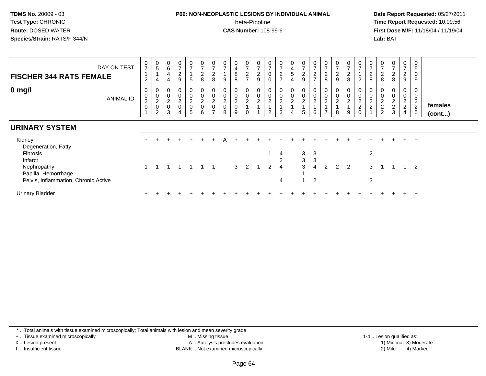### **P09: NON-NEOPLASTIC LESIONS BY INDIVIDUAL ANIMAL** beta-Picoline**beta-Picoline**<br> **CAS Number:** 108-99-6<br> **CAS Number:** 108-99-6<br> **CAS Number:** 108-99-6

 **Date Report Requested:** 05/27/2011 **First Dose M/F:** 11/18/04 / 11/19/04 Lab: BAT **Lab:** BAT

| <b>FISCHER 344 RATS FEMALE</b>                                                                    | DAY ON TEST      | 0<br>$\overline{ }$<br>$\overline{2}$           | $\begin{array}{c} 0 \\ 5 \end{array}$<br>$\overline{4}$ | $\mathbf 0$<br>$\,6\,$<br>$\overline{\mathbf{4}}$<br>4 | $\overline{7}$<br>$\boldsymbol{2}$<br>9 | $\frac{0}{7}$<br>5           | $\frac{0}{7}$<br>$\boldsymbol{2}$<br>8 | $\frac{0}{7}$<br>$\overline{\mathbf{c}}$<br>8                    | $\frac{0}{7}$<br>9                  | $\overline{\mathbf{4}}$<br>$\bf 8$<br>8 | $\frac{0}{7}$<br>$\frac{2}{7}$       | $\overline{ }$<br>$\overline{c}$<br>9 | $\frac{0}{7}$<br>0<br>0                 | $\frac{0}{7}$<br>$\frac{2}{7}$       | $\begin{smallmatrix}0\0\4\end{smallmatrix}$<br>$5\,$<br>$\overline{4}$ | $\frac{0}{7}$<br>$\frac{2}{9}$ | $\frac{0}{7}$<br>$\frac{2}{7}$                                         | 0<br>$\overline{\phantom{a}}$<br>$\sqrt{2}$<br>8              | $\overline{ }$<br>$\frac{2}{9}$    | 0<br>$\overline{ }$<br>$\overline{c}$<br>8 | $\frac{0}{7}$<br>$\mathbf{2}$ | 0<br>$\rightarrow$<br>$\boldsymbol{2}$<br>$\bf 8$ | $\frac{0}{7}$<br>$\frac{2}{8}$    | $\overline{7}$<br>$\sqrt{2}$<br>8 | 0<br>$\overline{ }$<br>$\overline{c}$<br>9 | $\sqrt{5}$<br>0<br>$\boldsymbol{9}$        |                         |
|---------------------------------------------------------------------------------------------------|------------------|-------------------------------------------------|---------------------------------------------------------|--------------------------------------------------------|-----------------------------------------|------------------------------|----------------------------------------|------------------------------------------------------------------|-------------------------------------|-----------------------------------------|--------------------------------------|---------------------------------------|-----------------------------------------|--------------------------------------|------------------------------------------------------------------------|--------------------------------|------------------------------------------------------------------------|---------------------------------------------------------------|------------------------------------|--------------------------------------------|-------------------------------|---------------------------------------------------|-----------------------------------|-----------------------------------|--------------------------------------------|--------------------------------------------|-------------------------|
| $0$ mg/l                                                                                          | <b>ANIMAL ID</b> | 0<br>$\pmb{0}$<br>$\overline{c}$<br>$\mathsf 0$ | $\mathbf 0$<br>$\frac{0}{2}$<br>$\overline{2}$          | 0<br>$\,0\,$<br>$^2_{\rm 0}$<br>3                      | $\mathbf 0$<br>$\frac{2}{0}$            | 0<br>0<br>$\frac{2}{0}$<br>5 | 0<br>$\mathbf 0$<br>$\frac{2}{0}$<br>6 | 0<br>$\pmb{0}$<br>$\overline{2}$<br>$\mathsf 0$<br>$\rightarrow$ | 0<br>$\pmb{0}$<br>$^2_{\rm 0}$<br>8 | $\boldsymbol{2}$<br>$\mathbf 0$<br>9    | 0<br>0<br>$\overline{c}$<br>$\Omega$ | $\mathbf 0$<br>$\overline{c}$         | $\boldsymbol{0}$<br>$\overline{c}$<br>2 | $\mathbf 0$<br>$\boldsymbol{2}$<br>3 | $_{0}^{0}$<br>$\overline{2}$                                           | $_0^0$<br>$\frac{2}{1}$<br>5   | $\begin{smallmatrix} 0\\0\\2 \end{smallmatrix}$<br>$\overline{1}$<br>6 | 0<br>$\mathbf 0$<br>$\overline{\mathbf{c}}$<br>$\overline{ }$ | $\pmb{0}$<br>$\boldsymbol{2}$<br>8 | 0<br>0<br>$\overline{2}$<br>9              | $0002$<br>$20$                | $\mathbf 0$<br>$\overline{c}$<br>$\overline{2}$   | 0<br>$\mathbf 0$<br>$\frac{2}{2}$ | $\mathbf 0$<br>$\frac{2}{2}$<br>3 | 0<br>0<br>$\frac{2}{2}$<br>$\overline{4}$  | $\mathbf 0$<br>$\frac{2}{2}$<br>$\sqrt{5}$ | females<br>$($ cont $)$ |
| <b>URINARY SYSTEM</b>                                                                             |                  |                                                 |                                                         |                                                        |                                         |                              |                                        |                                                                  |                                     |                                         |                                      |                                       |                                         |                                      |                                                                        |                                |                                                                        |                                                               |                                    |                                            |                               |                                                   |                                   |                                   |                                            |                                            |                         |
| Kidney<br>Degeneration, Fatty<br><b>Fibrosis</b><br>Infarct<br>Nephropathy<br>Papilla, Hemorrhage |                  |                                                 |                                                         |                                                        |                                         |                              |                                        |                                                                  |                                     |                                         | $3\quad 2$                           | - 1                                   | 2                                       | 4<br>2<br>$\overline{4}$             |                                                                        | 3<br>3<br>3                    | 3<br>3<br>4                                                            | 2                                                             | $2 \quad 2$                        |                                            |                               | 2<br>3                                            |                                   |                                   | $+$                                        | $+$<br>$\overline{\phantom{0}}$            |                         |
| Pelvis, Inflammation, Chronic Active                                                              |                  |                                                 |                                                         |                                                        |                                         |                              |                                        |                                                                  |                                     |                                         |                                      |                                       |                                         | 4                                    |                                                                        |                                | 2                                                                      |                                                               |                                    |                                            |                               | 3                                                 |                                   |                                   |                                            |                                            |                         |
| <b>Urinary Bladder</b>                                                                            |                  |                                                 |                                                         |                                                        |                                         |                              |                                        |                                                                  |                                     |                                         |                                      |                                       |                                         |                                      |                                                                        |                                |                                                                        |                                                               |                                    |                                            |                               |                                                   |                                   |                                   | $\div$                                     | $\overline{ }$                             |                         |

\* .. Total animals with tissue examined microscopically; Total animals with lesion and mean severity grade

+ .. Tissue examined microscopically

X .. Lesion present

I .. Insufficient tissue

 M .. Missing tissueA .. Autolysis precludes evaluation

BLANK .. Not examined microscopically 2) Mild 4) Marked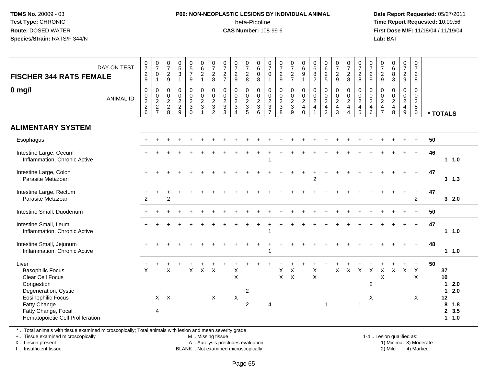### **P09: NON-NEOPLASTIC LESIONS BY INDIVIDUAL ANIMAL**beta-Picoline<br>CAS Number: 108-99-6

 **Date Report Requested:** 05/27/2011 **Time Report Requested:** 10:09:56 **First Dose M/F:** 11/18/04 / 11/19/04 Lab: BAT **Lab:** BAT

| DAY ON TEST<br><b>FISCHER 344 RATS FEMALE</b>                                                                                                                                                      | $\frac{0}{7}$<br>$\frac{2}{9}$   | $\frac{0}{7}$<br>$\mathbf 0$<br>$\overline{1}$ | $\frac{0}{7}$<br>$\overline{c}$<br>9             | $\begin{array}{c} 0 \\ 5 \end{array}$<br>$\mathbf{3}$<br>$\mathbf{1}$ | $\begin{array}{c} 0 \\ 5 \\ 7 \end{array}$<br>$\boldsymbol{9}$          | $\begin{array}{c} 0 \\ 6 \end{array}$<br>$\frac{2}{1}$          | $\frac{0}{7}$<br>$\frac{2}{8}$                                    | $\frac{0}{7}$<br>$\frac{2}{7}$                         | $\frac{0}{7}$<br>$\frac{2}{9}$                              | $\frac{0}{7}$<br>$\frac{2}{8}$                      | 0<br>$\,6\,$<br>$\mathbf 0$<br>$\,8\,$                  | $\frac{0}{7}$<br>$\mathbf 0$<br>$\mathbf{1}$ | $\frac{0}{7}$<br>$\frac{2}{9}$                                    | $\frac{0}{7}$<br>$\frac{2}{7}$  | $\begin{array}{c} 0 \\ 6 \end{array}$<br>$\overline{9}$<br>$\mathbf{1}$ | $\begin{array}{c} 0 \\ 6 \end{array}$<br>$\bf 8$<br>$\overline{2}$                     | $\begin{array}{c} 0 \\ 6 \end{array}$<br>$\frac{2}{5}$                 | $\frac{0}{7}$<br>$\frac{2}{9}$                   | $\frac{0}{7}$<br>$_{8}^{2}$                                                    | $\frac{0}{7}$<br>$_{8}^{\rm 2}$                     | $\frac{0}{7}$<br>$\frac{2}{9}$                                                  | $\frac{0}{7}$<br>$\frac{2}{9}$                                              | $\begin{array}{c} 0 \\ 6 \end{array}$<br>$\overline{8}$<br>$\mathbf 3$ | $\frac{0}{7}$<br>$\frac{2}{9}$         | 0<br>$\boldsymbol{7}$<br>$\overline{a}$<br>8                            |                                                                         |                                     |
|----------------------------------------------------------------------------------------------------------------------------------------------------------------------------------------------------|----------------------------------|------------------------------------------------|--------------------------------------------------|-----------------------------------------------------------------------|-------------------------------------------------------------------------|-----------------------------------------------------------------|-------------------------------------------------------------------|--------------------------------------------------------|-------------------------------------------------------------|-----------------------------------------------------|---------------------------------------------------------|----------------------------------------------|-------------------------------------------------------------------|---------------------------------|-------------------------------------------------------------------------|----------------------------------------------------------------------------------------|------------------------------------------------------------------------|--------------------------------------------------|--------------------------------------------------------------------------------|-----------------------------------------------------|---------------------------------------------------------------------------------|-----------------------------------------------------------------------------|------------------------------------------------------------------------|----------------------------------------|-------------------------------------------------------------------------|-------------------------------------------------------------------------|-------------------------------------|
| $0$ mg/l<br><b>ANIMAL ID</b>                                                                                                                                                                       | $\mathbf 0$<br>$0$<br>$2$<br>$6$ | $\mathsf 0$<br>$\frac{0}{2}$<br>7              | $\mathbf 0$<br>$\mathbf 0$<br>$\frac{2}{2}$<br>8 | $\pmb{0}$<br>$\mathbf 0$<br>$\frac{2}{2}$<br>9                        | $\boldsymbol{0}$<br>$\ddot{\mathbf{0}}$<br>$\frac{2}{3}$<br>$\mathbf 0$ | $\begin{array}{c} 0 \\ 0 \\ 2 \\ 3 \end{array}$<br>$\mathbf{1}$ | $\begin{array}{c} 0 \\ 0 \\ 2 \\ 3 \end{array}$<br>$\overline{2}$ | $\begin{matrix}0\\0\\2\\3\end{matrix}$<br>$\mathbf{3}$ | $\pmb{0}$<br>$\mathbf 0$<br>$\frac{2}{3}$<br>$\overline{4}$ | 0<br>$\mathbf 0$<br>$\frac{2}{3}$<br>$\overline{5}$ | 0<br>$\mathbf 0$<br>$\sqrt{2}$<br>$\sqrt{3}$<br>$\,6\,$ | $\pmb{0}$<br>$\frac{0}{2}$<br>$\overline{7}$ | $\pmb{0}$<br>$\begin{smallmatrix} 0\\2\\3 \end{smallmatrix}$<br>8 | $\pmb{0}$<br>$\frac{0}{2}$<br>9 | $\begin{array}{c} 0 \\ 0 \\ 2 \\ 4 \end{array}$<br>$\mathbf 0$          | $\pmb{0}$<br>$\ddot{\mathbf{0}}$<br>$\overline{2}$<br>$\overline{4}$<br>$\overline{1}$ | $\mathbf 0$<br>$\pmb{0}$<br>$\sqrt{2}$<br>$\overline{4}$<br>$\sqrt{2}$ | $\mathbf 0$<br>$\mathbf 0$<br>$\frac{2}{4}$<br>3 | 0<br>$\mathsf{O}\xspace$<br>$\overline{2}$<br>$\overline{4}$<br>$\overline{4}$ | $\boldsymbol{0}$<br>$\frac{0}{2}$<br>$\overline{5}$ | $\begin{matrix} 0 \\ 0 \\ 2 \end{matrix}$<br>$\overline{\mathbf{4}}$<br>$\,6\,$ | $\mathbf 0$<br>$\begin{array}{c} 0 \\ 2 \\ 4 \end{array}$<br>$\overline{7}$ | $\pmb{0}$<br>$\overline{0}$<br>$\frac{2}{4}$<br>8                      | 0<br>$\mathbf 0$<br>$\frac{2}{4}$<br>9 | $\mathsf 0$<br>0<br>$\overline{2}$<br>$5\phantom{.0}$<br>$\overline{0}$ | * TOTALS                                                                |                                     |
| <b>ALIMENTARY SYSTEM</b>                                                                                                                                                                           |                                  |                                                |                                                  |                                                                       |                                                                         |                                                                 |                                                                   |                                                        |                                                             |                                                     |                                                         |                                              |                                                                   |                                 |                                                                         |                                                                                        |                                                                        |                                                  |                                                                                |                                                     |                                                                                 |                                                                             |                                                                        |                                        |                                                                         |                                                                         |                                     |
| Esophagus                                                                                                                                                                                          |                                  |                                                |                                                  |                                                                       |                                                                         |                                                                 |                                                                   |                                                        |                                                             |                                                     |                                                         |                                              |                                                                   |                                 |                                                                         |                                                                                        |                                                                        |                                                  |                                                                                |                                                     |                                                                                 |                                                                             |                                                                        |                                        |                                                                         | 50                                                                      |                                     |
| Intestine Large, Cecum<br>Inflammation, Chronic Active                                                                                                                                             |                                  |                                                |                                                  |                                                                       |                                                                         |                                                                 |                                                                   |                                                        |                                                             |                                                     |                                                         | -1                                           |                                                                   |                                 |                                                                         |                                                                                        |                                                                        |                                                  |                                                                                |                                                     |                                                                                 |                                                                             |                                                                        |                                        | $\ddot{}$                                                               | 46                                                                      | $1 1.0$                             |
| Intestine Large, Colon<br>Parasite Metazoan                                                                                                                                                        |                                  |                                                |                                                  |                                                                       |                                                                         |                                                                 |                                                                   |                                                        |                                                             |                                                     |                                                         |                                              |                                                                   |                                 |                                                                         | $\overline{2}$                                                                         |                                                                        |                                                  |                                                                                |                                                     |                                                                                 |                                                                             |                                                                        |                                        |                                                                         | 47                                                                      | 3, 1.3                              |
| Intestine Large, Rectum<br>Parasite Metazoan                                                                                                                                                       | $\overline{c}$                   |                                                | $\overline{c}$                                   |                                                                       |                                                                         |                                                                 |                                                                   |                                                        |                                                             |                                                     |                                                         |                                              |                                                                   |                                 |                                                                         |                                                                                        |                                                                        |                                                  |                                                                                |                                                     |                                                                                 |                                                                             |                                                                        |                                        | $\ddot{}$<br>$\overline{c}$                                             | 47                                                                      | 32.0                                |
| Intestine Small, Duodenum                                                                                                                                                                          |                                  |                                                |                                                  |                                                                       |                                                                         |                                                                 |                                                                   |                                                        |                                                             |                                                     |                                                         |                                              |                                                                   |                                 |                                                                         |                                                                                        |                                                                        |                                                  |                                                                                |                                                     |                                                                                 |                                                                             |                                                                        |                                        |                                                                         | 50                                                                      |                                     |
| Intestine Small, Ileum<br>Inflammation, Chronic Active                                                                                                                                             |                                  |                                                |                                                  |                                                                       |                                                                         |                                                                 |                                                                   |                                                        |                                                             |                                                     |                                                         | -1                                           |                                                                   |                                 |                                                                         |                                                                                        |                                                                        |                                                  |                                                                                |                                                     |                                                                                 |                                                                             |                                                                        |                                        | $\ddot{}$                                                               | 47                                                                      | $1 \t1.0$                           |
| Intestine Small, Jejunum<br>Inflammation, Chronic Active                                                                                                                                           |                                  |                                                |                                                  |                                                                       |                                                                         |                                                                 |                                                                   |                                                        |                                                             |                                                     |                                                         | $\mathbf{1}$                                 |                                                                   |                                 |                                                                         |                                                                                        |                                                                        |                                                  |                                                                                |                                                     |                                                                                 |                                                                             |                                                                        |                                        |                                                                         | 48                                                                      | $1 1.0$                             |
| Liver<br><b>Basophilic Focus</b><br>Clear Cell Focus<br>Congestion<br>Degeneration, Cystic<br><b>Eosinophilic Focus</b><br>Fatty Change<br>Fatty Change, Focal<br>Hematopoietic Cell Proliferation | $\ddot{}$<br>X                   | $\mathsf{X}$<br>4                              | X<br>$\mathsf{X}$                                |                                                                       | $\mathsf{x}$                                                            | $\mathsf X$                                                     | $\mathsf{X}$<br>$\times$                                          |                                                        | X<br>$\times$<br>X                                          | $\overline{\mathbf{c}}$<br>$\overline{2}$           |                                                         | $\overline{4}$                               | X<br>X                                                            | Χ<br>$\boldsymbol{\mathsf{X}}$  |                                                                         | X<br>$\times$                                                                          | $\mathbf{1}$                                                           | X                                                | $\mathsf{X}$                                                                   | $\mathsf{X}$<br>$\mathbf{1}$                        | $\mathsf{X}$<br>$\overline{2}$<br>X                                             | $\mathsf{X}$<br>X                                                           | $\mathsf{X}$                                                           | $\mathsf{X}$                           | $\ddot{}$<br>$\mathsf{X}$<br>X<br>$\times$                              | 50<br>37<br>10<br>$\mathbf 1$<br>$\mathbf 1$<br>12<br>8<br>$\mathbf{2}$ | 2.0<br>2.0<br>1.8<br>3.5<br>$1 1.0$ |

\* .. Total animals with tissue examined microscopically; Total animals with lesion and mean severity grade

+ .. Tissue examined microscopically

X .. Lesion present

I .. Insufficient tissue

M .. Missing tissue

A .. Autolysis precludes evaluation 19 (1999) 1999 10: 12 (1999) 1999 10: 12 (1999) A .. Autolysis precludes evaluation 1999 10: 13 (1999) 1999 10: 13 (1999) 1999 10: 13 (1999) 1999 10: 13 (1999) 1999 10: 13 (1999) 1999 10 BLANK .. Not examined microscopically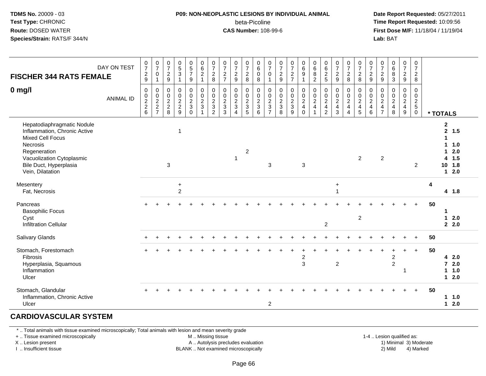#### **P09: NON-NEOPLASTIC LESIONS BY INDIVIDUAL ANIMAL** beta-Picoline**beta-Picoline**<br> **CAS Number:** 108-99-6<br> **CAS Number:** 108-99-6<br> **CAS Number:** 108-99-6

 **Date Report Requested:** 05/27/2011 **First Dose M/F:** 11/18/04 / 11/19/04 Lab: BAT **Lab:** BAT

| <b>FISCHER 344 RATS FEMALE</b>                                                                                                                                                               | DAY ON TEST      | $\frac{0}{7}$<br>$\frac{2}{9}$              | $\begin{array}{c} 0 \\ 7 \end{array}$<br>$\pmb{0}$<br>$\mathbf{1}$ | $\frac{0}{7}$<br>$\frac{2}{9}$       | $\begin{array}{c} 0 \\ 5 \\ 3 \end{array}$<br>$\overline{1}$             | $\begin{array}{c} 0 \\ 5 \\ 7 \end{array}$<br>$\boldsymbol{9}$              | $\begin{array}{c} 0 \\ 6 \\ 2 \\ 1 \end{array}$             | $\frac{0}{7}$<br>$\frac{2}{8}$      | $\frac{0}{7}$<br>$\frac{2}{7}$                                         | $\begin{array}{c} 0 \\ 7 \end{array}$<br>$\frac{2}{9}$                       | $\frac{0}{7}$<br>$\frac{2}{8}$       | 0<br>$\,6\,$<br>$\mathsf 0$<br>$\bf 8$ | $\frac{0}{7}$<br>$\mathbf 0$<br>$\mathbf{1}$ | 0<br>$\boldsymbol{7}$<br>$\frac{2}{9}$ | $\frac{0}{7}$<br>$rac{2}{7}$ | $\begin{array}{c} 0 \\ 6 \\ 9 \end{array}$<br>$\mathbf{1}$ | $\begin{array}{c} 0 \\ 6 \end{array}$<br>$\overline{8}$<br>$\overline{2}$         |                                                                                 | 0729                                                      | $\frac{0}{7}$<br>$\sqrt{2}$<br>$\,8\,$               | 0<br>$\boldsymbol{7}$<br>$_{8}^{\rm 2}$         | $\frac{0}{7}$<br>$\frac{2}{9}$                                               | $\frac{0}{7}$<br>$\overline{c}$<br>$\boldsymbol{9}$            | $\begin{array}{c} 0 \\ 6 \end{array}$<br>$\, 8$<br>$\mathbf{3}$ | $\frac{0}{7}$<br>$\frac{2}{9}$                   | $\frac{0}{7}$<br>$\frac{2}{8}$                           |    |                                                                             |                                           |
|----------------------------------------------------------------------------------------------------------------------------------------------------------------------------------------------|------------------|---------------------------------------------|--------------------------------------------------------------------|--------------------------------------|--------------------------------------------------------------------------|-----------------------------------------------------------------------------|-------------------------------------------------------------|-------------------------------------|------------------------------------------------------------------------|------------------------------------------------------------------------------|--------------------------------------|----------------------------------------|----------------------------------------------|----------------------------------------|------------------------------|------------------------------------------------------------|-----------------------------------------------------------------------------------|---------------------------------------------------------------------------------|-----------------------------------------------------------|------------------------------------------------------|-------------------------------------------------|------------------------------------------------------------------------------|----------------------------------------------------------------|-----------------------------------------------------------------|--------------------------------------------------|----------------------------------------------------------|----|-----------------------------------------------------------------------------|-------------------------------------------|
| $0$ mg/l                                                                                                                                                                                     | <b>ANIMAL ID</b> | $\mathbf 0$<br>$\pmb{0}$<br>$\frac{2}{2}$ 6 | $\mathbf 0$<br>$\boldsymbol{0}$<br>$\frac{2}{2}$<br>$\overline{7}$ | 0<br>$\pmb{0}$<br>$\frac{2}{2}$<br>8 | $\pmb{0}$<br>$\pmb{0}$<br>$\overline{2}$<br>$\sqrt{2}$<br>$\overline{9}$ | $\pmb{0}$<br>$\begin{smallmatrix} 0\\2\\3 \end{smallmatrix}$<br>$\mathbf 0$ | $\mathbf 0$<br>$\mathbf 0$<br>$\overline{2}$<br>$\mathsf 3$ | $_{\rm 0}^{\rm 0}$<br>$\frac{2}{3}$ | $\mathbf 0$<br>$\boldsymbol{0}$<br>$\overline{2}$<br>$\mathbf{3}$<br>3 | $\mathbf 0$<br>$\pmb{0}$<br>$\overline{2}$<br>$\mathbf{3}$<br>$\overline{4}$ | 0<br>$\pmb{0}$<br>$\frac{2}{3}$<br>5 | 0<br>$\mathbf 0$<br>$\frac{2}{3}$<br>6 | $\,0\,$<br>$\frac{0}{2}$<br>$\overline{7}$   | 0<br>0<br>$\frac{2}{3}$<br>8           | 00023                        | $\mathbf 0$<br>$\mathbf 0$<br>$\frac{2}{4}$<br>$\Omega$    | $\pmb{0}$<br>$\mathop{2}\limits^{\mathbb{O}}$<br>$\overline{4}$<br>$\overline{1}$ | 0<br>$\mathbf 0$<br>$\overline{2}$<br>$\overline{\mathbf{4}}$<br>$\overline{2}$ | 0<br>$\begin{smallmatrix} 0\\2\\4 \end{smallmatrix}$<br>3 | 0<br>$\begin{array}{c} 0 \\ 2 \\ 4 \end{array}$<br>4 | 0<br>$\mathbf 0$<br>$\frac{2}{4}$<br>$\sqrt{5}$ | $\mathbf 0$<br>$\begin{array}{c} 0 \\ 2 \\ 4 \end{array}$<br>$6\phantom{1}6$ | 0<br>0<br>$\boldsymbol{2}$<br>$\overline{4}$<br>$\overline{7}$ | $\pmb{0}$<br>$\pmb{0}$<br>$\frac{2}{4}$<br>8                    | $\mathbf 0$<br>$\mathbf 0$<br>$\frac{2}{4}$<br>9 | 0<br>$\mathsf{O}\xspace$<br>$\frac{2}{5}$<br>$\mathbf 0$ |    | * TOTALS                                                                    |                                           |
| Hepatodiaphragmatic Nodule<br>Inflammation, Chronic Active<br><b>Mixed Cell Focus</b><br>Necrosis<br>Regeneration<br>Vacuolization Cytoplasmic<br>Bile Duct, Hyperplasia<br>Vein, Dilatation |                  |                                             |                                                                    | $\sqrt{3}$                           | -1                                                                       |                                                                             |                                                             |                                     |                                                                        | -1                                                                           | $\overline{c}$                       |                                        | $\mathbf{3}$                                 |                                        |                              | $\mathbf{3}$                                               |                                                                                   |                                                                                 |                                                           |                                                      | $\overline{2}$                                  |                                                                              | $\overline{c}$                                                 |                                                                 |                                                  | $\overline{2}$                                           |    | $\mathbf{2}$<br>$2^{\circ}$<br>$\mathbf{1}$<br>$\mathbf{1}$<br>1<br>4<br>10 | 1.5<br>1.0<br>2.0<br>1.5<br>1.8<br>$12.0$ |
| Mesentery<br>Fat, Necrosis                                                                                                                                                                   |                  |                                             |                                                                    |                                      | $\ddot{}$<br>$\overline{c}$                                              |                                                                             |                                                             |                                     |                                                                        |                                                                              |                                      |                                        |                                              |                                        |                              |                                                            |                                                                                   |                                                                                 | $\ddot{}$                                                 |                                                      |                                                 |                                                                              |                                                                |                                                                 |                                                  |                                                          | 4  |                                                                             | 4 1.8                                     |
| Pancreas<br><b>Basophilic Focus</b><br>Cyst<br><b>Infiltration Cellular</b>                                                                                                                  |                  |                                             |                                                                    |                                      |                                                                          |                                                                             |                                                             |                                     |                                                                        |                                                                              |                                      |                                        |                                              |                                        |                              |                                                            |                                                                                   | $\overline{c}$                                                                  |                                                           |                                                      | $\overline{2}$                                  |                                                                              |                                                                |                                                                 |                                                  |                                                          | 50 | $\mathbf{1}$<br>$\mathbf{1}$                                                | 2.0<br>2.0                                |
| Salivary Glands                                                                                                                                                                              |                  |                                             |                                                                    |                                      |                                                                          |                                                                             |                                                             |                                     |                                                                        |                                                                              |                                      |                                        |                                              |                                        |                              |                                                            |                                                                                   |                                                                                 |                                                           |                                                      |                                                 |                                                                              |                                                                |                                                                 |                                                  |                                                          | 50 |                                                                             |                                           |
| Stomach, Forestomach<br>Fibrosis<br>Hyperplasia, Squamous<br>Inflammation<br>Ulcer                                                                                                           |                  |                                             |                                                                    |                                      |                                                                          |                                                                             |                                                             |                                     |                                                                        |                                                                              |                                      |                                        |                                              |                                        |                              | $\overline{\mathbf{c}}$<br>3                               |                                                                                   |                                                                                 | $\overline{c}$                                            |                                                      |                                                 |                                                                              |                                                                | 2<br>$\overline{c}$                                             | 1                                                |                                                          | 50 | $\overline{7}$<br>1                                                         | 42.0<br>2.0<br>1.0<br>$12.0$              |
| Stomach, Glandular<br>Inflammation, Chronic Active<br>Ulcer                                                                                                                                  |                  |                                             |                                                                    |                                      |                                                                          |                                                                             |                                                             |                                     |                                                                        |                                                                              |                                      |                                        | $\overline{2}$                               |                                        |                              |                                                            |                                                                                   |                                                                                 |                                                           |                                                      |                                                 |                                                                              |                                                                |                                                                 |                                                  |                                                          | 50 |                                                                             | 11.0<br>$12.0$                            |

### **CARDIOVASCULAR SYSTEM**

\* .. Total animals with tissue examined microscopically; Total animals with lesion and mean severity grade

+ .. Tissue examined microscopically

X .. Lesion present

I .. Insufficient tissue

M .. Missing tissue

A .. Autolysis precludes evaluation

BLANK .. Not examined microscopically 2) Mild 4) Marked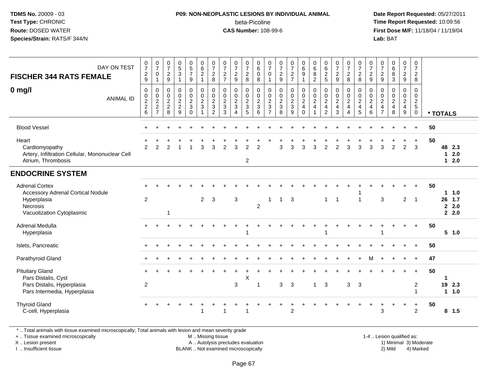### **P09: NON-NEOPLASTIC LESIONS BY INDIVIDUAL ANIMAL** beta-Picoline**beta-Picoline**<br> **CAS Number:** 108-99-6<br> **CAS Number:** 108-99-6<br> **CAS Number:** 108-99-6

 **Date Report Requested:** 05/27/2011 **First Dose M/F:** 11/18/04 / 11/19/04 Lab: BAT **Lab:** BAT

| DAY ON TEST<br><b>FISCHER 344 RATS FEMALE</b>                                                                             | $\frac{0}{7}$<br>$\frac{2}{9}$   | $\frac{0}{7}$<br>$\mathbf 0$<br>$\mathbf{1}$ | $\frac{0}{7}$<br>$\frac{2}{9}$              | $\begin{array}{c} 0 \\ 5 \\ 3 \end{array}$<br>$\mathbf{1}$                          | $\begin{array}{c} 0 \\ 5 \\ 7 \end{array}$<br>$\boldsymbol{9}$    | $\begin{array}{c} 0 \\ 6 \end{array}$<br>$\frac{2}{1}$                    | $\frac{0}{7}$<br>$_{\rm 8}^2$                                                   | $\frac{0}{7}$<br>$\frac{2}{7}$                            | $\frac{0}{7}$<br>$\frac{2}{9}$                             | $\frac{0}{7}$<br>$_{\rm 8}^2$                  | $\begin{array}{c} 0 \\ 6 \end{array}$<br>0<br>8     | $\frac{0}{7}$<br>$\mathbf 0$                      | $\frac{0}{7}$<br>$\frac{2}{9}$ | $\frac{0}{7}$<br>$\frac{2}{7}$                               | $\begin{array}{c} 0 \\ 6 \end{array}$<br>$\boldsymbol{9}$<br>$\overline{1}$ | $\begin{array}{c} 0 \\ 6 \end{array}$<br>$\bf8$<br>$\overline{2}$ | $\begin{array}{c} 0 \\ 6 \end{array}$<br>$\frac{2}{5}$          | $\begin{smallmatrix}0\\7\end{smallmatrix}$<br>$\frac{2}{9}$ | $\frac{0}{7}$<br>$\frac{2}{8}$                                            | $\frac{0}{7}$<br>$_{8}^{\rm 2}$     | $\frac{0}{7}$<br>$\frac{2}{9}$                            | $\frac{0}{7}$<br>$\frac{2}{9}$                                                          | $_{6}^{\rm 0}$<br>$\bf 8$<br>$\overline{3}$ | $\frac{0}{7}$<br>$\frac{2}{9}$                          | $\frac{0}{7}$<br>$\frac{2}{8}$                             |    |                                                      |
|---------------------------------------------------------------------------------------------------------------------------|----------------------------------|----------------------------------------------|---------------------------------------------|-------------------------------------------------------------------------------------|-------------------------------------------------------------------|---------------------------------------------------------------------------|---------------------------------------------------------------------------------|-----------------------------------------------------------|------------------------------------------------------------|------------------------------------------------|-----------------------------------------------------|---------------------------------------------------|--------------------------------|--------------------------------------------------------------|-----------------------------------------------------------------------------|-------------------------------------------------------------------|-----------------------------------------------------------------|-------------------------------------------------------------|---------------------------------------------------------------------------|-------------------------------------|-----------------------------------------------------------|-----------------------------------------------------------------------------------------|---------------------------------------------|---------------------------------------------------------|------------------------------------------------------------|----|------------------------------------------------------|
| $0$ mg/l<br><b>ANIMAL ID</b>                                                                                              | $\mathbf 0$<br>$0$<br>$2$<br>$6$ | $\mathbf 0$<br>$\frac{0}{2}$<br>7            | $\pmb{0}$<br>$_{2}^{\rm 0}$<br>$_{\rm 8}^2$ | $\begin{smallmatrix} 0\\0\\2 \end{smallmatrix}$<br>$\overline{c}$<br>$\overline{9}$ | $\begin{array}{c} 0 \\ 0 \\ 2 \\ 3 \end{array}$<br>$\overline{0}$ | $\begin{matrix} 0 \\ 0 \\ 2 \end{matrix}$<br>$\sqrt{3}$<br>$\overline{1}$ | $\mathbf 0$<br>$\overline{0}$<br>$\overline{c}$<br>$\sqrt{3}$<br>$\overline{c}$ | $\mathsf{O}\xspace$<br>$\frac{0}{2}$<br>3<br>$\mathbf{3}$ | 0<br>$\frac{0}{2}$<br>$\sqrt{3}$<br>$\boldsymbol{\Lambda}$ | $\mathbf 0$<br>$\frac{0}{2}$<br>$\overline{5}$ | $\pmb{0}$<br>$\frac{0}{2}$<br>$\sqrt{3}$<br>$\,6\,$ | 0<br>$\pmb{0}$<br>$\frac{2}{3}$<br>$\overline{7}$ | 0<br>0<br>2<br>3<br>8          | $\pmb{0}$<br>$\begin{array}{c} 0 \\ 2 \\ 3 \end{array}$<br>9 | $\mathbf 0$<br>$\frac{0}{2}$<br>$\overline{4}$<br>$\mathbf 0$               | $\pmb{0}$<br>$\frac{0}{2}$<br>$\overline{4}$<br>$\overline{1}$    | 0<br>$\frac{0}{2}$<br>$\overline{\mathbf{4}}$<br>$\overline{2}$ | $\begin{array}{c} 0 \\ 0 \\ 2 \\ 4 \\ 3 \end{array}$        | $\pmb{0}$<br>$\begin{array}{c} 0 \\ 2 \\ 4 \end{array}$<br>$\overline{4}$ | 0<br>$\frac{0}{2}$<br>$\frac{4}{5}$ | $\mathbf 0$<br>$\frac{0}{2}$<br>$\overline{4}$<br>$\,6\,$ | $\mathbf 0$<br>$\pmb{0}$<br>$\overline{c}$<br>$\overline{\mathbf{4}}$<br>$\overline{7}$ | $\mathbf 0$<br>$\frac{0}{2}$<br>8           | $\mathsf 0$<br>$\frac{0}{2}$<br>$\overline{4}$<br>$9\,$ | $\mathbf 0$<br>$\mathbf 0$<br>$\frac{2}{5}$<br>$\mathbf 0$ |    | * TOTALS                                             |
| <b>Blood Vessel</b>                                                                                                       |                                  |                                              |                                             |                                                                                     |                                                                   |                                                                           |                                                                                 |                                                           |                                                            |                                                |                                                     |                                                   |                                |                                                              |                                                                             |                                                                   |                                                                 |                                                             |                                                                           |                                     |                                                           |                                                                                         |                                             |                                                         | $+$                                                        | 50 |                                                      |
| Heart<br>Cardiomyopathy<br>Artery, Infiltration Cellular, Mononuclear Cell<br>Atrium, Thrombosis                          | 2                                |                                              |                                             |                                                                                     |                                                                   | 3                                                                         | 3                                                                               | 2                                                         | 3                                                          | $\overline{2}$<br>$\mathbf{2}$                 | $\mathcal{P}$                                       |                                                   | 3                              | 3                                                            | 3                                                                           | 3                                                                 | $\mathfrak{p}$                                                  | 2                                                           | 3                                                                         | 3                                   | 3                                                         | 3                                                                                       | $\overline{2}$                              | $\overline{2}$                                          | $\ddot{}$<br>3                                             | 50 | 48 2.3<br>2.0<br>$\mathbf{1}$<br>2.0<br>$\mathbf{1}$ |
| <b>ENDOCRINE SYSTEM</b>                                                                                                   |                                  |                                              |                                             |                                                                                     |                                                                   |                                                                           |                                                                                 |                                                           |                                                            |                                                |                                                     |                                                   |                                |                                                              |                                                                             |                                                                   |                                                                 |                                                             |                                                                           |                                     |                                                           |                                                                                         |                                             |                                                         |                                                            |    |                                                      |
| <b>Adrenal Cortex</b><br><b>Accessory Adrenal Cortical Nodule</b><br>Hyperplasia<br>Necrosis<br>Vacuolization Cytoplasmic | $\overline{2}$                   |                                              | 1                                           |                                                                                     |                                                                   | $\overline{2}$                                                            | $\mathbf{3}$                                                                    |                                                           | $\sqrt{3}$                                                 |                                                | $\overline{2}$                                      | 1                                                 | $\mathbf 1$                    | 3                                                            |                                                                             |                                                                   | 1                                                               | $\overline{1}$                                              |                                                                           | $\overline{1}$                      |                                                           | 3                                                                                       |                                             | $\overline{2}$                                          | $\overline{\phantom{0}}$ 1                                 | 50 | 11.0<br>26<br>1.7<br>$2 \quad 2.0$<br>2.0            |
| Adrenal Medulla<br>Hyperplasia                                                                                            | $+$                              |                                              |                                             |                                                                                     |                                                                   |                                                                           |                                                                                 |                                                           |                                                            |                                                |                                                     |                                                   |                                |                                                              |                                                                             |                                                                   | -1                                                              |                                                             |                                                                           |                                     |                                                           | 1                                                                                       |                                             |                                                         | $+$                                                        | 50 | 5 1.0                                                |
| Islets, Pancreatic                                                                                                        |                                  |                                              |                                             |                                                                                     |                                                                   |                                                                           |                                                                                 |                                                           |                                                            |                                                |                                                     |                                                   |                                |                                                              |                                                                             |                                                                   |                                                                 |                                                             |                                                                           |                                     |                                                           |                                                                                         |                                             |                                                         |                                                            | 50 |                                                      |
| Parathyroid Gland                                                                                                         |                                  |                                              |                                             |                                                                                     |                                                                   |                                                                           |                                                                                 |                                                           |                                                            |                                                |                                                     |                                                   |                                |                                                              |                                                                             |                                                                   |                                                                 |                                                             |                                                                           |                                     |                                                           |                                                                                         |                                             |                                                         | $+$                                                        | 47 |                                                      |
| <b>Pituitary Gland</b><br>Pars Distalis, Cyst<br>Pars Distalis, Hyperplasia<br>Pars Intermedia, Hyperplasia               | 2                                |                                              |                                             |                                                                                     |                                                                   |                                                                           |                                                                                 |                                                           | $\mathbf{3}$                                               | X                                              | $\overline{1}$                                      |                                                   | 3                              | 3                                                            |                                                                             | $\overline{1}$                                                    | 3                                                               |                                                             | 3                                                                         | $\mathbf{3}$                        |                                                           |                                                                                         |                                             |                                                         | $\overline{2}$                                             | 50 | -1<br>19<br>2.3<br>$1 1.0$                           |
| <b>Thyroid Gland</b><br>C-cell, Hyperplasia                                                                               |                                  |                                              |                                             |                                                                                     |                                                                   |                                                                           |                                                                                 |                                                           |                                                            |                                                |                                                     |                                                   |                                | $\overline{2}$                                               |                                                                             |                                                                   |                                                                 |                                                             |                                                                           |                                     |                                                           | 3                                                                                       |                                             | $\ddot{}$                                               | $\ddot{}$<br>$\overline{2}$                                | 50 | $8$ 1.5                                              |

\* .. Total animals with tissue examined microscopically; Total animals with lesion and mean severity grade

+ .. Tissue examined microscopically

X .. Lesion present

I .. Insufficient tissue

M .. Missing tissue

A .. Autolysis precludes evaluation

BLANK .. Not examined microscopically 2) Mild 4) Marked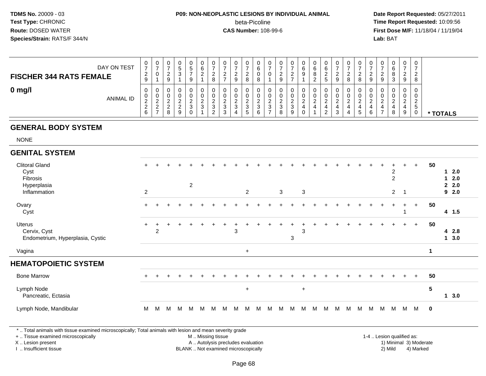### **P09: NON-NEOPLASTIC LESIONS BY INDIVIDUAL ANIMAL** beta-Picoline**beta-Picoline**<br> **CAS Number:** 108-99-6<br> **CAS Number:** 108-99-6<br> **CAS Number:** 108-99-6

 **Date Report Requested:** 05/27/2011 **First Dose M/F:** 11/18/04 / 11/19/04 Lab: BAT **Lab:** BAT

| DAY ON TEST<br><b>FISCHER 344 RATS FEMALE</b> | U<br>$\epsilon$<br>9                            | 0<br>0                                                 | 0<br><u>_</u><br>9                       | 0<br>G<br>3                     | υ<br>ັ      |   | v<br><u>.</u><br>۰                                      | υ<br>∼             | 0<br>9                                   | ν<br><u>_</u>      | 0<br>6<br>0<br>8                  |   | 0<br>∠                                 | U<br>6<br>9   | 0<br>6<br>8<br>n | U<br>6<br><u>_</u><br>ູບ | 0<br>ົ<br>9           |   |   | v<br>∼<br>9 | <u>_</u><br>9 | 0<br>6<br>$\circ$<br>3                 | 0<br>ົ<br><u>_</u><br>9                | v<br>ົ<br>-<br>8 |          |
|-----------------------------------------------|-------------------------------------------------|--------------------------------------------------------|------------------------------------------|---------------------------------|-------------|---|---------------------------------------------------------|--------------------|------------------------------------------|--------------------|-----------------------------------|---|----------------------------------------|---------------|------------------|--------------------------|-----------------------|---|---|-------------|---------------|----------------------------------------|----------------------------------------|------------------|----------|
| $0 \text{ mg/l}$<br>ANIMAL ID                 | 0<br>υ<br>◠<br><u>_</u><br>ົ<br>$\epsilon$<br>6 | 0<br>0<br><u>_</u><br>ി<br>$\epsilon$<br>$\rightarrow$ | 0<br><u>_</u><br>$\sim$<br><u>_</u><br>8 | 0<br>0<br>ົ<br>_<br>ົ<br>∼<br>9 | $\sim$<br>ັ | ▵ | υ<br>ν<br>⌒<br><u>_</u><br>$\sim$<br>P<br>ົ<br><u>.</u> | 0<br>_<br>$\Omega$ | 0<br>0<br>$\Omega$<br><u>_</u><br>3<br>4 | <u>_</u><br>P<br>C | 0<br>0<br>റ<br><u>_</u><br>3<br>6 | ັ | 0<br>υ<br>ົ<br><u>.</u><br>◠<br>د<br>9 | ν<br><u>_</u> | 0<br>4           | v<br>ν<br><u>_</u>       | 0<br>0<br>ົ<br>4<br>3 | 4 | ວ | υ<br>u<br>6 | u             | $\mathbf 0$<br>0<br>$\Omega$<br>4<br>8 | 0<br>0<br>$\sim$<br><u>_</u><br>4<br>9 | υ<br>ົ<br>.5     | * TOTALS |

### **GENERAL BODY SYSTEM**

NONE

### **GENITAL SYSTEM**

| <b>Clitoral Gland</b><br>Cyst<br>Fibrosis<br>Hyperplasia<br>Inflammation | $+$<br>$\overline{2}$ | $\ddot{}$ | $\overline{+}$ | $\pm$ | $\boldsymbol{2}$ |   |   |   |   | $\overline{2}$ |   | $\mathbf{3}$ |   | 3         |   |   |   |   |   |   | $\pm$ | $+$<br>2<br>$\overline{2}$<br>$\overline{2}$ | $+$<br>$\overline{1}$ | $+$       | 50              | 2.0<br>$\mathbf 1$<br>2.0<br>1.<br>2.0<br>92.0 |  |
|--------------------------------------------------------------------------|-----------------------|-----------|----------------|-------|------------------|---|---|---|---|----------------|---|--------------|---|-----------|---|---|---|---|---|---|-------|----------------------------------------------|-----------------------|-----------|-----------------|------------------------------------------------|--|
| Ovary<br>Cyst                                                            | $+$                   |           |                |       |                  |   |   |   |   |                |   |              |   |           |   |   |   |   |   |   |       |                                              | $\ddot{}$             | $+$       | 50              | 4 1.5                                          |  |
| Uterus<br>Cervix, Cyst<br>Endometrium, Hyperplasia, Cystic               | $+$                   | 2         | ÷              |       |                  |   |   |   | 3 |                |   |              | 3 | 3         |   |   |   |   |   |   |       |                                              | $\ddot{}$             | $+$       | 50              | 42.8<br>3.0<br>$\mathbf{1}$                    |  |
| Vagina                                                                   |                       |           |                |       |                  |   |   |   |   | $\ddot{}$      |   |              |   |           |   |   |   |   |   |   |       |                                              |                       |           |                 |                                                |  |
| <b>HEMATOPOIETIC SYSTEM</b>                                              |                       |           |                |       |                  |   |   |   |   |                |   |              |   |           |   |   |   |   |   |   |       |                                              |                       |           |                 |                                                |  |
| <b>Bone Marrow</b>                                                       | $+$                   |           | $\ddot{}$      |       |                  |   |   |   |   |                |   |              |   |           |   |   |   |   |   |   |       |                                              | $\ddot{}$             | $\ddot{}$ | 50              |                                                |  |
| Lymph Node<br>Pancreatic, Ectasia                                        |                       |           |                |       |                  |   |   |   |   | $\ddot{}$      |   |              |   | $\ddot{}$ |   |   |   |   |   |   |       |                                              |                       |           | $5\phantom{.0}$ | 3.0<br>1                                       |  |
| Lymph Node, Mandibular                                                   | M                     | М         | M              | M     | M                | м | M | м | м |                | M | м            | м | М         | M | M | M | M | м | м | M     | м                                            | M                     | М         | $\bf{0}$        |                                                |  |
|                                                                          |                       |           |                |       |                  |   |   |   |   |                |   |              |   |           |   |   |   |   |   |   |       |                                              |                       |           |                 |                                                |  |

\* .. Total animals with tissue examined microscopically; Total animals with lesion and mean severity grade

+ .. Tissue examined microscopically

X .. Lesion present

I .. Insufficient tissue

 M .. Missing tissueA .. Autolysis precludes evaluation

BLANK .. Not examined microscopically 2) Mild 4) Marked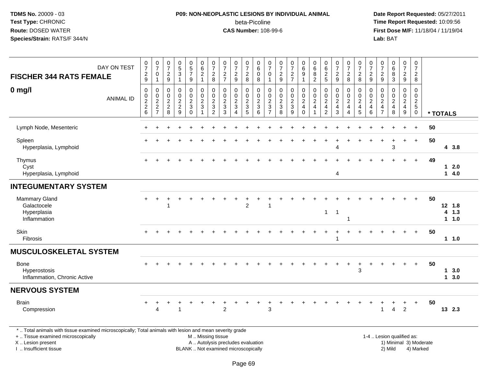## **P09: NON-NEOPLASTIC LESIONS BY INDIVIDUAL ANIMAL**beta-Picoline<br>CAS Number: 108-99-6

 **Date Report Requested:** 05/27/2011 **Time Report Requested:** 10:09:56 **First Dose M/F:** 11/18/04 / 11/19/04<br>**Lab:** BAT **Lab:** BAT

| <b>FISCHER 344 RATS FEMALE</b>                                                                                                                                      | DAY ON TEST      | $\frac{0}{7}$<br>$\frac{2}{9}$                        | $\begin{array}{c} 0 \\ 7 \end{array}$<br>0<br>$\mathbf{1}$ | $\frac{0}{7}$<br>$\overline{c}$<br>9                 | $\begin{array}{c} 0 \\ 5 \\ 3 \end{array}$<br>$\mathbf{1}$ | $\begin{array}{c} 0 \\ 5 \\ 7 \end{array}$<br>$\boldsymbol{9}$         | $\begin{array}{c} 0 \\ 6 \end{array}$<br>$\overline{2}$<br>$\mathbf{1}$    | $\frac{0}{7}$<br>$\overline{c}$<br>8                               | $\frac{0}{7}$<br>$\frac{2}{7}$                  | $\frac{0}{7}$<br>$\overline{c}$<br>9                | $\frac{0}{7}$<br>$\overline{c}$<br>8                    | $\mathbf 0$<br>$\overline{6}$<br>$\pmb{0}$<br>$\,8\,$ | $\frac{0}{7}$<br>0<br>$\overline{1}$                | $\frac{0}{7}$<br>$\frac{2}{9}$                    | $\frac{0}{7}$<br>$\frac{2}{7}$                        | $_{6}^{\rm 0}$<br>$\boldsymbol{9}$<br>$\mathbf{1}$ | $_{6}^{\rm 0}$<br>8<br>$\overline{a}$                |                                   | $\frac{0}{7}$<br>$\overline{c}$<br>9   | $\begin{array}{c} 0 \\ 7 \end{array}$<br>$\frac{2}{8}$ | $\frac{0}{7}$<br>$\boldsymbol{2}$<br>8                          | $\frac{0}{7}$<br>$\overline{c}$<br>$\overline{9}$                                | $\frac{0}{7}$<br>$\overline{c}$<br>$9\,$                                                     | $\begin{array}{c} 0 \\ 6 \end{array}$<br>$\overline{8}$<br>3       | $\begin{smallmatrix}0\\7\end{smallmatrix}$<br>$\overline{2}$<br>9                | 0<br>$\overline{7}$<br>$\overline{2}$<br>8                     |                        |          |                         |
|---------------------------------------------------------------------------------------------------------------------------------------------------------------------|------------------|-------------------------------------------------------|------------------------------------------------------------|------------------------------------------------------|------------------------------------------------------------|------------------------------------------------------------------------|----------------------------------------------------------------------------|--------------------------------------------------------------------|-------------------------------------------------|-----------------------------------------------------|---------------------------------------------------------|-------------------------------------------------------|-----------------------------------------------------|---------------------------------------------------|-------------------------------------------------------|----------------------------------------------------|------------------------------------------------------|-----------------------------------|----------------------------------------|--------------------------------------------------------|-----------------------------------------------------------------|----------------------------------------------------------------------------------|----------------------------------------------------------------------------------------------|--------------------------------------------------------------------|----------------------------------------------------------------------------------|----------------------------------------------------------------|------------------------|----------|-------------------------|
| $0$ mg/l                                                                                                                                                            | <b>ANIMAL ID</b> | $\pmb{0}$<br>$\pmb{0}$<br>$\sqrt{2}$<br>$\frac{2}{6}$ | 0<br>0<br>$\boldsymbol{2}$<br>$\frac{2}{7}$                | $\mathbf 0$<br>0<br>$\boldsymbol{2}$<br>$_{\rm 8}^2$ | $\pmb{0}$<br>0<br>$\sqrt{2}$<br>$\frac{2}{9}$              | $\mathbf 0$<br>$\mathbf 0$<br>$\sqrt{2}$<br>$\sqrt{3}$<br>$\mathbf{0}$ | $\mathbf 0$<br>$\mathbf 0$<br>$\overline{c}$<br>$\sqrt{3}$<br>$\mathbf{1}$ | 0<br>$\mathbf 0$<br>$\overline{\mathbf{c}}$<br>3<br>$\overline{2}$ | $\mathbf 0$<br>0<br>$\sqrt{2}$<br>$\frac{3}{3}$ | $\mathbf 0$<br>0<br>$\overline{c}$<br>3<br>$\Delta$ | $\mathbf 0$<br>$\pmb{0}$<br>$\sqrt{2}$<br>$\frac{3}{5}$ | $\mathbf 0$<br>0<br>$\sqrt{2}$<br>$\sqrt{3}$<br>6     | $\mathbf 0$<br>0<br>$\frac{2}{3}$<br>$\overline{7}$ | $\mathbf 0$<br>0<br>$\sqrt{2}$<br>$\sqrt{3}$<br>8 | $\mathbf 0$<br>0<br>$\sqrt{2}$<br>$\overline{3}$<br>9 | $\mathbf 0$<br>0<br>$\frac{2}{4}$<br>$\Omega$      | $\mathbf 0$<br>0<br>$\overline{c}$<br>$\overline{4}$ | $\mathbf 0$<br>0<br>$\frac{2}{4}$ | $\mathbf 0$<br>0<br>$\frac{2}{4}$<br>3 | 0<br>0<br>$\frac{2}{4}$<br>$\overline{4}$              | $\mathbf 0$<br>$\mathbf 0$<br>$\sqrt{2}$<br>$\overline{4}$<br>5 | $\mathbf 0$<br>$\mathbf 0$<br>$\overline{c}$<br>$\overline{4}$<br>$6\phantom{a}$ | $\Omega$<br>$\Omega$<br>$\overline{\mathbf{c}}$<br>$\overline{\mathbf{4}}$<br>$\overline{7}$ | $\mathbf 0$<br>0<br>$\overline{a}$<br>$\overline{\mathbf{4}}$<br>8 | $\mathbf 0$<br>$\mathbf 0$<br>$\overline{2}$<br>$\overline{4}$<br>$\overline{9}$ | $\mathbf 0$<br>0<br>$\sqrt{2}$<br>$5\phantom{.0}$<br>$\pmb{0}$ |                        | * TOTALS |                         |
| Lymph Node, Mesenteric                                                                                                                                              |                  |                                                       | $\ddot{}$                                                  | ÷                                                    | $\overline{1}$                                             | $\ddot{}$                                                              | $\ddot{}$                                                                  | $\ddot{}$                                                          |                                                 | $\div$                                              |                                                         | ÷.                                                    |                                                     |                                                   | $\div$                                                |                                                    | $\div$                                               |                                   | +                                      |                                                        |                                                                 |                                                                                  |                                                                                              |                                                                    | $\ddot{}$                                                                        | $+$                                                            | 50                     |          |                         |
| Spleen<br>Hyperplasia, Lymphoid                                                                                                                                     |                  |                                                       |                                                            |                                                      |                                                            |                                                                        |                                                                            |                                                                    |                                                 |                                                     |                                                         |                                                       |                                                     |                                                   |                                                       |                                                    |                                                      |                                   |                                        |                                                        |                                                                 |                                                                                  |                                                                                              | 3                                                                  | $+$                                                                              | $\ddot{}$                                                      | 50                     |          | 43.8                    |
| Thymus<br>Cyst<br>Hyperplasia, Lymphoid                                                                                                                             |                  |                                                       |                                                            |                                                      |                                                            |                                                                        |                                                                            |                                                                    |                                                 |                                                     |                                                         |                                                       |                                                     |                                                   |                                                       |                                                    |                                                      |                                   | $\overline{4}$                         |                                                        |                                                                 |                                                                                  |                                                                                              |                                                                    |                                                                                  | $\ddot{}$                                                      | 49                     |          | $12.0$<br>14.0          |
| <b>INTEGUMENTARY SYSTEM</b>                                                                                                                                         |                  |                                                       |                                                            |                                                      |                                                            |                                                                        |                                                                            |                                                                    |                                                 |                                                     |                                                         |                                                       |                                                     |                                                   |                                                       |                                                    |                                                      |                                   |                                        |                                                        |                                                                 |                                                                                  |                                                                                              |                                                                    |                                                                                  |                                                                |                        |          |                         |
| <b>Mammary Gland</b><br>Galactocele<br>Hyperplasia<br>Inflammation                                                                                                  |                  |                                                       |                                                            | 1                                                    |                                                            |                                                                        |                                                                            |                                                                    |                                                 |                                                     | $\overline{2}$                                          |                                                       | 1                                                   |                                                   |                                                       |                                                    |                                                      | $\mathbf{1}$                      |                                        | -1                                                     |                                                                 |                                                                                  |                                                                                              |                                                                    |                                                                                  |                                                                | 50                     |          | 12 1.8<br>4 1.3<br>11.0 |
| <b>Skin</b><br>Fibrosis                                                                                                                                             |                  |                                                       |                                                            |                                                      |                                                            |                                                                        |                                                                            |                                                                    |                                                 |                                                     |                                                         |                                                       |                                                     |                                                   |                                                       |                                                    |                                                      |                                   |                                        |                                                        |                                                                 |                                                                                  |                                                                                              |                                                                    |                                                                                  | $+$                                                            | 50                     |          | $1 \t1.0$               |
| <b>MUSCULOSKELETAL SYSTEM</b>                                                                                                                                       |                  |                                                       |                                                            |                                                      |                                                            |                                                                        |                                                                            |                                                                    |                                                 |                                                     |                                                         |                                                       |                                                     |                                                   |                                                       |                                                    |                                                      |                                   |                                        |                                                        |                                                                 |                                                                                  |                                                                                              |                                                                    |                                                                                  |                                                                |                        |          |                         |
| Bone<br>Hyperostosis<br>Inflammation, Chronic Active                                                                                                                |                  |                                                       |                                                            |                                                      |                                                            |                                                                        |                                                                            |                                                                    |                                                 |                                                     |                                                         |                                                       |                                                     |                                                   |                                                       |                                                    |                                                      |                                   |                                        |                                                        | 3                                                               |                                                                                  |                                                                                              |                                                                    |                                                                                  | $\ddot{}$                                                      | 50                     |          | $1 \quad 3.0$<br>13.0   |
| <b>NERVOUS SYSTEM</b>                                                                                                                                               |                  |                                                       |                                                            |                                                      |                                                            |                                                                        |                                                                            |                                                                    |                                                 |                                                     |                                                         |                                                       |                                                     |                                                   |                                                       |                                                    |                                                      |                                   |                                        |                                                        |                                                                 |                                                                                  |                                                                                              |                                                                    |                                                                                  |                                                                |                        |          |                         |
| <b>Brain</b><br>Compression                                                                                                                                         |                  |                                                       | $\overline{4}$                                             |                                                      | -1                                                         |                                                                        |                                                                            |                                                                    | $\overline{c}$                                  |                                                     |                                                         |                                                       | 3                                                   |                                                   |                                                       |                                                    |                                                      |                                   |                                        |                                                        |                                                                 |                                                                                  | 1                                                                                            | $\overline{4}$                                                     | +<br>$\boldsymbol{2}$                                                            | $\ddot{}$                                                      | 50                     | 13 2.3   |                         |
| *  Total animals with tissue examined microscopically; Total animals with lesion and mean severity grade<br>+  Tissue examined microscopically<br>X  Lesion present |                  |                                                       |                                                            |                                                      |                                                            |                                                                        | M  Missing tissue<br>A  Autolysis precludes evaluation                     |                                                                    |                                                 |                                                     |                                                         |                                                       |                                                     |                                                   |                                                       |                                                    |                                                      |                                   |                                        |                                                        |                                                                 |                                                                                  |                                                                                              | 1-4  Lesion qualified as:                                          |                                                                                  |                                                                | 1) Minimal 3) Moderate |          |                         |

I .. Insufficient tissue

BLANK .. Not examined microscopically 2) Mild 4) Marked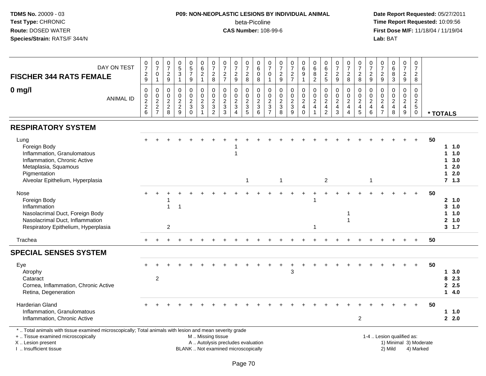## **P09: NON-NEOPLASTIC LESIONS BY INDIVIDUAL ANIMAL**beta-Picoline<br>CAS Number: 108-99-6

 **Date Report Requested:** 05/27/2011 **Time Report Requested:** 10:09:56 **First Dose M/F:** 11/18/04 / 11/19/04<br>**Lab:** BAT **Lab:** BAT

| DAY ON TEST<br><b>FISCHER 344 RATS FEMALE</b>                                                                                                                                                 | $\frac{0}{7}$<br>$\frac{2}{9}$         | $\begin{array}{c} 0 \\ 7 \end{array}$<br>0<br>$\mathbf{1}$  | $\frac{0}{7}$<br>$\frac{2}{9}$                   | $\begin{array}{c} 0 \\ 5 \end{array}$<br>$\overline{3}$<br>$\overline{1}$ | $\begin{array}{c} 0 \\ 5 \\ 7 \end{array}$<br>$\boldsymbol{9}$         | $\pmb{0}$<br>6<br>$\overline{2}$<br>$\mathbf{1}$                   | $\frac{0}{7}$<br>$\boldsymbol{2}$<br>8                        | 0<br>$\overline{7}$<br>$\frac{2}{7}$                          | $\begin{array}{c} 0 \\ 7 \end{array}$<br>$\overline{c}$<br>$\boldsymbol{9}$              | 0<br>$\overline{7}$<br>$\boldsymbol{2}$<br>8                 | 0<br>$6\phantom{1}6$<br>$\mathbf 0$<br>8                    | 0<br>$\overline{7}$<br>0<br>$\overline{1}$ | $\frac{0}{7}$<br>$\frac{2}{9}$                   | $\frac{0}{7}$<br>$\frac{2}{7}$                                    | $_{6}^{\rm 0}$<br>$\overline{9}$<br>$\mathbf{1}$           | 0<br>6<br>$\overline{8}$<br>$\overline{a}$               | 0<br>$\begin{array}{c} 6 \\ 2 \\ 5 \end{array}$                          | 0<br>$\overline{7}$<br>$\overline{c}$<br>9                       | $\frac{0}{7}$<br>$\frac{2}{8}$                                              | 0<br>$\overline{7}$<br>$\frac{2}{8}$                   | 0<br>$\overline{7}$<br>$\overline{2}$<br>9                       | $\frac{0}{7}$<br>$\overline{c}$<br>9                                       | 0<br>6<br>$\overline{8}$<br>3                                    | $\begin{smallmatrix}0\\7\end{smallmatrix}$<br>$\overline{a}$<br>9 | 0<br>$\overline{7}$<br>$\overline{2}$<br>8                     |                        |                |                                                  |
|-----------------------------------------------------------------------------------------------------------------------------------------------------------------------------------------------|----------------------------------------|-------------------------------------------------------------|--------------------------------------------------|---------------------------------------------------------------------------|------------------------------------------------------------------------|--------------------------------------------------------------------|---------------------------------------------------------------|---------------------------------------------------------------|------------------------------------------------------------------------------------------|--------------------------------------------------------------|-------------------------------------------------------------|--------------------------------------------|--------------------------------------------------|-------------------------------------------------------------------|------------------------------------------------------------|----------------------------------------------------------|--------------------------------------------------------------------------|------------------------------------------------------------------|-----------------------------------------------------------------------------|--------------------------------------------------------|------------------------------------------------------------------|----------------------------------------------------------------------------|------------------------------------------------------------------|-------------------------------------------------------------------|----------------------------------------------------------------|------------------------|----------------|--------------------------------------------------|
| $0$ mg/l<br><b>ANIMAL ID</b>                                                                                                                                                                  | 0<br>$\mathbf 0$<br>$\frac{2}{2}$<br>6 | $\pmb{0}$<br>$\mathsf 0$<br>$\frac{2}{2}$<br>$\overline{7}$ | $\mathbf 0$<br>$\mathbf 0$<br>$\frac{2}{2}$<br>8 | $\mathbf 0$<br>$\Omega$<br>$\overline{2}$<br>$\sqrt{2}$<br>9              | $\mathbf 0$<br>$\mathbf 0$<br>$\overline{2}$<br>$\sqrt{3}$<br>$\Omega$ | 0<br>$\mathbf 0$<br>$\overline{2}$<br>$\sqrt{3}$<br>$\overline{1}$ | $\mathbf 0$<br>$\mathbf 0$<br>$\frac{2}{3}$<br>$\overline{2}$ | $\Omega$<br>$\mathbf{0}$<br>$\overline{c}$<br>$\sqrt{3}$<br>3 | $\mathbf 0$<br>$\mathbf 0$<br>$\overline{2}$<br>$\mathfrak{Z}$<br>$\boldsymbol{\Lambda}$ | $\mathbf 0$<br>$\Omega$<br>$\overline{2}$<br>$\sqrt{3}$<br>5 | $\mathbf 0$<br>$\mathbf 0$<br>$\sqrt{2}$<br>$\sqrt{3}$<br>6 | 0<br>$\Omega$<br>$\frac{2}{3}$             | $\mathbf 0$<br>$\mathbf 0$<br>$\frac{2}{3}$<br>8 | $\mathbf 0$<br>$\mathbf 0$<br>$\overline{a}$<br>$\mathbf{3}$<br>9 | $\mathbf 0$<br>$\mathbf 0$<br>$\frac{2}{4}$<br>$\mathbf 0$ | $\Omega$<br>$\Omega$<br>$\overline{2}$<br>$\overline{4}$ | $\mathbf 0$<br>$\mathbf 0$<br>$\begin{array}{c} 2 \\ 4 \\ 2 \end{array}$ | $\mathbf 0$<br>$\Omega$<br>$\overline{2}$<br>$\overline{4}$<br>3 | 0<br>$\Omega$<br>$\overline{2}$<br>$\overline{4}$<br>$\boldsymbol{\Lambda}$ | 0<br>$\mathbf{0}$<br>$\sqrt{2}$<br>$\overline{4}$<br>5 | $\mathbf 0$<br>$\Omega$<br>$\overline{2}$<br>$\overline{4}$<br>6 | $\Omega$<br>$\Omega$<br>$\overline{c}$<br>$\overline{4}$<br>$\overline{7}$ | $\mathbf 0$<br>$\Omega$<br>$\overline{2}$<br>$\overline{4}$<br>8 | $\mathbf 0$<br>$\mathbf 0$<br>$\overline{a}$<br>$\frac{4}{9}$     | $\Omega$<br>$\Omega$<br>$\overline{2}$<br>$5\phantom{.0}$<br>0 |                        | * TOTALS       |                                                  |
| <b>RESPIRATORY SYSTEM</b>                                                                                                                                                                     |                                        |                                                             |                                                  |                                                                           |                                                                        |                                                                    |                                                               |                                                               |                                                                                          |                                                              |                                                             |                                            |                                                  |                                                                   |                                                            |                                                          |                                                                          |                                                                  |                                                                             |                                                        |                                                                  |                                                                            |                                                                  |                                                                   |                                                                |                        |                |                                                  |
| Lung<br>Foreign Body<br>Inflammation, Granulomatous<br>Inflammation, Chronic Active<br>Metaplasia, Squamous<br>Pigmentation<br>Alveolar Epithelium, Hyperplasia                               |                                        |                                                             |                                                  |                                                                           |                                                                        |                                                                    |                                                               |                                                               |                                                                                          | 1                                                            |                                                             |                                            | $\mathbf{1}$                                     |                                                                   |                                                            |                                                          | $\overline{c}$                                                           |                                                                  |                                                                             |                                                        | 1                                                                |                                                                            |                                                                  |                                                                   |                                                                | 50                     | 1.<br>1.<br>1. | $1 \t1.0$<br>11.0<br>3.0<br>2.0<br>2.0<br>7, 1.3 |
| Nose<br>Foreign Body<br>Inflammation<br>Nasolacrimal Duct, Foreign Body<br>Nasolacrimal Duct, Inflammation<br>Respiratory Epithelium, Hyperplasia                                             |                                        |                                                             | 1<br>$\overline{c}$                              | -1                                                                        |                                                                        |                                                                    |                                                               |                                                               |                                                                                          |                                                              |                                                             |                                            |                                                  |                                                                   |                                                            | 1                                                        |                                                                          |                                                                  |                                                                             |                                                        |                                                                  |                                                                            |                                                                  |                                                                   |                                                                | 50                     |                | 2 1.0<br>$3 - 1.0$<br>11.0<br>2, 1.0<br>3, 1.7   |
| Trachea                                                                                                                                                                                       |                                        |                                                             |                                                  |                                                                           |                                                                        |                                                                    |                                                               |                                                               |                                                                                          |                                                              |                                                             |                                            |                                                  |                                                                   |                                                            |                                                          |                                                                          |                                                                  |                                                                             |                                                        |                                                                  |                                                                            |                                                                  |                                                                   |                                                                | 50                     |                |                                                  |
| <b>SPECIAL SENSES SYSTEM</b>                                                                                                                                                                  |                                        |                                                             |                                                  |                                                                           |                                                                        |                                                                    |                                                               |                                                               |                                                                                          |                                                              |                                                             |                                            |                                                  |                                                                   |                                                            |                                                          |                                                                          |                                                                  |                                                                             |                                                        |                                                                  |                                                                            |                                                                  |                                                                   |                                                                |                        |                |                                                  |
| Eye<br>Atrophy<br>Cataract<br>Cornea, Inflammation, Chronic Active<br>Retina, Degeneration                                                                                                    |                                        | $\overline{2}$                                              |                                                  |                                                                           |                                                                        |                                                                    |                                                               |                                                               |                                                                                          |                                                              |                                                             |                                            |                                                  | 3                                                                 |                                                            |                                                          |                                                                          |                                                                  |                                                                             |                                                        |                                                                  |                                                                            |                                                                  |                                                                   |                                                                | 50                     | $\mathbf 1$    | 3.0<br>82.3<br>2.5<br>14.0                       |
| <b>Harderian Gland</b><br>Inflammation, Granulomatous<br>Inflammation, Chronic Active                                                                                                         |                                        |                                                             |                                                  |                                                                           |                                                                        |                                                                    |                                                               |                                                               |                                                                                          |                                                              |                                                             |                                            |                                                  |                                                                   |                                                            |                                                          |                                                                          |                                                                  |                                                                             | 2                                                      |                                                                  |                                                                            |                                                                  |                                                                   |                                                                | 50                     |                | 1 1.0<br>2.2.0                                   |
| *  Total animals with tissue examined microscopically; Total animals with lesion and mean severity grade<br>+  Tissue examined microscopically<br>X  Lesion present<br>I  Insufficient tissue |                                        |                                                             |                                                  |                                                                           |                                                                        | M  Missing tissue<br>A  Autolysis precludes evaluation             |                                                               | BLANK  Not examined microscopically                           |                                                                                          |                                                              |                                                             |                                            |                                                  |                                                                   |                                                            |                                                          |                                                                          |                                                                  |                                                                             |                                                        | 1-4  Lesion qualified as:                                        |                                                                            | 2) Mild                                                          |                                                                   | 4) Marked                                                      | 1) Minimal 3) Moderate |                |                                                  |

I .. Insufficient tissue

Page 70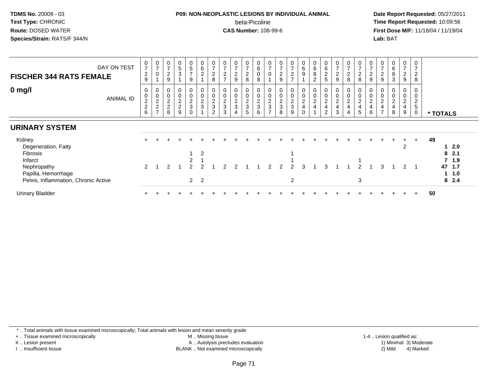### **P09: NON-NEOPLASTIC LESIONS BY INDIVIDUAL ANIMAL** beta-Picoline**beta-Picoline**<br> **CAS Number:** 108-99-6<br> **CAS Number:** 108-99-6<br> **CAS Number:** 108-99-6

 **Date Report Requested:** 05/27/2011 **First Dose M/F:** 11/18/04 / 11/19/04 Lab: BAT **Lab:** BAT

| DAY ON TEST<br><b>FISCHER 344 RATS FEMALE</b>                                                                                             | 0<br>$\overline{ }$<br>$\frac{2}{9}$                        | $\pmb{0}$<br>$\overline{ }$<br>$\pmb{0}$          | $\overline{0}$<br>$\overline{ }$<br>$\overline{c}$<br>9        | 0<br>$\sqrt{5}$<br>$\mathbf{3}$                  | $\begin{array}{c} 0 \\ 5 \end{array}$<br>$\overline{7}$<br>$9\,$ | $_{6}^{\rm 0}$<br>$\frac{2}{4}$                | $\begin{array}{c} 0 \\ 7 \end{array}$<br>$\frac{2}{8}$            | 0<br>$\overline{ }$<br>$\frac{2}{7}$              | $\overline{ }$<br>$\frac{2}{9}$                | $\mathbf 0$<br>$\overline{ }$<br>$\overline{c}$<br>8 | 0<br>6<br>0<br>8             | $\frac{0}{7}$<br>$\mathbf 0$                                        | $\frac{0}{7}$<br>$\frac{2}{9}$ | $\boldsymbol{0}$<br>$\boldsymbol{7}$<br>$\frac{2}{7}$          | 0<br>6<br>9                           | 0<br>$\,6\,$<br>$\bf8$<br>$\overline{c}$ | $\begin{array}{c} 0 \\ 6 \end{array}$<br>$rac{2}{5}$ | 0<br>$\overline{7}$<br>$\frac{2}{9}$                             | $\overline{ }$<br>$^2_{\bf 8}$                                              | $\frac{0}{7}$<br>$_{\rm 8}^2$                             | 0<br>$\overline{ }$<br>$\frac{2}{9}$                          | 0<br>$\overline{ }$<br>$\frac{2}{9}$      | 0<br>$\,6$<br>8<br>$\overline{3}$                               | 0<br>$\overline{ }$<br>$\frac{2}{9}$            | $\mathbf 0$<br>$\overline{7}$<br>$\frac{2}{8}$               |                                                          |
|-------------------------------------------------------------------------------------------------------------------------------------------|-------------------------------------------------------------|---------------------------------------------------|----------------------------------------------------------------|--------------------------------------------------|------------------------------------------------------------------|------------------------------------------------|-------------------------------------------------------------------|---------------------------------------------------|------------------------------------------------|------------------------------------------------------|------------------------------|---------------------------------------------------------------------|--------------------------------|----------------------------------------------------------------|---------------------------------------|------------------------------------------|------------------------------------------------------|------------------------------------------------------------------|-----------------------------------------------------------------------------|-----------------------------------------------------------|---------------------------------------------------------------|-------------------------------------------|-----------------------------------------------------------------|-------------------------------------------------|--------------------------------------------------------------|----------------------------------------------------------|
| $0$ mg/l<br><b>ANIMAL ID</b>                                                                                                              | 0<br>$\pmb{0}$<br>$\boldsymbol{2}$<br>$\boldsymbol{2}$<br>6 | 0<br>$\pmb{0}$<br>$\frac{2}{2}$<br>$\overline{ }$ | 0<br>$\boldsymbol{0}$<br>$\overline{c}$<br>$\overline{c}$<br>8 | $\mathbf 0$<br>$\frac{2}{2}$<br>$\boldsymbol{9}$ | 0<br>$\pmb{0}$<br>$\frac{2}{3}$<br>$\mathbf 0$                   | $\begin{matrix} 0 \\ 0 \\ 2 \\ 3 \end{matrix}$ | $\begin{array}{c} 0 \\ 0 \\ 2 \\ 3 \end{array}$<br>$\overline{c}$ | $\pmb{0}$<br>$\boldsymbol{2}$<br>$\mathbf 3$<br>3 | $\mathbf 0$<br>$\boldsymbol{2}$<br>$\mathbf 3$ | 0<br>0<br>$\overline{2}$<br>$\mathbf{3}$<br>5        | 0<br>0<br>$\frac{2}{3}$<br>6 | $\begin{matrix}0\\0\end{matrix}$<br>$\frac{2}{3}$<br>$\overline{ }$ | 0<br>$\frac{2}{3}$<br>8        | 0<br>$\pmb{0}$<br>$\sqrt{2}$<br>$\ensuremath{\mathsf{3}}$<br>9 | 0<br>$\overline{a}$<br>$\overline{4}$ | $\mathbf 0$<br>$\overline{c}$            | 0<br>$\pmb{0}$<br>$\sqrt{2}$<br>4<br>C               | 0<br>$\pmb{0}$<br>$\overline{2}$<br>$\overline{\mathbf{4}}$<br>3 | 0<br>$\mathbf 0$<br>$\sqrt{2}$<br>$\overline{\mathbf{4}}$<br>$\overline{4}$ | 0<br>$\mathbf 0$<br>$\overline{c}$<br>$\overline{4}$<br>5 | $\mathbf 0$<br>$\overline{c}$<br>$\overline{\mathbf{4}}$<br>6 | 0<br>$\overline{c}$<br>4<br>$\rightarrow$ | $\mathbf 0$<br>$\boldsymbol{2}$<br>$\overline{\mathbf{4}}$<br>8 | 0<br>0<br>$\overline{2}$<br>$\overline{4}$<br>9 | 0<br>$\pmb{0}$<br>$\overline{c}$<br>$\,$ 5 $\,$<br>$\pmb{0}$ | * TOTALS                                                 |
| <b>URINARY SYSTEM</b>                                                                                                                     |                                                             |                                                   |                                                                |                                                  |                                                                  |                                                |                                                                   |                                                   |                                                |                                                      |                              |                                                                     |                                |                                                                |                                       |                                          |                                                      |                                                                  |                                                                             |                                                           |                                                               |                                           |                                                                 |                                                 |                                                              |                                                          |
| Kidney<br>Degeneration, Fatty<br><b>Fibrosis</b><br>Infarct<br>Nephropathy<br>Papilla, Hemorrhage<br>Pelvis, Inflammation, Chronic Active | 2                                                           |                                                   |                                                                |                                                  | $\overline{2}$<br>$\overline{2}$                                 | 2<br>2<br>2                                    |                                                                   |                                                   |                                                |                                                      |                              |                                                                     |                                | 2                                                              |                                       |                                          |                                                      |                                                                  |                                                                             | 3                                                         |                                                               |                                           |                                                                 | 2<br>$\mathcal{P}$                              | $+$                                                          | 49<br>2.0<br>2.1<br>8<br>1.9<br>47<br>1.7<br>1.0<br>82.4 |
| <b>Urinary Bladder</b>                                                                                                                    |                                                             |                                                   |                                                                |                                                  |                                                                  |                                                |                                                                   |                                                   |                                                |                                                      |                              |                                                                     |                                |                                                                |                                       |                                          |                                                      |                                                                  |                                                                             |                                                           |                                                               |                                           |                                                                 |                                                 |                                                              | 50                                                       |

\* .. Total animals with tissue examined microscopically; Total animals with lesion and mean severity grade

+ .. Tissue examined microscopically

X .. Lesion present

I .. Insufficient tissue

 M .. Missing tissueA .. Autolysis precludes evaluation

1-4 .. Lesion qualified as:<br>1) Minimal 3) Moderate BLANK .. Not examined microscopically 2) Mild 4) Marked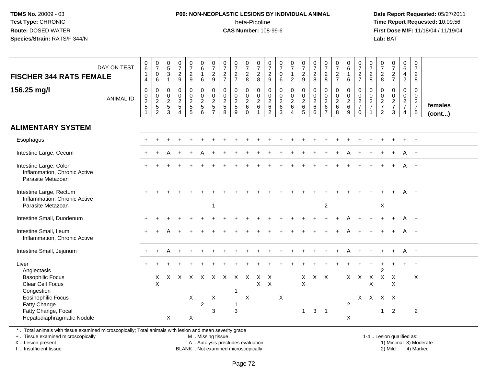### **P09: NON-NEOPLASTIC LESIONS BY INDIVIDUAL ANIMAL** beta-Picoline**beta-Picoline**<br> **CAS Number:** 108-99-6<br> **CAS Number:** 108-99-6<br> **CAS Number:** 108-99-6

 **Date Report Requested:** 05/27/2011 **First Dose M/F:** 11/18/04 / 11/19/04 Lab: BAT **Lab:** BAT

| <b>FISCHER 344 RATS FEMALE</b>                                                                                                                                                              | DAY ON TEST                                                                 | $\begin{matrix} 0 \\ 6 \end{matrix}$<br>$\overline{1}$<br>$\overline{4}$ | $\frac{0}{7}$<br>$\mathbf 0$<br>6                   | $\begin{array}{c} 0 \\ 5 \end{array}$<br>$\mathsf 3$<br>$\mathbf{1}$ | $\frac{0}{7}$<br>$\overline{2}$<br>9                              | $\frac{0}{7}$<br>$\overline{2}$<br>9                     | $\begin{array}{c} 0 \\ 6 \end{array}$<br>$\mathbf{1}$<br>6 | $\frac{0}{7}$<br>$\sqrt{2}$<br>9             | $\frac{0}{7}$<br>$\overline{c}$<br>$\overline{7}$ | $\frac{0}{7}$<br>$\sqrt{2}$<br>$\overline{7}$    | $\frac{0}{7}$<br>$\overline{2}$<br>8                                     | $\begin{array}{c} 0 \\ 7 \\ 2 \end{array}$<br>8  | $\frac{0}{7}$<br>$\overline{c}$<br>9                          | $\frac{0}{7}$<br>$\mathbf 0$<br>$\,6\,$                    | $\frac{0}{7}$<br>$\mathbf{1}$<br>$\overline{2}$      | $\begin{array}{c} 0 \\ 7 \\ 2 \end{array}$<br>9 | $\begin{array}{c} 0 \\ 7 \\ 2 \end{array}$<br>8 | $\frac{0}{7}$<br>$\overline{2}$<br>8                                            | $\frac{0}{7}$<br>$\overline{2}$<br>$\overline{7}$                    | $\begin{array}{c} 0 \\ 6 \end{array}$<br>$\mathbf{1}$<br>6 | $\frac{0}{7}$<br>$\overline{c}$<br>$\overline{7}$            | $\frac{0}{7}$<br>$\sqrt{2}$<br>8  | $\frac{0}{7}$<br>$\overline{c}$<br>8                                  | $\frac{0}{7}$<br>$\sqrt{2}$<br>$\overline{7}$  | $\begin{array}{c} 0 \\ 6 \end{array}$<br>$\overline{4}$<br>$\overline{2}$ | $\mathbf 0$<br>$\overline{7}$<br>$\overline{2}$<br>8        |                   |
|---------------------------------------------------------------------------------------------------------------------------------------------------------------------------------------------|-----------------------------------------------------------------------------|--------------------------------------------------------------------------|-----------------------------------------------------|----------------------------------------------------------------------|-------------------------------------------------------------------|----------------------------------------------------------|------------------------------------------------------------|----------------------------------------------|---------------------------------------------------|--------------------------------------------------|--------------------------------------------------------------------------|--------------------------------------------------|---------------------------------------------------------------|------------------------------------------------------------|------------------------------------------------------|-------------------------------------------------|-------------------------------------------------|---------------------------------------------------------------------------------|----------------------------------------------------------------------|------------------------------------------------------------|--------------------------------------------------------------|-----------------------------------|-----------------------------------------------------------------------|------------------------------------------------|---------------------------------------------------------------------------|-------------------------------------------------------------|-------------------|
| 156.25 mg/l                                                                                                                                                                                 | <b>ANIMAL ID</b>                                                            | $\mathbf 0$<br>$\mathbf 0$<br>$\frac{2}{5}$                              | $\boldsymbol{0}$<br>$\frac{0}{2}$<br>$\overline{2}$ | $\Omega$<br>$\mathbf 0$<br>$\overline{2}$<br>$\overline{5}$<br>3     | $\Omega$<br>$\pmb{0}$<br>$\overline{2}$<br>$\sqrt{5}$<br>$\Delta$ | $\mathbf 0$<br>$\mathsf{O}\xspace$<br>$\frac{2}{5}$<br>5 | 0<br>$\mathsf{O}\xspace$<br>$\overline{2}$<br>5<br>6       | $\pmb{0}$<br>$\frac{0}{2}$<br>$\overline{7}$ | $\Omega$<br>$\mathbf 0$<br>$\frac{2}{5}$<br>8     | $\mathbf 0$<br>$\mathsf 0$<br>$\frac{2}{5}$<br>9 | 0<br>$\mathsf{O}\xspace$<br>$\overline{2}$<br>$6\phantom{1}$<br>$\Omega$ | $\Omega$<br>$\frac{0}{2}$<br>6<br>$\overline{1}$ | $\mathbf 0$<br>$\mathsf 0$<br>$\frac{2}{6}$<br>$\overline{2}$ | $\mathbf 0$<br>$\pmb{0}$<br>$\overline{2}$<br>$\,6\,$<br>3 | 0<br>$\begin{array}{c} 0 \\ 2 \\ 6 \end{array}$<br>4 | 0<br>$\frac{0}{2}$<br>6<br>$5\phantom{.0}$      | $\mathbf 0$<br>$\frac{0}{2}$ 6<br>6             | $\mathbf 0$<br>$\pmb{0}$<br>$\overline{2}$<br>$6\phantom{1}6$<br>$\overline{7}$ | $\mathbf 0$<br>$\ddot{\mathbf{0}}$<br>$\overline{2}$<br>$\,6\,$<br>8 | $\mathbf 0$<br>$\mathbf 0$<br>$\frac{2}{6}$<br>9           | $\Omega$<br>$\mathsf{O}\xspace$<br>$\frac{2}{7}$<br>$\Omega$ | $\mathbf 0$<br>$\frac{0}{2}$<br>7 | $\mathbf 0$<br>$\mathsf{O}\xspace$<br>$\frac{2}{7}$<br>$\overline{2}$ | $\mathbf 0$<br>$\pmb{0}$<br>$\frac{2}{7}$<br>3 | $\mathbf 0$<br>$\mathsf{O}\xspace$<br>$rac{2}{7}$<br>$\overline{4}$       | $\Omega$<br>$\mathbf 0$<br>$\frac{2}{7}$<br>$5\phantom{.0}$ | females<br>(cont) |
| <b>ALIMENTARY SYSTEM</b>                                                                                                                                                                    |                                                                             |                                                                          |                                                     |                                                                      |                                                                   |                                                          |                                                            |                                              |                                                   |                                                  |                                                                          |                                                  |                                                               |                                                            |                                                      |                                                 |                                                 |                                                                                 |                                                                      |                                                            |                                                              |                                   |                                                                       |                                                |                                                                           |                                                             |                   |
| Esophagus                                                                                                                                                                                   |                                                                             |                                                                          |                                                     |                                                                      |                                                                   |                                                          |                                                            |                                              |                                                   |                                                  |                                                                          |                                                  |                                                               |                                                            |                                                      |                                                 |                                                 |                                                                                 |                                                                      |                                                            |                                                              |                                   |                                                                       |                                                |                                                                           |                                                             |                   |
| Intestine Large, Cecum                                                                                                                                                                      |                                                                             |                                                                          |                                                     |                                                                      |                                                                   |                                                          |                                                            |                                              |                                                   |                                                  |                                                                          |                                                  |                                                               |                                                            |                                                      |                                                 |                                                 |                                                                                 |                                                                      |                                                            |                                                              |                                   |                                                                       |                                                | A                                                                         | $+$                                                         |                   |
| Intestine Large, Colon<br>Inflammation, Chronic Active<br>Parasite Metazoan                                                                                                                 |                                                                             |                                                                          |                                                     |                                                                      |                                                                   |                                                          |                                                            |                                              |                                                   |                                                  |                                                                          |                                                  |                                                               |                                                            |                                                      |                                                 |                                                 |                                                                                 |                                                                      |                                                            |                                                              |                                   |                                                                       |                                                |                                                                           |                                                             |                   |
| Intestine Large, Rectum<br>Inflammation, Chronic Active<br>Parasite Metazoan                                                                                                                |                                                                             |                                                                          |                                                     |                                                                      |                                                                   |                                                          |                                                            | $\overline{1}$                               |                                                   |                                                  |                                                                          |                                                  |                                                               |                                                            |                                                      |                                                 |                                                 | $\sqrt{2}$                                                                      |                                                                      |                                                            |                                                              |                                   | $\boldsymbol{\mathsf{X}}$                                             |                                                | A                                                                         | $+$                                                         |                   |
| Intestine Small, Duodenum                                                                                                                                                                   |                                                                             |                                                                          |                                                     |                                                                      |                                                                   |                                                          |                                                            |                                              |                                                   |                                                  |                                                                          |                                                  |                                                               |                                                            |                                                      |                                                 |                                                 |                                                                                 |                                                                      |                                                            |                                                              |                                   |                                                                       |                                                | A                                                                         | $+$                                                         |                   |
| Intestine Small, Ileum<br>Inflammation, Chronic Active                                                                                                                                      |                                                                             |                                                                          |                                                     |                                                                      |                                                                   |                                                          |                                                            |                                              |                                                   |                                                  |                                                                          |                                                  |                                                               |                                                            |                                                      |                                                 |                                                 |                                                                                 |                                                                      |                                                            |                                                              |                                   |                                                                       |                                                |                                                                           |                                                             |                   |
| Intestine Small, Jejunum                                                                                                                                                                    |                                                                             |                                                                          |                                                     |                                                                      |                                                                   |                                                          |                                                            |                                              |                                                   |                                                  |                                                                          |                                                  |                                                               |                                                            |                                                      |                                                 |                                                 |                                                                                 |                                                                      |                                                            |                                                              |                                   |                                                                       |                                                | A                                                                         | $+$                                                         |                   |
| Liver<br>Angiectasis<br><b>Basophilic Focus</b><br>Clear Cell Focus<br>Congestion                                                                                                           |                                                                             |                                                                          | X<br>$\times$                                       |                                                                      |                                                                   |                                                          |                                                            |                                              | X X X X X X X X                                   | $\overline{1}$                                   |                                                                          | $\mathsf{X}$<br>$\mathsf{X}$                     | $\mathsf{X}$<br>$\mathsf{X}$                                  |                                                            |                                                      | $\mathsf{X}^-$<br>X                             | $X$ $X$                                         |                                                                                 |                                                                      |                                                            | $X$ $X$                                                      | $\mathsf{X}$<br>X                 | $\overline{2}$<br>$\mathsf{X}$                                        | X<br>X                                         | $+$                                                                       | $+$<br>X                                                    |                   |
| <b>Eosinophilic Focus</b><br>Fatty Change<br>Fatty Change, Focal<br>Hepatodiaphragmatic Nodule<br>$\star$ . There is no invariant contribution of a construction of the contract of $\star$ | بمردونه ويروحه ويحاجموا الرواح واحتجاجها والمتردد والموجود المفحال والمحترم |                                                                          |                                                     | $\mathsf{X}$                                                         |                                                                   | X<br>X                                                   | $\overline{2}$                                             | X<br>3                                       |                                                   | 1<br>$\sqrt{3}$                                  | X                                                                        |                                                  |                                                               | X                                                          |                                                      | $\mathbf{1}$                                    | $\mathbf{3}$                                    | $\overline{1}$                                                                  |                                                                      | $\overline{2}$<br>X                                        | X                                                            | $\mathsf{X}$                      | $\mathbf{1}$                                                          | $X$ $X$<br>2                                   |                                                                           | $\overline{2}$                                              |                   |

\* .. Total animals with tissue examined microscopically; Total animals with lesion and mean severity grade

+ .. Tissue examined microscopically

X .. Lesion present

I .. Insufficient tissue

 M .. Missing tissueA .. Autolysis precludes evaluation

1-4 .. Lesion qualified as:<br>1) Minimal 3) Moderate BLANK .. Not examined microscopically 2) Mild 4) Marked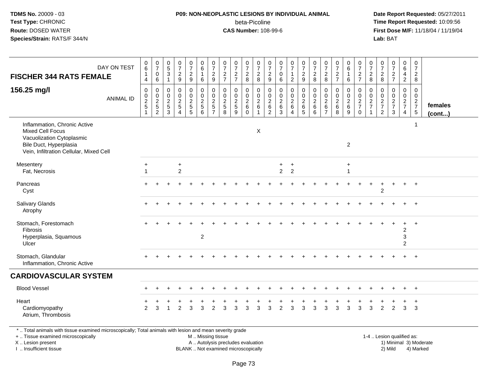### **P09: NON-NEOPLASTIC LESIONS BY INDIVIDUAL ANIMAL**beta-Picoline<br>CAS Number: 108-99-6

 **Date Report Requested:** 05/27/2011 **Time Report Requested:** 10:09:56 **First Dose M/F:** 11/18/04 / 11/19/04 Lab: BAT **Lab:** BAT

| <b>FISCHER 344 RATS FEMALE</b>                                                                                                                            | DAY ON TEST      | 0<br>6<br>$\mathbf{1}$<br>$\overline{4}$ | $\frac{0}{7}$<br>$\mathsf{O}$<br>6                   | $\begin{smallmatrix}0\\5\end{smallmatrix}$<br>$\mathbf{3}$<br>$\mathbf{1}$ | 0<br>$\boldsymbol{7}$<br>$\overline{a}$<br>9 | $\frac{0}{7}$<br>$\frac{2}{9}$        | $\begin{array}{c} 0 \\ 6 \end{array}$<br>$\mathbf{1}$<br>$6\phantom{1}6$ | $\frac{0}{7}$<br>$\overline{2}$<br>9    | $\frac{0}{7}$<br>$\overline{\mathbf{c}}$<br>$\overline{7}$ | $\frac{0}{7}$<br>$\frac{2}{7}$                   | $\frac{0}{7}$<br>$\overline{c}$<br>8        | 0<br>$\overline{7}$<br>$^2_{\bf 8}$         | $\frac{0}{7}$<br>$\frac{2}{9}$ | 0<br>$\overline{7}$<br>$\mathbf 0$<br>6                       | $\frac{0}{7}$<br>$\mathbf{1}$<br>$\overline{a}$                         | $\frac{0}{7}$<br>$\frac{2}{9}$          | $\frac{0}{7}$<br>$\overline{2}$<br>8  | $\frac{0}{7}$<br>$^2_8$                   | $\frac{0}{7}$<br>$\frac{2}{7}$                    | $\begin{array}{c} 0 \\ 6 \end{array}$<br>$\mathbf{1}$<br>6 | $\frac{0}{7}$<br>$\frac{2}{7}$                   | 0<br>$\overline{7}$<br>$\overline{a}$<br>8                | $\frac{0}{7}$<br>$\overline{a}$<br>8                | 0<br>$\boldsymbol{7}$<br>$\frac{2}{7}$            | $\begin{array}{c} 0 \\ 6 \end{array}$<br>4<br>$\overline{2}$ | $\mathbf 0$<br>$\overline{7}$<br>$\overline{c}$<br>8      |                         |
|-----------------------------------------------------------------------------------------------------------------------------------------------------------|------------------|------------------------------------------|------------------------------------------------------|----------------------------------------------------------------------------|----------------------------------------------|---------------------------------------|--------------------------------------------------------------------------|-----------------------------------------|------------------------------------------------------------|--------------------------------------------------|---------------------------------------------|---------------------------------------------|--------------------------------|---------------------------------------------------------------|-------------------------------------------------------------------------|-----------------------------------------|---------------------------------------|-------------------------------------------|---------------------------------------------------|------------------------------------------------------------|--------------------------------------------------|-----------------------------------------------------------|-----------------------------------------------------|---------------------------------------------------|--------------------------------------------------------------|-----------------------------------------------------------|-------------------------|
| 156.25 mg/l                                                                                                                                               | <b>ANIMAL ID</b> | 0<br>0<br>$\frac{2}{5}$                  | 0<br>$\begin{array}{c} 0 \\ 2 \\ 5 \\ 2 \end{array}$ | $\pmb{0}$<br>$\mathsf{O}\xspace$<br>$\frac{2}{5}$<br>$\overline{3}$        | 0<br>0<br>$\frac{2}{5}$<br>$\overline{A}$    | $\pmb{0}$<br>$0$<br>$2$<br>$5$<br>$5$ | 0<br>$\overline{0}$<br>$\frac{2}{5}$<br>6                                | $\pmb{0}$<br>$\mathsf 0$<br>$rac{2}{5}$ | 0<br>$\pmb{0}$<br>$\frac{2}{5}$<br>8                       | $\mathbf 0$<br>$\mathbf 0$<br>$\frac{2}{5}$<br>9 | 0<br>$\pmb{0}$<br>$\frac{2}{6}$<br>$\Omega$ | $\mathbf 0$<br>$\mathbf 0$<br>$\frac{2}{6}$ | $\mathbf 0$<br>0, 2, 6, 2      | $\mathbf 0$<br>$\mathbf 0$<br>$\frac{2}{6}$<br>$\overline{3}$ | $\pmb{0}$<br>$\mathbf 0$<br>$\overline{2}$<br>$\,6\,$<br>$\overline{4}$ | 0<br>$\mathsf{O}\xspace$<br>$rac{2}{6}$ | $\boldsymbol{0}$<br>$0$<br>$6$<br>$6$ | $\pmb{0}$<br>$\frac{0}{2}$<br>$rac{6}{7}$ | 0<br>$\pmb{0}$<br>$\frac{2}{6}$<br>$\overline{8}$ | $\mathbf 0$<br>$\mathbf 0$<br>$\frac{2}{6}$<br>9           | 0<br>$\mathbf 0$<br>$\frac{2}{7}$<br>$\mathbf 0$ | 0<br>$\mathsf{O}\xspace$<br>$\frac{2}{7}$<br>$\mathbf{1}$ | 0<br>$\mathbf 0$<br>$\frac{2}{7}$<br>$\overline{2}$ | $\mathbf 0$<br>0<br>$\frac{2}{7}$<br>$\mathbf{3}$ | $\mathbf 0$<br>$\frac{0}{2}$<br>$\overline{4}$               | $\mathbf 0$<br>$\mathbf 0$<br>$\frac{2}{7}$<br>$\sqrt{5}$ | females<br>$($ cont $)$ |
| Inflammation, Chronic Active<br><b>Mixed Cell Focus</b><br>Vacuolization Cytoplasmic<br>Bile Duct, Hyperplasia<br>Vein, Infiltration Cellular, Mixed Cell |                  |                                          |                                                      |                                                                            |                                              |                                       |                                                                          |                                         |                                                            |                                                  |                                             | X                                           |                                |                                                               |                                                                         |                                         |                                       |                                           |                                                   | $\overline{2}$                                             |                                                  |                                                           |                                                     |                                                   |                                                              |                                                           |                         |
| Mesentery<br>Fat, Necrosis                                                                                                                                |                  | $\ddot{}$<br>$\overline{1}$              |                                                      |                                                                            | $\ddot{}$<br>$\overline{2}$                  |                                       |                                                                          |                                         |                                                            |                                                  |                                             |                                             |                                | +<br>$\overline{2}$                                           | $\ddot{}$<br>$\overline{2}$                                             |                                         |                                       |                                           |                                                   | $\ddot{}$<br>$\overline{1}$                                |                                                  |                                                           |                                                     |                                                   |                                                              |                                                           |                         |
| Pancreas<br>Cyst                                                                                                                                          |                  |                                          |                                                      |                                                                            |                                              |                                       |                                                                          |                                         |                                                            |                                                  |                                             |                                             |                                |                                                               |                                                                         |                                         |                                       |                                           |                                                   |                                                            |                                                  |                                                           | $\overline{2}$                                      |                                                   |                                                              | $\ddot{}$                                                 |                         |
| Salivary Glands<br>Atrophy                                                                                                                                |                  |                                          |                                                      |                                                                            |                                              |                                       |                                                                          |                                         |                                                            |                                                  |                                             |                                             |                                |                                                               |                                                                         |                                         |                                       |                                           |                                                   |                                                            |                                                  |                                                           |                                                     |                                                   |                                                              | $\ddot{+}$                                                |                         |
| Stomach, Forestomach<br>Fibrosis<br>Hyperplasia, Squamous<br>Ulcer                                                                                        |                  |                                          |                                                      |                                                                            |                                              |                                       | $\overline{c}$                                                           |                                         |                                                            |                                                  |                                             |                                             |                                |                                                               |                                                                         |                                         |                                       |                                           |                                                   |                                                            |                                                  |                                                           |                                                     |                                                   | $\overline{2}$<br>$\sqrt{3}$<br>2                            | $\ddot{}$                                                 |                         |
| Stomach, Glandular<br>Inflammation, Chronic Active                                                                                                        |                  |                                          |                                                      |                                                                            |                                              |                                       |                                                                          |                                         |                                                            |                                                  |                                             |                                             |                                |                                                               |                                                                         |                                         |                                       |                                           |                                                   |                                                            |                                                  |                                                           |                                                     |                                                   |                                                              | $\ddot{}$                                                 |                         |
| <b>CARDIOVASCULAR SYSTEM</b>                                                                                                                              |                  |                                          |                                                      |                                                                            |                                              |                                       |                                                                          |                                         |                                                            |                                                  |                                             |                                             |                                |                                                               |                                                                         |                                         |                                       |                                           |                                                   |                                                            |                                                  |                                                           |                                                     |                                                   |                                                              |                                                           |                         |
| <b>Blood Vessel</b>                                                                                                                                       |                  |                                          |                                                      |                                                                            |                                              |                                       |                                                                          |                                         |                                                            |                                                  |                                             |                                             |                                |                                                               |                                                                         |                                         |                                       |                                           |                                                   |                                                            |                                                  |                                                           |                                                     |                                                   |                                                              | $+$                                                       |                         |
| Heart<br>Cardiomyopathy<br>Atrium, Thrombosis                                                                                                             |                  | 2                                        | 3                                                    | $\overline{1}$                                                             | $\overline{2}$                               | 3                                     | 3                                                                        | $\overline{2}$                          | 3                                                          | 3                                                | 3                                           | 3                                           | 3                              | $\overline{2}$                                                | 3                                                                       | $\mathbf{3}$                            | 3                                     | 3                                         | 3                                                 | 3                                                          | 3                                                | $\mathbf{3}$                                              | 2                                                   | $\overline{2}$                                    | 3                                                            | +<br>3                                                    |                         |
| *  Total animals with tissue examined microscopically; Total animals with lesion and mean severity grade                                                  |                  |                                          |                                                      |                                                                            |                                              |                                       |                                                                          |                                         |                                                            |                                                  |                                             |                                             |                                |                                                               |                                                                         |                                         |                                       |                                           |                                                   |                                                            |                                                  |                                                           |                                                     |                                                   |                                                              |                                                           |                         |

+ .. Tissue examined microscopically

X .. Lesion present

I .. Insufficient tissue

M .. Missing tissue

BLANK .. Not examined microscopically

 1-4 .. Lesion qualified as: A .. Autolysis precludes evaluation 19 and 10 minimal 3) Moderate 1 and 20 minimal 3) Moderate 19 minimal 3) Moderat<br>19 and 19 and 19 and 19 and 19 and 19 and 19 and 19 and 19 and 19 and 19 and 19 and 19 and 19 and 19 and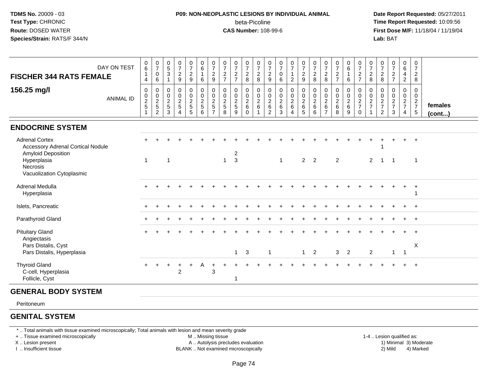#### **P09: NON-NEOPLASTIC LESIONS BY INDIVIDUAL ANIMAL** beta-Picoline**beta-Picoline**<br> **CAS Number:** 108-99-6<br> **CAS Number:** 108-99-6<br> **CAS Number:** 108-99-6

 **Date Report Requested:** 05/27/2011 **First Dose M/F:** 11/18/04 / 11/19/04<br>**Lab:** BAT **Lab:** BAT

| DAY ON TEST<br><b>FISCHER 344 RATS FEMALE</b><br>156.25 mg/l<br><b>ANIMAL ID</b>                                                                       | 0<br>6<br>4<br>0<br>$\frac{0}{2}$ | $\begin{array}{c} 0 \\ 7 \end{array}$<br>$\pmb{0}$<br>$\,6\,$<br>$\begin{array}{c} 0 \\ 0 \\ 2 \\ 5 \end{array}$<br>$\overline{2}$ | $\frac{0}{5}$<br>$\mathbf{3}$<br>$\mathbf{1}$<br>0<br>$\mathbf 0$<br>$\frac{2}{5}$<br>3 | $\frac{0}{7}$<br>$\overline{c}$<br>$9\,$<br>$\mathbf 0$<br>$\pmb{0}$<br>$\frac{2}{5}$<br>$\overline{4}$ | $\frac{0}{7}$<br>$\overline{c}$<br>9<br>$\pmb{0}$<br>$\mathbf 0$<br>$\frac{2}{5}$<br>$\overline{5}$ | $\begin{array}{c} 0 \\ 6 \end{array}$<br>$\mathbf{1}$<br>6<br>$\begin{smallmatrix} 0\\0 \end{smallmatrix}$<br>$\frac{2}{5}$<br>6 | $\frac{0}{7}$<br>$\overline{c}$<br>9<br>000257 | $\frac{0}{7}$<br>$\overline{2}$<br>$\overline{7}$<br>$\mathbf 0$<br>$\mathbf 0$<br>$\frac{2}{5}$<br>8 | $\frac{0}{7}$<br>$\frac{2}{7}$<br>$\mathbf 0$<br>$\frac{0}{2}$<br>9 | $\frac{0}{7}$<br>$\boldsymbol{2}$<br>$\bf 8$<br>0<br>$\mathsf{O}\xspace$<br>$\frac{2}{6}$<br>$\Omega$ | $\frac{0}{7}$<br>$\boldsymbol{2}$<br>8<br>$\mathbf 0$<br>$\frac{0}{2}$ 6<br>$\mathbf{1}$ | $\frac{0}{7}$<br>$\overline{c}$<br>9<br>0<br>$\mathbf 0$<br>$^2\phantom{1}6$<br>$\overline{2}$ | $\frac{0}{7}$<br>0<br>$\,6\,$<br>0<br>$\frac{0}{2}$<br>$\mathbf{3}$ | $\frac{0}{7}$<br>$\mathbf{1}$<br>$\boldsymbol{2}$<br>0<br>$\frac{0}{2}$<br>$\overline{4}$ | $\begin{smallmatrix}0\\7\end{smallmatrix}$<br>$\frac{2}{9}$<br>000265 | $\frac{0}{7}$<br>$\overline{c}$<br>8<br>$\pmb{0}$<br>$\overline{0}$<br>$\frac{2}{6}$<br>$6\phantom{1}$ | $\frac{0}{7}$<br>$\overline{2}$<br>$\bf8$<br>$\pmb{0}$<br>$\mathbf 0$<br>$\frac{2}{6}$<br>$\overline{7}$ | $\frac{0}{7}$<br>$\sqrt{2}$<br>$\overline{7}$<br>$\pmb{0}$<br>$\mathbf 0$<br>$\frac{2}{6}$<br>8 | $_6^0$<br>6<br>0<br>0<br>$\frac{2}{6}$<br>9 | $\frac{0}{7}$<br>$\frac{2}{7}$<br>$\begin{array}{c} 0 \\ 0 \\ 2 \\ 7 \end{array}$<br>$\mathbf 0$ | $\frac{0}{7}$<br>$\sqrt{2}$<br>8<br>0<br>$\frac{0}{2}$ | $\frac{0}{7}$<br>$_{\rm 8}^2$<br>$\mathbf 0$<br>$\begin{array}{c} 0 \\ 2 \\ 7 \end{array}$<br>$\overline{2}$ | $\frac{0}{7}$<br>$\frac{2}{7}$<br>0<br>$\begin{array}{c} 0 \\ 2 \\ 7 \end{array}$<br>$\mathbf{3}$ | $\begin{array}{c} 0 \\ 6 \end{array}$<br>$\overline{\mathbf{4}}$<br>$\overline{a}$<br>0<br>$\mathbf 0$<br>$rac{2}{7}$<br>$\overline{4}$ | $\begin{smallmatrix}0\\7\end{smallmatrix}$<br>$\overline{c}$<br>8<br>$\pmb{0}$<br>$\boldsymbol{0}$<br>$\frac{2}{7}$ | females<br>$($ cont $)$ |
|--------------------------------------------------------------------------------------------------------------------------------------------------------|-----------------------------------|------------------------------------------------------------------------------------------------------------------------------------|-----------------------------------------------------------------------------------------|---------------------------------------------------------------------------------------------------------|-----------------------------------------------------------------------------------------------------|----------------------------------------------------------------------------------------------------------------------------------|------------------------------------------------|-------------------------------------------------------------------------------------------------------|---------------------------------------------------------------------|-------------------------------------------------------------------------------------------------------|------------------------------------------------------------------------------------------|------------------------------------------------------------------------------------------------|---------------------------------------------------------------------|-------------------------------------------------------------------------------------------|-----------------------------------------------------------------------|--------------------------------------------------------------------------------------------------------|----------------------------------------------------------------------------------------------------------|-------------------------------------------------------------------------------------------------|---------------------------------------------|--------------------------------------------------------------------------------------------------|--------------------------------------------------------|--------------------------------------------------------------------------------------------------------------|---------------------------------------------------------------------------------------------------|-----------------------------------------------------------------------------------------------------------------------------------------|---------------------------------------------------------------------------------------------------------------------|-------------------------|
| <b>ENDOCRINE SYSTEM</b>                                                                                                                                |                                   |                                                                                                                                    |                                                                                         |                                                                                                         |                                                                                                     |                                                                                                                                  |                                                |                                                                                                       |                                                                     |                                                                                                       |                                                                                          |                                                                                                |                                                                     |                                                                                           |                                                                       |                                                                                                        |                                                                                                          |                                                                                                 |                                             |                                                                                                  |                                                        |                                                                                                              |                                                                                                   |                                                                                                                                         |                                                                                                                     |                         |
| <b>Adrenal Cortex</b><br><b>Accessory Adrenal Cortical Nodule</b><br>Amyloid Deposition<br>Hyperplasia<br><b>Necrosis</b><br>Vacuolization Cytoplasmic | $\mathbf{1}$                      |                                                                                                                                    | $\overline{\mathbf{1}}$                                                                 |                                                                                                         |                                                                                                     |                                                                                                                                  |                                                | $\mathbf{1}$                                                                                          | $\boldsymbol{2}$<br>$\mathbf{3}$                                    |                                                                                                       |                                                                                          |                                                                                                | 1                                                                   |                                                                                           | 2 <sup>7</sup>                                                        | $\overline{2}$                                                                                         |                                                                                                          | $\overline{2}$                                                                                  |                                             |                                                                                                  | $\ddot{}$<br>$\overline{2}$                            | $\overline{1}$                                                                                               | $\overline{1}$                                                                                    | $\ddot{}$                                                                                                                               | $^{+}$<br>$\mathbf{1}$                                                                                              |                         |
| Adrenal Medulla<br>Hyperplasia                                                                                                                         |                                   |                                                                                                                                    |                                                                                         |                                                                                                         |                                                                                                     |                                                                                                                                  |                                                |                                                                                                       |                                                                     |                                                                                                       |                                                                                          |                                                                                                |                                                                     |                                                                                           |                                                                       |                                                                                                        |                                                                                                          |                                                                                                 |                                             |                                                                                                  |                                                        |                                                                                                              |                                                                                                   |                                                                                                                                         |                                                                                                                     |                         |
| Islets, Pancreatic                                                                                                                                     |                                   |                                                                                                                                    |                                                                                         |                                                                                                         |                                                                                                     |                                                                                                                                  |                                                |                                                                                                       |                                                                     |                                                                                                       |                                                                                          |                                                                                                |                                                                     |                                                                                           |                                                                       |                                                                                                        |                                                                                                          |                                                                                                 |                                             |                                                                                                  |                                                        |                                                                                                              |                                                                                                   |                                                                                                                                         | $+$                                                                                                                 |                         |
| Parathyroid Gland                                                                                                                                      |                                   |                                                                                                                                    |                                                                                         |                                                                                                         |                                                                                                     |                                                                                                                                  |                                                |                                                                                                       |                                                                     |                                                                                                       |                                                                                          |                                                                                                |                                                                     |                                                                                           |                                                                       |                                                                                                        |                                                                                                          |                                                                                                 |                                             |                                                                                                  |                                                        |                                                                                                              |                                                                                                   |                                                                                                                                         | $+$                                                                                                                 |                         |
| <b>Pituitary Gland</b><br>Angiectasis<br>Pars Distalis, Cyst<br>Pars Distalis, Hyperplasia                                                             |                                   |                                                                                                                                    |                                                                                         |                                                                                                         |                                                                                                     |                                                                                                                                  |                                                |                                                                                                       | $\overline{1}$                                                      | $\mathbf{3}$                                                                                          |                                                                                          | $\overline{1}$                                                                                 |                                                                     |                                                                                           | 1                                                                     | $\overline{2}$                                                                                         |                                                                                                          | 3 <sub>2</sub>                                                                                  |                                             |                                                                                                  | $\overline{2}$                                         |                                                                                                              | $\mathbf{1}$                                                                                      | $\overline{1}$                                                                                                                          | X                                                                                                                   |                         |
| <b>Thyroid Gland</b><br>C-cell, Hyperplasia<br>Follicle, Cyst                                                                                          |                                   |                                                                                                                                    |                                                                                         | $\overline{2}$                                                                                          |                                                                                                     | A                                                                                                                                | 3                                              |                                                                                                       | -1                                                                  |                                                                                                       |                                                                                          |                                                                                                |                                                                     |                                                                                           |                                                                       |                                                                                                        |                                                                                                          |                                                                                                 |                                             |                                                                                                  |                                                        |                                                                                                              |                                                                                                   |                                                                                                                                         |                                                                                                                     |                         |
| <b>GENERAL BODY SYSTEM</b>                                                                                                                             |                                   |                                                                                                                                    |                                                                                         |                                                                                                         |                                                                                                     |                                                                                                                                  |                                                |                                                                                                       |                                                                     |                                                                                                       |                                                                                          |                                                                                                |                                                                     |                                                                                           |                                                                       |                                                                                                        |                                                                                                          |                                                                                                 |                                             |                                                                                                  |                                                        |                                                                                                              |                                                                                                   |                                                                                                                                         |                                                                                                                     |                         |

Peritoneum

### **GENITAL SYSTEM**

\* .. Total animals with tissue examined microscopically; Total animals with lesion and mean severity grade

+ .. Tissue examined microscopically

X .. Lesion present

I .. Insufficient tissue

 M .. Missing tissueA .. Autolysis precludes evaluation

1-4 .. Lesion qualified as:<br>1) Minimal 3) Moderate BLANK .. Not examined microscopically 2) Mild 4) Marked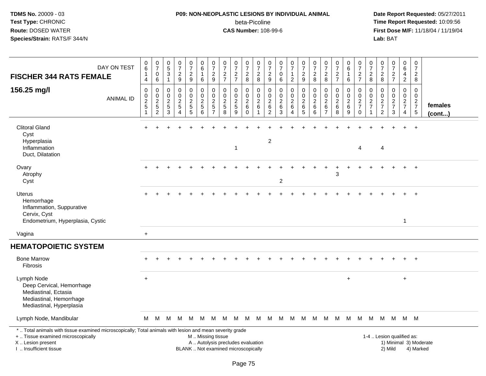I .. Insufficient tissue

### **P09: NON-NEOPLASTIC LESIONS BY INDIVIDUAL ANIMAL**beta-Picoline<br>CAS Number: 108-99-6

 **Date Report Requested:** 05/27/2011 **Time Report Requested:** 10:09:56 **First Dose M/F:** 11/18/04 / 11/19/04<br>Lab: BAT **Lab:** BAT

| DAY ON TEST<br><b>FISCHER 344 RATS FEMALE</b>                                                                                                                                                | 0<br>$\,6\,$<br>$\mathbf{1}$<br>$\overline{4}$                  | $\pmb{0}$<br>$\overline{7}$<br>$\mathbf 0$<br>6                               | $\mathbf 0$<br>$\overline{5}$<br>$\ensuremath{\mathsf{3}}$<br>$\mathbf{1}$ | $\frac{0}{7}$<br>$\overline{c}$<br>$\boldsymbol{9}$               | $\frac{0}{7}$<br>$\overline{c}$<br>9                                                | $\mathbf 0$<br>6<br>$\mathbf{1}$<br>$\,6\,$                            | $\pmb{0}$<br>$\overline{7}$<br>$\overline{2}$<br>9 | $\frac{0}{7}$<br>$\sqrt{2}$<br>$\overline{7}$            | $\frac{0}{7}$<br>$\frac{2}{7}$                         | $\frac{0}{7}$<br>$\overline{c}$<br>8                           | $\frac{0}{7}$<br>$\overline{c}$<br>8 | 0<br>$\overline{7}$<br>$\overline{c}$<br>$\boldsymbol{9}$       | $\begin{array}{c} 0 \\ 7 \end{array}$<br>0<br>$\,6\,$                     | $\pmb{0}$<br>$\overline{7}$<br>$\mathbf{1}$<br>$\boldsymbol{2}$        | $\begin{array}{c} 0 \\ 7 \end{array}$<br>$\boldsymbol{2}$<br>$9\,$             | $\frac{0}{7}$<br>$\overline{c}$<br>8                  | $\pmb{0}$<br>$\overline{7}$<br>$\overline{c}$<br>8                     | $\frac{0}{7}$<br>$\overline{c}$<br>$\overline{7}$ | $\mathbf 0$<br>$6\phantom{1}$<br>1<br>$6\phantom{1}$        | $\pmb{0}$<br>$\overline{7}$<br>$\frac{2}{7}$                    | 0<br>$\overline{7}$<br>$\overline{c}$<br>8                                    | 0<br>$\overline{7}$<br>$\overline{c}$<br>8                                      | $\frac{0}{7}$<br>$\frac{2}{7}$       | 0<br>6<br>$\overline{4}$<br>$\overline{2}$                    | $\pmb{0}$<br>$\overline{7}$<br>$\overline{2}$<br>8 |                         |
|----------------------------------------------------------------------------------------------------------------------------------------------------------------------------------------------|-----------------------------------------------------------------|-------------------------------------------------------------------------------|----------------------------------------------------------------------------|-------------------------------------------------------------------|-------------------------------------------------------------------------------------|------------------------------------------------------------------------|----------------------------------------------------|----------------------------------------------------------|--------------------------------------------------------|----------------------------------------------------------------|--------------------------------------|-----------------------------------------------------------------|---------------------------------------------------------------------------|------------------------------------------------------------------------|--------------------------------------------------------------------------------|-------------------------------------------------------|------------------------------------------------------------------------|---------------------------------------------------|-------------------------------------------------------------|-----------------------------------------------------------------|-------------------------------------------------------------------------------|---------------------------------------------------------------------------------|--------------------------------------|---------------------------------------------------------------|----------------------------------------------------|-------------------------|
| 156.25 mg/l<br><b>ANIMAL ID</b>                                                                                                                                                              | $\Omega$<br>0<br>$\overline{c}$<br>$\sqrt{5}$<br>$\overline{1}$ | $\mathbf 0$<br>$\mathbf 0$<br>$\overline{2}$<br>$\mathbf 5$<br>$\overline{c}$ | $\mathbf 0$<br>$\mathbf 0$<br>$\boldsymbol{2}$<br>$\,$ 5 $\,$<br>3         | 0<br>$\mathbf 0$<br>$\overline{c}$<br>5<br>$\boldsymbol{\Lambda}$ | $\pmb{0}$<br>$\mathsf 0$<br>$\overline{2}$<br>$\begin{array}{c} 5 \\ 5 \end{array}$ | $\mathbf 0$<br>$\pmb{0}$<br>$\boldsymbol{2}$<br>$\,$ 5 $\,$<br>$\,6\,$ | 0<br>$\mathbf 0$<br>$\boldsymbol{2}$<br>$\sqrt{5}$ | $\Omega$<br>$\mathbf 0$<br>$\sqrt{2}$<br>$\sqrt{5}$<br>8 | 0<br>$\mathbf 0$<br>$\overline{c}$<br>$\,$ 5 $\,$<br>9 | 0<br>$\mathsf{O}\xspace$<br>$\overline{2}$<br>6<br>$\mathbf 0$ | 0<br>0<br>$\overline{c}$<br>$\,6$    | 0<br>$\mathbf 0$<br>$\overline{c}$<br>$\,6\,$<br>$\overline{2}$ | $\mathbf 0$<br>$\mathbf 0$<br>$\boldsymbol{2}$<br>$\,6\,$<br>$\mathbf{3}$ | 0<br>$\mathbf 0$<br>$\overline{c}$<br>$6\phantom{a}$<br>$\overline{4}$ | $\Omega$<br>$\mathsf{O}\xspace$<br>$\overline{c}$<br>$\,6\,$<br>$\overline{5}$ | $\Omega$<br>$\mathbf 0$<br>$\boldsymbol{2}$<br>6<br>6 | $\Omega$<br>$\mathbf 0$<br>$\overline{c}$<br>$\,6\,$<br>$\overline{7}$ | $\Omega$<br>0<br>$\overline{c}$<br>$\,6\,$<br>8   | $\Omega$<br>$\mathbf 0$<br>$\boldsymbol{2}$<br>$\,6\,$<br>9 | $\Omega$<br>$\mathsf{O}\xspace$<br>$\frac{2}{7}$<br>$\mathbf 0$ | $\Omega$<br>$\mathbf 0$<br>$\boldsymbol{2}$<br>$\overline{7}$<br>$\mathbf{1}$ | $\Omega$<br>$\mathbf 0$<br>$\boldsymbol{2}$<br>$\overline{7}$<br>$\overline{2}$ | 0<br>0<br>$\frac{2}{7}$<br>3         | $\mathsf 0$<br>$\mathbf 0$<br>$\frac{2}{7}$<br>$\overline{4}$ | $\Omega$<br>0<br>$\frac{2}{7}$<br>$5\,$            | females<br>$($ cont $)$ |
| <b>Clitoral Gland</b><br>Cyst<br>Hyperplasia<br>Inflammation<br>Duct, Dilatation                                                                                                             |                                                                 |                                                                               |                                                                            |                                                                   |                                                                                     |                                                                        |                                                    |                                                          | 1                                                      |                                                                |                                      | $\overline{c}$                                                  |                                                                           |                                                                        |                                                                                |                                                       |                                                                        |                                                   |                                                             | 4                                                               |                                                                               | 4                                                                               |                                      |                                                               | $\ddot{}$                                          |                         |
| Ovary<br>Atrophy<br>Cyst                                                                                                                                                                     |                                                                 |                                                                               |                                                                            |                                                                   |                                                                                     |                                                                        |                                                    |                                                          |                                                        |                                                                |                                      |                                                                 | $\overline{c}$                                                            |                                                                        |                                                                                |                                                       |                                                                        | 3                                                 |                                                             |                                                                 |                                                                               |                                                                                 |                                      |                                                               |                                                    |                         |
| Uterus<br>Hemorrhage<br>Inflammation, Suppurative<br>Cervix, Cyst<br>Endometrium, Hyperplasia, Cystic                                                                                        |                                                                 |                                                                               |                                                                            |                                                                   |                                                                                     |                                                                        |                                                    |                                                          |                                                        |                                                                |                                      |                                                                 |                                                                           |                                                                        |                                                                                |                                                       |                                                                        |                                                   |                                                             |                                                                 |                                                                               |                                                                                 |                                      | $\mathbf{1}$                                                  |                                                    |                         |
| Vagina                                                                                                                                                                                       | $+$                                                             |                                                                               |                                                                            |                                                                   |                                                                                     |                                                                        |                                                    |                                                          |                                                        |                                                                |                                      |                                                                 |                                                                           |                                                                        |                                                                                |                                                       |                                                                        |                                                   |                                                             |                                                                 |                                                                               |                                                                                 |                                      |                                                               |                                                    |                         |
| <b>HEMATOPOIETIC SYSTEM</b>                                                                                                                                                                  |                                                                 |                                                                               |                                                                            |                                                                   |                                                                                     |                                                                        |                                                    |                                                          |                                                        |                                                                |                                      |                                                                 |                                                                           |                                                                        |                                                                                |                                                       |                                                                        |                                                   |                                                             |                                                                 |                                                                               |                                                                                 |                                      |                                                               |                                                    |                         |
| <b>Bone Marrow</b><br>Fibrosis                                                                                                                                                               |                                                                 |                                                                               |                                                                            |                                                                   |                                                                                     |                                                                        |                                                    |                                                          |                                                        |                                                                |                                      |                                                                 |                                                                           |                                                                        |                                                                                |                                                       |                                                                        |                                                   |                                                             |                                                                 |                                                                               |                                                                                 |                                      |                                                               |                                                    |                         |
| Lymph Node<br>Deep Cervical, Hemorrhage<br>Mediastinal, Ectasia<br>Mediastinal, Hemorrhage<br>Mediastinal, Hyperplasia                                                                       | $+$                                                             |                                                                               |                                                                            |                                                                   |                                                                                     |                                                                        |                                                    |                                                          |                                                        |                                                                |                                      |                                                                 |                                                                           |                                                                        |                                                                                |                                                       |                                                                        |                                                   | $\ddot{}$                                                   |                                                                 |                                                                               |                                                                                 |                                      | $+$                                                           |                                                    |                         |
| Lymph Node, Mandibular                                                                                                                                                                       | M                                                               |                                                                               |                                                                            | M M M                                                             |                                                                                     |                                                                        |                                                    |                                                          | M M M M M M                                            |                                                                | M                                    |                                                                 |                                                                           |                                                                        | M M M M M M M M M M M M M M                                                    |                                                       |                                                                        |                                                   |                                                             |                                                                 |                                                                               |                                                                                 |                                      |                                                               |                                                    |                         |
| *  Total animals with tissue examined microscopically; Total animals with lesion and mean severity grade<br>+  Tissue examined microscopically<br>X Lesion present<br>I  Insufficient tissue |                                                                 |                                                                               |                                                                            |                                                                   |                                                                                     | M  Missing tissue                                                      |                                                    | BLANK  Not examined microscopically                      | A  Autolysis precludes evaluation                      |                                                                |                                      |                                                                 |                                                                           |                                                                        |                                                                                |                                                       |                                                                        |                                                   |                                                             |                                                                 |                                                                               |                                                                                 | 1-4  Lesion qualified as:<br>2) Mild |                                                               | 1) Minimal 3) Moderate<br>4) Marked                |                         |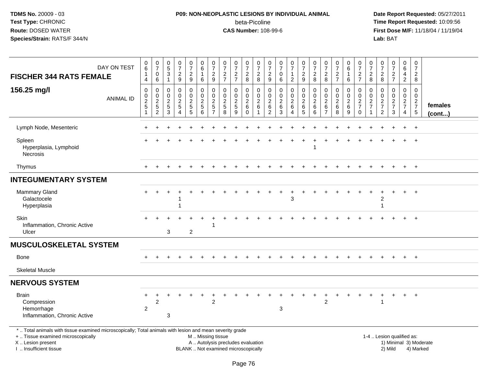# **P09: NON-NEOPLASTIC LESIONS BY INDIVIDUAL ANIMAL**beta-Picoline<br>CAS Number: 108-99-6

 **Date Report Requested:** 05/27/2011 **Time Report Requested:** 10:09:56 **First Dose M/F:** 11/18/04 / 11/19/04<br>Lab: BAT **Lab:** BAT

| DAY ON TEST<br><b>FISCHER 344 RATS FEMALE</b>                                                                                                                                                | 0<br>$6\phantom{1}$<br>$\mathbf{1}$<br>$\overline{4}$             | $\frac{0}{7}$<br>$\mathbf 0$<br>6                           | $\begin{array}{c} 0 \\ 5 \end{array}$<br>3<br>$\mathbf{1}$          | $\frac{0}{7}$<br>$\frac{2}{9}$                                    | $\frac{0}{7}$<br>$\frac{2}{9}$                    | $\begin{array}{c} 0 \\ 6 \end{array}$<br>$\mathbf{1}$<br>$\,6\,$                              | $\frac{0}{7}$<br>$\frac{2}{9}$                                               | $\frac{0}{7}$<br>$rac{2}{7}$                                    | $\frac{0}{7}$<br>$\frac{2}{7}$         | $\frac{0}{7}$<br>$\frac{2}{8}$         | $\frac{0}{7}$<br>$_{\rm 8}^2$                | 0<br>$\overline{7}$<br>$\frac{2}{9}$       | $\begin{array}{c} 0 \\ 7 \end{array}$<br>$\pmb{0}$<br>6 | $\frac{0}{7}$<br>$\mathbf{1}$<br>$\overline{2}$                 | $\frac{0}{7}$<br>$\frac{2}{9}$                                       | $\frac{0}{7}$<br>$\frac{2}{8}$                 | $\frac{0}{7}$<br>$_{\rm 8}^2$                                         | $\frac{0}{7}$<br>$\frac{2}{7}$                 | 0<br>$6^{\circ}$<br>1<br>$6\phantom{1}$            | $\frac{0}{7}$<br>$\frac{2}{7}$                      | $\pmb{0}$<br>$\overline{7}$<br>$\frac{2}{8}$                  | 0<br>$\overline{7}$<br>$_{8}^2$                     | $\frac{0}{7}$<br>$\frac{2}{7}$         | $\pmb{0}$<br>$\,6\,$<br>$\frac{4}{2}$             | $\pmb{0}$<br>$\overline{7}$<br>$\overline{2}$<br>8 |                                     |
|----------------------------------------------------------------------------------------------------------------------------------------------------------------------------------------------|-------------------------------------------------------------------|-------------------------------------------------------------|---------------------------------------------------------------------|-------------------------------------------------------------------|---------------------------------------------------|-----------------------------------------------------------------------------------------------|------------------------------------------------------------------------------|-----------------------------------------------------------------|----------------------------------------|----------------------------------------|----------------------------------------------|--------------------------------------------|---------------------------------------------------------|-----------------------------------------------------------------|----------------------------------------------------------------------|------------------------------------------------|-----------------------------------------------------------------------|------------------------------------------------|----------------------------------------------------|-----------------------------------------------------|---------------------------------------------------------------|-----------------------------------------------------|----------------------------------------|---------------------------------------------------|----------------------------------------------------|-------------------------------------|
| 156.25 mg/l<br><b>ANIMAL ID</b>                                                                                                                                                              | $\mathbf 0$<br>$\pmb{0}$<br>$\overline{c}$<br>5<br>$\overline{1}$ | $\mathbf 0$<br>$\pmb{0}$<br>$\frac{2}{5}$<br>$\overline{c}$ | $\mathbf 0$<br>$\mathbf 0$<br>$\overline{c}$<br>$\overline{5}$<br>3 | 0<br>$\mathbf 0$<br>$\overline{a}$<br>5<br>$\boldsymbol{\Lambda}$ | $\pmb{0}$<br>$\frac{0}{2}$<br>$\overline{5}$<br>5 | $\pmb{0}$<br>$\ddot{\mathbf{0}}$<br>$\frac{2}{5}$<br>6                                        | $\mathbf 0$<br>$\mathbf 0$<br>$\overline{c}$<br>$\sqrt{5}$<br>$\overline{7}$ | $\mathbf 0$<br>$\mathbf 0$<br>$\sqrt{2}$<br>$\overline{5}$<br>8 | 0<br>$\mathbf 0$<br>$\frac{2}{5}$<br>9 | 0<br>$\frac{0}{2}$<br>6<br>$\mathbf 0$ | 0<br>$\mathbf 0$<br>$\overline{c}$<br>6<br>1 | 0<br>0<br>$\boldsymbol{2}$<br>$\,6\,$<br>2 | $\mathbf 0$<br>$\frac{0}{2}$ 6<br>$\overline{3}$        | 0<br>$\mathbf 0$<br>$\overline{2}$<br>$\,6\,$<br>$\overline{4}$ | $\mathbf 0$<br>$\ddot{\mathbf{0}}$<br>$\overline{c}$<br>$\,6\,$<br>5 | 0<br>$\mathbf 0$<br>$\boldsymbol{2}$<br>6<br>6 | $\mathbf 0$<br>$\mathbf 0$<br>$\sqrt{2}$<br>$\,6\,$<br>$\overline{7}$ | 0<br>$\pmb{0}$<br>$\overline{c}$<br>$\,6$<br>8 | 0<br>$\mathbf 0$<br>$\overline{c}$<br>$\,6\,$<br>9 | 0<br>$\overline{0}$<br>$\frac{2}{7}$<br>$\mathbf 0$ | $\mathbf 0$<br>$\mathbf 0$<br>$\frac{2}{7}$<br>$\overline{1}$ | 0<br>$\mathsf 0$<br>$\frac{2}{7}$<br>$\overline{2}$ | 0<br>$\mathbf 0$<br>$\frac{2}{7}$<br>3 | $\pmb{0}$<br>$\frac{0}{2}$<br>7<br>$\overline{4}$ | $\mathbf 0$<br>$\mathbf 0$<br>$\frac{2}{7}$<br>5   | females<br>(cont)                   |
| Lymph Node, Mesenteric                                                                                                                                                                       |                                                                   |                                                             |                                                                     |                                                                   |                                                   |                                                                                               |                                                                              |                                                                 |                                        |                                        |                                              |                                            |                                                         |                                                                 |                                                                      |                                                |                                                                       |                                                |                                                    |                                                     |                                                               |                                                     |                                        |                                                   | $\ddot{}$                                          |                                     |
| Spleen<br>Hyperplasia, Lymphoid<br><b>Necrosis</b>                                                                                                                                           |                                                                   |                                                             |                                                                     |                                                                   |                                                   |                                                                                               |                                                                              |                                                                 |                                        |                                        |                                              |                                            |                                                         |                                                                 |                                                                      | -1                                             |                                                                       |                                                |                                                    |                                                     |                                                               |                                                     |                                        |                                                   | $\ddot{}$                                          |                                     |
| Thymus                                                                                                                                                                                       |                                                                   |                                                             |                                                                     |                                                                   |                                                   |                                                                                               |                                                                              |                                                                 |                                        |                                        |                                              |                                            |                                                         |                                                                 |                                                                      |                                                |                                                                       |                                                |                                                    |                                                     |                                                               |                                                     |                                        |                                                   | $+$                                                |                                     |
| <b>INTEGUMENTARY SYSTEM</b>                                                                                                                                                                  |                                                                   |                                                             |                                                                     |                                                                   |                                                   |                                                                                               |                                                                              |                                                                 |                                        |                                        |                                              |                                            |                                                         |                                                                 |                                                                      |                                                |                                                                       |                                                |                                                    |                                                     |                                                               |                                                     |                                        |                                                   |                                                    |                                     |
| <b>Mammary Gland</b><br>Galactocele<br>Hyperplasia                                                                                                                                           |                                                                   |                                                             |                                                                     | -1                                                                |                                                   |                                                                                               |                                                                              |                                                                 |                                        |                                        |                                              |                                            |                                                         | 3                                                               |                                                                      |                                                |                                                                       |                                                |                                                    |                                                     |                                                               | 2                                                   |                                        |                                                   |                                                    |                                     |
| Skin<br>Inflammation, Chronic Active<br>Ulcer                                                                                                                                                |                                                                   |                                                             | 3                                                                   |                                                                   | $\overline{2}$                                    |                                                                                               |                                                                              |                                                                 |                                        |                                        |                                              |                                            |                                                         |                                                                 |                                                                      |                                                |                                                                       |                                                |                                                    |                                                     |                                                               |                                                     |                                        |                                                   | $\ddot{}$                                          |                                     |
| <b>MUSCULOSKELETAL SYSTEM</b>                                                                                                                                                                |                                                                   |                                                             |                                                                     |                                                                   |                                                   |                                                                                               |                                                                              |                                                                 |                                        |                                        |                                              |                                            |                                                         |                                                                 |                                                                      |                                                |                                                                       |                                                |                                                    |                                                     |                                                               |                                                     |                                        |                                                   |                                                    |                                     |
| <b>Bone</b>                                                                                                                                                                                  |                                                                   |                                                             |                                                                     |                                                                   |                                                   |                                                                                               |                                                                              |                                                                 |                                        |                                        |                                              |                                            |                                                         |                                                                 |                                                                      |                                                |                                                                       |                                                |                                                    |                                                     |                                                               |                                                     |                                        | $+$                                               | $+$                                                |                                     |
| <b>Skeletal Muscle</b>                                                                                                                                                                       |                                                                   |                                                             |                                                                     |                                                                   |                                                   |                                                                                               |                                                                              |                                                                 |                                        |                                        |                                              |                                            |                                                         |                                                                 |                                                                      |                                                |                                                                       |                                                |                                                    |                                                     |                                                               |                                                     |                                        |                                                   |                                                    |                                     |
| <b>NERVOUS SYSTEM</b>                                                                                                                                                                        |                                                                   |                                                             |                                                                     |                                                                   |                                                   |                                                                                               |                                                                              |                                                                 |                                        |                                        |                                              |                                            |                                                         |                                                                 |                                                                      |                                                |                                                                       |                                                |                                                    |                                                     |                                                               |                                                     |                                        |                                                   |                                                    |                                     |
| <b>Brain</b><br>Compression<br>Hemorrhage<br>Inflammation, Chronic Active                                                                                                                    | 2                                                                 | 2                                                           | 3                                                                   |                                                                   |                                                   |                                                                                               | $\overline{2}$                                                               |                                                                 |                                        |                                        |                                              |                                            | 3                                                       |                                                                 |                                                                      |                                                | $\overline{2}$                                                        |                                                |                                                    |                                                     |                                                               |                                                     |                                        | $+$                                               | $^{+}$                                             |                                     |
| *  Total animals with tissue examined microscopically; Total animals with lesion and mean severity grade<br>+  Tissue examined microscopically<br>X Lesion present<br>I  Insufficient tissue |                                                                   |                                                             |                                                                     |                                                                   |                                                   | M  Missing tissue<br>A  Autolysis precludes evaluation<br>BLANK  Not examined microscopically |                                                                              |                                                                 |                                        |                                        |                                              |                                            |                                                         |                                                                 |                                                                      |                                                |                                                                       |                                                |                                                    |                                                     |                                                               | 1-4  Lesion qualified as:                           | 2) Mild                                |                                                   |                                                    | 1) Minimal 3) Moderate<br>4) Marked |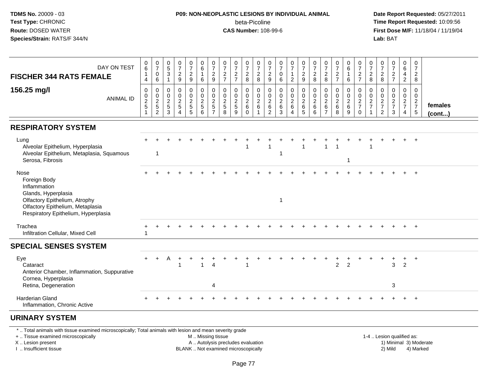#### **P09: NON-NEOPLASTIC LESIONS BY INDIVIDUAL ANIMAL** beta-Picoline**beta-Picoline**<br> **CAS Number:** 108-99-6<br> **CAS Number:** 108-99-6<br> **CAS Number:** 108-99-6

 **Date Report Requested:** 05/27/2011 **First Dose M/F:** 11/18/04 / 11/19/04 Lab: BAT **Lab:** BAT

| DAY ON TEST<br><b>FISCHER 344 RATS FEMALE</b>                                                                                                                                  | $\begin{matrix} 0 \\ 6 \end{matrix}$<br>$\mathbf{1}$<br>4      | $\frac{0}{7}$<br>$\mathbf 0$<br>6                         | $\begin{array}{c} 0 \\ 5 \end{array}$<br>$\mathbf{3}$<br>$\mathbf{1}$ | $\frac{0}{7}$<br>$\boldsymbol{2}$<br>$9\,$                             | $\frac{0}{7}$<br>$\boldsymbol{2}$<br>$9\,$                                   | $\begin{array}{c} 0 \\ 6 \end{array}$<br>$\mathbf{1}$<br>$\,6\,$      | $\frac{0}{7}$<br>$\overline{c}$<br>9                                | $\frac{0}{7}$<br>$\overline{2}$<br>$\overline{7}$               | $\frac{0}{7}$<br>$\overline{c}$<br>$\overline{7}$ | $\frac{0}{7}$<br>$\overline{c}$<br>8      | $\frac{0}{7}$<br>$\boldsymbol{2}$<br>$\,8\,$ | 0<br>$\overline{7}$<br>$\overline{c}$<br>$\boldsymbol{9}$ | $\frac{0}{7}$<br>$\mathbf 0$<br>6                      | $\frac{0}{7}$<br>$\overline{2}$                              | $\begin{array}{c} 0 \\ 7 \\ 2 \end{array}$<br>9 | $\frac{0}{7}$<br>$\overline{c}$<br>8                        | 0<br>$\overline{7}$<br>$\overline{c}$<br>8 | $\frac{0}{7}$<br>$\boldsymbol{2}$<br>$\overline{7}$  | 0<br>$6\phantom{a}$<br>$\mathbf{1}$<br>$6\phantom{1}$ | $\frac{0}{7}$<br>$\frac{2}{7}$                                             | 0<br>$\overline{7}$<br>$\overline{2}$<br>8            | $\frac{0}{7}$<br>$_{\rm 8}^2$                          | $\frac{0}{7}$<br>$\frac{2}{7}$                            | 0<br>$6\overline{6}$<br>4<br>$\overline{2}$        | 0<br>$\overline{7}$<br>$\overline{c}$<br>8                |                         |
|--------------------------------------------------------------------------------------------------------------------------------------------------------------------------------|----------------------------------------------------------------|-----------------------------------------------------------|-----------------------------------------------------------------------|------------------------------------------------------------------------|------------------------------------------------------------------------------|-----------------------------------------------------------------------|---------------------------------------------------------------------|-----------------------------------------------------------------|---------------------------------------------------|-------------------------------------------|----------------------------------------------|-----------------------------------------------------------|--------------------------------------------------------|--------------------------------------------------------------|-------------------------------------------------|-------------------------------------------------------------|--------------------------------------------|------------------------------------------------------|-------------------------------------------------------|----------------------------------------------------------------------------|-------------------------------------------------------|--------------------------------------------------------|-----------------------------------------------------------|----------------------------------------------------|-----------------------------------------------------------|-------------------------|
| 156.25 mg/l<br><b>ANIMAL ID</b>                                                                                                                                                | $\mathbf 0$<br>$\begin{array}{c} 0 \\ 2 \\ 5 \end{array}$<br>1 | $\mathbf 0$<br>0<br>$\overline{2}$<br>5<br>$\overline{2}$ | $\mathbf 0$<br>0<br>$\overline{c}$<br>$\,$ 5 $\,$<br>3                | $\mathsf 0$<br>$\mathbf 0$<br>$\overline{2}$<br>$\sqrt{5}$<br>$\Delta$ | $\mathbf 0$<br>$\mathbf 0$<br>$\overline{c}$<br>$\sqrt{5}$<br>$5\phantom{1}$ | $\pmb{0}$<br>$\ddot{\mathbf{0}}$<br>$\overline{2}$<br>$\sqrt{5}$<br>6 | $\mathbf 0$<br>$\mathbf 0$<br>$\overline{2}$<br>5<br>$\overline{7}$ | $\mathbf 0$<br>$\mathbf 0$<br>$\overline{2}$<br>$\sqrt{5}$<br>8 | 0<br>0<br>$\overline{2}$<br>5<br>9                | 0<br>0<br>$\overline{2}$<br>6<br>$\Omega$ | 0<br>$\pmb{0}$<br>$\overline{2}$<br>6        | 0<br>$\mathbf 0$<br>$\overline{2}$<br>6<br>2              | $\mathbf 0$<br>$\mathbf 0$<br>$\overline{2}$<br>6<br>3 | 0<br>0<br>$\overline{2}$<br>$6\phantom{a}$<br>$\overline{A}$ | $\mathbf 0$<br>$\frac{0}{2}$<br>$\,6\,$<br>5    | $\pmb{0}$<br>$\overline{0}$<br>$\overline{c}$<br>$\,6$<br>6 | $\mathbf 0$<br>0<br>$\overline{c}$<br>6    | 0<br>$\mathbf 0$<br>$\boldsymbol{2}$<br>$\,6\,$<br>8 | 0<br>0<br>$\overline{2}$<br>$6\phantom{1}$<br>9       | $\mathbf 0$<br>$\mathbf 0$<br>$\overline{c}$<br>$\overline{7}$<br>$\Omega$ | 0<br>$\mathbf{0}$<br>$\overline{2}$<br>$\overline{7}$ | $\Omega$<br>0<br>$\overline{c}$<br>$\overline{7}$<br>2 | 0<br>$\mathbf 0$<br>$\overline{c}$<br>$\overline{7}$<br>3 | $\mathbf{0}$<br>0<br>$rac{2}{7}$<br>$\overline{4}$ | $\mathbf 0$<br>0<br>$\overline{c}$<br>$\overline{7}$<br>5 | females<br>$($ cont $)$ |
| <b>RESPIRATORY SYSTEM</b>                                                                                                                                                      |                                                                |                                                           |                                                                       |                                                                        |                                                                              |                                                                       |                                                                     |                                                                 |                                                   |                                           |                                              |                                                           |                                                        |                                                              |                                                 |                                                             |                                            |                                                      |                                                       |                                                                            |                                                       |                                                        |                                                           |                                                    |                                                           |                         |
| Lung<br>Alveolar Epithelium, Hyperplasia<br>Alveolar Epithelium, Metaplasia, Squamous<br>Serosa, Fibrosis                                                                      |                                                                | -1                                                        |                                                                       |                                                                        |                                                                              |                                                                       |                                                                     |                                                                 |                                                   |                                           |                                              |                                                           | 1                                                      |                                                              |                                                 |                                                             |                                            |                                                      | 1                                                     |                                                                            |                                                       |                                                        |                                                           |                                                    |                                                           |                         |
| <b>Nose</b><br>Foreign Body<br>Inflammation<br>Glands, Hyperplasia<br>Olfactory Epithelium, Atrophy<br>Olfactory Epithelium, Metaplasia<br>Respiratory Epithelium, Hyperplasia |                                                                |                                                           |                                                                       |                                                                        |                                                                              |                                                                       |                                                                     |                                                                 |                                                   |                                           |                                              |                                                           | 1                                                      |                                                              |                                                 |                                                             |                                            |                                                      |                                                       |                                                                            |                                                       |                                                        |                                                           |                                                    |                                                           |                         |
| Trachea<br>Infiltration Cellular, Mixed Cell                                                                                                                                   |                                                                |                                                           |                                                                       |                                                                        |                                                                              |                                                                       |                                                                     |                                                                 |                                                   |                                           |                                              |                                                           |                                                        |                                                              |                                                 |                                                             |                                            |                                                      |                                                       |                                                                            |                                                       |                                                        |                                                           |                                                    |                                                           |                         |
| <b>SPECIAL SENSES SYSTEM</b>                                                                                                                                                   |                                                                |                                                           |                                                                       |                                                                        |                                                                              |                                                                       |                                                                     |                                                                 |                                                   |                                           |                                              |                                                           |                                                        |                                                              |                                                 |                                                             |                                            |                                                      |                                                       |                                                                            |                                                       |                                                        |                                                           |                                                    |                                                           |                         |
| Eye<br>Cataract<br>Anterior Chamber, Inflammation, Suppurative<br>Cornea, Hyperplasia<br>Retina, Degeneration                                                                  |                                                                |                                                           |                                                                       |                                                                        |                                                                              | $\overline{1}$                                                        | $\overline{4}$<br>4                                                 |                                                                 |                                                   |                                           |                                              |                                                           |                                                        |                                                              |                                                 |                                                             |                                            | $\overline{2}$                                       | $\overline{2}$                                        |                                                                            |                                                       |                                                        | 3<br>$\mathbf{3}$                                         | $\overline{2}$                                     | $\overline{ }$                                            |                         |
| Harderian Gland<br>Inflammation, Chronic Active                                                                                                                                |                                                                |                                                           |                                                                       |                                                                        |                                                                              |                                                                       |                                                                     |                                                                 |                                                   |                                           |                                              |                                                           |                                                        |                                                              |                                                 |                                                             |                                            |                                                      |                                                       |                                                                            |                                                       |                                                        |                                                           |                                                    |                                                           |                         |
| <b>IBILLA BV/AVATELL</b>                                                                                                                                                       |                                                                |                                                           |                                                                       |                                                                        |                                                                              |                                                                       |                                                                     |                                                                 |                                                   |                                           |                                              |                                                           |                                                        |                                                              |                                                 |                                                             |                                            |                                                      |                                                       |                                                                            |                                                       |                                                        |                                                           |                                                    |                                                           |                         |

#### **URINARY SYSTEM**

\* .. Total animals with tissue examined microscopically; Total animals with lesion and mean severity grade

+ .. Tissue examined microscopically

X .. Lesion present

I .. Insufficient tissue

M .. Missing tissue

A .. Autolysis precludes evaluation

BLANK .. Not examined microscopically 2) Mild 4) Marked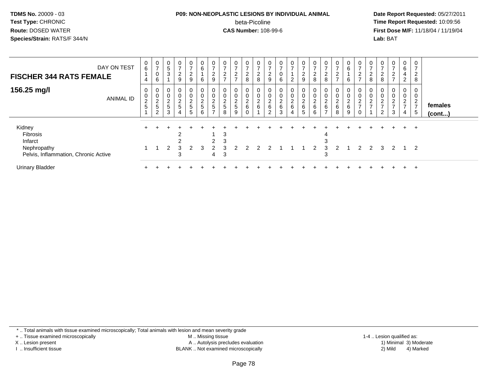#### **P09: NON-NEOPLASTIC LESIONS BY INDIVIDUAL ANIMAL** beta-Picoline**beta-Picoline**<br> **CAS Number:** 108-99-6<br> **CAS Number:** 108-99-6<br> **CAS Number:** 108-99-6

 **Date Report Requested:** 05/27/2011 **First Dose M/F:** 11/18/04 / 11/19/04 Lab: BAT **Lab:** BAT

| DAY ON TEST<br><b>FISCHER 344 RATS FEMALE</b>                                               | 0<br>$\,6\,$<br>$\overline{A}$<br>$\overline{4}$ | 0<br>$\rightarrow$<br>$\pmb{0}$<br>6    | 0<br>$\sqrt{5}$<br>$\mathbf 3$  | $\overline{0}$<br>$\frac{2}{9}$           | 0<br>$\rightarrow$<br>$\overline{\mathbf{c}}$<br>9 | 0<br>$\,6\,$<br>$\,6\,$                     | 0<br>$\overline{ }$<br>$\overline{c}$<br>$9\,$   | 0<br>$\overline{ }$<br>$\overline{c}$<br>$\rightarrow$ | 0<br>$\rightarrow$<br>$\frac{2}{7}$ | $\frac{0}{7}$<br>$_{8}^2$                        | 0<br>$\rightarrow$<br>$\overline{c}$<br>$\,8\,$ | 0<br>$\overline{ }$<br>$\frac{2}{9}$              | 0<br>$\overline{ }$<br>$\mathbf 0$<br>6 | $\mathbf{0}$<br>$\overline{2}$                 | 0<br>$\overline{ }$<br>$\frac{2}{9}$ | 0<br>$\overline{\mathbf{c}}$<br>8 | $\mathbf{0}$<br>ົ<br>$\epsilon$<br>8                 | 0<br>$\overline{ }$<br>$\overline{2}$<br>$\overline{ }$ | 0<br>6<br>6                                  | 0<br>$\overline{ }$<br>$\frac{2}{7}$ | $\mathbf{0}$<br>$\rightarrow$<br>$\overline{c}$<br>8 | U<br>$\epsilon$<br>8                              | $\mathbf{0}$<br>$\rightarrow$<br>∠<br>$\rightarrow$             | $\mathbf{0}$<br>6<br>4<br>2                     | 0<br>$\overline{ }$<br>2<br>8                             |                         |
|---------------------------------------------------------------------------------------------|--------------------------------------------------|-----------------------------------------|---------------------------------|-------------------------------------------|----------------------------------------------------|---------------------------------------------|--------------------------------------------------|--------------------------------------------------------|-------------------------------------|--------------------------------------------------|-------------------------------------------------|---------------------------------------------------|-----------------------------------------|------------------------------------------------|--------------------------------------|-----------------------------------|------------------------------------------------------|---------------------------------------------------------|----------------------------------------------|--------------------------------------|------------------------------------------------------|---------------------------------------------------|-----------------------------------------------------------------|-------------------------------------------------|-----------------------------------------------------------|-------------------------|
| 156.25 mg/l<br>ANIMAL ID                                                                    | 0<br>$\pmb{0}$<br>$\boldsymbol{2}$<br>$\sqrt{5}$ | 0<br>$\pmb{0}$<br>$\sim$<br>∠<br>5<br>ົ | $\pmb{0}$<br>$\frac{2}{5}$<br>3 | 0<br>0<br>$\frac{2}{5}$<br>$\overline{4}$ | 0<br>0<br>$rac{2}{5}$<br>5                         | $\begin{matrix}0\\0\\2\\5\end{matrix}$<br>6 | 0<br>$\pmb{0}$<br>$\frac{2}{5}$<br>$\rightarrow$ | $\mathbf 0$<br>$\frac{2}{5}$<br>8                      | 0<br>0<br>$rac{2}{5}$<br>9          | $\mathbf 0$<br>$\frac{0}{2}$ 6<br>$\overline{O}$ | 0<br>$\pmb{0}$<br>$^2\phantom{1}6$              | 0<br>$\pmb{0}$<br>$\frac{2}{6}$<br>$\overline{2}$ | $\boldsymbol{0}$<br>$\frac{0}{2}$<br>3  | 0<br>$\pmb{0}$<br>$\Omega$<br>$rac{2}{6}$<br>4 | $\mathsf{O}$<br>$\frac{2}{6}$<br>5   | 0<br>0<br>$\frac{2}{6}$<br>6      | 0<br>$\pmb{0}$<br>$^2\phantom{1}6$<br>$\overline{ }$ | 0<br>$\pmb{0}$<br>$^{\,2}_{\,6}$<br>8                   | 0<br>$\mathbf 0$<br>$\overline{a}$<br>6<br>9 | $\mathbf 0$<br>$\frac{2}{7}$         | 0<br>0<br>$\overline{c}$<br>$\overline{ }$           | 0<br>$\Omega$<br>$\epsilon$<br>$\rightarrow$<br>2 | 0<br>$\pmb{0}$<br>$\Omega$<br>$\epsilon$<br>$\overline{ }$<br>3 | 0<br>0<br>$\overline{c}$<br>$\overline{ }$<br>4 | 0<br>0<br>$\overline{c}$<br>$\overline{\phantom{a}}$<br>5 | females<br>$($ cont $)$ |
| Kidney<br><b>Fibrosis</b><br>Infarct<br>Nephropathy<br>Pelvis, Inflammation, Chronic Active | $+$                                              |                                         |                                 | 3<br>3                                    |                                                    |                                             | $\overline{2}$<br>2<br>4                         | 3<br>3<br>3                                            |                                     |                                                  |                                                 |                                                   |                                         |                                                |                                      |                                   | 4<br>3<br>3                                          | っ                                                       |                                              |                                      |                                                      | 3                                                 |                                                                 | $+$<br>$1\quad 2$                               | $+$                                                       |                         |
| <b>Urinary Bladder</b>                                                                      |                                                  |                                         |                                 |                                           |                                                    |                                             |                                                  |                                                        |                                     |                                                  |                                                 |                                                   |                                         |                                                |                                      |                                   |                                                      |                                                         |                                              |                                      |                                                      |                                                   |                                                                 |                                                 | $\pm$                                                     |                         |

\* .. Total animals with tissue examined microscopically; Total animals with lesion and mean severity grade

+ .. Tissue examined microscopically

X .. Lesion present

I .. Insufficient tissue

 M .. Missing tissueA .. Autolysis precludes evaluation

BLANK .. Not examined microscopically 2) Mild 4) Marked

1-4 .. Lesion qualified as: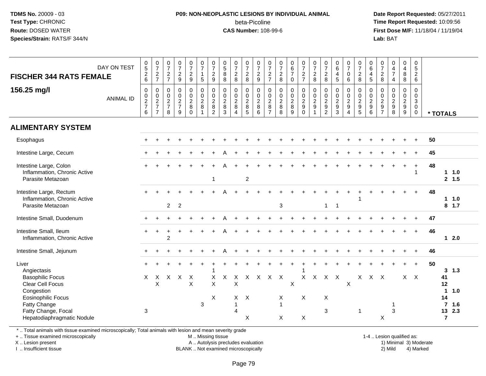#### **P09: NON-NEOPLASTIC LESIONS BY INDIVIDUAL ANIMAL** beta-Picoline**beta-Picoline**<br> **CAS Number:** 108-99-6<br> **CAS Number:** 108-99-6<br> **CAS Number:** 108-99-6

 **Date Report Requested:** 05/27/2011 **First Dose M/F:** 11/18/04 / 11/19/04 Lab: BAT **Lab:** BAT

| <b>FISCHER 344 RATS FEMALE</b>                                                                                                                               | DAY ON TEST      | $\begin{array}{c} 0 \\ 5 \end{array}$<br>$\frac{2}{6}$ | $\frac{0}{7}$<br>$\frac{2}{7}$                                            | $\frac{0}{7}$<br>$\frac{2}{7}$                   | $\frac{0}{7}$<br>$\frac{2}{9}$                      | $\frac{0}{7}$<br>$\frac{2}{9}$                         | $\frac{0}{7}$<br>$\mathbf{1}$<br>$5\phantom{.0}$          | $\frac{0}{7}$<br>$\frac{2}{9}$                                | $\begin{array}{c} 0 \\ 5 \\ 8 \end{array}$<br>$\overline{8}$ | $\frac{0}{7}$<br>$\frac{2}{8}$                                        | $\frac{0}{7}$<br>$_{\rm 8}^2$                                      | $\frac{0}{7}$<br>$\frac{2}{9}$                              | $\frac{0}{7}$<br>$\frac{2}{7}$                              | $\frac{0}{7}$<br>8                                                | $\begin{array}{c} 0 \\ 6 \\ 7 \end{array}$<br>$\pmb{0}$ | $\frac{0}{7}$<br>$\frac{2}{7}$                                             | $\frac{0}{7}$<br>$\frac{2}{8}$                                  | $\frac{0}{7}$<br>$\frac{2}{8}$                              | 0<br>6<br>$\overline{4}$<br>5                | $\frac{0}{7}$<br>$\pmb{0}$<br>6                                     | $\frac{0}{7}$<br>$\frac{2}{8}$               | $\begin{matrix} 0 \\ 6 \end{matrix}$<br>$\overline{4}$<br>5 | $\frac{0}{7}$<br>$_{8}^{\rm 2}$   | $\begin{array}{c} 0 \\ 4 \\ 7 \end{array}$<br>$\overline{4}$ | 0<br>$\overline{4}$<br>$\,8\,$<br>$\overline{8}$                         | 0<br>$\sqrt{5}$<br>$\overline{a}$<br>$\,6\,$                  |    |                                                        |                                       |  |
|--------------------------------------------------------------------------------------------------------------------------------------------------------------|------------------|--------------------------------------------------------|---------------------------------------------------------------------------|--------------------------------------------------|-----------------------------------------------------|--------------------------------------------------------|-----------------------------------------------------------|---------------------------------------------------------------|--------------------------------------------------------------|-----------------------------------------------------------------------|--------------------------------------------------------------------|-------------------------------------------------------------|-------------------------------------------------------------|-------------------------------------------------------------------|---------------------------------------------------------|----------------------------------------------------------------------------|-----------------------------------------------------------------|-------------------------------------------------------------|----------------------------------------------|---------------------------------------------------------------------|----------------------------------------------|-------------------------------------------------------------|-----------------------------------|--------------------------------------------------------------|--------------------------------------------------------------------------|---------------------------------------------------------------|----|--------------------------------------------------------|---------------------------------------|--|
| 156.25 mg/l                                                                                                                                                  | <b>ANIMAL ID</b> | $\mathbf 0$<br>0<br>$\frac{2}{7}$<br>6                 | $\pmb{0}$<br>$\begin{array}{c} 0 \\ 2 \\ 7 \end{array}$<br>$\overline{7}$ | $\mathbf 0$<br>$\mathbf 0$<br>$\frac{2}{7}$<br>8 | $\pmb{0}$<br>$\boldsymbol{0}$<br>$\frac{2}{7}$<br>9 | $\pmb{0}$<br>$\pmb{0}$<br>$\frac{2}{8}$<br>$\mathbf 0$ | $\pmb{0}$<br>$\mathbf 0$<br>$\frac{2}{8}$<br>$\mathbf{1}$ | $\mathbf 0$<br>$\mathbf 0$<br>$\frac{2}{8}$<br>$\overline{2}$ | $\pmb{0}$<br>$\pmb{0}$<br>$\frac{2}{8}$<br>$\mathbf{3}$      | $\mathsf 0$<br>$\mathsf{O}\xspace$<br>$\frac{2}{8}$<br>$\overline{4}$ | $\boldsymbol{0}$<br>$\mathbf 0$<br>$\frac{2}{8}$<br>$\overline{5}$ | $\pmb{0}$<br>$\mathbf 0$<br>$\frac{2}{8}$<br>$6\phantom{1}$ | $\pmb{0}$<br>$\mathbf 0$<br>$\frac{2}{8}$<br>$\overline{7}$ | $\begin{array}{c} 0 \\ 0 \\ 2 \\ 8 \end{array}$<br>$\overline{8}$ | $\begin{array}{c} 0 \\ 0 \\ 2 \\ 8 \end{array}$<br>9    | $\mathbf 0$<br>$\mathsf{O}\xspace$<br>$\frac{2}{9}$<br>$\ddot{\mathbf{0}}$ | $\begin{array}{c} 0 \\ 0 \\ 2 \\ 9 \end{array}$<br>$\mathbf{1}$ | $\pmb{0}$<br>$\mathbf 0$<br>$\frac{2}{9}$<br>$\overline{2}$ | $\pmb{0}$<br>$\pmb{0}$<br>$\frac{2}{9}$<br>3 | $\mathbf 0$<br>$\mathbf 0$<br>$\overline{c}$<br>9<br>$\overline{4}$ | $\pmb{0}$<br>$\frac{0}{2}$<br>$\overline{5}$ | $\pmb{0}$<br>$\pmb{0}$<br>$\frac{2}{9}$<br>$\,6$            | 0<br>$\mathbf 0$<br>$\frac{2}{9}$ | 000000                                                       | 0<br>$\mathbf 0$<br>$\overline{2}$<br>$\boldsymbol{9}$<br>$\overline{9}$ | $\mathbf 0$<br>$\mathbf 0$<br>3<br>$\mathbf 0$<br>$\mathbf 0$ |    | * TOTALS                                               |                                       |  |
| <b>ALIMENTARY SYSTEM</b>                                                                                                                                     |                  |                                                        |                                                                           |                                                  |                                                     |                                                        |                                                           |                                                               |                                                              |                                                                       |                                                                    |                                                             |                                                             |                                                                   |                                                         |                                                                            |                                                                 |                                                             |                                              |                                                                     |                                              |                                                             |                                   |                                                              |                                                                          |                                                               |    |                                                        |                                       |  |
| Esophagus                                                                                                                                                    |                  |                                                        |                                                                           |                                                  |                                                     |                                                        |                                                           |                                                               |                                                              |                                                                       |                                                                    |                                                             |                                                             |                                                                   |                                                         |                                                                            |                                                                 |                                                             |                                              |                                                                     |                                              |                                                             |                                   |                                                              |                                                                          |                                                               | 50 |                                                        |                                       |  |
| Intestine Large, Cecum                                                                                                                                       |                  |                                                        |                                                                           |                                                  |                                                     |                                                        |                                                           |                                                               |                                                              |                                                                       |                                                                    |                                                             |                                                             |                                                                   |                                                         |                                                                            |                                                                 |                                                             |                                              |                                                                     |                                              |                                                             |                                   |                                                              |                                                                          |                                                               | 45 |                                                        |                                       |  |
| Intestine Large, Colon<br>Inflammation, Chronic Active<br>Parasite Metazoan                                                                                  |                  |                                                        |                                                                           |                                                  |                                                     |                                                        |                                                           | $\mathbf{1}$                                                  |                                                              |                                                                       | $\overline{2}$                                                     |                                                             |                                                             |                                                                   |                                                         |                                                                            |                                                                 |                                                             |                                              |                                                                     |                                              |                                                             |                                   |                                                              |                                                                          | $+$<br>1                                                      | 48 |                                                        | $1 \t1.0$<br>2, 1.5                   |  |
| Intestine Large, Rectum<br>Inflammation, Chronic Active<br>Parasite Metazoan                                                                                 |                  |                                                        |                                                                           | $\overline{2}$                                   | $\overline{2}$                                      |                                                        |                                                           |                                                               |                                                              |                                                                       |                                                                    |                                                             |                                                             | $\ensuremath{\mathsf{3}}$                                         |                                                         |                                                                            |                                                                 | 1                                                           | $\overline{1}$                               |                                                                     |                                              |                                                             |                                   |                                                              |                                                                          |                                                               | 48 |                                                        | $1 \t1.0$<br>$8$ 1.7                  |  |
| Intestine Small, Duodenum                                                                                                                                    |                  |                                                        |                                                                           |                                                  |                                                     |                                                        |                                                           |                                                               |                                                              |                                                                       |                                                                    |                                                             |                                                             |                                                                   |                                                         |                                                                            |                                                                 |                                                             |                                              |                                                                     |                                              |                                                             |                                   |                                                              |                                                                          |                                                               | 47 |                                                        |                                       |  |
| Intestine Small, Ileum<br>Inflammation, Chronic Active                                                                                                       |                  | $+$                                                    | $\ddot{}$                                                                 | $\overline{2}$                                   |                                                     |                                                        |                                                           |                                                               |                                                              |                                                                       |                                                                    |                                                             |                                                             |                                                                   |                                                         |                                                                            |                                                                 |                                                             |                                              |                                                                     |                                              |                                                             |                                   |                                                              |                                                                          |                                                               | 46 |                                                        | $12.0$                                |  |
| Intestine Small, Jejunum                                                                                                                                     |                  |                                                        |                                                                           |                                                  |                                                     |                                                        |                                                           |                                                               |                                                              |                                                                       |                                                                    |                                                             |                                                             |                                                                   |                                                         |                                                                            |                                                                 |                                                             |                                              |                                                                     |                                              |                                                             |                                   |                                                              |                                                                          |                                                               | 46 |                                                        |                                       |  |
| Liver<br>Angiectasis<br><b>Basophilic Focus</b><br><b>Clear Cell Focus</b><br>Congestion<br><b>Eosinophilic Focus</b><br>Fatty Change<br>Fatty Change, Focal |                  | $\times$<br>3                                          | X<br>X                                                                    | $\times$                                         | $\boldsymbol{\mathsf{X}}$                           | $\times$<br>X                                          | 3                                                         | X<br>X<br>X                                                   | X                                                            | X<br>$\sf X$<br>$\times$<br>$\overline{1}$<br>$\Delta$                | $\mathsf{X}$<br>$\mathsf{X}$                                       | $\mathsf{X}$                                                | $\mathsf{X}$                                                | $\mathsf{X}$<br>X<br>$\mathbf{1}$                                 | $\sf X$                                                 | X<br>Χ                                                                     | $\mathsf{X}$                                                    | X<br>X<br>3                                                 | $\mathsf{X}$                                 | X                                                                   | $\mathsf{X}$<br>$\overline{1}$               | $X$ $X$                                                     |                                   | 3                                                            |                                                                          | $+$<br>$X$ $X$                                                | 50 | 3 <sup>1</sup><br>41<br>12<br>$\mathbf{1}$<br>14<br>13 | 1.3<br>1.0<br>7 <sub>1.6</sub><br>2.3 |  |
| Hepatodiaphragmatic Nodule                                                                                                                                   |                  |                                                        |                                                                           |                                                  |                                                     |                                                        |                                                           |                                                               |                                                              |                                                                       | X                                                                  |                                                             |                                                             | X                                                                 |                                                         | X                                                                          |                                                                 |                                                             |                                              |                                                                     |                                              |                                                             | X                                 |                                                              |                                                                          |                                                               |    | $\overline{7}$                                         |                                       |  |

\* .. Total animals with tissue examined microscopically; Total animals with lesion and mean severity grade

+ .. Tissue examined microscopically

X .. Lesion present

I .. Insufficient tissue

M .. Missing tissue

 Lesion present A .. Autolysis precludes evaluation 1) Minimal 3) ModerateBLANK .. Not examined microscopically 2) Mild 4) Marked

1-4 .. Lesion qualified as: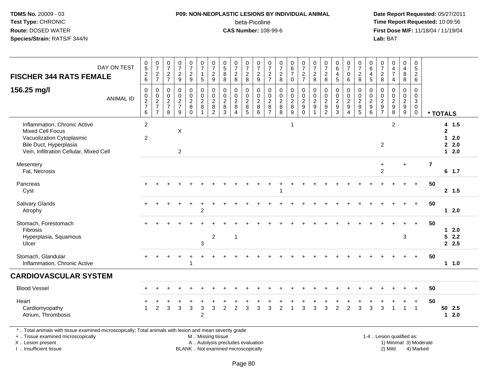### **P09: NON-NEOPLASTIC LESIONS BY INDIVIDUAL ANIMAL**beta-Picoline<br>CAS Number: 108-99-6

 **Date Report Requested:** 05/27/2011 **Time Report Requested:** 10:09:56 **First Dose M/F:** 11/18/04 / 11/19/04 Lab: BAT **Lab:** BAT

|                                                                                                                                                    | DAY ON TEST      | $\begin{array}{c} 0 \\ 5 \end{array}$ | $\frac{0}{7}$                                | $\frac{0}{7}$                                   | $\frac{0}{7}$                                               | $\frac{0}{7}$                                                  | $\frac{0}{7}$                           | $\frac{0}{7}$                                                | $\begin{array}{c} 0 \\ 5 \end{array}$                                 | $\frac{0}{7}$                                                             | $\frac{0}{7}$                        | $\frac{0}{7}$                                   | $\frac{0}{7}$                       | $\frac{0}{7}$                                | $\begin{array}{c} 0 \\ 6 \end{array}$<br>$\overline{7}$ | $\frac{0}{7}$                                            | $\frac{0}{7}$                                                        | $\frac{0}{7}$                                        | $_{6}^{\rm 0}$                   | $\frac{0}{7}$                                  | $\frac{0}{7}$                                        | 0<br>$6\overline{6}$                              | $\frac{0}{7}$                                             | $_4^{\rm 0}$                                                                   | $\begin{smallmatrix}0\0\4\end{smallmatrix}$                           | $\begin{array}{c} 0 \\ 5 \end{array}$                                               |                         |                                                                  |               |
|----------------------------------------------------------------------------------------------------------------------------------------------------|------------------|---------------------------------------|----------------------------------------------|-------------------------------------------------|-------------------------------------------------------------|----------------------------------------------------------------|-----------------------------------------|--------------------------------------------------------------|-----------------------------------------------------------------------|---------------------------------------------------------------------------|--------------------------------------|-------------------------------------------------|-------------------------------------|----------------------------------------------|---------------------------------------------------------|----------------------------------------------------------|----------------------------------------------------------------------|------------------------------------------------------|----------------------------------|------------------------------------------------|------------------------------------------------------|---------------------------------------------------|-----------------------------------------------------------|--------------------------------------------------------------------------------|-----------------------------------------------------------------------|-------------------------------------------------------------------------------------|-------------------------|------------------------------------------------------------------|---------------|
| <b>FISCHER 344 RATS FEMALE</b>                                                                                                                     |                  | $\frac{2}{6}$                         | $\frac{2}{7}$                                | $\frac{2}{7}$                                   | $\frac{2}{9}$                                               | $\frac{2}{9}$                                                  | $\mathbf{1}$<br>$5\,$                   | $\frac{2}{9}$                                                | $\,8\,$<br>$\,8\,$                                                    | $\overline{c}$<br>8                                                       | $_{\rm 2}^2$                         | $\frac{2}{9}$                                   | $\frac{2}{7}$                       | $\frac{2}{8}$                                | $\mathbf 0$                                             | $\frac{2}{7}$                                            | $\frac{2}{8}$                                                        | $_{8}^2$                                             | $\overline{4}$<br>$\overline{5}$ | $\pmb{0}$<br>$\,6$                             | $_{\rm 8}^2$                                         | $\overline{4}$<br>$\overline{5}$                  | $\sqrt{2}$<br>$\,8\,$                                     | $\overline{7}$<br>$\overline{4}$                                               | 8<br>8                                                                | $\frac{2}{6}$                                                                       |                         |                                                                  |               |
| 156.25 mg/l                                                                                                                                        | <b>ANIMAL ID</b> | 0<br>0<br>$\frac{2}{7}$<br>6          | $\pmb{0}$<br>$\frac{0}{2}$<br>$\overline{7}$ | 0<br>0<br>$\overline{2}$<br>$\overline{7}$<br>8 | 0<br>$\mathbf 0$<br>$\overline{2}$<br>$\boldsymbol{7}$<br>9 | 0<br>$\begin{array}{c} 0 \\ 2 \\ 8 \end{array}$<br>$\mathbf 0$ | $\mathbf 0$<br>$\frac{0}{2}$<br>$\bf 8$ | $\pmb{0}$<br>$\begin{array}{c} 0 \\ 2 \\ 8 \\ 2 \end{array}$ | $\mathbf 0$<br>$\mathbf 0$<br>$\overline{2}$<br>$\bf 8$<br>$\sqrt{3}$ | $\mathbf 0$<br>$\mathsf 0$<br>$\overline{2}$<br>$\bf 8$<br>$\overline{4}$ | 0<br>$\pmb{0}$<br>$\frac{2}{8}$<br>5 | 0<br>$\frac{0}{2}$<br>$\bf 8$<br>$6\phantom{1}$ | 0<br>$\frac{0}{2}$<br>$\frac{8}{7}$ | 0<br>$\mathsf 0$<br>$\frac{2}{8}$<br>$\,8\,$ | $\mathbf 0$<br>$\mathbf 0$<br>$\frac{2}{8}$<br>9        | 0<br>$\mathsf{O}\xspace$<br>$\frac{2}{9}$<br>$\mathbf 0$ | 0<br>$\pmb{0}$<br>$\overline{2}$<br>$\boldsymbol{9}$<br>$\mathbf{1}$ | 0<br>$\begin{array}{c} 0 \\ 2 \\ 9 \\ 2 \end{array}$ | 0<br>$\pmb{0}$<br>$\frac{2}{3}$  | $\mathbf 0$<br>$\frac{0}{2}$<br>$\overline{4}$ | 0<br>$\begin{array}{c} 0 \\ 2 \\ 9 \\ 5 \end{array}$ | 0<br>$\boldsymbol{0}$<br>$\frac{2}{9}$<br>$\,6\,$ | $\mathbf 0$<br>$\mathbf 0$<br>$\sqrt{2}$<br>$\frac{1}{7}$ | $\mathbf 0$<br>$\mathbf 0$<br>$\begin{array}{c}\n 2 \\  9 \\  8\n \end{array}$ | 0<br>$\boldsymbol{0}$<br>$\begin{array}{c}\n 2 \\  9 \\  \end{array}$ | 0<br>$\mathsf{O}\xspace$<br>$\overline{3}$<br>$\overline{0}$<br>$\mathsf{O}\xspace$ |                         | * TOTALS                                                         |               |
| Inflammation, Chronic Active<br>Mixed Cell Focus<br>Vacuolization Cytoplasmic<br>Bile Duct, Hyperplasia<br>Vein, Infiltration Cellular, Mixed Cell |                  | $\overline{c}$<br>$\overline{c}$      |                                              |                                                 | X<br>$\overline{2}$                                         |                                                                |                                         |                                                              |                                                                       |                                                                           |                                      |                                                 |                                     |                                              | -1                                                      |                                                          |                                                                      |                                                      |                                  |                                                |                                                      |                                                   | $\overline{2}$                                            | $\overline{c}$                                                                 |                                                                       |                                                                                     |                         | 4 1.5<br>$\mathbf{2}$<br>$\mathbf{1}$<br>$2 \quad 2.0$<br>$12.0$ | 2.0           |
| Mesentery<br>Fat, Necrosis                                                                                                                         |                  |                                       |                                              |                                                 |                                                             |                                                                |                                         |                                                              |                                                                       |                                                                           |                                      |                                                 |                                     |                                              |                                                         |                                                          |                                                                      |                                                      |                                  |                                                |                                                      |                                                   | $\ddot{}$<br>$\overline{2}$                               |                                                                                | $\ddot{}$                                                             |                                                                                     | $\overline{\mathbf{r}}$ | $6$ 1.7                                                          |               |
| Pancreas<br>Cyst                                                                                                                                   |                  |                                       |                                              |                                                 |                                                             |                                                                |                                         |                                                              |                                                                       |                                                                           |                                      |                                                 |                                     |                                              |                                                         |                                                          |                                                                      |                                                      |                                  |                                                |                                                      |                                                   |                                                           |                                                                                |                                                                       | $+$                                                                                 | 50                      |                                                                  | 2, 1.5        |
| <b>Salivary Glands</b><br>Atrophy                                                                                                                  |                  | $+$                                   |                                              |                                                 |                                                             | $\ddot{}$                                                      | $\overline{c}$                          |                                                              |                                                                       |                                                                           |                                      |                                                 |                                     |                                              |                                                         |                                                          |                                                                      |                                                      |                                  |                                                |                                                      |                                                   |                                                           |                                                                                |                                                                       | $+$                                                                                 | 50                      |                                                                  | $12.0$        |
| Stomach, Forestomach<br>Fibrosis<br>Hyperplasia, Squamous<br>Ulcer                                                                                 |                  |                                       |                                              |                                                 |                                                             |                                                                | 3                                       | $\overline{c}$                                               |                                                                       | -1                                                                        |                                      |                                                 |                                     |                                              |                                                         |                                                          |                                                                      |                                                      |                                  |                                                |                                                      |                                                   |                                                           |                                                                                | 3                                                                     |                                                                                     | 50                      | 5<br>2.5                                                         | $12.0$<br>2.2 |
| Stomach, Glandular<br>Inflammation, Chronic Active                                                                                                 |                  |                                       |                                              |                                                 |                                                             | 1                                                              |                                         |                                                              |                                                                       |                                                                           |                                      |                                                 |                                     |                                              |                                                         |                                                          |                                                                      |                                                      |                                  |                                                |                                                      |                                                   |                                                           |                                                                                |                                                                       |                                                                                     | 50                      |                                                                  | 11.0          |
| <b>CARDIOVASCULAR SYSTEM</b>                                                                                                                       |                  |                                       |                                              |                                                 |                                                             |                                                                |                                         |                                                              |                                                                       |                                                                           |                                      |                                                 |                                     |                                              |                                                         |                                                          |                                                                      |                                                      |                                  |                                                |                                                      |                                                   |                                                           |                                                                                |                                                                       |                                                                                     |                         |                                                                  |               |
| <b>Blood Vessel</b>                                                                                                                                |                  |                                       |                                              |                                                 |                                                             |                                                                |                                         |                                                              |                                                                       |                                                                           |                                      |                                                 |                                     |                                              |                                                         |                                                          |                                                                      |                                                      |                                  |                                                |                                                      |                                                   |                                                           |                                                                                |                                                                       |                                                                                     | 50                      |                                                                  |               |
| Heart<br>Cardiomyopathy<br>Atrium, Thrombosis                                                                                                      |                  | $\overline{1}$                        | $\overline{c}$                               | 3                                               | 3                                                           | $\mathbf{3}$                                                   | $\sqrt{3}$<br>$\overline{2}$            | 3                                                            | $\overline{2}$                                                        | $\overline{2}$                                                            | 3                                    | 3                                               | 3                                   | $\overline{2}$                               | -1                                                      | 3                                                        | 3                                                                    | 3                                                    | $\overline{2}$                   | $\overline{2}$                                 | $\mathsf 3$                                          | 3                                                 | 3                                                         |                                                                                | $\mathbf{1}$                                                          | $\overline{1}$                                                                      | 50                      | 50 2.5<br>$\mathbf{1}$                                           | 2.0           |
| *  Total animals with tissue examined microscopically; Total animals with lesion and mean severity grade                                           |                  |                                       |                                              |                                                 |                                                             |                                                                |                                         |                                                              |                                                                       |                                                                           |                                      |                                                 |                                     |                                              |                                                         |                                                          |                                                                      |                                                      |                                  |                                                |                                                      |                                                   |                                                           |                                                                                |                                                                       |                                                                                     |                         |                                                                  |               |

+ .. Tissue examined microscopically

X .. Lesion present

I .. Insufficient tissue

M .. Missing tissue

BLANK .. Not examined microscopically

 1-4 .. Lesion qualified as: A .. Autolysis precludes evaluation 19 and 10 minimal 3) Moderate 1 and 20 minimal 3) Moderate 19 minimal 3) Moderat<br>19 and 19 and 19 and 19 and 19 and 19 and 19 and 19 and 19 and 19 and 19 and 19 and 19 and 19 and 19 and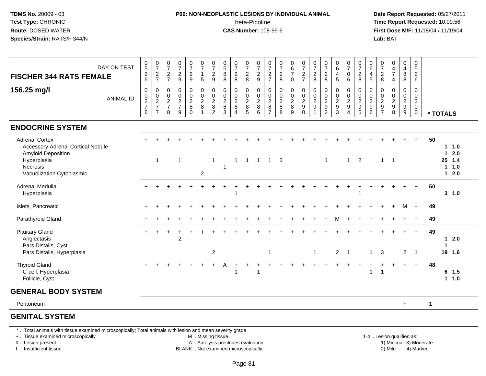#### **P09: NON-NEOPLASTIC LESIONS BY INDIVIDUAL ANIMAL** beta-Picoline**beta-Picoline**<br> **CAS Number:** 108-99-6<br> **CAS Number:** 108-99-6<br> **CAS Number:** 108-99-6

 **Date Report Requested:** 05/27/2011 **First Dose M/F:** 11/18/04 / 11/19/04 Lab: BAT **Lab:** BAT

| DAY ON TEST<br><b>FISCHER 344 RATS FEMALE</b>                                                                                                   | $\begin{array}{c} 0 \\ 5 \end{array}$<br>$\frac{2}{6}$ | $\frac{0}{7}$<br>$\frac{2}{7}$                          | $\frac{0}{7}$<br>$\frac{2}{7}$                          | $\frac{0}{7}$<br>$\frac{2}{9}$                    | $\frac{0}{7}$<br>$\frac{2}{9}$                      | $\begin{smallmatrix}0\\7\end{smallmatrix}$<br>$\mathbf{1}$<br>$\sqrt{5}$ | $\frac{0}{7}$<br>$\sqrt{2}$<br>$\boldsymbol{9}$         | $\begin{array}{c} 0 \\ 5 \\ 8 \end{array}$<br>8   | $\frac{0}{7}$<br>$_{8}^{2}$                  | $\frac{0}{7}$<br>$\frac{2}{8}$ | $\frac{0}{7}$<br>$\frac{2}{9}$                  | $\frac{0}{7}$<br>$\frac{2}{7}$                       | $\frac{0}{7}$<br>$\frac{2}{8}$                                  | $\begin{array}{c} 0 \\ 6 \end{array}$<br>$\overline{7}$<br>$\mathsf 0$ | $\frac{0}{7}$<br>$\frac{2}{7}$                 | $\begin{smallmatrix}0\\7\end{smallmatrix}$<br>$\begin{array}{c} 2 \\ 8 \end{array}$ | $\frac{0}{7}$<br>$_{\rm 8}^2$                                    | $_6^0$<br>$\overline{4}$<br>5             | $\frac{0}{7}$<br>$_{6}^{\rm 0}$ | $\frac{0}{7}$<br>$^{\,2}_{\,8}$                                  | $\begin{array}{c} 0 \\ 6 \end{array}$<br>$\begin{array}{c} 4 \\ 5 \end{array}$ | $\frac{0}{7}$<br>$\frac{2}{8}$                        | $\begin{array}{c} 0 \\ 4 \\ 7 \end{array}$<br>$\overline{\mathbf{4}}$ | 0<br>$\overline{4}$<br>8<br>8          | 0<br>$5\phantom{.0}$<br>$\overline{\mathbf{c}}$<br>6 |              |                                                    |            |
|-------------------------------------------------------------------------------------------------------------------------------------------------|--------------------------------------------------------|---------------------------------------------------------|---------------------------------------------------------|---------------------------------------------------|-----------------------------------------------------|--------------------------------------------------------------------------|---------------------------------------------------------|---------------------------------------------------|----------------------------------------------|--------------------------------|-------------------------------------------------|------------------------------------------------------|-----------------------------------------------------------------|------------------------------------------------------------------------|------------------------------------------------|-------------------------------------------------------------------------------------|------------------------------------------------------------------|-------------------------------------------|---------------------------------|------------------------------------------------------------------|--------------------------------------------------------------------------------|-------------------------------------------------------|-----------------------------------------------------------------------|----------------------------------------|------------------------------------------------------|--------------|----------------------------------------------------|------------|
| 156.25 mg/l<br><b>ANIMAL ID</b>                                                                                                                 | $\pmb{0}$<br>$\frac{0}{2}$<br>6                        | 0<br>$_{2}^{\rm 0}$<br>$\overline{7}$<br>$\overline{7}$ | 0<br>$\pmb{0}$<br>$\overline{2}$<br>$\overline{7}$<br>8 | $\pmb{0}$<br>$\frac{0}{2}$<br>$\overline{7}$<br>9 | $\pmb{0}$<br>$\frac{0}{2}$<br>$\bf8$<br>$\mathbf 0$ | $\mathbf 0$<br>$\frac{0}{2}$<br>8<br>$\overline{1}$                      | 0<br>$\pmb{0}$<br>$\overline{2}$<br>8<br>$\overline{2}$ | $\mathbf 0$<br>$\frac{0}{2}$<br>8<br>$\mathbf{3}$ | 0<br>$\mathbf 0$<br>$\overline{2}$<br>8<br>4 | 0<br>$\frac{0}{2}$<br>8<br>5   | 0<br>$\frac{0}{2}$<br>$\bf 8$<br>$6\phantom{1}$ | $\mathbf 0$<br>$_{2}^{\rm 0}$<br>8<br>$\overline{7}$ | $\begin{smallmatrix} 0\\0\\2 \end{smallmatrix}$<br>$\bf 8$<br>8 | 0<br>$\frac{0}{2}$<br>8<br>9                                           | $\pmb{0}$<br>$\frac{0}{2}$<br>9<br>$\mathbf 0$ | 0<br>$\frac{0}{2}$<br>9                                                             | $\pmb{0}$<br>$\frac{0}{2}$<br>$\boldsymbol{9}$<br>$\overline{2}$ | 0<br>$\frac{0}{2}$<br>9<br>$\overline{3}$ | 0<br>$\frac{0}{2}$<br>9<br>4    | $\pmb{0}$<br>$\frac{0}{2}$<br>$\boldsymbol{9}$<br>$\overline{5}$ | 0<br>$\frac{0}{2}$<br>$\begin{array}{c} 9 \\ 6 \end{array}$                    | $\pmb{0}$<br>$\frac{0}{2}$<br>$9\,$<br>$\overline{7}$ | 0<br>$\frac{0}{2}$<br>$\boldsymbol{9}$<br>8                           | $\mathbf 0$<br>$\frac{0}{2}$<br>9<br>9 | 0<br>0<br>3<br>$\mathbf 0$<br>0                      |              | * TOTALS                                           |            |
| <b>ENDOCRINE SYSTEM</b>                                                                                                                         |                                                        |                                                         |                                                         |                                                   |                                                     |                                                                          |                                                         |                                                   |                                              |                                |                                                 |                                                      |                                                                 |                                                                        |                                                |                                                                                     |                                                                  |                                           |                                 |                                                                  |                                                                                |                                                       |                                                                       |                                        |                                                      |              |                                                    |            |
| <b>Adrenal Cortex</b><br><b>Accessory Adrenal Cortical Nodule</b><br>Amyloid Deposition<br>Hyperplasia<br>Necrosis<br>Vacuolization Cytoplasmic |                                                        | $\mathbf{1}$                                            |                                                         | $\overline{1}$                                    |                                                     | $\overline{2}$                                                           | $\mathbf{1}$                                            |                                                   | $\mathbf{1}$                                 | $\mathbf{1}$                   |                                                 | $1 \quad 1 \quad 3$                                  |                                                                 |                                                                        |                                                |                                                                                     | $\mathbf{1}$                                                     |                                           | $\mathbf{1}$                    | 2                                                                |                                                                                | 1                                                     | $\overline{\phantom{0}}$                                              |                                        |                                                      | 50           | $1 \t1.0$<br>1.<br>25 1.4<br>$\mathbf 1$<br>$12.0$ | 2.0<br>1.0 |
| <b>Adrenal Medulla</b><br>Hyperplasia                                                                                                           |                                                        |                                                         |                                                         |                                                   |                                                     |                                                                          |                                                         |                                                   |                                              |                                |                                                 |                                                      |                                                                 |                                                                        |                                                |                                                                                     |                                                                  |                                           |                                 |                                                                  |                                                                                |                                                       |                                                                       |                                        | $+$                                                  | 50           | $3 - 1.0$                                          |            |
| Islets, Pancreatic                                                                                                                              |                                                        |                                                         |                                                         |                                                   |                                                     |                                                                          |                                                         |                                                   |                                              |                                |                                                 |                                                      |                                                                 |                                                                        |                                                |                                                                                     |                                                                  |                                           |                                 |                                                                  |                                                                                |                                                       | $\ddot{}$                                                             | M                                      | $+$                                                  | 49           |                                                    |            |
| Parathyroid Gland                                                                                                                               |                                                        |                                                         |                                                         |                                                   |                                                     |                                                                          |                                                         |                                                   |                                              |                                |                                                 |                                                      |                                                                 |                                                                        |                                                |                                                                                     |                                                                  | M                                         |                                 |                                                                  |                                                                                |                                                       |                                                                       |                                        |                                                      | 49           |                                                    |            |
| <b>Pituitary Gland</b><br>Angiectasis<br>Pars Distalis, Cyst<br>Pars Distalis, Hyperplasia                                                      |                                                        | $\pm$                                                   |                                                         | $\overline{2}$                                    |                                                     |                                                                          | $\boldsymbol{2}$                                        |                                                   |                                              |                                |                                                 | $\overline{1}$                                       |                                                                 |                                                                        |                                                | $\mathbf{1}$                                                                        |                                                                  | $\overline{a}$                            | $\overline{1}$                  |                                                                  | $\overline{1}$                                                                 | $\mathbf{3}$                                          |                                                                       | $\overline{2}$                         | $\ddot{+}$<br>$\overline{1}$                         | 49           | 1<br>1<br>19 1.6                                   | 2.0        |
| <b>Thyroid Gland</b><br>C-cell, Hyperplasia<br>Follicle, Cyst                                                                                   |                                                        |                                                         |                                                         |                                                   |                                                     |                                                                          |                                                         |                                                   | $\overline{1}$                               |                                | $\overline{1}$                                  |                                                      |                                                                 |                                                                        |                                                |                                                                                     |                                                                  |                                           |                                 |                                                                  | 1                                                                              | $\overline{1}$                                        |                                                                       |                                        | $\ddot{}$                                            | 48           | 6 1.5<br>11.0                                      |            |
| <b>GENERAL BODY SYSTEM</b>                                                                                                                      |                                                        |                                                         |                                                         |                                                   |                                                     |                                                                          |                                                         |                                                   |                                              |                                |                                                 |                                                      |                                                                 |                                                                        |                                                |                                                                                     |                                                                  |                                           |                                 |                                                                  |                                                                                |                                                       |                                                                       |                                        |                                                      |              |                                                    |            |
| Peritoneum                                                                                                                                      |                                                        |                                                         |                                                         |                                                   |                                                     |                                                                          |                                                         |                                                   |                                              |                                |                                                 |                                                      |                                                                 |                                                                        |                                                |                                                                                     |                                                                  |                                           |                                 |                                                                  |                                                                                |                                                       |                                                                       | $+$                                    |                                                      | $\mathbf{1}$ |                                                    |            |

### **GENITAL SYSTEM**

\* .. Total animals with tissue examined microscopically; Total animals with lesion and mean severity grade

+ .. Tissue examined microscopically

X .. Lesion present

I .. Insufficient tissue

M .. Missing tissue

A .. Autolysis precludes evaluation

1-4 .. Lesion qualified as:<br>1) Minimal 3) Moderate BLANK .. Not examined microscopically 2) Mild 4) Marked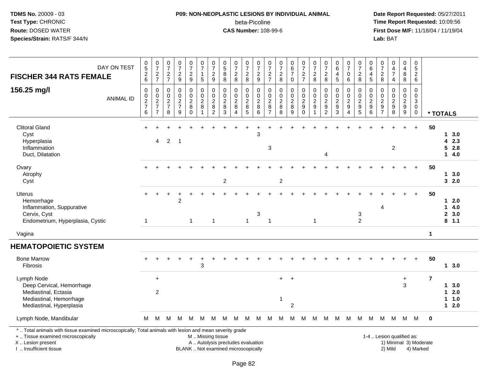### **P09: NON-NEOPLASTIC LESIONS BY INDIVIDUAL ANIMAL**beta-Picoline<br>CAS Number: 108-99-6

 **Date Report Requested:** 05/27/2011 **Time Report Requested:** 10:09:56 **First Dose M/F:** 11/18/04 / 11/19/04<br>Lab: BAT **Lab:** BAT

| DAY ON TEST<br><b>FISCHER 344 RATS FEMALE</b>                                                                                                 | $^{\rm 0}_{\rm 5}$<br>$\frac{2}{6}$    | $\frac{0}{7}$<br>$\frac{2}{7}$               | $\frac{0}{7}$<br>$\frac{2}{7}$               | $\begin{array}{c} 0 \\ 7 \end{array}$<br>$\frac{2}{9}$ | $\begin{array}{c} 0 \\ 7 \end{array}$<br>$\frac{2}{9}$ | $\begin{array}{c} 0 \\ 7 \end{array}$<br>$\mathbf{1}$<br>$\sqrt{5}$     | $\frac{0}{7}$<br>$\overline{c}$<br>9                | $\begin{array}{c} 0 \\ 5 \end{array}$<br>$\bf 8$<br>8    | $\frac{0}{7}$<br>$\overline{c}$<br>8               | $\frac{0}{7}$<br>$_{\rm 8}^2$                                          | $\frac{0}{7}$<br>$\frac{2}{9}$                                            | $\frac{0}{7}$<br>$\frac{2}{7}$                                | $\frac{0}{7}$<br>$\overline{c}$<br>8           | $\begin{array}{c} 0 \\ 6 \\ 7 \end{array}$<br>$\mathbf 0$         | $\begin{array}{c} 0 \\ 7 \end{array}$<br>$\frac{2}{7}$ | $\frac{0}{7}$<br>$\frac{2}{8}$             | $\begin{array}{c} 0 \\ 7 \end{array}$<br>$\frac{2}{8}$ | $\begin{array}{c} 0 \\ 6 \end{array}$<br>$\overline{4}$<br>$5\phantom{1}$ | $\frac{0}{7}$<br>$\mathbf 0$<br>6      | $\frac{0}{7}$<br>$_{8}^2$            | $\begin{array}{c} 0 \\ 6 \end{array}$<br>4<br>5 | $\frac{0}{7}$<br>$_{\rm 8}^2$ | $\begin{smallmatrix}0\\4\end{smallmatrix}$<br>$\overline{7}$<br>$\overline{4}$ | $\pmb{0}$<br>$\overline{4}$<br>$\bf 8$<br>8                                      | $\pmb{0}$<br>$\sqrt{5}$<br>$\overline{c}$<br>6      |                |                            |                              |
|-----------------------------------------------------------------------------------------------------------------------------------------------|----------------------------------------|----------------------------------------------|----------------------------------------------|--------------------------------------------------------|--------------------------------------------------------|-------------------------------------------------------------------------|-----------------------------------------------------|----------------------------------------------------------|----------------------------------------------------|------------------------------------------------------------------------|---------------------------------------------------------------------------|---------------------------------------------------------------|------------------------------------------------|-------------------------------------------------------------------|--------------------------------------------------------|--------------------------------------------|--------------------------------------------------------|---------------------------------------------------------------------------|----------------------------------------|--------------------------------------|-------------------------------------------------|-------------------------------|--------------------------------------------------------------------------------|----------------------------------------------------------------------------------|-----------------------------------------------------|----------------|----------------------------|------------------------------|
| 156.25 mg/l<br><b>ANIMAL ID</b>                                                                                                               | $\mathbf 0$<br>0<br>$\frac{2}{7}$<br>6 | $\pmb{0}$<br>$\frac{0}{2}$<br>$\overline{7}$ | $\pmb{0}$<br>$\pmb{0}$<br>$\frac{2}{7}$<br>8 | $\pmb{0}$<br>$\frac{0}{2}$<br>$\boldsymbol{9}$         | $\pmb{0}$<br>$\frac{0}{2}$<br>$\mathbf 0$              | $\pmb{0}$<br>$\begin{array}{c} 0 \\ 2 \\ 8 \end{array}$<br>$\mathbf{1}$ | 0<br>$\mathbf 0$<br>$\frac{2}{8}$<br>$\overline{c}$ | $\mathbf 0$<br>$\mathsf{O}\xspace$<br>$\frac{2}{8}$<br>3 | 0<br>$\pmb{0}$<br>$_{8}^{\rm 2}$<br>$\overline{4}$ | 0<br>$\begin{smallmatrix} 0\\2\\8 \end{smallmatrix}$<br>$\overline{5}$ | $\boldsymbol{0}$<br>$\begin{array}{c} 0 \\ 2 \\ 8 \end{array}$<br>$\,6\,$ | $\mathbf 0$<br>$\mathbf 0$<br>$\frac{2}{8}$<br>$\overline{7}$ | $\pmb{0}$<br>$\mathbf 0$<br>$\frac{2}{8}$<br>8 | 0<br>$\begin{array}{c} 0 \\ 2 \\ 8 \end{array}$<br>$\overline{9}$ | $\pmb{0}$<br>$\frac{0}{2}$<br>$\ddot{\mathbf{0}}$      | $\pmb{0}$<br>$\frac{0}{2}$<br>$\mathbf{1}$ | 0<br>$\pmb{0}$<br>$\frac{2}{9}$<br>$\overline{2}$      | $\pmb{0}$<br>$\mathbf 0$<br>$\frac{2}{9}$<br>3                            | 0<br>$\mathbf 0$<br>$\frac{2}{9}$<br>4 | 0<br>$\frac{0}{2}$<br>$\overline{5}$ | $\mathbf 0$<br>$\frac{0}{2}$<br>6               | 0<br>0<br>$\frac{2}{9}$       | $\pmb{0}$<br>$\frac{0}{2}$<br>$\overline{8}$                                   | $\mathbf 0$<br>$\begin{smallmatrix} 0\\2\\9 \end{smallmatrix}$<br>$\overline{9}$ | 0<br>$\mathbf 0$<br>3<br>$\mathbf 0$<br>$\mathbf 0$ | * TOTALS       |                            |                              |
| <b>Clitoral Gland</b><br>Cyst<br>Hyperplasia<br>Inflammation<br>Duct, Dilatation                                                              |                                        | $\overline{4}$                               | $\overline{2}$                               | -1                                                     |                                                        |                                                                         |                                                     |                                                          |                                                    |                                                                        | $\mathsf 3$                                                               | 3                                                             |                                                |                                                                   |                                                        |                                            | 4                                                      |                                                                           |                                        |                                      |                                                 |                               | $\overline{2}$                                                                 |                                                                                  | $\ddot{}$                                           | 50             | $\mathbf 1$<br>4<br>5<br>1 | 3.0<br>2.3<br>2.8<br>4.0     |
| Ovary<br>Atrophy<br>Cyst                                                                                                                      |                                        |                                              |                                              |                                                        |                                                        |                                                                         |                                                     | $\overline{2}$                                           |                                                    |                                                                        |                                                                           |                                                               | $\overline{a}$                                 |                                                                   |                                                        |                                            |                                                        |                                                                           |                                        |                                      |                                                 |                               |                                                                                |                                                                                  |                                                     | 50             | $\mathbf 1$                | 3.0<br>32.0                  |
| Uterus<br>Hemorrhage<br>Inflammation, Suppurative<br>Cervix, Cyst<br>Endometrium, Hyperplasia, Cystic                                         | $\mathbf 1$                            |                                              |                                              | $\overline{2}$                                         | $\overline{1}$                                         |                                                                         | $\mathbf{1}$                                        |                                                          |                                                    | $\mathbf{1}$                                                           | 3                                                                         | $\mathbf{1}$                                                  |                                                |                                                                   |                                                        | $\mathbf{1}$                               |                                                        |                                                                           |                                        | $\mathbf{3}$<br>$\overline{2}$       |                                                 | 4                             |                                                                                |                                                                                  |                                                     | 50             | 1<br>1<br>$\mathbf{2}$     | 2.0<br>4.0<br>3.0<br>$8$ 1.1 |
| Vagina                                                                                                                                        |                                        |                                              |                                              |                                                        |                                                        |                                                                         |                                                     |                                                          |                                                    |                                                                        |                                                                           |                                                               |                                                |                                                                   |                                                        |                                            |                                                        |                                                                           |                                        |                                      |                                                 |                               |                                                                                |                                                                                  |                                                     | $\mathbf{1}$   |                            |                              |
| <b>HEMATOPOIETIC SYSTEM</b>                                                                                                                   |                                        |                                              |                                              |                                                        |                                                        |                                                                         |                                                     |                                                          |                                                    |                                                                        |                                                                           |                                                               |                                                |                                                                   |                                                        |                                            |                                                        |                                                                           |                                        |                                      |                                                 |                               |                                                                                |                                                                                  |                                                     |                |                            |                              |
| <b>Bone Marrow</b><br>Fibrosis                                                                                                                |                                        |                                              |                                              |                                                        |                                                        | 3                                                                       |                                                     |                                                          |                                                    |                                                                        |                                                                           |                                                               |                                                |                                                                   |                                                        |                                            |                                                        |                                                                           |                                        |                                      |                                                 |                               |                                                                                |                                                                                  |                                                     | 50             |                            | 13.0                         |
| Lymph Node<br>Deep Cervical, Hemorrhage<br>Mediastinal, Ectasia<br>Mediastinal, Hemorrhage<br>Mediastinal, Hyperplasia                        |                                        | $+$<br>$\overline{2}$                        |                                              |                                                        |                                                        |                                                                         |                                                     |                                                          |                                                    |                                                                        |                                                                           |                                                               | $+$<br>1                                       | $+$<br>$\overline{2}$                                             |                                                        |                                            |                                                        |                                                                           |                                        |                                      |                                                 |                               |                                                                                | $\ddot{}$<br>3                                                                   |                                                     | $\overline{7}$ | 1<br>1<br>1                | 3.0<br>2.0<br>1.0<br>$12.0$  |
| Lymph Node, Mandibular                                                                                                                        | М                                      | M                                            | M                                            | м                                                      | м                                                      | М                                                                       | м                                                   | M                                                        | M                                                  | м                                                                      | M                                                                         | м                                                             | м                                              | M                                                                 | M                                                      | м                                          | М                                                      | M                                                                         | М                                      | M                                    | M                                               | М                             | M                                                                              | M                                                                                | M                                                   | $\mathbf 0$    |                            |                              |
| * Total animals with tissue examined microscopically; Total animals with lesion and mean severity grade<br>+  Tissue examined microscopically |                                        |                                              |                                              |                                                        |                                                        | M  Missing tissue                                                       |                                                     |                                                          |                                                    |                                                                        |                                                                           |                                                               |                                                |                                                                   |                                                        |                                            |                                                        |                                                                           |                                        |                                      |                                                 |                               | 1-4  Lesion qualified as:                                                      |                                                                                  |                                                     |                |                            |                              |

X .. Lesion present

I .. Insufficient tissue

BLANK .. Not examined microscopically and the state of the 2) Mild

A .. Autolysis precludes evaluation and the service of the service of the service of the service of the service of the service of the service of the service of the service of the service of the service of the service of th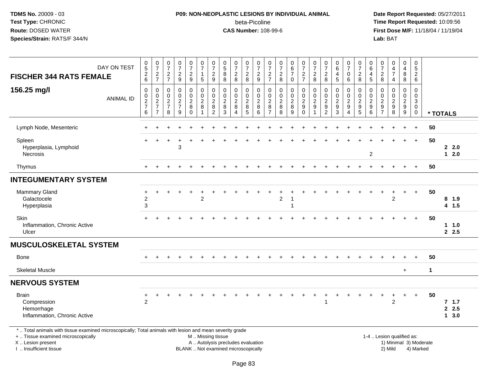# **P09: NON-NEOPLASTIC LESIONS BY INDIVIDUAL ANIMAL**beta-Picoline<br>CAS Number: 108-99-6

 **Date Report Requested:** 05/27/2011 **Time Report Requested:** 10:09:56 **First Dose M/F:** 11/18/04 / 11/19/04<br>Lab: BAT **Lab:** BAT

|                                                                                                                                                |                  |                                                           |                                                        |                                                   |                                                                |                                                              |                                                                                    |                                                         |                                |                                                               |                                                       |                                         |                                                             |                                                        |                                            |                                                  |                                                                                |                                           |                                                             |                                                           |                                 |                                              |                                 |                                                               |                                                                 | $\pmb{0}$                                                                  |              |                                        |
|------------------------------------------------------------------------------------------------------------------------------------------------|------------------|-----------------------------------------------------------|--------------------------------------------------------|---------------------------------------------------|----------------------------------------------------------------|--------------------------------------------------------------|------------------------------------------------------------------------------------|---------------------------------------------------------|--------------------------------|---------------------------------------------------------------|-------------------------------------------------------|-----------------------------------------|-------------------------------------------------------------|--------------------------------------------------------|--------------------------------------------|--------------------------------------------------|--------------------------------------------------------------------------------|-------------------------------------------|-------------------------------------------------------------|-----------------------------------------------------------|---------------------------------|----------------------------------------------|---------------------------------|---------------------------------------------------------------|-----------------------------------------------------------------|----------------------------------------------------------------------------|--------------|----------------------------------------|
| <b>FISCHER 344 RATS FEMALE</b>                                                                                                                 | DAY ON TEST      | $\begin{array}{c} 0 \\ 5 \end{array}$<br>$\frac{2}{6}$    | $\begin{array}{c} 0 \\ 7 \end{array}$<br>$\frac{2}{7}$ | $\frac{0}{7}$<br>$\frac{2}{7}$                    | $\frac{0}{7}$<br>$\frac{2}{9}$                                 | $\begin{array}{c} 0 \\ 7 \end{array}$<br>$\boldsymbol{2}$    | $\begin{array}{c} 0 \\ 7 \end{array}$<br>$\mathbf{1}$                              | $\frac{0}{7}$<br>$\overline{c}$                         | 0<br>$\overline{5}$<br>$\,8\,$ | $\frac{0}{7}$<br>$\overline{c}$                               | $\begin{array}{c} 0 \\ 7 \end{array}$<br>$_{\rm 8}^2$ | 0<br>$\overline{7}$<br>$\boldsymbol{2}$ | $\frac{0}{7}$<br>$\frac{2}{7}$                              | $\begin{array}{c} 0 \\ 7 \end{array}$<br>$\frac{2}{8}$ | $\begin{array}{c} 0 \\ 6 \\ 7 \end{array}$ | $\frac{0}{7}$<br>$\frac{2}{7}$                   | $\frac{0}{7}$<br>$\frac{2}{8}$                                                 | $\frac{0}{7}$<br>$\sqrt{2}$               | 0<br>6<br>4                                                 | $\frac{0}{7}$<br>$\mathbf 0$                              | $\frac{0}{7}$<br>$\overline{a}$ | $\boldsymbol{0}$<br>6<br>4                   | $\frac{0}{7}$<br>$_{\rm 8}^2$   | $\begin{smallmatrix}0\0\4\end{smallmatrix}$<br>$\overline{7}$ | 0<br>$\overline{\mathbf{4}}$<br>8                               | $\overline{5}$<br>$\overline{a}$                                           |              |                                        |
|                                                                                                                                                |                  |                                                           |                                                        |                                                   |                                                                | $\boldsymbol{9}$                                             | $\overline{5}$                                                                     | 9                                                       | 8                              | 8                                                             |                                                       | 9                                       |                                                             |                                                        | $\mathbf 0$                                |                                                  |                                                                                | 8                                         | 5                                                           | $6\phantom{1}$                                            | 8                               | $\sqrt{5}$                                   |                                 | $\overline{4}$                                                | 8                                                               | $6\phantom{1}$                                                             |              |                                        |
| 156.25 mg/l                                                                                                                                    | <b>ANIMAL ID</b> | 0<br>$\mathbf 0$<br>$\overline{2}$<br>$\overline{7}$<br>6 | 0<br>$\mathbf 0$<br>$\frac{2}{7}$<br>$\overline{7}$    | 0<br>0<br>$\boldsymbol{2}$<br>$\overline{7}$<br>8 | $\mathbf 0$<br>$\begin{array}{c} 0 \\ 2 \\ 7 \end{array}$<br>9 | 0<br>$\mathbf 0$<br>$\overline{2}$<br>$\bf 8$<br>$\mathbf 0$ | $\mathbf 0$<br>$\mathbf 0$<br>$\overline{2}$<br>$\boldsymbol{8}$<br>$\overline{1}$ | $\pmb{0}$<br>0<br>$\overline{c}$<br>8<br>$\overline{2}$ | 0<br>0<br>$\frac{2}{8}$<br>3   | 0<br>0<br>$\overline{2}$<br>$\bf 8$<br>$\boldsymbol{\Lambda}$ | 0<br>$\mathbf 0$<br>$\frac{2}{8}$<br>$\sqrt{5}$       | 0<br>$\mathbf 0$<br>$\frac{2}{8}$<br>6  | 0<br>$\mathbf 0$<br>$\sqrt{2}$<br>$\bf 8$<br>$\overline{7}$ | $\pmb{0}$<br>$\pmb{0}$<br>$\frac{2}{8}$<br>8           | 0<br>$\frac{0}{2}$<br>$\bf 8$<br>9         | 0<br>$\mathbf 0$<br>$\frac{2}{9}$<br>$\mathbf 0$ | $\mathbf 0$<br>$\begin{smallmatrix} 0\\2\\9 \end{smallmatrix}$<br>$\mathbf{1}$ | 0<br>0<br>$\frac{2}{9}$<br>$\overline{c}$ | $\mathbf 0$<br>0<br>$\overline{2}$<br>$\boldsymbol{9}$<br>3 | $\Omega$<br>0<br>$\frac{2}{9}$<br>$\overline{\mathbf{4}}$ | 0<br>0<br>$\frac{2}{9}$<br>5    | 0<br>$\mathbf 0$<br>$\frac{2}{9}$<br>$\,6\,$ | $\mathbf 0$<br>0<br>$rac{2}{9}$ | $\Omega$<br>0<br>$\frac{2}{9}$<br>8                           | 0<br>$\mathbf 0$<br>$\overline{2}$<br>$\boldsymbol{9}$<br>$9\,$ | $\mathbf 0$<br>$\mathbf 0$<br>$\overline{3}$<br>$\mathbf 0$<br>$\mathbf 0$ |              | * TOTALS                               |
| Lymph Node, Mesenteric                                                                                                                         |                  |                                                           |                                                        |                                                   |                                                                |                                                              |                                                                                    |                                                         |                                |                                                               |                                                       |                                         |                                                             |                                                        |                                            |                                                  |                                                                                |                                           |                                                             |                                                           |                                 |                                              |                                 |                                                               | $\ddot{}$                                                       | $\ddot{}$                                                                  | 50           |                                        |
| Spleen<br>Hyperplasia, Lymphoid<br>Necrosis                                                                                                    |                  |                                                           |                                                        |                                                   | 3                                                              |                                                              |                                                                                    |                                                         |                                |                                                               |                                                       |                                         |                                                             |                                                        |                                            |                                                  |                                                                                |                                           |                                                             |                                                           |                                 | $\overline{2}$                               |                                 |                                                               |                                                                 | $+$                                                                        | 50           | 2.2.0<br>$12.0$                        |
| Thymus                                                                                                                                         |                  |                                                           |                                                        |                                                   |                                                                |                                                              |                                                                                    |                                                         |                                |                                                               |                                                       |                                         |                                                             |                                                        |                                            |                                                  |                                                                                |                                           |                                                             |                                                           |                                 |                                              |                                 |                                                               |                                                                 |                                                                            | 50           |                                        |
| <b>INTEGUMENTARY SYSTEM</b>                                                                                                                    |                  |                                                           |                                                        |                                                   |                                                                |                                                              |                                                                                    |                                                         |                                |                                                               |                                                       |                                         |                                                             |                                                        |                                            |                                                  |                                                                                |                                           |                                                             |                                                           |                                 |                                              |                                 |                                                               |                                                                 |                                                                            |              |                                        |
| Mammary Gland<br>Galactocele<br>Hyperplasia                                                                                                    |                  | $\overline{2}$<br>3                                       |                                                        |                                                   |                                                                | ÷                                                            | $\overline{2}$                                                                     |                                                         |                                |                                                               |                                                       |                                         |                                                             | 2                                                      | -1<br>-1                                   |                                                  |                                                                                |                                           |                                                             |                                                           |                                 |                                              |                                 | 2                                                             | $\ddot{}$                                                       | $+$                                                                        | 50           | 8 1.9<br>$4$ 1.5                       |
| Skin<br>Inflammation, Chronic Active<br>Ulcer                                                                                                  |                  |                                                           |                                                        |                                                   |                                                                |                                                              |                                                                                    |                                                         |                                |                                                               |                                                       |                                         |                                                             |                                                        |                                            |                                                  |                                                                                |                                           |                                                             |                                                           |                                 |                                              |                                 |                                                               |                                                                 | $\ddot{+}$                                                                 | 50           | $1 1.0$<br>2.5                         |
| <b>MUSCULOSKELETAL SYSTEM</b>                                                                                                                  |                  |                                                           |                                                        |                                                   |                                                                |                                                              |                                                                                    |                                                         |                                |                                                               |                                                       |                                         |                                                             |                                                        |                                            |                                                  |                                                                                |                                           |                                                             |                                                           |                                 |                                              |                                 |                                                               |                                                                 |                                                                            |              |                                        |
| Bone                                                                                                                                           |                  |                                                           |                                                        |                                                   |                                                                |                                                              |                                                                                    |                                                         |                                |                                                               |                                                       |                                         |                                                             |                                                        |                                            |                                                  |                                                                                |                                           |                                                             |                                                           |                                 |                                              |                                 |                                                               |                                                                 |                                                                            | 50           |                                        |
| <b>Skeletal Muscle</b>                                                                                                                         |                  |                                                           |                                                        |                                                   |                                                                |                                                              |                                                                                    |                                                         |                                |                                                               |                                                       |                                         |                                                             |                                                        |                                            |                                                  |                                                                                |                                           |                                                             |                                                           |                                 |                                              |                                 |                                                               | $\ddot{}$                                                       |                                                                            | $\mathbf{1}$ |                                        |
| <b>NERVOUS SYSTEM</b>                                                                                                                          |                  |                                                           |                                                        |                                                   |                                                                |                                                              |                                                                                    |                                                         |                                |                                                               |                                                       |                                         |                                                             |                                                        |                                            |                                                  |                                                                                |                                           |                                                             |                                                           |                                 |                                              |                                 |                                                               |                                                                 |                                                                            |              |                                        |
| <b>Brain</b><br>Compression<br>Hemorrhage<br>Inflammation, Chronic Active                                                                      |                  | 2                                                         |                                                        |                                                   |                                                                |                                                              |                                                                                    |                                                         |                                |                                                               |                                                       |                                         |                                                             |                                                        |                                            |                                                  |                                                                                | 1                                         |                                                             |                                                           |                                 |                                              |                                 | 2                                                             | $\ddot{}$                                                       | $\ddot{}$                                                                  | 50           | 7.1.7<br>$\overline{2}$<br>2.5<br>13.0 |
| *  Total animals with tissue examined microscopically; Total animals with lesion and mean severity grade<br>+  Tissue examined microscopically |                  |                                                           |                                                        |                                                   |                                                                |                                                              | M  Missing tissue                                                                  |                                                         |                                |                                                               |                                                       |                                         |                                                             |                                                        |                                            |                                                  |                                                                                |                                           |                                                             |                                                           |                                 |                                              |                                 | 1-4  Lesion qualified as:                                     |                                                                 |                                                                            |              |                                        |

X .. Lesion present

I .. Insufficient tissue

BLANK .. Not examined microscopically and the state of the 2) Mild

A .. Autolysis precludes evaluation and the service of the service of the service of the service of the service of the service of the service of the service of the service of the service of the service of the service of th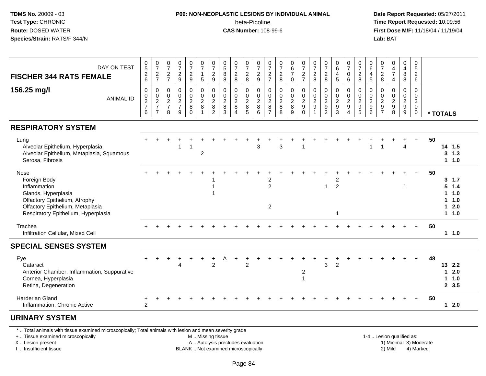#### **P09: NON-NEOPLASTIC LESIONS BY INDIVIDUAL ANIMAL** beta-Picoline**beta-Picoline**<br> **CAS Number:** 108-99-6<br> **CAS Number:** 108-99-6<br> **CAS Number:** 108-99-6

 **Date Report Requested:** 05/27/2011 **First Dose M/F:** 11/18/04 / 11/19/04 Lab: BAT **Lab:** BAT

| DAY ON TEST<br><b>FISCHER 344 RATS FEMALE</b>                                                                                                                           | 0<br>$\overline{5}$<br>$\frac{2}{6}$                 | $\frac{0}{7}$<br>$\frac{2}{7}$                                    | 0<br>$\overline{7}$<br>$\sqrt{2}$<br>$\overline{7}$       | $\frac{0}{7}$<br>$\frac{2}{9}$  | $\frac{0}{7}$<br>$\overline{2}$<br>$9\,$ | $\frac{0}{7}$<br>5      | $\frac{0}{7}$<br>$\frac{2}{9}$                                    | 0<br>$\overline{5}$<br>$\bf 8$<br>8    | $\frac{0}{7}$<br>$\boldsymbol{2}$<br>8                                          | $\frac{0}{7}$<br>$_{\rm 2}^2$                        | 0<br>$\overline{7}$<br>$\overline{c}$<br>9   | $\frac{0}{7}$<br>$\frac{2}{7}$                                                | $\frac{0}{7}$<br>$\frac{2}{8}$                       | $\begin{array}{c} 0 \\ 6 \\ 7 \end{array}$<br>$\pmb{0}$ | $\frac{0}{7}$<br>$\frac{2}{7}$                          | $\frac{0}{7}$<br>$\frac{2}{8}$             | $\frac{0}{7}$<br>$\overline{c}$<br>8                                     | 0<br>$\,6\,$<br>4<br>$\sqrt{5}$            | $\frac{0}{7}$<br>$\mathbf 0$<br>$\,6\,$ | $\frac{0}{7}$<br>$\boldsymbol{2}$<br>$\,8\,$                     | 0<br>$\,6\,$<br>$\overline{4}$<br>$\overline{5}$ | 0<br>$\overline{7}$<br>$\overline{c}$<br>8                | 0<br>$\overline{4}$<br>$\overline{7}$<br>$\overline{4}$                 | 0<br>$\overline{\mathbf{4}}$<br>$\bf 8$<br>8                                       | 0<br>$\sqrt{5}$<br>$\frac{2}{6}$                                        |    |                                         |                          |
|-------------------------------------------------------------------------------------------------------------------------------------------------------------------------|------------------------------------------------------|-------------------------------------------------------------------|-----------------------------------------------------------|---------------------------------|------------------------------------------|-------------------------|-------------------------------------------------------------------|----------------------------------------|---------------------------------------------------------------------------------|------------------------------------------------------|----------------------------------------------|-------------------------------------------------------------------------------|------------------------------------------------------|---------------------------------------------------------|---------------------------------------------------------|--------------------------------------------|--------------------------------------------------------------------------|--------------------------------------------|-----------------------------------------|------------------------------------------------------------------|--------------------------------------------------|-----------------------------------------------------------|-------------------------------------------------------------------------|------------------------------------------------------------------------------------|-------------------------------------------------------------------------|----|-----------------------------------------|--------------------------|
| 156.25 mg/l<br><b>ANIMAL ID</b>                                                                                                                                         | 0<br>$\begin{array}{c} 0 \\ 2 \\ 7 \end{array}$<br>6 | 0<br>$\begin{array}{c} 0 \\ 2 \\ 7 \end{array}$<br>$\overline{7}$ | 0<br>$\mathbf 0$<br>$\overline{2}$<br>$\overline{7}$<br>8 | $\pmb{0}$<br>$\frac{0}{2}$<br>9 | $\mathbf 0$<br>$\frac{0}{2}$<br>$\Omega$ | 0<br>$\frac{0}{2}$<br>8 | $\begin{array}{c} 0 \\ 0 \\ 2 \\ 8 \end{array}$<br>$\overline{2}$ | 0<br>$\pmb{0}$<br>$\sqrt{2}$<br>8<br>3 | $\mathbf 0$<br>$\boldsymbol{0}$<br>$\overline{2}$<br>8<br>$\boldsymbol{\Delta}$ | 0<br>$\mathsf{O}\xspace$<br>$\overline{2}$<br>8<br>5 | 0<br>$\mathbf 0$<br>$\overline{2}$<br>8<br>6 | 0<br>$\begin{smallmatrix} 0\\2 \end{smallmatrix}$<br>$\, 8$<br>$\overline{7}$ | 0<br>$\begin{array}{c} 0 \\ 2 \\ 8 \end{array}$<br>8 | $\pmb{0}$<br>$\pmb{0}$<br>$\overline{2}$<br>8<br>9      | 0<br>$\mathbf 0$<br>$\overline{2}$<br>$9\,$<br>$\Omega$ | $\pmb{0}$<br>$\frac{0}{2}$<br>$\mathbf{1}$ | 0<br>$\begin{smallmatrix} 0\\2 \end{smallmatrix}$<br>9<br>$\overline{2}$ | 0<br>$\pmb{0}$<br>$\overline{2}$<br>9<br>3 | 0<br>$\frac{0}{2}$<br>$\overline{4}$    | 0<br>$\boldsymbol{0}$<br>$\overline{2}$<br>$\boldsymbol{9}$<br>5 | 0<br>$\mathbf 0$<br>$\overline{2}$<br>$9\,$<br>6 | 0<br>$\mathbf 0$<br>$\overline{2}$<br>9<br>$\overline{7}$ | $\mathbf 0$<br>$\mathbf 0$<br>$\boldsymbol{2}$<br>$\boldsymbol{9}$<br>8 | $\mathbf 0$<br>$\pmb{0}$<br>$\overline{2}$<br>$\boldsymbol{9}$<br>$\boldsymbol{9}$ | $\mathbf 0$<br>$\mathbf 0$<br>$\mathsf 3$<br>$\mathbf 0$<br>$\mathbf 0$ |    | * TOTALS                                |                          |
| <b>RESPIRATORY SYSTEM</b>                                                                                                                                               |                                                      |                                                                   |                                                           |                                 |                                          |                         |                                                                   |                                        |                                                                                 |                                                      |                                              |                                                                               |                                                      |                                                         |                                                         |                                            |                                                                          |                                            |                                         |                                                                  |                                                  |                                                           |                                                                         |                                                                                    |                                                                         |    |                                         |                          |
| Lung<br>Alveolar Epithelium, Hyperplasia<br>Alveolar Epithelium, Metaplasia, Squamous<br>Serosa, Fibrosis                                                               |                                                      |                                                                   |                                                           |                                 |                                          | $\overline{c}$          |                                                                   |                                        |                                                                                 |                                                      | 3                                            |                                                                               | 3                                                    |                                                         |                                                         |                                            |                                                                          |                                            |                                         |                                                                  |                                                  |                                                           |                                                                         | $\boldsymbol{\Delta}$                                                              |                                                                         | 50 | 14 1.5<br>3<br>$1 1.0$                  | $1.3$                    |
| Nose<br>Foreign Body<br>Inflammation<br>Glands, Hyperplasia<br>Olfactory Epithelium, Atrophy<br>Olfactory Epithelium, Metaplasia<br>Respiratory Epithelium, Hyperplasia |                                                      |                                                                   |                                                           |                                 |                                          |                         |                                                                   |                                        |                                                                                 |                                                      |                                              | $\overline{c}$<br>2<br>$\overline{2}$                                         |                                                      |                                                         |                                                         |                                            | 1                                                                        | 2<br>$\overline{c}$                        |                                         |                                                                  |                                                  |                                                           |                                                                         | -1                                                                                 |                                                                         | 50 | $3 \t1.7$<br>5<br>1.0                   | 1.4<br>1.0<br>1.0<br>2.0 |
| Trachea<br>Infiltration Cellular, Mixed Cell                                                                                                                            |                                                      |                                                                   |                                                           |                                 |                                          |                         |                                                                   |                                        |                                                                                 |                                                      |                                              |                                                                               |                                                      |                                                         |                                                         |                                            |                                                                          |                                            |                                         |                                                                  |                                                  |                                                           |                                                                         |                                                                                    |                                                                         | 50 | 1 1.0                                   |                          |
| <b>SPECIAL SENSES SYSTEM</b>                                                                                                                                            |                                                      |                                                                   |                                                           |                                 |                                          |                         |                                                                   |                                        |                                                                                 |                                                      |                                              |                                                                               |                                                      |                                                         |                                                         |                                            |                                                                          |                                            |                                         |                                                                  |                                                  |                                                           |                                                                         |                                                                                    |                                                                         |    |                                         |                          |
| Eye<br>Cataract<br>Anterior Chamber, Inflammation, Suppurative<br>Cornea, Hyperplasia<br>Retina, Degeneration                                                           |                                                      |                                                                   |                                                           |                                 |                                          |                         | $\overline{2}$                                                    |                                        |                                                                                 | $\overline{2}$                                       |                                              |                                                                               |                                                      |                                                         | $\overline{\mathbf{c}}$<br>1                            |                                            | 3                                                                        | $\overline{c}$                             |                                         |                                                                  |                                                  |                                                           |                                                                         |                                                                                    |                                                                         | 48 | 13, 2.2<br>$\mathbf{1}$<br>-1<br>2, 3.5 | 2.0<br>1.0               |
| <b>Harderian Gland</b><br>Inflammation, Chronic Active                                                                                                                  | $\overline{2}$                                       |                                                                   |                                                           |                                 |                                          |                         |                                                                   |                                        |                                                                                 |                                                      |                                              |                                                                               |                                                      |                                                         |                                                         |                                            |                                                                          |                                            |                                         |                                                                  |                                                  |                                                           |                                                                         |                                                                                    |                                                                         | 50 | $12.0$                                  |                          |
| <b>IDINADY OVATEM</b>                                                                                                                                                   |                                                      |                                                                   |                                                           |                                 |                                          |                         |                                                                   |                                        |                                                                                 |                                                      |                                              |                                                                               |                                                      |                                                         |                                                         |                                            |                                                                          |                                            |                                         |                                                                  |                                                  |                                                           |                                                                         |                                                                                    |                                                                         |    |                                         |                          |

#### **URINARY SYSTEM**

\* .. Total animals with tissue examined microscopically; Total animals with lesion and mean severity grade

+ .. Tissue examined microscopically

X .. Lesion present

I .. Insufficient tissue

M .. Missing tissue

A .. Autolysis precludes evaluation

BLANK .. Not examined microscopically 2) Mild 4) Marked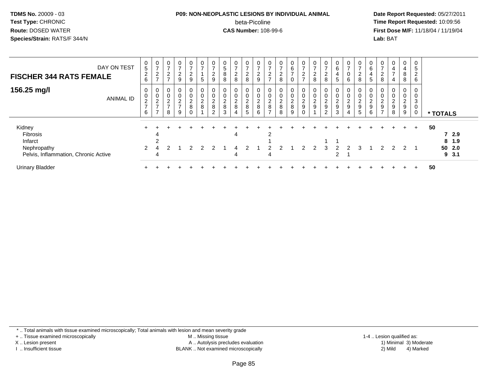#### **P09: NON-NEOPLASTIC LESIONS BY INDIVIDUAL ANIMAL** beta-Picoline**beta-Picoline**<br> **CAS Number:** 108-99-6<br> **CAS Number:** 108-99-6<br> **CAS Number:** 108-99-6

 **Date Report Requested:** 05/27/2011 **First Dose M/F:** 11/18/04 / 11/19/04 Lab: BAT **Lab:** BAT

| DAY ON TEST<br><b>FISCHER 344 RATS FEMALE</b>                                        | 0<br>$\sqrt{5}$<br>$\overline{c}$                       | 0<br>$\overline{ }$<br>$\Omega$<br>$\epsilon$<br>$\rightarrow$ | 0<br>$\rightarrow$<br>$\overline{c}$<br>$\rightarrow$   | $\mathbf{0}$<br>$\rightarrow$<br>$\overline{2}$ | $\frac{0}{7}$<br>$\overline{c}$ | 0<br>$\overline{ }$             | $\rightarrow$<br>$\Omega$<br>$\epsilon$ | $\mathbf 5$<br>8                          | 0<br>$\overline{2}$                        | $\frac{0}{7}$<br>$\overline{c}$                      | $\frac{0}{7}$<br>$\boldsymbol{2}$          | $\mathbf{0}$<br>$\rightarrow$<br><sup>o</sup><br>$\epsilon$<br>$\rightarrow$ | $\frac{0}{7}$<br>$\Omega$<br>∠         | $\overline{0}$<br>6<br>$\rightarrow$ | $\frac{0}{7}$<br>$\overline{c}$<br>$\overline{ }$ | $\frac{0}{7}$<br>$\overline{2}$ | 0<br>$\rightarrow$<br>2                           | 6<br>4                          | 0<br>$\rightarrow$<br>0      | 0<br>$\rightarrow$<br>$\overline{c}$ | $\begin{matrix} 0 \\ 6 \end{matrix}$<br>$\overline{4}$ | $\frac{0}{7}$<br>$\overline{2}$                  | 0<br>4<br>$\overline{ }$                                    | 0<br>$\overline{4}$<br>8               | 0<br>5<br>$\overline{c}$ |                                         |
|--------------------------------------------------------------------------------------|---------------------------------------------------------|----------------------------------------------------------------|---------------------------------------------------------|-------------------------------------------------|---------------------------------|---------------------------------|-----------------------------------------|-------------------------------------------|--------------------------------------------|------------------------------------------------------|--------------------------------------------|------------------------------------------------------------------------------|----------------------------------------|--------------------------------------|---------------------------------------------------|---------------------------------|---------------------------------------------------|---------------------------------|------------------------------|--------------------------------------|--------------------------------------------------------|--------------------------------------------------|-------------------------------------------------------------|----------------------------------------|--------------------------|-----------------------------------------|
|                                                                                      | 6                                                       |                                                                |                                                         | 9                                               | 9                               | 5                               | 9                                       | 8                                         | 8                                          | 8                                                    | 9                                          |                                                                              | 8                                      |                                      |                                                   | $\bf8$                          | 8                                                 | 5                               | 6                            | 8                                    | $\overline{5}$                                         | 8                                                | 4                                                           | 8                                      | 6                        |                                         |
| 156.25 mg/l<br><b>ANIMAL ID</b>                                                      | 0<br>$\pmb{0}$<br>$\overline{c}$<br>$\overline{ }$<br>6 | 0<br>0<br>$\Omega$<br>$\epsilon$<br>$\rightarrow$<br>⇁         | 0<br>$\pmb{0}$<br>$\overline{c}$<br>$\overline{z}$<br>8 | 0<br>$\mathbf 0$<br>$\frac{2}{7}$<br>9          | 0<br>0<br>$\frac{2}{8}$         | 0<br>$\pmb{0}$<br>$\frac{2}{8}$ | 0<br>$_{8}^2$<br>ົ                      | $\pmb{0}$<br>$\Omega$<br>$rac{2}{8}$<br>3 | 0<br>0<br>$_{8}^{\rm 2}$<br>$\overline{4}$ | 0<br>$\begin{array}{c} 0 \\ 2 \\ 8 \end{array}$<br>5 | 0<br>$\pmb{0}$<br>$\frac{2}{8}$<br>$\,6\,$ | 0<br>$\pmb{0}$<br>$\sim$<br>$rac{2}{8}$<br>$\rightarrow$                     | $\boldsymbol{0}$<br>$\frac{2}{8}$<br>8 | 0<br>0<br>$\frac{2}{8}$<br>9         | 0<br>$\mathsf 0$<br>$\frac{2}{9}$<br>$\mathbf 0$  | 0<br>$\pmb{0}$<br>$rac{2}{9}$   | 0<br>$\pmb{0}$<br>$\frac{2}{9}$<br>$\overline{2}$ | $\mathbf 0$<br>$rac{2}{9}$<br>3 | 0<br>0<br>$\frac{2}{9}$<br>4 | 0<br>0<br>$\overline{c}$<br>9<br>5   | 0<br>$\pmb{0}$<br>$\frac{2}{9}$<br>$\,6\,$             | 0<br>$\pmb{0}$<br>$\frac{2}{9}$<br>$\rightarrow$ | $\boldsymbol{0}$<br>$\overline{c}$<br>$\boldsymbol{9}$<br>8 | 0<br>$\mathbf 0$<br>$\frac{2}{9}$<br>9 | 0<br>0<br>3<br>0         | * TOTALS                                |
| Kidney<br>Fibrosis<br>Infarct<br>Nephropathy<br>Pelvis, Inflammation, Chronic Active |                                                         | 4                                                              |                                                         |                                                 |                                 |                                 |                                         |                                           | 4<br>4                                     |                                                      |                                            | 2<br>4                                                                       |                                        |                                      |                                                   |                                 |                                                   | 2                               |                              |                                      |                                                        |                                                  |                                                             |                                        | $+$                      | 50<br>72.9<br>8 1.9<br>50 2.0<br>9, 3.1 |
| <b>Urinary Bladder</b>                                                               |                                                         |                                                                |                                                         |                                                 |                                 |                                 |                                         |                                           |                                            |                                                      |                                            |                                                                              |                                        |                                      |                                                   |                                 |                                                   |                                 |                              |                                      |                                                        |                                                  |                                                             |                                        | ÷.                       | 50                                      |

\* .. Total animals with tissue examined microscopically; Total animals with lesion and mean severity grade

+ .. Tissue examined microscopically

X .. Lesion present

I .. Insufficient tissue

 M .. Missing tissueA .. Autolysis precludes evaluation

BLANK .. Not examined microscopically 2) Mild 4) Marked

1-4 .. Lesion qualified as: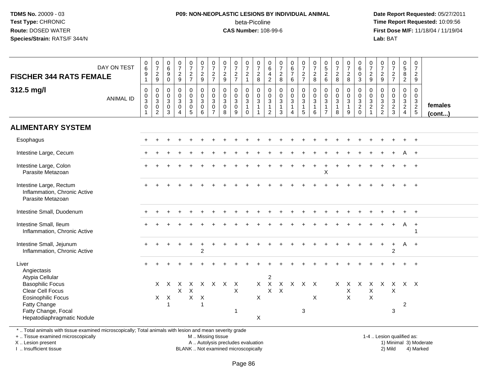#### **P09: NON-NEOPLASTIC LESIONS BY INDIVIDUAL ANIMAL** beta-Picoline**beta-Picoline**<br> **CAS Number:** 108-99-6<br> **CAS Number:** 108-99-6<br> **CAS Number:** 108-99-6

 **Date Report Requested:** 05/27/2011 **First Dose M/F:** 11/18/04 / 11/19/04 Lab: BAT **Lab:** BAT

| DAY ON TEST<br><b>FISCHER 344 RATS FEMALE</b><br>312.5 mg/l<br><b>ANIMAL ID</b>                                                               | 0<br>$\,6\,$<br>$\boldsymbol{9}$<br>$\mathbf{1}$<br>$\mathsf 0$<br>$\pmb{0}$<br>$\overline{3}$<br>$\pmb{0}$ | $\begin{array}{c} 0 \\ 7 \end{array}$<br>$\frac{2}{9}$<br>$\pmb{0}$<br>$\begin{matrix}0\\3\\0\end{matrix}$<br>$\overline{2}$ | 0<br>$\,6\,$<br>$\overline{9}$<br>0<br>0<br>$\mathbf 0$<br>$\mathbf{3}$<br>$\mathbf 0$<br>3 | $\frac{0}{7}$<br>$\frac{2}{9}$<br>$\pmb{0}$<br>$_{3}^{\rm 0}$<br>$\mathbf 0$<br>$\Delta$ | $\frac{0}{7}$<br>$\frac{2}{7}$<br>$\pmb{0}$<br>$_3^0$<br>$\pmb{0}$<br>5 | $\begin{smallmatrix}0\\7\end{smallmatrix}$<br>$\frac{2}{9}$<br>$\mathbf 0$<br>$\overline{0}$<br>$\overline{3}$<br>$\mathsf{O}\xspace$<br>6 | $\frac{0}{7}$<br>$\frac{2}{7}$<br>$\begin{smallmatrix}0\\0\\3\end{smallmatrix}$<br>$\mathsf 0$<br>$\overline{7}$ | $\frac{0}{7}$<br>$\frac{2}{9}$<br>$\pmb{0}$<br>$\mathbf 0$<br>$\mathbf{3}$<br>$\mathbf 0$<br>8 | $\frac{0}{7}$<br>$rac{2}{7}$<br>$\pmb{0}$<br>$\mathbf 0$<br>$\overline{3}$<br>$\mathbf 0$<br>9 | $\frac{0}{7}$<br>$\overline{c}$<br>$\mathbf{1}$<br>$\boldsymbol{0}$<br>$\mathbf 0$<br>$\mathbf{3}$<br>$\mathbf{1}$<br>$\Omega$ | $\begin{array}{c} 0 \\ 7 \end{array}$<br>$\frac{2}{8}$<br>$\begin{smallmatrix} 0\\0\\3 \end{smallmatrix}$<br>$\mathbf{1}$<br>$\mathbf{1}$ | $\begin{array}{c} 0 \\ 6 \end{array}$<br>$\overline{4}$<br>$\sqrt{2}$<br>$\pmb{0}$<br>$\frac{0}{3}$<br>$\mathbf{1}$<br>$\overline{2}$ | $\frac{0}{7}$<br>$\frac{2}{8}$<br>$\pmb{0}$<br>$\begin{array}{c} 0 \\ 3 \\ 1 \end{array}$<br>3 | $\begin{array}{c} 0 \\ 6 \\ 7 \end{array}$<br>$6\,$<br>$\mathsf 0$<br>$_{3}^{\rm 0}$<br>$\mathbf{1}$<br>$\overline{4}$ | $\frac{0}{7}$<br>$\frac{2}{7}$<br>0<br>$\mathbf 0$<br>3<br>$\mathbf{1}$<br>5 | $\frac{0}{7}$<br>8<br>$\begin{smallmatrix} 0\\0\\3 \end{smallmatrix}$<br>$\mathbf{1}$<br>6 | $\begin{array}{c} 0 \\ 5 \\ 2 \end{array}$<br>$\,6\,$<br>$\pmb{0}$<br>$\frac{0}{3}$<br>$\mathbf{1}$<br>$\overline{7}$ | $\frac{0}{7}$<br>$\frac{2}{8}$<br>0<br>$\mathbf 0$<br>$\mathbf{3}$<br>$\mathbf{1}$<br>8 | $\frac{0}{7}$<br>$\frac{2}{8}$<br>$\mathbf 0$<br>$\frac{0}{3}$<br>$\mathbf{1}$<br>9 | 0<br>$\,6\,$<br>$\mathbf 0$<br>3<br>0<br>$\mathbf 0$<br>$\mathbf{3}$<br>$\overline{c}$<br>$\mathbf{0}$ | $\frac{0}{7}$<br>$\overline{2}$<br>$\boldsymbol{9}$<br>$\mathbf 0$<br>$\mathbf 0$<br>$\frac{3}{2}$<br>$\overline{1}$ | $\frac{0}{7}$<br>$\frac{2}{9}$<br>0<br>$\boldsymbol{0}$<br>$\frac{3}{2}$ | $\frac{0}{7}$<br>$rac{2}{7}$<br>0<br>$\mathsf{O}\xspace$<br>$\frac{3}{2}$ | $\begin{array}{c} 0 \\ 5 \\ 8 \end{array}$<br>$\overline{2}$<br>$\pmb{0}$<br>$\mathsf{O}\xspace$<br>$\frac{3}{2}$<br>$\overline{4}$ | $\mathbf 0$<br>$\overline{7}$<br>$\frac{2}{9}$<br>$\mathbf 0$<br>$\boldsymbol{0}$<br>$\frac{3}{2}$ | females<br>$($ cont $)$ |
|-----------------------------------------------------------------------------------------------------------------------------------------------|-------------------------------------------------------------------------------------------------------------|------------------------------------------------------------------------------------------------------------------------------|---------------------------------------------------------------------------------------------|------------------------------------------------------------------------------------------|-------------------------------------------------------------------------|--------------------------------------------------------------------------------------------------------------------------------------------|------------------------------------------------------------------------------------------------------------------|------------------------------------------------------------------------------------------------|------------------------------------------------------------------------------------------------|--------------------------------------------------------------------------------------------------------------------------------|-------------------------------------------------------------------------------------------------------------------------------------------|---------------------------------------------------------------------------------------------------------------------------------------|------------------------------------------------------------------------------------------------|------------------------------------------------------------------------------------------------------------------------|------------------------------------------------------------------------------|--------------------------------------------------------------------------------------------|-----------------------------------------------------------------------------------------------------------------------|-----------------------------------------------------------------------------------------|-------------------------------------------------------------------------------------|--------------------------------------------------------------------------------------------------------|----------------------------------------------------------------------------------------------------------------------|--------------------------------------------------------------------------|---------------------------------------------------------------------------|-------------------------------------------------------------------------------------------------------------------------------------|----------------------------------------------------------------------------------------------------|-------------------------|
| <b>ALIMENTARY SYSTEM</b>                                                                                                                      |                                                                                                             |                                                                                                                              |                                                                                             |                                                                                          |                                                                         |                                                                                                                                            |                                                                                                                  |                                                                                                |                                                                                                |                                                                                                                                |                                                                                                                                           |                                                                                                                                       |                                                                                                |                                                                                                                        |                                                                              |                                                                                            |                                                                                                                       |                                                                                         |                                                                                     |                                                                                                        |                                                                                                                      |                                                                          |                                                                           |                                                                                                                                     |                                                                                                    |                         |
| Esophagus                                                                                                                                     |                                                                                                             |                                                                                                                              |                                                                                             |                                                                                          |                                                                         |                                                                                                                                            |                                                                                                                  |                                                                                                |                                                                                                |                                                                                                                                |                                                                                                                                           |                                                                                                                                       |                                                                                                |                                                                                                                        |                                                                              |                                                                                            |                                                                                                                       |                                                                                         |                                                                                     |                                                                                                        |                                                                                                                      |                                                                          |                                                                           |                                                                                                                                     | $+$                                                                                                |                         |
| Intestine Large, Cecum                                                                                                                        |                                                                                                             |                                                                                                                              |                                                                                             |                                                                                          |                                                                         |                                                                                                                                            |                                                                                                                  |                                                                                                |                                                                                                |                                                                                                                                |                                                                                                                                           |                                                                                                                                       |                                                                                                |                                                                                                                        |                                                                              |                                                                                            |                                                                                                                       |                                                                                         |                                                                                     |                                                                                                        |                                                                                                                      |                                                                          |                                                                           | A                                                                                                                                   | $+$                                                                                                |                         |
| Intestine Large, Colon<br>Parasite Metazoan                                                                                                   |                                                                                                             |                                                                                                                              |                                                                                             |                                                                                          |                                                                         |                                                                                                                                            |                                                                                                                  |                                                                                                |                                                                                                |                                                                                                                                |                                                                                                                                           |                                                                                                                                       |                                                                                                |                                                                                                                        |                                                                              |                                                                                            | $\pmb{\mathsf{X}}$                                                                                                    |                                                                                         |                                                                                     |                                                                                                        |                                                                                                                      |                                                                          |                                                                           |                                                                                                                                     |                                                                                                    |                         |
| Intestine Large, Rectum<br>Inflammation, Chronic Active<br>Parasite Metazoan                                                                  |                                                                                                             |                                                                                                                              |                                                                                             |                                                                                          |                                                                         |                                                                                                                                            |                                                                                                                  |                                                                                                |                                                                                                |                                                                                                                                |                                                                                                                                           |                                                                                                                                       |                                                                                                |                                                                                                                        |                                                                              |                                                                                            |                                                                                                                       |                                                                                         |                                                                                     |                                                                                                        |                                                                                                                      |                                                                          |                                                                           |                                                                                                                                     |                                                                                                    |                         |
| Intestine Small, Duodenum                                                                                                                     |                                                                                                             |                                                                                                                              |                                                                                             |                                                                                          |                                                                         |                                                                                                                                            |                                                                                                                  |                                                                                                |                                                                                                |                                                                                                                                |                                                                                                                                           |                                                                                                                                       |                                                                                                |                                                                                                                        |                                                                              |                                                                                            |                                                                                                                       |                                                                                         |                                                                                     |                                                                                                        |                                                                                                                      |                                                                          |                                                                           |                                                                                                                                     |                                                                                                    |                         |
| Intestine Small, Ileum<br>Inflammation, Chronic Active                                                                                        |                                                                                                             |                                                                                                                              |                                                                                             |                                                                                          |                                                                         |                                                                                                                                            |                                                                                                                  |                                                                                                |                                                                                                |                                                                                                                                |                                                                                                                                           |                                                                                                                                       |                                                                                                |                                                                                                                        |                                                                              |                                                                                            |                                                                                                                       |                                                                                         |                                                                                     |                                                                                                        |                                                                                                                      |                                                                          |                                                                           | A                                                                                                                                   | $\ddot{}$                                                                                          |                         |
| Intestine Small, Jejunum<br>Inflammation, Chronic Active                                                                                      |                                                                                                             |                                                                                                                              |                                                                                             |                                                                                          |                                                                         | $\overline{c}$                                                                                                                             |                                                                                                                  |                                                                                                |                                                                                                |                                                                                                                                |                                                                                                                                           |                                                                                                                                       |                                                                                                |                                                                                                                        |                                                                              |                                                                                            |                                                                                                                       |                                                                                         |                                                                                     |                                                                                                        |                                                                                                                      |                                                                          | $\overline{c}$                                                            | A                                                                                                                                   | $+$                                                                                                |                         |
| Liver<br>Angiectasis<br>Atypia Cellular                                                                                                       |                                                                                                             |                                                                                                                              |                                                                                             |                                                                                          |                                                                         |                                                                                                                                            |                                                                                                                  |                                                                                                |                                                                                                |                                                                                                                                |                                                                                                                                           | 2                                                                                                                                     |                                                                                                |                                                                                                                        |                                                                              |                                                                                            |                                                                                                                       |                                                                                         |                                                                                     |                                                                                                        |                                                                                                                      |                                                                          |                                                                           |                                                                                                                                     |                                                                                                    |                         |
| <b>Basophilic Focus</b><br>Clear Cell Focus<br><b>Eosinophilic Focus</b><br>Fatty Change<br>Fatty Change, Focal<br>Hepatodiaphragmatic Nodule |                                                                                                             | X.<br>$\mathsf{X}$                                                                                                           | $\mathsf{X}$<br>$\mathsf{X}$<br>$\overline{1}$                                              | $\mathsf{X}$<br>X                                                                        | X                                                                       | X X X<br>$X$ $X$                                                                                                                           |                                                                                                                  | $\mathsf{X}$                                                                                   | $\mathsf{X}$<br>X<br>1                                                                         |                                                                                                                                | X<br>X<br>X                                                                                                                               | $\mathsf{X}$<br>$\mathsf X$                                                                                                           | $\boldsymbol{\mathsf{X}}$                                                                      |                                                                                                                        | X X X X<br>3                                                                 | X                                                                                          |                                                                                                                       | X.                                                                                      | $\mathsf{X}$<br>$\boldsymbol{\mathsf{X}}$<br>$\times$                               | $\mathsf{X}$                                                                                           | $\mathsf{X}$<br>X<br>$\mathsf X$                                                                                     | $\mathsf{X}$                                                             | $\times$<br>$\sf X$<br>3                                                  | $X$ $X$<br>$\overline{c}$                                                                                                           |                                                                                                    |                         |

\* .. Total animals with tissue examined microscopically; Total animals with lesion and mean severity grade

+ .. Tissue examined microscopically

X .. Lesion present

I .. Insufficient tissue

M .. Missing tissue

A .. Autolysis precludes evaluation

BLANK .. Not examined microscopically 2) Mild 4) Marked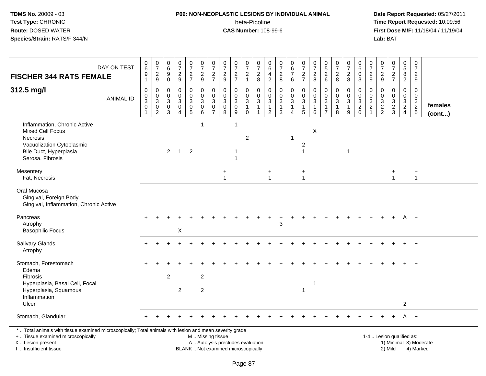### **P09: NON-NEOPLASTIC LESIONS BY INDIVIDUAL ANIMAL**beta-Picoline<br>CAS Number: 108-99-6

 **Date Report Requested:** 05/27/2011 **Time Report Requested:** 10:09:56 **First Dose M/F:** 11/18/04 / 11/19/04<br>**Lab:** BAT **Lab:** BAT

| <b>FISCHER 344 RATS FEMALE</b>                                                                                                                                      | DAY ON TEST      | 0<br>$\,6$<br>$\frac{9}{1}$                                   | $\frac{0}{7}$<br>$\frac{2}{9}$                                                 | $\begin{smallmatrix}0\0\0\end{smallmatrix}$<br>$_{0}^{9}$      | $\frac{0}{7}$<br>$\frac{2}{9}$                                 | $\frac{0}{7}$<br>$\frac{2}{7}$                                        | $\frac{0}{7}$<br>$\frac{2}{9}$                                       | $\frac{0}{7}$<br>$\frac{2}{7}$                       | $\frac{0}{7}$<br>$\frac{2}{9}$                    | $\frac{0}{7}$<br>$\frac{2}{7}$                                     | $\mathbf 0$<br>$\overline{7}$<br>$\frac{2}{1}$                   | $\frac{0}{7}$<br>$\frac{2}{8}$                                              | 0<br>$\,6\,$<br>$\overline{4}$<br>$\sqrt{2}$                                              | 0<br>$\overline{7}$<br>$\frac{2}{8}$                 | $\begin{array}{c} 0 \\ 6 \\ 7 \end{array}$<br>6                            | $\begin{smallmatrix}0\\7\end{smallmatrix}$<br>$\frac{2}{7}$ | $\frac{0}{7}$<br>$\frac{2}{8}$                    | $\begin{array}{c} 0 \\ 5 \end{array}$<br>$^2\phantom{1}6$           | $\frac{0}{7}$<br>$\overline{c}$<br>8                            | $\frac{0}{7}$<br>$_{8}^{\rm 2}$                       | 0<br>$\,6\,$<br>$\pmb{0}$<br>$\mathbf{3}$                         | 0<br>$\overline{7}$<br>$\frac{2}{9}$                | 0<br>$\boldsymbol{7}$<br>$\frac{2}{9}$ | $\frac{0}{7}$<br>$\frac{2}{7}$     | 0<br>5<br>$\frac{8}{2}$                             | $\pmb{0}$<br>$\overline{7}$<br>$\overline{c}$<br>$\mathsf g$ |                         |
|---------------------------------------------------------------------------------------------------------------------------------------------------------------------|------------------|---------------------------------------------------------------|--------------------------------------------------------------------------------|----------------------------------------------------------------|----------------------------------------------------------------|-----------------------------------------------------------------------|----------------------------------------------------------------------|------------------------------------------------------|---------------------------------------------------|--------------------------------------------------------------------|------------------------------------------------------------------|-----------------------------------------------------------------------------|-------------------------------------------------------------------------------------------|------------------------------------------------------|----------------------------------------------------------------------------|-------------------------------------------------------------|---------------------------------------------------|---------------------------------------------------------------------|-----------------------------------------------------------------|-------------------------------------------------------|-------------------------------------------------------------------|-----------------------------------------------------|----------------------------------------|------------------------------------|-----------------------------------------------------|--------------------------------------------------------------|-------------------------|
| 312.5 mg/l                                                                                                                                                          | <b>ANIMAL ID</b> | $\,0\,$<br>$_{3}^{\rm 0}$<br>$\overline{0}$<br>$\overline{1}$ | $\pmb{0}$<br>$\mathbf 0$<br>$\overline{3}$<br>$\overline{0}$<br>$\overline{c}$ | $\mathbf 0$<br>$\mathbf 0$<br>$\mathbf{3}$<br>$\mathbf 0$<br>3 | $\mathbf 0$<br>$\mathbf 0$<br>$\mathbf{3}$<br>$\mathbf 0$<br>4 | $\pmb{0}$<br>$\mathbf 0$<br>$\sqrt{3}$<br>$\pmb{0}$<br>$\overline{5}$ | $\pmb{0}$<br>$\mathbf 0$<br>$\mathbf{3}$<br>$\ddot{\mathbf{0}}$<br>6 | 0<br>$\mathbf 0$<br>3<br>$\pmb{0}$<br>$\overline{7}$ | 0<br>$\mathbf 0$<br>3<br>$\mathsf{O}\xspace$<br>8 | $\mathbf 0$<br>$\mathsf{O}\xspace$<br>$\sqrt{3}$<br>$\pmb{0}$<br>9 | 0<br>$\mathbf 0$<br>$\mathsf 3$<br>$\overline{1}$<br>$\mathbf 0$ | 0<br>$\mathbf 0$<br>$\sqrt{3}$<br>$\overline{1}$<br>$\overline{\mathbf{1}}$ | $\mathbf 0$<br>$\mathbf 0$<br>$\ensuremath{\mathsf{3}}$<br>$\mathbf{1}$<br>$\overline{2}$ | $\mathbf 0$<br>$\mathbf 0$<br>3<br>$\mathbf{1}$<br>3 | 0<br>$\mathbf 0$<br>$\mathbf{3}$<br>$\mathbf{1}$<br>$\boldsymbol{\Lambda}$ | 0<br>$\mathbf 0$<br>$\mathbf{3}$<br>$\mathbf 1$<br>5        | 0<br>$\pmb{0}$<br>$\sqrt{3}$<br>$\mathbf{1}$<br>6 | $\mathbf 0$<br>$\mathbf 0$<br>3<br>$\overline{1}$<br>$\overline{7}$ | $\mathbf 0$<br>$\mathbf 0$<br>$\mathbf{3}$<br>$\mathbf{1}$<br>8 | 0<br>$\mathbf 0$<br>$\mathbf{3}$<br>$\mathbf{1}$<br>9 | 0<br>$\mathbf 0$<br>$\mathbf{3}$<br>$\overline{2}$<br>$\mathbf 0$ | 0<br>$\mathbf 0$<br>3<br>$\sqrt{2}$<br>$\mathbf{1}$ | 0<br>0<br>3<br>$\frac{2}{2}$           | 0<br>$\mathsf{O}$<br>$\frac{3}{2}$ | 0<br>$\mathbf 0$<br>$\frac{3}{2}$<br>$\overline{4}$ | $\mathbf 0$<br>$\mathbf 0$<br>$\frac{3}{2}$                  | females<br>$($ cont $)$ |
| Inflammation, Chronic Active<br><b>Mixed Cell Focus</b><br>Necrosis<br>Vacuolization Cytoplasmic<br>Bile Duct, Hyperplasia<br>Serosa, Fibrosis                      |                  |                                                               |                                                                                | $\overline{2}$                                                 | $\overline{1}$                                                 | $\overline{2}$                                                        | $\mathbf 1$                                                          |                                                      |                                                   | $\mathbf{1}$                                                       | 2                                                                |                                                                             |                                                                                           |                                                      | $\mathbf{1}$                                                               | $\overline{c}$                                              | X                                                 |                                                                     |                                                                 | $\mathbf{1}$                                          |                                                                   |                                                     |                                        |                                    |                                                     |                                                              |                         |
| Mesentery<br>Fat, Necrosis                                                                                                                                          |                  |                                                               |                                                                                |                                                                |                                                                |                                                                       |                                                                      |                                                      | $\ddot{}$<br>$\mathbf{1}$                         |                                                                    |                                                                  |                                                                             | +<br>$\mathbf{1}$                                                                         |                                                      |                                                                            | $\ddot{}$<br>$\mathbf{1}$                                   |                                                   |                                                                     |                                                                 |                                                       |                                                                   |                                                     |                                        | $\ddot{}$<br>$\mathbf{1}$          |                                                     | $\ddot{}$<br>$\overline{1}$                                  |                         |
| Oral Mucosa<br>Gingival, Foreign Body<br>Gingival, Inflammation, Chronic Active                                                                                     |                  |                                                               |                                                                                |                                                                |                                                                |                                                                       |                                                                      |                                                      |                                                   |                                                                    |                                                                  |                                                                             |                                                                                           |                                                      |                                                                            |                                                             |                                                   |                                                                     |                                                                 |                                                       |                                                                   |                                                     |                                        |                                    |                                                     |                                                              |                         |
| Pancreas<br>Atrophy<br><b>Basophilic Focus</b>                                                                                                                      |                  |                                                               |                                                                                |                                                                | X                                                              |                                                                       |                                                                      |                                                      |                                                   |                                                                    |                                                                  |                                                                             |                                                                                           | 3                                                    |                                                                            |                                                             |                                                   |                                                                     |                                                                 |                                                       |                                                                   |                                                     |                                        |                                    | A                                                   | $+$                                                          |                         |
| Salivary Glands<br>Atrophy                                                                                                                                          |                  |                                                               |                                                                                |                                                                |                                                                |                                                                       |                                                                      |                                                      |                                                   |                                                                    |                                                                  |                                                                             |                                                                                           |                                                      |                                                                            |                                                             |                                                   |                                                                     |                                                                 |                                                       |                                                                   |                                                     |                                        |                                    |                                                     | $+$                                                          |                         |
| Stomach, Forestomach<br>Edema<br>Fibrosis<br>Hyperplasia, Basal Cell, Focal                                                                                         |                  |                                                               |                                                                                | $\overline{2}$                                                 |                                                                |                                                                       | $\overline{2}$                                                       |                                                      |                                                   |                                                                    |                                                                  |                                                                             |                                                                                           |                                                      |                                                                            |                                                             | $\overline{1}$                                    |                                                                     |                                                                 |                                                       |                                                                   |                                                     |                                        |                                    |                                                     |                                                              |                         |
| Hyperplasia, Squamous<br>Inflammation<br>Ulcer                                                                                                                      |                  |                                                               |                                                                                |                                                                | $\overline{2}$                                                 |                                                                       | $\overline{c}$                                                       |                                                      |                                                   |                                                                    |                                                                  |                                                                             |                                                                                           |                                                      |                                                                            |                                                             |                                                   |                                                                     |                                                                 |                                                       |                                                                   |                                                     |                                        |                                    | $\overline{2}$                                      |                                                              |                         |
| Stomach, Glandular                                                                                                                                                  |                  |                                                               |                                                                                |                                                                |                                                                |                                                                       |                                                                      |                                                      |                                                   |                                                                    |                                                                  |                                                                             |                                                                                           |                                                      |                                                                            |                                                             |                                                   |                                                                     |                                                                 |                                                       |                                                                   |                                                     |                                        |                                    | A                                                   | $+$                                                          |                         |
| *  Total animals with tissue examined microscopically; Total animals with lesion and mean severity grade<br>+  Tissue examined microscopically<br>X  Lesion present |                  |                                                               |                                                                                |                                                                |                                                                |                                                                       | M  Missing tissue<br>A  Autolysis precludes evaluation               |                                                      |                                                   |                                                                    |                                                                  |                                                                             |                                                                                           |                                                      |                                                                            |                                                             |                                                   |                                                                     |                                                                 |                                                       |                                                                   |                                                     |                                        | 1-4  Lesion qualified as:          |                                                     |                                                              | 1) Minimal 3) Moderate  |

I .. Insufficient tissue

Page 87

BLANK .. Not examined microscopically 2) Mild 4) Marked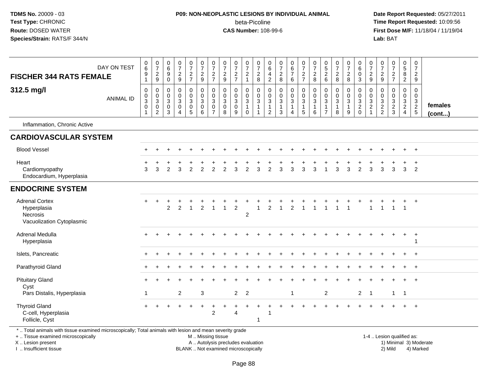#### **P09: NON-NEOPLASTIC LESIONS BY INDIVIDUAL ANIMAL** beta-Picoline**beta-Picoline**<br> **CAS Number:** 108-99-6<br> **CAS Number:** 108-99-6<br> **CAS Number:** 108-99-6

 **Date Report Requested:** 05/27/2011 **First Dose M/F:** 11/18/04 / 11/19/04<br>Lab: BAT **Lab:** BAT

| DAY ON TEST<br><b>FISCHER 344 RATS FEMALE</b>                                                                                                                          | $_{6}^{\rm 0}$<br>$\boldsymbol{9}$<br>$\mathbf{1}$                     | $\begin{array}{c} 0 \\ 7 \end{array}$<br>$\overline{\mathbf{c}}$<br>9 | 0<br>$\,6\,$<br>9<br>$\mathbf 0$ | $\begin{smallmatrix}0\\7\end{smallmatrix}$<br>$\frac{2}{9}$                   | $\begin{array}{c} 0 \\ 7 \end{array}$<br>$rac{2}{7}$                         | $\begin{array}{c} 0 \\ 7 \end{array}$<br>$\overline{2}$<br>9     | $\begin{array}{c} 0 \\ 7 \end{array}$<br>$\sqrt{2}$<br>$\overline{7}$ | $\frac{0}{7}$<br>$\sqrt{2}$<br>9                     | $\begin{array}{c} 0 \\ 7 \end{array}$<br>$\sqrt{2}$<br>$\overline{7}$ | $\begin{array}{c} 0 \\ 7 \end{array}$<br>$\sqrt{2}$<br>$\overline{1}$           | $\frac{0}{7}$<br>$\sqrt{2}$<br>8                                             | 0<br>$\,6\,$<br>$\overline{4}$<br>$\overline{c}$                  | $\frac{0}{7}$<br>$\overline{c}$<br>$\,8\,$                    | $\begin{matrix} 0 \\ 6 \end{matrix}$<br>$\overline{7}$<br>6 | $\frac{0}{7}$<br>$\frac{2}{7}$                                                 | $\frac{0}{7}$<br>$\frac{2}{8}$                              | $\begin{smallmatrix}0\0\5\end{smallmatrix}$<br>$\sqrt{2}$<br>6 | $\pmb{0}$<br>$\overline{7}$<br>$\overline{2}$<br>8           | $\frac{0}{7}$<br>$\overline{c}$<br>8 | $\begin{array}{c} 0 \\ 6 \end{array}$<br>$\mathsf 0$<br>3                   | $\frac{0}{7}$<br>$\sqrt{2}$<br>9                                         | $\pmb{0}$<br>$\overline{7}$<br>$\overline{c}$<br>9        | $\begin{smallmatrix} 0\\7 \end{smallmatrix}$<br>$\sqrt{2}$<br>$\overline{7}$ | $\begin{array}{c} 0 \\ 5 \end{array}$<br>8<br>$\overline{2}$                  | $\pmb{0}$<br>$\overline{7}$<br>$\overline{2}$<br>9 |                         |
|------------------------------------------------------------------------------------------------------------------------------------------------------------------------|------------------------------------------------------------------------|-----------------------------------------------------------------------|----------------------------------|-------------------------------------------------------------------------------|------------------------------------------------------------------------------|------------------------------------------------------------------|-----------------------------------------------------------------------|------------------------------------------------------|-----------------------------------------------------------------------|---------------------------------------------------------------------------------|------------------------------------------------------------------------------|-------------------------------------------------------------------|---------------------------------------------------------------|-------------------------------------------------------------|--------------------------------------------------------------------------------|-------------------------------------------------------------|----------------------------------------------------------------|--------------------------------------------------------------|--------------------------------------|-----------------------------------------------------------------------------|--------------------------------------------------------------------------|-----------------------------------------------------------|------------------------------------------------------------------------------|-------------------------------------------------------------------------------|----------------------------------------------------|-------------------------|
| 312.5 mg/l<br><b>ANIMAL ID</b>                                                                                                                                         | $\mathbf 0$<br>$\pmb{0}$<br>$\mathbf{3}$<br>$\mathbf 0$<br>$\mathbf 1$ | $\mathbf 0$<br>0<br>3<br>0<br>$\overline{2}$                          | $\mathbf 0$<br>0<br>3<br>0<br>3  | $\mathbf 0$<br>$\pmb{0}$<br>$\sqrt{3}$<br>$\pmb{0}$<br>$\boldsymbol{\Lambda}$ | 0<br>$\pmb{0}$<br>$\ensuremath{\mathsf{3}}$<br>$\mathsf 0$<br>$\overline{5}$ | $\mathbf 0$<br>$\mathbf 0$<br>$\mathfrak{Z}$<br>$\mathbf 0$<br>6 | 0<br>$\pmb{0}$<br>$\mathbf{3}$<br>0<br>$\overline{7}$                 | 0<br>$\mathbf 0$<br>$\mathbf{3}$<br>$\mathbf 0$<br>8 | $\mathbf 0$<br>$\pmb{0}$<br>$\sqrt{3}$<br>$\pmb{0}$<br>9              | $\mathbf 0$<br>$\mathsf{O}\xspace$<br>$\sqrt{3}$<br>$\mathbf{1}$<br>$\mathbf 0$ | $\mathbf 0$<br>$\mathbf 0$<br>$\sqrt{3}$<br>$\overline{1}$<br>$\overline{1}$ | $\mathbf 0$<br>$\mathbf 0$<br>3<br>$\mathbf{1}$<br>$\overline{2}$ | $\mathbf 0$<br>$\mathbf 0$<br>$\sqrt{3}$<br>$\mathbf{1}$<br>3 | 0<br>0<br>3<br>$\mathbf{1}$<br>4                            | $\mathbf 0$<br>$\mathsf{O}\xspace$<br>$\sqrt{3}$<br>$\mathbf{1}$<br>$\sqrt{5}$ | $\mathbf 0$<br>$\pmb{0}$<br>$\sqrt{3}$<br>$\mathbf{1}$<br>6 | 0<br>$\pmb{0}$<br>3<br>$\mathbf{1}$<br>$\overline{7}$          | $\Omega$<br>$\mathbf 0$<br>$\mathbf{3}$<br>$\mathbf{1}$<br>8 | 0<br>0<br>3<br>$\mathbf{1}$<br>9     | $\mathbf 0$<br>$\mathbf 0$<br>$\sqrt{3}$<br>$\boldsymbol{2}$<br>$\mathbf 0$ | 0<br>$\pmb{0}$<br>$\mathbf{3}$<br>$\overline{c}$<br>$\blacktriangleleft$ | $\mathbf 0$<br>$\mathbf 0$<br>$\sqrt{3}$<br>$\frac{2}{2}$ | $\mathbf 0$<br>$\mathbf 0$<br>$\mathbf{3}$<br>$\frac{2}{3}$                  | $\mathbf 0$<br>$\mathbf 0$<br>$\mathsf 3$<br>$\overline{2}$<br>$\overline{4}$ | 0<br>$\mathbf 0$<br>$\sqrt{3}$<br>$rac{2}{5}$      | females<br>$($ cont $)$ |
| Inflammation, Chronic Active                                                                                                                                           |                                                                        |                                                                       |                                  |                                                                               |                                                                              |                                                                  |                                                                       |                                                      |                                                                       |                                                                                 |                                                                              |                                                                   |                                                               |                                                             |                                                                                |                                                             |                                                                |                                                              |                                      |                                                                             |                                                                          |                                                           |                                                                              |                                                                               |                                                    |                         |
| <b>CARDIOVASCULAR SYSTEM</b>                                                                                                                                           |                                                                        |                                                                       |                                  |                                                                               |                                                                              |                                                                  |                                                                       |                                                      |                                                                       |                                                                                 |                                                                              |                                                                   |                                                               |                                                             |                                                                                |                                                             |                                                                |                                                              |                                      |                                                                             |                                                                          |                                                           |                                                                              |                                                                               |                                                    |                         |
| <b>Blood Vessel</b>                                                                                                                                                    |                                                                        |                                                                       |                                  |                                                                               |                                                                              |                                                                  |                                                                       |                                                      |                                                                       |                                                                                 |                                                                              |                                                                   |                                                               |                                                             |                                                                                |                                                             |                                                                |                                                              |                                      |                                                                             |                                                                          |                                                           |                                                                              |                                                                               | $+$                                                |                         |
| Heart<br>Cardiomyopathy<br>Endocardium, Hyperplasia                                                                                                                    | 3                                                                      | 3                                                                     | $\mathfrak{D}$                   | 3                                                                             | $\mathfrak{D}$                                                               | $\mathfrak{p}$                                                   | $\mathfrak{p}$                                                        | $\mathcal{P}$                                        | 3                                                                     | $\mathcal{P}$                                                                   | 3                                                                            | $\mathfrak{p}$                                                    | 3                                                             | 3                                                           | 3                                                                              | 3                                                           |                                                                | 3                                                            | 3                                    | $\mathcal{P}$                                                               | 3                                                                        | $\mathcal{R}$                                             | 3                                                                            | $\mathcal{S}$                                                                 | $\cdot$<br>2                                       |                         |
| <b>ENDOCRINE SYSTEM</b>                                                                                                                                                |                                                                        |                                                                       |                                  |                                                                               |                                                                              |                                                                  |                                                                       |                                                      |                                                                       |                                                                                 |                                                                              |                                                                   |                                                               |                                                             |                                                                                |                                                             |                                                                |                                                              |                                      |                                                                             |                                                                          |                                                           |                                                                              |                                                                               |                                                    |                         |
| <b>Adrenal Cortex</b><br>Hyperplasia<br>Necrosis<br>Vacuolization Cytoplasmic                                                                                          | $+$                                                                    | +                                                                     | $\overline{2}$                   | $\overline{2}$                                                                | $\mathbf{1}$                                                                 | $\overline{2}$                                                   | $\mathbf{1}$                                                          | $\overline{1}$                                       | $\overline{c}$                                                        | 2                                                                               | $\overline{1}$                                                               | $\overline{2}$                                                    | $\mathbf{1}$                                                  | $\overline{2}$                                              | $\mathbf{1}$                                                                   | $\overline{1}$                                              | $\overline{1}$                                                 | $\overline{1}$                                               | $\overline{1}$                       |                                                                             | $\mathbf{1}$                                                             | $\mathbf{1}$                                              | $\overline{1}$                                                               | $\overline{1}$                                                                | $+$                                                |                         |
| Adrenal Medulla<br>Hyperplasia                                                                                                                                         |                                                                        |                                                                       |                                  |                                                                               |                                                                              |                                                                  |                                                                       |                                                      |                                                                       |                                                                                 |                                                                              |                                                                   |                                                               |                                                             |                                                                                |                                                             |                                                                |                                                              |                                      |                                                                             |                                                                          |                                                           |                                                                              | $\ddot{}$                                                                     | $\cdot$                                            |                         |
| Islets, Pancreatic                                                                                                                                                     |                                                                        |                                                                       |                                  |                                                                               |                                                                              |                                                                  |                                                                       |                                                      |                                                                       |                                                                                 |                                                                              |                                                                   |                                                               |                                                             |                                                                                |                                                             |                                                                |                                                              |                                      |                                                                             |                                                                          |                                                           |                                                                              |                                                                               |                                                    |                         |
| Parathyroid Gland                                                                                                                                                      |                                                                        |                                                                       |                                  |                                                                               |                                                                              |                                                                  |                                                                       |                                                      |                                                                       |                                                                                 |                                                                              |                                                                   |                                                               |                                                             |                                                                                |                                                             |                                                                |                                                              |                                      |                                                                             |                                                                          |                                                           |                                                                              |                                                                               |                                                    |                         |
| <b>Pituitary Gland</b><br>Cyst<br>Pars Distalis, Hyperplasia                                                                                                           | -1                                                                     |                                                                       |                                  | $\overline{2}$                                                                |                                                                              | 3                                                                |                                                                       |                                                      | $\overline{2}$                                                        | $\overline{2}$                                                                  |                                                                              |                                                                   |                                                               | 1                                                           |                                                                                |                                                             | $\overline{2}$                                                 |                                                              |                                      | $\overline{2}$                                                              | $\overline{1}$                                                           |                                                           | $\overline{1}$                                                               | $\overline{1}$                                                                |                                                    |                         |
|                                                                                                                                                                        |                                                                        |                                                                       |                                  |                                                                               |                                                                              |                                                                  |                                                                       |                                                      |                                                                       |                                                                                 |                                                                              |                                                                   |                                                               |                                                             |                                                                                |                                                             |                                                                |                                                              |                                      |                                                                             |                                                                          |                                                           |                                                                              |                                                                               |                                                    |                         |
| <b>Thyroid Gland</b><br>C-cell, Hyperplasia<br>Follicle, Cyst<br>Total animals with tissue examined microscopically: Total animals with lesion and mean severity grade |                                                                        |                                                                       |                                  |                                                                               |                                                                              |                                                                  | $\overline{c}$                                                        |                                                      | $\boldsymbol{\Lambda}$                                                |                                                                                 | -1                                                                           | -1                                                                |                                                               |                                                             |                                                                                |                                                             |                                                                |                                                              |                                      |                                                                             |                                                                          |                                                           |                                                                              |                                                                               | $\overline{+}$                                     |                         |

\* .. Total animals with tissue examined microscopically; Total animals with lesion and mean severity grade

+ .. Tissue examined microscopically

X .. Lesion present

I .. Insufficient tissue

M .. Missing tissue

BLANK .. Not examined microscopically

 1-4 .. Lesion qualified as: A .. Autolysis precludes evaluation 19 and 10 minimal 3) Moderate 1 and 20 minimal 3) Moderate 19 minimal 3) Moderat<br>19 and 19 and 19 and 19 and 19 and 19 and 19 and 19 and 19 and 19 and 19 and 19 and 19 and 19 and 19 and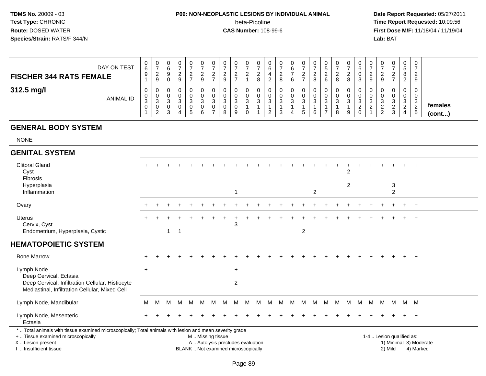### **P09: NON-NEOPLASTIC LESIONS BY INDIVIDUAL ANIMAL**beta-Picoline<br>CAS Number: 108-99-6

 **Date Report Requested:** 05/27/2011 **Time Report Requested:** 10:09:56 **First Dose M/F:** 11/18/04 / 11/19/04 Lab: BAT **Lab:** BAT

| DAY ON TEST<br><b>FISCHER 344 RATS FEMALE</b> | v<br>6<br>9           | 0<br>-<br><u>_</u><br>9            | 0<br>O<br>a<br>0                | 0<br>ി<br>9           |  | v<br>⌒<br><u>.</u> | <u>.</u><br>o | 0<br>റ<br><u>_</u><br>- | U<br><sup>o</sup><br><u>_</u> | ◡<br>-<br>8 |  | v<br>6<br>⌒      | ν<br><u>_</u> | U<br>-<br>ົ<br><u>_</u> | U<br>.5<br>ົ<br><u>_</u><br>6 | v<br>8            |  | v<br>9             | U                    | 0<br>-<br>ົ<br><u>_</u><br>$\rightarrow$ | 0<br>ັບ<br>8<br>ົ<br><u>_</u>           | v<br>າ<br><u>.</u><br>9      |                         |
|-----------------------------------------------|-----------------------|------------------------------------|---------------------------------|-----------------------|--|--------------------|---------------|-------------------------|-------------------------------|-------------|--|------------------|---------------|-------------------------|-------------------------------|-------------------|--|--------------------|----------------------|------------------------------------------|-----------------------------------------|------------------------------|-------------------------|
| 312.5 mg/l<br><b>ANIMAL ID</b>                | U<br>J<br>◠<br>ں<br>◡ | U<br>0<br>-3<br>U<br>ົ<br><u>_</u> | U<br>U<br>◠<br>ັ<br>U<br>◠<br>د | 0<br>0<br>ີ<br>J<br>4 |  | ν<br>u<br>۰J<br>υ  |               | 3<br>9                  | U<br>U<br>ົ<br>ັ<br>ັ         | ◡<br>ാ<br>ں |  | υ<br>u<br>ົ<br>J |               | U<br>U<br>3<br>6        | U<br>U<br>ົ<br>◡              | $\sim$<br>J.<br>8 |  | ν<br>U<br><b>N</b> | <u>_</u><br><u>_</u> | 0<br>0<br>3<br>ົ<br><u>_</u><br>3        | 0<br>0<br>C.<br>◡<br>ົ<br><u>_</u><br>4 | $\sim$<br>Ñ<br>$\cdot$<br>ົວ | females<br>$($ cont $)$ |

### **GENERAL BODY SYSTEM**

NONE

| <b>GENITAL SYSTEM</b>                                                                                                                          |           |   |   |   |   |   |   |                                     |                |   |   |   |   |   |                |   |   |   |                |   |                           |                     |   |                        |  |
|------------------------------------------------------------------------------------------------------------------------------------------------|-----------|---|---|---|---|---|---|-------------------------------------|----------------|---|---|---|---|---|----------------|---|---|---|----------------|---|---------------------------|---------------------|---|------------------------|--|
| <b>Clitoral Gland</b><br>Cyst<br><b>Fibrosis</b>                                                                                               | $+$       |   |   |   |   |   |   |                                     |                |   |   |   |   |   |                |   |   |   | $\overline{2}$ |   |                           |                     | + | $+$                    |  |
| Hyperplasia<br>Inflammation                                                                                                                    |           |   |   |   |   |   |   |                                     |                |   |   |   |   |   |                | 2 |   |   | $\overline{c}$ |   |                           | 3<br>$\overline{2}$ |   |                        |  |
| Ovary                                                                                                                                          |           |   |   |   |   |   |   |                                     |                |   |   |   |   |   |                |   |   |   |                |   |                           |                     |   |                        |  |
| Uterus<br>Cervix, Cyst                                                                                                                         | $\ddot{}$ |   |   |   |   |   |   |                                     | 3              |   |   |   |   |   |                |   |   |   |                |   |                           |                     |   |                        |  |
| Endometrium, Hyperplasia, Cystic                                                                                                               |           |   | 1 |   |   |   |   |                                     |                |   |   |   |   |   | $\overline{2}$ |   |   |   |                |   |                           |                     |   |                        |  |
| <b>HEMATOPOIETIC SYSTEM</b>                                                                                                                    |           |   |   |   |   |   |   |                                     |                |   |   |   |   |   |                |   |   |   |                |   |                           |                     |   |                        |  |
| <b>Bone Marrow</b>                                                                                                                             |           |   |   |   |   |   |   |                                     |                |   |   |   |   |   |                |   |   |   |                |   |                           |                     |   |                        |  |
| Lymph Node<br>Deep Cervical, Ectasia                                                                                                           | $\ddot{}$ |   |   |   |   |   |   |                                     | $+$            |   |   |   |   |   |                |   |   |   |                |   |                           |                     |   |                        |  |
| Deep Cervical, Infiltration Cellular, Histiocyte<br>Mediastinal, Infiltration Cellular, Mixed Cell                                             |           |   |   |   |   |   |   |                                     | $\overline{2}$ |   |   |   |   |   |                |   |   |   |                |   |                           |                     |   |                        |  |
| Lymph Node, Mandibular                                                                                                                         | M         | M | M | M | M | M | M | M                                   | M              | M | M | M | M | M | M              | M | M | M | M              | M | M                         | M M M M             |   |                        |  |
| Lymph Node, Mesenteric<br>Ectasia                                                                                                              |           |   |   |   |   |   |   |                                     |                |   |   |   |   |   |                |   |   |   |                |   |                           |                     |   |                        |  |
| *  Total animals with tissue examined microscopically; Total animals with lesion and mean severity grade<br>+  Tissue examined microscopically |           |   |   |   |   |   |   | M  Missing tissue                   |                |   |   |   |   |   |                |   |   |   |                |   | 1-4  Lesion qualified as: |                     |   |                        |  |
| X  Lesion present                                                                                                                              |           |   |   |   |   |   |   | A  Autolysis precludes evaluation   |                |   |   |   |   |   |                |   |   |   |                |   |                           |                     |   | 1) Minimal 3) Moderate |  |
| Insufficient tissue                                                                                                                            |           |   |   |   |   |   |   | BLANK  Not examined microscopically |                |   |   |   |   |   |                |   |   |   |                |   |                           | 2) Mild             |   | 4) Marked              |  |

I .. Insufficient tissue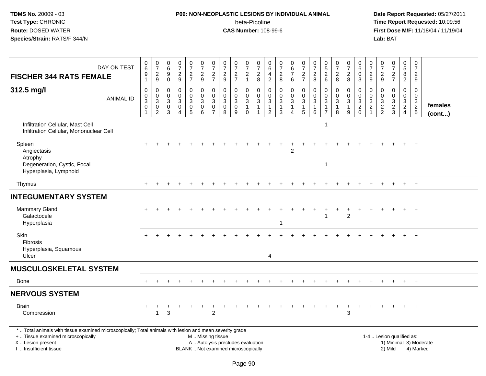# **P09: NON-NEOPLASTIC LESIONS BY INDIVIDUAL ANIMAL**beta-Picoline<br>CAS Number: 108-99-6

 **Date Report Requested:** 05/27/2011 **Time Report Requested:** 10:09:56 **First Dose M/F:** 11/18/04 / 11/19/04<br>Lab: BAT **Lab:** BAT

| <b>FISCHER 344 RATS FEMALE</b>                                                                                                                                                                | DAY ON TEST      | 0<br>$6\overline{6}$<br>9<br>$\mathbf{1}$ | $\frac{0}{7}$<br>$\frac{2}{9}$                            | $\boldsymbol{0}$<br>$\,6\,$<br>9<br>$\Omega$    | 0<br>$\overline{7}$<br>$\frac{2}{9}$                                   | $\frac{0}{7}$<br>$\frac{2}{7}$                                      | $\frac{0}{7}$<br>$\frac{2}{9}$                                         | $\begin{array}{c} 0 \\ 7 \end{array}$<br>$\frac{2}{7}$                        | $\frac{0}{7}$<br>$\frac{2}{9}$                                           | $\frac{0}{7}$<br>$\frac{2}{7}$                                     | $\frac{0}{7}$<br>$\frac{2}{1}$                    | $\frac{0}{7}$<br>$\frac{2}{8}$                                                 | 0<br>$\,6$<br>4<br>$\overline{2}$                                    | $\frac{0}{7}$<br>$_{8}^{\rm 2}$                             | $_{\rm 6}^{\rm 0}$<br>$\overline{7}$<br>$6\phantom{1}$                                  | $\begin{smallmatrix}0\\7\end{smallmatrix}$<br>$\frac{2}{7}$                  | $\begin{array}{c} 0 \\ 7 \end{array}$<br>$\frac{2}{8}$ | $\begin{array}{c} 0 \\ 5 \end{array}$<br>$\begin{array}{c} 2 \\ 6 \end{array}$            | 0<br>$\overline{7}$<br>$\overline{\mathbf{c}}$<br>8           | $\frac{0}{7}$<br>$\overline{a}$<br>8          | $\pmb{0}$<br>$\,6\,$<br>$\mathsf{O}$<br>$\overline{3}$         | $\frac{0}{7}$<br>$\frac{2}{9}$         | $\frac{0}{7}$<br>$\frac{2}{9}$              | $\frac{0}{7}$<br>$\frac{2}{7}$             | $\begin{array}{c} 0 \\ 5 \end{array}$<br>8<br>$\overline{2}$ | 0<br>$\boldsymbol{7}$<br>$\frac{2}{9}$      |                         |
|-----------------------------------------------------------------------------------------------------------------------------------------------------------------------------------------------|------------------|-------------------------------------------|-----------------------------------------------------------|-------------------------------------------------|------------------------------------------------------------------------|---------------------------------------------------------------------|------------------------------------------------------------------------|-------------------------------------------------------------------------------|--------------------------------------------------------------------------|--------------------------------------------------------------------|---------------------------------------------------|--------------------------------------------------------------------------------|----------------------------------------------------------------------|-------------------------------------------------------------|-----------------------------------------------------------------------------------------|------------------------------------------------------------------------------|--------------------------------------------------------|-------------------------------------------------------------------------------------------|---------------------------------------------------------------|-----------------------------------------------|----------------------------------------------------------------|----------------------------------------|---------------------------------------------|--------------------------------------------|--------------------------------------------------------------|---------------------------------------------|-------------------------|
| 312.5 mg/l                                                                                                                                                                                    | <b>ANIMAL ID</b> | $\pmb{0}$<br>$_{3}^{\rm 0}$<br>$\pmb{0}$  | $\pmb{0}$<br>$\frac{0}{3}$<br>$\pmb{0}$<br>$\overline{2}$ | 0<br>$\Omega$<br>$\mathbf{3}$<br>$\pmb{0}$<br>3 | $\pmb{0}$<br>$\Omega$<br>$\mathbf{3}$<br>$\mathbf 0$<br>$\overline{4}$ | $\boldsymbol{0}$<br>$\mathbf 0$<br>$\mathbf{3}$<br>$\mathbf 0$<br>5 | 0<br>$\overline{0}$<br>$\mathfrak{Z}$<br>$\mathbf 0$<br>$6\phantom{1}$ | $\pmb{0}$<br>$\ddot{\mathbf{0}}$<br>$\sqrt{3}$<br>$\pmb{0}$<br>$\overline{7}$ | $\mathbf 0$<br>$\Omega$<br>$\mathbf{3}$<br>$\mathbf 0$<br>8              | $\mathbf 0$<br>$\mathbf 0$<br>$\mathbf 3$<br>$\boldsymbol{0}$<br>9 | 0<br>$\mathbf 0$<br>3<br>$\mathbf{1}$<br>$\Omega$ | $\mathbf 0$<br>$\mathbf 0$<br>$\mathbf{3}$<br>$\overline{1}$<br>$\overline{1}$ | 0<br>$\mathbf 0$<br>$\mathfrak{S}$<br>$\mathbf{1}$<br>$\overline{2}$ | $\pmb{0}$<br>$\mathbf 0$<br>$\sqrt{3}$<br>$\mathbf{1}$<br>3 | $\pmb{0}$<br>$\mathbf 0$<br>$\ensuremath{\mathsf{3}}$<br>$\mathbf{1}$<br>$\overline{4}$ | $\mathbf 0$<br>$\mathbf 0$<br>$\ensuremath{\mathsf{3}}$<br>$\mathbf{1}$<br>5 | 0<br>$\mathbf 0$<br>$\frac{3}{1}$<br>$6\phantom{1}6$   | $\mathbf 0$<br>$\mathbf 0$<br>$\ensuremath{\mathsf{3}}$<br>$\mathbf{1}$<br>$\overline{7}$ | $\mathbf 0$<br>$\mathbf 0$<br>$\sqrt{3}$<br>$\mathbf{1}$<br>8 | 0<br>$\overline{0}$<br>3<br>$\mathbf{1}$<br>9 | $\pmb{0}$<br>$\ddot{\mathbf{0}}$<br>$\frac{3}{2}$ <sub>0</sub> | 0<br>$\mathbf 0$<br>$\frac{3}{2}$<br>1 | $\mathbf 0$<br>$\mathbf 0$<br>$\frac{3}{2}$ | $\pmb{0}$<br>$\mathbf{0}$<br>$\frac{3}{2}$ | 0<br>$\mathbf 0$<br>$\frac{3}{2}$<br>$\overline{4}$          | $\mathbf 0$<br>$\mathbf 0$<br>$\frac{3}{2}$ | females<br>$($ cont $)$ |
| Infiltration Cellular, Mast Cell<br>Infiltration Cellular, Mononuclear Cell                                                                                                                   |                  |                                           |                                                           |                                                 |                                                                        |                                                                     |                                                                        |                                                                               |                                                                          |                                                                    |                                                   |                                                                                |                                                                      |                                                             |                                                                                         |                                                                              |                                                        | $\mathbf{1}$                                                                              |                                                               |                                               |                                                                |                                        |                                             |                                            |                                                              |                                             |                         |
| Spleen<br>Angiectasis<br>Atrophy<br>Degeneration, Cystic, Focal<br>Hyperplasia, Lymphoid                                                                                                      |                  |                                           |                                                           |                                                 |                                                                        |                                                                     |                                                                        |                                                                               |                                                                          |                                                                    |                                                   |                                                                                |                                                                      |                                                             | $\overline{c}$                                                                          |                                                                              |                                                        | $\mathbf{1}$                                                                              |                                                               |                                               |                                                                |                                        |                                             |                                            |                                                              | $\overline{+}$                              |                         |
| Thymus                                                                                                                                                                                        |                  | $+$                                       |                                                           |                                                 |                                                                        |                                                                     |                                                                        |                                                                               |                                                                          |                                                                    |                                                   |                                                                                |                                                                      |                                                             |                                                                                         |                                                                              |                                                        |                                                                                           |                                                               |                                               |                                                                |                                        |                                             |                                            | $\ddot{}$                                                    | $+$                                         |                         |
| <b>INTEGUMENTARY SYSTEM</b>                                                                                                                                                                   |                  |                                           |                                                           |                                                 |                                                                        |                                                                     |                                                                        |                                                                               |                                                                          |                                                                    |                                                   |                                                                                |                                                                      |                                                             |                                                                                         |                                                                              |                                                        |                                                                                           |                                                               |                                               |                                                                |                                        |                                             |                                            |                                                              |                                             |                         |
| Mammary Gland<br>Galactocele<br>Hyperplasia                                                                                                                                                   |                  |                                           |                                                           |                                                 |                                                                        |                                                                     |                                                                        |                                                                               |                                                                          |                                                                    |                                                   |                                                                                |                                                                      | -1                                                          |                                                                                         |                                                                              |                                                        | 1                                                                                         |                                                               | $\overline{2}$                                |                                                                |                                        |                                             |                                            | $+$                                                          | $+$                                         |                         |
| Skin<br>Fibrosis<br>Hyperplasia, Squamous<br>Ulcer                                                                                                                                            |                  |                                           |                                                           |                                                 |                                                                        |                                                                     |                                                                        |                                                                               |                                                                          |                                                                    |                                                   |                                                                                | $\overline{4}$                                                       |                                                             |                                                                                         |                                                                              |                                                        |                                                                                           |                                                               |                                               |                                                                |                                        |                                             |                                            |                                                              |                                             |                         |
| <b>MUSCULOSKELETAL SYSTEM</b>                                                                                                                                                                 |                  |                                           |                                                           |                                                 |                                                                        |                                                                     |                                                                        |                                                                               |                                                                          |                                                                    |                                                   |                                                                                |                                                                      |                                                             |                                                                                         |                                                                              |                                                        |                                                                                           |                                                               |                                               |                                                                |                                        |                                             |                                            |                                                              |                                             |                         |
| <b>Bone</b>                                                                                                                                                                                   |                  |                                           |                                                           |                                                 |                                                                        |                                                                     |                                                                        |                                                                               |                                                                          |                                                                    |                                                   |                                                                                |                                                                      |                                                             |                                                                                         |                                                                              |                                                        |                                                                                           |                                                               |                                               |                                                                |                                        |                                             |                                            | $\ddot{}$                                                    | $+$                                         |                         |
| <b>NERVOUS SYSTEM</b>                                                                                                                                                                         |                  |                                           |                                                           |                                                 |                                                                        |                                                                     |                                                                        |                                                                               |                                                                          |                                                                    |                                                   |                                                                                |                                                                      |                                                             |                                                                                         |                                                                              |                                                        |                                                                                           |                                                               |                                               |                                                                |                                        |                                             |                                            |                                                              |                                             |                         |
| <b>Brain</b><br>Compression                                                                                                                                                                   |                  | $+$                                       | $\ddot{}$<br>$\overline{1}$                               | 3                                               |                                                                        |                                                                     |                                                                        | +<br>$\overline{2}$                                                           |                                                                          |                                                                    |                                                   |                                                                                |                                                                      |                                                             |                                                                                         |                                                                              |                                                        |                                                                                           |                                                               | $\ddot{}$<br>3                                | $\ddot{}$                                                      |                                        |                                             |                                            |                                                              | $+$                                         |                         |
| *  Total animals with tissue examined microscopically; Total animals with lesion and mean severity grade<br>+  Tissue examined microscopically<br>X  Lesion present<br>I. Insufficient tissue |                  |                                           |                                                           |                                                 |                                                                        |                                                                     | M  Missing tissue                                                      |                                                                               | A  Autolysis precludes evaluation<br>BLANK  Not examined microscopically |                                                                    |                                                   |                                                                                |                                                                      |                                                             |                                                                                         |                                                                              |                                                        |                                                                                           |                                                               |                                               |                                                                |                                        |                                             | 1-4  Lesion qualified as:<br>2) Mild       |                                                              | 4) Marked                                   | 1) Minimal 3) Moderate  |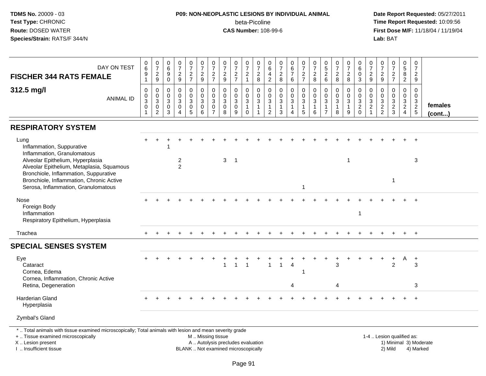### **P09: NON-NEOPLASTIC LESIONS BY INDIVIDUAL ANIMAL**beta-Picoline<br>CAS Number: 108-99-6

 **Date Report Requested:** 05/27/2011 **Time Report Requested:** 10:09:56 **First Dose M/F:** 11/18/04 / 11/19/04<br>**Lab:** BAT **Lab:** BAT

| DAY ON TEST<br><b>FISCHER 344 RATS FEMALE</b>                                                                                                                         | $_6^0$<br>9                                              | $\frac{0}{7}$<br>$\overline{c}$<br>9                                                | 0<br>$\,6\,$<br>9<br>$\mathbf 0$            | $\frac{0}{7}$<br>$\overline{c}$<br>$\boldsymbol{9}$                     | $\frac{0}{7}$<br>$\boldsymbol{2}$<br>$\overline{7}$                         | $\frac{0}{7}$<br>$\overline{c}$<br>9                           | 0<br>$\overline{7}$<br>$\overline{c}$<br>$\overline{7}$           | $\frac{0}{7}$<br>$\overline{2}$<br>9                             | $\frac{0}{7}$<br>$\overline{a}$<br>$\overline{7}$      | $\frac{0}{7}$<br>$\overline{c}$<br>$\overline{1}$                      | $\frac{0}{7}$<br>$\overline{c}$<br>8                       | 0<br>$\,6\,$<br>4<br>$\overline{2}$                            | $\frac{0}{7}$<br>$\sqrt{2}$<br>8                 | 0<br>$rac{6}{7}$<br>$\,6\,$                             | $\frac{0}{7}$<br>$\overline{c}$<br>$\overline{7}$                 | 0<br>$\overline{7}$<br>$\overline{c}$<br>8 | $\frac{0}{5}$<br>6                                                             | $\frac{0}{7}$<br>$\overline{2}$<br>8                     | $\frac{0}{7}$<br>$\overline{2}$<br>8    | 0<br>$6\overline{6}$<br>$\mathbf 0$<br>$\mathbf{3}$                     | 0<br>$\overline{7}$<br>$\overline{c}$<br>9                    | 0<br>$\overline{7}$<br>$\boldsymbol{2}$<br>9               | $\frac{0}{7}$<br>$\overline{c}$<br>$\overline{7}$ | 0<br>$\overline{5}$<br>8<br>$\overline{2}$                | 0<br>$\overline{7}$<br>2<br>9                 |                   |
|-----------------------------------------------------------------------------------------------------------------------------------------------------------------------|----------------------------------------------------------|-------------------------------------------------------------------------------------|---------------------------------------------|-------------------------------------------------------------------------|-----------------------------------------------------------------------------|----------------------------------------------------------------|-------------------------------------------------------------------|------------------------------------------------------------------|--------------------------------------------------------|------------------------------------------------------------------------|------------------------------------------------------------|----------------------------------------------------------------|--------------------------------------------------|---------------------------------------------------------|-------------------------------------------------------------------|--------------------------------------------|--------------------------------------------------------------------------------|----------------------------------------------------------|-----------------------------------------|-------------------------------------------------------------------------|---------------------------------------------------------------|------------------------------------------------------------|---------------------------------------------------|-----------------------------------------------------------|-----------------------------------------------|-------------------|
| 312.5 mg/l<br><b>ANIMAL ID</b>                                                                                                                                        | $\mathbf 0$<br>$\mathbf 0$<br>$\overline{3}$<br>$\Omega$ | $\mathbf 0$<br>$\mathsf{O}\xspace$<br>$\overline{3}$<br>$\pmb{0}$<br>$\overline{2}$ | $\mathbf{0}$<br>0<br>$\mathbf{3}$<br>0<br>3 | $\mathbf 0$<br>$\mathbf 0$<br>$\overline{3}$<br>$\mathbf 0$<br>$\Delta$ | $\mathbf 0$<br>$\mathbf 0$<br>$\overline{3}$<br>$\pmb{0}$<br>$\overline{5}$ | $\mathbf 0$<br>$\mathbf 0$<br>$\overline{3}$<br>$\pmb{0}$<br>6 | $\mathbf 0$<br>$\mathbf 0$<br>$\mathbf{3}$<br>0<br>$\overline{7}$ | $\mathbf 0$<br>$\mathbf 0$<br>$\overline{3}$<br>$\mathbf 0$<br>8 | 0<br>$\mathbf 0$<br>$\overline{3}$<br>$\mathbf 0$<br>9 | 0<br>$\mathsf{O}\xspace$<br>$\overline{3}$<br>$\mathbf{1}$<br>$\Omega$ | $\mathbf 0$<br>$\pmb{0}$<br>$\overline{3}$<br>$\mathbf{1}$ | $\Omega$<br>$\mathbf 0$<br>$\mathbf{3}$<br>$\overline{1}$<br>2 | $\mathbf 0$<br>$\frac{0}{3}$<br>$\mathbf 1$<br>3 | 0<br>$\mathbf 0$<br>$\overline{3}$<br>$\mathbf{1}$<br>4 | $\mathbf 0$<br>$\mathbf 0$<br>$\overline{3}$<br>$\mathbf{1}$<br>5 | $\Omega$<br>0<br>3<br>1<br>6               | $\mathbf 0$<br>$\mathbf 0$<br>$\overline{3}$<br>$\mathbf{1}$<br>$\overline{7}$ | 0<br>$\mathsf{O}$<br>$\overline{3}$<br>$\mathbf{1}$<br>8 | 0<br>$\frac{0}{3}$<br>$\mathbf{1}$<br>9 | $\Omega$<br>$\mathsf 0$<br>$\overline{3}$<br>$\overline{2}$<br>$\Omega$ | $\mathbf 0$<br>$\mathbf 0$<br>$\overline{3}$<br>$\frac{2}{1}$ | $\mathbf{0}$<br>$\mathbf 0$<br>$\sqrt{3}$<br>$\frac{2}{2}$ | $\mathbf 0$<br>$\mathbf 0$<br>$\frac{3}{2}$       | $\Omega$<br>$\mathbf{0}$<br>$\mathbf{3}$<br>$\frac{2}{4}$ | $\Omega$<br>$\mathbf 0$<br>3<br>$\frac{2}{5}$ | females<br>(cont) |
| <b>RESPIRATORY SYSTEM</b>                                                                                                                                             |                                                          |                                                                                     |                                             |                                                                         |                                                                             |                                                                |                                                                   |                                                                  |                                                        |                                                                        |                                                            |                                                                |                                                  |                                                         |                                                                   |                                            |                                                                                |                                                          |                                         |                                                                         |                                                               |                                                            |                                                   |                                                           |                                               |                   |
| Lung<br>Inflammation, Suppurative<br>Inflammation, Granulomatous<br>Alveolar Epithelium, Hyperplasia                                                                  |                                                          |                                                                                     |                                             | 2                                                                       |                                                                             |                                                                |                                                                   |                                                                  | 3 <sub>1</sub>                                         |                                                                        |                                                            |                                                                |                                                  |                                                         |                                                                   |                                            |                                                                                |                                                          | -1                                      |                                                                         |                                                               |                                                            |                                                   |                                                           | 3                                             |                   |
| Alveolar Epithelium, Metaplasia, Squamous<br>Bronchiole, Inflammation, Suppurative<br>Bronchiole, Inflammation, Chronic Active<br>Serosa, Inflammation, Granulomatous |                                                          |                                                                                     |                                             | 2                                                                       |                                                                             |                                                                |                                                                   |                                                                  |                                                        |                                                                        |                                                            |                                                                |                                                  |                                                         | 1                                                                 |                                            |                                                                                |                                                          |                                         |                                                                         |                                                               |                                                            | 1                                                 |                                                           |                                               |                   |
| Nose<br>Foreign Body<br>Inflammation<br>Respiratory Epithelium, Hyperplasia                                                                                           |                                                          |                                                                                     |                                             |                                                                         |                                                                             |                                                                |                                                                   |                                                                  |                                                        |                                                                        |                                                            |                                                                |                                                  |                                                         |                                                                   |                                            |                                                                                |                                                          |                                         | $\overline{1}$                                                          |                                                               |                                                            |                                                   |                                                           |                                               |                   |
| Trachea                                                                                                                                                               |                                                          |                                                                                     |                                             |                                                                         |                                                                             |                                                                |                                                                   |                                                                  |                                                        |                                                                        |                                                            |                                                                |                                                  |                                                         |                                                                   |                                            |                                                                                |                                                          |                                         |                                                                         |                                                               |                                                            |                                                   |                                                           | $+$                                           |                   |
| <b>SPECIAL SENSES SYSTEM</b>                                                                                                                                          |                                                          |                                                                                     |                                             |                                                                         |                                                                             |                                                                |                                                                   |                                                                  |                                                        |                                                                        |                                                            |                                                                |                                                  |                                                         |                                                                   |                                            |                                                                                |                                                          |                                         |                                                                         |                                                               |                                                            |                                                   |                                                           |                                               |                   |
| Eye<br>Cataract<br>Cornea, Edema<br>Cornea, Inflammation, Chronic Active                                                                                              |                                                          |                                                                                     |                                             |                                                                         |                                                                             |                                                                |                                                                   |                                                                  | $\mathbf{1}$                                           |                                                                        |                                                            |                                                                | $\overline{1}$                                   | 4                                                       | 1                                                                 |                                            |                                                                                | З                                                        |                                         |                                                                         |                                                               |                                                            | $\ddot{}$<br>$\mathfrak{p}$                       | A                                                         | $+$<br>3                                      |                   |
| Retina, Degeneration                                                                                                                                                  |                                                          |                                                                                     |                                             |                                                                         |                                                                             |                                                                |                                                                   |                                                                  |                                                        |                                                                        |                                                            |                                                                |                                                  | 4                                                       |                                                                   |                                            |                                                                                | 4                                                        |                                         |                                                                         |                                                               |                                                            |                                                   |                                                           | 3                                             |                   |
| <b>Harderian Gland</b><br>Hyperplasia                                                                                                                                 |                                                          |                                                                                     |                                             |                                                                         |                                                                             |                                                                |                                                                   |                                                                  |                                                        |                                                                        |                                                            |                                                                |                                                  |                                                         |                                                                   |                                            |                                                                                |                                                          |                                         |                                                                         |                                                               |                                                            |                                                   |                                                           |                                               |                   |
| Zymbal's Gland                                                                                                                                                        |                                                          |                                                                                     |                                             |                                                                         |                                                                             |                                                                |                                                                   |                                                                  |                                                        |                                                                        |                                                            |                                                                |                                                  |                                                         |                                                                   |                                            |                                                                                |                                                          |                                         |                                                                         |                                                               |                                                            |                                                   |                                                           |                                               |                   |
| *  Total animals with tissue examined microscopically; Total animals with lesion and mean severity grade<br>+  Tissue examined microscopically                        |                                                          |                                                                                     |                                             |                                                                         |                                                                             | M  Missing tissue                                              |                                                                   |                                                                  |                                                        |                                                                        |                                                            |                                                                |                                                  |                                                         |                                                                   |                                            |                                                                                |                                                          |                                         |                                                                         | 1-4  Lesion qualified as:                                     |                                                            |                                                   |                                                           |                                               |                   |

X .. Lesion present

I .. Insufficient tissue

M .. Missing tissue

A .. Autolysis precludes evaluation

BLANK .. Not examined microscopically 2) Mild 4) Marked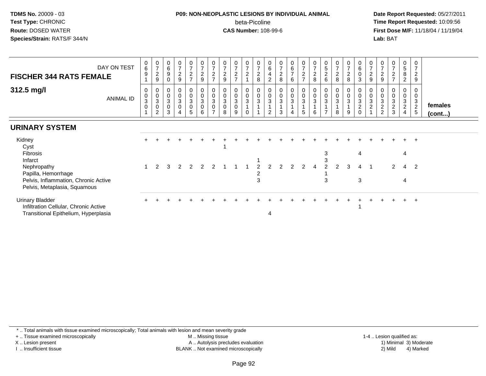#### **P09: NON-NEOPLASTIC LESIONS BY INDIVIDUAL ANIMAL** beta-Picoline**beta-Picoline**<br> **CAS Number:** 108-99-6<br> **CAS Number:** 108-99-6<br> **CAS Number:** 108-99-6

 **Date Report Requested:** 05/27/2011 **First Dose M/F:** 11/18/04 / 11/19/04 Lab: BAT **Lab:** BAT

| DAY ON TEST<br><b>FISCHER 344 RATS FEMALE</b><br>312.5 mg/l<br><b>ANIMAL ID</b>                         | $\begin{array}{c} 0 \\ 6 \end{array}$<br>9<br>0<br>$_{3}^{\rm 0}$<br>0 | $\begin{array}{c} 0 \\ 7 \\ 2 \end{array}$<br>9<br>$\begin{smallmatrix}0\\0\\3\end{smallmatrix}$<br>$\pmb{0}$<br>$\overline{2}$ | 0<br>$\,6$<br>$\boldsymbol{9}$<br>$\Omega$<br>0<br>$\mathsf 0$<br>3<br>0<br>3 | $\overline{\mathbf{7}}$<br>$\boldsymbol{2}$<br>9<br>$\mathbf 0$<br>$\sqrt{3}$<br>$\pmb{0}$ | $\frac{0}{7}$<br>$\frac{2}{7}$<br>0<br>$\pmb{0}$<br>$\mathbf 3$<br>$\pmb{0}$<br>5 | $\frac{0}{7}$<br>$\frac{2}{9}$<br>0<br>$\frac{0}{3}$<br>$\mathbf 0$<br>6 | $\frac{0}{7}$<br>$\frac{2}{7}$<br>$\begin{matrix} 0 \\ 0 \\ 3 \end{matrix}$<br>$\pmb{0}$<br>$\overline{ }$ | $\frac{0}{7}$<br>$\frac{2}{9}$<br>0<br>$_{3}^{\rm 0}$<br>$\mathbf 0$<br>8 | $\overline{7}$<br>$\boldsymbol{2}$<br>$\overline{7}$<br>$\frac{0}{3}$<br>$\mathbf 0$<br>9 | $\overline{7}$<br>$\overline{a}$<br>0<br>$\mathsf{O}\xspace$<br>3 | $\frac{0}{7}$<br>$\overline{c}$<br>8<br>0<br>$_{3}^{\rm 0}$ | $\begin{matrix} 0 \\ 6 \end{matrix}$<br>$\overline{4}$<br>$\overline{2}$<br>$\mathbf 0$<br>$_{3}^{\rm 0}$<br>$\Omega$ | $\overline{c}$<br>$\,8\,$<br>$\pmb{0}$<br>$\sqrt{3}$<br>3 | $\begin{array}{c} 0 \\ 6 \\ 7 \end{array}$<br>6<br>$\pmb{0}$<br>$\frac{0}{3}$ | $\frac{0}{7}$<br>$\frac{2}{7}$<br>0<br>$\frac{0}{3}$<br>5 | $\overline{7}$<br>$\overline{c}$<br>8<br>0<br>$_{3}^{\rm 0}$<br>$\mathbf{1}$<br>6 | $\frac{0}{5}$<br>6<br>0<br>$\frac{0}{3}$<br>$\overline{ }$ | $\frac{0}{7}$<br>$\overline{c}$<br>$\,8\,$<br>$_0^0$<br>$\sqrt{3}$<br>8 | $\overline{7}$<br>$\sqrt{2}$<br>8<br>0<br>$_{3}^{\rm 0}$<br>9 | $\begin{matrix} 0 \\ 6 \\ 0 \end{matrix}$<br>3<br>$\begin{smallmatrix}0\0\0\3\end{smallmatrix}$<br>$\frac{2}{0}$ | 0<br>$\overline{7}$<br>$\boldsymbol{2}$<br>$\boldsymbol{9}$<br>0<br>$_{3}^{\rm 0}$<br>$\overline{c}$ | 0<br>$\overline{7}$<br>$\overline{c}$<br>$\boldsymbol{9}$<br>0<br>$\pmb{0}$<br>$\sqrt{3}$<br>$\boldsymbol{2}$<br>$\overline{2}$ | $\boldsymbol{2}$<br>$\overline{7}$<br>$\pmb{0}$<br>$\ensuremath{\mathsf{3}}$<br>$\overline{c}$<br>3 | 0<br>5<br>8<br>$\overline{2}$<br>0<br>0<br>$\frac{3}{2}$<br>$\overline{4}$ | 0<br>$\overline{7}$<br>$\boldsymbol{2}$<br>$\boldsymbol{9}$<br>0<br>0<br>$\sqrt{3}$<br>$\overline{a}$<br>$\,$ 5 $\,$ | females<br>(cont) |
|---------------------------------------------------------------------------------------------------------|------------------------------------------------------------------------|---------------------------------------------------------------------------------------------------------------------------------|-------------------------------------------------------------------------------|--------------------------------------------------------------------------------------------|-----------------------------------------------------------------------------------|--------------------------------------------------------------------------|------------------------------------------------------------------------------------------------------------|---------------------------------------------------------------------------|-------------------------------------------------------------------------------------------|-------------------------------------------------------------------|-------------------------------------------------------------|-----------------------------------------------------------------------------------------------------------------------|-----------------------------------------------------------|-------------------------------------------------------------------------------|-----------------------------------------------------------|-----------------------------------------------------------------------------------|------------------------------------------------------------|-------------------------------------------------------------------------|---------------------------------------------------------------|------------------------------------------------------------------------------------------------------------------|------------------------------------------------------------------------------------------------------|---------------------------------------------------------------------------------------------------------------------------------|-----------------------------------------------------------------------------------------------------|----------------------------------------------------------------------------|----------------------------------------------------------------------------------------------------------------------|-------------------|
|                                                                                                         |                                                                        |                                                                                                                                 |                                                                               |                                                                                            |                                                                                   |                                                                          |                                                                                                            |                                                                           |                                                                                           |                                                                   |                                                             |                                                                                                                       |                                                           |                                                                               |                                                           |                                                                                   |                                                            |                                                                         |                                                               |                                                                                                                  |                                                                                                      |                                                                                                                                 |                                                                                                     |                                                                            |                                                                                                                      |                   |
| <b>URINARY SYSTEM</b>                                                                                   |                                                                        |                                                                                                                                 |                                                                               |                                                                                            |                                                                                   |                                                                          |                                                                                                            |                                                                           |                                                                                           |                                                                   |                                                             |                                                                                                                       |                                                           |                                                                               |                                                           |                                                                                   |                                                            |                                                                         |                                                               |                                                                                                                  |                                                                                                      |                                                                                                                                 |                                                                                                     |                                                                            |                                                                                                                      |                   |
| Kidney<br>Cyst                                                                                          |                                                                        |                                                                                                                                 |                                                                               |                                                                                            |                                                                                   |                                                                          |                                                                                                            |                                                                           |                                                                                           |                                                                   |                                                             |                                                                                                                       |                                                           |                                                                               |                                                           |                                                                                   |                                                            |                                                                         |                                                               |                                                                                                                  |                                                                                                      |                                                                                                                                 |                                                                                                     |                                                                            | $\div$                                                                                                               |                   |
| Fibrosis<br>Infarct                                                                                     |                                                                        |                                                                                                                                 |                                                                               |                                                                                            |                                                                                   |                                                                          |                                                                                                            |                                                                           |                                                                                           |                                                                   |                                                             |                                                                                                                       |                                                           |                                                                               |                                                           |                                                                                   | 3                                                          |                                                                         |                                                               | 4                                                                                                                |                                                                                                      |                                                                                                                                 |                                                                                                     | 4                                                                          |                                                                                                                      |                   |
| Nephropathy<br>Papilla, Hemorrhage                                                                      |                                                                        | $\mathcal{P}$                                                                                                                   | 3                                                                             | $\mathcal{P}$                                                                              | $\mathcal{P}$                                                                     |                                                                          |                                                                                                            |                                                                           |                                                                                           |                                                                   | 2                                                           |                                                                                                                       |                                                           | 2                                                                             | 2                                                         |                                                                                   | 2                                                          | 2                                                                       | 3                                                             | 4                                                                                                                | -1                                                                                                   |                                                                                                                                 | $\overline{2}$                                                                                      | 4                                                                          | 2                                                                                                                    |                   |
| Pelvis, Inflammation, Chronic Active<br>Pelvis, Metaplasia, Squamous                                    |                                                                        |                                                                                                                                 |                                                                               |                                                                                            |                                                                                   |                                                                          |                                                                                                            |                                                                           |                                                                                           |                                                                   | 3                                                           |                                                                                                                       |                                                           |                                                                               |                                                           |                                                                                   | 3                                                          |                                                                         |                                                               | 3                                                                                                                |                                                                                                      |                                                                                                                                 |                                                                                                     | 4                                                                          |                                                                                                                      |                   |
| <b>Urinary Bladder</b><br>Infiltration Cellular, Chronic Active<br>Transitional Epithelium, Hyperplasia |                                                                        |                                                                                                                                 |                                                                               |                                                                                            |                                                                                   |                                                                          |                                                                                                            |                                                                           |                                                                                           |                                                                   |                                                             | 4                                                                                                                     |                                                           |                                                                               |                                                           |                                                                                   |                                                            |                                                                         |                                                               |                                                                                                                  |                                                                                                      |                                                                                                                                 |                                                                                                     |                                                                            | $\div$                                                                                                               |                   |

\* .. Total animals with tissue examined microscopically; Total animals with lesion and mean severity grade

+ .. Tissue examined microscopically

X .. Lesion present

I .. Insufficient tissue

 M .. Missing tissueA .. Autolysis precludes evaluation

 1-4 .. Lesion qualified as: BLANK .. Not examined microscopically 2) Mild 4) Marked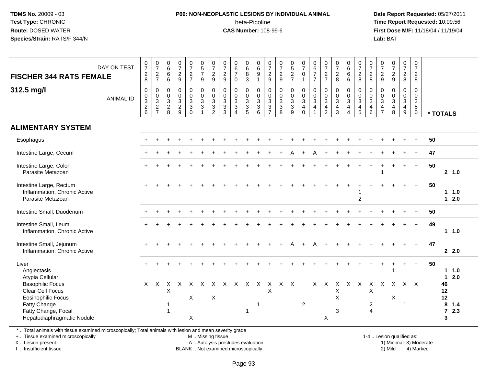#### **P09: NON-NEOPLASTIC LESIONS BY INDIVIDUAL ANIMAL** beta-Picoline**beta-Picoline**<br> **CAS Number:** 108-99-6<br> **CAS Number:** 108-99-6<br> **CAS Number:** 108-99-6

 **Date Report Requested:** 05/27/2011 **First Dose M/F:** 11/18/04 / 11/19/04 Lab: BAT **Lab:** BAT

| <b>FISCHER 344 RATS FEMALE</b>                                                           | DAY ON TEST      | $\frac{0}{7}$<br>$\frac{2}{8}$                               | $\begin{array}{c} 0 \\ 7 \end{array}$<br>$\overline{2}$<br>$\overline{7}$ | $_{6}^{\rm 0}$<br>$\,6\,$<br>$6\overline{6}$         | $\begin{array}{c} 0 \\ 7 \end{array}$<br>$\overline{a}$<br>$\boldsymbol{9}$ | $\begin{array}{c} 0 \\ 7 \\ 2 \end{array}$<br>$\overline{7}$ | $\begin{array}{c} 0 \\ 5 \\ 7 \end{array}$<br>9             | $\begin{array}{c} 0 \\ 7 \end{array}$<br>$\overline{2}$<br>9          | $\frac{0}{7}$<br>$\sqrt{2}$<br>$9\,$             | $\begin{array}{c} 0 \\ 6 \\ 7 \end{array}$<br>$\mathbf 0$ | $\begin{array}{c} 0 \\ 6 \end{array}$<br>$\bf 8$<br>$\mathbf{3}$ | $\begin{array}{c} 0 \\ 6 \end{array}$<br>9<br>$\mathbf{1}$      | $\begin{matrix} 0 \\ 7 \\ 2 \end{matrix}$<br>9       | $\frac{0}{7}$<br>$\frac{2}{9}$              | $0$<br>5<br>2<br>7 | $\frac{0}{7}$<br>$\mathbf 0$<br>$\overline{1}$                        | $\begin{array}{c} 0 \\ 6 \\ 7 \end{array}$<br>$\overline{7}$ | $072$<br>$727$                                                   | $\frac{0}{7}$<br>$\overline{2}$<br>8      | $\begin{array}{c} 0 \\ 6 \\ 6 \end{array}$<br>$6\phantom{1}$                 | $\begin{array}{c} 0 \\ 7 \\ 2 \end{array}$<br>8                | $\frac{0}{7}$<br>$\overline{2}$<br>8                    | $\frac{0}{7}$<br>$\frac{2}{9}$                 | $\begin{array}{c} 0 \\ 7 \\ 2 \end{array}$<br>$9\,$      | $\begin{array}{c} 0 \\ 7 \\ 2 \end{array}$<br>8     | 0<br>$\overline{7}$<br>$\overline{2}$<br>8 |    |                     |                        |  |
|------------------------------------------------------------------------------------------|------------------|--------------------------------------------------------------|---------------------------------------------------------------------------|------------------------------------------------------|-----------------------------------------------------------------------------|--------------------------------------------------------------|-------------------------------------------------------------|-----------------------------------------------------------------------|--------------------------------------------------|-----------------------------------------------------------|------------------------------------------------------------------|-----------------------------------------------------------------|------------------------------------------------------|---------------------------------------------|--------------------|-----------------------------------------------------------------------|--------------------------------------------------------------|------------------------------------------------------------------|-------------------------------------------|------------------------------------------------------------------------------|----------------------------------------------------------------|---------------------------------------------------------|------------------------------------------------|----------------------------------------------------------|-----------------------------------------------------|--------------------------------------------|----|---------------------|------------------------|--|
| 312.5 mg/l                                                                               | <b>ANIMAL ID</b> | $\pmb{0}$<br>$\begin{array}{c} 0 \\ 3 \\ 2 \\ 6 \end{array}$ | $\mathbf 0$<br>$_{3}^{\rm 0}$<br>$\overline{a}$<br>$\overline{7}$         | 0<br>$\begin{array}{c} 0 \\ 3 \\ 2 \\ 8 \end{array}$ | $\mathbf 0$<br>$\begin{array}{c} 0 \\ 3 \\ 2 \\ 9 \end{array}$              | $\begin{matrix}0\\0\\3\\3\\0\end{matrix}$                    | $\pmb{0}$<br>$\frac{0}{3}$<br>$\mathbf 3$<br>$\overline{1}$ | $\pmb{0}$<br>$\pmb{0}$<br>$\sqrt{3}$<br>$\mathbf 3$<br>$\overline{2}$ | $\pmb{0}$<br>$_{3}^{\rm 0}$<br>$\mathbf{3}$<br>3 | 0<br>$\mathbf 0$<br>$\overline{3}$<br>3<br>4              | $\mathsf 0$<br>$\frac{0}{3}$<br>$\sqrt{3}$<br>5                  | $\mathsf{O}\xspace$<br>$\overline{0}$<br>3<br>$\mathbf{3}$<br>6 | 0<br>$\begin{array}{c} 0 \\ 3 \\ 3 \\ 7 \end{array}$ | $\begin{matrix}0\\0\\3\\3\end{matrix}$<br>8 | $0003$<br>$33$     | $\mathsf{O}\xspace$<br>$\frac{0}{3}$<br>$\overline{4}$<br>$\mathbf 0$ | $\pmb{0}$<br>$_{3}^{\rm 0}$<br>$\overline{4}$<br>1           | $\mathbf 0$<br>$\frac{0}{3}$<br>$\overline{4}$<br>$\overline{2}$ | 0<br>$\frac{0}{3}$<br>$\overline{4}$<br>3 | $\pmb{0}$<br>$\overline{0}$<br>3<br>$\overline{4}$<br>$\boldsymbol{\Lambda}$ | $\pmb{0}$<br>$\frac{0}{3}$<br>$\overline{4}$<br>$\overline{5}$ | 0<br>$_{3}^{\rm 0}$<br>$\overline{4}$<br>$6\phantom{1}$ | $\mathbf 0$<br>$\frac{0}{3}$<br>$\overline{7}$ | 0<br>$\overline{0}$<br>3<br>$\overline{\mathbf{4}}$<br>8 | $\mathbf 0$<br>$\frac{0}{3}$<br>$\overline{4}$<br>9 | 0<br>$\mathbf 0$<br>3<br>5<br>0            |    | * TOTALS            |                        |  |
| <b>ALIMENTARY SYSTEM</b>                                                                 |                  |                                                              |                                                                           |                                                      |                                                                             |                                                              |                                                             |                                                                       |                                                  |                                                           |                                                                  |                                                                 |                                                      |                                             |                    |                                                                       |                                                              |                                                                  |                                           |                                                                              |                                                                |                                                         |                                                |                                                          |                                                     |                                            |    |                     |                        |  |
| Esophagus                                                                                |                  |                                                              |                                                                           |                                                      |                                                                             |                                                              |                                                             |                                                                       |                                                  |                                                           |                                                                  |                                                                 |                                                      |                                             |                    |                                                                       |                                                              |                                                                  |                                           |                                                                              |                                                                |                                                         |                                                |                                                          |                                                     |                                            | 50 |                     |                        |  |
| Intestine Large, Cecum                                                                   |                  |                                                              |                                                                           |                                                      |                                                                             |                                                              |                                                             |                                                                       |                                                  |                                                           |                                                                  |                                                                 |                                                      |                                             |                    |                                                                       |                                                              |                                                                  |                                           |                                                                              |                                                                |                                                         |                                                |                                                          |                                                     |                                            | 47 |                     |                        |  |
| Intestine Large, Colon<br>Parasite Metazoan                                              |                  |                                                              |                                                                           |                                                      |                                                                             |                                                              |                                                             |                                                                       |                                                  |                                                           |                                                                  |                                                                 |                                                      |                                             |                    |                                                                       |                                                              |                                                                  |                                           |                                                                              |                                                                |                                                         |                                                |                                                          |                                                     | $\ddot{}$                                  | 50 |                     | 2 1.0                  |  |
| Intestine Large, Rectum<br>Inflammation, Chronic Active<br>Parasite Metazoan             |                  |                                                              |                                                                           |                                                      |                                                                             |                                                              |                                                             |                                                                       |                                                  |                                                           |                                                                  |                                                                 |                                                      |                                             |                    |                                                                       |                                                              |                                                                  |                                           |                                                                              | $\overline{2}$                                                 |                                                         |                                                |                                                          |                                                     |                                            | 50 |                     | 1 1.0<br>$1 \quad 2.0$ |  |
| Intestine Small, Duodenum                                                                |                  |                                                              |                                                                           |                                                      |                                                                             |                                                              |                                                             |                                                                       |                                                  |                                                           |                                                                  |                                                                 |                                                      |                                             |                    |                                                                       |                                                              |                                                                  |                                           |                                                                              |                                                                |                                                         |                                                |                                                          |                                                     |                                            | 50 |                     |                        |  |
| Intestine Small, Ileum<br>Inflammation, Chronic Active                                   |                  |                                                              |                                                                           |                                                      |                                                                             |                                                              |                                                             |                                                                       |                                                  |                                                           |                                                                  |                                                                 |                                                      |                                             |                    |                                                                       |                                                              |                                                                  |                                           |                                                                              |                                                                |                                                         |                                                |                                                          |                                                     | $\ddot{}$                                  | 49 |                     | 1 1.0                  |  |
| Intestine Small, Jejunum<br>Inflammation, Chronic Active                                 |                  |                                                              |                                                                           |                                                      |                                                                             |                                                              |                                                             |                                                                       |                                                  |                                                           |                                                                  |                                                                 |                                                      |                                             |                    |                                                                       |                                                              |                                                                  |                                           |                                                                              |                                                                |                                                         |                                                |                                                          |                                                     |                                            | 47 |                     | 2.2.0                  |  |
| Liver<br>Angiectasis<br>Atypia Cellular                                                  |                  |                                                              |                                                                           |                                                      |                                                                             |                                                              |                                                             |                                                                       |                                                  |                                                           |                                                                  |                                                                 |                                                      |                                             |                    |                                                                       |                                                              |                                                                  |                                           |                                                                              |                                                                |                                                         |                                                |                                                          |                                                     |                                            | 50 | $\mathbf 1$         | 1 1.0<br>2.0           |  |
| <b>Basophilic Focus</b><br>Clear Cell Focus<br><b>Eosinophilic Focus</b><br>Fatty Change |                  |                                                              | X X                                                                       | $\mathsf{X}$<br>X                                    |                                                                             | X                                                            |                                                             | $\boldsymbol{\mathsf{X}}$                                             | X X X X X X X X                                  |                                                           |                                                                  | $\mathbf 1$                                                     | $\mathsf{X}$<br>X                                    | $X \times$                                  |                    | $\overline{2}$                                                        | $X \times$                                                   |                                                                  | $\mathsf{X}$<br>X<br>X                    | X X                                                                          |                                                                | X<br>$\overline{c}$                                     |                                                | X                                                        | x x x x x<br>$\overline{1}$                         |                                            |    | 46<br>12<br>12      | $8$ 1.4                |  |
| Fatty Change, Focal<br>Hepatodiaphragmatic Nodule                                        |                  |                                                              |                                                                           |                                                      |                                                                             | X                                                            |                                                             |                                                                       |                                                  |                                                           |                                                                  |                                                                 |                                                      |                                             |                    |                                                                       |                                                              | X                                                                | 3                                         |                                                                              |                                                                | $\overline{4}$                                          |                                                |                                                          |                                                     |                                            |    | $\overline{7}$<br>3 | 2.3                    |  |

\* .. Total animals with tissue examined microscopically; Total animals with lesion and mean severity grade

+ .. Tissue examined microscopically

X .. Lesion present

I .. Insufficient tissue

M .. Missing tissue

Lesion present A .. Autolysis precludes evaluation 1) Minimal 3) Moderate

BLANK .. Not examined microscopically 2) Mild 4) Marked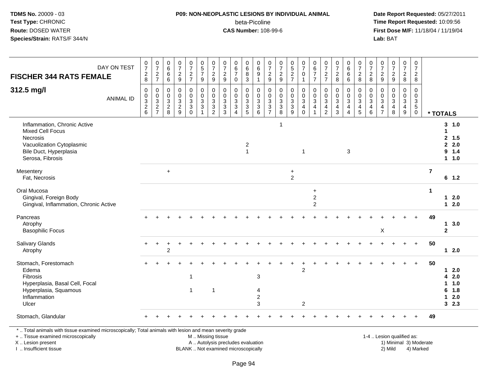### **P09: NON-NEOPLASTIC LESIONS BY INDIVIDUAL ANIMAL**beta-Picoline<br>CAS Number: 108-99-6

 **Date Report Requested:** 05/27/2011 **Time Report Requested:** 10:09:56 **First Dose M/F:** 11/18/04 / 11/19/04 Lab: BAT **Lab:** BAT

| DAY ON TEST                                                                                                                                           | $\frac{0}{7}$                                               | $\begin{array}{c} 0 \\ 7 \end{array}$                          | 0<br>$\,6$<br>$\,6$            | $\frac{0}{7}$                     | $\frac{0}{7}$<br>$\overline{a}$                                                 | $\begin{array}{c} 0 \\ 5 \\ 7 \end{array}$ | $\frac{0}{7}$<br>$\overline{c}$                                        | $\frac{0}{7}$                   | 0<br>$6\phantom{a}$<br>$\overline{7}$                               | 0<br>$6\phantom{1}6$<br>$\, 8$                                                 | 0<br>$\,6\,$<br>$\boldsymbol{9}$                                    | 0<br>$\overline{7}$                                                   | 0<br>$\overline{7}$<br>$\overline{a}$               | $\begin{array}{c} 0 \\ 5 \\ 2 \end{array}$ | $\frac{0}{7}$<br>$\mathbf 0$                                          | 0<br>$6\phantom{a}$<br>$\overline{7}$                | 0<br>$\overline{7}$<br>$\overline{c}$                                | $\frac{0}{7}$<br>$\overline{c}$                                                           | 0<br>$6\phantom{a}$<br>6                                         | $\frac{0}{7}$                                        | $\frac{0}{7}$<br>$\overline{2}$ | $\frac{0}{7}$<br>$\overline{c}$                      | $\begin{array}{c} 0 \\ 7 \end{array}$<br>$\overline{c}$ | 0<br>$\overline{7}$                                                                   | 0<br>$\overline{7}$<br>$\overline{2}$                                    |                |                                 |                                           |
|-------------------------------------------------------------------------------------------------------------------------------------------------------|-------------------------------------------------------------|----------------------------------------------------------------|--------------------------------|-----------------------------------|---------------------------------------------------------------------------------|--------------------------------------------|------------------------------------------------------------------------|---------------------------------|---------------------------------------------------------------------|--------------------------------------------------------------------------------|---------------------------------------------------------------------|-----------------------------------------------------------------------|-----------------------------------------------------|--------------------------------------------|-----------------------------------------------------------------------|------------------------------------------------------|----------------------------------------------------------------------|-------------------------------------------------------------------------------------------|------------------------------------------------------------------|------------------------------------------------------|---------------------------------|------------------------------------------------------|---------------------------------------------------------|---------------------------------------------------------------------------------------|--------------------------------------------------------------------------|----------------|---------------------------------|-------------------------------------------|
| <b>FISCHER 344 RATS FEMALE</b>                                                                                                                        | $_{\rm 8}^2$                                                | $\frac{2}{7}$                                                  | 6                              | $\frac{2}{9}$                     | $\overline{7}$                                                                  | 9                                          | $\boldsymbol{9}$                                                       | $\frac{2}{9}$                   | $\mathbf 0$                                                         | $\mathsf 3$                                                                    | $\mathbf{1}$                                                        | $\frac{2}{9}$                                                         | $\boldsymbol{9}$                                    | $\overline{7}$                             | $\mathbf 1$                                                           | $\overline{7}$                                       | $\overline{7}$                                                       | 8                                                                                         | 6                                                                | $_{8}^2$                                             | 8                               | 9                                                    | $\boldsymbol{9}$                                        | $\frac{2}{8}$                                                                         | 8                                                                        |                |                                 |                                           |
| 312.5 mg/l<br><b>ANIMAL ID</b>                                                                                                                        | $\mathbf 0$<br>$\pmb{0}$<br>$\overline{3}$<br>$\frac{2}{6}$ | $\mathbf 0$<br>$\begin{array}{c} 0 \\ 3 \\ 2 \\ 7 \end{array}$ | 0<br>0<br>$\sqrt{3}$<br>$^2_8$ | 0<br>$\mathbf 0$<br>$\frac{3}{2}$ | $\mathbf 0$<br>$\boldsymbol{0}$<br>$\overline{3}$<br>$\overline{3}$<br>$\Omega$ | 0<br>$\frac{0}{3}$<br>$\overline{1}$       | $\mathbf 0$<br>$\pmb{0}$<br>$\begin{array}{c} 3 \\ 3 \\ 2 \end{array}$ | 0<br>$\pmb{0}$<br>$\frac{3}{3}$ | $\mathbf{0}$<br>$\mathbf 0$<br>$\sqrt{3}$<br>$\sqrt{3}$<br>$\Delta$ | $\mathbf 0$<br>$\pmb{0}$<br>$\overline{3}$<br>$\overline{3}$<br>$\overline{5}$ | $\mathbf 0$<br>$\mathbf 0$<br>$\overline{3}$<br>$\overline{3}$<br>6 | $\mathbf 0$<br>$\mathsf{O}\xspace$<br>$\frac{3}{3}$<br>$\overline{7}$ | 0<br>$\mathbf 0$<br>$\frac{3}{3}$<br>$\overline{8}$ | 0<br>$\frac{0}{3}$<br>$\overline{9}$       | $\mathbf{0}$<br>$\overline{0}$<br>$\overline{3}$<br>4<br>$\mathbf{0}$ | $\mathbf 0$<br>$_{3}^{\rm 0}$<br>4<br>$\overline{1}$ | 0<br>$\mathbf 0$<br>$\mathbf{3}$<br>$\overline{4}$<br>$\overline{2}$ | $\mathbf 0$<br>$\mathbf 0$<br>$\overline{3}$<br>$\overline{\mathbf{4}}$<br>$\overline{3}$ | 0<br>$\mathsf{O}$<br>$\mathbf{3}$<br>4<br>$\boldsymbol{\Lambda}$ | 0<br>$\begin{array}{c} 0 \\ 3 \\ 4 \\ 5 \end{array}$ | 0<br>0<br>3<br>4<br>6           | 0<br>0<br>$\ensuremath{\mathsf{3}}$<br>$\frac{4}{7}$ | $\mathbf 0$<br>$_{3}^{\rm 0}$<br>$\overline{4}$<br>8    | $\mathbf 0$<br>$\mathbf 0$<br>$\overline{3}$<br>$\begin{array}{c} 4 \\ 9 \end{array}$ | $\mathbf 0$<br>$\mathbf 0$<br>$\mathbf{3}$<br>$\,$ 5 $\,$<br>$\mathbf 0$ | * TOTALS       |                                 |                                           |
| Inflammation, Chronic Active<br><b>Mixed Cell Focus</b><br><b>Necrosis</b><br>Vacuolization Cytoplasmic<br>Bile Duct, Hyperplasia<br>Serosa, Fibrosis |                                                             |                                                                |                                |                                   |                                                                                 |                                            |                                                                        |                                 |                                                                     | 2<br>$\mathbf{1}$                                                              |                                                                     |                                                                       | -1                                                  |                                            | $\mathbf{1}$                                                          |                                                      |                                                                      |                                                                                           | $\mathbf{3}$                                                     |                                                      |                                 |                                                      |                                                         |                                                                                       |                                                                          |                | 1<br>$\overline{2}$<br>9        | 3, 1.0<br>2, 1.5<br>2.0<br>1.4<br>$1 1.0$ |
| Mesentery<br>Fat, Necrosis                                                                                                                            |                                                             |                                                                | $\ddot{}$                      |                                   |                                                                                 |                                            |                                                                        |                                 |                                                                     |                                                                                |                                                                     |                                                                       |                                                     | $+$<br>$\overline{2}$                      |                                                                       |                                                      |                                                                      |                                                                                           |                                                                  |                                                      |                                 |                                                      |                                                         |                                                                                       |                                                                          | $\overline{7}$ |                                 | $6$ 1.2                                   |
| Oral Mucosa<br>Gingival, Foreign Body<br>Gingival, Inflammation, Chronic Active                                                                       |                                                             |                                                                |                                |                                   |                                                                                 |                                            |                                                                        |                                 |                                                                     |                                                                                |                                                                     |                                                                       |                                                     |                                            |                                                                       | $\ddot{}$<br>$\sqrt{2}$<br>2                         |                                                                      |                                                                                           |                                                                  |                                                      |                                 |                                                      |                                                         |                                                                                       |                                                                          | 1              |                                 | $12.0$<br>$12.0$                          |
| Pancreas<br>Atrophy<br><b>Basophilic Focus</b>                                                                                                        |                                                             |                                                                |                                |                                   |                                                                                 |                                            |                                                                        |                                 |                                                                     |                                                                                |                                                                     |                                                                       |                                                     |                                            |                                                                       |                                                      |                                                                      |                                                                                           |                                                                  |                                                      |                                 | $\boldsymbol{\mathsf{X}}$                            |                                                         |                                                                                       | $+$                                                                      | 49             | 1<br>$\boldsymbol{2}$           | 3.0                                       |
| Salivary Glands<br>Atrophy                                                                                                                            | $+$                                                         | $\ddot{}$                                                      | 2                              |                                   |                                                                                 |                                            |                                                                        |                                 |                                                                     |                                                                                |                                                                     |                                                                       |                                                     |                                            |                                                                       |                                                      |                                                                      |                                                                                           |                                                                  |                                                      |                                 |                                                      |                                                         |                                                                                       | $\ddot{}$                                                                | 50             |                                 | $12.0$                                    |
| Stomach, Forestomach<br>Edema<br>Fibrosis<br>Hyperplasia, Basal Cell, Focal<br>Hyperplasia, Squamous<br>Inflammation<br>Ulcer                         |                                                             |                                                                |                                |                                   | 1<br>$\mathbf{1}$                                                               |                                            | -1                                                                     |                                 |                                                                     |                                                                                | 3<br>4<br>$\overline{c}$<br>3                                       |                                                                       |                                                     |                                            | $\overline{2}$<br>$\overline{2}$                                      |                                                      |                                                                      |                                                                                           |                                                                  |                                                      |                                 |                                                      |                                                         |                                                                                       | ÷                                                                        | 50             | $\mathbf 1$<br>4<br>1<br>6<br>1 | 2.0<br>2.0<br>1.0<br>1.8<br>2.0<br>32.3   |
| Stomach, Glandular                                                                                                                                    |                                                             |                                                                |                                |                                   |                                                                                 |                                            |                                                                        |                                 |                                                                     |                                                                                |                                                                     |                                                                       |                                                     |                                            |                                                                       |                                                      |                                                                      |                                                                                           |                                                                  |                                                      |                                 |                                                      |                                                         |                                                                                       |                                                                          | 49             |                                 |                                           |

+ .. Tissue examined microscopically

X .. Lesion present

I .. Insufficient tissue

BLANK .. Not examined microscopically

 1-4 .. Lesion qualified as: A .. Autolysis precludes evaluation 19 (1999) 1999 10: 12 (1999) 1999 10: 12 (1999) A .. Autolysis precludes evaluation 1999 10: 13 (1999) 1999 10: 13 (1999) 1999 10: 13 (1999) 1999 10: 13 (1999) 1999 10: 13 (1999) 1999 10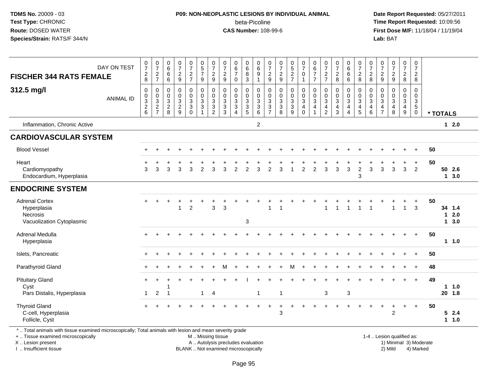### **P09: NON-NEOPLASTIC LESIONS BY INDIVIDUAL ANIMAL**beta-Picoline<br>CAS Number: 108-99-6

 **Date Report Requested:** 05/27/2011 **Time Report Requested:** 10:09:56 **First Dose M/F:** 11/18/04 / 11/19/04<br>Lab: BAT **Lab:** BAT

| DAY ON TEST<br><b>FISCHER 344 RATS FEMALE</b>                                 | $\frac{0}{7}$<br>$_{8}^{\rm 2}$                      | $\frac{0}{7}$<br>$\frac{2}{7}$                                 | $\begin{array}{c} 0 \\ 6 \end{array}$<br>$\,6\,$<br>$\,6\,$     | $\frac{0}{7}$<br>$\sqrt{2}$<br>9                        | $\frac{0}{7}$<br>$\frac{2}{7}$                                  | $\begin{array}{c} 0 \\ 5 \\ 7 \end{array}$<br>9                                         | $\frac{0}{7}$<br>$\frac{2}{9}$                                                    | $\boldsymbol{0}$<br>$\overline{7}$<br>$\frac{2}{9}$     | $\begin{array}{c} 0 \\ 6 \end{array}$<br>$\overline{7}$<br>$\mathbf 0$                   | $\begin{array}{c} 0 \\ 6 \end{array}$<br>$\bf 8$<br>$\mathbf{3}$       | 0<br>$\,6\,$<br>$9\,$<br>$\overline{1}$                   | $\frac{0}{7}$<br>$\frac{2}{9}$                                       | $\frac{0}{7}$<br>$\frac{2}{9}$                              | $0$<br>5<br>2<br>7                                                        | $\begin{smallmatrix}0\\7\end{smallmatrix}$<br>$\mathbf 0$<br>$\overline{1}$      | $\begin{array}{c} 0 \\ 6 \end{array}$<br>$\frac{7}{7}$                                 | $\frac{0}{7}$<br>$\frac{2}{7}$                                   | $\begin{array}{c} 0 \\ 7 \end{array}$<br>$_{\rm 8}^2$                     | $_{6}^{\rm 0}$<br>$\,6\,$<br>$\,6\,$                              | $\frac{0}{7}$<br>$_{\rm 8}^2$                                                  | $\frac{0}{7}$<br>$_{\rm 8}^2$                   | $\frac{0}{7}$<br>$\frac{2}{9}$                                              | $\begin{smallmatrix}0\\7\end{smallmatrix}$<br>$\frac{2}{9}$            | $\begin{smallmatrix}0\\7\end{smallmatrix}$<br>$\frac{2}{8}$                 | $\frac{0}{7}$<br>$\overline{c}$<br>8                                                   |          |                            |             |
|-------------------------------------------------------------------------------|------------------------------------------------------|----------------------------------------------------------------|-----------------------------------------------------------------|---------------------------------------------------------|-----------------------------------------------------------------|-----------------------------------------------------------------------------------------|-----------------------------------------------------------------------------------|---------------------------------------------------------|------------------------------------------------------------------------------------------|------------------------------------------------------------------------|-----------------------------------------------------------|----------------------------------------------------------------------|-------------------------------------------------------------|---------------------------------------------------------------------------|----------------------------------------------------------------------------------|----------------------------------------------------------------------------------------|------------------------------------------------------------------|---------------------------------------------------------------------------|-------------------------------------------------------------------|--------------------------------------------------------------------------------|-------------------------------------------------|-----------------------------------------------------------------------------|------------------------------------------------------------------------|-----------------------------------------------------------------------------|----------------------------------------------------------------------------------------|----------|----------------------------|-------------|
| 312.5 mg/l<br><b>ANIMAL ID</b>                                                | 0<br>$\begin{array}{c} 0 \\ 3 \\ 2 \\ 6 \end{array}$ | $\pmb{0}$<br>$\begin{array}{c}\n0 \\ 3 \\ 2 \\ 7\n\end{array}$ | 0<br>$\mathbf 0$<br>$\mathbf{3}$<br>$\boldsymbol{2}$<br>$\,8\,$ | 0<br>$\pmb{0}$<br>$\overline{3}$<br>$\overline{2}$<br>9 | 0<br>$\pmb{0}$<br>$\mathbf{3}$<br>$\overline{3}$<br>$\mathbf 0$ | 0<br>$\ddot{\mathbf{0}}$<br>$\overline{3}$<br>$\overline{3}$<br>$\overline{\mathbf{1}}$ | $\pmb{0}$<br>$\overline{0}$<br>$\overline{3}$<br>$\overline{3}$<br>$\overline{c}$ | 0<br>$\mathbf 0$<br>$\overline{3}$<br>$\mathbf{3}$<br>3 | $\mathbf 0$<br>$\mathsf 0$<br>$\overline{3}$<br>$\overline{3}$<br>$\boldsymbol{\Lambda}$ | 0<br>$\mathbf 0$<br>$\overline{3}$<br>$\overline{3}$<br>$\overline{5}$ | $\mathbf 0$<br>$\overline{0}$<br>$\frac{3}{3}$<br>$\,6\,$ | 0<br>$\pmb{0}$<br>$\overline{3}$<br>$\overline{3}$<br>$\overline{7}$ | $\mathbf 0$<br>$\pmb{0}$<br>$\frac{3}{3}$<br>$\overline{8}$ | $\pmb{0}$<br>$\begin{array}{c} 0 \\ 3 \\ 3 \end{array}$<br>$\overline{9}$ | $\mathbf 0$<br>$\overline{0}$<br>$\overline{3}$<br>$\overline{a}$<br>$\mathbf 0$ | $\overline{0}$<br>$\overline{0}$<br>$\overline{3}$<br>$\overline{4}$<br>$\overline{1}$ | 0<br>$\pmb{0}$<br>$\sqrt{3}$<br>$\overline{4}$<br>$\overline{c}$ | $\pmb{0}$<br>$\ddot{\mathbf{0}}$<br>$\overline{3}$<br>$\overline{4}$<br>3 | 0<br>$\mathsf{O}\xspace$<br>$\overline{3}$<br>$\overline{4}$<br>4 | 0<br>$\ddot{\mathbf{0}}$<br>$\overline{3}$<br>$\overline{4}$<br>$\overline{5}$ | 0<br>$\overline{0}$<br>3<br>$\overline{4}$<br>6 | $\mathbf 0$<br>$\mathsf{O}\xspace$<br>$\overline{3}$<br>4<br>$\overline{7}$ | $\mathbf 0$<br>$\overline{0}$<br>$\overline{3}$<br>$\overline{4}$<br>8 | 0<br>$\mathsf{O}\xspace$<br>$\overline{3}$<br>$\overline{4}$<br>$\mathsf g$ | 0<br>$\mathsf{O}\xspace$<br>$\ensuremath{\mathsf{3}}$<br>$\overline{5}$<br>$\mathbf 0$ | * TOTALS |                            |             |
| Inflammation, Chronic Active                                                  |                                                      |                                                                |                                                                 |                                                         |                                                                 |                                                                                         |                                                                                   |                                                         |                                                                                          |                                                                        | $\overline{c}$                                            |                                                                      |                                                             |                                                                           |                                                                                  |                                                                                        |                                                                  |                                                                           |                                                                   |                                                                                |                                                 |                                                                             |                                                                        |                                                                             |                                                                                        |          |                            | $12.0$      |
| <b>CARDIOVASCULAR SYSTEM</b>                                                  |                                                      |                                                                |                                                                 |                                                         |                                                                 |                                                                                         |                                                                                   |                                                         |                                                                                          |                                                                        |                                                           |                                                                      |                                                             |                                                                           |                                                                                  |                                                                                        |                                                                  |                                                                           |                                                                   |                                                                                |                                                 |                                                                             |                                                                        |                                                                             |                                                                                        |          |                            |             |
| <b>Blood Vessel</b>                                                           |                                                      |                                                                |                                                                 |                                                         |                                                                 |                                                                                         |                                                                                   |                                                         |                                                                                          |                                                                        |                                                           |                                                                      |                                                             |                                                                           |                                                                                  |                                                                                        |                                                                  |                                                                           |                                                                   |                                                                                |                                                 |                                                                             |                                                                        |                                                                             | $\ddot{}$                                                                              | 50       |                            |             |
| Heart<br>Cardiomyopathy<br>Endocardium, Hyperplasia                           | 3                                                    | 3                                                              | 3                                                               | 3                                                       | 3                                                               | $\overline{2}$                                                                          | 3                                                                                 | 3                                                       | 2                                                                                        | $\overline{2}$                                                         | 3                                                         | $\overline{2}$                                                       | 3                                                           | $\overline{ }$                                                            | $\overline{2}$                                                                   | $\overline{2}$                                                                         | 3                                                                | 3                                                                         | 3                                                                 | $\overline{c}$<br>3                                                            | 3                                               | 3                                                                           | 3                                                                      | 3                                                                           | $\ddot{}$<br>$\overline{2}$                                                            | 50       | 50 2.6                     | 13.0        |
| <b>ENDOCRINE SYSTEM</b>                                                       |                                                      |                                                                |                                                                 |                                                         |                                                                 |                                                                                         |                                                                                   |                                                         |                                                                                          |                                                                        |                                                           |                                                                      |                                                             |                                                                           |                                                                                  |                                                                                        |                                                                  |                                                                           |                                                                   |                                                                                |                                                 |                                                                             |                                                                        |                                                                             |                                                                                        |          |                            |             |
| <b>Adrenal Cortex</b><br>Hyperplasia<br>Necrosis<br>Vacuolization Cytoplasmic |                                                      |                                                                |                                                                 | 1                                                       | $\overline{2}$                                                  |                                                                                         | $\mathbf{3}$                                                                      | $\mathbf{3}$                                            |                                                                                          | 3                                                                      |                                                           |                                                                      |                                                             |                                                                           |                                                                                  |                                                                                        |                                                                  |                                                                           |                                                                   |                                                                                |                                                 |                                                                             | $\overline{1}$                                                         | $\mathbf{1}$                                                                | 3                                                                                      | 50       | 34 1.4<br>1<br>$\mathbf 1$ | 2.0<br>3.0  |
| Adrenal Medulla<br>Hyperplasia                                                |                                                      |                                                                |                                                                 |                                                         |                                                                 |                                                                                         |                                                                                   |                                                         |                                                                                          |                                                                        |                                                           |                                                                      |                                                             |                                                                           |                                                                                  |                                                                                        |                                                                  |                                                                           |                                                                   |                                                                                |                                                 |                                                                             |                                                                        |                                                                             | $+$                                                                                    | 50       |                            | $1 1.0$     |
| Islets, Pancreatic                                                            |                                                      |                                                                |                                                                 |                                                         |                                                                 |                                                                                         |                                                                                   |                                                         |                                                                                          |                                                                        |                                                           |                                                                      |                                                             |                                                                           |                                                                                  |                                                                                        |                                                                  |                                                                           |                                                                   |                                                                                |                                                 |                                                                             |                                                                        |                                                                             | $\div$                                                                                 | 50       |                            |             |
| Parathyroid Gland                                                             |                                                      |                                                                |                                                                 |                                                         |                                                                 |                                                                                         |                                                                                   |                                                         |                                                                                          |                                                                        |                                                           |                                                                      |                                                             |                                                                           |                                                                                  |                                                                                        |                                                                  |                                                                           |                                                                   |                                                                                |                                                 |                                                                             |                                                                        |                                                                             |                                                                                        | 48       |                            |             |
| <b>Pituitary Gland</b><br>Cyst<br>Pars Distalis, Hyperplasia                  | $+$<br>-1                                            | 2                                                              | $\overline{1}$                                                  |                                                         |                                                                 | 1                                                                                       | $\overline{4}$                                                                    |                                                         |                                                                                          |                                                                        | $\mathbf 1$                                               |                                                                      | -1                                                          |                                                                           |                                                                                  |                                                                                        | 3                                                                |                                                                           | 3                                                                 |                                                                                |                                                 |                                                                             |                                                                        |                                                                             |                                                                                        | 49       | 20 1.8                     | 1 1.0       |
| <b>Thyroid Gland</b><br>C-cell, Hyperplasia<br>Follicle, Cyst                 | $+$                                                  |                                                                |                                                                 |                                                         |                                                                 |                                                                                         |                                                                                   |                                                         |                                                                                          |                                                                        |                                                           | $\ddot{}$                                                            | 3                                                           | $\ddot{}$                                                                 |                                                                                  |                                                                                        |                                                                  |                                                                           |                                                                   |                                                                                |                                                 |                                                                             | $\overline{c}$                                                         | $\ddot{}$                                                                   | $\ddot{}$                                                                              | 50       |                            | 52.4<br>1.0 |

\* .. Total animals with tissue examined microscopically; Total animals with lesion and mean severity grade

+ .. Tissue examined microscopically

X .. Lesion present

I .. Insufficient tissue

 M .. Missing tissueA .. Autolysis precludes evaluation

BLANK .. Not examined microscopically 2) Mild 4) Marked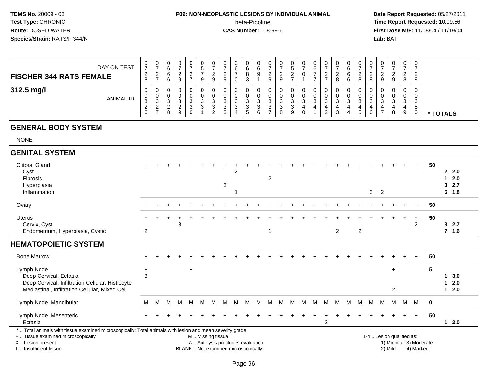### **P09: NON-NEOPLASTIC LESIONS BY INDIVIDUAL ANIMAL**beta-Picoline<br>CAS Number: 108-99-6

 **Date Report Requested:** 05/27/2011 **Time Report Requested:** 10:09:56 **First Dose M/F:** 11/18/04 / 11/19/04<br>Lab: BAT **Lab:** BAT

| DAY ON TEST<br><b>FISCHER 344 RATS FEMALE</b> | v<br>$\epsilon$<br>8              | v<br>∼                    | 0<br>⌒<br>ь<br>6<br>⌒<br>ь                   | υ<br><u>_</u><br>9      | 0<br>-<br>റ<br><u>_</u><br>$\rightarrow$ | 0<br>G<br>9                | ັບ<br><u>_</u><br>$\Omega$ | -      | v<br>6           | $\mathbf{0}$<br>6<br>8<br>3 | U<br>6            | 0<br>9           |        | -<br>-      | O                | 0<br>6<br>- | U<br>-<br><u>_</u><br>$\rightarrow$ | 0<br>$\sim$<br>8                           | c  | 0<br>-<br>$\sim$<br>8                         | U<br>ົ<br><u>_</u><br>8 | -9                  | v<br>9                  | $\mathbf 0$<br>ົ<br>-<br>8   | _           |          |
|-----------------------------------------------|-----------------------------------|---------------------------|----------------------------------------------|-------------------------|------------------------------------------|----------------------------|----------------------------|--------|------------------|-----------------------------|-------------------|------------------|--------|-------------|------------------|-------------|-------------------------------------|--------------------------------------------|----|-----------------------------------------------|-------------------------|---------------------|-------------------------|------------------------------|-------------|----------|
| 312.5 mg/l<br><b>ANIMAL ID</b>                | 0<br>U<br>ົ<br>ັ<br><u>_</u><br>6 | v<br>U<br>- 0<br><u>_</u> | υ<br>0<br>د<br><sup>o</sup><br><u>_</u><br>8 | ◠<br>J<br><u>_</u><br>9 | 3<br>3<br>$\mathbf 0$                    | 0<br>0<br>ົ<br>ັ<br>ົ<br>◡ | ັ<br>◠<br>ູບ<br>っ          | P<br>ت | U<br>J<br>◠<br>P | 0<br>3<br>3<br>5            | υ<br>J<br>J.<br>6 | U<br>U<br>3<br>3 | ັ<br>8 | 3<br>P<br>9 | U<br>U<br>3<br>0 | 0<br>ົ<br>◡ | U<br>U<br>3<br>4<br>っ               | 0<br>0<br><sup>o</sup><br>ٮ<br>$\sim$<br>ٮ | ۰J | 0<br>0<br>3<br>$\overline{ }$<br><sub>5</sub> | ົ<br>J<br>6             | -3<br>$\rightarrow$ | ັບ<br>ັບ<br>ົ<br>ັ<br>8 | υ<br>$\Omega$<br>ت<br>4<br>9 | $\sim$<br>G | * TOTALS |

### **GENERAL BODY SYSTEM**

NONE

### **GENITAL SYSTEM**

| <b>Clitoral Gland</b><br>Cyst<br><b>Fibrosis</b><br>Hyperplasia<br>Inflammation                                                                                                               |        |   |   |   |                                     |                   |   | 3 | 2 |   |                                   | $\overline{c}$ |   |   |   |   |   |                |   |   | 3 <sup>1</sup> | $\overline{2}$ |                                      |   |                                     | 50              | 2.2.0<br>2.0<br>32.7<br>6 1.8                       |  |
|-----------------------------------------------------------------------------------------------------------------------------------------------------------------------------------------------|--------|---|---|---|-------------------------------------|-------------------|---|---|---|---|-----------------------------------|----------------|---|---|---|---|---|----------------|---|---|----------------|----------------|--------------------------------------|---|-------------------------------------|-----------------|-----------------------------------------------------|--|
|                                                                                                                                                                                               |        |   |   |   |                                     |                   |   |   |   |   |                                   |                |   |   |   |   |   |                |   |   |                |                |                                      |   |                                     |                 |                                                     |  |
| Ovary                                                                                                                                                                                         |        |   |   |   |                                     |                   |   |   |   |   |                                   |                |   |   |   |   |   |                |   |   |                |                |                                      |   |                                     | 50              |                                                     |  |
| <b>Uterus</b><br>Cervix, Cyst                                                                                                                                                                 |        |   |   | 3 |                                     |                   |   |   |   |   |                                   |                |   |   |   |   |   |                |   |   |                |                |                                      |   | $\pm$<br>$\overline{2}$             | 50              | 32.7                                                |  |
| Endometrium, Hyperplasia, Cystic                                                                                                                                                              | 2      |   |   |   |                                     |                   |   |   |   |   |                                   |                |   |   |   |   |   | $\overline{2}$ |   | 2 |                |                |                                      |   |                                     |                 | 7 <sub>1.6</sub>                                    |  |
| <b>HEMATOPOIETIC SYSTEM</b>                                                                                                                                                                   |        |   |   |   |                                     |                   |   |   |   |   |                                   |                |   |   |   |   |   |                |   |   |                |                |                                      |   |                                     |                 |                                                     |  |
| <b>Bone Marrow</b>                                                                                                                                                                            |        |   |   |   |                                     |                   |   |   |   |   |                                   |                |   |   |   |   |   |                |   |   |                |                |                                      |   |                                     | 50              |                                                     |  |
| Lymph Node<br>Deep Cervical, Ectasia<br>Deep Cervical, Infiltration Cellular, Histiocyte<br>Mediastinal, Infiltration Cellular, Mixed Cell                                                    | +<br>3 |   |   |   | $\ddot{}$                           |                   |   |   |   |   |                                   |                |   |   |   |   |   |                |   |   |                |                | $+$<br>$\overline{2}$                |   |                                     | $5\phantom{.0}$ | 3.0<br>$\overline{1}$<br>2.0<br>1.<br>$1 \quad 2.0$ |  |
| Lymph Node, Mandibular                                                                                                                                                                        | M      | M | M | M | M                                   | M                 | м | м | M | м | M                                 | м              | M | M | м | M | м | м              | M | M | м              | М              | M                                    | M | M                                   | $\mathbf 0$     |                                                     |  |
| Lymph Node, Mesenteric<br>Ectasia                                                                                                                                                             |        |   |   |   |                                     |                   |   |   |   |   |                                   |                |   |   |   |   | 2 |                |   |   |                |                |                                      |   | $\ddot{}$                           | 50              | $1 \quad 2.0$                                       |  |
| *  Total animals with tissue examined microscopically; Total animals with lesion and mean severity grade<br>+  Tissue examined microscopically<br>X  Lesion present<br>I. Insufficient tissue |        |   |   |   | BLANK  Not examined microscopically | M  Missing tissue |   |   |   |   | A  Autolysis precludes evaluation |                |   |   |   |   |   |                |   |   |                |                | 1-4  Lesion qualified as:<br>2) Mild |   | 1) Minimal 3) Moderate<br>4) Marked |                 |                                                     |  |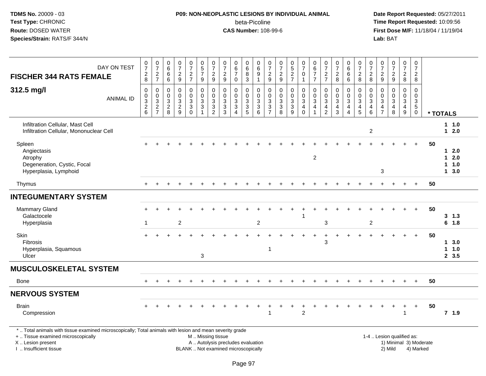### **P09: NON-NEOPLASTIC LESIONS BY INDIVIDUAL ANIMAL**beta-Picoline<br>CAS Number: 108-99-6

 **Date Report Requested:** 05/27/2011 **Time Report Requested:** 10:09:56 **First Dose M/F:** 11/18/04 / 11/19/04 Lab: BAT **Lab:** BAT

| <b>FISCHER 344 RATS FEMALE</b>                                                                                                                                                                | DAY ON TEST      | $\frac{0}{7}$<br>$_{8}^2$           | $\frac{0}{7}$<br>$\frac{2}{7}$                | $\pmb{0}$<br>$\,6\,$<br>$6\phantom{1}6$<br>$\,6\,$        | 0<br>$\overline{7}$<br>$\frac{2}{9}$             | $\frac{0}{7}$<br>$\frac{2}{7}$                 | $\begin{array}{c} 0 \\ 5 \end{array}$<br>$\boldsymbol{7}$<br>$\mathsf g$ | $\frac{0}{7}$<br>$\overline{c}$<br>$\boldsymbol{9}$                    | $\frac{0}{7}$<br>$\frac{2}{9}$                                           | $\pmb{0}$<br>$6\phantom{a}$<br>$\overline{7}$<br>$\mathbf 0$                      | 0<br>$6\phantom{a}$<br>$\bf 8$<br>3    | 0<br>$6\overline{6}$<br>$\boldsymbol{9}$<br>$\mathbf{1}$ | 0<br>$\overline{7}$<br>$\frac{2}{9}$         | 0<br>$\overline{7}$<br>$\frac{2}{9}$   | $0$<br>5<br>2<br>7                                       | $\frac{0}{7}$<br>$\boldsymbol{0}$<br>$\mathbf{1}$  | 0<br>6<br>$\boldsymbol{7}$<br>$\overline{7}$                                           | 0<br>$\overline{7}$<br>$\frac{2}{7}$                                 | 0<br>$\overline{7}$<br>$\boldsymbol{2}$<br>8                      | 0<br>6<br>$\,6$<br>$6\phantom{1}$                                              | 0<br>$\overline{7}$<br>$^2_{\bf 8}$                   | 0<br>$\overline{7}$<br>$\frac{2}{8}$                              | 0<br>$\overline{7}$<br>$\frac{2}{9}$                             | $\frac{0}{7}$<br>$\frac{2}{9}$                                        | $\frac{0}{7}$<br>$\frac{2}{8}$                            | $\boldsymbol{0}$<br>$\overline{7}$<br>$\overline{a}$<br>$\bf 8$ |    |             |                                 |  |
|-----------------------------------------------------------------------------------------------------------------------------------------------------------------------------------------------|------------------|-------------------------------------|-----------------------------------------------|-----------------------------------------------------------|--------------------------------------------------|------------------------------------------------|--------------------------------------------------------------------------|------------------------------------------------------------------------|--------------------------------------------------------------------------|-----------------------------------------------------------------------------------|----------------------------------------|----------------------------------------------------------|----------------------------------------------|----------------------------------------|----------------------------------------------------------|----------------------------------------------------|----------------------------------------------------------------------------------------|----------------------------------------------------------------------|-------------------------------------------------------------------|--------------------------------------------------------------------------------|-------------------------------------------------------|-------------------------------------------------------------------|------------------------------------------------------------------|-----------------------------------------------------------------------|-----------------------------------------------------------|-----------------------------------------------------------------|----|-------------|---------------------------------|--|
| 312.5 mg/l                                                                                                                                                                                    | <b>ANIMAL ID</b> | 0<br>$\mathbf 0$<br>$\frac{3}{2}$ 6 | $\mathbf 0$<br>$\frac{0}{2}$<br>$\frac{3}{7}$ | $\mathbf 0$<br>$\mathbf 0$<br>$\sqrt{3}$<br>$\frac{2}{8}$ | $\mathbf 0$<br>$\mathbf 0$<br>3<br>$\frac{2}{9}$ | 0<br>$\ddot{\mathbf{0}}$<br>3<br>3<br>$\Omega$ | $\mathbf 0$<br>$\boldsymbol{0}$<br>$\frac{3}{3}$<br>$\overline{1}$       | 0<br>$\ddot{\mathbf{0}}$<br>$\ensuremath{\mathsf{3}}$<br>$\frac{3}{2}$ | $\mathbf 0$<br>$\mathbf 0$<br>$\ensuremath{\mathsf{3}}$<br>$\frac{3}{3}$ | $\mathbf 0$<br>$\mathbf 0$<br>$\ensuremath{\mathsf{3}}$<br>$\sqrt{3}$<br>$\Delta$ | 0<br>$\mathbf 0$<br>3<br>$\frac{3}{5}$ | 0<br>$\overline{0}$<br>$\frac{3}{6}$                     | 0<br>$\mathbf 0$<br>3<br>3<br>$\overline{7}$ | 0<br>$\mathbf 0$<br>3<br>$\frac{3}{8}$ | $\mathbf 0$<br>$\ddot{\mathbf{0}}$<br>$\frac{3}{3}$<br>9 | 0<br>$\mathsf{O}$<br>$\mathbf{3}$<br>4<br>$\Omega$ | $\mathbf 0$<br>$\ddot{\mathbf{0}}$<br>$\mathbf{3}$<br>$\overline{a}$<br>$\overline{1}$ | 0<br>$\mathbf 0$<br>$\mathbf{3}$<br>$\overline{4}$<br>$\overline{2}$ | $\mathbf 0$<br>$\mathbf 0$<br>$\mathbf{3}$<br>$\overline{4}$<br>3 | $\mathbf 0$<br>$\mathsf{O}\xspace$<br>$\sqrt{3}$<br>$\overline{4}$<br>$\Delta$ | 0<br>$\mathbf 0$<br>$\sqrt{3}$<br>$\overline{4}$<br>5 | $\mathbf 0$<br>$\mathbf 0$<br>$\mathbf{3}$<br>$\overline{a}$<br>6 | $\mathbf 0$<br>$\Omega$<br>3<br>$\overline{4}$<br>$\overline{7}$ | $\mathbf 0$<br>$\Omega$<br>$\sqrt{3}$<br>$\overline{\mathbf{4}}$<br>8 | $\mathbf 0$<br>$\overline{0}$<br>3<br>$\overline{4}$<br>9 | $\mathsf 0$<br>$\pmb{0}$<br>$\frac{3}{5}$<br>$\mathbf 0$        |    | * TOTALS    |                                 |  |
| Infiltration Cellular, Mast Cell<br>Infiltration Cellular, Mononuclear Cell                                                                                                                   |                  |                                     |                                               |                                                           |                                                  |                                                |                                                                          |                                                                        |                                                                          |                                                                                   |                                        |                                                          |                                              |                                        |                                                          |                                                    |                                                                                        |                                                                      |                                                                   |                                                                                |                                                       | 2                                                                 |                                                                  |                                                                       |                                                           |                                                                 |    |             | 11.0<br>$12.0$                  |  |
| Spleen<br>Angiectasis<br>Atrophy<br>Degeneration, Cystic, Focal<br>Hyperplasia, Lymphoid                                                                                                      |                  |                                     |                                               |                                                           |                                                  |                                                |                                                                          |                                                                        |                                                                          |                                                                                   |                                        |                                                          |                                              |                                        |                                                          |                                                    | $\boldsymbol{2}$                                                                       |                                                                      |                                                                   |                                                                                |                                                       |                                                                   | 3                                                                |                                                                       |                                                           | $\div$                                                          | 50 | $\mathbf 1$ | $12.0$<br>$12.0$<br>1.0<br>13.0 |  |
| Thymus                                                                                                                                                                                        |                  | $+$                                 |                                               |                                                           |                                                  |                                                |                                                                          |                                                                        |                                                                          |                                                                                   |                                        |                                                          |                                              |                                        |                                                          |                                                    |                                                                                        |                                                                      |                                                                   |                                                                                |                                                       |                                                                   |                                                                  |                                                                       | $+$                                                       | $+$                                                             | 50 |             |                                 |  |
| <b>INTEGUMENTARY SYSTEM</b>                                                                                                                                                                   |                  |                                     |                                               |                                                           |                                                  |                                                |                                                                          |                                                                        |                                                                          |                                                                                   |                                        |                                                          |                                              |                                        |                                                          |                                                    |                                                                                        |                                                                      |                                                                   |                                                                                |                                                       |                                                                   |                                                                  |                                                                       |                                                           |                                                                 |    |             |                                 |  |
| <b>Mammary Gland</b><br>Galactocele<br>Hyperplasia                                                                                                                                            |                  | $\mathbf{1}$                        |                                               |                                                           | $\overline{c}$                                   |                                                |                                                                          |                                                                        |                                                                          |                                                                                   |                                        | 2                                                        |                                              |                                        |                                                          | 1                                                  |                                                                                        | 3                                                                    |                                                                   |                                                                                |                                                       | $\overline{c}$                                                    |                                                                  |                                                                       |                                                           | $\ddot{}$                                                       | 50 |             | 3, 1.3<br>$6 \t1.8$             |  |
| <b>Skin</b><br><b>Fibrosis</b><br>Hyperplasia, Squamous<br>Ulcer                                                                                                                              |                  |                                     |                                               |                                                           |                                                  |                                                | 3                                                                        |                                                                        |                                                                          |                                                                                   |                                        |                                                          | $\mathbf 1$                                  |                                        |                                                          |                                                    |                                                                                        | $\ddot{}$<br>3                                                       |                                                                   |                                                                                |                                                       |                                                                   |                                                                  |                                                                       | $\ddot{}$                                                 | $+$                                                             | 50 |             | $1 \quad 3.0$<br>11.0<br>2, 3.5 |  |
| <b>MUSCULOSKELETAL SYSTEM</b>                                                                                                                                                                 |                  |                                     |                                               |                                                           |                                                  |                                                |                                                                          |                                                                        |                                                                          |                                                                                   |                                        |                                                          |                                              |                                        |                                                          |                                                    |                                                                                        |                                                                      |                                                                   |                                                                                |                                                       |                                                                   |                                                                  |                                                                       |                                                           |                                                                 |    |             |                                 |  |
| Bone                                                                                                                                                                                          |                  |                                     |                                               |                                                           |                                                  |                                                |                                                                          |                                                                        |                                                                          |                                                                                   |                                        |                                                          |                                              |                                        |                                                          |                                                    |                                                                                        |                                                                      |                                                                   |                                                                                |                                                       |                                                                   |                                                                  |                                                                       |                                                           |                                                                 | 50 |             |                                 |  |
| <b>NERVOUS SYSTEM</b>                                                                                                                                                                         |                  |                                     |                                               |                                                           |                                                  |                                                |                                                                          |                                                                        |                                                                          |                                                                                   |                                        |                                                          |                                              |                                        |                                                          |                                                    |                                                                                        |                                                                      |                                                                   |                                                                                |                                                       |                                                                   |                                                                  |                                                                       |                                                           |                                                                 |    |             |                                 |  |
| Brain<br>Compression                                                                                                                                                                          |                  |                                     |                                               |                                                           |                                                  |                                                |                                                                          |                                                                        |                                                                          |                                                                                   |                                        |                                                          | $\blacktriangleleft$                         |                                        |                                                          | $\ddot{}$<br>$\overline{2}$                        |                                                                                        |                                                                      |                                                                   |                                                                                |                                                       |                                                                   |                                                                  |                                                                       | $\ddot{}$                                                 | $+$                                                             | 50 |             | $7$ 1.9                         |  |
| *  Total animals with tissue examined microscopically; Total animals with lesion and mean severity grade<br>+  Tissue examined microscopically<br>X  Lesion present<br>I  Insufficient tissue |                  |                                     |                                               |                                                           |                                                  |                                                | M  Missing tissue                                                        |                                                                        | A  Autolysis precludes evaluation<br>BLANK  Not examined microscopically |                                                                                   |                                        |                                                          |                                              |                                        |                                                          |                                                    |                                                                                        |                                                                      |                                                                   |                                                                                |                                                       |                                                                   |                                                                  | 1-4  Lesion qualified as:<br>1) Minimal 3) Moderate<br>2) Mild        |                                                           | 4) Marked                                                       |    |             |                                 |  |

I .. Insufficient tissue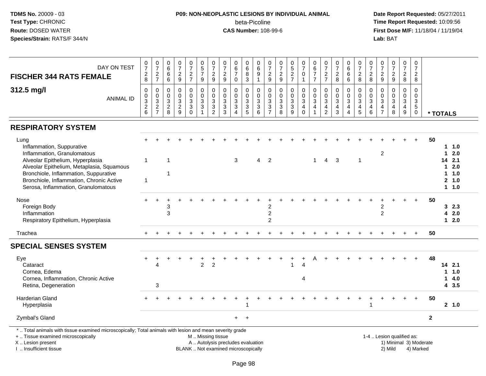### **P09: NON-NEOPLASTIC LESIONS BY INDIVIDUAL ANIMAL**beta-Picoline<br>CAS Number: 108-99-6

 **Date Report Requested:** 05/27/2011 **Time Report Requested:** 10:09:56 **First Dose M/F:** 11/18/04 / 11/19/04<br>Lab: BAT **Lab:** BAT

| DAY ON TEST<br><b>FISCHER 344 RATS FEMALE</b>                                                                                                                                                                                                                                 | $\frac{0}{7}$<br>$_{\rm 8}^2$                                     | $\begin{array}{c} 0 \\ 7 \end{array}$<br>$\frac{2}{7}$        | $\begin{array}{c} 0 \\ 6 \end{array}$<br>6<br>6            | $\begin{array}{c} 0 \\ 7 \end{array}$<br>$\sqrt{2}$<br>9 | $\frac{0}{7}$<br>$\sqrt{2}$<br>$\overline{7}$                             | 0<br>5<br>$\overline{7}$<br>9                                                                 | $\frac{0}{7}$<br>$\boldsymbol{2}$<br>9              | 0<br>$\overline{7}$<br>$\sqrt{2}$<br>9                          | 0<br>$\overline{6}$<br>$\overline{7}$<br>$\Omega$                                    | $\begin{array}{c} 0 \\ 6 \end{array}$<br>$\bf 8$<br>3                                     | 0<br>6<br>$\boldsymbol{9}$<br>$\mathbf{1}$               | 0<br>$\overline{7}$<br>$\sqrt{2}$<br>$\overline{9}$          | $\frac{0}{7}$<br>$\overline{c}$<br>9                                                   | 0<br>5<br>2<br>7                                        | $\begin{smallmatrix}0\\7\end{smallmatrix}$<br>$\mathsf 0$<br>$\mathbf{1}$ | 0<br>$\overline{6}$<br>$\overline{7}$<br>$\overline{7}$ | $\frac{0}{7}$<br>$\sqrt{2}$<br>$\overline{7}$              | $\frac{0}{7}$<br>$\sqrt{2}$<br>8                          | 0<br>6<br>$\,6\,$<br>6                                   | 0<br>$\overline{7}$<br>$\sqrt{2}$<br>8                         | 0<br>$\overline{7}$<br>$\overline{c}$<br>8   | 0<br>$\overline{7}$<br>$\sqrt{2}$<br>9                                   | $\frac{0}{7}$<br>$\frac{2}{9}$                                       | $\mathbf 0$<br>$\overline{7}$<br>$\frac{2}{8}$                  | $\mathbf 0$<br>$\overline{7}$<br>$\boldsymbol{2}$<br>8              |                                     |                       |                                                                 |
|-------------------------------------------------------------------------------------------------------------------------------------------------------------------------------------------------------------------------------------------------------------------------------|-------------------------------------------------------------------|---------------------------------------------------------------|------------------------------------------------------------|----------------------------------------------------------|---------------------------------------------------------------------------|-----------------------------------------------------------------------------------------------|-----------------------------------------------------|-----------------------------------------------------------------|--------------------------------------------------------------------------------------|-------------------------------------------------------------------------------------------|----------------------------------------------------------|--------------------------------------------------------------|----------------------------------------------------------------------------------------|---------------------------------------------------------|---------------------------------------------------------------------------|---------------------------------------------------------|------------------------------------------------------------|-----------------------------------------------------------|----------------------------------------------------------|----------------------------------------------------------------|----------------------------------------------|--------------------------------------------------------------------------|----------------------------------------------------------------------|-----------------------------------------------------------------|---------------------------------------------------------------------|-------------------------------------|-----------------------|-----------------------------------------------------------------|
| 312.5 mg/l<br><b>ANIMAL ID</b>                                                                                                                                                                                                                                                | $\mathbf 0$<br>$\pmb{0}$<br>$\overline{3}$<br>$\overline{c}$<br>6 | $\mathbf 0$<br>$\mathsf 0$<br>$\overline{3}$<br>$\frac{2}{7}$ | $\mathbf 0$<br>$\mathbf 0$<br>$\mathsf 3$<br>$\frac{2}{8}$ | $\Omega$<br>$\Omega$<br>$\sqrt{3}$<br>$\sqrt{2}$<br>9    | $\mathbf 0$<br>0<br>$\mathbf{3}$<br>$\ensuremath{\mathsf{3}}$<br>$\Omega$ | $\mathbf 0$<br>$\mathbf 0$<br>$\ensuremath{\mathsf{3}}$<br>$\ensuremath{\mathsf{3}}$<br>1     | $\Omega$<br>$\mathbf 0$<br>3<br>3<br>$\overline{2}$ | $\mathbf{0}$<br>0<br>$\ensuremath{\mathsf{3}}$<br>$\frac{3}{3}$ | $\Omega$<br>$\mathbf 0$<br>$\ensuremath{\mathsf{3}}$<br>$\sqrt{3}$<br>$\overline{4}$ | $\mathbf 0$<br>$\mathbf 0$<br>$\ensuremath{\mathsf{3}}$<br>$\ensuremath{\mathsf{3}}$<br>5 | $\mathbf 0$<br>$\Omega$<br>$\sqrt{3}$<br>$\sqrt{3}$<br>6 | $\mathbf 0$<br>$\Omega$<br>3<br>$\sqrt{3}$<br>$\overline{7}$ | $\Omega$<br>$\mathbf 0$<br>$\ensuremath{\mathsf{3}}$<br>$\ensuremath{\mathsf{3}}$<br>8 | 0<br>$\mathbf 0$<br>$\overline{3}$<br>$\mathbf{3}$<br>9 | $\Omega$<br>0<br>$\ensuremath{\mathsf{3}}$<br>$\overline{4}$<br>$\Omega$  | $\Omega$<br>$\mathbf 0$<br>$\sqrt{3}$<br>$\overline{4}$ | $\mathbf{0}$<br>$\mathbf 0$<br>$\sqrt{3}$<br>$\frac{4}{2}$ | $\Omega$<br>$\Omega$<br>$\sqrt{3}$<br>$\overline{4}$<br>3 | 0<br>0<br>$\sqrt{3}$<br>$\overline{4}$<br>$\overline{4}$ | $\Omega$<br>$\mathbf 0$<br>$\ensuremath{\mathsf{3}}$<br>4<br>5 | $\Omega$<br>$\Omega$<br>$\sqrt{3}$<br>4<br>6 | $\Omega$<br>$\Omega$<br>$\ensuremath{\mathsf{3}}$<br>4<br>$\overline{7}$ | $\Omega$<br>$\mathbf 0$<br>$\ensuremath{\mathsf{3}}$<br>4<br>$\,8\,$ | $\Omega$<br>$\mathbf{0}$<br>$\mathbf{3}$<br>$\overline{4}$<br>9 | $\Omega$<br>$\Omega$<br>$\sqrt{3}$<br>$\overline{5}$<br>$\mathbf 0$ |                                     | * TOTALS              |                                                                 |
| <b>RESPIRATORY SYSTEM</b>                                                                                                                                                                                                                                                     |                                                                   |                                                               |                                                            |                                                          |                                                                           |                                                                                               |                                                     |                                                                 |                                                                                      |                                                                                           |                                                          |                                                              |                                                                                        |                                                         |                                                                           |                                                         |                                                            |                                                           |                                                          |                                                                |                                              |                                                                          |                                                                      |                                                                 |                                                                     |                                     |                       |                                                                 |
| Lung<br>Inflammation, Suppurative<br>Inflammation, Granulomatous<br>Alveolar Epithelium, Hyperplasia<br>Alveolar Epithelium, Metaplasia, Squamous<br>Bronchiole, Inflammation, Suppurative<br>Bronchiole, Inflammation, Chronic Active<br>Serosa, Inflammation, Granulomatous | $\mathbf{1}$<br>$\mathbf{1}$                                      |                                                               | -1<br>1                                                    |                                                          |                                                                           |                                                                                               |                                                     |                                                                 | 3                                                                                    |                                                                                           | 4                                                        | $\overline{2}$                                               |                                                                                        |                                                         |                                                                           | $\mathbf{1}$                                            | $4 \quad$                                                  | 3                                                         |                                                          | -1                                                             |                                              | $\overline{2}$                                                           |                                                                      |                                                                 |                                                                     | 50                                  | 1<br>1<br>$\mathbf 1$ | $1 \t1.0$<br>2.0<br>14 2.1<br>2.0<br>1.0<br>2, 1.0<br>$1 \t1.0$ |
| Nose<br>Foreign Body<br>Inflammation<br>Respiratory Epithelium, Hyperplasia                                                                                                                                                                                                   |                                                                   |                                                               | 3<br>3                                                     |                                                          |                                                                           |                                                                                               |                                                     |                                                                 |                                                                                      |                                                                                           |                                                          | 2<br>$\overline{c}$<br>$\overline{2}$                        |                                                                                        |                                                         |                                                                           |                                                         |                                                            |                                                           |                                                          |                                                                |                                              | 2<br>$\overline{c}$                                                      |                                                                      |                                                                 | $+$                                                                 | 50                                  | 4<br>$\mathbf{1}$     | 32.3<br>2.0<br>2.0                                              |
| Trachea                                                                                                                                                                                                                                                                       |                                                                   |                                                               |                                                            |                                                          |                                                                           |                                                                                               |                                                     |                                                                 |                                                                                      |                                                                                           |                                                          |                                                              |                                                                                        |                                                         |                                                                           |                                                         |                                                            |                                                           |                                                          |                                                                |                                              |                                                                          |                                                                      |                                                                 |                                                                     | 50                                  |                       |                                                                 |
| <b>SPECIAL SENSES SYSTEM</b>                                                                                                                                                                                                                                                  |                                                                   |                                                               |                                                            |                                                          |                                                                           |                                                                                               |                                                     |                                                                 |                                                                                      |                                                                                           |                                                          |                                                              |                                                                                        |                                                         |                                                                           |                                                         |                                                            |                                                           |                                                          |                                                                |                                              |                                                                          |                                                                      |                                                                 |                                                                     |                                     |                       |                                                                 |
| Eye<br>Cataract<br>Cornea, Edema<br>Cornea, Inflammation, Chronic Active<br>Retina, Degeneration                                                                                                                                                                              | $\ddot{}$                                                         | ٠<br>$\overline{\Lambda}$<br>3                                |                                                            |                                                          |                                                                           | $\overline{2}$                                                                                | $\overline{2}$                                      |                                                                 |                                                                                      |                                                                                           |                                                          |                                                              |                                                                                        |                                                         | 4                                                                         |                                                         |                                                            |                                                           |                                                          |                                                                |                                              |                                                                          |                                                                      |                                                                 |                                                                     | 48                                  | 1                     | 14 2.1<br>$1 \t1.0$<br>4.0<br>43.5                              |
| Harderian Gland<br>Hyperplasia                                                                                                                                                                                                                                                |                                                                   |                                                               |                                                            |                                                          |                                                                           |                                                                                               |                                                     |                                                                 |                                                                                      |                                                                                           |                                                          |                                                              |                                                                                        |                                                         |                                                                           |                                                         |                                                            |                                                           |                                                          |                                                                |                                              |                                                                          |                                                                      |                                                                 | $+$                                                                 | 50                                  |                       | 2 1.0                                                           |
| Zymbal's Gland                                                                                                                                                                                                                                                                |                                                                   |                                                               |                                                            |                                                          |                                                                           |                                                                                               |                                                     |                                                                 | $+$                                                                                  | $+$                                                                                       |                                                          |                                                              |                                                                                        |                                                         |                                                                           |                                                         |                                                            |                                                           |                                                          |                                                                |                                              |                                                                          |                                                                      |                                                                 |                                                                     | $\mathbf{2}$                        |                       |                                                                 |
| *  Total animals with tissue examined microscopically; Total animals with lesion and mean severity grade<br>+  Tissue examined microscopically<br>X  Lesion present<br>I  Insufficient tissue                                                                                 |                                                                   |                                                               |                                                            |                                                          |                                                                           | M  Missing tissue<br>A  Autolysis precludes evaluation<br>BLANK  Not examined microscopically |                                                     |                                                                 |                                                                                      |                                                                                           |                                                          |                                                              |                                                                                        |                                                         |                                                                           |                                                         |                                                            |                                                           |                                                          |                                                                |                                              |                                                                          | 1-4  Lesion qualified as:<br>2) Mild                                 |                                                                 |                                                                     | 1) Minimal 3) Moderate<br>4) Marked |                       |                                                                 |

I .. Insufficient tissue

Page 98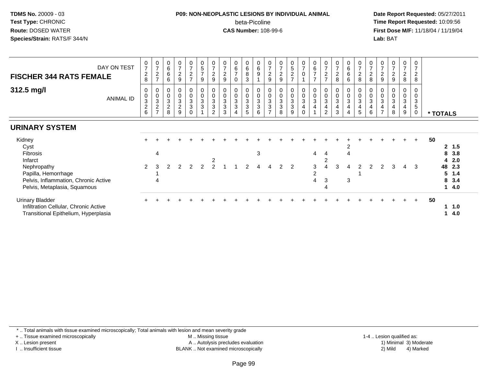#### **P09: NON-NEOPLASTIC LESIONS BY INDIVIDUAL ANIMAL** beta-Picoline**beta-Picoline**<br> **CAS Number:** 108-99-6<br> **CAS Number:** 108-99-6<br> **CAS Number:** 108-99-6

 **Date Report Requested:** 05/27/2011 **First Dose M/F:** 11/18/04 / 11/19/04 Lab: BAT **Lab:** BAT

| DAY ON TEST<br><b>FISCHER 344 RATS FEMALE</b>                                                              | $\frac{0}{7}$<br>$_{\rm 8}^2$                                | $\frac{0}{7}$<br>$\overline{c}$<br>$\rightarrow$                                  | $0$<br>6<br>6<br>6                                  | $\frac{0}{7}$<br>$\overline{c}$<br>9                 | $\frac{0}{7}$<br>$\frac{2}{7}$ | $\,$ 5 $\,$<br>$\overline{7}$<br>9                          | $\frac{0}{7}$<br>$\overline{c}$<br>9       | $\overline{7}$<br>$\boldsymbol{2}$<br>9        | $\begin{matrix} 0 \\ 6 \end{matrix}$<br>$\overline{ }$ | 0<br>$\,6\,$<br>8<br>3        | $\begin{matrix} 0 \\ 6 \\ 9 \end{matrix}$   | $\frac{0}{7}$<br>$\overline{c}$<br>9                                 | $\begin{array}{c} 0 \\ 7 \\ 2 \end{array}$<br>9      | $\begin{array}{c} 0 \\ 5 \\ 2 \end{array}$<br>$\overline{ }$ | $\frac{0}{7}$<br>$\pmb{0}$                                                 | $\begin{array}{c} 0 \\ 6 \\ 7 \end{array}$<br>$\overline{ }$    | $\overline{7}$<br>$\overline{\mathbf{c}}$<br>$\rightarrow$ | $\begin{array}{c} 0 \\ 7 \\ 2 \end{array}$<br>8                                                           | $\begin{matrix} 0 \\ 6 \\ 6 \end{matrix}$<br>$6\phantom{1}$ | $\frac{0}{7}$<br>$\overline{c}$<br>8                                   | $\frac{0}{7}$<br>$\overline{c}$<br>8                         | $\overline{\mathbf{7}}$<br>$\boldsymbol{2}$<br>9 | $\frac{0}{7}$<br>$\overline{a}$<br>9 | $\frac{0}{7}$<br>$\frac{2}{8}$                                     | 0<br>$\overline{ }$<br>$\overline{c}$<br>8          |    |                     |                   |
|------------------------------------------------------------------------------------------------------------|--------------------------------------------------------------|-----------------------------------------------------------------------------------|-----------------------------------------------------|------------------------------------------------------|--------------------------------|-------------------------------------------------------------|--------------------------------------------|------------------------------------------------|--------------------------------------------------------|-------------------------------|---------------------------------------------|----------------------------------------------------------------------|------------------------------------------------------|--------------------------------------------------------------|----------------------------------------------------------------------------|-----------------------------------------------------------------|------------------------------------------------------------|-----------------------------------------------------------------------------------------------------------|-------------------------------------------------------------|------------------------------------------------------------------------|--------------------------------------------------------------|--------------------------------------------------|--------------------------------------|--------------------------------------------------------------------|-----------------------------------------------------|----|---------------------|-------------------|
| 312.5 mg/l<br><b>ANIMAL ID</b>                                                                             | $\pmb{0}$<br>$\begin{array}{c} 0 \\ 3 \\ 2 \\ 6 \end{array}$ | 0<br>$\pmb{0}$<br>$\ensuremath{\mathsf{3}}$<br>$\boldsymbol{2}$<br>$\overline{ }$ | $\begin{matrix} 0 \\ 0 \\ 3 \\ 2 \end{matrix}$<br>8 | $\begin{array}{c} 0 \\ 0 \\ 3 \\ 2 \end{array}$<br>9 | 0<br>$\frac{0}{3}$<br>$\Omega$ | 0<br>$\pmb{0}$<br>$\ensuremath{\mathsf{3}}$<br>$\mathbf{3}$ | 0<br>$\pmb{0}$<br>$_3^3$<br>$\overline{2}$ | $\mathbf 0$<br>$\mathbf{3}$<br>$\sqrt{3}$<br>3 | 0<br>0<br>$\ensuremath{\mathsf{3}}$<br>$\sqrt{3}$      | 0<br>$\pmb{0}$<br>3<br>3<br>5 | $\begin{matrix}0\\0\\3\\3\end{matrix}$<br>6 | 0<br>$\mathsf 0$<br>$\ensuremath{\mathsf{3}}$<br>3<br>$\overline{ }$ | $\begin{array}{c} 0 \\ 0 \\ 3 \\ 3 \end{array}$<br>8 | 0<br>$\pmb{0}$<br>$\mathbf{3}$<br>$\mathbf{3}$<br>9          | $\begin{smallmatrix} 0\\0\\3 \end{smallmatrix}$<br>$\overline{\mathbf{4}}$ | $\begin{smallmatrix} 0\\0 \end{smallmatrix}$<br>$\sqrt{3}$<br>4 | $\mathsf 0$<br>3<br>2                                      | $\begin{smallmatrix} 0\\0 \end{smallmatrix}$<br>$\ensuremath{\mathsf{3}}$<br>$\overline{\mathbf{4}}$<br>3 | $\begin{smallmatrix} 0\\0\\3 \end{smallmatrix}$<br>4<br>4   | $_{\rm 0}^{\rm 0}$<br>$\ensuremath{\mathsf{3}}$<br>$\overline{4}$<br>5 | 0<br>$\boldsymbol{0}$<br>$\ensuremath{\mathsf{3}}$<br>4<br>6 | $\pmb{0}$<br>$\mathbf{3}$<br>4                   | 0<br>0<br>3<br>4<br>8                | $\pmb{0}$<br>0<br>$\ensuremath{\mathsf{3}}$<br>$\overline{4}$<br>9 | 0<br>$\mathbf 0$<br>$\mathbf{3}$<br>$\sqrt{5}$<br>0 |    | * TOTALS            |                   |
| <b>URINARY SYSTEM</b>                                                                                      |                                                              |                                                                                   |                                                     |                                                      |                                |                                                             |                                            |                                                |                                                        |                               |                                             |                                                                      |                                                      |                                                              |                                                                            |                                                                 |                                                            |                                                                                                           |                                                             |                                                                        |                                                              |                                                  |                                      |                                                                    |                                                     |    |                     |                   |
| Kidney<br>Cyst<br><b>Fibrosis</b><br>Infarct                                                               |                                                              | $\overline{4}$                                                                    |                                                     |                                                      |                                |                                                             | 2                                          |                                                |                                                        |                               | 3                                           |                                                                      |                                                      |                                                              |                                                                            | 4                                                               | 2                                                          |                                                                                                           | 2                                                           |                                                                        |                                                              |                                                  |                                      | $+$                                                                | $+$                                                 | 50 | $2 \t1.5$<br>8<br>4 | 3.8<br>2.0        |
| Nephropathy<br>Papilla, Hemorrhage<br>Pelvis, Inflammation, Chronic Active<br>Pelvis, Metaplasia, Squamous | 2                                                            | 3                                                                                 |                                                     |                                                      |                                |                                                             |                                            |                                                |                                                        |                               |                                             |                                                                      | $\mathcal{P}$                                        | $\overline{2}$                                               |                                                                            | 3<br>$\boldsymbol{2}$<br>$\overline{4}$                         | 4<br>3<br>4                                                | 3                                                                                                         | 3                                                           |                                                                        | 2                                                            |                                                  | 3                                    | 4                                                                  | 3                                                   |    | 48 2.3<br>5<br>8    | 1.4<br>3.4<br>4.0 |
| <b>Urinary Bladder</b><br>Infiltration Cellular, Chronic Active<br>Transitional Epithelium, Hyperplasia    |                                                              |                                                                                   |                                                     |                                                      |                                |                                                             |                                            |                                                |                                                        |                               |                                             |                                                                      |                                                      |                                                              |                                                                            |                                                                 |                                                            |                                                                                                           |                                                             |                                                                        |                                                              |                                                  |                                      |                                                                    | $+$                                                 | 50 |                     | 1.0<br>4.0        |

\* .. Total animals with tissue examined microscopically; Total animals with lesion and mean severity grade

+ .. Tissue examined microscopically

X .. Lesion present

I .. Insufficient tissue

 M .. Missing tissueA .. Autolysis precludes evaluation

BLANK .. Not examined microscopically 2) Mild 4) Marked

1-4 .. Lesion qualified as: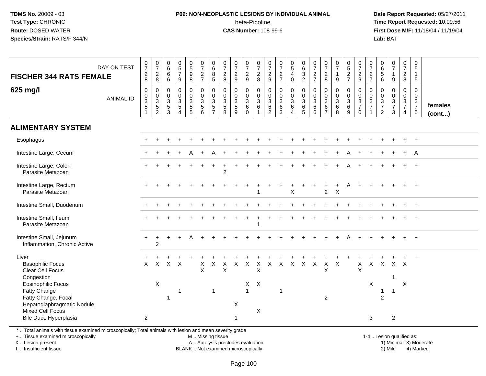#### **P09: NON-NEOPLASTIC LESIONS BY INDIVIDUAL ANIMAL** beta-Picoline**beta-Picoline**<br> **CAS Number:** 108-99-6<br> **CAS Number:** 108-99-6<br> **CAS Number:** 108-99-6

 **Date Report Requested:** 05/27/2011 **First Dose M/F:** 11/18/04 / 11/19/04 Lab: BAT **Lab:** BAT

| <b>FISCHER 344 RATS FEMALE</b>                                                          | DAY ON TEST      | $\frac{0}{7}$<br>$_{\rm 2}^2$        | $\frac{0}{7}$<br>$\frac{2}{8}$                                    | $\begin{matrix} 0 \\ 6 \\ 6 \end{matrix}$<br>$6\phantom{1}$    | $\begin{array}{c} 0 \\ 5 \\ 7 \end{array}$<br>9                        | $\begin{array}{c} 0 \\ 5 \end{array}$<br>$\boldsymbol{9}$<br>8                 | $\frac{0}{7}$<br>$\frac{2}{7}$                               | $\begin{array}{c} 0 \\ 6 \\ 8 \end{array}$<br>$\overline{5}$                             | $\frac{0}{7}$<br>$\overline{c}$<br>8                          | 0729                                                | $\frac{0}{7}$<br>$\frac{2}{9}$                                    | $\frac{0}{7}$<br>8                                             | $\frac{0}{7}$<br>$\frac{2}{9}$                                | $\frac{0}{7}$<br>$\frac{2}{7}$                                  | $\begin{array}{c} 0 \\ 5 \\ 4 \end{array}$<br>$\mathbf 0$ | $\begin{array}{c} 0 \\ 6 \\ 3 \\ 2 \end{array}$         | $\frac{0}{7}$<br>$\frac{2}{7}$    | $\frac{0}{7}$<br>$\sqrt{2}$<br>8                                  | $\frac{0}{7}$<br>$\mathbf{1}$<br>$9$         | $\begin{array}{c} 0 \\ 5 \\ 2 \end{array}$<br>$\overline{7}$                | $\frac{0}{7}$<br>$\frac{2}{9}$                                              | $\frac{0}{7}$<br>$\frac{2}{7}$ | $\begin{matrix} 0 \\ 6 \\ 5 \end{matrix}$<br>$6\phantom{1}$ | $\begin{array}{c} 0 \\ 7 \end{array}$<br>$\mathbf{1}$<br>9 | $\begin{array}{c} 0 \\ 7 \\ 2 \\ 8 \end{array}$     | $\begin{array}{c} 0 \\ 5 \end{array}$<br>$\mathbf{1}$<br>$\sqrt{5}$ |                   |
|-----------------------------------------------------------------------------------------|------------------|--------------------------------------|-------------------------------------------------------------------|----------------------------------------------------------------|------------------------------------------------------------------------|--------------------------------------------------------------------------------|--------------------------------------------------------------|------------------------------------------------------------------------------------------|---------------------------------------------------------------|-----------------------------------------------------|-------------------------------------------------------------------|----------------------------------------------------------------|---------------------------------------------------------------|-----------------------------------------------------------------|-----------------------------------------------------------|---------------------------------------------------------|-----------------------------------|-------------------------------------------------------------------|----------------------------------------------|-----------------------------------------------------------------------------|-----------------------------------------------------------------------------|--------------------------------|-------------------------------------------------------------|------------------------------------------------------------|-----------------------------------------------------|---------------------------------------------------------------------|-------------------|
| 625 mg/l                                                                                | <b>ANIMAL ID</b> | 0<br>$\frac{0}{3}$<br>$\overline{1}$ | 0<br>$\begin{array}{c} 0 \\ 3 \\ 5 \end{array}$<br>$\overline{2}$ | $\mathbf 0$<br>$\begin{array}{c} 0 \\ 3 \\ 5 \\ 3 \end{array}$ | $\pmb{0}$<br>$\frac{0}{3}$<br>$\overline{5}$<br>$\boldsymbol{\Lambda}$ | 0<br>$\mathsf{O}\xspace$<br>$\overline{3}$<br>$\overline{5}$<br>$\overline{5}$ | $\pmb{0}$<br>$\begin{array}{c} 0 \\ 3 \\ 5 \\ 6 \end{array}$ | $\mathbf 0$<br>$\ddot{\mathbf{0}}$<br>$\overline{3}$<br>$\overline{5}$<br>$\overline{7}$ | $\mathbf 0$<br>$\pmb{0}$<br>$\overline{3}$<br>$\sqrt{5}$<br>8 | $\mathbf 0$<br>$\frac{0}{3}$<br>$\overline{5}$<br>9 | 0<br>$\mathsf{O}\xspace$<br>$\overline{3}$<br>$\,6\,$<br>$\Omega$ | $\boldsymbol{0}$<br>$\frac{0}{3}$<br>6<br>$\blacktriangleleft$ | 0<br>$\mathbf 0$<br>$\overline{3}$<br>$\,6$<br>$\overline{2}$ | $\mathbf 0$<br>$\overline{0}$<br>3<br>$\,6\,$<br>$\overline{3}$ | 0<br>$\frac{0}{3}$<br>$\overline{4}$                      | 0<br>$\frac{0}{3}$<br>$6\phantom{a}$<br>$5\phantom{.0}$ | $\mathbf 0$<br>$\frac{0}{3}$<br>6 | $\mathbf 0$<br>$\pmb{0}$<br>$\overline{3}$<br>6<br>$\overline{7}$ | $\mathbf 0$<br>$\frac{0}{3}$<br>$\,6\,$<br>8 | $\mathbf 0$<br>$\mathsf{O}\xspace$<br>$\overline{3}$<br>$6\phantom{a}$<br>9 | $\mathbf 0$<br>$\mathsf{O}\xspace$<br>$\overline{3}$<br>$\overline{7}$<br>0 | $\mathbf 0$<br>$\frac{0}{3}$   | $\mathbf 0$<br>$\frac{0}{3}$<br>$\overline{2}$              | $\mathbf 0$<br>$\mathbf 0$<br>$\frac{3}{7}$<br>3           | 0<br>$\mathbf 0$<br>$\frac{3}{7}$<br>$\overline{4}$ | 0<br>$\ddot{\mathbf{0}}$<br>$\frac{3}{7}$                           | females<br>(cont) |
| <b>ALIMENTARY SYSTEM</b>                                                                |                  |                                      |                                                                   |                                                                |                                                                        |                                                                                |                                                              |                                                                                          |                                                               |                                                     |                                                                   |                                                                |                                                               |                                                                 |                                                           |                                                         |                                   |                                                                   |                                              |                                                                             |                                                                             |                                |                                                             |                                                            |                                                     |                                                                     |                   |
| Esophagus                                                                               |                  |                                      |                                                                   |                                                                |                                                                        |                                                                                |                                                              |                                                                                          |                                                               |                                                     |                                                                   |                                                                |                                                               |                                                                 |                                                           |                                                         |                                   |                                                                   |                                              |                                                                             |                                                                             |                                |                                                             |                                                            |                                                     |                                                                     |                   |
| Intestine Large, Cecum                                                                  |                  |                                      |                                                                   |                                                                |                                                                        |                                                                                |                                                              | А                                                                                        |                                                               |                                                     |                                                                   |                                                                |                                                               |                                                                 |                                                           |                                                         |                                   |                                                                   |                                              |                                                                             |                                                                             |                                |                                                             |                                                            |                                                     | A                                                                   |                   |
| Intestine Large, Colon<br>Parasite Metazoan                                             |                  |                                      |                                                                   |                                                                |                                                                        |                                                                                |                                                              |                                                                                          | $\overline{2}$                                                |                                                     |                                                                   |                                                                |                                                               |                                                                 |                                                           |                                                         |                                   |                                                                   |                                              |                                                                             |                                                                             |                                |                                                             |                                                            |                                                     |                                                                     |                   |
| Intestine Large, Rectum<br>Parasite Metazoan                                            |                  |                                      |                                                                   |                                                                |                                                                        |                                                                                |                                                              |                                                                                          |                                                               |                                                     |                                                                   |                                                                |                                                               |                                                                 | X                                                         |                                                         |                                   | $\overline{c}$                                                    | ÷<br>X                                       | Α                                                                           | $+$                                                                         |                                |                                                             |                                                            |                                                     |                                                                     |                   |
| Intestine Small, Duodenum                                                               |                  |                                      |                                                                   |                                                                |                                                                        |                                                                                |                                                              |                                                                                          |                                                               |                                                     |                                                                   |                                                                |                                                               |                                                                 |                                                           |                                                         |                                   |                                                                   |                                              |                                                                             |                                                                             |                                |                                                             |                                                            |                                                     |                                                                     |                   |
| Intestine Small, Ileum<br>Parasite Metazoan                                             |                  |                                      |                                                                   |                                                                |                                                                        |                                                                                |                                                              |                                                                                          |                                                               |                                                     |                                                                   | 1                                                              |                                                               |                                                                 |                                                           |                                                         |                                   |                                                                   |                                              |                                                                             |                                                                             |                                |                                                             |                                                            |                                                     |                                                                     |                   |
| Intestine Small, Jejunum<br>Inflammation, Chronic Active                                |                  |                                      | $\overline{c}$                                                    |                                                                |                                                                        |                                                                                |                                                              |                                                                                          |                                                               |                                                     |                                                                   |                                                                |                                                               |                                                                 |                                                           |                                                         |                                   |                                                                   |                                              |                                                                             |                                                                             |                                |                                                             |                                                            |                                                     |                                                                     |                   |
| Liver<br><b>Basophilic Focus</b><br>Clear Cell Focus<br>Congestion                      |                  | X                                    | $\mathsf{X}$                                                      |                                                                | $X$ $X$                                                                |                                                                                | X<br>X                                                       | $\mathsf X$                                                                              | X<br>X                                                        | X                                                   | X                                                                 | X<br>X                                                         | $\times$                                                      | $\mathsf{X}$                                                    | $\mathsf{X}$                                              | $\mathsf{X}$                                            | $\mathsf{X}$                      | X<br>X                                                            | $\boldsymbol{\mathsf{X}}$                    |                                                                             | X<br>X                                                                      | $\mathsf{X}$                   | $\mathsf{X}$                                                | 1                                                          | $X$ $X$                                             |                                                                     |                   |
| Eosinophilic Focus<br>Fatty Change<br>Fatty Change, Focal<br>Hepatodiaphragmatic Nodule |                  |                                      | $\mathsf{X}$                                                      | -1                                                             | $\mathbf{1}$                                                           |                                                                                |                                                              | $\overline{1}$                                                                           |                                                               | X                                                   | $\mathsf{X}$<br>$\overline{1}$                                    | $\mathsf{X}$                                                   |                                                               | -1                                                              |                                                           |                                                         |                                   | 2                                                                 |                                              |                                                                             |                                                                             | X                              | $\mathbf{1}$<br>$\overline{2}$                              | $\overline{\mathbf{1}}$                                    | $\boldsymbol{\mathsf{X}}$                           |                                                                     |                   |
| Mixed Cell Focus<br>Bile Duct, Hyperplasia                                              |                  | $\overline{2}$                       |                                                                   |                                                                |                                                                        |                                                                                |                                                              |                                                                                          |                                                               | $\overline{1}$                                      |                                                                   | $\times$                                                       |                                                               |                                                                 |                                                           |                                                         |                                   |                                                                   |                                              |                                                                             |                                                                             | $\mathbf{3}$                   |                                                             | $\overline{2}$                                             |                                                     |                                                                     |                   |

\* .. Total animals with tissue examined microscopically; Total animals with lesion and mean severity grade

+ .. Tissue examined microscopically

X .. Lesion present

I .. Insufficient tissue

M .. Missing tissue

A .. Autolysis precludes evaluation

BLANK .. Not examined microscopically 2) Mild 4) Marked

1-4 .. Lesion qualified as: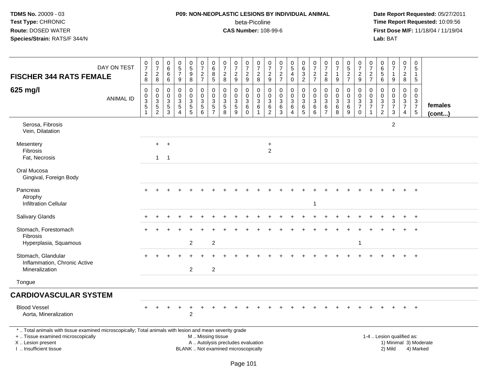## **P09: NON-NEOPLASTIC LESIONS BY INDIVIDUAL ANIMAL**beta-Picoline<br>CAS Number: 108-99-6

 **Date Report Requested:** 05/27/2011 **Time Report Requested:** 10:09:56 **First Dose M/F:** 11/18/04 / 11/19/04<br>Lab: BAT **Lab:** BAT

| <b>FISCHER 344 RATS FEMALE</b>                                                                                                                                      | DAY ON TEST | $\frac{0}{7}$<br>$\frac{2}{8}$                                   | $\frac{0}{7}$<br>$^2_8$                                        | $\begin{array}{c} 0 \\ 6 \end{array}$<br>$\,6\,$<br>6 | $\begin{array}{c} 0 \\ 5 \\ 7 \end{array}$<br>$\overline{9}$                                    | $\begin{array}{c} 0 \\ 5 \\ 9 \end{array}$<br>$\overline{8}$           | $\frac{0}{7}$<br>$\frac{2}{7}$                                   | $\begin{matrix} 0 \\ 6 \end{matrix}$<br>$\bf8$<br>5   | $\frac{0}{7}$<br>$_{8}^2$                                                     | $\frac{0}{7}$<br>$\overline{c}$<br>9    | $\frac{0}{7}$<br>$\frac{2}{9}$           | $\frac{0}{7}$<br>$\begin{array}{c} 2 \\ 8 \end{array}$   | $\frac{0}{7}$<br>$\frac{2}{9}$                           | $\frac{0}{7}$<br>$\frac{2}{7}$                             | $\begin{array}{c} 0 \\ 5 \end{array}$<br>4<br>$\mathbf 0$ | $\begin{array}{c} 0 \\ 6 \end{array}$<br>$\mathbf{3}$<br>$\overline{2}$ | $\frac{0}{7}$<br>$\frac{2}{7}$                               | $\frac{0}{7}$<br>$_{8}^{\rm 2}$                                             | $\frac{0}{7}$<br>$\overline{1}$<br>9       | $\begin{array}{c} 0 \\ 5 \end{array}$<br>$\frac{2}{7}$                     | 0<br>$\overline{7}$<br>$\overline{a}$<br>9                                     | $\frac{0}{7}$<br>$\frac{2}{7}$                                  | 0<br>6<br>$\overline{5}$<br>$6\phantom{a}$                                                  | $\frac{0}{7}$<br>$\mathbf{1}$<br>$\overline{9}$                                         | $\begin{smallmatrix}0\\7\end{smallmatrix}$<br>$\frac{2}{8}$ | 0<br>$\sqrt{5}$<br>$\mathbf{1}$<br>$\sqrt{5}$                      |                         |
|---------------------------------------------------------------------------------------------------------------------------------------------------------------------|-------------|------------------------------------------------------------------|----------------------------------------------------------------|-------------------------------------------------------|-------------------------------------------------------------------------------------------------|------------------------------------------------------------------------|------------------------------------------------------------------|-------------------------------------------------------|-------------------------------------------------------------------------------|-----------------------------------------|------------------------------------------|----------------------------------------------------------|----------------------------------------------------------|------------------------------------------------------------|-----------------------------------------------------------|-------------------------------------------------------------------------|--------------------------------------------------------------|-----------------------------------------------------------------------------|--------------------------------------------|----------------------------------------------------------------------------|--------------------------------------------------------------------------------|-----------------------------------------------------------------|---------------------------------------------------------------------------------------------|-----------------------------------------------------------------------------------------|-------------------------------------------------------------|--------------------------------------------------------------------|-------------------------|
| 625 mg/l                                                                                                                                                            | ANIMAL ID   | 0<br>0<br>$\ensuremath{\mathsf{3}}$<br>5<br>$\blacktriangleleft$ | 0<br>$\mathbf 0$<br>$\ensuremath{\mathsf{3}}$<br>$\frac{5}{2}$ | $\mathbf 0$<br>0<br>$\sqrt{3}$<br>$\frac{5}{3}$       | $\pmb{0}$<br>$\pmb{0}$<br>$\ensuremath{\mathsf{3}}$<br>$\overline{5}$<br>$\boldsymbol{\Lambda}$ | $\mathbf 0$<br>$\pmb{0}$<br>$\ensuremath{\mathsf{3}}$<br>$\frac{5}{5}$ | $\pmb{0}$<br>$\mathbf 0$<br>$\mathbf{3}$<br>$5\phantom{.0}$<br>6 | 0<br>$\mathbf 0$<br>3<br>$\sqrt{5}$<br>$\overline{7}$ | 0<br>$\mathbf 0$<br>$\ensuremath{\mathsf{3}}$<br>$\sqrt{5}$<br>$\overline{8}$ | 0<br>0<br>$\mathbf{3}$<br>$\frac{5}{9}$ | 0<br>0<br>$\sqrt{3}$<br>6<br>$\mathbf 0$ | $\mathbf 0$<br>$\mathbf 0$<br>$\sqrt{3}$<br>$\,6\,$<br>1 | 0<br>$\Omega$<br>$\sqrt{3}$<br>$\,6\,$<br>$\overline{c}$ | $\mathbf 0$<br>$\mathbf 0$<br>$\mathbf{3}$<br>$\,6\,$<br>3 | 0<br>$\mathbf 0$<br>$\mathbf{3}$<br>$6\phantom{1}6$<br>4  | 0<br>$\mathbf 0$<br>$\mathbf{3}$<br>$\,6\,$<br>$\overline{5}$           | 0<br>$\mathbf 0$<br>$\sqrt{3}$<br>$\,6\,$<br>$6\overline{6}$ | $\mathbf 0$<br>$\Omega$<br>$\mathbf{3}$<br>$6\phantom{1}$<br>$\overline{7}$ | 0<br>$\mathbf 0$<br>$\mathbf{3}$<br>6<br>8 | 0<br>$\mathbf 0$<br>$\ensuremath{\mathsf{3}}$<br>$\,6\,$<br>$\overline{9}$ | 0<br>$\mathbf 0$<br>$\ensuremath{\mathsf{3}}$<br>$\overline{7}$<br>$\mathbf 0$ | 0<br>$\mathbf 0$<br>$\ensuremath{\mathsf{3}}$<br>$\overline{7}$ | $\mathbf 0$<br>$\mathbf 0$<br>$\ensuremath{\mathsf{3}}$<br>$\overline{7}$<br>$\overline{2}$ | $\mathbf 0$<br>$\mathbf 0$<br>$\ensuremath{\mathsf{3}}$<br>$\overline{7}$<br>$\sqrt{3}$ | 0<br>$\mathbf 0$<br>$\frac{3}{7}$<br>4                      | 0<br>$\mathbf 0$<br>$\sqrt{3}$<br>$\overline{7}$<br>$\overline{5}$ | females<br>$($ cont $)$ |
| Serosa, Fibrosis<br>Vein, Dilatation                                                                                                                                |             |                                                                  |                                                                |                                                       |                                                                                                 |                                                                        |                                                                  |                                                       |                                                                               |                                         |                                          |                                                          |                                                          |                                                            |                                                           |                                                                         |                                                              |                                                                             |                                            |                                                                            |                                                                                |                                                                 |                                                                                             | $\overline{2}$                                                                          |                                                             |                                                                    |                         |
| Mesentery<br>Fibrosis<br>Fat, Necrosis                                                                                                                              |             |                                                                  | $+$<br>$\mathbf{1}$                                            | $+$<br>$\overline{1}$                                 |                                                                                                 |                                                                        |                                                                  |                                                       |                                                                               |                                         |                                          |                                                          | $\ddot{}$<br>$\overline{2}$                              |                                                            |                                                           |                                                                         |                                                              |                                                                             |                                            |                                                                            |                                                                                |                                                                 |                                                                                             |                                                                                         |                                                             |                                                                    |                         |
| Oral Mucosa<br>Gingival, Foreign Body                                                                                                                               |             |                                                                  |                                                                |                                                       |                                                                                                 |                                                                        |                                                                  |                                                       |                                                                               |                                         |                                          |                                                          |                                                          |                                                            |                                                           |                                                                         |                                                              |                                                                             |                                            |                                                                            |                                                                                |                                                                 |                                                                                             |                                                                                         |                                                             |                                                                    |                         |
| Pancreas<br>Atrophy<br><b>Infiltration Cellular</b>                                                                                                                 |             |                                                                  |                                                                |                                                       |                                                                                                 |                                                                        |                                                                  |                                                       |                                                                               |                                         |                                          |                                                          |                                                          |                                                            |                                                           |                                                                         | -1                                                           |                                                                             |                                            |                                                                            |                                                                                |                                                                 |                                                                                             |                                                                                         | $+$                                                         | $+$                                                                |                         |
| Salivary Glands                                                                                                                                                     |             |                                                                  |                                                                |                                                       |                                                                                                 |                                                                        |                                                                  |                                                       |                                                                               |                                         |                                          |                                                          |                                                          |                                                            |                                                           |                                                                         |                                                              |                                                                             |                                            |                                                                            |                                                                                |                                                                 |                                                                                             |                                                                                         |                                                             | $\ddot{}$                                                          |                         |
| Stomach, Forestomach<br>Fibrosis<br>Hyperplasia, Squamous                                                                                                           |             |                                                                  |                                                                |                                                       |                                                                                                 | $\overline{2}$                                                         |                                                                  | $\boldsymbol{2}$                                      |                                                                               |                                         |                                          |                                                          |                                                          |                                                            |                                                           |                                                                         |                                                              |                                                                             |                                            |                                                                            | 1                                                                              |                                                                 |                                                                                             |                                                                                         |                                                             | $\overline{1}$                                                     |                         |
| Stomach, Glandular<br>Inflammation, Chronic Active<br>Mineralization                                                                                                |             |                                                                  |                                                                |                                                       |                                                                                                 | $\overline{2}$                                                         |                                                                  | $\overline{2}$                                        |                                                                               |                                         |                                          |                                                          |                                                          |                                                            |                                                           |                                                                         |                                                              |                                                                             |                                            |                                                                            |                                                                                |                                                                 |                                                                                             |                                                                                         |                                                             | $+$                                                                |                         |
| Tongue                                                                                                                                                              |             |                                                                  |                                                                |                                                       |                                                                                                 |                                                                        |                                                                  |                                                       |                                                                               |                                         |                                          |                                                          |                                                          |                                                            |                                                           |                                                                         |                                                              |                                                                             |                                            |                                                                            |                                                                                |                                                                 |                                                                                             |                                                                                         |                                                             |                                                                    |                         |
| <b>CARDIOVASCULAR SYSTEM</b>                                                                                                                                        |             |                                                                  |                                                                |                                                       |                                                                                                 |                                                                        |                                                                  |                                                       |                                                                               |                                         |                                          |                                                          |                                                          |                                                            |                                                           |                                                                         |                                                              |                                                                             |                                            |                                                                            |                                                                                |                                                                 |                                                                                             |                                                                                         |                                                             |                                                                    |                         |
| <b>Blood Vessel</b><br>Aorta, Mineralization                                                                                                                        |             |                                                                  |                                                                |                                                       |                                                                                                 | $\overline{c}$                                                         |                                                                  |                                                       |                                                                               |                                         |                                          |                                                          |                                                          |                                                            |                                                           |                                                                         |                                                              |                                                                             |                                            |                                                                            |                                                                                |                                                                 |                                                                                             |                                                                                         |                                                             | $+$                                                                |                         |
| *  Total animals with tissue examined microscopically; Total animals with lesion and mean severity grade<br>+  Tissue examined microscopically<br>X  Lesion present |             |                                                                  |                                                                |                                                       |                                                                                                 |                                                                        | M  Missing tissue                                                |                                                       |                                                                               | A  Autolysis precludes evaluation       |                                          |                                                          |                                                          |                                                            |                                                           |                                                                         |                                                              |                                                                             |                                            |                                                                            |                                                                                |                                                                 |                                                                                             | 1-4  Lesion qualified as:                                                               |                                                             |                                                                    | 1) Minimal 3) Moderate  |

I .. Insufficient tissue

BLANK .. Not examined microscopically 2) Mild 4) Marked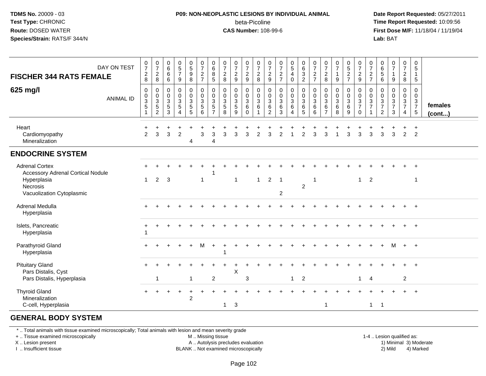#### **P09: NON-NEOPLASTIC LESIONS BY INDIVIDUAL ANIMAL** beta-Picoline**beta-Picoline**<br> **CAS Number:** 108-99-6<br> **CAS Number:** 108-99-6<br> **CAS Number:** 108-99-6

 **Date Report Requested:** 05/27/2011 **First Dose M/F:** 11/18/04 / 11/19/04<br>**Lab:** BAT **Lab:** BAT

| DAY ON TEST<br><b>FISCHER 344 RATS FEMALE</b>                                    | $\begin{smallmatrix}0\\7\end{smallmatrix}$<br>$\frac{2}{8}$ | $\frac{0}{7}$<br>$\overline{2}$<br>8                | $\begin{array}{c} 0 \\ 6 \end{array}$<br>$\,6$<br>6 | $\begin{array}{c} 0 \\ 5 \\ 7 \end{array}$<br>9 | $\begin{array}{c} 0 \\ 5 \\ 9 \end{array}$<br>$\overline{8}$ | $\frac{0}{7}$<br>$\frac{2}{7}$                              | $\begin{matrix}0\\6\\8\end{matrix}$<br>$\overline{5}$  | $\frac{0}{7}$<br>$\overline{2}$<br>$\boldsymbol{8}$              | $\frac{0}{7}$<br>$\overline{2}$<br>9         | $\frac{0}{7}$<br>$\frac{2}{9}$                                 | $\frac{0}{7}$<br>$_{\rm 8}^2$        | $\frac{0}{7}$<br>$\frac{2}{9}$                            | $\frac{0}{7}$<br>$\frac{2}{7}$                                | $\frac{0}{5}$<br>$\overline{4}$<br>$\pmb{0}$               | $_{6}^{\rm 0}$<br>$\mathbf{3}$<br>$\overline{2}$     | $\frac{0}{7}$<br>$\frac{2}{7}$                             | $\frac{0}{7}$<br>$\frac{2}{8}$                                | $\frac{0}{7}$<br>$\boldsymbol{9}$               | $0,52$<br>7                          | $\frac{0}{7}$<br>$\frac{2}{9}$                             | $\frac{0}{7}$<br>$\overline{2}$<br>$\overline{7}$ | $\begin{array}{c} 0 \\ 6 \\ 5 \end{array}$<br>$\,6\,$                | $\frac{0}{7}$<br>$\mathbf{1}$<br>9   | $\frac{0}{7}$<br>$\frac{2}{8}$                                            | 0<br>$\overline{5}$<br>$\mathbf{1}$<br>$5\phantom{.0}$ |                         |
|----------------------------------------------------------------------------------|-------------------------------------------------------------|-----------------------------------------------------|-----------------------------------------------------|-------------------------------------------------|--------------------------------------------------------------|-------------------------------------------------------------|--------------------------------------------------------|------------------------------------------------------------------|----------------------------------------------|----------------------------------------------------------------|--------------------------------------|-----------------------------------------------------------|---------------------------------------------------------------|------------------------------------------------------------|------------------------------------------------------|------------------------------------------------------------|---------------------------------------------------------------|-------------------------------------------------|--------------------------------------|------------------------------------------------------------|---------------------------------------------------|----------------------------------------------------------------------|--------------------------------------|---------------------------------------------------------------------------|--------------------------------------------------------|-------------------------|
| 625 mg/l<br><b>ANIMAL ID</b>                                                     | 0<br>$_{3}^{\rm 0}$<br>$\overline{5}$                       | 0<br>$_{3}^{\rm 0}$<br>$\sqrt{5}$<br>$\overline{2}$ | 0<br>$\pmb{0}$<br>$\overline{3}$<br>5<br>3          | 0<br>$\mathbf 0$<br>$\overline{3}$<br>5         | $\pmb{0}$<br>$\frac{0}{3}$<br>$\sqrt{5}$<br>$\overline{5}$   | $\pmb{0}$<br>$\pmb{0}$<br>$\overline{3}$<br>$\sqrt{5}$<br>6 | $\bf{0}$<br>$\pmb{0}$<br>$\overline{3}$<br>$\,$ 5 $\,$ | 0<br>$\mathbf 0$<br>$\overline{3}$<br>$\sqrt{5}$<br>$\mathbf{8}$ | 0<br>$\mathbf 0$<br>$\overline{3}$<br>5<br>9 | $\begin{smallmatrix}0\\0\\3\end{smallmatrix}$<br>6<br>$\Omega$ | $\pmb{0}$<br>$_{3}^{\rm 0}$<br>$\,6$ | 0<br>$\mathbf 0$<br>$\overline{3}$<br>6<br>$\overline{2}$ | $\begin{smallmatrix}0\\0\\3\end{smallmatrix}$<br>$\,6\,$<br>3 | 0<br>$\mathbf 0$<br>$\overline{3}$<br>$6\phantom{1}6$<br>4 | $\pmb{0}$<br>$\mathsf 0$<br>$\overline{3}$<br>6<br>5 | 0<br>$\mathsf{O}\xspace$<br>$\overline{3}$<br>$\,6\,$<br>6 | 0<br>$\pmb{0}$<br>$\overline{3}$<br>$\,6\,$<br>$\overline{7}$ | 0<br>$\frac{0}{3}$<br>$\,6\,$<br>$\overline{8}$ | $\pmb{0}$<br>$\frac{0}{3}$<br>6<br>9 | $\begin{matrix} 0 \\ 0 \\ 3 \\ 7 \end{matrix}$<br>$\Omega$ | 0<br>0<br>$\overline{3}$<br>$\overline{7}$        | 0<br>$\pmb{0}$<br>$\overline{3}$<br>$\overline{7}$<br>$\overline{2}$ | 0<br>$\pmb{0}$<br>$\frac{3}{7}$<br>3 | 0<br>$\overline{0}$<br>$\overline{3}$<br>$\overline{7}$<br>$\overline{4}$ | 0<br>$\mathbf 0$<br>$\frac{3}{7}$<br>$\overline{5}$    | females<br>$($ cont $)$ |
| Heart<br>Cardiomyopathy<br>Mineralization                                        | 2                                                           | 3                                                   | 3                                                   | $\overline{2}$                                  | $\overline{4}$                                               | 3                                                           | 3<br>$\overline{4}$                                    | 3                                                                | $\mathbf{3}$                                 | 3                                                              | 2                                    | 3                                                         | 2                                                             | $\overline{1}$                                             | $\mathcal{P}$                                        | 3                                                          | 3                                                             |                                                 | 3                                    | 3                                                          | 3                                                 | 3                                                                    | 3                                    | $\overline{2}$                                                            | $\overline{+}$<br>$\overline{2}$                       |                         |
| <b>ENDOCRINE SYSTEM</b>                                                          |                                                             |                                                     |                                                     |                                                 |                                                              |                                                             |                                                        |                                                                  |                                              |                                                                |                                      |                                                           |                                                               |                                                            |                                                      |                                                            |                                                               |                                                 |                                      |                                                            |                                                   |                                                                      |                                      |                                                                           |                                                        |                         |
| <b>Adrenal Cortex</b><br><b>Accessory Adrenal Cortical Nodule</b><br>Hyperplasia | $\mathbf{1}$                                                | $\overline{c}$                                      | 3                                                   |                                                 |                                                              | $\mathbf{1}$                                                |                                                        |                                                                  | 1                                            |                                                                | $\mathbf{1}$                         | $\overline{2}$                                            | $\overline{1}$                                                |                                                            |                                                      | $\overline{1}$                                             |                                                               |                                                 |                                      | $\mathbf{1}$                                               | $\overline{2}$                                    |                                                                      |                                      |                                                                           | $\overline{\mathbf{1}}$                                |                         |
| <b>Necrosis</b><br>Vacuolization Cytoplasmic                                     |                                                             |                                                     |                                                     |                                                 |                                                              |                                                             |                                                        |                                                                  |                                              |                                                                |                                      |                                                           | $\overline{2}$                                                |                                                            | 2                                                    |                                                            |                                                               |                                                 |                                      |                                                            |                                                   |                                                                      |                                      |                                                                           |                                                        |                         |
| Adrenal Medulla<br>Hyperplasia                                                   |                                                             |                                                     |                                                     |                                                 |                                                              |                                                             |                                                        |                                                                  |                                              |                                                                |                                      |                                                           |                                                               |                                                            |                                                      |                                                            |                                                               |                                                 |                                      |                                                            |                                                   |                                                                      |                                      |                                                                           | $\ddot{}$                                              |                         |
| Islets, Pancreatic<br>Hyperplasia                                                |                                                             |                                                     |                                                     |                                                 |                                                              |                                                             |                                                        |                                                                  |                                              |                                                                |                                      |                                                           |                                                               |                                                            |                                                      |                                                            |                                                               |                                                 |                                      |                                                            |                                                   |                                                                      |                                      |                                                                           | $+$                                                    |                         |
| Parathyroid Gland<br>Hyperplasia                                                 |                                                             |                                                     |                                                     |                                                 |                                                              | м                                                           |                                                        |                                                                  |                                              |                                                                |                                      |                                                           |                                                               |                                                            |                                                      |                                                            |                                                               |                                                 |                                      |                                                            |                                                   |                                                                      | м                                    | $+$                                                                       | $+$                                                    |                         |
| <b>Pituitary Gland</b><br>Pars Distalis, Cyst<br>Pars Distalis, Hyperplasia      |                                                             |                                                     |                                                     |                                                 | $\mathbf 1$                                                  |                                                             | $\overline{2}$                                         |                                                                  | Χ                                            | 3                                                              |                                      |                                                           |                                                               | $\mathbf{1}$                                               |                                                      |                                                            |                                                               |                                                 |                                      | 1                                                          | $\overline{4}$                                    |                                                                      |                                      | $\overline{2}$                                                            |                                                        |                         |
|                                                                                  |                                                             |                                                     |                                                     |                                                 |                                                              |                                                             |                                                        |                                                                  |                                              |                                                                |                                      |                                                           |                                                               |                                                            | $\overline{2}$                                       |                                                            |                                                               |                                                 |                                      |                                                            |                                                   |                                                                      |                                      |                                                                           |                                                        |                         |
| <b>Thyroid Gland</b><br>Mineralization<br>C-cell, Hyperplasia                    |                                                             |                                                     |                                                     |                                                 | +<br>$\overline{2}$                                          |                                                             |                                                        | $\mathbf{1}$                                                     | 3                                            |                                                                |                                      |                                                           |                                                               |                                                            |                                                      |                                                            | $\mathbf 1$                                                   |                                                 |                                      |                                                            | $\mathbf 1$                                       | -1                                                                   |                                      |                                                                           | $+$                                                    |                         |

### **GENERAL BODY SYSTEM**

\* .. Total animals with tissue examined microscopically; Total animals with lesion and mean severity grade

+ .. Tissue examined microscopically

X .. Lesion present

I .. Insufficient tissue

M .. Missing tissue

A .. Autolysis precludes evaluation

BLANK .. Not examined microscopically 2) Mild 4) Marked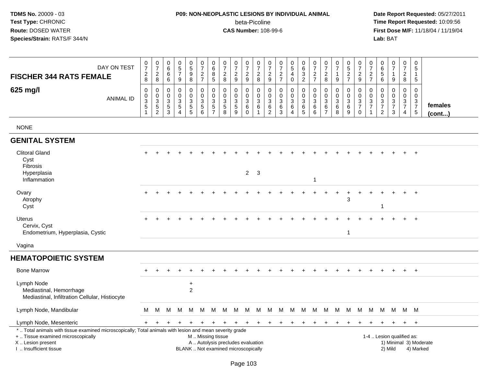# **P09: NON-NEOPLASTIC LESIONS BY INDIVIDUAL ANIMAL**beta-Picoline<br>CAS Number: 108-99-6

 **Date Report Requested:** 05/27/2011 **Time Report Requested:** 10:09:56 **First Dose M/F:** 11/18/04 / 11/19/04<br>Lab: BAT **Lab:** BAT

| DAY ON TEST<br><b>FISCHER 344 RATS FEMALE</b>                                                                                                                                                 | $\frac{0}{7}$<br>$\sqrt{2}$<br>8                                   | $\begin{array}{c} 0 \\ 7 \end{array}$<br>$\overline{c}$<br>8        | $\pmb{0}$<br>6<br>6<br>6                | $\begin{array}{c} 0 \\ 5 \\ 7 \end{array}$<br>9                            | $\begin{array}{c} 0 \\ 5 \\ 9 \end{array}$<br>8          | $\frac{0}{7}$<br>$\frac{2}{7}$                            | 0<br>$\,6\,$<br>8<br>$\sqrt{5}$              | $\frac{0}{7}$<br>$\sqrt{2}$<br>8                                         | $\frac{0}{7}$<br>$\overline{c}$<br>9         | $\begin{smallmatrix}0\\7\end{smallmatrix}$<br>$\overline{c}$<br>9 | $\frac{0}{7}$<br>$\sqrt{2}$<br>8                                    | $\frac{0}{7}$<br>$\sqrt{2}$<br>$\mathsf g$        | $\begin{array}{c} 0 \\ 7 \end{array}$<br>$\sqrt{2}$<br>$\overline{7}$ | $\begin{array}{c} 0 \\ 5 \end{array}$<br>4<br>$\mathbf 0$ | $\begin{array}{c} 0 \\ 6 \end{array}$<br>$\overline{3}$<br>$\overline{2}$ | $\begin{array}{c} 0 \\ 7 \end{array}$<br>$\overline{2}$<br>$\overline{7}$ | $\pmb{0}$<br>$\overline{7}$<br>$\boldsymbol{2}$<br>8    | $\frac{0}{7}$<br>$\mathbf{1}$<br>9                     | $\begin{array}{c} 0 \\ 5 \\ 2 \end{array}$<br>$\overline{7}$        | $\frac{0}{7}$<br>$\sqrt{2}$<br>9                           | $\frac{0}{7}$<br>$\sqrt{2}$<br>$\overline{7}$                             | $\pmb{0}$<br>$\,6$<br>$\overline{5}$<br>$\,6$     | $\frac{0}{7}$<br>$\mathbf 1$<br>9            | $\begin{array}{c} 0 \\ 7 \end{array}$<br>$\overline{2}$<br>8  | $\pmb{0}$<br>$\sqrt{5}$<br>$\mathbf{1}$<br>$5\phantom{.0}$ |                         |
|-----------------------------------------------------------------------------------------------------------------------------------------------------------------------------------------------|--------------------------------------------------------------------|---------------------------------------------------------------------|-----------------------------------------|----------------------------------------------------------------------------|----------------------------------------------------------|-----------------------------------------------------------|----------------------------------------------|--------------------------------------------------------------------------|----------------------------------------------|-------------------------------------------------------------------|---------------------------------------------------------------------|---------------------------------------------------|-----------------------------------------------------------------------|-----------------------------------------------------------|---------------------------------------------------------------------------|---------------------------------------------------------------------------|---------------------------------------------------------|--------------------------------------------------------|---------------------------------------------------------------------|------------------------------------------------------------|---------------------------------------------------------------------------|---------------------------------------------------|----------------------------------------------|---------------------------------------------------------------|------------------------------------------------------------|-------------------------|
| 625 mg/l<br><b>ANIMAL ID</b>                                                                                                                                                                  | 0<br>$\pmb{0}$<br>$\overline{3}$<br>$\overline{5}$<br>$\mathbf{1}$ | $\mathbf 0$<br>$\mathbf 0$<br>$\overline{3}$<br>5<br>$\overline{c}$ | 0<br>0<br>$\mathbf{3}$<br>$\frac{5}{3}$ | $\mathbf 0$<br>$\pmb{0}$<br>$\sqrt{3}$<br>$\overline{5}$<br>$\overline{4}$ | 0<br>$\mathsf{O}\xspace$<br>$\sqrt{3}$<br>$\overline{5}$ | 0<br>$\mathbf 0$<br>$\mathbf{3}$<br>$\sqrt{5}$<br>$\,6\,$ | 0<br>$\mathbf 0$<br>3<br>5<br>$\overline{7}$ | 0<br>$\pmb{0}$<br>$\ensuremath{\mathsf{3}}$<br>$\overline{5}$<br>8       | 0<br>$\mathbf 0$<br>3<br>$\overline{5}$<br>9 | 0<br>$\mathsf{O}$<br>$\frac{3}{6}$<br>$\mathbf 0$                 | $\mathbf 0$<br>$\mathsf 0$<br>$\sqrt{3}$<br>$\,6\,$<br>$\mathbf{1}$ | 0<br>$\mathbf 0$<br>$\mathbf{3}$<br>$\frac{6}{2}$ | $\mathbf 0$<br>$\mathbf 0$<br>$\mathbf{3}$<br>$\,6\,$<br>3            | 0<br>$\mathbf 0$<br>3<br>6<br>4                           | 0<br>$\mathbf 0$<br>$\ensuremath{\mathsf{3}}$<br>$\overline{6}$<br>5      | $\mathbf 0$<br>$\mathsf 0$<br>3<br>6<br>6                                 | $\mathbf 0$<br>0<br>$\mathbf{3}$<br>6<br>$\overline{7}$ | $\mathbf 0$<br>$\pmb{0}$<br>$\sqrt{3}$<br>$\,6\,$<br>8 | $\mathbf 0$<br>$\mathbf 0$<br>$\sqrt{3}$<br>$6\phantom{a}$<br>$9\,$ | $\mathbf 0$<br>$\mathbf 0$<br>$\frac{3}{7}$<br>$\mathsf 0$ | $\mathbf 0$<br>$\mathbf 0$<br>$\ensuremath{\mathsf{3}}$<br>$\overline{7}$ | 0<br>$\pmb{0}$<br>$\frac{3}{7}$<br>$\overline{2}$ | 0<br>$\mathbf 0$<br>3<br>$\overline{7}$<br>3 | $\mathbf 0$<br>$\mathbf 0$<br>$\frac{3}{7}$<br>$\overline{4}$ | $\mathbf 0$<br>$\mathbf 0$<br>$\frac{3}{7}$<br>$\sqrt{5}$  | females<br>$($ cont $)$ |
| <b>NONE</b>                                                                                                                                                                                   |                                                                    |                                                                     |                                         |                                                                            |                                                          |                                                           |                                              |                                                                          |                                              |                                                                   |                                                                     |                                                   |                                                                       |                                                           |                                                                           |                                                                           |                                                         |                                                        |                                                                     |                                                            |                                                                           |                                                   |                                              |                                                               |                                                            |                         |
| <b>GENITAL SYSTEM</b>                                                                                                                                                                         |                                                                    |                                                                     |                                         |                                                                            |                                                          |                                                           |                                              |                                                                          |                                              |                                                                   |                                                                     |                                                   |                                                                       |                                                           |                                                                           |                                                                           |                                                         |                                                        |                                                                     |                                                            |                                                                           |                                                   |                                              |                                                               |                                                            |                         |
| <b>Clitoral Gland</b><br>Cyst<br>Fibrosis                                                                                                                                                     |                                                                    |                                                                     |                                         |                                                                            |                                                          |                                                           |                                              |                                                                          |                                              |                                                                   |                                                                     |                                                   |                                                                       |                                                           |                                                                           |                                                                           |                                                         |                                                        |                                                                     |                                                            |                                                                           |                                                   |                                              |                                                               |                                                            |                         |
| Hyperplasia<br>Inflammation                                                                                                                                                                   |                                                                    |                                                                     |                                         |                                                                            |                                                          |                                                           |                                              |                                                                          |                                              | $2^{\circ}$                                                       | $\overline{\mathbf{3}}$                                             |                                                   |                                                                       |                                                           |                                                                           | $\mathbf{1}$                                                              |                                                         |                                                        |                                                                     |                                                            |                                                                           |                                                   |                                              |                                                               |                                                            |                         |
| Ovary<br>Atrophy<br>Cyst                                                                                                                                                                      |                                                                    |                                                                     |                                         |                                                                            |                                                          |                                                           |                                              |                                                                          |                                              |                                                                   |                                                                     |                                                   |                                                                       |                                                           |                                                                           |                                                                           |                                                         |                                                        | 3                                                                   |                                                            |                                                                           | 1                                                 |                                              |                                                               |                                                            |                         |
| <b>Uterus</b><br>Cervix, Cyst<br>Endometrium, Hyperplasia, Cystic                                                                                                                             |                                                                    |                                                                     |                                         |                                                                            |                                                          |                                                           |                                              |                                                                          |                                              |                                                                   |                                                                     |                                                   |                                                                       |                                                           |                                                                           |                                                                           |                                                         |                                                        | -1                                                                  |                                                            |                                                                           |                                                   |                                              |                                                               | $\overline{+}$                                             |                         |
| Vagina                                                                                                                                                                                        |                                                                    |                                                                     |                                         |                                                                            |                                                          |                                                           |                                              |                                                                          |                                              |                                                                   |                                                                     |                                                   |                                                                       |                                                           |                                                                           |                                                                           |                                                         |                                                        |                                                                     |                                                            |                                                                           |                                                   |                                              |                                                               |                                                            |                         |
| <b>HEMATOPOIETIC SYSTEM</b>                                                                                                                                                                   |                                                                    |                                                                     |                                         |                                                                            |                                                          |                                                           |                                              |                                                                          |                                              |                                                                   |                                                                     |                                                   |                                                                       |                                                           |                                                                           |                                                                           |                                                         |                                                        |                                                                     |                                                            |                                                                           |                                                   |                                              |                                                               |                                                            |                         |
| <b>Bone Marrow</b>                                                                                                                                                                            |                                                                    |                                                                     |                                         |                                                                            |                                                          |                                                           |                                              |                                                                          |                                              |                                                                   |                                                                     |                                                   |                                                                       |                                                           |                                                                           |                                                                           |                                                         |                                                        |                                                                     |                                                            |                                                                           |                                                   |                                              |                                                               | $^{+}$                                                     |                         |
| Lymph Node<br>Mediastinal, Hemorrhage<br>Mediastinal, Infiltration Cellular, Histiocyte                                                                                                       |                                                                    |                                                                     |                                         |                                                                            | $\ddot{}$<br>$\overline{2}$                              |                                                           |                                              |                                                                          |                                              |                                                                   |                                                                     |                                                   |                                                                       |                                                           |                                                                           |                                                                           |                                                         |                                                        |                                                                     |                                                            |                                                                           |                                                   |                                              |                                                               |                                                            |                         |
| Lymph Node, Mandibular                                                                                                                                                                        | M                                                                  | M                                                                   | M                                       | M                                                                          | M                                                        | M                                                         | M                                            | M                                                                        | M                                            | M                                                                 | М                                                                   | М                                                 | M                                                                     | M                                                         | М                                                                         | M                                                                         | M                                                       | M                                                      | M                                                                   | M                                                          | M                                                                         | M                                                 | M                                            |                                                               | M M                                                        |                         |
| Lymph Node, Mesenteric                                                                                                                                                                        |                                                                    |                                                                     |                                         |                                                                            | $\ddot{}$                                                |                                                           | $\ddot{}$                                    | $+$                                                                      | $\ddot{}$                                    | $+$                                                               | $\ddot{}$                                                           | $+$                                               | $\ddot{}$                                                             | $\ddot{}$                                                 |                                                                           |                                                                           |                                                         |                                                        | $\ddot{}$                                                           |                                                            |                                                                           |                                                   | $\ddot{}$                                    | $+$                                                           | $+$                                                        |                         |
| *  Total animals with tissue examined microscopically; Total animals with lesion and mean severity grade<br>+  Tissue examined microscopically<br>X  Lesion present<br>I. Insufficient tissue |                                                                    |                                                                     |                                         |                                                                            |                                                          | M  Missing tissue                                         |                                              | A  Autolysis precludes evaluation<br>BLANK  Not examined microscopically |                                              |                                                                   |                                                                     |                                                   |                                                                       |                                                           |                                                                           |                                                                           |                                                         |                                                        |                                                                     |                                                            |                                                                           |                                                   | 1-4  Lesion qualified as:<br>2) Mild         |                                                               | 4) Marked                                                  | 1) Minimal 3) Moderate  |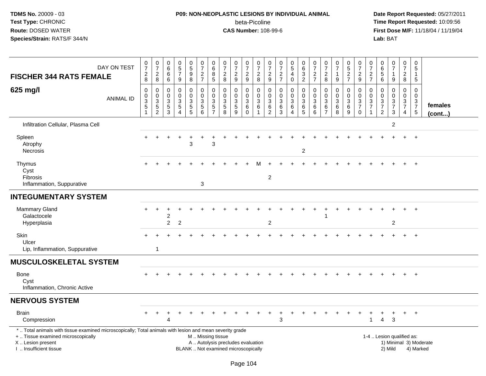# **P09: NON-NEOPLASTIC LESIONS BY INDIVIDUAL ANIMAL**beta-Picoline<br>CAS Number: 108-99-6

 **Date Report Requested:** 05/27/2011 **Time Report Requested:** 10:09:56 **First Dose M/F:** 11/18/04 / 11/19/04<br>Lab: BAT **Lab:** BAT

| DAY ON TEST<br><b>FISCHER 344 RATS FEMALE</b>                                                                                                                                                 |                  | $\frac{0}{7}$<br>$_{\rm 8}^2$                                           | $\frac{0}{7}$<br>$_{\rm 8}^2$    | $\begin{array}{c} 0 \\ 6 \end{array}$<br>6<br>$6\phantom{1}$    | $\begin{array}{c} 0 \\ 5 \\ 7 \end{array}$<br>9                | $\begin{array}{c} 0 \\ 5 \\ 9 \end{array}$<br>8 | $\frac{0}{7}$<br>$rac{2}{7}$                                 | $\pmb{0}$<br>$\overline{6}$<br>8<br>5                             | $\pmb{0}$<br>$\boldsymbol{7}$<br>$\overline{c}$<br>$\,8\,$               | $\frac{0}{7}$<br>$\frac{2}{9}$            | $\frac{0}{7}$<br>$\frac{2}{9}$                                    | $\frac{0}{7}$<br>$\frac{2}{8}$                                | $\frac{0}{7}$<br>$\frac{2}{9}$                     | $\frac{0}{7}$<br>$\frac{2}{7}$                                                   | $\begin{array}{c} 0 \\ 5 \end{array}$<br>$\overline{4}$<br>$\mathbf 0$ | $\pmb{0}$<br>$\,6\,$<br>$\frac{3}{2}$                                                       | $\frac{0}{7}$<br>$\frac{2}{7}$                                                | $\frac{0}{7}$<br>$\frac{2}{8}$                     | $\frac{0}{7}$<br>$\mathbf{1}$<br>9               | $\begin{array}{c} 0 \\ 5 \end{array}$<br>$\frac{2}{7}$      | $\frac{0}{7}$<br>$\frac{2}{9}$                                         | $\frac{0}{7}$<br>$\frac{2}{7}$                                     | 0<br>$\,6$<br>$\begin{array}{c} 5 \\ 6 \end{array}$ | $\begin{smallmatrix}0\\7\end{smallmatrix}$<br>9           | $\pmb{0}$<br>$\overline{7}$<br>$\frac{2}{8}$        | $\pmb{0}$<br>$\sqrt{5}$<br>$\mathbf{1}$<br>$\sqrt{5}$          |                        |
|-----------------------------------------------------------------------------------------------------------------------------------------------------------------------------------------------|------------------|-------------------------------------------------------------------------|----------------------------------|-----------------------------------------------------------------|----------------------------------------------------------------|-------------------------------------------------|--------------------------------------------------------------|-------------------------------------------------------------------|--------------------------------------------------------------------------|-------------------------------------------|-------------------------------------------------------------------|---------------------------------------------------------------|----------------------------------------------------|----------------------------------------------------------------------------------|------------------------------------------------------------------------|---------------------------------------------------------------------------------------------|-------------------------------------------------------------------------------|----------------------------------------------------|--------------------------------------------------|-------------------------------------------------------------|------------------------------------------------------------------------|--------------------------------------------------------------------|-----------------------------------------------------|-----------------------------------------------------------|-----------------------------------------------------|----------------------------------------------------------------|------------------------|
| 625 mg/l                                                                                                                                                                                      | <b>ANIMAL ID</b> | $\pmb{0}$<br>$\begin{array}{c} 0 \\ 3 \\ 5 \end{array}$<br>$\mathbf{1}$ | $\pmb{0}$<br>$\frac{0}{3}$<br>52 | $\mathbf 0$<br>$\boldsymbol{0}$<br>$\mathsf 3$<br>$\frac{5}{3}$ | $\pmb{0}$<br>$\mathbf 0$<br>3<br>$\,$ 5 $\,$<br>$\overline{4}$ | 0<br>$\mathbf 0$<br>3<br>$\frac{5}{5}$          | $\pmb{0}$<br>$\begin{array}{c} 0 \\ 3 \\ 5 \\ 6 \end{array}$ | 0<br>$\mathsf{O}\xspace$<br>3<br>$\overline{5}$<br>$\overline{7}$ | 0<br>0<br>$\ensuremath{\mathsf{3}}$<br>$\sqrt{5}$<br>8                   | $\pmb{0}$<br>$\mathbf 0$<br>$\frac{3}{5}$ | 0<br>$\mathsf{O}\xspace$<br>$\mathsf 3$<br>$\,6\,$<br>$\mathbf 0$ | 0<br>$\mathsf 0$<br>$\mathbf{3}$<br>$\,6\,$<br>$\overline{1}$ | 0<br>$\mathbf 0$<br>3<br>$\,6\,$<br>$\overline{2}$ | $\mathbf 0$<br>$\mathbf 0$<br>$\ensuremath{\mathsf{3}}$<br>$\,6$<br>$\mathbf{3}$ | 0<br>$\mathbf 0$<br>3<br>6<br>$\overline{4}$                           | $\pmb{0}$<br>$\mathsf{O}\xspace$<br>$\overline{3}$<br>$\begin{array}{c} 6 \\ 5 \end{array}$ | $\pmb{0}$<br>$\pmb{0}$<br>$\sqrt{3}$<br>$\begin{array}{c} 6 \\ 6 \end{array}$ | 0<br>$\mathbf 0$<br>3<br>$\,6\,$<br>$\overline{7}$ | 0<br>$\mathbf 0$<br>$\mathbf{3}$<br>$\,6\,$<br>8 | 0<br>$\mathbf 0$<br>$\ensuremath{\mathsf{3}}$<br>$\,6$<br>9 | $\pmb{0}$<br>$\begin{array}{c} 0 \\ 3 \\ 7 \end{array}$<br>$\mathbf 0$ | 0<br>$\mathbf 0$<br>$\mathbf{3}$<br>$\overline{7}$<br>$\mathbf{1}$ | 0<br>$\mathbf 0$<br>$\frac{3}{7}$<br>$\overline{2}$ | 0<br>$\mathsf{O}\xspace$<br>$\frac{3}{7}$<br>$\mathbf{3}$ | 0<br>$\mathbf 0$<br>$\frac{3}{7}$<br>$\overline{4}$ | 0<br>$\mathsf 0$<br>$\begin{array}{c} 3 \\ 7 \\ 5 \end{array}$ | females<br>(cont)      |
| Infiltration Cellular, Plasma Cell                                                                                                                                                            |                  |                                                                         |                                  |                                                                 |                                                                |                                                 |                                                              |                                                                   |                                                                          |                                           |                                                                   |                                                               |                                                    |                                                                                  |                                                                        |                                                                                             |                                                                               |                                                    |                                                  |                                                             |                                                                        |                                                                    |                                                     | 2                                                         |                                                     |                                                                |                        |
| Spleen<br>Atrophy<br><b>Necrosis</b>                                                                                                                                                          |                  |                                                                         |                                  |                                                                 |                                                                | 3                                               |                                                              | 3                                                                 |                                                                          |                                           |                                                                   |                                                               |                                                    |                                                                                  |                                                                        | $\overline{2}$                                                                              |                                                                               |                                                    |                                                  |                                                             |                                                                        |                                                                    |                                                     |                                                           |                                                     | $+$                                                            |                        |
| Thymus<br>Cyst<br>Fibrosis<br>Inflammation, Suppurative                                                                                                                                       |                  |                                                                         |                                  |                                                                 |                                                                |                                                 | $\mathbf{3}$                                                 |                                                                   |                                                                          |                                           |                                                                   |                                                               | $\overline{c}$                                     |                                                                                  |                                                                        |                                                                                             |                                                                               |                                                    |                                                  |                                                             |                                                                        |                                                                    |                                                     |                                                           |                                                     | $\overline{+}$                                                 |                        |
| <b>INTEGUMENTARY SYSTEM</b>                                                                                                                                                                   |                  |                                                                         |                                  |                                                                 |                                                                |                                                 |                                                              |                                                                   |                                                                          |                                           |                                                                   |                                                               |                                                    |                                                                                  |                                                                        |                                                                                             |                                                                               |                                                    |                                                  |                                                             |                                                                        |                                                                    |                                                     |                                                           |                                                     |                                                                |                        |
| Mammary Gland<br>Galactocele<br>Hyperplasia                                                                                                                                                   |                  |                                                                         |                                  | 2<br>$\boldsymbol{2}$                                           | $\overline{c}$                                                 |                                                 |                                                              |                                                                   |                                                                          |                                           |                                                                   |                                                               | $\overline{c}$                                     |                                                                                  |                                                                        |                                                                                             |                                                                               |                                                    |                                                  |                                                             |                                                                        |                                                                    |                                                     | $\overline{c}$                                            |                                                     |                                                                |                        |
| Skin<br>Ulcer<br>Lip, Inflammation, Suppurative                                                                                                                                               |                  |                                                                         | $\overline{1}$                   |                                                                 |                                                                |                                                 |                                                              |                                                                   |                                                                          |                                           |                                                                   |                                                               |                                                    |                                                                                  |                                                                        |                                                                                             |                                                                               |                                                    |                                                  |                                                             |                                                                        |                                                                    |                                                     |                                                           |                                                     | $+$                                                            |                        |
| <b>MUSCULOSKELETAL SYSTEM</b>                                                                                                                                                                 |                  |                                                                         |                                  |                                                                 |                                                                |                                                 |                                                              |                                                                   |                                                                          |                                           |                                                                   |                                                               |                                                    |                                                                                  |                                                                        |                                                                                             |                                                                               |                                                    |                                                  |                                                             |                                                                        |                                                                    |                                                     |                                                           |                                                     |                                                                |                        |
| <b>Bone</b><br>Cyst<br>Inflammation, Chronic Active                                                                                                                                           |                  |                                                                         |                                  |                                                                 |                                                                |                                                 |                                                              |                                                                   |                                                                          |                                           |                                                                   |                                                               |                                                    |                                                                                  |                                                                        |                                                                                             |                                                                               |                                                    |                                                  |                                                             |                                                                        |                                                                    |                                                     |                                                           |                                                     | $^{+}$                                                         |                        |
| <b>NERVOUS SYSTEM</b>                                                                                                                                                                         |                  |                                                                         |                                  |                                                                 |                                                                |                                                 |                                                              |                                                                   |                                                                          |                                           |                                                                   |                                                               |                                                    |                                                                                  |                                                                        |                                                                                             |                                                                               |                                                    |                                                  |                                                             |                                                                        |                                                                    |                                                     |                                                           |                                                     |                                                                |                        |
| <b>Brain</b><br>Compression                                                                                                                                                                   |                  |                                                                         |                                  | 4                                                               |                                                                |                                                 |                                                              |                                                                   |                                                                          |                                           |                                                                   |                                                               |                                                    | 3                                                                                |                                                                        |                                                                                             |                                                                               |                                                    |                                                  |                                                             |                                                                        | 1                                                                  | $\overline{4}$                                      | $\mathbf{3}$                                              | $\ddot{}$                                           | $+$                                                            |                        |
| *  Total animals with tissue examined microscopically; Total animals with lesion and mean severity grade<br>+  Tissue examined microscopically<br>X  Lesion present<br>I. Insufficient tissue |                  |                                                                         |                                  |                                                                 |                                                                |                                                 | M  Missing tissue                                            |                                                                   | A  Autolysis precludes evaluation<br>BLANK  Not examined microscopically |                                           |                                                                   |                                                               |                                                    |                                                                                  |                                                                        |                                                                                             |                                                                               |                                                    |                                                  |                                                             |                                                                        |                                                                    |                                                     | 1-4  Lesion qualified as:<br>2) Mild                      |                                                     | 4) Marked                                                      | 1) Minimal 3) Moderate |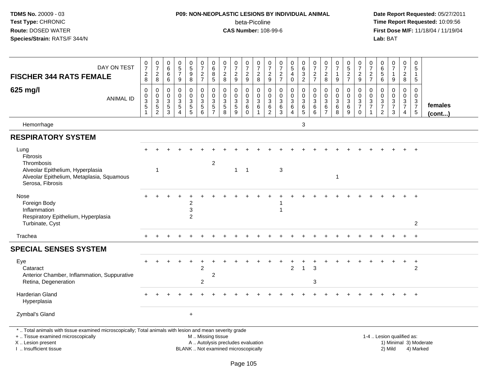### **P09: NON-NEOPLASTIC LESIONS BY INDIVIDUAL ANIMAL**beta-Picoline<br>CAS Number: 108-99-6

 **Date Report Requested:** 05/27/2011 **Time Report Requested:** 10:09:56 **First Dose M/F:** 11/18/04 / 11/19/04<br>Lab: BAT **Lab:** BAT

| DAY ON TEST<br><b>FISCHER 344 RATS FEMALE</b>                                                                                                  | $\frac{0}{7}$<br>$_{8}^2$ | $\frac{0}{7}$<br>$\frac{2}{8}$                                 | $\pmb{0}$<br>$\,6\,$<br>$\,6\,$<br>6                                | $\begin{smallmatrix} 0\\5 \end{smallmatrix}$<br>$\overline{7}$<br>9 | $\begin{array}{c} 0 \\ 5 \\ 9 \end{array}$<br>$\overline{8}$ | $\begin{smallmatrix}0\\7\end{smallmatrix}$<br>$\frac{2}{7}$ | $_{6}^{\rm 0}$<br>$\bf 8$<br>$\overline{5}$                          | $\frac{0}{7}$<br>$\frac{2}{8}$                                                       | $\frac{0}{7}$<br>$\frac{2}{9}$                                 | $\frac{0}{7}$<br>$\frac{2}{9}$                                            | $\frac{0}{7}$<br>8                              | $\frac{0}{7}$<br>$\frac{2}{9}$            | $\frac{0}{7}$<br>$\frac{2}{7}$                        | $\begin{array}{c} 0 \\ 5 \\ 4 \end{array}$<br>$\mathbf 0$ | $\begin{matrix} 0 \\ 6 \\ 3 \end{matrix}$<br>$\overline{2}$              | $\frac{0}{7}$<br>$\frac{2}{7}$                            | $\frac{0}{7}$<br>$\frac{2}{8}$                         | $\frac{0}{7}$<br>$\mathbf{1}$<br>9                                | $0$<br>5<br>2<br>7                                                               | $\frac{0}{7}$<br>$\frac{2}{9}$                                                         | $\frac{0}{7}$<br>$\frac{2}{7}$                       | 0<br>$\,6\,$<br>$\overline{5}$<br>6                                            | $\frac{0}{7}$<br>$\mathbf{1}$<br>9                                         | 0<br>$\overline{7}$<br>$\overline{a}$<br>8          | $\begin{array}{c} 0 \\ 5 \end{array}$<br>$\mathbf{1}$<br>$5\phantom{.0}$ |                         |
|------------------------------------------------------------------------------------------------------------------------------------------------|---------------------------|----------------------------------------------------------------|---------------------------------------------------------------------|---------------------------------------------------------------------|--------------------------------------------------------------|-------------------------------------------------------------|----------------------------------------------------------------------|--------------------------------------------------------------------------------------|----------------------------------------------------------------|---------------------------------------------------------------------------|-------------------------------------------------|-------------------------------------------|-------------------------------------------------------|-----------------------------------------------------------|--------------------------------------------------------------------------|-----------------------------------------------------------|--------------------------------------------------------|-------------------------------------------------------------------|----------------------------------------------------------------------------------|----------------------------------------------------------------------------------------|------------------------------------------------------|--------------------------------------------------------------------------------|----------------------------------------------------------------------------|-----------------------------------------------------|--------------------------------------------------------------------------|-------------------------|
| 625 mg/l<br><b>ANIMAL ID</b>                                                                                                                   | 0<br>0<br>3<br>5          | $\mathbf 0$<br>$\begin{array}{c} 0 \\ 3 \\ 5 \\ 2 \end{array}$ | $\mathbf 0$<br>$\mathbf 0$<br>3<br>$\overline{5}$<br>$\overline{3}$ | $\mathbf 0$<br>$\mathbf 0$<br>$\mathbf{3}$<br>5<br>4                | 0<br>$\boldsymbol{0}$<br>$\sqrt{3}$<br>$\frac{5}{5}$         | $\pmb{0}$<br>$\pmb{0}$<br>$\frac{3}{5}$                     | $\pmb{0}$<br>$\pmb{0}$<br>$\ensuremath{\mathsf{3}}$<br>$\frac{5}{7}$ | 0<br>$\pmb{0}$<br>$\ensuremath{\mathsf{3}}$<br>$\begin{array}{c} 5 \\ 8 \end{array}$ | 0<br>$\pmb{0}$<br>$\ensuremath{\mathsf{3}}$<br>$\sqrt{5}$<br>9 | 0<br>$\mathsf{O}$<br>$\ensuremath{\mathsf{3}}$<br>$\,6$<br>$\overline{0}$ | 0<br>$\pmb{0}$<br>$\frac{3}{6}$<br>$\mathbf{1}$ | 0<br>$\mathbf 0$<br>$\mathsf 3$<br>$^6_2$ | 0<br>$\pmb{0}$<br>$\ensuremath{\mathsf{3}}$<br>$^6_3$ | $\mathbf 0$<br>$\frac{0}{3}$<br>$\overline{4}$            | 0<br>$\pmb{0}$<br>$\ensuremath{\mathsf{3}}$<br>$\,6\,$<br>$\overline{5}$ | $\mathbf 0$<br>$\boldsymbol{0}$<br>$\mathbf{3}$<br>6<br>6 | $\mathbf 0$<br>$\mathbf 0$<br>3<br>6<br>$\overline{7}$ | $\mathbf 0$<br>$\mathbf 0$<br>$\ensuremath{\mathsf{3}}$<br>6<br>8 | $\mathbf 0$<br>$\pmb{0}$<br>$\ensuremath{\mathsf{3}}$<br>$\,6$<br>$\overline{9}$ | 0<br>$\mathsf{O}\xspace$<br>$\ensuremath{\mathsf{3}}$<br>$\overline{7}$<br>$\mathbf 0$ | 0<br>$\frac{0}{3}$<br>$\overline{7}$<br>$\mathbf{1}$ | $\mathbf 0$<br>$\mathbf 0$<br>$\mathbf{3}$<br>$\overline{7}$<br>$\overline{2}$ | $\mathbf 0$<br>$\mathbf 0$<br>$\sqrt{3}$<br>$\overline{7}$<br>$\mathbf{3}$ | 0<br>$\mathbf 0$<br>$\frac{3}{7}$<br>$\overline{4}$ | $\pmb{0}$<br>$\mathbf 0$<br>$\frac{3}{7}$<br>$\overline{5}$              | females<br>$($ cont $)$ |
| Hemorrhage                                                                                                                                     |                           |                                                                |                                                                     |                                                                     |                                                              |                                                             |                                                                      |                                                                                      |                                                                |                                                                           |                                                 |                                           |                                                       |                                                           | 3                                                                        |                                                           |                                                        |                                                                   |                                                                                  |                                                                                        |                                                      |                                                                                |                                                                            |                                                     |                                                                          |                         |
| <b>RESPIRATORY SYSTEM</b>                                                                                                                      |                           |                                                                |                                                                     |                                                                     |                                                              |                                                             |                                                                      |                                                                                      |                                                                |                                                                           |                                                 |                                           |                                                       |                                                           |                                                                          |                                                           |                                                        |                                                                   |                                                                                  |                                                                                        |                                                      |                                                                                |                                                                            |                                                     |                                                                          |                         |
| Lung<br>Fibrosis<br>Thrombosis<br>Alveolar Epithelium, Hyperplasia<br>Alveolar Epithelium, Metaplasia, Squamous<br>Serosa, Fibrosis            |                           | -1                                                             |                                                                     |                                                                     |                                                              |                                                             | $\overline{2}$                                                       |                                                                                      | 1                                                              | $\overline{1}$                                                            |                                                 |                                           | $\mathbf{3}$                                          |                                                           |                                                                          |                                                           |                                                        | $\mathbf{1}$                                                      |                                                                                  |                                                                                        |                                                      |                                                                                |                                                                            |                                                     | $\overline{+}$                                                           |                         |
| Nose<br>Foreign Body<br>Inflammation<br>Respiratory Epithelium, Hyperplasia<br>Turbinate, Cyst                                                 |                           |                                                                |                                                                     |                                                                     | $\overline{c}$<br>3<br>$\overline{2}$                        |                                                             |                                                                      |                                                                                      |                                                                |                                                                           |                                                 |                                           |                                                       |                                                           |                                                                          |                                                           |                                                        |                                                                   |                                                                                  |                                                                                        |                                                      |                                                                                |                                                                            |                                                     | $\overline{2}$                                                           |                         |
| Trachea                                                                                                                                        |                           |                                                                |                                                                     |                                                                     |                                                              |                                                             |                                                                      |                                                                                      |                                                                |                                                                           |                                                 |                                           |                                                       |                                                           |                                                                          |                                                           |                                                        |                                                                   |                                                                                  |                                                                                        |                                                      |                                                                                |                                                                            |                                                     | $+$                                                                      |                         |
| <b>SPECIAL SENSES SYSTEM</b>                                                                                                                   |                           |                                                                |                                                                     |                                                                     |                                                              |                                                             |                                                                      |                                                                                      |                                                                |                                                                           |                                                 |                                           |                                                       |                                                           |                                                                          |                                                           |                                                        |                                                                   |                                                                                  |                                                                                        |                                                      |                                                                                |                                                                            |                                                     |                                                                          |                         |
| Eye<br>Cataract<br>Anterior Chamber, Inflammation, Suppurative<br>Retina, Degeneration                                                         |                           |                                                                |                                                                     |                                                                     |                                                              | $\overline{2}$<br>$\overline{2}$                            | $\overline{2}$                                                       |                                                                                      |                                                                |                                                                           |                                                 |                                           |                                                       | $\overline{2}$                                            | $\overline{1}$                                                           | 3<br>3                                                    |                                                        |                                                                   |                                                                                  |                                                                                        |                                                      |                                                                                |                                                                            |                                                     | +<br>$\overline{c}$                                                      |                         |
| <b>Harderian Gland</b><br>Hyperplasia                                                                                                          |                           |                                                                |                                                                     |                                                                     |                                                              |                                                             |                                                                      |                                                                                      |                                                                |                                                                           |                                                 |                                           |                                                       |                                                           |                                                                          |                                                           |                                                        |                                                                   |                                                                                  |                                                                                        |                                                      |                                                                                |                                                                            |                                                     | $\overline{+}$                                                           |                         |
| Zymbal's Gland                                                                                                                                 |                           |                                                                |                                                                     |                                                                     | $\boldsymbol{+}$                                             |                                                             |                                                                      |                                                                                      |                                                                |                                                                           |                                                 |                                           |                                                       |                                                           |                                                                          |                                                           |                                                        |                                                                   |                                                                                  |                                                                                        |                                                      |                                                                                |                                                                            |                                                     |                                                                          |                         |
| *  Total animals with tissue examined microscopically; Total animals with lesion and mean severity grade<br>+  Tissue examined microscopically |                           |                                                                |                                                                     |                                                                     |                                                              | M  Missing tissue                                           |                                                                      |                                                                                      |                                                                |                                                                           |                                                 |                                           |                                                       |                                                           |                                                                          |                                                           |                                                        |                                                                   |                                                                                  |                                                                                        |                                                      |                                                                                | 1-4  Lesion qualified as:                                                  |                                                     |                                                                          |                         |

X .. Lesion present

I .. Insufficient tissue

BLANK .. Not examined microscopically

A .. Autolysis precludes evaluation and the series of the series of the series of the series of the series of the series of the series of the series of the series of the series of the series of the series of the series of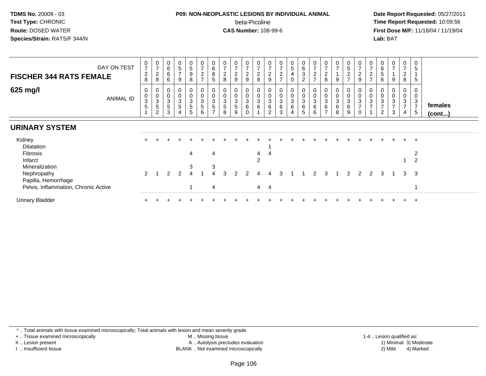#### **P09: NON-NEOPLASTIC LESIONS BY INDIVIDUAL ANIMAL** beta-Picoline**beta-Picoline**<br> **CAS Number:** 108-99-6<br> **CAS Number:** 108-99-6<br> **CAS Number:** 108-99-6

 **Date Report Requested:** 05/27/2011 **First Dose M/F:** 11/18/04 / 11/19/04 Lab: BAT **Lab:** BAT

| <b>FISCHER 344 RATS FEMALE</b>                       | DAY ON TEST | $\frac{0}{7}$<br>$_{\rm 2}^2$      | $\frac{0}{7}$<br>$\overline{2}$<br>8                | $\begin{matrix} 0 \\ 6 \end{matrix}$<br>$6\phantom{1}$<br>6        | 0<br>$\sqrt{5}$<br>$\overline{7}$<br>9                                          | $\begin{array}{c} 0 \\ 5 \end{array}$<br>$\boldsymbol{9}$<br>8 | $\boldsymbol{0}$<br>$\overline{7}$<br>$\frac{2}{7}$ | $_6^0$<br>8<br>5                                       | $\overline{7}$<br>$\overline{c}$<br>8 | $\overline{ }$<br>$\boldsymbol{2}$<br>9          | $\frac{0}{7}$<br>$\overline{c}$<br>9       | $\frac{0}{7}$<br>$\frac{2}{8}$ | $\frac{0}{7}$<br>$\overline{c}$<br>$\boldsymbol{9}$                    | $\overline{7}$<br>$\boldsymbol{2}$<br>$\overline{ }$ | 0<br>5<br>4<br>0 | 0<br>$\,6$<br>$\mathbf{3}$<br>$\overline{2}$          | 0<br>$\overline{ }$<br>$\overline{c}$<br>$\rightarrow$      | $\overline{c}$<br>8 | 0<br>$\overline{ }$<br>9                                  | 0<br>$\sqrt{5}$<br>$\frac{2}{7}$ | $\frac{0}{7}$<br>$\overline{2}$<br>$9\,$                | $\overline{ }$<br>2<br>$\overline{ }$ | 6<br>6                                     | 0<br>$\overline{ }$<br>9                                             | 0<br>$\overline{ }$<br>$\overline{a}$<br>8      | 0<br>5<br>5                                     |                         |
|------------------------------------------------------|-------------|------------------------------------|-----------------------------------------------------|--------------------------------------------------------------------|---------------------------------------------------------------------------------|----------------------------------------------------------------|-----------------------------------------------------|--------------------------------------------------------|---------------------------------------|--------------------------------------------------|--------------------------------------------|--------------------------------|------------------------------------------------------------------------|------------------------------------------------------|------------------|-------------------------------------------------------|-------------------------------------------------------------|---------------------|-----------------------------------------------------------|----------------------------------|---------------------------------------------------------|---------------------------------------|--------------------------------------------|----------------------------------------------------------------------|-------------------------------------------------|-------------------------------------------------|-------------------------|
| 625 mg/l                                             | ANIMAL ID   | 0<br>$_{3}^{\rm 0}$<br>$\,$ 5 $\,$ | 0<br>$_{3}^{\rm 0}$<br>$\sqrt{5}$<br>$\overline{2}$ | $\begin{smallmatrix} 0\\0\\3 \end{smallmatrix}$<br>$\sqrt{5}$<br>3 | $\begin{smallmatrix} 0\\0\\3 \end{smallmatrix}$<br>$\sqrt{5}$<br>$\overline{4}$ | 0<br>$_{3}^{\rm 0}$<br>$\sqrt{5}$<br>5                         | $\pmb{0}$<br>$\pmb{0}$<br>$\overline{3}$<br>5<br>6  | 0<br>$\mathbf 0$<br>3<br>5<br>$\overline{\phantom{0}}$ | $\pmb{0}$<br>3<br>$\sqrt{5}$<br>8     | $\pmb{0}$<br>$\ensuremath{\mathsf{3}}$<br>5<br>9 | 0<br>$_{3}^{\rm 0}$<br>$\,6\,$<br>$\Omega$ | 0<br>$_{3}^{\rm 0}$<br>$\,6\,$ | 0<br>$\pmb{0}$<br>$\ensuremath{\mathsf{3}}$<br>$\,6$<br>$\overline{2}$ | $\ensuremath{\mathsf{3}}$<br>$\,6$<br>3              | 0<br>3<br>6<br>4 | 0<br>$\pmb{0}$<br>$\ensuremath{\mathsf{3}}$<br>6<br>5 | 0<br>$\pmb{0}$<br>$\ensuremath{\mathsf{3}}$<br>$\,6\,$<br>6 | $\mathbf{3}$<br>6   | 0<br>$\pmb{0}$<br>$\ensuremath{\mathsf{3}}$<br>$\,6$<br>8 | 0<br>0<br>3<br>6<br>9            | $\pmb{0}$<br>$\mathbf{3}$<br>$\overline{7}$<br>$\Omega$ | $\mathbf 0$<br>3<br>$\rightarrow$     | 0<br>3<br>$\overline{7}$<br>$\overline{2}$ | 0<br>$\mathbf 0$<br>$\ensuremath{\mathsf{3}}$<br>$\overline{ }$<br>3 | 0<br>0<br>3<br>$\overline{ }$<br>$\overline{4}$ | 0<br>$\mathbf 0$<br>$\frac{3}{7}$<br>$\sqrt{5}$ | females<br>$($ cont $)$ |
| <b>URINARY SYSTEM</b>                                |             |                                    |                                                     |                                                                    |                                                                                 |                                                                |                                                     |                                                        |                                       |                                                  |                                            |                                |                                                                        |                                                      |                  |                                                       |                                                             |                     |                                                           |                                  |                                                         |                                       |                                            |                                                                      |                                                 |                                                 |                         |
| Kidney<br>Dilatation                                 |             | ÷                                  |                                                     |                                                                    |                                                                                 |                                                                |                                                     |                                                        |                                       |                                                  |                                            |                                |                                                                        |                                                      |                  |                                                       |                                                             |                     |                                                           |                                  |                                                         |                                       |                                            | $\pm$                                                                | $+$                                             | $+$                                             |                         |
| <b>Fibrosis</b><br>Infarct                           |             |                                    |                                                     |                                                                    |                                                                                 | 4                                                              |                                                     | 4                                                      |                                       |                                                  |                                            | 4<br>2                         | 4                                                                      |                                                      |                  |                                                       |                                                             |                     |                                                           |                                  |                                                         |                                       |                                            |                                                                      |                                                 | 2<br>2                                          |                         |
| Mineralization<br>Nephropathy<br>Papilla, Hemorrhage |             | $\mathcal{P}$                      |                                                     | $\mathcal{P}$                                                      | $\mathcal{P}$                                                                   | 3                                                              |                                                     | 3                                                      |                                       |                                                  |                                            |                                |                                                                        |                                                      |                  |                                                       |                                                             |                     |                                                           | 2.                               |                                                         |                                       |                                            |                                                                      | 3                                               | 3                                               |                         |
| Pelvis, Inflammation, Chronic Active                 |             |                                    |                                                     |                                                                    |                                                                                 | 1                                                              |                                                     | $\overline{4}$                                         |                                       |                                                  |                                            | $\overline{4}$                 | $\overline{4}$                                                         |                                                      |                  |                                                       |                                                             |                     |                                                           |                                  |                                                         |                                       |                                            |                                                                      |                                                 |                                                 |                         |
| <b>Urinary Bladder</b>                               |             |                                    |                                                     |                                                                    |                                                                                 |                                                                |                                                     |                                                        |                                       |                                                  |                                            |                                |                                                                        |                                                      |                  |                                                       |                                                             |                     |                                                           |                                  |                                                         |                                       |                                            |                                                                      |                                                 |                                                 |                         |

\* .. Total animals with tissue examined microscopically; Total animals with lesion and mean severity grade

+ .. Tissue examined microscopically

X .. Lesion present

I .. Insufficient tissue

 M .. Missing tissueA .. Autolysis precludes evaluation

 1-4 .. Lesion qualified as: BLANK .. Not examined microscopically 2) Mild 4) Marked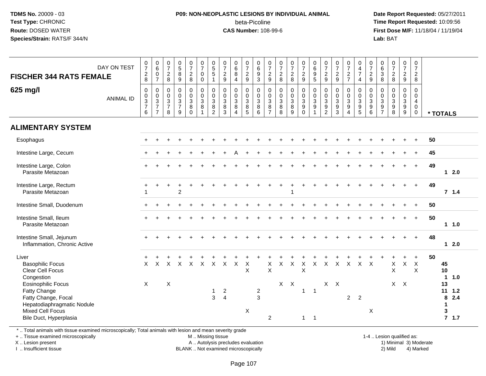#### **P09: NON-NEOPLASTIC LESIONS BY INDIVIDUAL ANIMAL** beta-Picoline**beta-Picoline**<br> **CAS Number:** 108-99-6<br> **CAS Number:** 108-99-6<br> **CAS Number:** 108-99-6

 **Date Report Requested:** 05/27/2011 **First Dose M/F:** 11/18/04 / 11/19/04 Lab: BAT **Lab:** BAT

| <b>FISCHER 344 RATS FEMALE</b><br>625 mg/l                                                                                                                                                                                       | DAY ON TEST<br><b>ANIMAL ID</b> | $\frac{0}{7}$<br>$\overline{c}$<br>$\,8\,$<br>$\mathbf 0$<br>$\pmb{0}$<br>$\frac{3}{7}$<br>$\,6\,$ | $\begin{array}{c} 0 \\ 6 \end{array}$<br>$\mathbf 0$<br>$\overline{7}$<br>0<br>$\begin{array}{c} 0 \\ 3 \\ 7 \end{array}$<br>$\overline{7}$ | $\frac{0}{7}$<br>$_{\rm 8}^2$<br>0<br>$\begin{array}{c} 0 \\ 3 \\ 7 \end{array}$<br>8 | $\begin{array}{c} 0 \\ 5 \\ 8 \end{array}$<br>9<br>$\boldsymbol{0}$<br>$\frac{0}{3}$<br>9 | $\frac{0}{7}$<br>$\overline{a}$<br>8<br>0<br>$\frac{0}{3}$<br>$\bf 8$<br>$\mathbf 0$ | $\frac{0}{7}$<br>$\mathsf 0$<br>$\mathbf 0$<br>$\begin{matrix} 0 \\ 0 \\ 3 \\ 8 \end{matrix}$<br>$\mathbf{1}$ | $\begin{array}{c} 0 \\ 5 \\ 5 \end{array}$<br>$\overline{1}$<br>0<br>$\pmb{0}$<br>$\sqrt{3}$<br>$\overline{8}$<br>$\overline{2}$ | $\frac{0}{7}$<br>$\sqrt{2}$<br>9<br>$\mathbf 0$<br>$_{3}^{\rm 0}$<br>$\bf8$<br>3 | 0<br>$\,6\,$<br>$\bf 8$<br>4<br>0<br>$\pmb{0}$<br>$\sqrt{3}$<br>$\bf 8$<br>4 | $\frac{0}{7}$<br>$\frac{2}{9}$<br>$\begin{smallmatrix}0\\0\\3\end{smallmatrix}$<br>$\bf 8$<br>5 | $\begin{array}{c} 0 \\ 6 \end{array}$<br>$\overline{9}$<br>$\overline{3}$<br>0<br>$\pmb{0}$<br>$\sqrt{3}$<br>$\bf 8$<br>$6\phantom{1}$ | $\frac{0}{7}$<br>$\frac{2}{9}$<br>$\pmb{0}$<br>$\pmb{0}$<br>$\frac{3}{8}$ | $\frac{0}{7}$<br>$\overline{2}$<br>8<br>$\pmb{0}$<br>$\frac{0}{3}$<br>8 | $\begin{smallmatrix}0\\7\end{smallmatrix}$<br>$\overline{c}$<br>8<br>$\begin{smallmatrix} 0\\0\\3 \end{smallmatrix}$<br>$\bf 8$<br>9 | $\frac{0}{7}$<br>$\frac{2}{9}$<br>$\begin{array}{c} 0 \\ 0 \\ 3 \end{array}$<br>$\mathbf 0$ | $\pmb{0}$<br>$\,6\,$<br>$\boldsymbol{9}$<br>$\sqrt{5}$<br>0<br>$\mathbf 0$<br>$\mathbf{3}$<br>$9\,$<br>$\mathbf{1}$ | $\frac{0}{7}$<br>$\overline{2}$<br>9<br>$\pmb{0}$<br>$\mathbf 0$<br>$\mathbf 3$<br>$9\,$<br>$\overline{2}$ | $\frac{0}{7}$<br>$\overline{a}$<br>9<br>0<br>$\pmb{0}$<br>$\mathbf{3}$<br>9<br>3 | $072$<br>$727$<br>$\begin{array}{c} 0 \\ 0 \\ 3 \\ 9 \end{array}$<br>$\overline{4}$ | $\pmb{0}$<br>$\overline{4}$<br>$\overline{7}$<br>$\overline{4}$<br>0<br>$\pmb{0}$<br>$\frac{3}{9}$ | $\frac{0}{7}$<br>$\frac{2}{9}$<br>0<br>$\pmb{0}$<br>$\frac{3}{9}$ | 0<br>0<br>0<br>0<br>0<br>$0003$<br>$97$ | $\frac{0}{7}$<br>$\frac{2}{8}$<br>0<br>0<br>0<br>0<br>0<br>0 | $\frac{0}{7}$<br>$\sqrt{2}$<br>9<br>$\mathbf 0$<br>$\frac{0}{3}$<br>9 | 0<br>$\overline{7}$<br>$\overline{2}$<br>8<br>0<br>$\mathbf 0$<br>$\overline{4}$<br>$\mathbf 0$<br>$\mathbf 0$ |    | * TOTALS                                   |                         |
|----------------------------------------------------------------------------------------------------------------------------------------------------------------------------------------------------------------------------------|---------------------------------|----------------------------------------------------------------------------------------------------|---------------------------------------------------------------------------------------------------------------------------------------------|---------------------------------------------------------------------------------------|-------------------------------------------------------------------------------------------|--------------------------------------------------------------------------------------|---------------------------------------------------------------------------------------------------------------|----------------------------------------------------------------------------------------------------------------------------------|----------------------------------------------------------------------------------|------------------------------------------------------------------------------|-------------------------------------------------------------------------------------------------|----------------------------------------------------------------------------------------------------------------------------------------|---------------------------------------------------------------------------|-------------------------------------------------------------------------|--------------------------------------------------------------------------------------------------------------------------------------|---------------------------------------------------------------------------------------------|---------------------------------------------------------------------------------------------------------------------|------------------------------------------------------------------------------------------------------------|----------------------------------------------------------------------------------|-------------------------------------------------------------------------------------|----------------------------------------------------------------------------------------------------|-------------------------------------------------------------------|-----------------------------------------|--------------------------------------------------------------|-----------------------------------------------------------------------|----------------------------------------------------------------------------------------------------------------|----|--------------------------------------------|-------------------------|
| <b>ALIMENTARY SYSTEM</b>                                                                                                                                                                                                         |                                 |                                                                                                    |                                                                                                                                             |                                                                                       |                                                                                           |                                                                                      |                                                                                                               |                                                                                                                                  |                                                                                  |                                                                              |                                                                                                 |                                                                                                                                        |                                                                           |                                                                         |                                                                                                                                      |                                                                                             |                                                                                                                     |                                                                                                            |                                                                                  |                                                                                     |                                                                                                    |                                                                   |                                         |                                                              |                                                                       |                                                                                                                |    |                                            |                         |
| Esophagus                                                                                                                                                                                                                        |                                 |                                                                                                    |                                                                                                                                             |                                                                                       |                                                                                           |                                                                                      |                                                                                                               |                                                                                                                                  |                                                                                  |                                                                              |                                                                                                 |                                                                                                                                        |                                                                           |                                                                         |                                                                                                                                      |                                                                                             |                                                                                                                     |                                                                                                            |                                                                                  |                                                                                     |                                                                                                    |                                                                   |                                         |                                                              |                                                                       |                                                                                                                | 50 |                                            |                         |
| Intestine Large, Cecum                                                                                                                                                                                                           |                                 |                                                                                                    |                                                                                                                                             |                                                                                       |                                                                                           |                                                                                      |                                                                                                               |                                                                                                                                  |                                                                                  |                                                                              |                                                                                                 |                                                                                                                                        |                                                                           |                                                                         |                                                                                                                                      |                                                                                             |                                                                                                                     |                                                                                                            |                                                                                  |                                                                                     |                                                                                                    |                                                                   |                                         |                                                              |                                                                       |                                                                                                                | 45 |                                            |                         |
| Intestine Large, Colon<br>Parasite Metazoan                                                                                                                                                                                      |                                 |                                                                                                    |                                                                                                                                             |                                                                                       |                                                                                           |                                                                                      |                                                                                                               |                                                                                                                                  |                                                                                  |                                                                              |                                                                                                 |                                                                                                                                        |                                                                           |                                                                         |                                                                                                                                      |                                                                                             |                                                                                                                     |                                                                                                            |                                                                                  |                                                                                     |                                                                                                    |                                                                   |                                         |                                                              |                                                                       | $+$                                                                                                            | 49 |                                            | $12.0$                  |
| Intestine Large, Rectum<br>Parasite Metazoan                                                                                                                                                                                     |                                 | -1                                                                                                 |                                                                                                                                             |                                                                                       | $\overline{c}$                                                                            |                                                                                      |                                                                                                               |                                                                                                                                  |                                                                                  |                                                                              |                                                                                                 |                                                                                                                                        |                                                                           |                                                                         |                                                                                                                                      |                                                                                             |                                                                                                                     |                                                                                                            |                                                                                  |                                                                                     |                                                                                                    |                                                                   |                                         |                                                              |                                                                       | $+$                                                                                                            | 49 |                                            | $7 \quad 1.4$           |
| Intestine Small, Duodenum                                                                                                                                                                                                        |                                 |                                                                                                    |                                                                                                                                             |                                                                                       |                                                                                           |                                                                                      |                                                                                                               |                                                                                                                                  |                                                                                  |                                                                              |                                                                                                 |                                                                                                                                        |                                                                           |                                                                         |                                                                                                                                      |                                                                                             |                                                                                                                     |                                                                                                            |                                                                                  |                                                                                     |                                                                                                    |                                                                   |                                         |                                                              |                                                                       |                                                                                                                | 50 |                                            |                         |
| Intestine Small, Ileum<br>Parasite Metazoan                                                                                                                                                                                      |                                 |                                                                                                    |                                                                                                                                             |                                                                                       |                                                                                           |                                                                                      |                                                                                                               |                                                                                                                                  |                                                                                  |                                                                              |                                                                                                 |                                                                                                                                        |                                                                           |                                                                         |                                                                                                                                      |                                                                                             |                                                                                                                     |                                                                                                            |                                                                                  |                                                                                     |                                                                                                    |                                                                   |                                         |                                                              |                                                                       | $+$                                                                                                            | 50 |                                            | 11.0                    |
| Intestine Small, Jejunum<br>Inflammation, Chronic Active                                                                                                                                                                         |                                 |                                                                                                    |                                                                                                                                             |                                                                                       |                                                                                           |                                                                                      |                                                                                                               |                                                                                                                                  |                                                                                  |                                                                              |                                                                                                 |                                                                                                                                        |                                                                           |                                                                         |                                                                                                                                      |                                                                                             |                                                                                                                     |                                                                                                            |                                                                                  |                                                                                     |                                                                                                    |                                                                   |                                         |                                                              |                                                                       |                                                                                                                | 48 |                                            | $12.0$                  |
| Liver<br><b>Basophilic Focus</b><br><b>Clear Cell Focus</b><br>Congestion<br><b>Eosinophilic Focus</b><br>Fatty Change<br>Fatty Change, Focal<br>Hepatodiaphragmatic Nodule<br><b>Mixed Cell Focus</b><br>Bile Duct, Hyperplasia |                                 | $\times$<br>$\mathsf{X}$                                                                           | X                                                                                                                                           | X<br>$\boldsymbol{\mathsf{X}}$                                                        | $\sf X$                                                                                   | $\mathsf{X}$                                                                         | $\mathsf{X}$                                                                                                  | $\mathsf{X}$<br>-1<br>3                                                                                                          | $\mathsf{X}$<br>$\sqrt{2}$<br>$\overline{4}$                                     | $\boldsymbol{\mathsf{X}}$                                                    | $\boldsymbol{\mathsf{X}}$<br>X<br>$\boldsymbol{\mathsf{X}}$                                     | $\overline{c}$<br>$\overline{3}$                                                                                                       | X<br>$\pmb{\times}$<br>2                                                  | X<br>$X$ $X$                                                            | $\mathsf{X}$                                                                                                                         | X<br>$\boldsymbol{\mathsf{X}}$<br>$\overline{1}$<br>$\mathbf{1}$                            | $\sf X$<br>$\overline{1}$<br>$\overline{1}$                                                                         | $\mathsf{X}$<br>$X$ $X$                                                                                    | $\mathsf{X}$                                                                     | $\mathsf{X}$<br>$\overline{2}$                                                      | $\mathsf{X}$<br>2                                                                                  | $\mathsf{X}$<br>X                                                 |                                         | $\pmb{\times}$<br>X<br>$X$ $X$                               | $\mathsf{X}$                                                          | $+$<br>$\boldsymbol{\mathsf{X}}$<br>X                                                                          | 50 | 45<br>10<br>13<br>$11$ 1.2<br>8<br>-1<br>3 | $1 1.0$<br>2.4<br>7.1.7 |

\* .. Total animals with tissue examined microscopically; Total animals with lesion and mean severity grade

+ .. Tissue examined microscopically

X .. Lesion present

I .. Insufficient tissue

M .. Missing tissue

Lesion present A .. Autolysis precludes evaluation 1) Minimal 3) Moderate

BLANK .. Not examined microscopically 2) Mild 4) Marked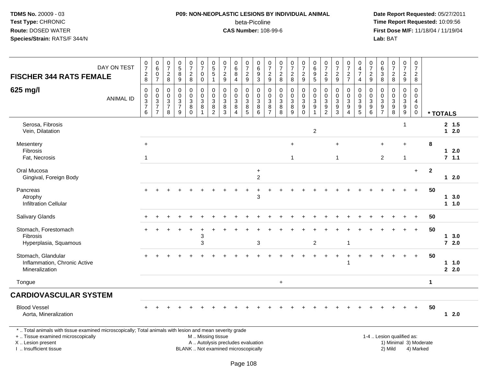### **P09: NON-NEOPLASTIC LESIONS BY INDIVIDUAL ANIMAL**beta-Picoline<br>CAS Number: 108-99-6

 **Date Report Requested:** 05/27/2011 **Time Report Requested:** 10:09:56 **First Dose M/F:** 11/18/04 / 11/19/04<br>**Lab:** BAT **Lab:** BAT

| <b>FISCHER 344 RATS FEMALE</b>                                       | DAY ON TEST                                                                                                                   | 0<br>$\overline{7}$<br>$_{\rm 8}^2$               | $\begin{array}{c} 0 \\ 6 \end{array}$<br>$\pmb{0}$<br>$\overline{7}$ | $\frac{0}{7}$<br>$\boldsymbol{2}$<br>8                     | $\begin{array}{c} 0 \\ 5 \end{array}$<br>$\bf8$<br>$\boldsymbol{9}$          | $\begin{array}{c} 0 \\ 7 \end{array}$<br>$\frac{2}{8}$               | $\begin{array}{c} 0 \\ 7 \end{array}$<br>$\pmb{0}$<br>$\mathbf 0$ | $\begin{array}{c} 0 \\ 5 \end{array}$<br>$\sqrt{5}$<br>$\mathbf{1}$   | $\frac{0}{7}$<br>$\frac{2}{9}$         | $\begin{array}{c} 0 \\ 6 \end{array}$<br>$\bf 8$<br>$\overline{4}$       | $\frac{0}{7}$<br>$\overline{2}$<br>9             | $\pmb{0}$<br>$\,6\,$<br>$\frac{9}{3}$            | $\frac{0}{7}$<br>$\frac{2}{9}$                            | $\frac{0}{7}$<br>$\frac{2}{8}$                  | $\begin{array}{c} 0 \\ 7 \end{array}$<br>$\frac{2}{8}$ | $\frac{0}{7}$<br>$\frac{2}{9}$                          | 0<br>$\,6\,$<br>$\begin{array}{c} 9 \\ 5 \end{array}$                               | $\frac{0}{7}$<br>$\frac{2}{9}$                            | $\mathbf 0$<br>$\overline{7}$<br>$\frac{2}{9}$                                   | $\begin{array}{c} 0 \\ 7 \end{array}$<br>$\frac{2}{7}$     | $\,0\,$<br>$\frac{4}{7}$<br>$\overline{4}$                       | $\begin{array}{c} 0 \\ 7 \end{array}$<br>$\overline{c}$<br>9              | $_{6}^{\rm 0}$<br>3<br>8                     | $\begin{array}{c} 0 \\ 7 \end{array}$<br>$\frac{2}{8}$            | $\frac{0}{7}$<br>$\frac{2}{9}$                                      | $\pmb{0}$<br>$\overline{7}$<br>$\frac{2}{8}$                                       |                |          |                  |
|----------------------------------------------------------------------|-------------------------------------------------------------------------------------------------------------------------------|---------------------------------------------------|----------------------------------------------------------------------|------------------------------------------------------------|------------------------------------------------------------------------------|----------------------------------------------------------------------|-------------------------------------------------------------------|-----------------------------------------------------------------------|----------------------------------------|--------------------------------------------------------------------------|--------------------------------------------------|--------------------------------------------------|-----------------------------------------------------------|-------------------------------------------------|--------------------------------------------------------|---------------------------------------------------------|-------------------------------------------------------------------------------------|-----------------------------------------------------------|----------------------------------------------------------------------------------|------------------------------------------------------------|------------------------------------------------------------------|---------------------------------------------------------------------------|----------------------------------------------|-------------------------------------------------------------------|---------------------------------------------------------------------|------------------------------------------------------------------------------------|----------------|----------|------------------|
| 625 mg/l                                                             | <b>ANIMAL ID</b>                                                                                                              | 0<br>0<br>$\overline{3}$<br>$\boldsymbol{7}$<br>6 | $\mathbf 0$<br>$\pmb{0}$<br>$\frac{3}{7}$<br>$\overline{7}$          | 0<br>0<br>$\ensuremath{\mathsf{3}}$<br>$\overline{7}$<br>8 | $\pmb{0}$<br>$\mathbf 0$<br>$\ensuremath{\mathsf{3}}$<br>$\overline{7}$<br>9 | $\pmb{0}$<br>$\mathbf 0$<br>$\overline{3}$<br>$\bf 8$<br>$\mathbf 0$ | $\mathbf 0$<br>$\mathbf 0$<br>$\frac{3}{8}$<br>$\overline{1}$     | $\mathbf 0$<br>$\mathbf 0$<br>$\sqrt{3}$<br>$\,8\,$<br>$\overline{2}$ | $\mathbf 0$<br>$\Omega$<br>3<br>8<br>3 | $\mathbf 0$<br>$\mathbf 0$<br>$\overline{3}$<br>$\bf8$<br>$\overline{4}$ | 0<br>$\mathbf 0$<br>$\mathbf{3}$<br>$\bf 8$<br>5 | 0<br>$\pmb{0}$<br>$\overline{3}$<br>$\bf 8$<br>6 | $\pmb{0}$<br>$\pmb{0}$<br>$\frac{3}{8}$<br>$\overline{7}$ | 0<br>$\mathbf 0$<br>$\mathbf 3$<br>$\bf 8$<br>8 | $\pmb{0}$<br>$\mathbf 0$<br>$\sqrt{3}$<br>$\, 8$<br>9  | 0<br>0<br>$\sqrt{3}$<br>$\boldsymbol{9}$<br>$\mathbf 0$ | 0<br>$\mathbf 0$<br>$\ensuremath{\mathsf{3}}$<br>$\boldsymbol{9}$<br>$\overline{1}$ | $\pmb{0}$<br>$\pmb{0}$<br>$\frac{3}{9}$<br>$\overline{2}$ | $\mathbf 0$<br>$\mathbf 0$<br>$\ensuremath{\mathsf{3}}$<br>$\boldsymbol{9}$<br>3 | 0<br>$\mathbf 0$<br>$\mathbf 3$<br>$9\,$<br>$\overline{4}$ | 0<br>$\mathbf 0$<br>$\sqrt{3}$<br>$\boldsymbol{9}$<br>$\sqrt{5}$ | 0<br>$\overline{0}$<br>$\ensuremath{\mathsf{3}}$<br>$\boldsymbol{9}$<br>6 | 0<br>$\mathbf 0$<br>$_9^3$<br>$\overline{7}$ | $\mathbf 0$<br>$\mathbf 0$<br>$\sqrt{3}$<br>$\boldsymbol{9}$<br>8 | $\mathbf 0$<br>$\pmb{0}$<br>$\overline{3}$<br>$\boldsymbol{9}$<br>9 | $\mathbf 0$<br>$\mathbf 0$<br>$\overline{4}$<br>$\mathbf 0$<br>$\mathsf{O}\xspace$ |                | * TOTALS |                  |
| Serosa, Fibrosis<br>Vein, Dilatation                                 |                                                                                                                               |                                                   |                                                                      |                                                            |                                                                              |                                                                      |                                                                   |                                                                       |                                        |                                                                          |                                                  |                                                  |                                                           |                                                 |                                                        |                                                         | $\overline{2}$                                                                      |                                                           |                                                                                  |                                                            |                                                                  |                                                                           |                                              |                                                                   |                                                                     |                                                                                    |                |          | 2, 1.5<br>$12.0$ |
| Mesentery<br>Fibrosis<br>Fat, Necrosis                               |                                                                                                                               | $\ddot{}$<br>$\mathbf{1}$                         |                                                                      |                                                            |                                                                              |                                                                      |                                                                   |                                                                       |                                        |                                                                          |                                                  |                                                  |                                                           |                                                 | $\ddot{}$<br>$\mathbf{1}$                              |                                                         |                                                                                     |                                                           | $\ddot{}$<br>$\mathbf{1}$                                                        |                                                            |                                                                  |                                                                           | $\ddot{}$<br>$\overline{2}$                  |                                                                   | $\ddot{}$<br>$\mathbf{1}$                                           |                                                                                    | 8              |          | $12.0$<br>7, 1.1 |
| Oral Mucosa<br>Gingival, Foreign Body                                |                                                                                                                               |                                                   |                                                                      |                                                            |                                                                              |                                                                      |                                                                   |                                                                       |                                        |                                                                          |                                                  | $+$<br>$\overline{2}$                            |                                                           |                                                 |                                                        |                                                         |                                                                                     |                                                           |                                                                                  |                                                            |                                                                  |                                                                           |                                              |                                                                   |                                                                     | $+$                                                                                | $\overline{2}$ |          | $12.0$           |
| Pancreas<br>Atrophy<br><b>Infiltration Cellular</b>                  |                                                                                                                               |                                                   |                                                                      |                                                            |                                                                              |                                                                      |                                                                   |                                                                       |                                        |                                                                          |                                                  | +<br>3                                           |                                                           |                                                 |                                                        |                                                         |                                                                                     |                                                           |                                                                                  |                                                            |                                                                  |                                                                           |                                              |                                                                   |                                                                     | $+$                                                                                | 50             |          | 13.0<br>$1 1.0$  |
| Salivary Glands                                                      |                                                                                                                               |                                                   |                                                                      |                                                            |                                                                              |                                                                      |                                                                   |                                                                       |                                        |                                                                          |                                                  |                                                  |                                                           |                                                 |                                                        |                                                         |                                                                                     |                                                           |                                                                                  |                                                            |                                                                  |                                                                           |                                              |                                                                   |                                                                     |                                                                                    | 50             |          |                  |
| Stomach, Forestomach<br>Fibrosis<br>Hyperplasia, Squamous            |                                                                                                                               |                                                   |                                                                      |                                                            |                                                                              |                                                                      | 3<br>3                                                            |                                                                       |                                        |                                                                          |                                                  | $\mathbf{3}$                                     |                                                           |                                                 |                                                        |                                                         | $\overline{2}$                                                                      |                                                           |                                                                                  | -1                                                         |                                                                  |                                                                           |                                              |                                                                   |                                                                     | $+$                                                                                | 50             |          | 13.0<br>$72.0$   |
| Stomach, Glandular<br>Inflammation, Chronic Active<br>Mineralization |                                                                                                                               |                                                   |                                                                      |                                                            |                                                                              |                                                                      |                                                                   |                                                                       |                                        |                                                                          |                                                  |                                                  |                                                           |                                                 |                                                        |                                                         |                                                                                     |                                                           |                                                                                  |                                                            |                                                                  |                                                                           |                                              |                                                                   |                                                                     | $+$                                                                                | 50             |          | $1 1.0$<br>2.2.0 |
| Tongue                                                               |                                                                                                                               |                                                   |                                                                      |                                                            |                                                                              |                                                                      |                                                                   |                                                                       |                                        |                                                                          |                                                  |                                                  |                                                           | $\ddot{}$                                       |                                                        |                                                         |                                                                                     |                                                           |                                                                                  |                                                            |                                                                  |                                                                           |                                              |                                                                   |                                                                     |                                                                                    | $\mathbf{1}$   |          |                  |
| <b>CARDIOVASCULAR SYSTEM</b>                                         |                                                                                                                               |                                                   |                                                                      |                                                            |                                                                              |                                                                      |                                                                   |                                                                       |                                        |                                                                          |                                                  |                                                  |                                                           |                                                 |                                                        |                                                         |                                                                                     |                                                           |                                                                                  |                                                            |                                                                  |                                                                           |                                              |                                                                   |                                                                     |                                                                                    |                |          |                  |
| <b>Blood Vessel</b><br>Aorta, Mineralization                         |                                                                                                                               |                                                   |                                                                      |                                                            |                                                                              |                                                                      |                                                                   |                                                                       |                                        |                                                                          |                                                  |                                                  |                                                           |                                                 |                                                        |                                                         |                                                                                     |                                                           |                                                                                  |                                                            |                                                                  |                                                                           |                                              |                                                                   |                                                                     | $+$                                                                                | 50             |          | $12.0$           |
| +  Tissue examined microscopically                                   | *  Total animals with tissue examined microscopically; Total animals with lesion and mean severity grade<br>M  Missing tissue |                                                   |                                                                      |                                                            |                                                                              |                                                                      |                                                                   |                                                                       |                                        |                                                                          |                                                  |                                                  | 1-4  Lesion qualified as:                                 |                                                 |                                                        |                                                         |                                                                                     |                                                           |                                                                                  |                                                            |                                                                  |                                                                           |                                              |                                                                   |                                                                     |                                                                                    |                |          |                  |

X .. Lesion present

I .. Insufficient tissue

A .. Autolysis precludes evaluation

BLANK .. Not examined microscopically 2) Mild 4) Marked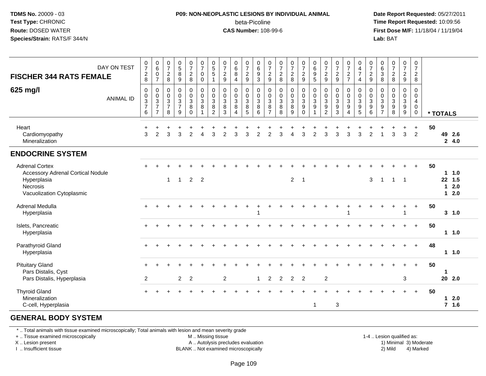#### **P09: NON-NEOPLASTIC LESIONS BY INDIVIDUAL ANIMAL** beta-Picoline**beta-Picoline**<br> **CAS Number:** 108-99-6<br> **CAS Number:** 108-99-6<br> **CAS Number:** 108-99-6

 **Date Report Requested:** 05/27/2011 **First Dose M/F:** 11/18/04 / 11/19/04 Lab: BAT **Lab:** BAT

| DAY ON TEST<br><b>FISCHER 344 RATS FEMALE</b><br>625 mg/l<br><b>ANIMAL ID</b>                                             | $\begin{array}{c} 0 \\ 7 \end{array}$<br>$\begin{array}{c} 2 \\ 8 \end{array}$<br>$\mathbf 0$<br>$\pmb{0}$<br>$\frac{3}{7}$<br>$6\phantom{1}$ | $\begin{array}{c} 0 \\ 6 \end{array}$<br>$\pmb{0}$<br>$\overline{7}$<br>$\mathbf 0$<br>$\pmb{0}$<br>$\overline{3}$<br>$\overline{7}$<br>$\overline{7}$ | 0728<br>$\mathbf 0$<br>$\begin{array}{c} 0 \\ 3 \\ 7 \end{array}$<br>8 | $\begin{array}{c} 0 \\ 5 \\ 8 \end{array}$<br>$\mathsf g$<br>$\mathsf{O}\xspace$<br>$\frac{0}{3}$<br>9 | $\frac{0}{7}$<br>$\frac{2}{8}$<br>0<br>$\overline{0}$<br>$\overline{3}$<br>8<br>$\overline{0}$ | $\frac{0}{7}$<br>$\pmb{0}$<br>$\mathsf{O}\xspace$<br>$_{\rm 0}^{\rm 0}$<br>$\frac{3}{8}$<br>-1 | $\begin{array}{c} 0 \\ 5 \end{array}$<br>$\sqrt{5}$<br>$\mathbf{1}$<br>0<br>$\mathbf 0$<br>$\sqrt{3}$<br>$\bf 8$<br>$\overline{2}$ | $\frac{0}{7}$<br>$\boldsymbol{2}$<br>$\boldsymbol{9}$<br>$\mathbf 0$<br>$\boldsymbol{0}$<br>$\overline{3}$<br>8<br>3 | $\begin{matrix}0\6\8\end{matrix}$<br>4<br>0<br>$\mathbf 0$<br>$\overline{3}$<br>$\bf 8$<br>4 | $\begin{array}{c} 0 \\ 7 \end{array}$<br>$\frac{2}{9}$<br>0<br>$\mathbf 0$<br>$\overline{3}$<br>$\bf 8$<br>$\overline{5}$ | $\begin{matrix} 0 \\ 6 \\ 9 \end{matrix}$<br>$\overline{3}$<br>0<br>$_{3}^{\rm 0}$<br>$\bf 8$<br>$\overline{6}$ | $\frac{0}{7}$<br>9<br>$\mathbf 0$<br>$_{3}^{\rm 0}$<br>$\, 8$<br>$\overline{7}$ | $\begin{array}{c} 0 \\ 7 \end{array}$<br>$\boldsymbol{2}$<br>$\,8\,$<br>$\mathsf 0$<br>$\mathbf 0$<br>$\overline{3}$<br>$\bf 8$<br>$\overline{8}$ | $\frac{0}{7}$<br>$\overline{a}$<br>8<br>0<br>$\mathbf 0$<br>$\overline{3}$<br>$\bf 8$<br>$\overline{9}$ | 0729<br>$\begin{smallmatrix}0\0\0\end{smallmatrix}$<br>$\frac{3}{9}$ | 0<br>0<br>0<br>5<br>$\pmb{0}$<br>$\frac{0}{3}$<br>$\boldsymbol{9}$<br>1 | $\frac{0}{7}$<br>$\frac{2}{9}$<br>0<br>$\mathbf 0$<br>$\overline{3}$<br>$\boldsymbol{9}$<br>$\overline{2}$ | $\begin{array}{c} 0 \\ 7 \end{array}$<br>$\frac{2}{9}$<br>$\mathbf 0$<br>$\mathbf 0$<br>$\overline{3}$<br>$\frac{9}{3}$ | $\frac{0}{7}$<br>$\frac{2}{7}$<br>0<br>$\mathbf 0$<br>$\overline{3}$<br>$\boldsymbol{9}$<br>$\overline{4}$ | 0<br>$\frac{4}{7}$<br>$\overline{4}$<br>$\mathbf 0$<br>$\mathsf{O}\xspace$<br>$\overline{3}$<br>$\boldsymbol{9}$<br>$\overline{5}$ | $\frac{0}{7}$<br>$\frac{2}{9}$<br>0<br>$\mathbf 0$<br>$\mathbf{3}$<br>$\boldsymbol{9}$<br>$6^{\circ}$ | 0<br>0<br>0<br>3<br>8<br>0<br>0<br>$\frac{3}{9}$ | $\begin{smallmatrix}0\\7\end{smallmatrix}$<br>$\frac{2}{8}$<br>0<br>$_{3}^{\rm 0}$<br>$\frac{9}{8}$ | $\begin{array}{c} 0 \\ 7 \end{array}$<br>$\frac{2}{9}$<br>$\mathbf 0$<br>$\mathbf 0$<br>$\frac{3}{9}$ | $\pmb{0}$<br>$\overline{7}$<br>$\overline{2}$<br>$\,8\,$<br>$\mathbf 0$<br>$\mathbf 0$<br>4<br>$\boldsymbol{0}$<br>$\mathbf 0$ |    | * TOTALS                                |                            |
|---------------------------------------------------------------------------------------------------------------------------|-----------------------------------------------------------------------------------------------------------------------------------------------|--------------------------------------------------------------------------------------------------------------------------------------------------------|------------------------------------------------------------------------|--------------------------------------------------------------------------------------------------------|------------------------------------------------------------------------------------------------|------------------------------------------------------------------------------------------------|------------------------------------------------------------------------------------------------------------------------------------|----------------------------------------------------------------------------------------------------------------------|----------------------------------------------------------------------------------------------|---------------------------------------------------------------------------------------------------------------------------|-----------------------------------------------------------------------------------------------------------------|---------------------------------------------------------------------------------|---------------------------------------------------------------------------------------------------------------------------------------------------|---------------------------------------------------------------------------------------------------------|----------------------------------------------------------------------|-------------------------------------------------------------------------|------------------------------------------------------------------------------------------------------------|-------------------------------------------------------------------------------------------------------------------------|------------------------------------------------------------------------------------------------------------|------------------------------------------------------------------------------------------------------------------------------------|-------------------------------------------------------------------------------------------------------|--------------------------------------------------|-----------------------------------------------------------------------------------------------------|-------------------------------------------------------------------------------------------------------|--------------------------------------------------------------------------------------------------------------------------------|----|-----------------------------------------|----------------------------|
| Heart<br>Cardiomyopathy<br>Mineralization                                                                                 | +<br>3                                                                                                                                        | $\overline{2}$                                                                                                                                         | 3                                                                      | 3                                                                                                      | $\overline{2}$                                                                                 | $\overline{4}$                                                                                 | $\overline{3}$                                                                                                                     | $\overline{2}$                                                                                                       | $\overline{3}$                                                                               | 3                                                                                                                         | $\overline{2}$                                                                                                  | $\overline{2}$                                                                  | $\overline{3}$                                                                                                                                    | $\overline{4}$                                                                                          | $\mathbf{3}$                                                         | $\overline{2}$                                                          | $\overline{3}$                                                                                             | $\overline{3}$                                                                                                          | $\overline{3}$                                                                                             | 3                                                                                                                                  | $\overline{2}$                                                                                        | $\overline{1}$                                   | $\mathbf{3}$                                                                                        | $\mathbf{3}$                                                                                          | $\ddot{}$<br>$\overline{2}$                                                                                                    | 50 |                                         | 49 2.6<br>24.0             |
| <b>ENDOCRINE SYSTEM</b>                                                                                                   |                                                                                                                                               |                                                                                                                                                        |                                                                        |                                                                                                        |                                                                                                |                                                                                                |                                                                                                                                    |                                                                                                                      |                                                                                              |                                                                                                                           |                                                                                                                 |                                                                                 |                                                                                                                                                   |                                                                                                         |                                                                      |                                                                         |                                                                                                            |                                                                                                                         |                                                                                                            |                                                                                                                                    |                                                                                                       |                                                  |                                                                                                     |                                                                                                       |                                                                                                                                |    |                                         |                            |
| <b>Adrenal Cortex</b><br><b>Accessory Adrenal Cortical Nodule</b><br>Hyperplasia<br>Necrosis<br>Vacuolization Cytoplasmic |                                                                                                                                               |                                                                                                                                                        | $\mathbf{1}$                                                           | $\overline{1}$                                                                                         | $2 \quad 2$                                                                                    |                                                                                                |                                                                                                                                    |                                                                                                                      |                                                                                              |                                                                                                                           |                                                                                                                 |                                                                                 |                                                                                                                                                   | $\overline{2}$                                                                                          | -1                                                                   |                                                                         |                                                                                                            |                                                                                                                         |                                                                                                            |                                                                                                                                    | 3                                                                                                     | $\mathbf{1}$                                     | $\overline{1}$                                                                                      | $\overline{\phantom{0}}$                                                                              | $+$                                                                                                                            | 50 | $22 \,$<br>$\mathbf{1}$<br>$\mathbf{1}$ | 1 1.0<br>1.5<br>2.0<br>2.0 |
| Adrenal Medulla<br>Hyperplasia                                                                                            |                                                                                                                                               |                                                                                                                                                        |                                                                        |                                                                                                        |                                                                                                |                                                                                                |                                                                                                                                    |                                                                                                                      |                                                                                              |                                                                                                                           | $\overline{1}$                                                                                                  |                                                                                 |                                                                                                                                                   |                                                                                                         |                                                                      |                                                                         |                                                                                                            |                                                                                                                         | -1                                                                                                         |                                                                                                                                    |                                                                                                       |                                                  |                                                                                                     |                                                                                                       | $+$                                                                                                                            | 50 |                                         | 3, 1.0                     |
| Islets, Pancreatic<br>Hyperplasia                                                                                         |                                                                                                                                               |                                                                                                                                                        |                                                                        |                                                                                                        |                                                                                                |                                                                                                |                                                                                                                                    |                                                                                                                      |                                                                                              |                                                                                                                           |                                                                                                                 |                                                                                 |                                                                                                                                                   |                                                                                                         |                                                                      |                                                                         |                                                                                                            |                                                                                                                         |                                                                                                            |                                                                                                                                    |                                                                                                       |                                                  |                                                                                                     |                                                                                                       | $+$                                                                                                                            | 50 |                                         | 11.0                       |
| Parathyroid Gland<br>Hyperplasia                                                                                          |                                                                                                                                               |                                                                                                                                                        |                                                                        |                                                                                                        |                                                                                                |                                                                                                |                                                                                                                                    |                                                                                                                      |                                                                                              |                                                                                                                           |                                                                                                                 |                                                                                 |                                                                                                                                                   |                                                                                                         |                                                                      |                                                                         |                                                                                                            |                                                                                                                         |                                                                                                            |                                                                                                                                    |                                                                                                       |                                                  |                                                                                                     |                                                                                                       | $+$                                                                                                                            | 48 |                                         | 1 1.0                      |
| <b>Pituitary Gland</b><br>Pars Distalis, Cyst<br>Pars Distalis, Hyperplasia                                               | $\overline{2}$                                                                                                                                |                                                                                                                                                        |                                                                        | $\overline{2}$                                                                                         | $\overline{2}$                                                                                 |                                                                                                |                                                                                                                                    | $\overline{2}$                                                                                                       |                                                                                              |                                                                                                                           | $\mathbf{1}$                                                                                                    | 2                                                                               | $\overline{2}$                                                                                                                                    | $\overline{2}$                                                                                          | $\overline{2}$                                                       |                                                                         | $\overline{2}$                                                                                             |                                                                                                                         |                                                                                                            |                                                                                                                                    |                                                                                                       |                                                  |                                                                                                     | 3                                                                                                     | $+$                                                                                                                            | 50 | $\mathbf 1$                             | 20 2.0                     |
| <b>Thyroid Gland</b><br>Mineralization<br>C-cell, Hyperplasia                                                             |                                                                                                                                               |                                                                                                                                                        |                                                                        |                                                                                                        |                                                                                                |                                                                                                |                                                                                                                                    |                                                                                                                      |                                                                                              |                                                                                                                           |                                                                                                                 |                                                                                 |                                                                                                                                                   |                                                                                                         |                                                                      | $\mathbf{1}$                                                            |                                                                                                            | $\mathbf{3}$                                                                                                            |                                                                                                            |                                                                                                                                    |                                                                                                       |                                                  |                                                                                                     |                                                                                                       | $+$                                                                                                                            | 50 | 1                                       | 2.0<br>$7$ 1.6             |

### **GENERAL BODY SYSTEM**

\* .. Total animals with tissue examined microscopically; Total animals with lesion and mean severity grade

+ .. Tissue examined microscopically

X .. Lesion present

I .. Insufficient tissue

M .. Missing tissue

A .. Autolysis precludes evaluation

BLANK .. Not examined microscopically 2) Mild 4) Marked

1-4 .. Lesion qualified as:<br>1) Minimal 3) Moderate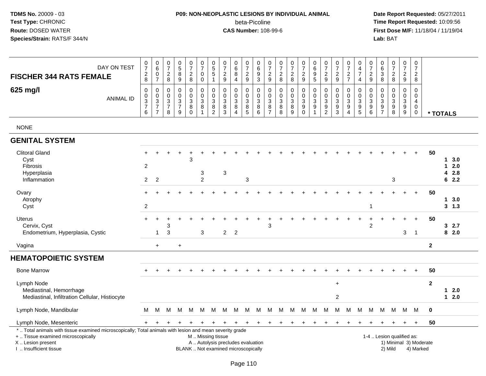# **P09: NON-NEOPLASTIC LESIONS BY INDIVIDUAL ANIMAL**beta-Picoline<br>CAS Number: 108-99-6

 **Date Report Requested:** 05/27/2011 **Time Report Requested:** 10:09:56 **First Dose M/F:** 11/18/04 / 11/19/04<br>**Lab:** BAT **Lab:** BAT

| DAY ON TEST<br><b>FISCHER 344 RATS FEMALE</b>                                                                                                                                                 | $\frac{0}{7}$<br>$_{8}^2$                                                         | $_{6}^{\rm 0}$<br>$\mathsf{O}\xspace$<br>$\overline{7}$                      | 0<br>$\overline{7}$<br>$\sqrt{2}$<br>8        | $\begin{array}{c} 0 \\ 5 \end{array}$<br>$\frac{8}{9}$          | 0<br>$\overline{7}$<br>$\frac{2}{8}$ | $\frac{0}{7}$<br>$\mathbf 0$<br>$\mathbf 0$                           | 0<br>$\overline{5}$<br>$\overline{5}$<br>1   | $\frac{0}{7}$<br>$\sqrt{2}$<br>$9\,$                                | $_6^0$<br>8<br>$\overline{4}$                                            | $\frac{0}{7}$<br>$\frac{2}{9}$   | 0<br>$6\phantom{a}$<br>$\frac{9}{3}$ | 0<br>$\overline{7}$<br>$\frac{2}{9}$                  | $\begin{array}{c} 0 \\ 7 \end{array}$<br>$\frac{2}{8}$              | $\frac{0}{7}$<br>$_{\rm 8}^2$                         | $\begin{array}{c} 0 \\ 7 \end{array}$<br>$\frac{2}{9}$ | $_{6}^{\rm 0}$<br>$\boldsymbol{9}$<br>$\overline{5}$                          | 0<br>$\overline{7}$<br>$\boldsymbol{2}$<br>$9\,$ | $\frac{0}{7}$<br>$\frac{2}{9}$                                           | $\frac{0}{7}$<br>$\frac{2}{7}$                             | $\mathbf 0$<br>$\overline{4}$<br>$\overline{7}$<br>$\overline{4}$                     | 0<br>$\overline{7}$<br>$\frac{2}{9}$         | $\begin{array}{c} 0 \\ 6 \end{array}$<br>$\overline{3}$<br>8  | $\frac{0}{7}$<br>$\frac{2}{8}$                                | $\frac{0}{7}$<br>$\frac{2}{9}$     | $\mathbf 0$<br>$\overline{7}$<br>$\sqrt{2}$<br>8              |                        |                                      |  |
|-----------------------------------------------------------------------------------------------------------------------------------------------------------------------------------------------|-----------------------------------------------------------------------------------|------------------------------------------------------------------------------|-----------------------------------------------|-----------------------------------------------------------------|--------------------------------------|-----------------------------------------------------------------------|----------------------------------------------|---------------------------------------------------------------------|--------------------------------------------------------------------------|----------------------------------|--------------------------------------|-------------------------------------------------------|---------------------------------------------------------------------|-------------------------------------------------------|--------------------------------------------------------|-------------------------------------------------------------------------------|--------------------------------------------------|--------------------------------------------------------------------------|------------------------------------------------------------|---------------------------------------------------------------------------------------|----------------------------------------------|---------------------------------------------------------------|---------------------------------------------------------------|------------------------------------|---------------------------------------------------------------|------------------------|--------------------------------------|--|
| 625 mg/l<br><b>ANIMAL ID</b>                                                                                                                                                                  | $\pmb{0}$<br>$\mathsf{O}$<br>$\overline{3}$<br>$\boldsymbol{7}$<br>$6\phantom{a}$ | $\pmb{0}$<br>$\pmb{0}$<br>$\overline{3}$<br>$\overline{7}$<br>$\overline{7}$ | 0<br>0<br>$\mathbf{3}$<br>$\overline{7}$<br>8 | $\pmb{0}$<br>$\pmb{0}$<br>$\overline{3}$<br>$\overline{7}$<br>9 | 0<br>0<br>3<br>$\bf 8$<br>$\Omega$   | $\mathbf 0$<br>$\mathbf 0$<br>$\sqrt{3}$<br>$\bf 8$<br>$\overline{1}$ | 0<br>$\mathbf 0$<br>3<br>8<br>$\overline{2}$ | $\pmb{0}$<br>$\mathbf 0$<br>$\sqrt{3}$<br>$\bf 8$<br>$\overline{3}$ | 0<br>0<br>$\mathbf{3}$<br>8<br>$\boldsymbol{\Lambda}$                    | 0<br>0<br>$\mathbf{3}$<br>$^8_5$ | 0<br>0<br>$\overline{3}$<br>$^8_6$   | 0<br>$\mathbf 0$<br>$\sqrt{3}$<br>8<br>$\overline{7}$ | $\pmb{0}$<br>$\mathbf 0$<br>$\sqrt{3}$<br>$\,8\,$<br>$\overline{8}$ | 0<br>$\mathbf 0$<br>$\sqrt{3}$<br>8<br>$\overline{9}$ | 0<br>$\mathbf 0$<br>$\overline{3}$<br>$_{0}^{9}$       | $\pmb{0}$<br>$\mathbf 0$<br>$\overline{3}$<br>$\boldsymbol{9}$<br>$\mathbf 1$ | 0<br>0<br>$\mathbf{3}$<br>$\frac{9}{2}$          | $\mathbf 0$<br>$\mathbf 0$<br>$\ensuremath{\mathsf{3}}$<br>$\frac{9}{3}$ | 0<br>0<br>$\sqrt{3}$<br>$\boldsymbol{9}$<br>$\overline{4}$ | $\mathbf 0$<br>$\mathbf 0$<br>$\overline{3}$<br>$\begin{array}{c} 9 \\ 5 \end{array}$ | 0<br>$\mathbf 0$<br>3<br>9<br>$\overline{6}$ | $\mathbf 0$<br>$\mathbf 0$<br>$\overline{3}$<br>$\frac{9}{7}$ | $\mathsf 0$<br>$\mathsf 0$<br>$\overline{3}$<br>$\frac{9}{8}$ | 0<br>0<br>$\overline{3}$<br>$^9_9$ | $\mathbf 0$<br>$\mathbf 0$<br>4<br>$\mathbf 0$<br>$\mathbf 0$ |                        | * TOTALS                             |  |
| <b>NONE</b>                                                                                                                                                                                   |                                                                                   |                                                                              |                                               |                                                                 |                                      |                                                                       |                                              |                                                                     |                                                                          |                                  |                                      |                                                       |                                                                     |                                                       |                                                        |                                                                               |                                                  |                                                                          |                                                            |                                                                                       |                                              |                                                               |                                                               |                                    |                                                               |                        |                                      |  |
| <b>GENITAL SYSTEM</b>                                                                                                                                                                         |                                                                                   |                                                                              |                                               |                                                                 |                                      |                                                                       |                                              |                                                                     |                                                                          |                                  |                                      |                                                       |                                                                     |                                                       |                                                        |                                                                               |                                                  |                                                                          |                                                            |                                                                                       |                                              |                                                               |                                                               |                                    |                                                               |                        |                                      |  |
| <b>Clitoral Gland</b><br>Cyst<br>Fibrosis<br>Hyperplasia<br>Inflammation                                                                                                                      | $\overline{c}$<br>$\overline{2}$                                                  | 2                                                                            |                                               |                                                                 | 3                                    | 3<br>2                                                                |                                              | 3                                                                   |                                                                          | 3                                |                                      |                                                       |                                                                     |                                                       |                                                        |                                                                               |                                                  |                                                                          |                                                            |                                                                                       |                                              |                                                               | 3                                                             |                                    |                                                               | 50                     | 13.0<br>2.0<br>1<br>2.8<br>4<br>62.2 |  |
| Ovary<br>Atrophy<br>Cyst                                                                                                                                                                      | $\overline{c}$                                                                    |                                                                              |                                               |                                                                 |                                      |                                                                       |                                              |                                                                     |                                                                          |                                  |                                      |                                                       |                                                                     |                                                       |                                                        |                                                                               |                                                  |                                                                          |                                                            |                                                                                       | 1                                            |                                                               |                                                               |                                    | $\overline{+}$                                                | 50                     | 3.0<br>1<br>3, 1.3                   |  |
| Uterus<br>Cervix, Cyst<br>Endometrium, Hyperplasia, Cystic                                                                                                                                    |                                                                                   | $\mathbf{1}$                                                                 | 3<br>3                                        |                                                                 |                                      | 3                                                                     |                                              |                                                                     | 2 <sub>2</sub>                                                           |                                  |                                      | 3                                                     |                                                                     |                                                       |                                                        |                                                                               |                                                  |                                                                          |                                                            |                                                                                       | $\overline{2}$                               |                                                               |                                                               | 3                                  | $\ddot{}$<br>$\overline{1}$                                   | 50                     | 32.7<br>82.0                         |  |
| Vagina                                                                                                                                                                                        |                                                                                   | $+$                                                                          |                                               | $\ddot{}$                                                       |                                      |                                                                       |                                              |                                                                     |                                                                          |                                  |                                      |                                                       |                                                                     |                                                       |                                                        |                                                                               |                                                  |                                                                          |                                                            |                                                                                       |                                              |                                                               |                                                               |                                    |                                                               | $\mathbf{2}$           |                                      |  |
| <b>HEMATOPOIETIC SYSTEM</b>                                                                                                                                                                   |                                                                                   |                                                                              |                                               |                                                                 |                                      |                                                                       |                                              |                                                                     |                                                                          |                                  |                                      |                                                       |                                                                     |                                                       |                                                        |                                                                               |                                                  |                                                                          |                                                            |                                                                                       |                                              |                                                               |                                                               |                                    |                                                               |                        |                                      |  |
| <b>Bone Marrow</b>                                                                                                                                                                            |                                                                                   |                                                                              |                                               |                                                                 |                                      |                                                                       |                                              |                                                                     |                                                                          |                                  |                                      |                                                       |                                                                     |                                                       |                                                        |                                                                               |                                                  |                                                                          |                                                            |                                                                                       |                                              |                                                               |                                                               |                                    |                                                               | 50                     |                                      |  |
| Lymph Node<br>Mediastinal, Hemorrhage<br>Mediastinal, Infiltration Cellular, Histiocyte                                                                                                       |                                                                                   |                                                                              |                                               |                                                                 |                                      |                                                                       |                                              |                                                                     |                                                                          |                                  |                                      |                                                       |                                                                     |                                                       |                                                        |                                                                               |                                                  | $\ddot{}$<br>$\overline{2}$                                              |                                                            |                                                                                       |                                              |                                                               |                                                               |                                    |                                                               | $\mathbf{2}$           | 2.0<br>$\mathbf 1$<br>$12.0$         |  |
| Lymph Node, Mandibular                                                                                                                                                                        | M                                                                                 | M                                                                            | м                                             | м                                                               | M                                    | M                                                                     | М                                            | M                                                                   | M                                                                        | M                                | M                                    | м                                                     | M                                                                   | М                                                     | M                                                      | M                                                                             | M                                                | м                                                                        | м                                                          | M                                                                                     | M                                            | M                                                             | M                                                             | M                                  | M                                                             | $\mathbf 0$            |                                      |  |
| Lymph Node, Mesenteric                                                                                                                                                                        | $+$                                                                               | $\ddot{}$                                                                    |                                               |                                                                 | $\ddot{}$                            |                                                                       | $\ddot{}$                                    | $+$                                                                 | $\overline{+}$                                                           | $+$                              | $+$                                  | $\ddot{}$                                             | +                                                                   | $\ddot{}$                                             |                                                        |                                                                               |                                                  |                                                                          |                                                            |                                                                                       |                                              |                                                               |                                                               | $\ddot{}$                          | $+$                                                           | 50                     |                                      |  |
| *  Total animals with tissue examined microscopically; Total animals with lesion and mean severity grade<br>+  Tissue examined microscopically<br>X  Lesion present<br>I  Insufficient tissue |                                                                                   |                                                                              |                                               |                                                                 |                                      | M  Missing tissue                                                     |                                              |                                                                     | A  Autolysis precludes evaluation<br>BLANK  Not examined microscopically |                                  |                                      |                                                       |                                                                     |                                                       |                                                        |                                                                               |                                                  |                                                                          |                                                            |                                                                                       |                                              |                                                               | 1-4  Lesion qualified as:<br>2) Mild                          |                                    | 4) Marked                                                     | 1) Minimal 3) Moderate |                                      |  |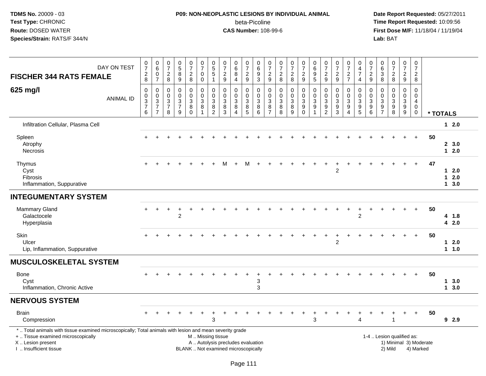## **P09: NON-NEOPLASTIC LESIONS BY INDIVIDUAL ANIMAL**beta-Picoline<br>CAS Number: 108-99-6

 **Date Report Requested:** 05/27/2011 **Time Report Requested:** 10:09:56 **First Dose M/F:** 11/18/04 / 11/19/04<br>**Lab:** BAT **Lab:** BAT

| <b>FISCHER 344 RATS FEMALE</b>                                                                                                                                                                | DAY ON TEST      | $\frac{0}{7}$<br>$_{\rm 8}^2$                                  | $\begin{array}{c} 0 \\ 6 \end{array}$<br>0<br>$\overline{7}$ | $\frac{0}{7}$<br>$\overline{c}$<br>8                             | $\begin{array}{c} 0 \\ 5 \end{array}$<br>$\, 8$<br>9                               | $\frac{0}{7}$<br>$\overline{\mathbf{c}}$<br>8   | $\frac{0}{7}$<br>$\mathbf 0$<br>0                             | $\begin{array}{c} 0 \\ 5 \end{array}$<br>$\overline{5}$<br>$\mathbf{1}$ | $\frac{0}{7}$<br>$\overline{\mathbf{c}}$<br>9                            | $\begin{array}{c} 0 \\ 6 \end{array}$<br>$\,8\,$<br>$\overline{4}$                         | $\begin{array}{c} 0 \\ 7 \end{array}$<br>$\frac{2}{9}$         | 0<br>$\overline{6}$<br>$\boldsymbol{9}$<br>3       | $\frac{0}{7}$<br>$\frac{2}{9}$                              | $\begin{array}{c} 0 \\ 7 \end{array}$<br>$\frac{2}{8}$                         | $\begin{matrix}0\\7\end{matrix}$<br>$\frac{2}{8}$ | $\begin{array}{c} 0 \\ 7 \end{array}$<br>$\frac{2}{9}$      | $\begin{array}{c} 0 \\ 6 \end{array}$<br>$\begin{array}{c} 9 \\ 5 \end{array}$           | $\frac{0}{7}$<br>$\frac{2}{9}$                                         | $\frac{0}{7}$<br>$\frac{2}{9}$                                            | $\frac{0}{7}$<br>$\frac{2}{7}$                                            | 0<br>4<br>$\overline{7}$<br>$\overline{4}$                             | $\frac{0}{7}$<br>$\frac{2}{9}$              | $\pmb{0}$<br>$\,6$<br>$\ensuremath{\mathsf{3}}$<br>8 | $\begin{array}{c} 0 \\ 7 \end{array}$<br>$\frac{2}{8}$                                        | $\begin{array}{c} 0 \\ 7 \end{array}$<br>$\frac{2}{9}$                   | $\mathbf 0$<br>$\overline{7}$<br>$\sqrt{2}$<br>8                        |                                     |                         |                   |  |
|-----------------------------------------------------------------------------------------------------------------------------------------------------------------------------------------------|------------------|----------------------------------------------------------------|--------------------------------------------------------------|------------------------------------------------------------------|------------------------------------------------------------------------------------|-------------------------------------------------|---------------------------------------------------------------|-------------------------------------------------------------------------|--------------------------------------------------------------------------|--------------------------------------------------------------------------------------------|----------------------------------------------------------------|----------------------------------------------------|-------------------------------------------------------------|--------------------------------------------------------------------------------|---------------------------------------------------|-------------------------------------------------------------|------------------------------------------------------------------------------------------|------------------------------------------------------------------------|---------------------------------------------------------------------------|---------------------------------------------------------------------------|------------------------------------------------------------------------|---------------------------------------------|------------------------------------------------------|-----------------------------------------------------------------------------------------------|--------------------------------------------------------------------------|-------------------------------------------------------------------------|-------------------------------------|-------------------------|-------------------|--|
| 625 mg/l                                                                                                                                                                                      | <b>ANIMAL ID</b> | $\mathbf 0$<br>$\begin{array}{c} 0 \\ 3 \\ 7 \end{array}$<br>6 | $\pmb{0}$<br>$\mathbf 0$<br>$\frac{3}{7}$<br>$\overline{7}$  | 0<br>0<br>$\ensuremath{\mathsf{3}}$<br>$\overline{7}$<br>$\,8\,$ | $\mathbf 0$<br>$\mathbf 0$<br>$\overline{3}$<br>$\boldsymbol{7}$<br>$\overline{9}$ | 0<br>$\mathbf 0$<br>3<br>$\bf 8$<br>$\mathbf 0$ | $\pmb{0}$<br>$\pmb{0}$<br>$\overline{3}$<br>8<br>$\mathbf{1}$ | $\pmb{0}$<br>$\Omega$<br>3<br>$\bf 8$<br>$\overline{2}$                 | 0<br>0<br>$\ensuremath{\mathsf{3}}$<br>$^8_3$                            | $\pmb{0}$<br>$\mathbf 0$<br>$\ensuremath{\mathsf{3}}$<br>$\,8\,$<br>$\boldsymbol{\Lambda}$ | 0<br>$\mathbf 0$<br>$\ensuremath{\mathsf{3}}$<br>$\frac{8}{5}$ | 0<br>$\mathbf 0$<br>$\overline{3}$<br>8<br>$\,6\,$ | $\mathbf 0$<br>$\mathbf 0$<br>3<br>$\, 8$<br>$\overline{7}$ | $\mathbf 0$<br>$\mathbf 0$<br>$\ensuremath{\mathsf{3}}$<br>8<br>$\overline{8}$ | 0<br>$\mathbf 0$<br>3<br>8<br>$\overline{9}$      | $\pmb{0}$<br>$\mathbf 0$<br>$\overline{3}$<br>$\frac{9}{0}$ | $\mathbf 0$<br>$\ddot{\mathbf{0}}$<br>$\overline{3}$<br>$\boldsymbol{9}$<br>$\mathbf{1}$ | $\pmb{0}$<br>$\mathbf 0$<br>$\ensuremath{\mathsf{3}}$<br>$\frac{9}{2}$ | $\pmb{0}$<br>$\Omega$<br>$\sqrt{3}$<br>$\boldsymbol{9}$<br>$\overline{3}$ | 0<br>0<br>$\ensuremath{\mathsf{3}}$<br>$\boldsymbol{9}$<br>$\overline{4}$ | 0<br>$\mathbf 0$<br>$\mathbf{3}$<br>$\boldsymbol{9}$<br>$\overline{5}$ | 0<br>$\Omega$<br>3<br>$\boldsymbol{9}$<br>6 | $\pmb{0}$<br>$\mathbf 0$<br>3<br>$\frac{9}{7}$       | $\mathbf 0$<br>$\mathbf 0$<br>$\ensuremath{\mathsf{3}}$<br>$\boldsymbol{9}$<br>$\overline{8}$ | $\mathbf 0$<br>$\mathbf 0$<br>$\ensuremath{\mathsf{3}}$<br>$\frac{9}{9}$ | $\Omega$<br>$\mathbf 0$<br>$\overline{4}$<br>$\mathbf 0$<br>$\mathbf 0$ |                                     | * TOTALS                |                   |  |
| Infiltration Cellular, Plasma Cell                                                                                                                                                            |                  |                                                                |                                                              |                                                                  |                                                                                    |                                                 |                                                               |                                                                         |                                                                          |                                                                                            |                                                                |                                                    |                                                             |                                                                                |                                                   |                                                             |                                                                                          |                                                                        |                                                                           |                                                                           |                                                                        |                                             |                                                      |                                                                                               |                                                                          |                                                                         |                                     |                         | $12.0$            |  |
| Spleen<br>Atrophy<br><b>Necrosis</b>                                                                                                                                                          |                  | $+$                                                            |                                                              |                                                                  |                                                                                    |                                                 |                                                               |                                                                         |                                                                          |                                                                                            |                                                                |                                                    |                                                             |                                                                                |                                                   |                                                             |                                                                                          |                                                                        |                                                                           |                                                                           |                                                                        |                                             |                                                      |                                                                                               | $\ddot{}$                                                                | $+$                                                                     | 50                                  |                         | 2, 3.0<br>$12.0$  |  |
| Thymus<br>Cyst<br>Fibrosis<br>Inflammation, Suppurative                                                                                                                                       |                  |                                                                |                                                              |                                                                  |                                                                                    |                                                 |                                                               |                                                                         | м                                                                        | $\overline{+}$                                                                             | м                                                              |                                                    |                                                             |                                                                                |                                                   |                                                             |                                                                                          |                                                                        | $\overline{2}$                                                            |                                                                           |                                                                        |                                             |                                                      |                                                                                               |                                                                          | $+$                                                                     | 47                                  | 1.<br>$\mathbf{1}$<br>1 | 2.0<br>2.0<br>3.0 |  |
| <b>INTEGUMENTARY SYSTEM</b>                                                                                                                                                                   |                  |                                                                |                                                              |                                                                  |                                                                                    |                                                 |                                                               |                                                                         |                                                                          |                                                                                            |                                                                |                                                    |                                                             |                                                                                |                                                   |                                                             |                                                                                          |                                                                        |                                                                           |                                                                           |                                                                        |                                             |                                                      |                                                                                               |                                                                          |                                                                         |                                     |                         |                   |  |
| <b>Mammary Gland</b><br>Galactocele<br>Hyperplasia                                                                                                                                            |                  |                                                                |                                                              |                                                                  | 2                                                                                  |                                                 |                                                               |                                                                         |                                                                          |                                                                                            |                                                                |                                                    |                                                             |                                                                                |                                                   |                                                             |                                                                                          |                                                                        |                                                                           |                                                                           | $\overline{c}$                                                         |                                             |                                                      |                                                                                               |                                                                          |                                                                         | 50                                  |                         | 4 1.8<br>42.0     |  |
| <b>Skin</b><br>Ulcer<br>Lip, Inflammation, Suppurative                                                                                                                                        |                  |                                                                |                                                              |                                                                  |                                                                                    |                                                 |                                                               |                                                                         |                                                                          |                                                                                            |                                                                |                                                    |                                                             |                                                                                |                                                   |                                                             |                                                                                          |                                                                        | $\overline{2}$                                                            |                                                                           |                                                                        |                                             |                                                      |                                                                                               |                                                                          | $+$                                                                     | 50                                  | 1.                      | 2.0<br>11.0       |  |
| <b>MUSCULOSKELETAL SYSTEM</b>                                                                                                                                                                 |                  |                                                                |                                                              |                                                                  |                                                                                    |                                                 |                                                               |                                                                         |                                                                          |                                                                                            |                                                                |                                                    |                                                             |                                                                                |                                                   |                                                             |                                                                                          |                                                                        |                                                                           |                                                                           |                                                                        |                                             |                                                      |                                                                                               |                                                                          |                                                                         |                                     |                         |                   |  |
| <b>Bone</b><br>Cyst<br>Inflammation, Chronic Active                                                                                                                                           |                  |                                                                |                                                              |                                                                  |                                                                                    |                                                 |                                                               |                                                                         |                                                                          |                                                                                            |                                                                | 3<br>3                                             |                                                             |                                                                                |                                                   |                                                             |                                                                                          |                                                                        |                                                                           |                                                                           |                                                                        |                                             |                                                      |                                                                                               |                                                                          | $+$                                                                     | 50                                  | $\mathbf 1$             | 3.0<br>13.0       |  |
| <b>NERVOUS SYSTEM</b>                                                                                                                                                                         |                  |                                                                |                                                              |                                                                  |                                                                                    |                                                 |                                                               |                                                                         |                                                                          |                                                                                            |                                                                |                                                    |                                                             |                                                                                |                                                   |                                                             |                                                                                          |                                                                        |                                                                           |                                                                           |                                                                        |                                             |                                                      |                                                                                               |                                                                          |                                                                         |                                     |                         |                   |  |
| <b>Brain</b><br>Compression                                                                                                                                                                   |                  |                                                                |                                                              |                                                                  |                                                                                    |                                                 |                                                               | 3                                                                       |                                                                          |                                                                                            |                                                                |                                                    |                                                             |                                                                                |                                                   |                                                             | 3                                                                                        |                                                                        |                                                                           |                                                                           |                                                                        |                                             |                                                      |                                                                                               |                                                                          | $+$                                                                     | 50                                  |                         | 929               |  |
| *  Total animals with tissue examined microscopically; Total animals with lesion and mean severity grade<br>+  Tissue examined microscopically<br>X  Lesion present<br>I  Insufficient tissue |                  |                                                                |                                                              |                                                                  |                                                                                    |                                                 | M  Missing tissue                                             |                                                                         | A  Autolysis precludes evaluation<br>BLANK  Not examined microscopically |                                                                                            |                                                                |                                                    |                                                             |                                                                                |                                                   |                                                             |                                                                                          |                                                                        |                                                                           |                                                                           |                                                                        |                                             |                                                      | 1-4  Lesion qualified as:<br>2) Mild                                                          |                                                                          |                                                                         | 1) Minimal 3) Moderate<br>4) Marked |                         |                   |  |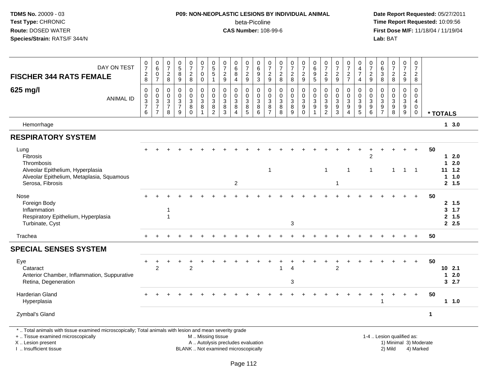## **P09: NON-NEOPLASTIC LESIONS BY INDIVIDUAL ANIMAL**beta-Picoline<br>CAS Number: 108-99-6

 **Date Report Requested:** 05/27/2011 **Time Report Requested:** 10:09:56 **First Dose M/F:** 11/18/04 / 11/19/04<br>**Lab:** BAT **Lab:** BAT

| DAY ON TEST<br><b>FISCHER 344 RATS FEMALE</b>                                                                                                                       | 0<br>$\boldsymbol{7}$<br>$_{\rm 8}^2$               | 0<br>$6\phantom{1}$<br>0<br>$\overline{7}$          | $\pmb{0}$<br>$\overline{7}$<br>$\overline{c}$<br>$\,8\,$        | $\begin{array}{c} 0 \\ 5 \end{array}$<br>8<br>$\overline{9}$ | $\frac{0}{7}$<br>$\overline{c}$<br>8                         | 0<br>$\overline{7}$<br>$\mathbf 0$<br>$\mathbf 0$ | $\begin{array}{c} 0 \\ 5 \\ 5 \end{array}$<br>$\mathbf{1}$             | 0<br>$\overline{7}$<br>$\overline{2}$<br>$\mathsf g$                  | 0<br>$6\phantom{1}$<br>8<br>$\overline{4}$                               | 0<br>$\overline{7}$<br>$\overline{c}$<br>9                 | 0<br>6<br>$\boldsymbol{9}$<br>$\overline{3}$       | 0<br>$\overline{7}$<br>$\boldsymbol{2}$<br>$\mathsf g$                 | 0<br>$\overline{7}$<br>$\frac{2}{8}$                       | $\frac{0}{7}$<br>$_{8}^{\rm 2}$           | $\frac{0}{7}$<br>$\frac{2}{9}$                                 | 0<br>$6\overline{6}$<br>$\begin{array}{c} 9 \\ 5 \end{array}$     | $\frac{0}{7}$<br>$\overline{c}$<br>9                          | 0<br>$\overline{7}$<br>$\overline{a}$<br>$\boldsymbol{9}$          | $\frac{0}{7}$<br>$\frac{2}{7}$                                                   | 0<br>$\overline{4}$<br>$\overline{7}$<br>4 | 0<br>$\frac{7}{2}$<br>$9\,$                                                      | 0<br>$\,6\,$<br>3<br>8                                      | $\frac{0}{7}$<br>$\overline{2}$<br>8                         | $\begin{array}{c} 0 \\ 7 \end{array}$<br>$\overline{2}$<br>9  | $\mathbf 0$<br>$\overline{7}$<br>$\overline{2}$<br>8                  |                        |                                        |            |
|---------------------------------------------------------------------------------------------------------------------------------------------------------------------|-----------------------------------------------------|-----------------------------------------------------|-----------------------------------------------------------------|--------------------------------------------------------------|--------------------------------------------------------------|---------------------------------------------------|------------------------------------------------------------------------|-----------------------------------------------------------------------|--------------------------------------------------------------------------|------------------------------------------------------------|----------------------------------------------------|------------------------------------------------------------------------|------------------------------------------------------------|-------------------------------------------|----------------------------------------------------------------|-------------------------------------------------------------------|---------------------------------------------------------------|--------------------------------------------------------------------|----------------------------------------------------------------------------------|--------------------------------------------|----------------------------------------------------------------------------------|-------------------------------------------------------------|--------------------------------------------------------------|---------------------------------------------------------------|-----------------------------------------------------------------------|------------------------|----------------------------------------|------------|
| 625 mg/l<br><b>ANIMAL ID</b>                                                                                                                                        | $\pmb{0}$<br>$\boldsymbol{0}$<br>$\frac{3}{7}$<br>6 | 0<br>$\mathbf 0$<br>$\frac{3}{7}$<br>$\overline{7}$ | $\mathbf 0$<br>$\mathbf 0$<br>$\sqrt{3}$<br>$\overline{7}$<br>8 | $\pmb{0}$<br>$\mathbf 0$<br>$\frac{3}{7}$<br>9               | $\pmb{0}$<br>$\mathsf{O}$<br>$\overline{3}$<br>8<br>$\Omega$ | $\mathbf 0$<br>$\mathbf 0$<br>$\overline{3}$<br>8 | $\mathbf 0$<br>$\pmb{0}$<br>$\begin{array}{c} 3 \\ 8 \\ 2 \end{array}$ | $\mathbf 0$<br>$\mathbf 0$<br>$\mathbf{3}$<br>$\bf 8$<br>$\mathbf{3}$ | $\mathbf 0$<br>$\mathbf 0$<br>$\mathbf 3$<br>8<br>$\boldsymbol{\Lambda}$ | $\mathbf 0$<br>$\pmb{0}$<br>$\overline{3}$<br>$\bf 8$<br>5 | 0<br>$\mathbf 0$<br>$\overline{3}$<br>$\,8\,$<br>6 | $\mathbf 0$<br>$\pmb{0}$<br>$\overline{3}$<br>$\bf8$<br>$\overline{7}$ | $\mathbf 0$<br>$\mathbf 0$<br>$\mathbf 3$<br>$\frac{8}{8}$ | $\mathbf 0$<br>0<br>$\mathbf 3$<br>8<br>9 | $\mathbf 0$<br>$\overline{0}$<br>$\mathbf{3}$<br>$\frac{9}{0}$ | $\pmb{0}$<br>$_{3}^{\rm 0}$<br>$\boldsymbol{9}$<br>$\overline{1}$ | $\mathbf 0$<br>$\mathbf 0$<br>$\overline{3}$<br>$\frac{9}{2}$ | $\mathbf 0$<br>0<br>$\sqrt{3}$<br>$\boldsymbol{9}$<br>$\mathbf{3}$ | $\mathbf 0$<br>$\mathbf 0$<br>$\overline{3}$<br>$\overline{9}$<br>$\overline{4}$ | 0<br>0<br>$\mathbf{3}$<br>$\frac{9}{5}$    | $\Omega$<br>$\mathbf 0$<br>$\overline{3}$<br>$\boldsymbol{9}$<br>$6\phantom{1}6$ | $\mathbf 0$<br>$\mathbf 0$<br>$\mathbf{3}$<br>$\frac{9}{7}$ | 0<br>0<br>$\ensuremath{\mathsf{3}}$<br>$\boldsymbol{9}$<br>8 | $\mathbf 0$<br>$\mathbf 0$<br>$\overline{3}$<br>$\frac{9}{9}$ | $\mathbf 0$<br>$\mathbf 0$<br>4<br>$\mathsf{O}\xspace$<br>$\mathbf 0$ | * TOTALS               |                                        |            |
| Hemorrhage                                                                                                                                                          |                                                     |                                                     |                                                                 |                                                              |                                                              |                                                   |                                                                        |                                                                       |                                                                          |                                                            |                                                    |                                                                        |                                                            |                                           |                                                                |                                                                   |                                                               |                                                                    |                                                                                  |                                            |                                                                                  |                                                             |                                                              |                                                               |                                                                       |                        | 13.0                                   |            |
| <b>RESPIRATORY SYSTEM</b>                                                                                                                                           |                                                     |                                                     |                                                                 |                                                              |                                                              |                                                   |                                                                        |                                                                       |                                                                          |                                                            |                                                    |                                                                        |                                                            |                                           |                                                                |                                                                   |                                                               |                                                                    |                                                                                  |                                            |                                                                                  |                                                             |                                                              |                                                               |                                                                       |                        |                                        |            |
| Lung<br>Fibrosis<br>Thrombosis<br>Alveolar Epithelium, Hyperplasia<br>Alveolar Epithelium, Metaplasia, Squamous                                                     |                                                     |                                                     |                                                                 |                                                              |                                                              |                                                   |                                                                        |                                                                       |                                                                          |                                                            |                                                    | $\overline{1}$                                                         |                                                            |                                           |                                                                |                                                                   | 1                                                             |                                                                    | $\overline{1}$                                                                   |                                            | $\overline{2}$<br>1                                                              |                                                             | 1                                                            | $\overline{1}$                                                | $+$<br>$\overline{\phantom{0}}$                                       | 50                     | 12.0<br>1<br>$11 \t1.2$<br>$\mathbf 1$ | 2.0<br>1.0 |
| Serosa, Fibrosis                                                                                                                                                    |                                                     |                                                     |                                                                 |                                                              |                                                              |                                                   |                                                                        |                                                                       | $\overline{c}$                                                           |                                                            |                                                    |                                                                        |                                                            |                                           |                                                                |                                                                   |                                                               | 1                                                                  |                                                                                  |                                            |                                                                                  |                                                             |                                                              |                                                               |                                                                       |                        | 2, 1.5                                 |            |
| Nose<br>Foreign Body<br>Inflammation<br>Respiratory Epithelium, Hyperplasia<br>Turbinate, Cyst                                                                      |                                                     |                                                     | 1<br>$\mathbf{1}$                                               |                                                              |                                                              |                                                   |                                                                        |                                                                       |                                                                          |                                                            |                                                    |                                                                        |                                                            | 3                                         |                                                                |                                                                   |                                                               |                                                                    |                                                                                  |                                            |                                                                                  |                                                             |                                                              |                                                               | $+$                                                                   | 50                     | 3, 1.7<br>2, 1.5<br>2.5                | 2, 1.5     |
| Trachea                                                                                                                                                             |                                                     |                                                     |                                                                 |                                                              |                                                              |                                                   |                                                                        |                                                                       |                                                                          |                                                            |                                                    |                                                                        |                                                            |                                           |                                                                |                                                                   |                                                               |                                                                    |                                                                                  |                                            |                                                                                  |                                                             |                                                              |                                                               | $\ddot{}$                                                             | 50                     |                                        |            |
| <b>SPECIAL SENSES SYSTEM</b>                                                                                                                                        |                                                     |                                                     |                                                                 |                                                              |                                                              |                                                   |                                                                        |                                                                       |                                                                          |                                                            |                                                    |                                                                        |                                                            |                                           |                                                                |                                                                   |                                                               |                                                                    |                                                                                  |                                            |                                                                                  |                                                             |                                                              |                                                               |                                                                       |                        |                                        |            |
| Eye<br>Cataract<br>Anterior Chamber, Inflammation, Suppurative<br>Retina, Degeneration                                                                              | $\pm$                                               | $\mathfrak{p}$                                      |                                                                 |                                                              | $\mathcal{P}$                                                |                                                   |                                                                        |                                                                       |                                                                          |                                                            |                                                    |                                                                        |                                                            | 3                                         |                                                                |                                                                   |                                                               | $\overline{2}$                                                     |                                                                                  |                                            |                                                                                  |                                                             |                                                              |                                                               | $+$                                                                   | 50                     | $10$ 2.1<br>$12.0$<br>32.7             |            |
| <b>Harderian Gland</b><br>Hyperplasia                                                                                                                               |                                                     |                                                     |                                                                 |                                                              |                                                              |                                                   |                                                                        |                                                                       |                                                                          |                                                            |                                                    |                                                                        |                                                            |                                           |                                                                |                                                                   |                                                               |                                                                    |                                                                                  |                                            |                                                                                  | 1                                                           |                                                              |                                                               | $+$                                                                   | 50                     | 11.0                                   |            |
| Zymbal's Gland                                                                                                                                                      |                                                     |                                                     |                                                                 |                                                              |                                                              |                                                   |                                                                        |                                                                       |                                                                          |                                                            |                                                    |                                                                        |                                                            |                                           |                                                                |                                                                   |                                                               |                                                                    |                                                                                  |                                            |                                                                                  |                                                             |                                                              |                                                               |                                                                       | $\mathbf{1}$           |                                        |            |
| *  Total animals with tissue examined microscopically; Total animals with lesion and mean severity grade<br>+  Tissue examined microscopically<br>X  Lesion present |                                                     |                                                     |                                                                 |                                                              |                                                              | M  Missing tissue                                 |                                                                        | A  Autolysis precludes evaluation                                     |                                                                          |                                                            |                                                    |                                                                        |                                                            |                                           |                                                                |                                                                   |                                                               |                                                                    |                                                                                  |                                            |                                                                                  |                                                             | 1-4  Lesion qualified as:                                    |                                                               |                                                                       | 1) Minimal 3) Moderate |                                        |            |

I .. Insufficient tissue

BLANK .. Not examined microscopically 2) Mild 4) Marked